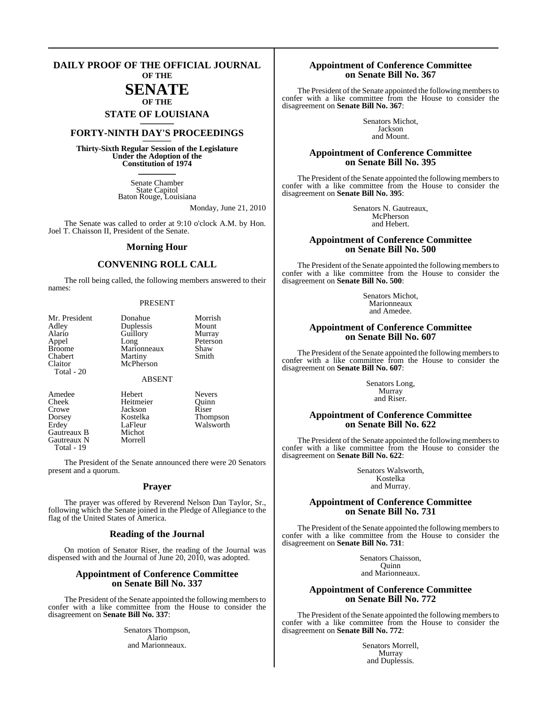#### **DAILY PROOF OF THE OFFICIAL JOURNAL OF THE**

## **SENATE OF THE**

# **STATE OF LOUISIANA \_\_\_\_\_\_\_**

## **FORTY-NINTH DAY'S PROCEEDINGS \_\_\_\_\_\_\_**

**Thirty-Sixth Regular Session of the Legislature Under the Adoption of the Constitution of 1974 \_\_\_\_\_\_\_**

> Senate Chamber State Capitol Baton Rouge, Louisiana

> > Monday, June 21, 2010

The Senate was called to order at 9:10 o'clock A.M. by Hon. Joel T. Chaisson II, President of the Senate.

#### **Morning Hour**

#### **CONVENING ROLL CALL**

The roll being called, the following members answered to their names:

#### PRESENT

| Mr. President | Donahue       | Morrish  |
|---------------|---------------|----------|
|               |               |          |
| Adley         | Duplessis     | Mount    |
| Alario        | Guillory      | Murray   |
| Appel         | Long          | Peterson |
| <b>Broome</b> | Marionneaux   | Shaw     |
| Chabert       | Martiny       | Smith    |
| Claitor       | McPherson     |          |
| Total $-20$   |               |          |
|               | <b>ABSENT</b> |          |
|               |               |          |

Crowe Jackson<br>Dorsey Kostelka Gautreaux B Michot<br>Gautreaux N Morrell Gautreaux N Total - 19

Amedee Hebert Nevers<br>
Cheek Heitmeier Quinn Cheek Heitmeier Quinn Kostelka Thompson<br>LaFleur Walsworth Erdey LaFleur Walsworth<br>
Gautreaux B Michot

The President of the Senate announced there were 20 Senators present and a quorum.

#### **Prayer**

The prayer was offered by Reverend Nelson Dan Taylor, Sr., following which the Senate joined in the Pledge of Allegiance to the flag of the United States of America.

#### **Reading of the Journal**

On motion of Senator Riser, the reading of the Journal was dispensed with and the Journal of June 20, 2010, was adopted.

#### **Appointment of Conference Committee on Senate Bill No. 337**

The President of the Senate appointed the following members to confer with a like committee from the House to consider the disagreement on **Senate Bill No. 337**:

> Senators Thompson, Alario and Marionneaux.

#### **Appointment of Conference Committee on Senate Bill No. 367**

The President of the Senate appointed the following members to confer with a like committee from the House to consider the disagreement on **Senate Bill No. 367**:

> Senators Michot, Jackson and Mount.

#### **Appointment of Conference Committee on Senate Bill No. 395**

The President of the Senate appointed the following members to confer with a like committee from the House to consider the disagreement on **Senate Bill No. 395**:

> Senators N. Gautreaux, McPherson and Hebert.

#### **Appointment of Conference Committee on Senate Bill No. 500**

The President of the Senate appointed the following members to confer with a like committee from the House to consider the disagreement on **Senate Bill No. 500**:

> Senators Michot, Marionneaux and Amedee.

#### **Appointment of Conference Committee on Senate Bill No. 607**

The President of the Senate appointed the following members to confer with a like committee from the House to consider the disagreement on **Senate Bill No. 607**:

> Senators Long, Murray and Riser.

#### **Appointment of Conference Committee on Senate Bill No. 622**

The President of the Senate appointed the following members to confer with a like committee from the House to consider the disagreement on **Senate Bill No. 622**:

> Senators Walsworth, Kostelka and Murray.

#### **Appointment of Conference Committee on Senate Bill No. 731**

The President of the Senate appointed the following members to confer with a like committee from the House to consider the disagreement on **Senate Bill No. 731**:

> Senators Chaisson, **Ouinn** and Marionneaux.

#### **Appointment of Conference Committee on Senate Bill No. 772**

The President of the Senate appointed the following members to confer with a like committee from the House to consider the disagreement on **Senate Bill No. 772**:

> Senators Morrell, Murray and Duplessis.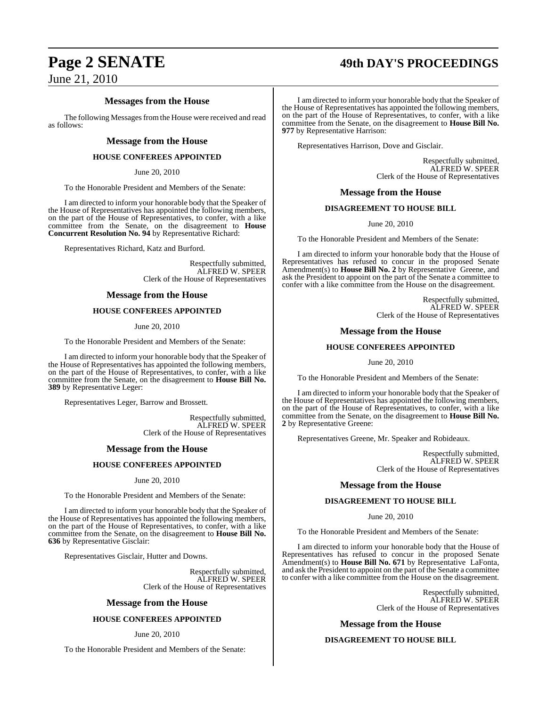# **Page 2 SENATE 49th DAY'S PROCEEDINGS**

June 21, 2010

#### **Messages from the House**

The following Messages from the House were received and read as follows:

#### **Message from the House**

#### **HOUSE CONFEREES APPOINTED**

June 20, 2010

To the Honorable President and Members of the Senate:

I am directed to inform your honorable body that the Speaker of the House of Representatives has appointed the following members, on the part of the House of Representatives, to confer, with a like committee from the Senate, on the disagreement to **House Concurrent Resolution No. 94** by Representative Richard:

Representatives Richard, Katz and Burford.

Respectfully submitted, ALFRED W. SPEER Clerk of the House of Representatives

#### **Message from the House**

#### **HOUSE CONFEREES APPOINTED**

June 20, 2010

To the Honorable President and Members of the Senate:

I am directed to inform your honorable body that the Speaker of the House of Representatives has appointed the following members, on the part of the House of Representatives, to confer, with a like committee from the Senate, on the disagreement to **House Bill No. 389** by Representative Leger:

Representatives Leger, Barrow and Brossett.

Respectfully submitted, ALFRED W. SPEER Clerk of the House of Representatives

#### **Message from the House**

#### **HOUSE CONFEREES APPOINTED**

June 20, 2010

To the Honorable President and Members of the Senate:

I am directed to inform your honorable body that the Speaker of the House of Representatives has appointed the following members, on the part of the House of Representatives, to confer, with a like committee from the Senate, on the disagreement to **House Bill No. 636** by Representative Gisclair:

Representatives Gisclair, Hutter and Downs.

Respectfully submitted, ALFRED W. SPEER Clerk of the House of Representatives

#### **Message from the House**

#### **HOUSE CONFEREES APPOINTED**

#### June 20, 2010

To the Honorable President and Members of the Senate:

I am directed to inform your honorable body that the Speaker of the House of Representatives has appointed the following members, on the part of the House of Representatives, to confer, with a like committee from the Senate, on the disagreement to **House Bill No. 977** by Representative Harrison:

Representatives Harrison, Dove and Gisclair.

Respectfully submitted, ALFRED W. SPEER Clerk of the House of Representatives

#### **Message from the House**

#### **DISAGREEMENT TO HOUSE BILL**

June 20, 2010

To the Honorable President and Members of the Senate:

I am directed to inform your honorable body that the House of Representatives has refused to concur in the proposed Senate Amendment(s) to **House Bill No. 2** by Representative Greene, and ask the President to appoint on the part of the Senate a committee to confer with a like committee from the House on the disagreement.

> Respectfully submitted, ALFRED W. SPEER Clerk of the House of Representatives

#### **Message from the House**

#### **HOUSE CONFEREES APPOINTED**

June 20, 2010

To the Honorable President and Members of the Senate:

I am directed to inform your honorable body that the Speaker of the House of Representatives has appointed the following members, on the part of the House of Representatives, to confer, with a like committee from the Senate, on the disagreement to **House Bill No. 2** by Representative Greene:

Representatives Greene, Mr. Speaker and Robideaux.

Respectfully submitted, ALFRED W. SPEER Clerk of the House of Representatives

#### **Message from the House**

#### **DISAGREEMENT TO HOUSE BILL**

June 20, 2010

To the Honorable President and Members of the Senate:

I am directed to inform your honorable body that the House of Representatives has refused to concur in the proposed Senate Amendment(s) to **House Bill No. 671** by Representative LaFonta, and ask the President to appoint on the part of the Senate a committee to confer with a like committee from the House on the disagreement.

> Respectfully submitted, ALFRED W. SPEER Clerk of the House of Representatives

**Message from the House**

#### **DISAGREEMENT TO HOUSE BILL**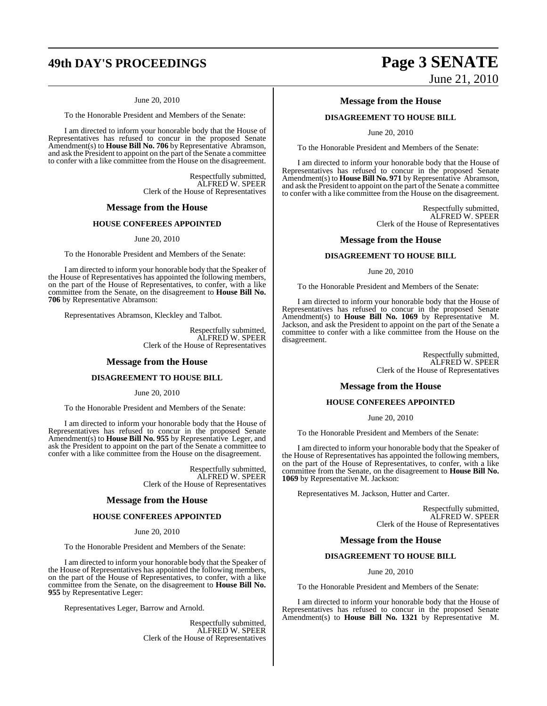# **49th DAY'S PROCEEDINGS Page 3 SENATE**

#### June 20, 2010

To the Honorable President and Members of the Senate:

I am directed to inform your honorable body that the House of Representatives has refused to concur in the proposed Senate Amendment(s) to **House Bill No. 706** by Representative Abramson, and ask the President to appoint on the part of the Senate a committee to confer with a like committee from the House on the disagreement.

> Respectfully submitted, ALFRED W. SPEER Clerk of the House of Representatives

#### **Message from the House**

#### **HOUSE CONFEREES APPOINTED**

#### June 20, 2010

To the Honorable President and Members of the Senate:

I am directed to inform your honorable body that the Speaker of the House of Representatives has appointed the following members, on the part of the House of Representatives, to confer, with a like committee from the Senate, on the disagreement to **House Bill No. 706** by Representative Abramson:

Representatives Abramson, Kleckley and Talbot.

Respectfully submitted, ALFRED W. SPEER Clerk of the House of Representatives

#### **Message from the House**

#### **DISAGREEMENT TO HOUSE BILL**

June 20, 2010

To the Honorable President and Members of the Senate:

I am directed to inform your honorable body that the House of Representatives has refused to concur in the proposed Senate Amendment(s) to **House Bill No. 955** by Representative Leger, and ask the President to appoint on the part of the Senate a committee to confer with a like committee from the House on the disagreement.

> Respectfully submitted, ALFRED W. SPEER Clerk of the House of Representatives

#### **Message from the House**

#### **HOUSE CONFEREES APPOINTED**

#### June 20, 2010

To the Honorable President and Members of the Senate:

I am directed to inform your honorable body that the Speaker of the House of Representatives has appointed the following members, on the part of the House of Representatives, to confer, with a like committee from the Senate, on the disagreement to **House Bill No. 955** by Representative Leger:

Representatives Leger, Barrow and Arnold.

Respectfully submitted, ALFRED W. SPEER Clerk of the House of Representatives

# June 21, 2010

#### **Message from the House**

#### **DISAGREEMENT TO HOUSE BILL**

June 20, 2010

To the Honorable President and Members of the Senate:

I am directed to inform your honorable body that the House of Representatives has refused to concur in the proposed Senate Amendment(s) to **House Bill No. 971** by Representative Abramson, and ask the President to appoint on the part of the Senate a committee to confer with a like committee from the House on the disagreement.

> Respectfully submitted, ALFRED W. SPEER Clerk of the House of Representatives

#### **Message from the House**

#### **DISAGREEMENT TO HOUSE BILL**

June 20, 2010

To the Honorable President and Members of the Senate:

I am directed to inform your honorable body that the House of Representatives has refused to concur in the proposed Senate Amendment(s) to **House Bill No. 1069** by Representative M. Jackson, and ask the President to appoint on the part of the Senate a committee to confer with a like committee from the House on the disagreement.

> Respectfully submitted, ALFRED W. SPEER Clerk of the House of Representatives

#### **Message from the House**

#### **HOUSE CONFEREES APPOINTED**

June 20, 2010

To the Honorable President and Members of the Senate:

I am directed to inform your honorable body that the Speaker of the House of Representatives has appointed the following members, on the part of the House of Representatives, to confer, with a like committee from the Senate, on the disagreement to **House Bill No. 1069** by Representative M. Jackson:

Representatives M. Jackson, Hutter and Carter.

Respectfully submitted, ALFRED W. SPEER Clerk of the House of Representatives

#### **Message from the House**

#### **DISAGREEMENT TO HOUSE BILL**

June 20, 2010

To the Honorable President and Members of the Senate:

I am directed to inform your honorable body that the House of Representatives has refused to concur in the proposed Senate Amendment(s) to **House Bill No. 1321** by Representative M.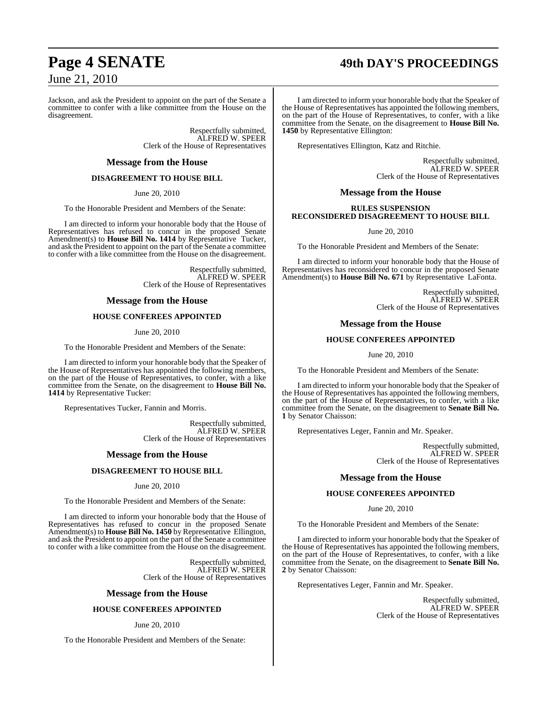# **Page 4 SENATE 49th DAY'S PROCEEDINGS**

June 21, 2010

Jackson, and ask the President to appoint on the part of the Senate a committee to confer with a like committee from the House on the disagreement.

> Respectfully submitted, ALFRED W. SPEER Clerk of the House of Representatives

#### **Message from the House**

#### **DISAGREEMENT TO HOUSE BILL**

June 20, 2010

To the Honorable President and Members of the Senate:

I am directed to inform your honorable body that the House of Representatives has refused to concur in the proposed Senate Amendment(s) to **House Bill No. 1414** by Representative Tucker, and ask the President to appoint on the part of the Senate a committee to confer with a like committee from the House on the disagreement.

> Respectfully submitted, ALFRED W. SPEER Clerk of the House of Representatives

#### **Message from the House**

#### **HOUSE CONFEREES APPOINTED**

June 20, 2010

To the Honorable President and Members of the Senate:

I am directed to inform your honorable body that the Speaker of the House of Representatives has appointed the following members, on the part of the House of Representatives, to confer, with a like committee from the Senate, on the disagreement to **House Bill No. 1414** by Representative Tucker:

Representatives Tucker, Fannin and Morris.

Respectfully submitted, ALFRED W. SPEER Clerk of the House of Representatives

#### **Message from the House**

#### **DISAGREEMENT TO HOUSE BILL**

June 20, 2010

To the Honorable President and Members of the Senate:

I am directed to inform your honorable body that the House of Representatives has refused to concur in the proposed Senate Amendment(s) to **House Bill No. 1450** by Representative Ellington, and ask the President to appoint on the part of the Senate a committee to confer with a like committee from the House on the disagreement.

> Respectfully submitted, ALFRED W. SPEER Clerk of the House of Representatives

#### **Message from the House**

#### **HOUSE CONFEREES APPOINTED**

#### June 20, 2010

To the Honorable President and Members of the Senate:

I am directed to inform your honorable body that the Speaker of the House of Representatives has appointed the following members, on the part of the House of Representatives, to confer, with a like committee from the Senate, on the disagreement to **House Bill No. 1450** by Representative Ellington:

Representatives Ellington, Katz and Ritchie.

Respectfully submitted, ALFRED W. SPEER Clerk of the House of Representatives

#### **Message from the House**

#### **RULES SUSPENSION RECONSIDERED DISAGREEMENT TO HOUSE BILL**

June 20, 2010

To the Honorable President and Members of the Senate:

I am directed to inform your honorable body that the House of Representatives has reconsidered to concur in the proposed Senate Amendment(s) to **House Bill No. 671** by Representative LaFonta.

> Respectfully submitted, ALFRED W. SPEER Clerk of the House of Representatives

#### **Message from the House**

#### **HOUSE CONFEREES APPOINTED**

June 20, 2010

To the Honorable President and Members of the Senate:

I am directed to inform your honorable body that the Speaker of the House of Representatives has appointed the following members, on the part of the House of Representatives, to confer, with a like committee from the Senate, on the disagreement to **Senate Bill No. 1** by Senator Chaisson:

Representatives Leger, Fannin and Mr. Speaker.

Respectfully submitted, ALFRED W. SPEER Clerk of the House of Representatives

#### **Message from the House**

#### **HOUSE CONFEREES APPOINTED**

#### June 20, 2010

To the Honorable President and Members of the Senate:

I am directed to inform your honorable body that the Speaker of the House of Representatives has appointed the following members, on the part of the House of Representatives, to confer, with a like committee from the Senate, on the disagreement to **Senate Bill No. 2** by Senator Chaisson:

Representatives Leger, Fannin and Mr. Speaker.

Respectfully submitted, ALFRED W. SPEER Clerk of the House of Representatives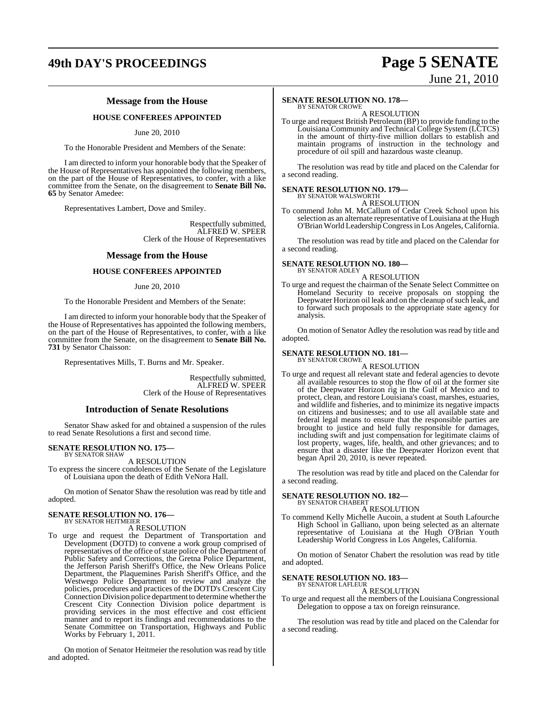# **49th DAY'S PROCEEDINGS Page 5 SENATE**

## **Message from the House**

#### **HOUSE CONFEREES APPOINTED**

June 20, 2010

To the Honorable President and Members of the Senate:

I am directed to inform your honorable body that the Speaker of the House of Representatives has appointed the following members, on the part of the House of Representatives, to confer, with a like committee from the Senate, on the disagreement to **Senate Bill No. 65** by Senator Amedee:

Representatives Lambert, Dove and Smiley.

Respectfully submitted, ALFRED W. SPEER Clerk of the House of Representatives

#### **Message from the House**

#### **HOUSE CONFEREES APPOINTED**

#### June 20, 2010

To the Honorable President and Members of the Senate:

I am directed to inform your honorable body that the Speaker of the House of Representatives has appointed the following members, on the part of the House of Representatives, to confer, with a like committee from the Senate, on the disagreement to **Senate Bill No. 731** by Senator Chaisson:

Representatives Mills, T. Burns and Mr. Speaker.

Respectfully submitted, ALFRED W. SPEER Clerk of the House of Representatives

#### **Introduction of Senate Resolutions**

Senator Shaw asked for and obtained a suspension of the rules to read Senate Resolutions a first and second time.

#### **SENATE RESOLUTION NO. 175—** BY SENATOR SHAW

A RESOLUTION

To express the sincere condolences of the Senate of the Legislature of Louisiana upon the death of Edith VeNora Hall.

On motion of Senator Shaw the resolution was read by title and adopted.

#### **SENATE RESOLUTION NO. 176—** BY SENATOR HEITMEIER

#### A RESOLUTION

To urge and request the Department of Transportation and Development (DOTD) to convene a work group comprised of representatives of the office of state police of the Department of Public Safety and Corrections, the Gretna Police Department, the Jefferson Parish Sheriff's Office, the New Orleans Police Department, the Plaquemines Parish Sheriff's Office, and the Westwego Police Department to review and analyze the policies, procedures and practices of the DOTD's Crescent City Connection Division police department to determine whether the Crescent City Connection Division police department is providing services in the most effective and cost efficient manner and to report its findings and recommendations to the Senate Committee on Transportation, Highways and Public Works by February 1, 2011.

On motion of Senator Heitmeier the resolution was read by title and adopted.

# June 21, 2010

### **SENATE RESOLUTION NO. 178—**

BY SENATOR CROWE A RESOLUTION

To urge and request British Petroleum (BP) to provide funding to the Louisiana Community and Technical College System (LCTCS) in the amount of thirty-five million dollars to establish and maintain programs of instruction in the technology and procedure of oil spill and hazardous waste cleanup.

The resolution was read by title and placed on the Calendar for a second reading.

#### **SENATE RESOLUTION NO. 179—**

BY SENATOR WALSWORTH A RESOLUTION

To commend John M. McCallum of Cedar Creek School upon his selection as an alternate representative of Louisiana at the Hugh O'Brian World LeadershipCongressin Los Angeles,California.

The resolution was read by title and placed on the Calendar for a second reading.

#### **SENATE RESOLUTION NO. 180—**

BY SENATOR ADLEY A RESOLUTION

To urge and request the chairman of the Senate Select Committee on Homeland Security to receive proposals on stopping the Deepwater Horizon oil leak and on the cleanup of such leak, and to forward such proposals to the appropriate state agency for analysis.

On motion of Senator Adley the resolution was read by title and adopted.

#### **SENATE RESOLUTION NO. 181—** BY SENATOR CROWE

A RESOLUTION

To urge and request all relevant state and federal agencies to devote all available resources to stop the flow of oil at the former site of the Deepwater Horizon rig in the Gulf of Mexico and to protect, clean, and restore Louisiana's coast, marshes, estuaries, and wildlife and fisheries, and to minimize its negative impacts on citizens and businesses; and to use all available state and federal legal means to ensure that the responsible parties are brought to justice and held fully responsible for damages, including swift and just compensation for legitimate claims of lost property, wages, life, health, and other grievances; and to ensure that a disaster like the Deepwater Horizon event that began April 20, 2010, is never repeated.

The resolution was read by title and placed on the Calendar for a second reading.

#### **SENATE RESOLUTION NO. 182—** BY SENATOR CHABERT

A RESOLUTION

To commend Kelly Michelle Aucoin, a student at South Lafourche High School in Galliano, upon being selected as an alternate representative of Louisiana at the Hugh O'Brian Youth Leadership World Congress in Los Angeles, California.

On motion of Senator Chabert the resolution was read by title and adopted.

#### **SENATE RESOLUTION NO. 183—**

BY SENATOR LAFLEUR

#### A RESOLUTION To urge and request all the members of the Louisiana Congressional Delegation to oppose a tax on foreign reinsurance.

The resolution was read by title and placed on the Calendar for a second reading.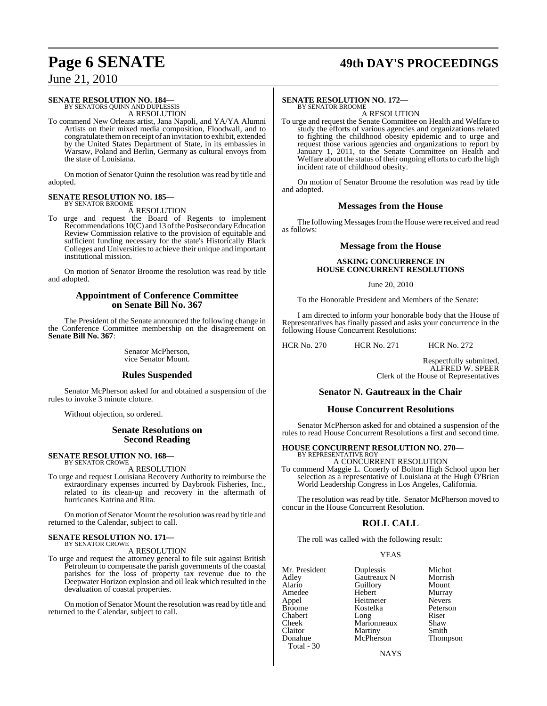# **Page 6 SENATE 49th DAY'S PROCEEDINGS**

June 21, 2010

### **SENATE RESOLUTION NO. 184—**

BY SENATORS QUINN AND DUPLESSIS A RESOLUTION

To commend New Orleans artist, Jana Napoli, and YA/YA Alumni Artists on their mixed media composition, Floodwall, and to congratulate themon receipt of an invitation to exhibit, extended by the United States Department of State, in its embassies in Warsaw, Poland and Berlin, Germany as cultural envoys from the state of Louisiana.

On motion of Senator Quinn the resolution was read by title and adopted.

#### **SENATE RESOLUTION NO. 185—** BY SENATOR BROOME

A RESOLUTION

To urge and request the Board of Regents to implement Recommendations 10(C) and 13 of the Postsecondary Education Review Commission relative to the provision of equitable and sufficient funding necessary for the state's Historically Black Colleges and Universities to achieve their unique and important institutional mission.

On motion of Senator Broome the resolution was read by title and adopted.

#### **Appointment of Conference Committee on Senate Bill No. 367**

The President of the Senate announced the following change in the Conference Committee membership on the disagreement on **Senate Bill No. 367**:

> Senator McPherson, vice Senator Mount.

#### **Rules Suspended**

Senator McPherson asked for and obtained a suspension of the rules to invoke 3 minute cloture.

Without objection, so ordered.

#### **Senate Resolutions on Second Reading**

#### **SENATE RESOLUTION NO. 168—** BY SENATOR CROWE

A RESOLUTION

To urge and request Louisiana Recovery Authority to reimburse the extraordinary expenses incurred by Daybrook Fisheries, Inc., related to its clean-up and recovery in the aftermath of hurricanes Katrina and Rita.

On motion of Senator Mount the resolution was read by title and returned to the Calendar, subject to call.

#### **SENATE RESOLUTION NO. 171—** BY SENATOR CROWE

A RESOLUTION

To urge and request the attorney general to file suit against British Petroleum to compensate the parish governments of the coastal parishes for the loss of property tax revenue due to the Deepwater Horizon explosion and oil leak which resulted in the devaluation of coastal properties.

On motion of Senator Mount the resolution wasread by title and returned to the Calendar, subject to call.

#### **SENATE RESOLUTION NO. 172—** BY SENATOR BROOME

A RESOLUTION

To urge and request the Senate Committee on Health and Welfare to study the efforts of various agencies and organizations related to fighting the childhood obesity epidemic and to urge and request those various agencies and organizations to report by January 1, 2011, to the Senate Committee on Health and Welfare about the status of their ongoing efforts to curb the high incident rate of childhood obesity.

On motion of Senator Broome the resolution was read by title and adopted.

#### **Messages from the House**

The following Messages from the House were received and read as follows:

#### **Message from the House**

#### **ASKING CONCURRENCE IN HOUSE CONCURRENT RESOLUTIONS**

June 20, 2010

To the Honorable President and Members of the Senate:

I am directed to inform your honorable body that the House of Representatives has finally passed and asks your concurrence in the following House Concurrent Resolutions:

HCR No. 270 HCR No. 271 HCR No. 272

Respectfully submitted, ALFRED W. SPEER Clerk of the House of Representatives

#### **Senator N. Gautreaux in the Chair**

#### **House Concurrent Resolutions**

Senator McPherson asked for and obtained a suspension of the rules to read House Concurrent Resolutions a first and second time.

# **HOUSE CONCURRENT RESOLUTION NO. 270—** BY REPRESENTATIVE ROY

A CONCURRENT RESOLUTION To commend Maggie L. Conerly of Bolton High School upon her selection as a representative of Louisiana at the Hugh O'Brian World Leadership Congress in Los Angeles, California.

The resolution was read by title. Senator McPherson moved to concur in the House Concurrent Resolution.

#### **ROLL CALL**

The roll was called with the following result:

#### YEAS

| Mr. President<br>Adley<br>Alario<br>Amedee<br>Appel<br><b>Broome</b><br>Chabert<br>Cheek<br>Claitor<br>Donahue | Duplessis<br>Gautreaux N<br>Guillory<br>Hebert<br>Heitmeier<br>Kostelka<br>Long<br>Marionneaux<br>Martiny<br>McPherson | Michot<br>Morrish<br>Mount<br>Murray<br><b>Nevers</b><br>Peterson<br>Riser<br>Shaw<br>Smith<br>Thompson |
|----------------------------------------------------------------------------------------------------------------|------------------------------------------------------------------------------------------------------------------------|---------------------------------------------------------------------------------------------------------|
| Total - 30                                                                                                     |                                                                                                                        |                                                                                                         |

NAYS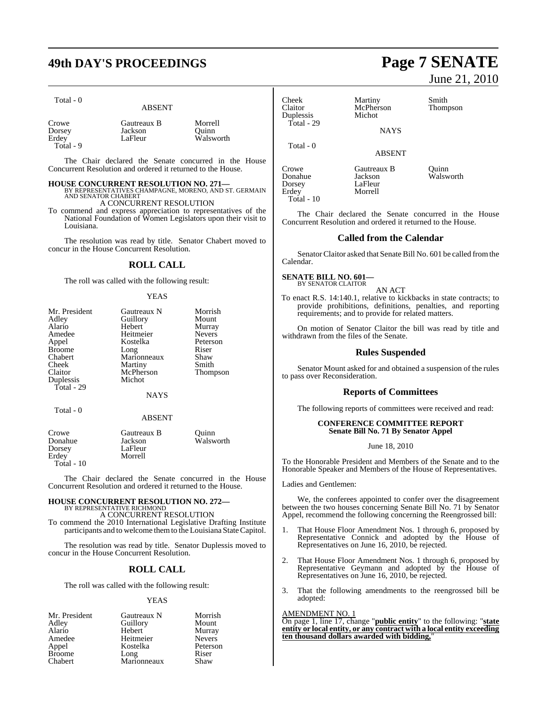# **49th DAY'S PROCEEDINGS Page 7 SENATE**

| πя |  |  |
|----|--|--|
|----|--|--|

| <b>ABSENT</b> |
|---------------|

| Crowe     | Gautreaux B | Morrell   |
|-----------|-------------|-----------|
| Dorsey    | Jackson     | Ouinn     |
| Erdey     | LaFleur     | Walsworth |
| Total - 9 |             |           |

The Chair declared the Senate concurred in the House Concurrent Resolution and ordered it returned to the House.

## **HOUSE CONCURRENT RESOLUTION NO. 271—** BY REPRESENTATIVES CHAMPAGNE, MORENO, AND ST. GERMAIN

AND SENATOR CHABERT A CONCURRENT RESOLUTION

To commend and express appreciation to representatives of the National Foundation of Women Legislators upon their visit to Louisiana.

The resolution was read by title. Senator Chabert moved to concur in the House Concurrent Resolution.

#### **ROLL CALL**

The roll was called with the following result:

#### YEAS

| Mr. President                      | Gautreaux N                        | Morrish         |
|------------------------------------|------------------------------------|-----------------|
| Adley                              | Guillory                           | Mount           |
| Alario                             | Hebert                             | Murray          |
| Amedee                             | Heitmeier                          | <b>Nevers</b>   |
| Appel                              | Kostelka                           | Peterson        |
| <b>Broome</b>                      | Long                               | Riser           |
| Chabert                            | Marionneaux                        | Shaw            |
| Cheek                              | Martiny                            | Smith           |
| Claitor<br>Duplessis<br>Total - 29 | McPherson<br>Michot<br><b>NAYS</b> | <b>Thompson</b> |

### Total - 0

#### ABSENT

| Crowe             | Gautreaux B | Ouinn     |
|-------------------|-------------|-----------|
| Donahue           | Jackson     | Walsworth |
| Dorsey            | LaFleur     |           |
| Erdey             | Morrell     |           |
| <b>Total</b> - 10 |             |           |

The Chair declared the Senate concurred in the House Concurrent Resolution and ordered it returned to the House.

#### **HOUSE CONCURRENT RESOLUTION NO. 272—**

BY REPRESENTATIVE RICHMOND A CONCURRENT RESOLUTION

To commend the 2010 International Legislative Drafting Institute participants and to welcome them to the Louisiana State Capitol.

The resolution was read by title. Senator Duplessis moved to concur in the House Concurrent Resolution.

#### **ROLL CALL**

The roll was called with the following result:

#### YEAS

| Mr. President | Gautreaux N | Morrish       |
|---------------|-------------|---------------|
| Adley         | Guillory    | Mount         |
| Alario        | Hebert      | Murray        |
| Amedee        | Heitmeier   | <b>Nevers</b> |
| Appel         | Kostelka    | Peterson      |
| <b>Broome</b> | Long        | Riser         |
| Chabert       | Marionneaux | Shaw          |

# June 21, 2010

| <b>Cheek</b><br>Claitor<br>Duplessis | Martiny<br>McPherson<br>Michot | Smith<br>Thompson |
|--------------------------------------|--------------------------------|-------------------|
| $Total - 29$                         | <b>NAYS</b>                    |                   |
| Total - 0                            | <b>ABSENT</b>                  |                   |

Morrell

Crowe Gautreaux B Quinn Dorsey<br>Erdey Total - 10

Jackson Walsworth<br>LaFleur

The Chair declared the Senate concurred in the House Concurrent Resolution and ordered it returned to the House.

#### **Called from the Calendar**

Senator Claitor asked that Senate Bill No. 601 be called from the Calendar.

#### **SENATE BILL NO. 601—**

BY SENATOR CLAITOR

AN ACT To enact R.S. 14:140.1, relative to kickbacks in state contracts; to provide prohibitions, definitions, penalties, and reporting requirements; and to provide for related matters.

On motion of Senator Claitor the bill was read by title and withdrawn from the files of the Senate.

#### **Rules Suspended**

Senator Mount asked for and obtained a suspension of the rules to pass over Reconsideration.

#### **Reports of Committees**

The following reports of committees were received and read:

#### **CONFERENCE COMMITTEE REPORT Senate Bill No. 71 By Senator Appel**

June 18, 2010

To the Honorable President and Members of the Senate and to the Honorable Speaker and Members of the House of Representatives.

Ladies and Gentlemen:

We, the conferees appointed to confer over the disagreement between the two houses concerning Senate Bill No. 71 by Senator Appel, recommend the following concerning the Reengrossed bill:

- 1. That House Floor Amendment Nos. 1 through 6, proposed by Representative Connick and adopted by the House of Representatives on June 16, 2010, be rejected.
- That House Floor Amendment Nos. 1 through 6, proposed by Representative Geymann and adopted by the House of Representatives on June 16, 2010, be rejected.
- 3. That the following amendments to the reengrossed bill be adopted:

#### AMENDMENT NO. 1

On page 1, line 17, change "**public entity**" to the following: "**state entity or local entity, or any contract with a local entity exceeding ten thousand dollars awarded with bidding,**"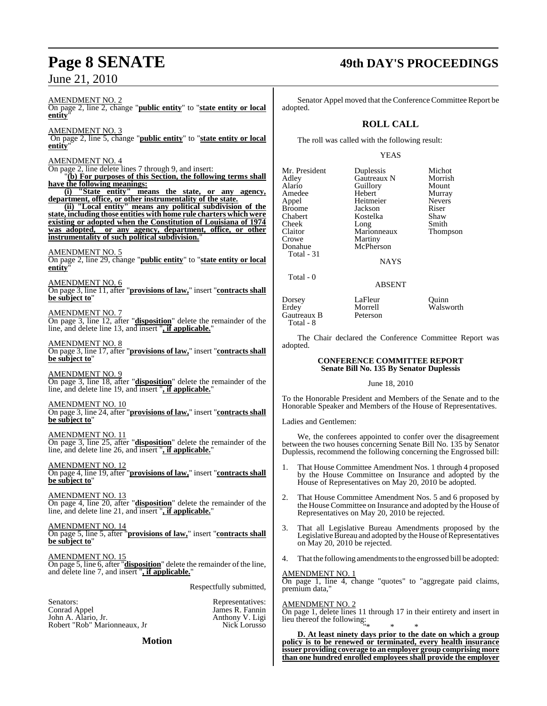#### AMENDMENT NO. 2

On page 2, line 2, change "**public entity**" to "**state entity or local entity**"

AMENDMENT NO. 3

On page 2, line 5, change "**public entity**" to "**state entity or local entity**"

#### AMENDMENT NO. 4

On page 2, line delete lines 7 through 9, and insert:

"**(b) For purposes of this Section, the following terms shall have the following meanings:**

**(i) "State entity" means the state, or any agency, department, office, or other instrumentality of the state.**

**(ii) "Local entity" means any political subdivision of the state, including those entities with home rule charters which were existing or adopted when the Constitution of Louisiana of 1974 was adopted, or any agency, department, office, or other instrumentality of such political subdivision.**"

#### AMENDMENT NO. 5

On page 2, line 29, change "**public entity**" to "**state entity or local entity**"

#### AMENDMENT NO. 6

On page 3, line 11, after "**provisions of law,**" insert "**contracts shall be subject to**"

#### AMENDMENT NO. 7

On page 3, line 12, after "**disposition**" delete the remainder of the line, and delete line 13, and insert "**, if applicable.**"

#### AMENDMENT NO. 8

On page 3, line 17, after "**provisions of law,**" insert "**contracts shall be subject to**"

AMENDMENT NO. 9 On page 3, line 18, after "**disposition**" delete the remainder of the line, and delete line 19, and insert "**, if applicable.**"

#### AMENDMENT NO. 10

On page 3, line 24, after "**provisions of law,**" insert "**contracts shall be subject to**"

AMENDMENT NO. 11 On page 3, line 25, after "**disposition**" delete the remainder of the line, and delete line 26, and insert "**, if applicable.**"

AMENDMENT NO. 12 On page 4, line 19, after "**provisions of law,**" insert "**contracts shall be subject to**"

AMENDMENT NO. 13 On page 4, line 20, after "**disposition**" delete the remainder of the line, and delete line 21, and insert "**, if applicable.**"

#### AMENDMENT NO. 14 On page 5, line 5, after "**provisions of law,**" insert "**contracts shall be subject to**"

AMENDMENT NO. 15 On page 5, line 6, after "**disposition**" delete the remainder of the line, and delete line 7, and insert "**, if applicable.**"

Respectfully submitted,

James R. Fannin<br>Anthony V. Ligi

Senators: Representatives: John A. Alario, Jr. (2015)<br>
Robert "Rob" Marionneaux, Jr. (2015)<br>
Nick Lorusso Robert "Rob" Marionneaux, Jr

#### **Motion**

# **Page 8 SENATE 49th DAY'S PROCEEDINGS**

Senator Appel moved that the Conference Committee Report be adopted.

#### **ROLL CALL**

The roll was called with the following result:

#### YEAS

Mr. President Duplessis Michot<br>Adley Gautreaux N Morrish Adley Gautreaux N Morrish<br>Alario Guillory Mount Amedee Hebert Murray<br>
Appel Heitmeier Nevers Appel Heitmeier Never<br>Broome Jackson Riser Broome Jackson Riser<br>
Chabert Kostelka Shaw Chabert Kostelka Shaw Cheek Long Smith<br>Claitor Marionneaux Thompson Claitor Marionneaux<br>Crowe Martiny Crowe Martiny<br>
Donahue McPhers Total - 31

Alario Guillory<br>
Hebert Murray McPherson

**NAYS** 

#### ABSENT

Dorsey LaFleur Quinn<br>Erdey Morrell Walsw Gautreaux B Total - 8

Morrell Walsworth

Total - 0

The Chair declared the Conference Committee Report was adopted.

#### **CONFERENCE COMMITTEE REPORT Senate Bill No. 135 By Senator Duplessis**

June 18, 2010

To the Honorable President and Members of the Senate and to the Honorable Speaker and Members of the House of Representatives.

Ladies and Gentlemen:

We, the conferees appointed to confer over the disagreement between the two houses concerning Senate Bill No. 135 by Senator Duplessis, recommend the following concerning the Engrossed bill:

- That House Committee Amendment Nos. 1 through 4 proposed by the House Committee on Insurance and adopted by the House of Representatives on May 20, 2010 be adopted.
- 2. That House Committee Amendment Nos. 5 and 6 proposed by the House Committee on Insurance and adopted by the House of Representatives on May 20, 2010 be rejected.
- 3. That all Legislative Bureau Amendments proposed by the Legislative Bureau and adopted by the House of Representatives on May 20, 2010 be rejected.
- 4. That the following amendments to the engrossed bill be adopted:

AMENDMENT NO. 1

On page 1, line 4, change "quotes" to "aggregate paid claims, premium data,"

#### AMENDMENT NO. 2

On page 1, delete lines 11 through 17 in their entirety and insert in lieu thereof the following:

"\* \* \* **D. At least ninety days prior to the date on which a group policy is to be renewed or terminated, every health insurance issuer providing coverage to an employer group comprising more than one hundred enrolled employees shall provide the employer**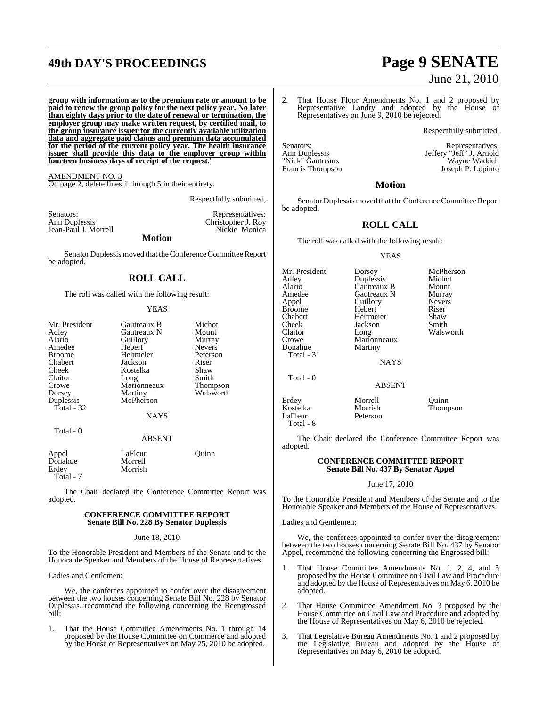# **49th DAY'S PROCEEDINGS Page 9 SENATE**

**group with information as to the premium rate or amount to be paid to renew the group policy for the next policy year. No later than eighty days prior to the date of renewal or termination, the employer group may make written request, by certified mail, to the group insurance issuer for the currently available utilization data and aggregate paid claims and premium data accumulated for the period of the current policy year. The health insurance issuer shall provide this data to the employer group within fourteen business days of receipt of the request.**"

AMENDMENT NO. 3 On page 2, delete lines 1 through 5 in their entirety.

Respectfully submitted,

| Senators:            | Representatives:   |
|----------------------|--------------------|
| Ann Duplessis        | Christopher J. Roy |
| Jean-Paul J. Morrell | Nickie Monica      |
| <b>Motion</b>        |                    |

Senator Duplessismoved that the Conference Committee Report be adopted.

### **ROLL CALL**

The roll was called with the following result:

#### YEAS

| Mr. President | Gautreaux B | Michot        |
|---------------|-------------|---------------|
| Adley         | Gautreaux N | Mount         |
| Alario        | Guillory    | Murray        |
| Amedee        | Hebert      | <b>Nevers</b> |
| <b>Broome</b> | Heitmeier   | Peterson      |
| Chabert       | Jackson     | Riser         |
| Cheek         | Kostelka    | Shaw          |
| Claitor       | Long        | Smith         |
| Crowe         | Marionneaux | Thompson      |
| Dorsey        | Martiny     | Walsworth     |
| Duplessis     | McPherson   |               |
| Total $-32$   |             |               |
|               | <b>NAYS</b> |               |
| Total - 0     |             |               |
|               | ABSENT      |               |

| Appel     | LaFleur | Ouinn |
|-----------|---------|-------|
| Donahue   | Morrell |       |
| Erdev     | Morrish |       |
| Total - 7 |         |       |

The Chair declared the Conference Committee Report was adopted.

#### **CONFERENCE COMMITTEE REPORT Senate Bill No. 228 By Senator Duplessis**

#### June 18, 2010

To the Honorable President and Members of the Senate and to the Honorable Speaker and Members of the House of Representatives.

Ladies and Gentlemen:

We, the conferees appointed to confer over the disagreement between the two houses concerning Senate Bill No. 228 by Senator Duplessis, recommend the following concerning the Reengrossed bill:

1. That the House Committee Amendments No. 1 through 14 proposed by the House Committee on Commerce and adopted by the House of Representatives on May 25, 2010 be adopted.

# June 21, 2010

2. That House Floor Amendments No. 1 and 2 proposed by Representative Landry and adopted by the House of Representatives on June 9, 2010 be rejected.

Respectfully submitted,

Senators:<br>
Ann Duplessis<br>
Ann Duplessis<br>
Ann Duplessis Ann Duplessis Jeffery "Jeff" J. Arnold "Nick" Gautreaux Wayne Waddell Francis Thompson Joseph P. Lopinto

#### **Motion**

Senator Duplessis moved that the Conference Committee Report be adopted.

#### **ROLL CALL**

The roll was called with the following result:

#### YEAS

| Mr. President<br>Adley<br>Alario<br>Amedee<br>Appel<br>Broome<br>Chabert<br>Cheek<br>Claitor<br>Crowe<br>Donahue<br>Total - 31 | Dorsey<br>Duplessis<br>Gautreaux B<br>Gautreaux N<br>Guillory<br>Hebert<br>Heitmeier<br>Jackson<br>Long<br>Marionneaux<br>Martiny<br><b>NAYS</b> | McPherson<br>Michot<br>Mount<br>Murray<br><b>Nevers</b><br>Riser<br>Shaw<br>Smith<br>Walsworth |
|--------------------------------------------------------------------------------------------------------------------------------|--------------------------------------------------------------------------------------------------------------------------------------------------|------------------------------------------------------------------------------------------------|
| Total - 0                                                                                                                      | <b>ABSENT</b>                                                                                                                                    |                                                                                                |
| - -                                                                                                                            | $\sim$                                                                                                                                           |                                                                                                |

Erdey Morrell Quinn<br>
Kostelka Morrish Thomr Kostelka Morrish Thompson<br>LaFleur Peterson Peterson Total - 8

The Chair declared the Conference Committee Report was adopted.

#### **CONFERENCE COMMITTEE REPORT Senate Bill No. 437 By Senator Appel**

#### June 17, 2010

To the Honorable President and Members of the Senate and to the Honorable Speaker and Members of the House of Representatives.

#### Ladies and Gentlemen:

We, the conferees appointed to confer over the disagreement between the two houses concerning Senate Bill No. 437 by Senator Appel, recommend the following concerning the Engrossed bill:

- 1. That House Committee Amendments No. 1, 2, 4, and 5 proposed by the House Committee on Civil Law and Procedure and adopted by the House of Representatives on May 6, 2010 be adopted.
- 2. That House Committee Amendment No. 3 proposed by the House Committee on Civil Law and Procedure and adopted by the House of Representatives on May 6, 2010 be rejected.
- 3. That Legislative Bureau Amendments No. 1 and 2 proposed by the Legislative Bureau and adopted by the House of Representatives on May 6, 2010 be adopted.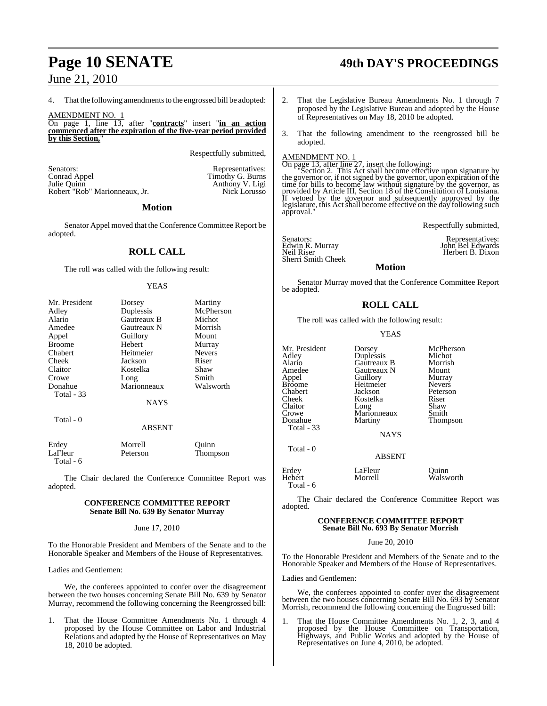4. That the following amendments to the engrossed bill be adopted:

AMENDMENT NO. 1

On page 1, line 13, after "**contracts**" insert "**in an action commenced after the expiration of the five-year period provided by this Section,**"

Respectfully submitted,

Senators: Representatives: Conrad Appel **Exercise Senators:** Representatives:  $\frac{1}{2}$ Conrad Appel Timothy G. Burns<br>
Julie Quinn Anthony V. Ligi Robert "Rob" Marionneaux, Jr.

Anthony V. Ligi<br>Nick Lorusso

#### **Motion**

Senator Appel moved that the Conference Committee Report be adopted.

### **ROLL CALL**

The roll was called with the following result:

#### **YEAS**

| Mr. President     | Dorsey        | Martiny       |
|-------------------|---------------|---------------|
| Adley             | Duplessis     | McPherson     |
| Alario            | Gautreaux B   | Michot        |
| Amedee            | Gautreaux N   | Morrish       |
| Appel             | Guillory      | Mount         |
| <b>Broome</b>     | Hebert        | Murray        |
| Chabert           | Heitmeier     | <b>Nevers</b> |
| Cheek             | Jackson       | Riser         |
| Claitor           | Kostelka      | Shaw          |
| Crowe             | Long          | Smith         |
| Donahue           | Marionneaux   | Walsworth     |
| <b>Total - 33</b> |               |               |
|                   | <b>NAYS</b>   |               |
| Total - 0         |               |               |
|                   | <b>ABSENT</b> |               |
| $\mathbf{r}$ 1    | <b>Mr.</b> 11 | $\sim$ .      |

| Erdey     | Morrell  | Ouinn    |
|-----------|----------|----------|
| LaFleur   | Peterson | Thompson |
| Total - 6 |          |          |

The Chair declared the Conference Committee Report was adopted.

#### **CONFERENCE COMMITTEE REPORT Senate Bill No. 639 By Senator Murray**

June 17, 2010

To the Honorable President and Members of the Senate and to the Honorable Speaker and Members of the House of Representatives.

Ladies and Gentlemen:

We, the conferees appointed to confer over the disagreement between the two houses concerning Senate Bill No. 639 by Senator Murray, recommend the following concerning the Reengrossed bill:

1. That the House Committee Amendments No. 1 through 4 proposed by the House Committee on Labor and Industrial Relations and adopted by the House of Representatives on May 18, 2010 be adopted.

# **Page 10 SENATE 49th DAY'S PROCEEDINGS**

- 2. That the Legislative Bureau Amendments No. 1 through 7 proposed by the Legislative Bureau and adopted by the House of Representatives on May 18, 2010 be adopted.
- 3. That the following amendment to the reengrossed bill be adopted.

AMENDMENT NO. 1<br>On page 13, after line 27, insert the following:<br>"Section 2. This Act shall become effective upon signature by<br>the governor or, if not signed by the governor, upon expiration of the time for bills to become law without signature by the governor, as<br>provided by Article III, Section 18 of the Constitution of Louisiana.<br>If vetoed by the governor and subsequently approved by the<br>legislature, this Act shal approval.

Respectfully submitted,

Senators: Representatives:<br>
Edwin R. Murray Monday (John Bel Edwards<br>
Neil Riser (Herbert B. Dixon Sherri Smith Cheek

#### **Motion**

Senator Murray moved that the Conference Committee Report be adopted.

### **ROLL CALL**

The roll was called with the following result:

#### YEAS

Gautreaux N Mount<br>
Guillory Murray

Kostelka Riser<br>Long Shaw

Thompson

Walsworth

Mr. President Dorsey McPherson<br>Adley Duplessis Michot Adley Duplessis Michot Alario Gautreaux B Morrish Appel Guillory Murray Broome Heitmeier<br>Chabert Jackson Chabert Jackson Peterson Claitor Long Shaw<br>Crowe Marionneaux Smith Crowe Marionneaux<br>Donahue Martiny Total - 33 Total - 0 Erdey LaFleur Quinn

Total - 6

The Chair declared the Conference Committee Report was adopted.

NAYS

ABSENT

#### **CONFERENCE COMMITTEE REPORT Senate Bill No. 693 By Senator Morrish**

June 20, 2010

To the Honorable President and Members of the Senate and to the Honorable Speaker and Members of the House of Representatives.

Ladies and Gentlemen:

We, the conferees appointed to confer over the disagreement between the two houses concerning Senate Bill No. 693 by Senator Morrish, recommend the following concerning the Engrossed bill:

1. That the House Committee Amendments No. 1, 2, 3, and 4 proposed by the House Committee on Transportation, Highways, and Public Works and adopted by the House of Representatives on June 4, 2010, be adopted.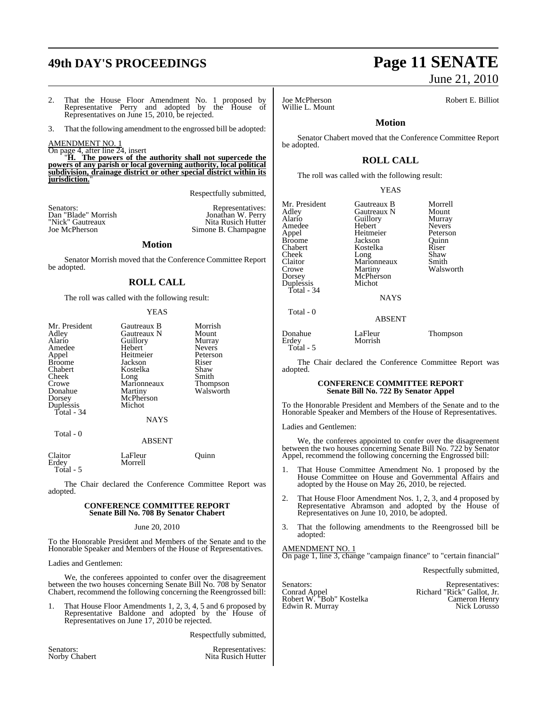# **49th DAY'S PROCEEDINGS Page 11 SENATE**

2. That the House Floor Amendment No. 1 proposed by Representative Perry and adopted by the House of Representatives on June 15, 2010, be rejected.

3. That the following amendment to the engrossed bill be adopted:

AMENDMENT NO. 1

On page 4, after line 24, insert "**H. The powers of the authority shall not supercede the**

**powers of any parish or local governing authority, local political subdivision, drainage district or other special district within its** *jurisdiction.* 

Respectfully submitted,

Senators: Representatives: Dan "Blade" Morrish Jonathan W. Perry Senators: <br>
Dan "Blade" Morrish (Senators: Normal Representatives: Nonathan W. Perry<br>
"Nick" Gautreaux (Nita Rusich Hutter<br>
Jone B. Champagne

Simone B. Champagne

#### **Motion**

Senator Morrish moved that the Conference Committee Report be adopted.

#### **ROLL CALL**

The roll was called with the following result:

#### YEAS

| Mr. President<br>Adley<br>Alario<br>Amedee<br>Appel<br><b>Broome</b><br>Chabert<br>Cheek<br>Crowe<br>Donahue<br>Dorsey | Gautreaux B<br>Gautreaux N<br>Guillory<br>Hebert<br>Heitmeier<br>Jackson<br>Kostelka<br>Long<br>Marionneaux<br>Martiny<br>McPherson | Morrish<br>Mount<br>Murray<br><b>Nevers</b><br>Peterson<br>Riser<br>Shaw<br>Smith<br>Thompson<br>Walsworth |
|------------------------------------------------------------------------------------------------------------------------|-------------------------------------------------------------------------------------------------------------------------------------|------------------------------------------------------------------------------------------------------------|
| Duplessis<br>Total - 34                                                                                                | Michot                                                                                                                              |                                                                                                            |
| Total - 0                                                                                                              | <b>NAYS</b>                                                                                                                         |                                                                                                            |
|                                                                                                                        |                                                                                                                                     |                                                                                                            |

#### ABSENT

| Claitor<br>Erdey | LaFleur<br>Morrell | Ouinn |
|------------------|--------------------|-------|
| Total - 5        |                    |       |

The Chair declared the Conference Committee Report was adopted.

#### **CONFERENCE COMMITTEE REPORT Senate Bill No. 708 By Senator Chabert**

June 20, 2010

To the Honorable President and Members of the Senate and to the Honorable Speaker and Members of the House of Representatives.

Ladies and Gentlemen:

We, the conferees appointed to confer over the disagreement between the two houses concerning Senate Bill No. 708 by Senator Chabert, recommend the following concerning the Reengrossed bill:

1. That House Floor Amendments 1, 2, 3, 4, 5 and 6 proposed by Representative Baldone and adopted by the House of Representatives on June 17, 2010 be rejected.

Respectfully submitted,

Senators: Representatives: Representatives: Representatives: Representatives: Representatives: Representatives: Representatives:  $\frac{1}{2}$ Nita Rusich Hutter

# June 21, 2010

Willie L. Mount

Joe McPherson Robert E. Billiot

### **Motion**

Senator Chabert moved that the Conference Committee Report be adopted.

### **ROLL CALL**

The roll was called with the following result:

YEAS

| Mr. President<br>Adley<br>Alario<br>Amedee<br>Appel<br>Broome<br>Chabert<br>Cheek<br>Claitor<br>Crowe<br>Dorsey<br>Duplessis<br>Total - 34 | Gautreaux B<br>Gautreaux N<br>Guillory<br>Hebert<br>Heitmeier<br>Jackson<br>Kostelka<br>Long<br>Marionneaux<br>Martiny<br>McPherson<br>Michot<br><b>NAYS</b> | Morrell<br>Mount<br>Murray<br><b>Nevers</b><br>Peterson<br>Quinn<br>Riser<br>Shaw<br>Smith<br>Walsworth |
|--------------------------------------------------------------------------------------------------------------------------------------------|--------------------------------------------------------------------------------------------------------------------------------------------------------------|---------------------------------------------------------------------------------------------------------|
| Total - 0                                                                                                                                  | <b>ABSENT</b>                                                                                                                                                |                                                                                                         |

Donahue LaFleur Thompson<br>Erdey Morrish Thompson Morrish Total - 5

The Chair declared the Conference Committee Report was adopted.

#### **CONFERENCE COMMITTEE REPORT Senate Bill No. 722 By Senator Appel**

To the Honorable President and Members of the Senate and to the Honorable Speaker and Members of the House of Representatives.

Ladies and Gentlemen:

We, the conferees appointed to confer over the disagreement between the two houses concerning Senate Bill No. 722 by Senator Appel, recommend the following concerning the Engrossed bill:

- That House Committee Amendment No. 1 proposed by the House Committee on House and Governmental Affairs and adopted by the House on May 26, 2010, be rejected.
- 2. That House Floor Amendment Nos. 1, 2, 3, and 4 proposed by Representative Abramson and adopted by the House of Representatives on June 10, 2010, be adopted.
- 3. That the following amendments to the Reengrossed bill be adopted:

#### AMENDMENT NO. 1 On page 1, line 3, change "campaign finance" to "certain financial"

Respectfully submitted,

Conrad Appel Richard "Rick" Gallot, Jr. Robert W. "Bob" Kostelka Cameron Henry

Senators: Representatives: Representatives: Representatives: Representatives: Representatives: Representatives<br>
Richard "Rick" Gallot, Jr. Robert W. "Bob" Kostelka<br>Edwin R. Murray Nick Lorusso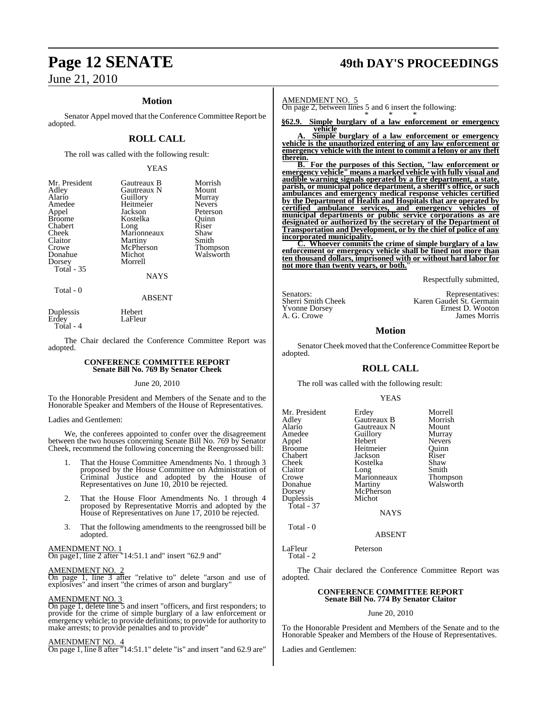#### **Motion**

Senator Appel moved that the Conference Committee Report be adopted.

#### **ROLL CALL**

The roll was called with the following result:

#### YEAS

| Mr. President | Gautreaux B | Morrish       |
|---------------|-------------|---------------|
| Adley         | Gautreaux N | Mount         |
| Alario        | Guillory    | Murray        |
| Amedee        | Heitmeier   | <b>Nevers</b> |
| Appel         | Jackson     | Peterson      |
| <b>Broome</b> | Kostelka    | Quinn         |
| Chabert       | Long        | Riser         |
| Cheek         | Marionneaux | Shaw          |
| Claitor       | Martiny     | Smith         |
| Crowe         | McPherson   | Thompson      |
| Donahue       | Michot      | Walsworth     |
| Dorsey        | Morrell     |               |
| Total - 35    |             |               |
|               | NAYS        |               |

Total - 0

#### ABSENT

Duplessis Hebert LaFleur Total - 4

The Chair declared the Conference Committee Report was adopted.

#### **CONFERENCE COMMITTEE REPORT Senate Bill No. 769 By Senator Cheek**

June 20, 2010

To the Honorable President and Members of the Senate and to the Honorable Speaker and Members of the House of Representatives.

#### Ladies and Gentlemen:

We, the conferees appointed to confer over the disagreement between the two houses concerning Senate Bill No. 769 by Senator Cheek, recommend the following concerning the Reengrossed bill:

- 1. That the House Committee Amendments No. 1 through 3 proposed by the House Committee on Administration of Criminal Justice and adopted by the House of Representatives on June 10, 2010 be rejected.
- 2. That the House Floor Amendments No. 1 through 4 proposed by Representative Morris and adopted by the House of Representatives on June 17, 2010 be rejected.
- 3. That the following amendments to the reengrossed bill be adopted.

#### AMENDMENT NO. 1

On page1, line 2 after "14:51.1 and" insert "62.9 and"

#### AMENDMENT NO. 2

On page 1, line 3 after "relative to" delete "arson and use of explosives" and insert "the crimes of arson and burglary"

#### AMENDMENT NO. 3

On page 1, delete line 5 and insert "officers, and first responders; to provide for the crime of simple burglary of a law enforcement or emergency vehicle; to provide definitions; to provide for authority to make arrests; to provide penalties and to provide"

#### AMENDMENT NO. 4

On page 1, line 8 after "14:51.1" delete "is" and insert "and 62.9 are"

# **Page 12 SENATE 49th DAY'S PROCEEDINGS**

AMENDMENT NO. 5

On page 2, between lines 5 and 6 insert the following: \* \* \*

**§62.9. Simple burglary of a law enforcement or emergency vehicle**

**A. Simple burglary of a law enforcement or emergency vehicle is the unauthorized entering of any law enforcement or emergency vehicle with the intent to commit a felony or any theft therein.**

**B. For the purposes of this Section, "law enforcement or emergency vehicle" means a marked vehicle with fully visual and audible warning signals operated by a fire department, a state, parish, or municipal police department, a sheriff's office, or such ambulances and emergency medical response vehicles certified by the Department of Health and Hospitals that are operated by certified ambulance services, and emergency vehicles of municipal departments or public service corporations as are designated or authorized by the secretary of the Department of Transportation and Development, or by the chief of police of any incorporated municipality.**

**C. Whoever commits the crime of simple burglary of a law enforcement or emergency vehicle shall be fined not more than ten thousand dollars, imprisoned with or without hard labor for not more than twenty years, or both.**"

Respectfully submitted,

Yvonne Dorsey<br>A. G. Crowe

Senators: Representatives:<br>
Sherri Smith Cheek Karen Gaudet St. Germain Karen Gaudet St. Germain<br>Ernest D. Wooton A. G. Crowe James Morris

#### **Motion**

Senator Cheek moved that the Conference Committee Report be adopted.

#### **ROLL CALL**

The roll was called with the following result:

#### YEAS

| Mr. President<br>Adley<br>Alario<br>Amedee<br>Appel<br><b>Broome</b><br>Chabert<br>Cheek<br>Claitor<br>Crowe<br>Donahue<br>Dorsey<br>Duplessis<br>Total - 37 | Erdey<br>Gautreaux B<br>Gautreaux N<br>Guillory<br>Hebert<br>Heitmeier<br>Jackson<br>Kostelka<br>Long<br>Marionneaux<br>Martiny<br>McPherson<br>Michot<br><b>NAYS</b> | Morrell<br>Morrish<br>Mount<br>Murray<br><b>Nevers</b><br>Ouinn<br>Riser<br>Shaw<br>Smith<br>Thompson<br>Walsworth |
|--------------------------------------------------------------------------------------------------------------------------------------------------------------|-----------------------------------------------------------------------------------------------------------------------------------------------------------------------|--------------------------------------------------------------------------------------------------------------------|
| Total - 0                                                                                                                                                    |                                                                                                                                                                       |                                                                                                                    |

ABSENT

#### LaFleur Peterson Total - 2

The Chair declared the Conference Committee Report was adopted.

#### **CONFERENCE COMMITTEE REPORT Senate Bill No. 774 By Senator Claitor**

#### June 20, 2010

To the Honorable President and Members of the Senate and to the Honorable Speaker and Members of the House of Representatives.

Ladies and Gentlemen: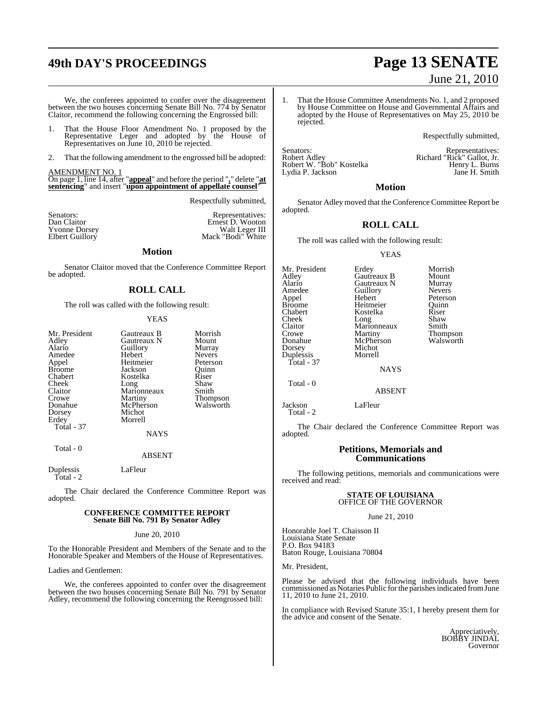# **49th DAY'S PROCEEDINGS Page 13 SENATE**

We, the conferees appointed to confer over the disagreement between the two houses concerning Senate Bill No. 774 by Senator Claitor, recommend the following concerning the Engrossed bill:

- 1. That the House Floor Amendment No. 1 proposed by the Representative Leger and adopted by the House of Representatives on June 10, 2010 be rejected.
- 2. That the following amendment to the engrossed bill be adopted:

#### AMENDMENT NO. 1

On page 1, line 14, after "**appeal**" and before the period "**.**" delete "**at sentencing**" and insert "**upon appointment of appellate counsel**"

Respectfully submitted,

| Senators:<br>Dan Claitor | Representatives:<br>Ernest D. Wooton |
|--------------------------|--------------------------------------|
| <b>Yvonne Dorsey</b>     | Walt Leger III                       |
| Elbert Guillory          | Mack "Bodi" White                    |

#### **Motion**

Senator Claitor moved that the Conference Committee Report be adopted.

#### **ROLL CALL**

The roll was called with the following result:

#### YEAS

| Mr. President<br>Adley<br>Alario<br>Amedee<br>Appel<br><b>Broome</b><br>Chabert<br>Cheek<br>Claitor<br>Crowe<br>Donahue<br>Dorsey<br>Erdey<br>Total - 37 | Gautreaux B<br>Gautreaux N<br>Guillory<br>Hebert<br>Heitmeier<br>Jackson<br>Kostelka<br>Long<br>Marionneaux<br>Martiny<br>McPherson<br>Michot<br>Morrell<br>NAYS | Morrish<br>Mount<br>Murray<br><b>Nevers</b><br>Peterson<br>Ouinn<br>Riser<br>Shaw<br>Smith<br>Thompson<br>Walsworth |
|----------------------------------------------------------------------------------------------------------------------------------------------------------|------------------------------------------------------------------------------------------------------------------------------------------------------------------|---------------------------------------------------------------------------------------------------------------------|
|----------------------------------------------------------------------------------------------------------------------------------------------------------|------------------------------------------------------------------------------------------------------------------------------------------------------------------|---------------------------------------------------------------------------------------------------------------------|

ABSENT

Duplessis LaFleur Total - 2

Total - 0

The Chair declared the Conference Committee Report was adopted.

#### **CONFERENCE COMMITTEE REPORT Senate Bill No. 791 By Senator Adley**

June 20, 2010

To the Honorable President and Members of the Senate and to the Honorable Speaker and Members of the House of Representatives.

Ladies and Gentlemen:

We, the conferees appointed to confer over the disagreement between the two houses concerning Senate Bill No. 791 by Senator Adley, recommend the following concerning the Reengrossed bill:

- June 21, 2010
- 1. That the House Committee Amendments No. 1, and 2 proposed by House Committee on House and Governmental Affairs and adopted by the House of Representatives on May 25, 2010 be rejected.

Respectfully submitted,

Robert Adley<br>Robert W. "Bob" Kostelka Robert W. "Bob" Kostelka Henry L. Burns Lydia P. Jackson Jane H. Smith

Senators: Representatives:

#### **Motion**

Senator Adley moved that the Conference Committee Report be adopted.

#### **ROLL CALL**

The roll was called with the following result:

#### YEAS

Mr. President Erdey Morrish<br>Adley Gautreaux B Mount Adley Gautreaux B Mount Alario Gautreaux N Murray Amedee Guillory<br>Appel Hebert Appel Hebert Peterson Broome Heitmeier Quinn<br>
Chabert Kostelka Riser Kostelka Riser<br>Long Shaw Cheek Long Shaw<br>Claitor Marionneaux Smith Claitor Marionneaux<br>Crowe Martiny Crowe Martiny Thompson<br>
Donahue McPherson Walsworth Donahue McPherson<br>Dorsey Michot Michot<br>Morrell Duplessis Total - 37 **NAYS** Total - 0

ABSENT

Jackson LaFleur Total - 2

The Chair declared the Conference Committee Report was adopted.

#### **Petitions, Memorials and Communications**

The following petitions, memorials and communications were received and read:

#### **STATE OF LOUISIANA** OFFICE OF THE GOVERNOR

June 21, 2010

Honorable Joel T. Chaisson II Louisiana State Senate P.O. Box 94183 Baton Rouge, Louisiana 70804

Mr. President,

Please be advised that the following individuals have been commissioned as Notaries Public for the parishes indicated from June 11, 2010 to June 21, 2010.

In compliance with Revised Statute 35:1, I hereby present them for the advice and consent of the Senate.

> Appreciatively, BOBBY JINDAL Governor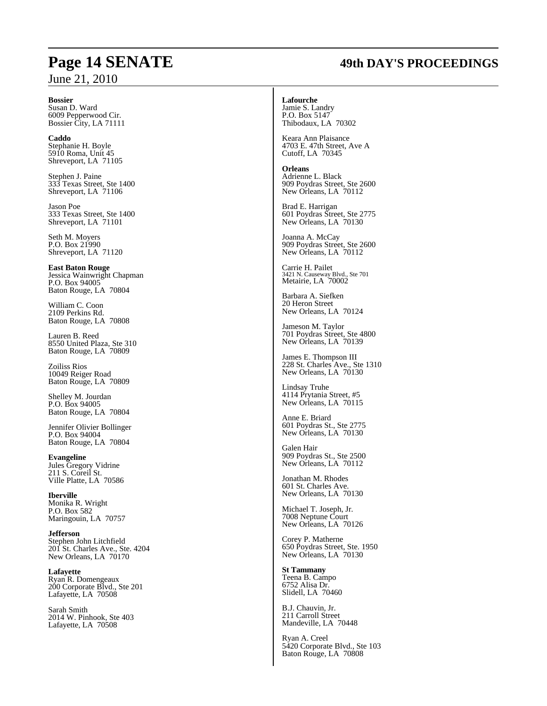#### **Bossier**

Susan D. Ward 6009 Pepperwood Cir. Bossier City, LA 71111

**Caddo** Stephanie H. Boyle 5910 Roma, Unit 45 Shreveport, LA 71105

Stephen J. Paine 333 Texas Street, Ste 1400 Shreveport, LA 71106

Jason Poe 333 Texas Street, Ste 1400 Shreveport, LA 71101

Seth M. Moyers P.O. Box 21990 Shreveport, LA 71120

**East Baton Rouge** Jessica Wainwright Chapman P.O. Box 94005 Baton Rouge, LA 70804

William C. Coon 2109 Perkins Rd. Baton Rouge, LA 70808

Lauren B. Reed 8550 United Plaza, Ste 310 Baton Rouge, LA 70809

Zoiliss Rios 10049 Reiger Road Baton Rouge, LA 70809

Shelley M. Jourdan P.O. Box 94005 Baton Rouge, LA 70804

Jennifer Olivier Bollinger P.O. Box 94004 Baton Rouge, LA 70804

**Evangeline** Jules Gregory Vidrine 211 S. Coreil St. Ville Platte, LA 70586

**Iberville** Monika R. Wright P.O. Box 582 Maringouin, LA 70757

**Jefferson** Stephen John Litchfield 201 St. Charles Ave., Ste. 4204 New Orleans, LA 70170

**Lafayette** Ryan R. Domengeaux 200 Corporate Blvd., Ste 201 Lafayette, LA 70508

Sarah Smith 2014 W. Pinhook, Ste 403 Lafayette, LA 70508

# **Page 14 SENATE 49th DAY'S PROCEEDINGS**

#### **Lafourche**

Jamie S. Landry P.O. Box 5147 Thibodaux, LA 70302

Keara Ann Plaisance 4703 E. 47th Street, Ave A Cutoff, LA 70345

**Orleans** Adrienne L. Black 909 Poydras Street, Ste 2600 New Orleans, LA 70112

Brad E. Harrigan 601 Poydras Street, Ste 2775 New Orleans, LA 70130

Joanna A. McCay 909 Poydras Street, Ste 2600 New Orleans, LA 70112

Carrie H. Pailet 3421 N. Causeway Blvd., Ste 701 Metairie, LA 70002

Barbara A. Siefken 20 Heron Street New Orleans, LA 70124

Jameson M. Taylor 701 Poydras Street, Ste 4800 New Orleans, LA 70139

James E. Thompson III 228 St. Charles Ave., Ste 1310 New Orleans, LA 70130

Lindsay Truhe 4114 Prytania Street, #5 New Orleans, LA  $70115$ 

Anne E. Briard 601 Poydras St., Ste 2775 New Orleans, LA 70130

Galen Hair 909 Poydras St., Ste 2500 New Orleans, LA 70112

Jonathan M. Rhodes 601 St. Charles Ave. New Orleans, LA 70130

Michael T. Joseph, Jr. 7008 Neptune Court New Orleans, LA 70126

Corey P. Matherne 650 Poydras Street, Ste. 1950 New Orleans, LA 70130

**St Tammany** Teena B. Campo 6752 Alisa Dr. Slidell, LA 70460

B.J. Chauvin, Jr. 211 Carroll Street Mandeville, LA 70448

Ryan A. Creel 5420 Corporate Blvd., Ste 103 Baton Rouge, LA 70808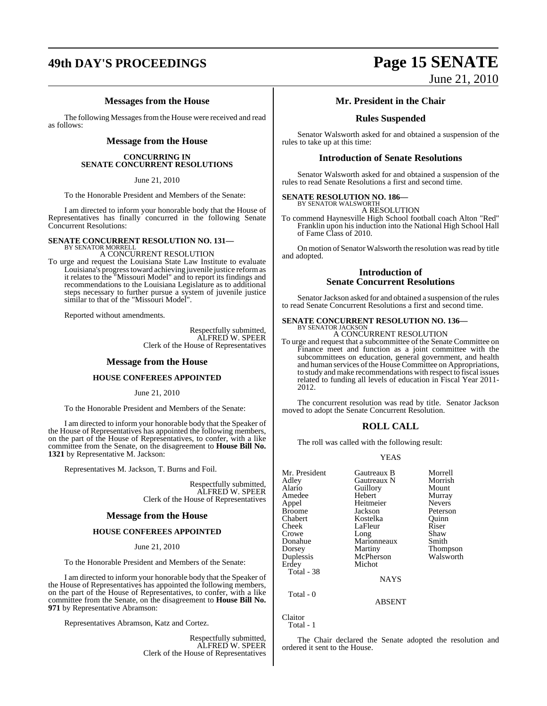# **49th DAY'S PROCEEDINGS Page 15 SENATE**

#### **Messages from the House**

The following Messages from the House were received and read as follows:

#### **Message from the House**

#### **CONCURRING IN SENATE CONCURRENT RESOLUTIONS**

June 21, 2010

To the Honorable President and Members of the Senate:

I am directed to inform your honorable body that the House of Representatives has finally concurred in the following Senate Concurrent Resolutions:

#### **SENATE CONCURRENT RESOLUTION NO. 131—** BY SENATOR MORREL

A CONCURRENT RESOLUTION

To urge and request the Louisiana State Law Institute to evaluate Louisiana's progress toward achieving juvenile justice reform as it relates to the "Missouri Model" and to report its findings and recommendations to the Louisiana Legislature as to additional steps necessary to further pursue a system of juvenile justice similar to that of the "Missouri Model".

Reported without amendments.

Respectfully submitted, ALFRED W. SPEER Clerk of the House of Representatives

#### **Message from the House**

#### **HOUSE CONFEREES APPOINTED**

June 21, 2010

To the Honorable President and Members of the Senate:

I am directed to inform your honorable body that the Speaker of the House of Representatives has appointed the following members, on the part of the House of Representatives, to confer, with a like committee from the Senate, on the disagreement to **House Bill No. 1321** by Representative M. Jackson:

Representatives M. Jackson, T. Burns and Foil.

Respectfully submitted, ALFRED W. SPEER Clerk of the House of Representatives

#### **Message from the House**

#### **HOUSE CONFEREES APPOINTED**

June 21, 2010

To the Honorable President and Members of the Senate:

I am directed to inform your honorable body that the Speaker of the House of Representatives has appointed the following members, on the part of the House of Representatives, to confer, with a like committee from the Senate, on the disagreement to **House Bill No. 971** by Representative Abramson:

Representatives Abramson, Katz and Cortez.

Respectfully submitted, ALFRED W. SPEER Clerk of the House of Representatives

# June 21, 2010

#### **Mr. President in the Chair**

#### **Rules Suspended**

Senator Walsworth asked for and obtained a suspension of the rules to take up at this time:

#### **Introduction of Senate Resolutions**

Senator Walsworth asked for and obtained a suspension of the rules to read Senate Resolutions a first and second time.

#### **SENATE RESOLUTION NO. 186—** BY SENATOR WALSWORTH

A RESOLUTION

To commend Haynesville High School football coach Alton "Red" Franklin upon his induction into the National High School Hall of Fame Class of 2010.

On motion of Senator Walsworth the resolution was read by title and adopted.

#### **Introduction of Senate Concurrent Resolutions**

Senator Jackson asked for and obtained a suspension of the rules to read Senate Concurrent Resolutions a first and second time.

## **SENATE CONCURRENT RESOLUTION NO. 136—** BY SENATOR JACKSON

A CONCURRENT RESOLUTION

To urge and request that a subcommittee of the Senate Committee on Finance meet and function as a joint committee with the subcommittees on education, general government, and health and human services of the House Committee on Appropriations, to study and make recommendations with respect to fiscal issues related to funding all levels of education in Fiscal Year 2011- 2012.

The concurrent resolution was read by title. Senator Jackson moved to adopt the Senate Concurrent Resolution.

#### **ROLL CALL**

The roll was called with the following result:

#### YEAS

| Mr. President | Gautreaux B | Morrell         |
|---------------|-------------|-----------------|
| Adley         | Gautreaux N | Morrish         |
| Alario        | Guillory    | Mount           |
| Amedee        | Hebert      | Murray          |
| Appel         | Heitmeier   | <b>Nevers</b>   |
| <b>Broome</b> | Jackson     | Peterson        |
| Chabert       | Kostelka    | Quinn           |
| Cheek         | LaFleur     | Riser           |
| Crowe         | Long        | Shaw            |
| Donahue       | Marionneaux | Smith           |
| Dorsey        | Martiny     | <b>Thompson</b> |
| Duplessis     | McPherson   | Walsworth       |
| Erdey         | Michot      |                 |
| Total - 38    |             |                 |
|               | <b>NAYS</b> |                 |
| Total - 0     |             |                 |

Claitor

Total - 1

The Chair declared the Senate adopted the resolution and ordered it sent to the House.

ABSENT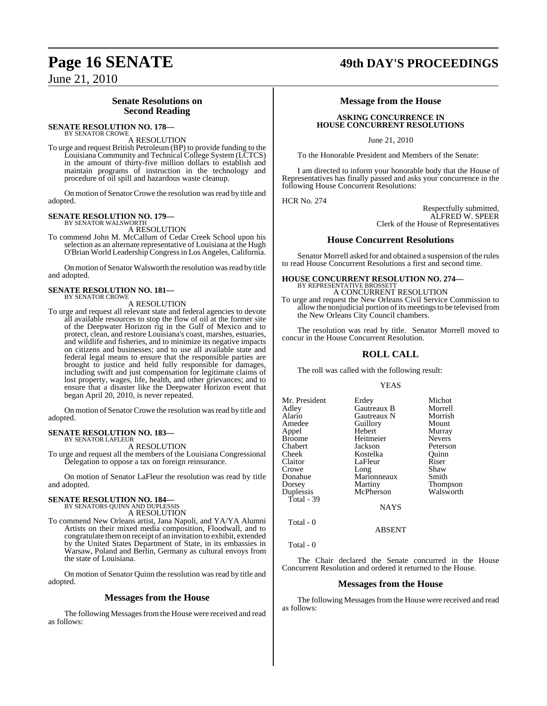### **Senate Resolutions on Second Reading**

#### **SENATE RESOLUTION NO. 178—** BY SENATOR CROWE

A RESOLUTION

To urge and request British Petroleum (BP) to provide funding to the Louisiana Community and Technical College System (LCTCS) in the amount of thirty-five million dollars to establish and maintain programs of instruction in the technology and procedure of oil spill and hazardous waste cleanup.

On motion of Senator Crowe the resolution was read by title and adopted.

#### **SENATE RESOLUTION NO. 179—** BY SENATOR WALSWORTH

A RESOLUTION

To commend John M. McCallum of Cedar Creek School upon his selection as an alternate representative of Louisiana at the Hugh O'Brian World Leadership Congressin Los Angeles,California.

On motion of Senator Walsworth the resolution was read by title and adopted.

# **SENATE RESOLUTION NO. 181—** BY SENATOR CROWE

A RESOLUTION

To urge and request all relevant state and federal agencies to devote all available resources to stop the flow of oil at the former site of the Deepwater Horizon rig in the Gulf of Mexico and to protect, clean, and restore Louisiana's coast, marshes, estuaries, and wildlife and fisheries, and to minimize its negative impacts on citizens and businesses; and to use all available state and federal legal means to ensure that the responsible parties are brought to justice and held fully responsible for damages, including swift and just compensation for legitimate claims of lost property, wages, life, health, and other grievances; and to ensure that a disaster like the Deepwater Horizon event that began April 20, 2010, is never repeated.

On motion of Senator Crowe the resolution was read by title and adopted.

#### **SENATE RESOLUTION NO. 183—** BY SENATOR LAFLEUR

A RESOLUTION

To urge and request all the members of the Louisiana Congressional Delegation to oppose a tax on foreign reinsurance.

On motion of Senator LaFleur the resolution was read by title and adopted.

# **SENATE RESOLUTION NO. 184—**<br>BY SENATORS QUINN AND DUPLESSIS

A RESOLUTION

To commend New Orleans artist, Jana Napoli, and YA/YA Alumni Artists on their mixed media composition, Floodwall, and to congratulate themon receipt of an invitation to exhibit, extended by the United States Department of State, in its embassies in Warsaw, Poland and Berlin, Germany as cultural envoys from the state of Louisiana.

On motion of Senator Quinn the resolution was read by title and adopted.

#### **Messages from the House**

The following Messages from the House were received and read as follows:

# **Page 16 SENATE 49th DAY'S PROCEEDINGS**

#### **Message from the House**

#### **ASKING CONCURRENCE IN HOUSE CONCURRENT RESOLUTIONS**

June 21, 2010

To the Honorable President and Members of the Senate:

I am directed to inform your honorable body that the House of Representatives has finally passed and asks your concurrence in the following House Concurrent Resolutions:

HCR No. 274

Respectfully submitted, ALFRED W. SPEER Clerk of the House of Representatives

#### **House Concurrent Resolutions**

Senator Morrell asked for and obtained a suspension of the rules to read House Concurrent Resolutions a first and second time.

#### **HOUSE CONCURRENT RESOLUTION NO. 274—** BY REPRESENTATIVE BROSSETT

A CONCURRENT RESOLUTION To urge and request the New Orleans Civil Service Commission to allow the nonjudicial portion of its meetings to be televised from the New Orleans City Council chambers.

The resolution was read by title. Senator Morrell moved to concur in the House Concurrent Resolution.

#### **ROLL CALL**

The roll was called with the following result:

#### YEAS

| Mr. President | Erdey       | Michot        |
|---------------|-------------|---------------|
| Adley         | Gautreaux B | Morrell       |
| Alario        | Gautreaux N | Morrish       |
| Amedee        | Guillory    | Mount         |
| Appel         | Hebert      | Murray        |
| Broome        | Heitmeier   | <b>Nevers</b> |
| Chabert       | Jackson     | Peterson      |
| Cheek         | Kostelka    | Ouinn         |
| Claitor       | LaFleur     | Riser         |
| Crowe         | Long        | Shaw          |
| Donahue       | Marionneaux | Smith         |
| Dorsey        | Martiny     | Thompson      |
| Duplessis     | McPherson   | Walsworth     |
| Total - 39    |             |               |
|               | <b>NAYS</b> |               |
|               |             |               |
|               |             |               |

Total - 0

Total - 0

The Chair declared the Senate concurred in the House Concurrent Resolution and ordered it returned to the House.

ABSENT

#### **Messages from the House**

The following Messages from the House were received and read as follows: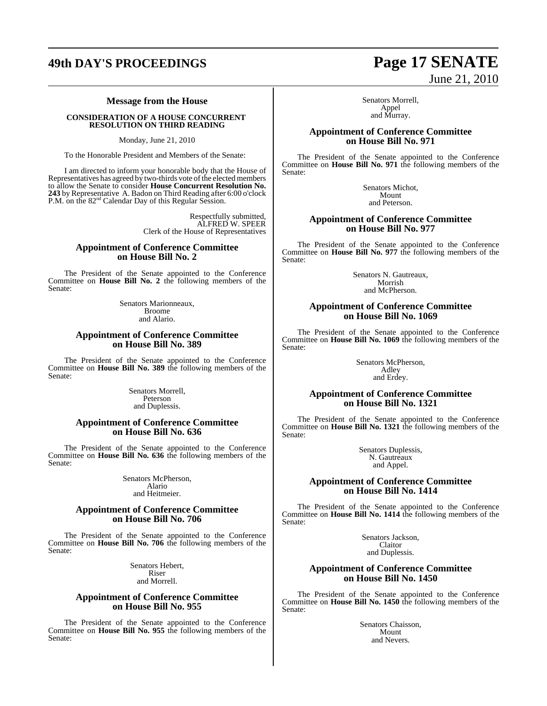## **49th DAY'S PROCEEDINGS Page 17 SENATE**

#### **Message from the House**

#### **CONSIDERATION OF A HOUSE CONCURRENT RESOLUTION ON THIRD READING**

Monday, June 21, 2010

To the Honorable President and Members of the Senate:

I am directed to inform your honorable body that the House of Representatives has agreed by two-thirds vote of the elected members to allow the Senate to consider **House Concurrent Resolution No.** 243 by Representative A. Badon on Third Reading after 6:00 o'clock P.M. on the 82<sup>nd</sup> Calendar Day of this Regular Session.

> Respectfully submitted, ALFRED W. SPEER Clerk of the House of Representatives

#### **Appointment of Conference Committee on House Bill No. 2**

The President of the Senate appointed to the Conference Committee on **House Bill No. 2** the following members of the Senate:

> Senators Marionneaux, Broome and Alario.

#### **Appointment of Conference Committee on House Bill No. 389**

The President of the Senate appointed to the Conference Committee on **House Bill No. 389** the following members of the Senate:

> Senators Morrell, Peterson and Duplessis.

#### **Appointment of Conference Committee on House Bill No. 636**

The President of the Senate appointed to the Conference Committee on **House Bill No. 636** the following members of the Senate:

> Senators McPherson, Alario and Heitmeier.

#### **Appointment of Conference Committee on House Bill No. 706**

The President of the Senate appointed to the Conference Committee on **House Bill No. 706** the following members of the Senate:

> Senators Hebert, Riser and Morrell.

#### **Appointment of Conference Committee on House Bill No. 955**

The President of the Senate appointed to the Conference Committee on **House Bill No. 955** the following members of the Senate:

# June 21, 2010

Senators Morrell, Appel and Murray.

#### **Appointment of Conference Committee on House Bill No. 971**

The President of the Senate appointed to the Conference Committee on **House Bill No. 971** the following members of the Senate:

> Senators Michot, Mount and Peterson.

#### **Appointment of Conference Committee on House Bill No. 977**

The President of the Senate appointed to the Conference Committee on **House Bill No. 977** the following members of the Senate:

> Senators N. Gautreaux, Morrish and McPherson.

#### **Appointment of Conference Committee on House Bill No. 1069**

The President of the Senate appointed to the Conference Committee on **House Bill No. 1069** the following members of the Senate:

> Senators McPherson, Adley and Erdey.

#### **Appointment of Conference Committee on House Bill No. 1321**

The President of the Senate appointed to the Conference Committee on **House Bill No. 1321** the following members of the Senate:

> Senators Duplessis, N. Gautreaux and Appel.

#### **Appointment of Conference Committee on House Bill No. 1414**

The President of the Senate appointed to the Conference Committee on **House Bill No. 1414** the following members of the Senate:

> Senators Jackson, Claitor and Duplessis.

#### **Appointment of Conference Committee on House Bill No. 1450**

The President of the Senate appointed to the Conference Committee on **House Bill No. 1450** the following members of the Senate:

> Senators Chaisson, Mount and Nevers.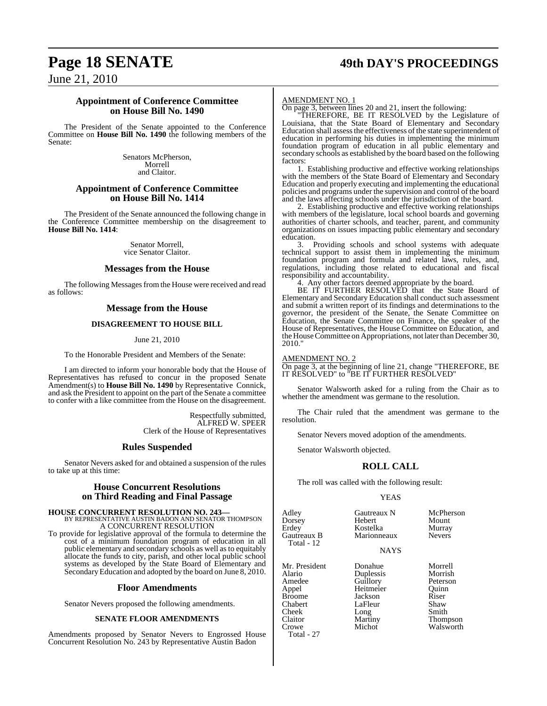# **Page 18 SENATE 49th DAY'S PROCEEDINGS**

June 21, 2010

#### **Appointment of Conference Committee on House Bill No. 1490**

The President of the Senate appointed to the Conference Committee on **House Bill No. 1490** the following members of the Senate:

> Senators McPherson, Morrell and Claitor.

#### **Appointment of Conference Committee on House Bill No. 1414**

The President of the Senate announced the following change in the Conference Committee membership on the disagreement to **House Bill No. 1414**:

> Senator Morrell, vice Senator Claitor.

#### **Messages from the House**

The following Messages from the House were received and read as follows:

#### **Message from the House**

#### **DISAGREEMENT TO HOUSE BILL**

June 21, 2010

To the Honorable President and Members of the Senate:

I am directed to inform your honorable body that the House of Representatives has refused to concur in the proposed Senate Amendment(s) to **House Bill No. 1490** by Representative Connick, and ask the President to appoint on the part of the Senate a committee to confer with a like committee from the House on the disagreement.

> Respectfully submitted, ALFRED W. SPEER Clerk of the House of Representatives

#### **Rules Suspended**

Senator Nevers asked for and obtained a suspension of the rules to take up at this time:

#### **House Concurrent Resolutions on Third Reading and Final Passage**

## **HOUSE CONCURRENT RESOLUTION NO. 243—** BY REPRESENTATIVE AUSTIN BADON AND SENATOR THOMPSON A CONCURRENT RESOLUTION

To provide for legislative approval of the formula to determine the cost of a minimum foundation program of education in all public elementary and secondary schools as well as to equitably allocate the funds to city, parish, and other local public school systems as developed by the State Board of Elementary and Secondary Education and adopted by the board on June 8, 2010.

#### **Floor Amendments**

Senator Nevers proposed the following amendments.

#### **SENATE FLOOR AMENDMENTS**

Amendments proposed by Senator Nevers to Engrossed House Concurrent Resolution No. 243 by Representative Austin Badon

#### AMENDMENT NO. 1

On page 3, between lines 20 and 21, insert the following:

"THEREFORE, BE IT RESOLVED by the Legislature of Louisiana, that the State Board of Elementary and Secondary Education shall assess the effectiveness of the state superintendent of education in performing his duties in implementing the minimum foundation program of education in all public elementary and secondary schools as established by the board based on the following factors:

1. Establishing productive and effective working relationships with the members of the State Board of Elementary and Secondary Education and properly executing and implementing the educational policies and programs under the supervision and control of the board and the laws affecting schools under the jurisdiction of the board.

2. Establishing productive and effective working relationships with members of the legislature, local school boards and governing authorities of charter schools, and teacher, parent, and community organizations on issues impacting public elementary and secondary education.

3. Providing schools and school systems with adequate technical support to assist them in implementing the minimum foundation program and formula and related laws, rules, and, regulations, including those related to educational and fiscal responsibility and accountability.

4. Any other factors deemed appropriate by the board.

BE IT FURTHER RESOLVED that the State Board of Elementary and Secondary Education shall conduct such assessment and submit a written report of its findings and determinations to the governor, the president of the Senate, the Senate Committee on Education, the Senate Committee on Finance, the speaker of the House of Representatives, the House Committee on Education, and the House Committee on Appropriations, not later than December 30, 2010."

#### AMENDMENT NO. 2

Total - 27

On page 3, at the beginning of line 21, change "THEREFORE, BE IT RESOLVED" to "BE IT FURTHER RESOLVED"

Senator Walsworth asked for a ruling from the Chair as to whether the amendment was germane to the resolution.

The Chair ruled that the amendment was germane to the resolution.

Senator Nevers moved adoption of the amendments.

Senator Walsworth objected.

#### **ROLL CALL**

The roll was called with the following result:

#### YEAS

| Adley<br>Dorsey<br>Erdey<br>Gautreaux B<br>Total - 12 | Gautreaux N<br>Hebert<br>Kostelka<br>Marionneaux<br><b>NAYS</b> | McPherson<br>Mount<br>Murray<br><b>Nevers</b> |
|-------------------------------------------------------|-----------------------------------------------------------------|-----------------------------------------------|
|                                                       |                                                                 |                                               |
| Mr. President                                         | Donahue                                                         | Morrell                                       |
| Alario                                                | Duplessis                                                       | Morrish                                       |
| Amedee                                                | Guillory                                                        | Peterson                                      |
| Appel                                                 | Heitmeier                                                       | Ouinn                                         |
| Broome                                                | Jackson                                                         | Riser                                         |
| Chabert                                               | LaFleur                                                         | Shaw                                          |
| Cheek                                                 | Long                                                            | Smith                                         |
| Claitor                                               | Martiny                                                         | <b>Thompson</b>                               |
| Crowe                                                 | Michot                                                          | Walsworth                                     |
|                                                       |                                                                 |                                               |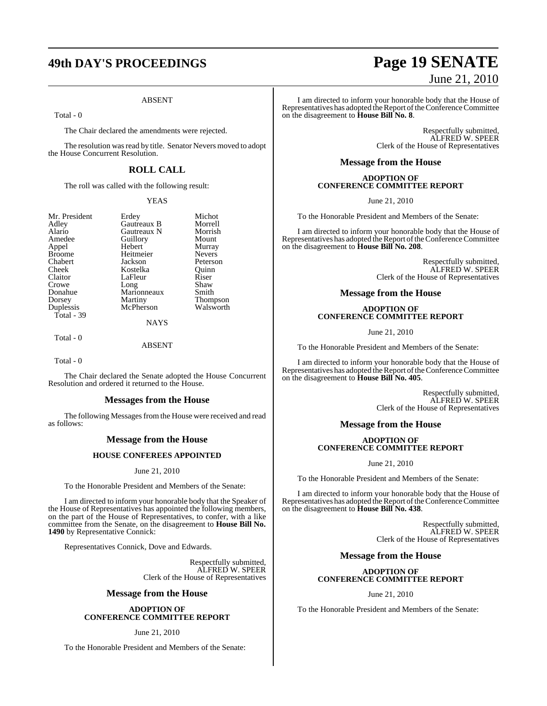# **49th DAY'S PROCEEDINGS Page 19 SENATE**

#### ABSENT

Total - 0

The Chair declared the amendments were rejected.

The resolution was read by title. Senator Nevers moved to adopt the House Concurrent Resolution.

### **ROLL CALL**

The roll was called with the following result:

#### YEAS

Erdey Michot<br>Gautreaux B Morrell

Peterson

Walsworth

| Mr. President |
|---------------|
| Adley         |
| Alario        |
| Amedee        |
| Appel         |
| <b>Broome</b> |
| Chabert       |
| Cheek         |
| Claitor       |
| Crowe         |
| Donahue       |
| Dorsey        |
| Duplessis     |
| Total - 39    |
|               |

Gautreaux B Morrell<br>
Gautreaux N Morrish Gautreaux N Morrish<br> **Alario Guillory** Mount Amedeuthory<br>
Hebert Murray Hebert Murray<br>
Heitmeier Nevers Heitmeier<br>Iackson Kostelka Quinn<br>LaFleur Riser LaFleur Riser<br>Long Shaw Long<br>
Marionneaux<br>
Smith Marionneaux<br>Martiny

Martiny Thompson<br>
McPherson Walsworth **NAYS** 

Total - 0

ABSENT

Total - 0

The Chair declared the Senate adopted the House Concurrent Resolution and ordered it returned to the House.

#### **Messages from the House**

The following Messages from the House were received and read as follows:

#### **Message from the House**

#### **HOUSE CONFEREES APPOINTED**

June 21, 2010

To the Honorable President and Members of the Senate:

I am directed to inform your honorable body that the Speaker of the House of Representatives has appointed the following members, on the part of the House of Representatives, to confer, with a like committee from the Senate, on the disagreement to **House Bill No. 1490** by Representative Connick:

Representatives Connick, Dove and Edwards.

Respectfully submitted, ALFRED W. SPEER Clerk of the House of Representatives

#### **Message from the House**

#### **ADOPTION OF CONFERENCE COMMITTEE REPORT**

June 21, 2010

To the Honorable President and Members of the Senate:

# June 21, 2010

I am directed to inform your honorable body that the House of Representatives has adopted the Report of the Conference Committee on the disagreement to **House Bill No. 8**.

> Respectfully submitted, ALFRED W. SPEER Clerk of the House of Representatives

#### **Message from the House**

#### **ADOPTION OF CONFERENCE COMMITTEE REPORT**

June 21, 2010

To the Honorable President and Members of the Senate:

I am directed to inform your honorable body that the House of Representatives has adopted the Report of the Conference Committee on the disagreement to **House Bill No. 208**.

> Respectfully submitted, ALFRED W. SPEER Clerk of the House of Representatives

#### **Message from the House**

#### **ADOPTION OF CONFERENCE COMMITTEE REPORT**

June 21, 2010

To the Honorable President and Members of the Senate:

I am directed to inform your honorable body that the House of Representatives has adopted the Report of the Conference Committee on the disagreement to **House Bill No. 405**.

> Respectfully submitted, ALFRED W. SPEER Clerk of the House of Representatives

#### **Message from the House**

#### **ADOPTION OF CONFERENCE COMMITTEE REPORT**

June 21, 2010

To the Honorable President and Members of the Senate:

I am directed to inform your honorable body that the House of Representatives has adopted the Report of the Conference Committee on the disagreement to **House Bill No. 438**.

> Respectfully submitted, ALFRED W. SPEER Clerk of the House of Representatives

#### **Message from the House**

#### **ADOPTION OF CONFERENCE COMMITTEE REPORT**

June 21, 2010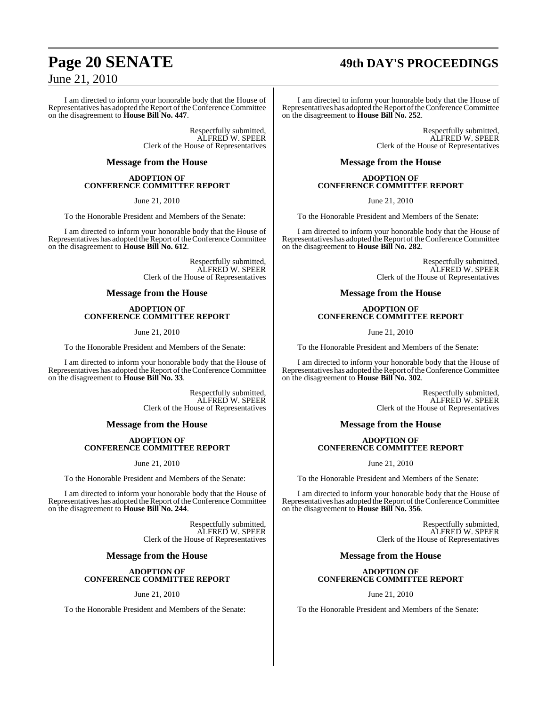# **Page 20 SENATE 49th DAY'S PROCEEDINGS**

## June 21, 2010

I am directed to inform your honorable body that the House of Representatives has adopted the Report of the Conference Committee on the disagreement to **House Bill No. 447**.

> Respectfully submitted, ALFRED W. SPEER Clerk of the House of Representatives

#### **Message from the House**

#### **ADOPTION OF CONFERENCE COMMITTEE REPORT**

June 21, 2010

To the Honorable President and Members of the Senate:

I am directed to inform your honorable body that the House of Representatives has adopted the Report of the Conference Committee on the disagreement to **House Bill No. 612**.

> Respectfully submitted, ALFRED W. SPEER Clerk of the House of Representatives

#### **Message from the House**

#### **ADOPTION OF CONFERENCE COMMITTEE REPORT**

June 21, 2010

To the Honorable President and Members of the Senate:

I am directed to inform your honorable body that the House of Representatives has adopted the Report of the Conference Committee on the disagreement to **House Bill No. 33**.

> Respectfully submitted, ALFRED W. SPEER Clerk of the House of Representatives

#### **Message from the House**

#### **ADOPTION OF CONFERENCE COMMITTEE REPORT**

#### June 21, 2010

To the Honorable President and Members of the Senate:

I am directed to inform your honorable body that the House of Representatives has adopted the Report of the Conference Committee on the disagreement to **House Bill No. 244**.

> Respectfully submitted, ALFRED W. SPEER Clerk of the House of Representatives

#### **Message from the House**

#### **ADOPTION OF CONFERENCE COMMITTEE REPORT**

June 21, 2010

To the Honorable President and Members of the Senate:

I am directed to inform your honorable body that the House of Representatives has adopted the Report of the Conference Committee on the disagreement to **House Bill No. 252**.

> Respectfully submitted, ALFRED W. SPEER Clerk of the House of Representatives

#### **Message from the House**

#### **ADOPTION OF CONFERENCE COMMITTEE REPORT**

June 21, 2010

To the Honorable President and Members of the Senate:

I am directed to inform your honorable body that the House of Representatives has adopted the Report of the Conference Committee on the disagreement to **House Bill No. 282**.

> Respectfully submitted, ALFRED W. SPEER Clerk of the House of Representatives

#### **Message from the House**

#### **ADOPTION OF CONFERENCE COMMITTEE REPORT**

June 21, 2010

To the Honorable President and Members of the Senate:

I am directed to inform your honorable body that the House of Representatives has adopted the Report of the Conference Committee on the disagreement to **House Bill No. 302**.

> Respectfully submitted, ALFRED W. SPEER Clerk of the House of Representatives

#### **Message from the House**

#### **ADOPTION OF CONFERENCE COMMITTEE REPORT**

June 21, 2010

To the Honorable President and Members of the Senate:

I am directed to inform your honorable body that the House of Representatives has adopted the Report of the Conference Committee on the disagreement to **House Bill No. 356**.

> Respectfully submitted, ALFRED W. SPEER Clerk of the House of Representatives

#### **Message from the House**

#### **ADOPTION OF CONFERENCE COMMITTEE REPORT**

June 21, 2010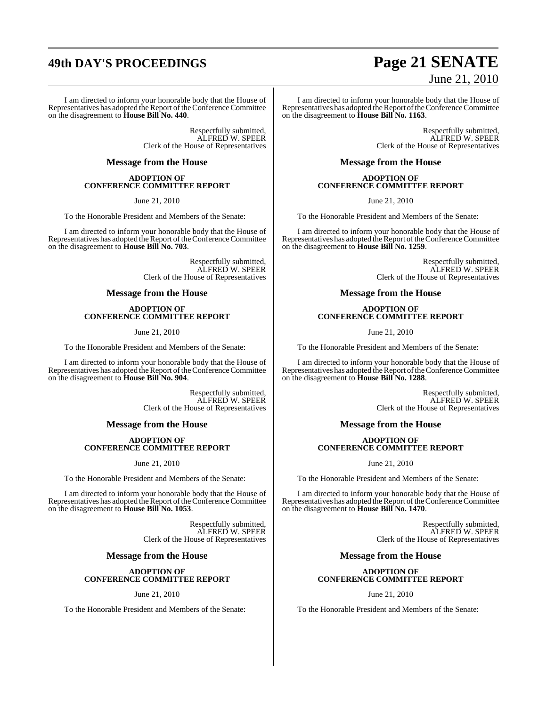# **49th DAY'S PROCEEDINGS Page 21 SENATE**

I am directed to inform your honorable body that the House of Representatives has adopted the Report of the Conference Committee on the disagreement to **House Bill No. 440**.

> Respectfully submitted, ALFRED W. SPEER Clerk of the House of Representatives

#### **Message from the House**

#### **ADOPTION OF CONFERENCE COMMITTEE REPORT**

June 21, 2010

To the Honorable President and Members of the Senate:

I am directed to inform your honorable body that the House of Representatives has adopted the Report of the Conference Committee on the disagreement to **House Bill No. 703**.

> Respectfully submitted, ALFRED W. SPEER Clerk of the House of Representatives

#### **Message from the House**

#### **ADOPTION OF CONFERENCE COMMITTEE REPORT**

June 21, 2010

To the Honorable President and Members of the Senate:

I am directed to inform your honorable body that the House of Representatives has adopted the Report of the Conference Committee on the disagreement to **House Bill No. 904**.

> Respectfully submitted, ALFRED W. SPEER Clerk of the House of Representatives

#### **Message from the House**

#### **ADOPTION OF CONFERENCE COMMITTEE REPORT**

#### June 21, 2010

To the Honorable President and Members of the Senate:

I am directed to inform your honorable body that the House of Representatives has adopted the Report of the Conference Committee on the disagreement to **House Bill No. 1053**.

> Respectfully submitted, ALFRED W. SPEER Clerk of the House of Representatives

#### **Message from the House**

#### **ADOPTION OF CONFERENCE COMMITTEE REPORT**

June 21, 2010

To the Honorable President and Members of the Senate:

# June 21, 2010

I am directed to inform your honorable body that the House of Representatives has adopted the Report of the Conference Committee on the disagreement to **House Bill No. 1163**.

> Respectfully submitted, ALFRED W. SPEER Clerk of the House of Representatives

#### **Message from the House**

#### **ADOPTION OF CONFERENCE COMMITTEE REPORT**

June 21, 2010

To the Honorable President and Members of the Senate:

I am directed to inform your honorable body that the House of Representatives has adopted the Report of the Conference Committee on the disagreement to **House Bill No. 1259**.

> Respectfully submitted, ALFRED W. SPEER Clerk of the House of Representatives

#### **Message from the House**

#### **ADOPTION OF CONFERENCE COMMITTEE REPORT**

June 21, 2010

To the Honorable President and Members of the Senate:

I am directed to inform your honorable body that the House of Representatives has adopted the Report of the Conference Committee on the disagreement to **House Bill No. 1288**.

> Respectfully submitted, ALFRED W. SPEER Clerk of the House of Representatives

#### **Message from the House**

#### **ADOPTION OF CONFERENCE COMMITTEE REPORT**

June 21, 2010

To the Honorable President and Members of the Senate:

I am directed to inform your honorable body that the House of Representatives has adopted the Report of the Conference Committee on the disagreement to **House Bill No. 1470**.

> Respectfully submitted, ALFRED W. SPEER Clerk of the House of Representatives

#### **Message from the House**

#### **ADOPTION OF CONFERENCE COMMITTEE REPORT**

June 21, 2010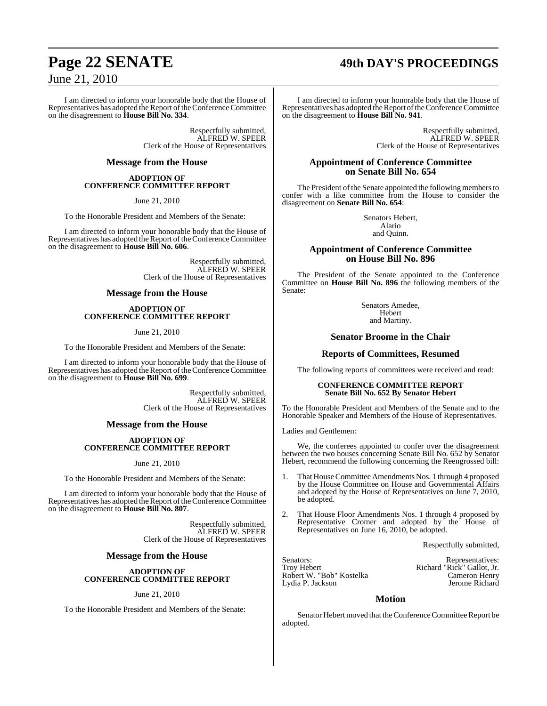# **Page 22 SENATE 49th DAY'S PROCEEDINGS**

## June 21, 2010

I am directed to inform your honorable body that the House of Representatives has adopted the Report of the Conference Committee on the disagreement to **House Bill No. 334**.

> Respectfully submitted, ALFRED W. SPEER Clerk of the House of Representatives

#### **Message from the House**

#### **ADOPTION OF CONFERENCE COMMITTEE REPORT**

June 21, 2010

To the Honorable President and Members of the Senate:

I am directed to inform your honorable body that the House of Representatives has adopted the Report of the Conference Committee on the disagreement to **House Bill No. 606**.

> Respectfully submitted, ALFRED W. SPEER Clerk of the House of Representatives

#### **Message from the House**

#### **ADOPTION OF CONFERENCE COMMITTEE REPORT**

June 21, 2010

To the Honorable President and Members of the Senate:

I am directed to inform your honorable body that the House of Representatives has adopted the Report of the Conference Committee on the disagreement to **House Bill No. 699**.

> Respectfully submitted, ALFRED W. SPEER Clerk of the House of Representatives

#### **Message from the House**

#### **ADOPTION OF CONFERENCE COMMITTEE REPORT**

#### June 21, 2010

To the Honorable President and Members of the Senate:

I am directed to inform your honorable body that the House of Representatives has adopted the Report of the Conference Committee on the disagreement to **House Bill No. 807**.

> Respectfully submitted, ALFRED W. SPEER Clerk of the House of Representatives

#### **Message from the House**

#### **ADOPTION OF CONFERENCE COMMITTEE REPORT**

#### June 21, 2010

To the Honorable President and Members of the Senate:

I am directed to inform your honorable body that the House of Representatives has adopted the Report of the Conference Committee on the disagreement to **House Bill No. 941**.

> Respectfully submitted, ALFRED W. SPEER Clerk of the House of Representatives

#### **Appointment of Conference Committee on Senate Bill No. 654**

The President of the Senate appointed the following members to confer with a like committee from the House to consider the disagreement on **Senate Bill No. 654**:

> Senators Hebert, Alario and Quinn.

#### **Appointment of Conference Committee on House Bill No. 896**

The President of the Senate appointed to the Conference Committee on **House Bill No. 896** the following members of the Senate:

> Senators Amedee, Hebert and Martiny.

#### **Senator Broome in the Chair**

#### **Reports of Committees, Resumed**

The following reports of committees were received and read:

#### **CONFERENCE COMMITTEE REPORT Senate Bill No. 652 By Senator Hebert**

To the Honorable President and Members of the Senate and to the Honorable Speaker and Members of the House of Representatives.

Ladies and Gentlemen:

We, the conferees appointed to confer over the disagreement between the two houses concerning Senate Bill No. 652 by Senator Hebert, recommend the following concerning the Reengrossed bill:

- 1. That House Committee Amendments Nos. 1 through 4 proposed by the House Committee on House and Governmental Affairs and adopted by the House of Representatives on June 7, 2010, be adopted.
- 2. That House Floor Amendments Nos. 1 through 4 proposed by Representative Cromer and adopted by the House of Representatives on June 16, 2010, be adopted.

Respectfully submitted,

Robert W. "Bob" Kostelka Cameron Henry Lydia P. Jackson

Senators: Representatives: Representatives: Representatives: Representatives: Troy Hebert Richard "Rick" Gallot, Jr.<br>Cameron Henry

#### **Motion**

Senator Hebert moved that the Conference Committee Report be adopted.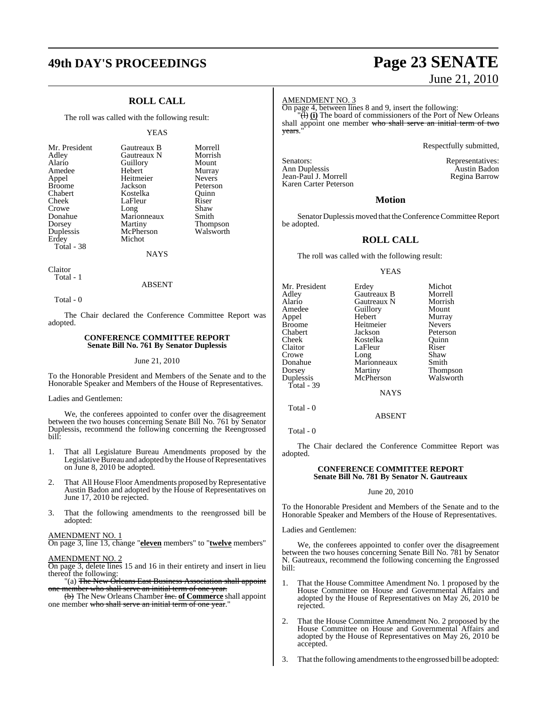## **49th DAY'S PROCEEDINGS Page 23 SENATE**

### **ROLL CALL**

The roll was called with the following result:

#### YEAS

Morrell Morrish Mount Murray Nevers Peterson<br>Ouinn

Shaw Smith **Thompson** Walsworth

| Mr. President<br>Adley<br>Alario<br>Amedee<br>Appel<br><b>Broome</b><br>Chabert<br>Cheek<br>Crowe<br>Donahue<br>Dorsey | Gautreaux B<br>Gautreaux N<br>Guillory<br>Hebert<br>Heitmeier<br>Jackson<br>Kostelka<br>LaFleur<br>Long<br>Marionneaux<br>Martiny | Morre<br>Morris<br>Moun<br>Murra<br>Never<br>Peters<br>Ouinn<br>Riser<br>Shaw<br>Smith |
|------------------------------------------------------------------------------------------------------------------------|-----------------------------------------------------------------------------------------------------------------------------------|----------------------------------------------------------------------------------------|
|                                                                                                                        |                                                                                                                                   | Thom                                                                                   |
| Duplessis                                                                                                              | McPherson                                                                                                                         | Walsw                                                                                  |
| Erdey                                                                                                                  | Michot                                                                                                                            |                                                                                        |
| Total - 38                                                                                                             |                                                                                                                                   |                                                                                        |

**NAYS** 

Claitor Total - 1

#### ABSENT

Total - 0

The Chair declared the Conference Committee Report was adopted.

#### **CONFERENCE COMMITTEE REPORT Senate Bill No. 761 By Senator Duplessis**

#### June 21, 2010

To the Honorable President and Members of the Senate and to the Honorable Speaker and Members of the House of Representatives.

Ladies and Gentlemen:

We, the conferees appointed to confer over the disagreement between the two houses concerning Senate Bill No. 761 by Senator Duplessis, recommend the following concerning the Reengrossed bill:

- 1. That all Legislature Bureau Amendments proposed by the Legislative Bureau and adopted by the House of Representatives on June 8, 2010 be adopted.
- 2. That All House Floor Amendments proposed by Representative Austin Badon and adopted by the House of Representatives on June 17, 2010 be rejected.
- 3. That the following amendments to the reengrossed bill be adopted:

#### AMENDMENT NO. 1

On page 3, line 13, change "**eleven** members" to "**twelve** members"

#### AMENDMENT NO. 2

On page 3, delete lines 15 and 16 in their entirety and insert in lieu thereof the following:

"(a) The New Orleans East Business Association shall appoint one member who shall serve an initial term of one year.

(b) The New Orleans Chamber Inc. **of Commerce** shall appoint one member who shall serve an initial term of one year."

# June 21, 2010

#### AMENDMENT NO. 3

On page 4, between lines 8 and 9, insert the following:

 $\langle \overrightarrow{H} \rangle$  (i) The board of commissioners of the Port of New Orleans shall appoint one member who shall serve an initial term of two years."

Respectfully submitted,

Senators: Representatives: Representatives: Ann Duplessis and Representatives: Austin Badon Ann Duplessis<br>1991 - Jean-Paul J. Morrell<br>1991 - Regina Barrow Jean-Paul J. Morrell Karen Carter Peterson

#### **Motion**

Senator Duplessis moved that the Conference Committee Report be adopted.

#### **ROLL CALL**

The roll was called with the following result:

#### **YEAS**

| Mr. President | Erdey       | Michot        |
|---------------|-------------|---------------|
| Adley         | Gautreaux B | Morrell       |
| Alario        | Gautreaux N | Morrish       |
| Amedee        | Guillory    | Mount         |
| Appel         | Hebert      | Murray        |
| <b>Broome</b> | Heitmeier   | <b>Nevers</b> |
| Chabert       | Jackson     | Peterson      |
| Cheek         | Kostelka    | Ouinn         |
| Claitor       | LaFleur     | Riser         |
| Crowe         | Long        | Shaw          |
| Donahue       | Marionneaux | Smith         |
| Dorsey        | Martiny     | Thompson      |
| Duplessis     | McPherson   | Walsworth     |
| Total - 39    |             |               |

**NAYS** 

ABSENT

Total - 0

Total - 0

The Chair declared the Conference Committee Report was adopted.

#### **CONFERENCE COMMITTEE REPORT Senate Bill No. 781 By Senator N. Gautreaux**

#### June 20, 2010

To the Honorable President and Members of the Senate and to the Honorable Speaker and Members of the House of Representatives.

Ladies and Gentlemen:

We, the conferees appointed to confer over the disagreement between the two houses concerning Senate Bill No. 781 by Senator N. Gautreaux, recommend the following concerning the Engrossed bill:

- 1. That the House Committee Amendment No. 1 proposed by the House Committee on House and Governmental Affairs and adopted by the House of Representatives on May 26, 2010 be rejected.
- 2. That the House Committee Amendment No. 2 proposed by the House Committee on House and Governmental Affairs and adopted by the House of Representatives on May 26, 2010 be accepted.

3. That the following amendments to the engrossed bill be adopted: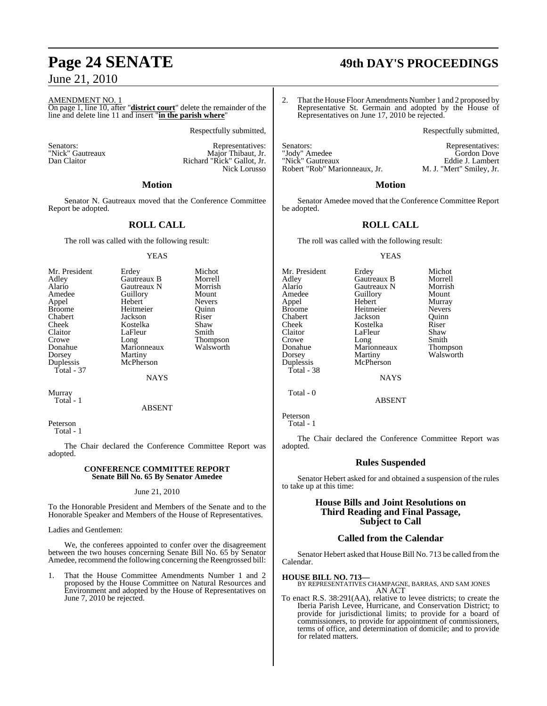#### AMENDMENT NO. 1

On page 1, line 10, after "**district court**" delete the remainder of the line and delete line 11 and insert "**in the parish where**"

Respectfully submitted,

Senators: Representatives: Representatives: Representatives: Representatives: Representatives:  $\overline{R}$ "Nick" Gautreaux Major Thibaut, Jr. Richard "Rick" Gallot, Jr. Nick Lorusso

#### **Motion**

Senator N. Gautreaux moved that the Conference Committee Report be adopted.

#### **ROLL CALL**

The roll was called with the following result:

#### YEAS

| Mr. President | Erdey       | Michot        |
|---------------|-------------|---------------|
| Adley         | Gautreaux B | Morrell       |
| Alario        | Gautreaux N | Morrish       |
| Amedee        | Guillory    | Mount         |
| Appel         | Hebert      | <b>Nevers</b> |
| <b>Broome</b> | Heitmeier   | Ouinn         |
| Chabert       | Jackson     | Riser         |
| Cheek         | Kostelka    | Shaw          |
| Claitor       | LaFleur     | Smith         |
| Crowe         | Long        | Thompson      |
| Donahue       | Marionneaux | Walsworth     |
| Dorsey        | Martiny     |               |
| Duplessis     | McPherson   |               |
| Total - 37    |             |               |

Murray Total - 1

#### ABSENT

NAYS

Peterson Total - 1

The Chair declared the Conference Committee Report was adopted.

#### **CONFERENCE COMMITTEE REPORT Senate Bill No. 65 By Senator Amedee**

#### June 21, 2010

To the Honorable President and Members of the Senate and to the Honorable Speaker and Members of the House of Representatives.

Ladies and Gentlemen:

We, the conferees appointed to confer over the disagreement between the two houses concerning Senate Bill No. 65 by Senator Amedee, recommend the following concerning the Reengrossed bill:

1. That the House Committee Amendments Number 1 and 2 proposed by the House Committee on Natural Resources and Environment and adopted by the House of Representatives on June 7, 2010 be rejected.

# **Page 24 SENATE 49th DAY'S PROCEEDINGS**

2. That the House Floor Amendments Number 1 and 2 proposed by Representative St. Germain and adopted by the House of Representatives on June 17, 2010 be rejected.

Respectfully submitted,

Senators: Representatives:<br>
"Iody" Amedee Senators: Cordon Dove "Jody" Amedee Gordon Dove "Nick" Gautreaux Eddie J. Lambert<br>
"Nick" Gautreaux Eddie J. Lambert<br>
Robert "Rob" Marionneaux, Jr. M. J. "Mert" Smiley, Jr. Robert "Rob" Marionneaux, Jr.

#### **Motion**

Senator Amedee moved that the Conference Committee Report be adopted.

#### **ROLL CALL**

The roll was called with the following result:

#### YEAS

Mr. President Erdey Michot Adley Gautreaux B Morrell Alario Gautreaux N Morrish Appel Hebert Murray Broome Heitmeier Nevers<br>
Chabert Jackson Quinn Chabert Jackson Quinn Cheek Kostelka Riser Crowe Long Smith<br>Donahue Marionneaux Thompson Donahue Marionneaux<br>Dorsey Martiny Duplessis McPherson Total - 38

Guillory<br>Hebert LaFleur

Walsworth

NAYS

ABSENT

Total - 0

Peterson Total - 1

The Chair declared the Conference Committee Report was adopted.

#### **Rules Suspended**

Senator Hebert asked for and obtained a suspension of the rules to take up at this time:

#### **House Bills and Joint Resolutions on Third Reading and Final Passage, Subject to Call**

#### **Called from the Calendar**

Senator Hebert asked that House Bill No. 713 be called fromthe Calendar.

**HOUSE BILL NO. 713—** BY REPRESENTATIVES CHAMPAGNE, BARRAS, AND SAM JONES AN ACT

To enact R.S. 38:291(AA), relative to levee districts; to create the Iberia Parish Levee, Hurricane, and Conservation District; to provide for jurisdictional limits; to provide for a board of commissioners, to provide for appointment of commissioners, terms of office, and determination of domicile; and to provide for related matters.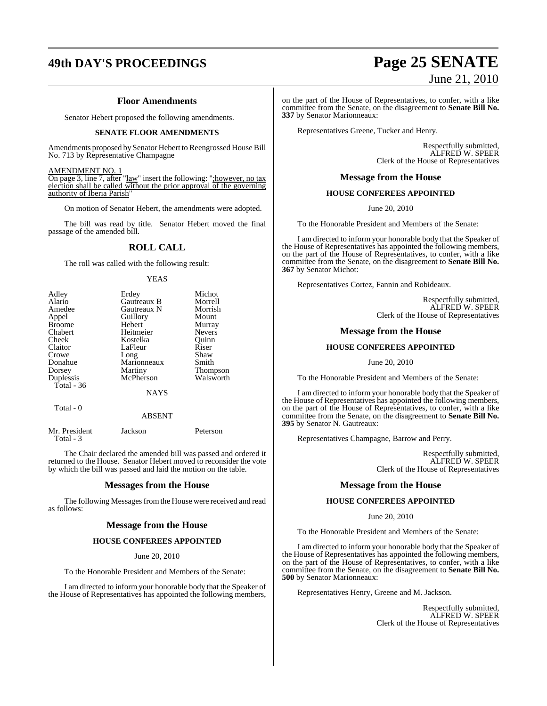# **49th DAY'S PROCEEDINGS Page 25 SENATE**

#### **Floor Amendments**

Senator Hebert proposed the following amendments.

#### **SENATE FLOOR AMENDMENTS**

Amendments proposed by Senator Hebert to Reengrossed House Bill No. 713 by Representative Champagne

#### AMENDMENT NO. 1

On page 3, line 7, after "<u>law</u>" insert the following: "; however, no tax election shall be called without the prior approval of the governing authority of Iberia Parish'

On motion of Senator Hebert, the amendments were adopted.

The bill was read by title. Senator Hebert moved the final passage of the amended bill.

#### **ROLL CALL**

The roll was called with the following result:

YEAS

| Adley         | Erdey       | Michot        |
|---------------|-------------|---------------|
| Alario        | Gautreaux B | Morrell       |
| Amedee        | Gautreaux N | Morrish       |
| Appel         | Guillory    | Mount         |
| <b>Broome</b> | Hebert      | Murray        |
| Chabert       | Heitmeier   | <b>Nevers</b> |
| Cheek         | Kostelka    | Ouinn         |
| Claitor       | LaFleur     | Riser         |
| Crowe         | Long        | Shaw          |
| Donahue       | Marionneaux | Smith         |
| Dorsey        | Martiny     | Thompson      |
| Duplessis     | McPherson   | Walsworth     |
| Total - 36    |             |               |
|               | <b>NAYS</b> |               |
| Total - 0     |             |               |

#### ABSENT

| Mr. President<br>Total - 3 | Jackson | Peterson |
|----------------------------|---------|----------|
|                            |         |          |

The Chair declared the amended bill was passed and ordered it returned to the House. Senator Hebert moved to reconsider the vote by which the bill was passed and laid the motion on the table.

#### **Messages from the House**

The following Messages from the House were received and read as follows:

#### **Message from the House**

#### **HOUSE CONFEREES APPOINTED**

June 20, 2010

To the Honorable President and Members of the Senate:

I am directed to inform your honorable body that the Speaker of the House of Representatives has appointed the following members,

# June 21, 2010

on the part of the House of Representatives, to confer, with a like committee from the Senate, on the disagreement to **Senate Bill No. 337** by Senator Marionneaux:

Representatives Greene, Tucker and Henry.

Respectfully submitted, ALFRED W. SPEER Clerk of the House of Representatives

#### **Message from the House**

#### **HOUSE CONFEREES APPOINTED**

June 20, 2010

To the Honorable President and Members of the Senate:

I am directed to inform your honorable body that the Speaker of the House of Representatives has appointed the following members, on the part of the House of Representatives, to confer, with a like committee from the Senate, on the disagreement to **Senate Bill No. 367** by Senator Michot:

Representatives Cortez, Fannin and Robideaux.

Respectfully submitted, ALFRED W. SPEER Clerk of the House of Representatives

#### **Message from the House**

#### **HOUSE CONFEREES APPOINTED**

June 20, 2010

To the Honorable President and Members of the Senate:

I am directed to inform your honorable body that the Speaker of the House of Representatives has appointed the following members, on the part of the House of Representatives, to confer, with a like committee from the Senate, on the disagreement to **Senate Bill No. 395** by Senator N. Gautreaux:

Representatives Champagne, Barrow and Perry.

Respectfully submitted, ALFRED W. SPEER Clerk of the House of Representatives

#### **Message from the House**

#### **HOUSE CONFEREES APPOINTED**

June 20, 2010

To the Honorable President and Members of the Senate:

I am directed to inform your honorable body that the Speaker of the House of Representatives has appointed the following members, on the part of the House of Representatives, to confer, with a like committee from the Senate, on the disagreement to **Senate Bill No. 500** by Senator Marionneaux:

Representatives Henry, Greene and M. Jackson.

Respectfully submitted, ALFRED W. SPEER Clerk of the House of Representatives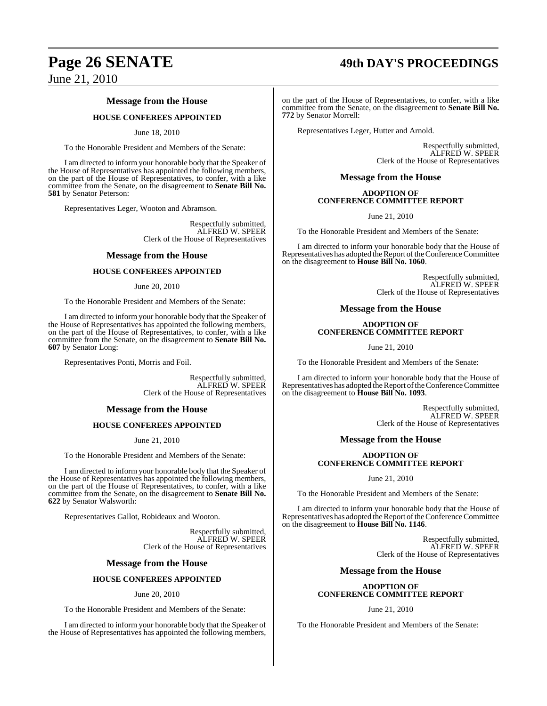# **Page 26 SENATE 49th DAY'S PROCEEDINGS**

June 21, 2010

#### **Message from the House**

#### **HOUSE CONFEREES APPOINTED**

#### June 18, 2010

To the Honorable President and Members of the Senate:

I am directed to inform your honorable body that the Speaker of the House of Representatives has appointed the following members, on the part of the House of Representatives, to confer, with a like committee from the Senate, on the disagreement to **Senate Bill No. 581** by Senator Peterson:

Representatives Leger, Wooton and Abramson.

Respectfully submitted, ALFRED W. SPEER Clerk of the House of Representatives

#### **Message from the House**

#### **HOUSE CONFEREES APPOINTED**

#### June 20, 2010

To the Honorable President and Members of the Senate:

I am directed to inform your honorable body that the Speaker of the House of Representatives has appointed the following members, on the part of the House of Representatives, to confer, with a like committee from the Senate, on the disagreement to **Senate Bill No. 607** by Senator Long:

Representatives Ponti, Morris and Foil.

Respectfully submitted, ALFRED W. SPEER Clerk of the House of Representatives

#### **Message from the House**

#### **HOUSE CONFEREES APPOINTED**

June 21, 2010

To the Honorable President and Members of the Senate:

I am directed to inform your honorable body that the Speaker of the House of Representatives has appointed the following members, on the part of the House of Representatives, to confer, with a like committee from the Senate, on the disagreement to **Senate Bill No. 622** by Senator Walsworth:

Representatives Gallot, Robideaux and Wooton.

Respectfully submitted, ALFRED W. SPEER Clerk of the House of Representatives

#### **Message from the House**

#### **HOUSE CONFEREES APPOINTED**

#### June 20, 2010

To the Honorable President and Members of the Senate:

I am directed to inform your honorable body that the Speaker of the House of Representatives has appointed the following members,

on the part of the House of Representatives, to confer, with a like committee from the Senate, on the disagreement to **Senate Bill No. 772** by Senator Morrell:

Representatives Leger, Hutter and Arnold.

Respectfully submitted, ALFRED W. SPEER Clerk of the House of Representatives

#### **Message from the House**

#### **ADOPTION OF CONFERENCE COMMITTEE REPORT**

June 21, 2010

To the Honorable President and Members of the Senate:

I am directed to inform your honorable body that the House of Representatives has adopted the Report of the Conference Committee on the disagreement to **House Bill No. 1060**.

> Respectfully submitted, ALFRED W. SPEER Clerk of the House of Representatives

**Message from the House**

#### **ADOPTION OF CONFERENCE COMMITTEE REPORT**

June 21, 2010

To the Honorable President and Members of the Senate:

I am directed to inform your honorable body that the House of Representatives has adopted the Report of the Conference Committee on the disagreement to **House Bill No. 1093**.

> Respectfully submitted, ALFRED W. SPEER Clerk of the House of Representatives

#### **Message from the House**

#### **ADOPTION OF CONFERENCE COMMITTEE REPORT**

June 21, 2010

To the Honorable President and Members of the Senate:

I am directed to inform your honorable body that the House of Representatives has adopted the Report of the Conference Committee on the disagreement to **House Bill No. 1146**.

> Respectfully submitted, ALFRED W. SPEER Clerk of the House of Representatives

#### **Message from the House**

#### **ADOPTION OF CONFERENCE COMMITTEE REPORT**

June 21, 2010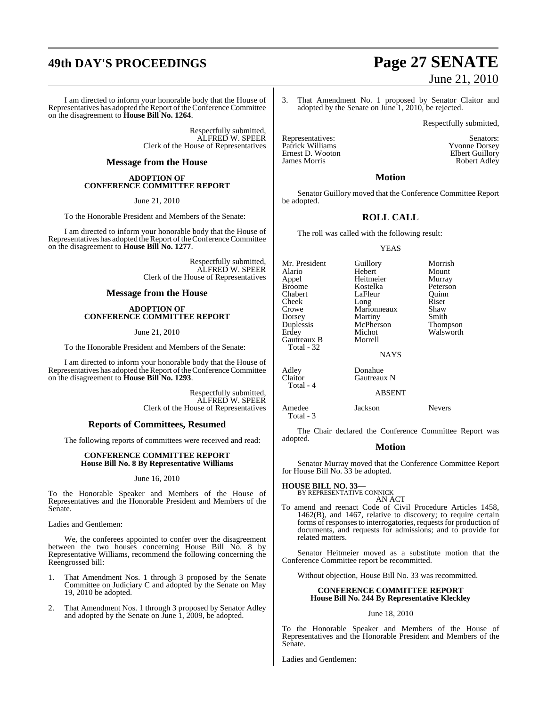# **49th DAY'S PROCEEDINGS Page 27 SENATE**

I am directed to inform your honorable body that the House of Representatives has adopted the Report of the Conference Committee on the disagreement to **House Bill No. 1264**.

> Respectfully submitted, ALFRED W. SPEER Clerk of the House of Representatives

#### **Message from the House**

#### **ADOPTION OF CONFERENCE COMMITTEE REPORT**

June 21, 2010

To the Honorable President and Members of the Senate:

I am directed to inform your honorable body that the House of Representatives has adopted the Report of the Conference Committee on the disagreement to **House Bill No. 1277**.

> Respectfully submitted, ALFRED W. SPEER Clerk of the House of Representatives

#### **Message from the House**

#### **ADOPTION OF CONFERENCE COMMITTEE REPORT**

June 21, 2010

To the Honorable President and Members of the Senate:

I am directed to inform your honorable body that the House of Representatives has adopted the Report of the Conference Committee on the disagreement to **House Bill No. 1293**.

> Respectfully submitted, ALFRED W. SPEER Clerk of the House of Representatives

### **Reports of Committees, Resumed**

The following reports of committees were received and read:

#### **CONFERENCE COMMITTEE REPORT House Bill No. 8 By Representative Williams**

#### June 16, 2010

To the Honorable Speaker and Members of the House of Representatives and the Honorable President and Members of the Senate.

Ladies and Gentlemen:

We, the conferees appointed to confer over the disagreement between the two houses concerning House Bill No. 8 by Representative Williams, recommend the following concerning the Reengrossed bill:

- 1. That Amendment Nos. 1 through 3 proposed by the Senate Committee on Judiciary C and adopted by the Senate on May 19, 2010 be adopted.
- 2. That Amendment Nos. 1 through 3 proposed by Senator Adley and adopted by the Senate on June 1, 2009, be adopted.

# June 21, 2010

3. That Amendment No. 1 proposed by Senator Claitor and adopted by the Senate on June 1, 2010, be rejected.

Respectfully submitted,

Representatives: Senators: Patrick Williams Yvonne Dorsey Ernest D. Wooton

James Morris Robert Adley

#### **Motion**

Senator Guillory moved that the Conference Committee Report be adopted.

#### **ROLL CALL**

The roll was called with the following result:

#### YEAS

Mr. President Guillory Morrish<br>Alario Hebert Mount Hebert Appel Heitmeier Murray Broome Kostelka Peterson Chabert LaFleur Quinn<br>Cheek Long Riser Cheek Long Riser<br>Crowe Marionneaux Shaw Crowe Marionneaux Shaw<br>Dorsey Martiny Smith Dorsey Martiny Smith<br>
Duplessis McPherson Thompson Duplessis McPherson<br>
Erdey Michot Walsworth Gautreaux B Morrell Total - 32 **NAYS** Adley Donahue<br>Claitor Gautreau

Gautreaux N

#### ABSENT

Amedee Jackson Nevers Total - 3

The Chair declared the Conference Committee Report was adopted.

#### **Motion**

Senator Murray moved that the Conference Committee Report for House Bill No. 33 be adopted.

**HOUSE BILL NO. 33—**

Total - 4

BY REPRESENTATIVE CONNICK AN ACT

To amend and reenact Code of Civil Procedure Articles 1458, 1462(B), and 1467, relative to discovery; to require certain forms of responses to interrogatories, requests for production of documents, and requests for admissions; and to provide for related matters.

Senator Heitmeier moved as a substitute motion that the Conference Committee report be recommitted.

Without objection, House Bill No. 33 was recommitted.

#### **CONFERENCE COMMITTEE REPORT House Bill No. 244 By Representative Kleckley**

#### June 18, 2010

To the Honorable Speaker and Members of the House of Representatives and the Honorable President and Members of the Senate.

Ladies and Gentlemen: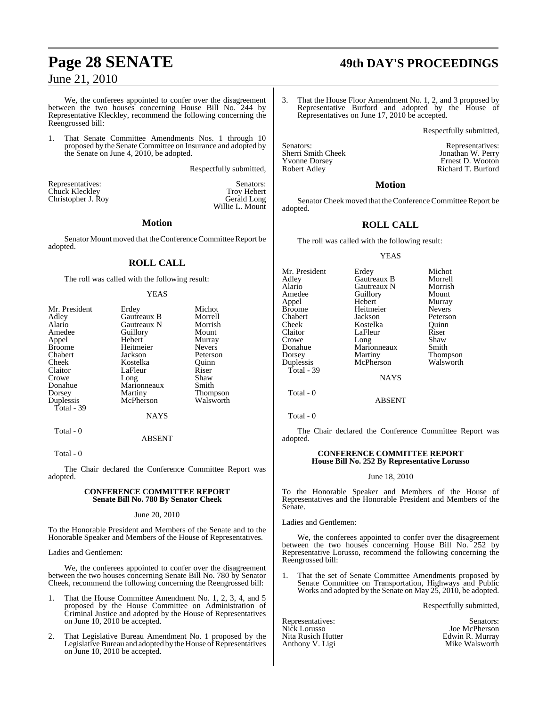We, the conferees appointed to confer over the disagreement between the two houses concerning House Bill No. 244 by Representative Kleckley, recommend the following concerning the Reengrossed bill:

That Senate Committee Amendments Nos. 1 through 10 proposed by the Senate Committee on Insurance and adopted by the Senate on June 4, 2010, be adopted.

Respectfully submitted,

Willie L. Mount

Representatives: Senators: Senators: Senators: Senators: Senators: Senators: Senators: Senators: Senators: Senators: Senators: Senators: Senators: Senators: Senators: Senators: Senators: Senators: Senators: Senators: Senat Chuck Kleckley Troy Hebert<br>
Christopher J. Roy Gerald Long Christopher J. Roy

#### **Motion**

Senator Mount moved that the Conference Committee Report be adopted.

#### **ROLL CALL**

The roll was called with the following result:

#### YEAS

| Erdey       | Michot          |
|-------------|-----------------|
| Gautreaux B | Morrell         |
| Gautreaux N | Morrish         |
| Guillory    | Mount           |
| Hebert      | Murray          |
| Heitmeier   | <b>Nevers</b>   |
| Jackson     | Peterson        |
| Kostelka    | Ouinn           |
| LaFleur     | Riser           |
|             | Shaw            |
| Marionneaux | Smith           |
| Martiny     | <b>Thompson</b> |
| McPherson   | Walsworth       |
|             |                 |
| <b>NAYS</b> |                 |
|             | Long            |

#### Total - 0 ABSENT

Total - 0

The Chair declared the Conference Committee Report was adopted.

#### **CONFERENCE COMMITTEE REPORT Senate Bill No. 780 By Senator Cheek**

#### June 20, 2010

To the Honorable President and Members of the Senate and to the Honorable Speaker and Members of the House of Representatives.

Ladies and Gentlemen:

We, the conferees appointed to confer over the disagreement between the two houses concerning Senate Bill No. 780 by Senator Cheek, recommend the following concerning the Reengrossed bill:

- 1. That the House Committee Amendment No. 1, 2, 3, 4, and 5 proposed by the House Committee on Administration of Criminal Justice and adopted by the House of Representatives on June 10, 2010 be accepted.
- 2. That Legislative Bureau Amendment No. 1 proposed by the Legislative Bureau and adopted by the House of Representatives on June 10, 2010 be accepted.

# **Page 28 SENATE 49th DAY'S PROCEEDINGS**

3. That the House Floor Amendment No. 1, 2, and 3 proposed by Representative Burford and adopted by the House of Representatives on June 17, 2010 be accepted.

Respectfully submitted,

Yvonne Dorsey Ernest D. Wooton

Senators: Representatives:<br>
Sherri Smith Cheek Monathan W. Perry Jonathan W. Perry Richard T. Burford

#### **Motion**

Senator Cheek moved that the Conference Committee Report be adopted.

#### **ROLL CALL**

The roll was called with the following result:

#### YEAS

| Erdey       | Michot                 |
|-------------|------------------------|
|             | Morrell                |
| Gautreaux N | Morrish                |
| Guillory    | Mount                  |
| Hebert      | Murray                 |
| Heitmeier   | <b>Nevers</b>          |
| Jackson     | Peterson               |
| Kostelka    | Ouinn                  |
| LaFleur     | Riser                  |
| Long        | Shaw                   |
| Marionneaux | Smith                  |
|             | Thompson               |
| McPherson   | Walsworth              |
|             |                        |
|             | Gautreaux B<br>Martiny |

NAYS

ABSENT

Total - 0

Total - 0

The Chair declared the Conference Committee Report was adopted.

#### **CONFERENCE COMMITTEE REPORT House Bill No. 252 By Representative Lorusso**

#### June 18, 2010

To the Honorable Speaker and Members of the House of Representatives and the Honorable President and Members of the Senate.

Ladies and Gentlemen:

We, the conferees appointed to confer over the disagreement between the two houses concerning House Bill No. 252 by Representative Lorusso, recommend the following concerning the Reengrossed bill:

1. That the set of Senate Committee Amendments proposed by Senate Committee on Transportation, Highways and Public Works and adopted by the Senate on May 25, 2010, be adopted.

Respectfully submitted,

Representatives: Senators:<br>Nick Lorusso Senators: Senators: Senators: Senators: Senators: Senators: Senators: Senators: Senators: Senator Nita Rusich Hutter **Edwin R. Murray**<br>
Anthony V. Ligi **Edwin R. Murray** Anthony V. Ligi

Joe McPherson<br>Edwin R. Murray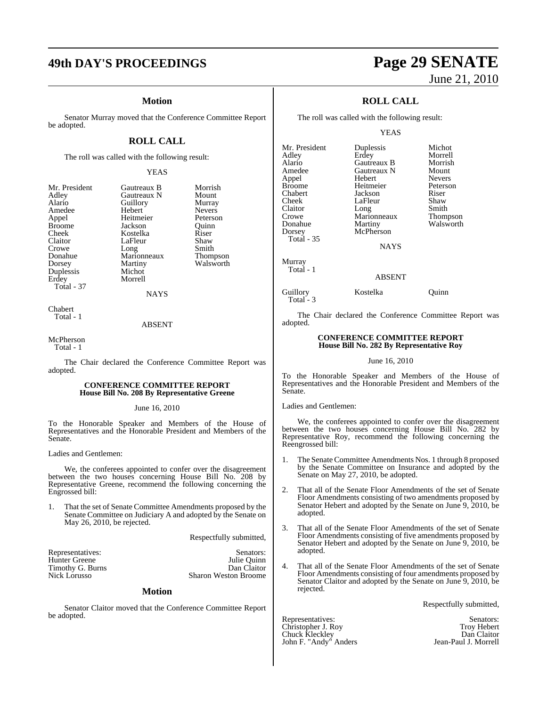# **49th DAY'S PROCEEDINGS Page 29 SENATE**

#### **Motion**

Senator Murray moved that the Conference Committee Report be adopted.

### **ROLL CALL**

The roll was called with the following result:

#### YEAS

| Mr. President | Gautreaux B | Morrish         |
|---------------|-------------|-----------------|
| Adley         | Gautreaux N | Mount           |
| Alario        | Guillory    | Murray          |
| Amedee        | Hebert      | <b>Nevers</b>   |
| Appel         | Heitmeier   | Peterson        |
| <b>Broome</b> | Jackson     | Ouinn           |
| Cheek         | Kostelka    | Riser           |
| Claitor       | LaFleur     | Shaw            |
| Crowe         | Long        | Smith           |
| Donahue       | Marionneaux | <b>Thompson</b> |
| Dorsey        | Martiny     | Walsworth       |
| Duplessis     | Michot      |                 |
| Erdey         | Morrell     |                 |
| Total - 37    |             |                 |
|               | <b>NAYS</b> |                 |
|               |             |                 |

Chabert Total - 1

ABSENT

McPherson Total - 1

The Chair declared the Conference Committee Report was adopted.

#### **CONFERENCE COMMITTEE REPORT House Bill No. 208 By Representative Greene**

#### June 16, 2010

To the Honorable Speaker and Members of the House of Representatives and the Honorable President and Members of the Senate.

#### Ladies and Gentlemen:

We, the conferees appointed to confer over the disagreement between the two houses concerning House Bill No. 208 by Representative Greene, recommend the following concerning the Engrossed bill:

1. That the set of Senate Committee Amendments proposed by the Senate Committee on Judiciary A and adopted by the Senate on May 26, 2010, be rejected.

Respectfully submitted,

| Representatives: | Senators:                   |
|------------------|-----------------------------|
| Hunter Greene    | Julie Ouinn                 |
| Timothy G. Burns | Dan Claitor                 |
| Nick Lorusso     | <b>Sharon Weston Broome</b> |
|                  |                             |

#### **Motion**

Senator Claitor moved that the Conference Committee Report be adopted.

# June 21, 2010

### **ROLL CALL**

The roll was called with the following result:

YEAS

| Mr. President     | Duplessis   | Michot          |
|-------------------|-------------|-----------------|
| Adley             | Erdey       | Morrell         |
| Alario            | Gautreaux B | Morrish         |
| Amedee            | Gautreaux N | Mount           |
| Appel             | Hebert      | <b>Nevers</b>   |
| <b>Broome</b>     | Heitmeier   | Peterson        |
| Chabert           | Jackson     | Riser           |
| Cheek             | LaFleur     | Shaw            |
| Claitor           | Long        | Smith           |
| Crowe             | Marionneaux | <b>Thompson</b> |
| Donahue           | Martiny     | Walsworth       |
| Dorsey            | McPherson   |                 |
| <b>Total - 35</b> |             |                 |
|                   |             |                 |

NAYS

Murray Total - 1

Total - 3

ABSENT

Guillory Kostelka Quinn

The Chair declared the Conference Committee Report was adopted.

#### **CONFERENCE COMMITTEE REPORT House Bill No. 282 By Representative Roy**

#### June 16, 2010

To the Honorable Speaker and Members of the House of Representatives and the Honorable President and Members of the Senate.

Ladies and Gentlemen:

We, the conferees appointed to confer over the disagreement between the two houses concerning House Bill No. 282 by Representative Roy, recommend the following concerning the Reengrossed bill:

- 1. The Senate Committee Amendments Nos. 1 through 8 proposed by the Senate Committee on Insurance and adopted by the Senate on May 27, 2010, be adopted.
- 2. That all of the Senate Floor Amendments of the set of Senate Floor Amendments consisting of two amendments proposed by Senator Hebert and adopted by the Senate on June 9, 2010, be adopted.
- 3. That all of the Senate Floor Amendments of the set of Senate Floor Amendments consisting of five amendments proposed by Senator Hebert and adopted by the Senate on June 9, 2010, be adopted.
- 4. That all of the Senate Floor Amendments of the set of Senate Floor Amendments consisting of four amendments proposed by Senator Claitor and adopted by the Senate on June 9, 2010, be rejected.

Respectfully submitted,

Representatives: Senators: Senators: Senators: Senators: Senators: Senators: Senators: Senators: Senators: Senators: Senators: Senators: Senators: Senators: Senators: Senators: Senators: Senators: Senators: Senators: Senat Christopher J. Roy Troy Hebert Chuck Kleckley Dan Claitor

John F. "Andy" Anders Jean-Paul J. Morrell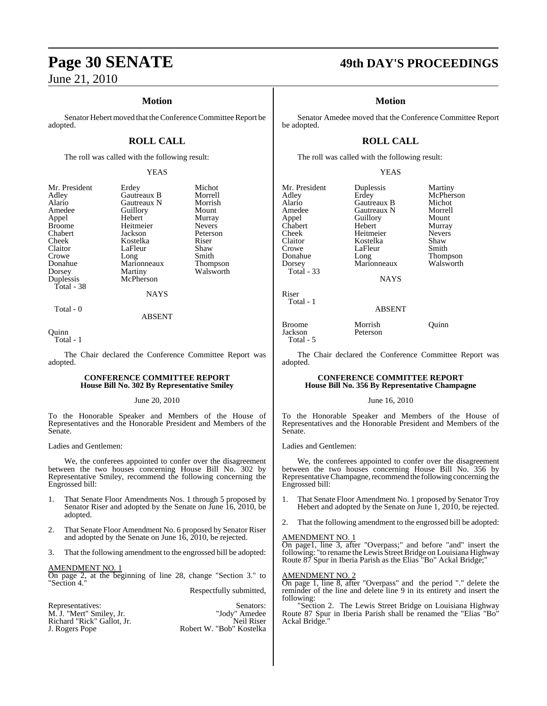### **Motion**

Senator Hebert moved that the Conference Committee Report be adopted.

### **ROLL CALL**

The roll was called with the following result:

#### YEAS

Peterson<br>Riser

| Mr. President | Erdey       | Michot   |
|---------------|-------------|----------|
| Adley         | Gautreaux B | Morrell  |
| Alario        | Gautreaux N | Morrish  |
| Amedee        | Guillory    | Mount    |
| Appel         | Hebert      | Murray   |
| <b>Broome</b> | Heitmeier   | Nevers   |
| Chabert       | Jackson     | Peterson |
| Cheek         | Kostelka    | Riser    |
| Claitor       | LaFleur     | Shaw     |
| Crowe         | Long        | Smith    |
| Donahue       | Marionneaux | Thomps   |
| Dorsey        | Martiny     | Walswo   |
| Duplessis     | McPherson   |          |
| Total - 38    |             |          |
|               |             |          |

Gautreaux B Morrell<br>
Gautreaux N Morrish Gautreaux N Morrish<br>
Guillory Mount Amedeuthory<br>
Hebert Murray Hebert Murray<br>
Heitmeier Nevers Heitmeier<br>Jackson Kostelka Riser<br>LaFleur Shaw LaFleur Shaw<br>Long Smith Long Smith<br>Marionneaux Thompson Marionneaux Thompson<br>Martiny Walsworth **Martiny McPherson NAYS** 

#### ABSENT

#### **Ouinn**

Total - 1

Total - 0

The Chair declared the Conference Committee Report was adopted.

#### **CONFERENCE COMMITTEE REPORT House Bill No. 302 By Representative Smiley**

#### June 20, 2010

To the Honorable Speaker and Members of the House of Representatives and the Honorable President and Members of the Senate.

Ladies and Gentlemen:

We, the conferees appointed to confer over the disagreement between the two houses concerning House Bill No. 302 by Representative Smiley, recommend the following concerning the Engrossed bill:

- 1. That Senate Floor Amendments Nos. 1 through 5 proposed by Senator Riser and adopted by the Senate on June 16, 2010, be adopted.
- 2. That Senate Floor Amendment No. 6 proposed by Senator Riser and adopted by the Senate on June 16, 2010, be rejected.
- 3. That the following amendment to the engrossed bill be adopted:

#### AMENDMENT NO. 1

On page 2, at the beginning of line 28, change "Section 3." to "Section 4."

#### Respectfully submitted,

| Representatives:           | Senators:                |
|----------------------------|--------------------------|
| M. J. "Mert" Smilev, Jr.   | "Jody" Amedee            |
| Richard "Rick" Gallot, Jr. | Neil Riser               |
| J. Rogers Pope             | Robert W. "Bob" Kostelka |

## **Page 30 SENATE 49th DAY'S PROCEEDINGS**

#### **Motion**

Senator Amedee moved that the Conference Committee Report be adopted.

### **ROLL CALL**

The roll was called with the following result:

#### YEAS

Mr. President Duplessis Martiny<br>Adley Erdey McPhers Adley Erdey McPherson Alario Gautreaux B Michot Amedee Gautreaux N Morrel<br>
Appel Guillory Mount Appel Guillory Mount Chabert Hebert Murray<br>Cheek Heitmeier Nevers Cheek Heitmeier Never<br>Claitor – Kostelka Shaw Claitor Kostelka Shaw Crowe LaFleur<br>Donahue Long Donahue Long Thompson<br>Dorsey Marionneaux Walsworth Total - 33 Riser Total - 1

Marionneaux

NAYS

## ABSENT

Broome Morrish Quinn<br>
Jackson Peterson Total - 5

The Chair declared the Conference Committee Report was adopted.

Peterson

#### **CONFERENCE COMMITTEE REPORT House Bill No. 356 By Representative Champagne**

#### June 16, 2010

To the Honorable Speaker and Members of the House of Representatives and the Honorable President and Members of the Senate.

Ladies and Gentlemen:

We, the conferees appointed to confer over the disagreement between the two houses concerning House Bill No. 356 by Representative Champagne, recommend the following concerning the Engrossed bill:

- 1. That Senate Floor Amendment No. 1 proposed by Senator Troy Hebert and adopted by the Senate on June 1, 2010, be rejected.
- 2. That the following amendment to the engrossed bill be adopted:

#### AMENDMENT NO. 1

On page1, line 3, after "Overpass;" and before "and" insert the following: "to rename the Lewis Street Bridge on Louisiana Highway Route 87 Spur in Iberia Parish as the Elias "Bo" Ackal Bridge;"

#### AMENDMENT NO. 2

On page 1, line 8, after "Overpass" and the period "." delete the reminder of the line and delete line 9 in its entirety and insert the following:

'Section 2. The Lewis Street Bridge on Louisiana Highway Route 87 Spur in Iberia Parish shall be renamed the "Elias "Bo" Ackal Bridge."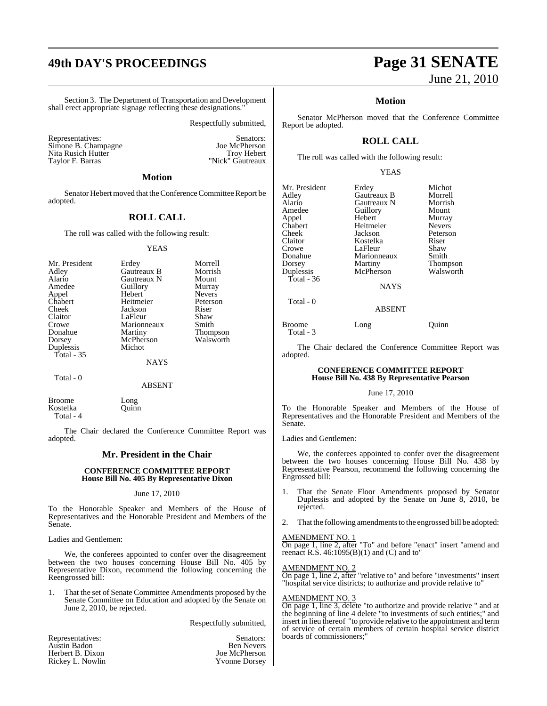# **49th DAY'S PROCEEDINGS Page 31 SENATE**

Section 3. The Department of Transportation and Development shall erect appropriate signage reflecting these designations."

Respectfully submitted,

Representatives: Simone B. Champagne and Senators: Simone B. Champagne and Senators: Simone B. Champagne and Senators: Simone B. Champagne and Senators: Simone B. Champagne and Senators: Simone B. Champagne and Senators: S Simone B. Champagne<br>
Vita Rusich Hutter<br>
Vita Rusich Hutter<br>
Trov Hebert Nita Rusich Hutter Taylor F. Barras "Nick" Gautreaux

#### **Motion**

Senator Hebert moved that the Conference Committee Report be adopted.

#### **ROLL CALL**

The roll was called with the following result:

#### **YEAS**

| Mr. President<br>Adley<br>Alario<br>Amedee<br>Appel<br>Chabert<br>Cheek<br>Claitor<br>Crowe<br>Donahue<br>Dorsey<br>Duplessis | Erdey<br>Gautreaux B<br>Gautreaux N<br>Guillory<br>Hebert<br>Heitmeier<br>Jackson<br>LaFleur<br>Marionneaux<br>Martiny<br>McPherson<br>Michot | Morrell<br>Morrish<br>Mount<br>Murray<br><b>Nevers</b><br>Peterson<br>Riser<br>Shaw<br>Smith<br><b>Thompson</b><br>Walsworth |
|-------------------------------------------------------------------------------------------------------------------------------|-----------------------------------------------------------------------------------------------------------------------------------------------|------------------------------------------------------------------------------------------------------------------------------|
|                                                                                                                               |                                                                                                                                               |                                                                                                                              |
| Total $-35$                                                                                                                   | <b>NAYS</b>                                                                                                                                   |                                                                                                                              |

Total - 0

ABSENT

Broome Long<br>Kostelka Quinn Kostelka Total - 4

The Chair declared the Conference Committee Report was adopted.

#### **Mr. President in the Chair**

#### **CONFERENCE COMMITTEE REPORT House Bill No. 405 By Representative Dixon**

#### June 17, 2010

To the Honorable Speaker and Members of the House of Representatives and the Honorable President and Members of the Senate.

Ladies and Gentlemen:

We, the conferees appointed to confer over the disagreement between the two houses concerning House Bill No. 405 by Representative Dixon, recommend the following concerning the Reengrossed bill:

1. That the set of Senate Committee Amendments proposed by the Senate Committee on Education and adopted by the Senate on June 2, 2010, be rejected.

Respectfully submitted,

| Representatives: | Senators:            |
|------------------|----------------------|
| Austin Badon     | <b>Ben Nevers</b>    |
| Herbert B. Dixon | Joe McPherson        |
| Rickey L. Nowlin | <b>Yvonne Dorsey</b> |

Ben Nevers Joe McPherson Yvonne Dorsey

# June 21, 2010

#### **Motion**

Senator McPherson moved that the Conference Committee Report be adopted.

### **ROLL CALL**

The roll was called with the following result:

#### YEAS

| Mr. President<br>Adley<br>Alario<br>Amedee<br>Appel<br>Chabert<br>Cheek<br>Claitor<br>Crowe<br>Donahue | Erdey<br>Gautreaux B<br>Gautreaux N<br>Guillory<br>Hebert<br>Heitmeier<br>Jackson<br>Kostelka<br>LaFleur<br>Marionneaux | Michot<br>Morrell<br>Morrish<br>Mount<br>Murray<br><b>Nevers</b><br>Peterson<br>Riser<br>Shaw<br>Smith |
|--------------------------------------------------------------------------------------------------------|-------------------------------------------------------------------------------------------------------------------------|--------------------------------------------------------------------------------------------------------|
| Dorsey<br>Duplessis                                                                                    | Martiny<br>McPherson                                                                                                    | <b>Thompson</b><br>Walsworth                                                                           |
| Total - $36$                                                                                           |                                                                                                                         |                                                                                                        |
|                                                                                                        | <b>NAYS</b>                                                                                                             |                                                                                                        |
| Total - 0                                                                                              | <b>ABSENT</b>                                                                                                           |                                                                                                        |

Broome Long Quinn

The Chair declared the Conference Committee Report was adopted.

#### **CONFERENCE COMMITTEE REPORT House Bill No. 438 By Representative Pearson**

#### June 17, 2010

To the Honorable Speaker and Members of the House of Representatives and the Honorable President and Members of the Senate.

Ladies and Gentlemen:

Total - 3

We, the conferees appointed to confer over the disagreement between the two houses concerning House Bill No. 438 by Representative Pearson, recommend the following concerning the Engrossed bill:

- 1. That the Senate Floor Amendments proposed by Senator Duplessis and adopted by the Senate on June 8, 2010, be rejected.
- 2. That the following amendments to the engrossed bill be adopted:

#### AMENDMENT NO. 1

On page 1, line 2, after "To" and before "enact" insert "amend and reenact R.S.  $46:1095(B)(1)$  and  $(C)$  and to"

#### AMENDMENT NO. 2

On page 1, line 2, after "relative to" and before "investments" insert "hospital service districts; to authorize and provide relative to"

#### AMENDMENT NO. 3

On page 1, line 3, delete "to authorize and provide relative " and at the beginning of line 4 delete "to investments of such entities;" and insert in lieu thereof "to provide relative to the appointment and term of service of certain members of certain hospital service district boards of commissioners;"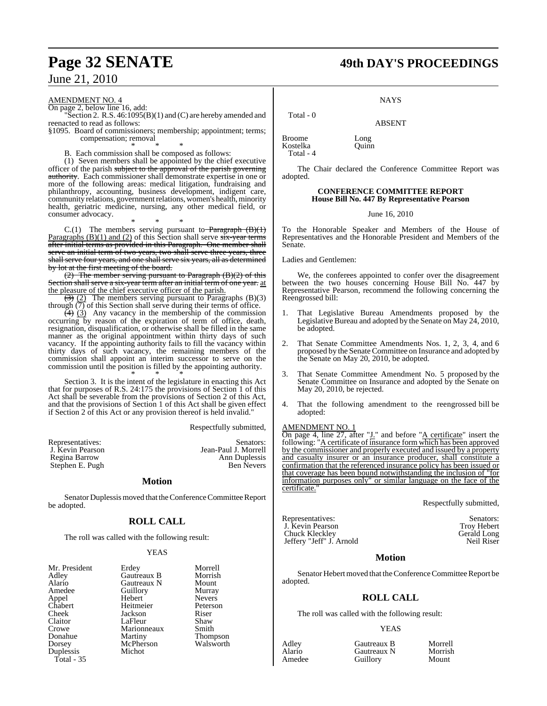#### AMENDMENT NO. 4

On page 2, below line 16, add:

"Section 2. R.S. 46:1095(B)(1) and (C) are hereby amended and reenacted to read as follows:

§1095. Board of commissioners; membership; appointment; terms; compensation; removal

\* \* \* B. Each commission shall be composed as follows:

(1) Seven members shall be appointed by the chief executive officer of the parish subject to the approval of the parish governing authority. Each commissioner shall demonstrate expertise in one or more of the following areas: medical litigation, fundraising and philanthropy, accounting, business development, indigent care, community relations, government relations, women's health, minority health, geriatric medicine, nursing, any other medical field, or consumer advocacy.

\* \* \*  $C.(1)$  The members serving pursuant to **Paragraph**  $(B)(1)$ Paragraphs  $(B)(1)$  and  $(2)$  of this Section shall serve  $s\overline{x}$ -year terms after initial terms as provided in this Paragraph. One member shall serve an initial term of two years, two shall serve three years, three shall serve four years, and one shall serve six years, all as determined by lot at the first meeting of the board.

 $(2)$  The member serving pursuant to Paragraph  $(B)(2)$  of this Section shall serve a six-year term after an initial term of one year. at the pleasure of the chief executive officer of the parish.

 $\left(\frac{1}{2}\right)$  (2) The members serving pursuant to Paragraphs (B)(3) through  $\overline{(7)}$  of this Section shall serve during their terms of office.

 $\left(\frac{4}{3}\right)$  (3) Any vacancy in the membership of the commission occurring by reason of the expiration of term of office, death, resignation, disqualification, or otherwise shall be filled in the same manner as the original appointment within thirty days of such vacancy. If the appointing authority fails to fill the vacancy within thirty days of such vacancy, the remaining members of the commission shall appoint an interim successor to serve on the commission until the position is filled by the appointing authority. \* \* \*

Section 3. It is the intent of the legislature in enacting this Act that for purposes of R.S. 24:175 the provisions of Section 1 of this Act shall be severable from the provisions of Section 2 of this Act, and that the provisions of Section 1 of this Act shall be given effect if Section 2 of this Act or any provision thereof is held invalid."

Respectfully submitted,

| Representatives: | Senators:            |
|------------------|----------------------|
| J. Kevin Pearson | Jean-Paul J. Morrell |
| Regina Barrow    | Ann Duplessis        |
| Stephen E. Pugh  | <b>Ben Nevers</b>    |

#### **Motion**

Senator Duplessismoved that the Conference Committee Report be adopted.

### **ROLL CALL**

The roll was called with the following result:

#### YEAS

| Mr. President | Erdey       | Morrell       |
|---------------|-------------|---------------|
| Adley         | Gautreaux B | Morrish       |
| Alario        | Gautreaux N | Mount         |
| Amedee        | Guillory    | Murray        |
| Appel         | Hebert      | <b>Nevers</b> |
| Chabert       | Heitmeier   | Petersor      |
| Cheek         | Jackson     | Riser         |
| Claitor       | LaFleur     | Shaw          |
| Crowe         | Marionneaux | Smith         |
| Donahue       | Martiny     | <b>Thomps</b> |
| Dorsey        | McPherson   | Walswo        |
| Duplessis     | Michot      |               |
| Total $-35$   |             |               |

Thompson<br>Walsworth

# **Page 32 SENATE 49th DAY'S PROCEEDINGS**

**NAYS** 

ABSENT

Broome Long<br>Kostelka Ouinn Kostelka Total - 4

Total - 0

The Chair declared the Conference Committee Report was adopted.

#### **CONFERENCE COMMITTEE REPORT House Bill No. 447 By Representative Pearson**

June 16, 2010

To the Honorable Speaker and Members of the House of Representatives and the Honorable President and Members of the Senate.

Ladies and Gentlemen:

We, the conferees appointed to confer over the disagreement between the two houses concerning House Bill No. 447 by Representative Pearson, recommend the following concerning the Reengrossed bill:

- 1. That Legislative Bureau Amendments proposed by the Legislative Bureau and adopted by the Senate on May 24, 2010, be adopted.
- 2. That Senate Committee Amendments Nos. 1, 2, 3, 4, and 6 proposed by the Senate Committee on Insurance and adopted by the Senate on May 20, 2010, be adopted.
- That Senate Committee Amendment No. 5 proposed by the Senate Committee on Insurance and adopted by the Senate on May 20, 2010, be rejected.
- 4. That the following amendment to the reengrossed bill be adopted:

#### AMENDMENT NO. 1

On page 4, line  $\overline{27}$ , after " $\underline{J}$ ." and before " $\underline{A}$  certificate" insert the following: "A certificate of insurance form which has been approved by the commissioner and properly executed and issued by a property and casualty insurer or an insurance producer, shall constitute a confirmation that the referenced insurance policy has been issued or that coverage has been bound notwithstanding the inclusion of "for information purposes only" or similar language on the face of the certificate.

Respectfully submitted,

Representatives: Senators: Senators: Senators: Senators: Senators: Senators: Senators: Senators: Senators: Senators: Senators: Senators: Senators: Senators: Senators: Senators: Senators: Senators: Senators: Senators: Senat J. Kevin Pearson Troy Hebert<br>
Chuck Kleckley Gerald Long Chuck Kleckley Gerald Long<br>
Jeffery "Jeff" J. Arnold Neil Riser Jeffery "Jeff" J. Arnold

#### **Motion**

Senator Hebert moved that the Conference Committee Report be adopted.

#### **ROLL CALL**

The roll was called with the following result:

#### YEAS

Adley Gautreaux B Morrell Alario Gautreaux N Morrish Guillory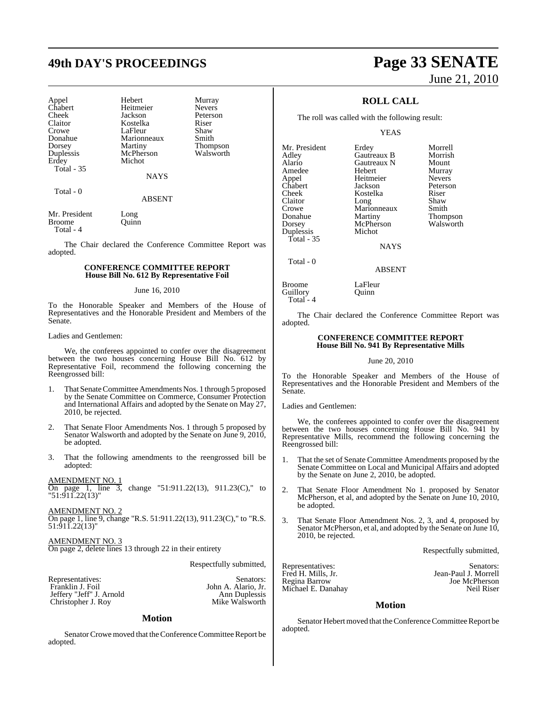# **49th DAY'S PROCEEDINGS Page 33 SENATE**

| Appel<br>Chabert<br>Cheek<br>Claitor<br>Crowe<br>Donahue<br>Dorsey<br>Duplessis<br>Erdey<br><b>Total - 35</b> | Hebert<br>Heitmeier<br>Jackson<br>Kostelka<br>LaFleur<br>Marionneaux<br>Martiny<br>McPherson<br>Michot<br><b>NAYS</b> | Murray<br><b>Nevers</b><br>Peterson<br>Riser<br>Shaw<br>Smith<br>Thompson<br>Walsworth |
|---------------------------------------------------------------------------------------------------------------|-----------------------------------------------------------------------------------------------------------------------|----------------------------------------------------------------------------------------|
| Total - 0                                                                                                     | <b>ARSENT</b>                                                                                                         |                                                                                        |

Mr. President Long Broome Ouinn Total - 4

The Chair declared the Conference Committee Report was adopted.

#### **CONFERENCE COMMITTEE REPORT House Bill No. 612 By Representative Foil**

#### June 16, 2010

To the Honorable Speaker and Members of the House of Representatives and the Honorable President and Members of the Senate.

#### Ladies and Gentlemen:

We, the conferees appointed to confer over the disagreement between the two houses concerning House Bill No. 612 by Representative Foil, recommend the following concerning the Reengrossed bill:

- 1. That Senate Committee Amendments Nos. 1 through 5 proposed by the Senate Committee on Commerce, Consumer Protection and International Affairs and adopted by the Senate on May 27, 2010, be rejected.
- 2. That Senate Floor Amendments Nos. 1 through 5 proposed by Senator Walsworth and adopted by the Senate on June 9, 2010, be adopted.
- 3. That the following amendments to the reengrossed bill be adopted:

#### AMENDMENT NO. 1

On page 1, line 3, change "51:911.22(13), 911.23(C)," to "51:911.22(13)"

AMENDMENT NO. 2 On page 1, line 9, change "R.S. 51:911.22(13), 911.23(C)," to "R.S. 51:911.22(13)"

AMENDMENT NO. 3 On page 2, delete lines 13 through 22 in their entirety

Respectfully submitted,

| Representatives:         | Senators:           |
|--------------------------|---------------------|
| Franklin J. Foil         | John A. Alario. Jr. |
| Jeffery "Jeff" J. Arnold | Ann Duplessis       |
| Christopher J. Roy       | Mike Walsworth      |

#### **Motion**

Senator Crowe moved that the Conference Committee Report be adopted.

# June 21, 2010

### **ROLL CALL**

The roll was called with the following result:

YEAS

Mr. President Erdey Morrell<br>Adley Gautreaux B Morrish Alario Gautreaux N Mount<br>Amedee Hebert Murray Amedee Hebert Murray<br>Appel Heitmeier Nevers Appel Heitmeier Nevers<br>Chabert Jackson Peterson Chabert Jackson Peterson Cheek Kostelka Riser<br>Claitor Long Shaw Claitor Long Shaw<br>Crowe Marionneaux Smith Crowe Marionneaux<br>
Donahue Martiny Donahue Martiny Thompson<br>
Dorsey McPherson Walsworth Duplessis Total - 35

McPherson<br>Michot

**Gautreaux B** Morrish<br> **Gautreaux N** Mount

**NAYS** 

ABSENT

Broome LaFleur Guillory **Quinn** Total - 4

Total - 0

The Chair declared the Conference Committee Report was adopted.

#### **CONFERENCE COMMITTEE REPORT House Bill No. 941 By Representative Mills**

#### June 20, 2010

To the Honorable Speaker and Members of the House of Representatives and the Honorable President and Members of the Senate.

Ladies and Gentlemen:

We, the conferees appointed to confer over the disagreement between the two houses concerning House Bill No. 941 by Representative Mills, recommend the following concerning the Reengrossed bill:

- 1. That the set of Senate Committee Amendments proposed by the Senate Committee on Local and Municipal Affairs and adopted by the Senate on June 2, 2010, be adopted.
- 2. That Senate Floor Amendment No 1. proposed by Senator McPherson, et al, and adopted by the Senate on June 10, 2010, be adopted.
- 3. That Senate Floor Amendment Nos. 2, 3, and 4, proposed by Senator McPherson, et al, and adopted by the Senate on June 10, 2010, be rejected.

Respectfully submitted,

Michael E. Danahay

Representatives: Senators: Fred H. Mills, Jr. Jean-Paul J. Morrell Joe McPherson<br>Neil Riser

#### **Motion**

Senator Hebert moved that the Conference Committee Report be adopted.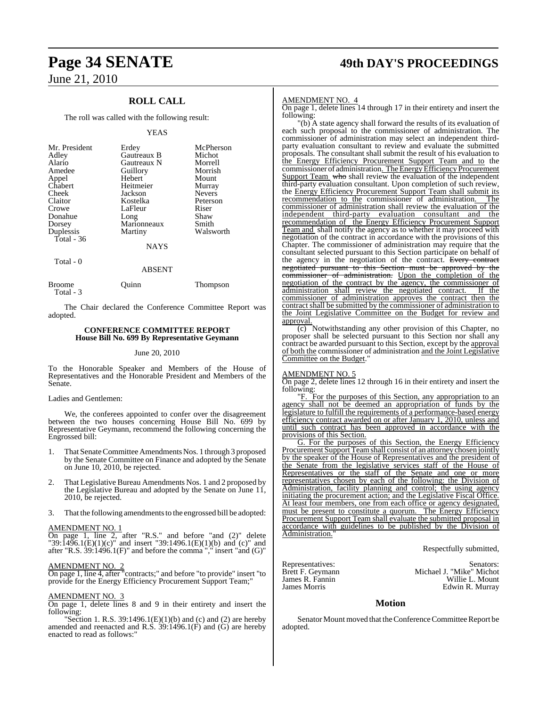### **ROLL CALL**

The roll was called with the following result:

#### YEAS

| Mr. President | Erdey       | McPherson     |
|---------------|-------------|---------------|
| Adley         | Gautreaux B | Michot        |
| Alario        | Gautreaux N | Morrell       |
| Amedee        | Guillory    | Morrish       |
| Appel         | Hebert      | Mount         |
| Chabert       | Heitmeier   | Murray        |
| Cheek         | Jackson     | <b>Nevers</b> |
| Claitor       | Kostelka    | Peterson      |
| Crowe         | LaFleur     | Riser         |
| Donahue       | Long        | Shaw          |
| Dorsey        | Marionneaux | Smith         |
| Duplessis     | Martiny     | Walsworth     |
| Total - 36    |             |               |
|               | <b>NAYS</b> |               |

Total - 0

#### ABSENT

| <b>Broome</b> | Ouinn | Thompson |
|---------------|-------|----------|
| Total - 3     |       |          |

The Chair declared the Conference Committee Report was adopted.

#### **CONFERENCE COMMITTEE REPORT House Bill No. 699 By Representative Geymann**

#### June 20, 2010

To the Honorable Speaker and Members of the House of Representatives and the Honorable President and Members of the Senate.

#### Ladies and Gentlemen:

We, the conferees appointed to confer over the disagreement between the two houses concerning House Bill No. 699 by Representative Geymann, recommend the following concerning the Engrossed bill:

- 1. That Senate Committee Amendments Nos. 1 through 3 proposed by the Senate Committee on Finance and adopted by the Senate on June 10, 2010, be rejected.
- 2. That Legislative Bureau Amendments Nos. 1 and 2 proposed by the Legislative Bureau and adopted by the Senate on June 11, 2010, be rejected.
- 3. That the following amendments to the engrossed bill be adopted:

#### AMENDMENT NO. 1

On page 1, line 2, after "R.S." and before "and (2)" delete "39:1496.1(E)(1)(c)" and insert "39:1496.1(E)(1)(b) and (c)" and after "R.S.  $39:1496.1(F)$ " and before the comma "," insert "and  $(G)$ "

#### AMENDMENT NO. 2

On page 1, line 4, after "contracts;" and before "to provide" insert "to provide for the Energy Efficiency Procurement Support Team;"

#### AMENDMENT NO. 3

On page 1, delete lines 8 and 9 in their entirety and insert the following:

"Section 1. R.S.  $39:1496.1(E)(1)(b)$  and (c) and (2) are hereby amended and reenacted and R.S.  $39:1496.1(F)$  and  $(G)$  are hereby enacted to read as follows:

# **Page 34 SENATE 49th DAY'S PROCEEDINGS**

#### AMENDMENT NO. 4

On page 1, delete lines 14 through 17 in their entirety and insert the following:

"(b) A state agency shall forward the results of its evaluation of each such proposal to the commissioner of administration. The commissioner of administration may select an independent thirdparty evaluation consultant to review and evaluate the submitted proposals. The consultant shall submit the result of his evaluation to the Energy Efficiency Procurement Support Team and to the commissioner of administration. The Energy Efficiency Procurement Support Team who shall review the evaluation of the independent third-party evaluation consultant. Upon completion of such review, the **Energy Efficiency Procurement Support Team shall submit its** recommendation to the commissioner of administration. The commissioner of administration shall review the evaluation of the independent third-party evaluation consultant and the recommendation of the Energy Efficiency Procurement Support Team and shall notify the agency as to whether it may proceed with negotiation of the contract in accordance with the provisions of this Chapter. The commissioner of administration may require that the consultant selected pursuant to this Section participate on behalf of the agency in the negotiation of the contract. Every contract negotiated pursuant to this Section must be approved by commissioner of administration. Upon the completion of the negotiation of the contract by the agency, the commissioner of administration shall review the negotiated contract. If the administration shall review the negotiated contract. commissioner of administration approves the contract then the contract shall be submitted by the commissioner of administration to the Joint Legislative Committee on the Budget for review and approval.

(c) Notwithstanding any other provision of this Chapter, no proposer shall be selected pursuant to this Section nor shall any contract be awarded pursuant to this Section, except by the approval of both the commissioner of administration and the Joint Legislative Committee on the Budget.

#### AMENDMENT NO. 5

On page 2, delete lines 12 through 16 in their entirety and insert the following:

"F. For the purposes of this Section, any appropriation to an agency shall not be deemed an appropriation of funds by the legislature to fulfill the requirements of a performance-based energy efficiency contract awarded on or after January 1, 2010, unless and until such contract has been approved in accordance with the provisions of this Section.

G. For the purposes of this Section, the Energy Efficiency Procurement Support Team shall consist of an attorney chosen jointly by the speaker of the House of Representatives and the president of the Senate from the legislative services staff of the House of Representatives or the staff of the Senate and one or more representatives chosen by each of the following: the Division of Administration, facility planning and control; the using agency initiating the procurement action; and the Legislative Fiscal Office. At least four members, one from each office or agency designated, must be present to constitute a quorum. The Energy Efficiency Procurement Support Team shall evaluate the submitted proposal in accordance with guidelines to be published by the Division of Administration.

Respectfully submitted,

Representatives:<br>Brett F. Geymann Michael J. "Mike" Michot Brett F. Geymann Michael J. "Mike" Michot<br>James R. Fannin Willie L. Mount James R. Fannin Willie L. Mount Edwin R. Murray

#### **Motion**

Senator Mount moved that the Conference Committee Report be adopted.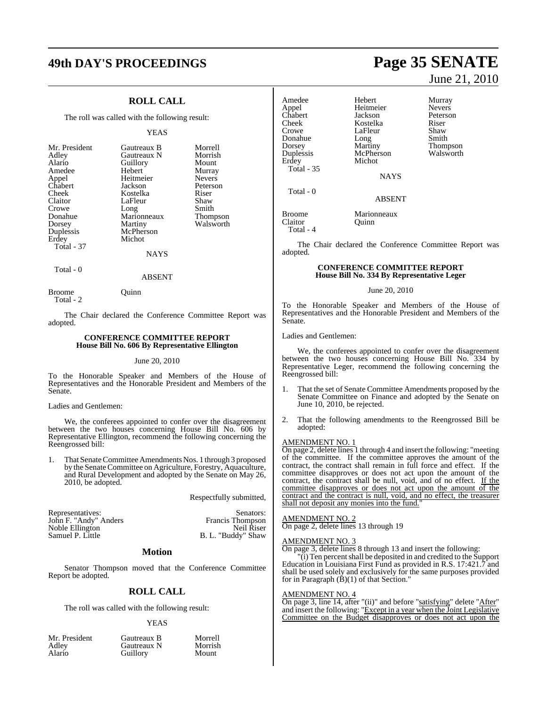# **49th DAY'S PROCEEDINGS Page 35 SENATE**

### **ROLL CALL**

The roll was called with the following result:

#### YEAS

| Mr. President | Gautreaux B   | Morrell       |
|---------------|---------------|---------------|
| Adley         | Gautreaux N   | Morrish       |
| Alario        | Guillory      | Mount         |
| Amedee        | Hebert        | Murray        |
| Appel         | Heitmeier     | <b>Nevers</b> |
| Chabert       | Jackson       | Peterson      |
| Cheek         | Kostelka      | Riser         |
| Claitor       | LaFleur       | Shaw          |
| Crowe         | Long          | Smith         |
| Donahue       | Marionneaux   | Thompson      |
| Dorsey        | Martiny       | Walsworth     |
| Duplessis     | McPherson     |               |
| Erdey         | Michot        |               |
| Total - 37    |               |               |
|               | <b>BTATTO</b> |               |

#### NAYS

ABSENT

Total - 0

Broome Quinn

Total - 2

The Chair declared the Conference Committee Report was adopted.

#### **CONFERENCE COMMITTEE REPORT House Bill No. 606 By Representative Ellington**

#### June 20, 2010

To the Honorable Speaker and Members of the House of Representatives and the Honorable President and Members of the Senate.

#### Ladies and Gentlemen:

We, the conferees appointed to confer over the disagreement between the two houses concerning House Bill No. 606 by Representative Ellington, recommend the following concerning the Reengrossed bill:

1. That Senate Committee Amendments Nos. 1 through 3 proposed by the Senate Committee on Agriculture, Forestry, Aquaculture, and Rural Development and adopted by the Senate on May 26, 2010, be adopted.

Respectfully submitted,

| Representatives:      | Senators:               |
|-----------------------|-------------------------|
| John F. "Andy" Anders | <b>Francis</b> Thompson |
| Noble Ellington       | Neil Riser              |
| Samuel P. Little      | B. L. "Buddy" Shaw      |

#### **Motion**

Senator Thompson moved that the Conference Committee Report be adopted.

#### **ROLL CALL**

The roll was called with the following result:

#### YEAS

| Mr. President | Gautreaux B | Morrell |
|---------------|-------------|---------|
| Adley         | Gautreaux N | Morrish |
| Alario        | Guillory    | Mount   |

# June 21, 2010

Amedee Hebert Murray<br>Appel Heitmeier Nevers Appel Heitmeier<br>Chabert Jackson Chabert Jackson Peterson<br>Cheek Kostelka Riser Cheek Kostelka Riser<br>Crowe LaFleur Shaw LaFleur Shaw<br>Long Smith Donahue Long<br>Dorsey Martiny Dorsey Martiny Thompson McPherson Erdey Michot Total - 35 NAYS Total - 0 ABSENT Broome Marionneaux Claitor Quinn Total - 4

The Chair declared the Conference Committee Report was adopted.

#### **CONFERENCE COMMITTEE REPORT House Bill No. 334 By Representative Leger**

#### June 20, 2010

To the Honorable Speaker and Members of the House of Representatives and the Honorable President and Members of the Senate.

#### Ladies and Gentlemen:

We, the conferees appointed to confer over the disagreement between the two houses concerning House Bill No. 334 by Representative Leger, recommend the following concerning the Reengrossed bill:

- 1. That the set of Senate Committee Amendments proposed by the Senate Committee on Finance and adopted by the Senate on June 10, 2010, be rejected.
- 2. That the following amendments to the Reengrossed Bill be adopted:

#### AMENDMENT NO. 1

On page 2, delete lines 1 through 4 and insert the following: "meeting of the committee. If the committee approves the amount of the contract, the contract shall remain in full force and effect. If the committee disapproves or does not act upon the amount of the contract, the contract shall be null, void, and of no effect. If the committee disapproves or does not act upon the amount of the contract and the contract is null, void, and no effect, the treasurer shall not deposit any monies into the fund.

#### AMENDMENT NO. 2

On page 2, delete lines 13 through 19

#### AMENDMENT NO. 3

On page 3, delete lines 8 through 13 and insert the following:

"(i) Ten percentshall be deposited in and credited to the Support Education in Louisiana First Fund as provided in R.S. 17:421.7 and shall be used solely and exclusively for the same purposes provided for in Paragraph (B)(1) of that Section."

#### AMENDMENT NO. 4

On page 3, line 14, after "(ii)" and before "satisfying" delete "After" and insert the following: "Except in a year when the Joint Legislative Committee on the Budget disapproves or does not act upon the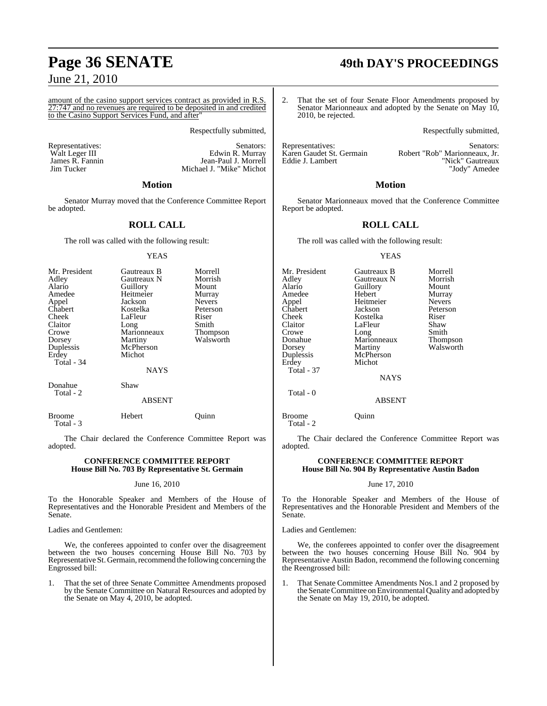amount of the casino support services contract as provided in R.S.  $\frac{27.747}{25.7347}$ 27:747 and no revenues are required to be deposited in and credited to the Casino Support Services Fund, and after"

Respectfully submitted,

Michael J. "Mike" Michot

Edwin R. Murray

Representatives: Senators: Senators: Senators: Senators: Senators: Senators: Senators: Senators: Senators: Senators: Senators: Senators: Senators: Senators: Senators: Senators: Senators: Senators: Senators: Senators: Senat James R. Fannin Jean-Paul J. Morrell<br>Jim Tucker Michael J. "Mike" Michael

#### **Motion**

Senator Murray moved that the Conference Committee Report be adopted.

#### **ROLL CALL**

The roll was called with the following result:

#### YEAS

| Mr. President<br>Adley<br>Alario<br>Amedee<br>Appel<br><b>Chabert</b><br>Cheek<br>Claitor<br>Crowe<br>Dorsey<br>Duplessis | Gautreaux B<br>Gautreaux N<br>Guillory<br>Heitmeier<br>Jackson<br>Kostelka<br>LaFleur<br>Long<br>Marionneaux<br>Martiny<br>McPherson | Morrell<br>Morrish<br>Mount<br>Murray<br><b>Nevers</b><br>Peterson<br>Riser<br>Smith<br><b>Thompson</b><br>Walsworth |
|---------------------------------------------------------------------------------------------------------------------------|--------------------------------------------------------------------------------------------------------------------------------------|----------------------------------------------------------------------------------------------------------------------|
| Erdey<br>Total - 34                                                                                                       | Michot<br><b>NAYS</b>                                                                                                                |                                                                                                                      |
| Donahue<br>Total - 2                                                                                                      | Shaw<br>1.727177                                                                                                                     |                                                                                                                      |

ABSENT

Total - 3

Broome Hebert Quinn

The Chair declared the Conference Committee Report was adopted.

#### **CONFERENCE COMMITTEE REPORT House Bill No. 703 By Representative St. Germain**

#### June 16, 2010

To the Honorable Speaker and Members of the House of Representatives and the Honorable President and Members of the Senate.

Ladies and Gentlemen:

We, the conferees appointed to confer over the disagreement between the two houses concerning House Bill No. 703 by Representative St. Germain, recommend the following concerning the Engrossed bill:

1. That the set of three Senate Committee Amendments proposed by the Senate Committee on Natural Resources and adopted by the Senate on May 4, 2010, be adopted.

# **Page 36 SENATE 49th DAY'S PROCEEDINGS**

2. That the set of four Senate Floor Amendments proposed by Senator Marionneaux and adopted by the Senate on May 10, 2010, be rejected.

Respectfully submitted,

Representatives:<br>Karen Gaudet St. Germain Bobert "Rob" Marionneaux. Jr. Karen Gaudet St. Germain Robert "Rob" Marionneaux, Jr.<br>Eddie J. Lambert "Robert "Nick" Gautreaux "Nick" Gautreaux "Jody" Amedee

#### **Motion**

Senator Marionneaux moved that the Conference Committee Report be adopted.

#### **ROLL CALL**

The roll was called with the following result:

#### YEAS

| Gautreaux B   | Morrell           |
|---------------|-------------------|
| Gautreaux N   | Morrish           |
| Guillory      | Mount             |
| Hebert        | Murray            |
| Heitmeier     | <b>Nevers</b>     |
| Jackson       | Peterson          |
| Kostelka      | Riser             |
| LaFleur       | Shaw              |
|               | Smith             |
| Marionneaux   | <b>Thompson</b>   |
| Martiny       | Walsworth         |
|               |                   |
| Michot        |                   |
|               |                   |
| <b>NAYS</b>   |                   |
|               |                   |
| <b>ABSENT</b> |                   |
|               | Long<br>McPherson |

The Chair declared the Conference Committee Report was adopted.

#### **CONFERENCE COMMITTEE REPORT House Bill No. 904 By Representative Austin Badon**

#### June 17, 2010

To the Honorable Speaker and Members of the House of Representatives and the Honorable President and Members of the Senate.

Ladies and Gentlemen:

Broome Ouinn

Total - 2

We, the conferees appointed to confer over the disagreement between the two houses concerning House Bill No. 904 by Representative Austin Badon, recommend the following concerning the Reengrossed bill:

1. That Senate Committee Amendments Nos.1 and 2 proposed by the Senate Committee on Environmental Quality and adopted by the Senate on May 19, 2010, be adopted.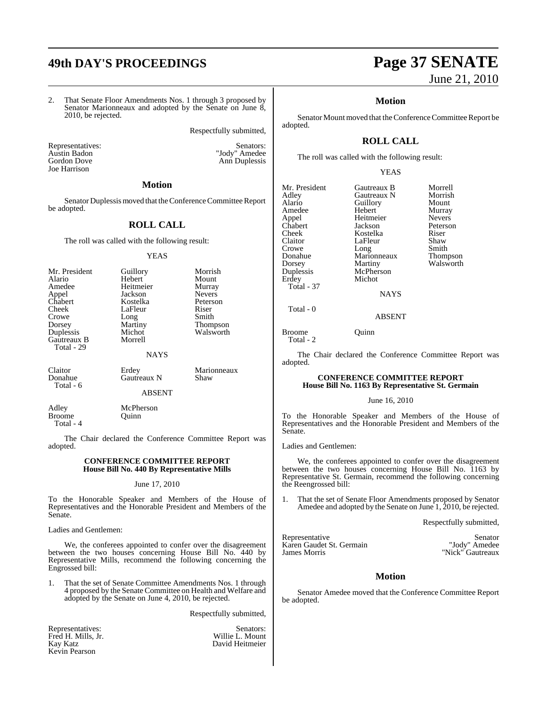## **49th DAY'S PROCEEDINGS Page 37 SENATE**

2. That Senate Floor Amendments Nos. 1 through 3 proposed by Senator Marionneaux and adopted by the Senate on June 8, 2010, be rejected.

Respectfully submitted,

Representatives: Senators: Senators: Austin Badon "Jody" Amedee Gordon Dove Ann Duplessis Joe Harrison

#### **Motion**

Senator Duplessis moved that the Conference Committee Report be adopted.

#### **ROLL CALL**

The roll was called with the following result:

#### YEAS

| Mr. President<br>Alario   | Guillory<br>Hebert | Morrish<br>Mount |
|---------------------------|--------------------|------------------|
| Amedee                    | Heitmeier          | Murray           |
| Appel                     | Jackson            | <b>Nevers</b>    |
| Chabert                   | Kostelka           | Peterson         |
| Cheek                     | LaFleur            | Riser            |
| Crowe                     | Long               | Smith            |
| Dorsey                    | Martiny            | <b>Thompson</b>  |
| Duplessis                 | Michot             | Walsworth        |
| Gautreaux B<br>Total - 29 | Morrell            |                  |
|                           | <b>NAYS</b>        |                  |
| Claitor                   | Erdey              | Marionneaux      |
| Donahue<br>Total - 6      | Gautreaux N        | Shaw             |

ABSENT

Adley McPherson<br>Broome Ouinn **Broome** Total - 4

The Chair declared the Conference Committee Report was adopted.

#### **CONFERENCE COMMITTEE REPORT House Bill No. 440 By Representative Mills**

#### June 17, 2010

To the Honorable Speaker and Members of the House of Representatives and the Honorable President and Members of the Senate.

Ladies and Gentlemen:

We, the conferees appointed to confer over the disagreement between the two houses concerning House Bill No. 440 by Representative Mills, recommend the following concerning the Engrossed bill:

1. That the set of Senate Committee Amendments Nos. 1 through 4 proposed by the Senate Committee on Health and Welfare and adopted by the Senate on June 4, 2010, be rejected.

Respectfully submitted,

| Representatives:   | Senators:       |
|--------------------|-----------------|
| Fred H. Mills, Jr. | Willie L. Mount |
| Kay Katz           | David Heitmeier |
| Kevin Pearson      |                 |

# June 21, 2010

#### **Motion**

Senator Mount moved that the Conference Committee Report be adopted.

## **ROLL CALL**

The roll was called with the following result:

#### YEAS

| Mr. President | Gautreaux B | Morrell       |
|---------------|-------------|---------------|
| Adley         | Gautreaux N | Morrish       |
| Alario        | Guillory    | Mount         |
| Amedee        | Hebert      | Murray        |
| Appel         | Heitmeier   | <b>Nevers</b> |
| Chabert       | Jackson     | Peterson      |
| Cheek         | Kostelka    | Riser         |
| Claitor       | LaFleur     | Shaw          |
| Crowe         | Long        | Smith         |
| Donahue       | Marionneaux | Thompson      |
| Dorsey        | Martiny     | Walsworth     |
| Duplessis     | McPherson   |               |
| Erdey         | Michot      |               |
| Total - 37    |             |               |
|               | <b>NAYS</b> |               |
| Total - 0     |             |               |
|               | ABSENT      |               |

#### ABSENT

Broome **Quinn** Total - 2

The Chair declared the Conference Committee Report was adopted.

#### **CONFERENCE COMMITTEE REPORT House Bill No. 1163 By Representative St. Germain**

June 16, 2010

To the Honorable Speaker and Members of the House of Representatives and the Honorable President and Members of the Senate.

Ladies and Gentlemen:

We, the conferees appointed to confer over the disagreement between the two houses concerning House Bill No. 1163 by Representative St. Germain, recommend the following concerning the Reengrossed bill:

1. That the set of Senate Floor Amendments proposed by Senator Amedee and adopted by the Senate on June 1, 2010, be rejected.

Respectfully submitted,

Representative Senator<br>
Karen Gaudet St. Germain National Senator National St. Senator National St. Senator National St. Senator National St. Senator National St. Senator National St. Senator National St. Senator National Karen Gaudet St. Germain<br>James Morris

"Nick" Gautreaux

#### **Motion**

Senator Amedee moved that the Conference Committee Report be adopted.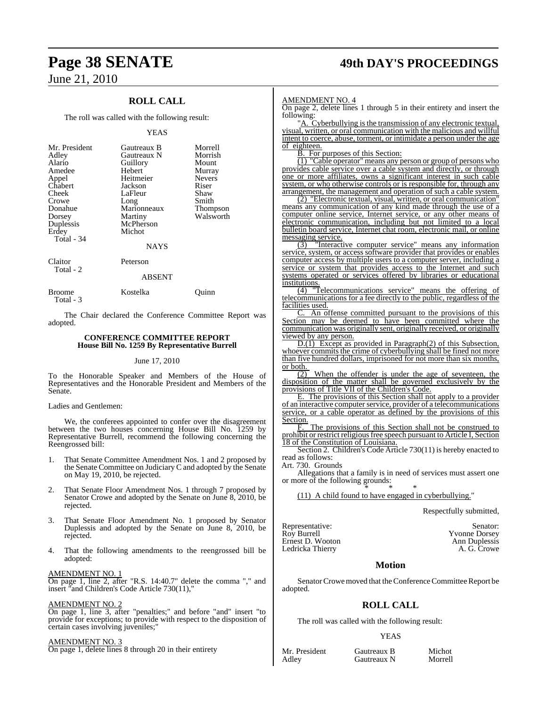## **ROLL CALL**

The roll was called with the following result:

#### YEAS

| Mr. President<br>Adley<br>Alario<br>Amedee<br>Appel<br>Chabert<br>Cheek<br>Crowe<br>Donahue<br>Dorsey<br>Duplessis<br>Erdey<br>Total - 34 | Gautreaux B<br>Gautreaux N<br>Guillory<br>Hebert<br>Heitmeier<br>Jackson<br>LaFleur<br>Long<br>Marionneaux<br>Martiny<br>McPherson<br>Michot<br><b>NAYS</b> | Morrell<br>Morrish<br>Mount<br>Murray<br><b>Nevers</b><br>Riser<br>Shaw<br>Smith<br>Thompson<br>Walsworth |
|-------------------------------------------------------------------------------------------------------------------------------------------|-------------------------------------------------------------------------------------------------------------------------------------------------------------|-----------------------------------------------------------------------------------------------------------|
| Claitor                                                                                                                                   | Peterson                                                                                                                                                    |                                                                                                           |

## ABSENT

Broome Kostelka Quinn Total - 3

The Chair declared the Conference Committee Report was adopted.

#### **CONFERENCE COMMITTEE REPORT House Bill No. 1259 By Representative Burrell**

#### June 17, 2010

To the Honorable Speaker and Members of the House of Representatives and the Honorable President and Members of the Senate.

#### Ladies and Gentlemen:

Total - 2

We, the conferees appointed to confer over the disagreement between the two houses concerning House Bill No. 1259 by Representative Burrell, recommend the following concerning the Reengrossed bill:

- 1. That Senate Committee Amendment Nos. 1 and 2 proposed by the Senate Committee on Judiciary C and adopted by the Senate on May 19, 2010, be rejected.
- 2. That Senate Floor Amendment Nos. 1 through 7 proposed by Senator Crowe and adopted by the Senate on June 8, 2010, be rejected.
- 3. That Senate Floor Amendment No. 1 proposed by Senator Duplessis and adopted by the Senate on June 8, 2010, be rejected.
- 4. That the following amendments to the reengrossed bill be adopted:

#### AMENDMENT NO. 1

On page 1, line 2, after "R.S. 14:40.7" delete the comma "," and insert "and Children's Code Article 730(11),"

#### AMENDMENT NO. 2

On page 1, line 3, after "penalties;" and before "and" insert "to provide for exceptions; to provide with respect to the disposition of certain cases involving juveniles;"

#### AMENDMENT NO. 3

On page 1, delete lines 8 through 20 in their entirety

## **Page 38 SENATE 49th DAY'S PROCEEDINGS**

#### AMENDMENT NO. 4

On page 2, delete lines 1 through 5 in their entirety and insert the following:

"A. Cyberbullying is the transmission of any electronic textual, visual, written, or oral communication with the malicious and willful intent to coerce, abuse, torment, or intimidate a person under the age of eighteen.

B. For purposes of this Section:

(1) "Cable operator" means any person or group of persons who provides cable service over a cable system and directly, or through one or more affiliates, owns a significant interest in such cable system, or who otherwise controls or is responsible for, through any arrangement, the management and operation of such a cable system.

(2) "Electronic textual, visual, written, or oral communication" means any communication of any kind made through the use of a computer online service, Internet service, or any other means of electronic communication, including but not limited to a local bulletin board service, Internet chat room, electronic mail, or online messaging service.

(3) "Interactive computer service" means any information service, system, or access software provider that provides or enables computer access by multiple users to a computer server, including a service or system that provides access to the Internet and such systems operated or services offered by libraries or educational institutions.

 $\frac{\sqrt{4}}{4}$  "Telecommunications service" means the offering of telecommunications for a fee directly to the public, regardless of the facilities used.

C. An offense committed pursuant to the provisions of this Section may be deemed to have been committed where the communication was originally sent, originally received, or originally viewed by any person.

D.(1) Except as provided in Paragraph(2) of this Subsection, whoever commits the crime of cyberbullying shall be fined not more than five hundred dollars, imprisoned for not more than six months,  $\frac{\text{or both.}}{(2)}$ 

When the offender is under the age of seventeen, the disposition of the matter shall be governed exclusively by the provisions of Title VII of the Children's Code.

E. The provisions of this Section shall not apply to a provider of an interactive computer service, provider of a telecommunications service, or a cable operator as defined by the provisions of this Section.

The provisions of this Section shall not be construed to prohibit or restrict religiousfree speech pursuant to Article I, Section 18 of the Constitution of Louisiana.

Section 2. Children's Code Article 730(11) is hereby enacted to read as follows:

Art. 730. Grounds

Allegations that a family is in need of services must assert one or more of the following grounds: \* \* \*

(11) A child found to have engaged in cyberbullying."

Respectfully submitted,

| Senator:             |
|----------------------|
| <b>Yvonne Dorsey</b> |
| Ann Duplessis        |
| A. G. Crowe          |
|                      |

#### **Motion**

Senator Crowe moved that the Conference Committee Report be adopted.

## **ROLL CALL**

The roll was called with the following result:

#### YEAS

Mr. President Gautreaux B Michot<br>Adley Gautreaux N Morrell

**Gautreaux N**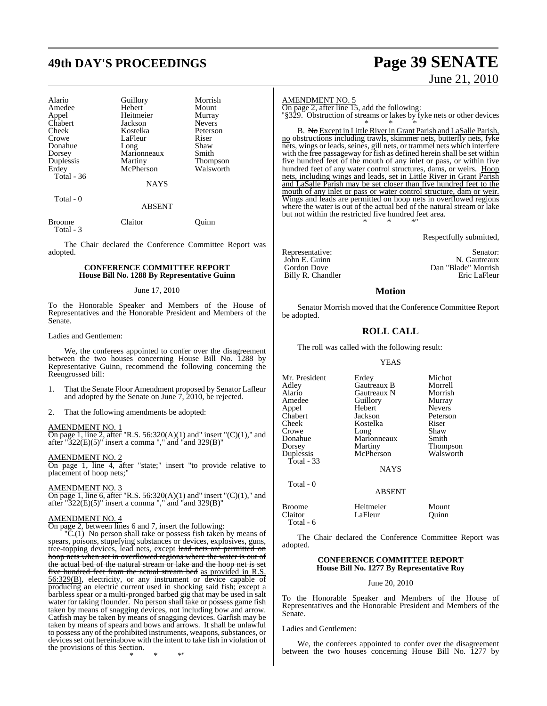## **49th DAY'S PROCEEDINGS Page 39 SENATE**

| Alario      | Guillory    | Morrish         |
|-------------|-------------|-----------------|
| Amedee      | Hebert      | Mount           |
|             | Heitmeier   |                 |
| Appel       |             | Murray          |
| Chabert     | Jackson     | <b>Nevers</b>   |
| Cheek       | Kostelka    | Peterson        |
| Crowe       | LaFleur     | Riser           |
| Donahue     | Long        | Shaw            |
| Dorsey      | Marionneaux | Smith           |
| Duplessis   | Martiny     | <b>Thompson</b> |
| Erdey       | McPherson   | Walsworth       |
| Total $-36$ |             |                 |
|             | NAYS        |                 |
| Total - 0   |             |                 |
|             | ABSENT      |                 |

Broome Claitor Quinn

Total - 3

The Chair declared the Conference Committee Report was adopted.

#### **CONFERENCE COMMITTEE REPORT House Bill No. 1288 By Representative Guinn**

#### June 17, 2010

To the Honorable Speaker and Members of the House of Representatives and the Honorable President and Members of the Senate.

#### Ladies and Gentlemen:

We, the conferees appointed to confer over the disagreement between the two houses concerning House Bill No. 1288 by Representative Guinn, recommend the following concerning the Reengrossed bill:

- 1. That the Senate Floor Amendment proposed by Senator Lafleur and adopted by the Senate on June 7, 2010, be rejected.
- 2. That the following amendments be adopted:

#### AMENDMENT NO. 1

On page 1, line 2, after "R.S.  $56:320(A)(1)$  and" insert " $(C)(1)$ ," and after "322(E)(5)" insert a comma "," and "and 329(B)"

#### AMENDMENT NO. 2

On page 1, line 4, after "state;" insert "to provide relative to placement of hoop nets;"

#### AMENDMENT NO. 3

On page 1, line 6, after "R.S. 56:320(A)(1) and" insert "(C)(1)," and after "322(E)(5)" insert a comma "," and "and 329(B)"

## AMENDMENT NO. 4

On page 2, between lines 6 and 7, insert the following:

"C.(1) No person shall take or possess fish taken by means of spears, poisons, stupefying substances or devices, explosives, guns, tree-topping devices, lead nets, except lead nets are permitted on hoop nets when set in overflowed regions where the water is out of the actual bed of the natural stream or lake and the hoop net is five hundred feet from the actual stream bed as provided in R.S. 56:329(B), electricity, or any instrument or device capable of producing an electric current used in shocking said fish; except a barbless spear or a multi-pronged barbed gig that may be used in salt water for taking flounder. No person shall take or possess game fish taken by means of snagging devices, not including bow and arrow. Catfish may be taken by means of snagging devices. Garfish may be taken by means of spears and bows and arrows. It shall be unlawful to possess any of the prohibited instruments, weapons, substances, or devices set out hereinabove with the intent to take fish in violation of the provisions of this Section.

\* \* \*"

# June 21, 2010

AMENDMENT NO. 5

On page 2, after line 15, add the following: "§329. Obstruction of streams or lakes by fyke nets or other devices

\* \* \* B. No Except in Little River in Grant Parish and LaSalle Parish, no obstructions including trawls, skimmer nets, butterfly nets, fyke nets, wings or leads, seines, gill nets, or trammel nets which interfere with the free passageway for fish as defined herein shall be set within five hundred feet of the mouth of any inlet or pass, or within five hundred feet of any water control structures, dams, or weirs. Hoop nets, including wings and leads, set in Little River in Grant Parish and LaSalle Parish may be set closer than five hundred feet to the mouth of any inlet or pass or water control structure, dam or weir. Wings and leads are permitted on hoop nets in overflowed regions where the water is out of the actual bed of the natural stream or lake but not within the restricted five hundred feet area. \* \* \*"

Respectfully submitted,

Billy R. Chandler

Representative: Senator: Senator: Senator: Senator: Senator: Senator: Senator: Senator: Senator: Senator: Senator: Senator: Senator: Senator: Senator: Senator: Senator: Senator: Senator: Senator: Senator: Senator: Senator: John E. Guinn N. Gautreaux Dan "Blade" Morrish<br>Eric LaFleur

#### **Motion**

Senator Morrish moved that the Conference Committee Report be adopted.

#### **ROLL CALL**

The roll was called with the following result:

#### YEAS

| Erdey       | Michot<br>Morrell                                                                                                           |
|-------------|-----------------------------------------------------------------------------------------------------------------------------|
|             | Morrish                                                                                                                     |
|             |                                                                                                                             |
|             | Murray                                                                                                                      |
|             | <b>Nevers</b>                                                                                                               |
|             | Peterson                                                                                                                    |
|             | Riser                                                                                                                       |
| Long        | Shaw                                                                                                                        |
| Marionneaux | Smith                                                                                                                       |
|             | <b>Thompson</b>                                                                                                             |
|             | Walsworth                                                                                                                   |
|             |                                                                                                                             |
| <b>NAYS</b> |                                                                                                                             |
|             |                                                                                                                             |
|             |                                                                                                                             |
| Heitmeier   | Mount<br>Ouinn                                                                                                              |
|             | Gautreaux B<br>Gautreaux N<br>Guillory<br>Hebert<br>Jackson<br>Kostelka<br>Martiny<br>McPherson<br><b>ABSENT</b><br>LaFleur |

The Chair declared the Conference Committee Report was adopted.

#### **CONFERENCE COMMITTEE REPORT House Bill No. 1277 By Representative Roy**

#### June 20, 2010

To the Honorable Speaker and Members of the House of Representatives and the Honorable President and Members of the Senate.

#### Ladies and Gentlemen:

Total - 6

We, the conferees appointed to confer over the disagreement between the two houses concerning House Bill No. 1277 by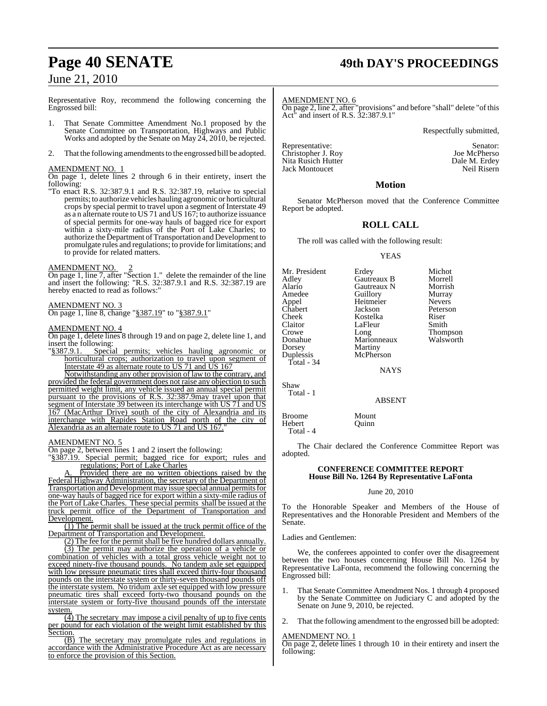## **Page 40 SENATE 49th DAY'S PROCEEDINGS**

## June 21, 2010

Representative Roy, recommend the following concerning the Engrossed bill:

- 1. That Senate Committee Amendment No.1 proposed by the Senate Committee on Transportation, Highways and Public Works and adopted by the Senate on May 24, 2010, be rejected.
- 2. That the following amendments to the engrossed bill be adopted.

#### AMENDMENT NO. 1

On page 1, delete lines 2 through 6 in their entirety, insert the following:

"To enact R.S. 32:387.9.1 and R.S. 32:387.19, relative to special permits; to authorize vehicles hauling agronomic or horticultural crops by special permit to travel upon a segment of Interstate 49 as a n alternate route to US 71 and US 167; to authorize issuance of special permits for one-way hauls of bagged rice for export within a sixty-mile radius of the Port of Lake Charles; to authorize the Department of Transportation and Development to promulgate rules and regulations; to provide for limitations; and to provide for related matters.

#### AMENDMENT NO.

<u>AMENDMENT NO.  $\frac{2}{2}$ </u><br>On page 1, line 7, after "Section 1." delete the remainder of the line and insert the following: "R.S. 32:387.9.1 and R.S. 32:387.19 are hereby enacted to read as follows:"

#### AMENDMENT NO. 3

On page 1, line 8, change "§387.19" to "§387.9.1"

#### AMENDMENT NO. 4

On page 1, delete lines 8 through 19 and on page 2, delete line 1, and insert the following:<br>"§387.9.1. Special

Special permits; vehicles hauling agronomic or horticultural crops; authorization to travel upon segment of Interstate 49 as alternate route to US 71 and US 167

Notwithstanding any other provision of law to the contrary, and provided the federal government does not raise any objection to such permitted weight limit, any vehicle issued an annual special permit pursuant to the provisions of R.S. 32:387.9may travel upon that segment of Interstate 39 between its interchange with US 71 and US 167 (MacArthur Drive) south of the city of Alexandria and its interchange with Rapides Station Road north of the city of Alexandria as an alternate route to US 71 and US 167."

#### AMENDMENT NO. 5

On page 2, between lines 1 and 2 insert the following:

"§387.19. Special permit; bagged rice for export; rules and regulations; Port of Lake Charles

A. Provided there are no written objections raised by the Federal Highway Administration, the secretary of the Department of Transportation and Development may issue special annual permits for one-way hauls of bagged rice for export within a sixty-mile radius of the Port of Lake Charles. These special permits shall be issued at the truck permit office of the Department of Transportation and Development.

(1) The permit shall be issued at the truck permit office of the Department of Transportation and Development.

(2) The fee for the permit shall be five hundred dollars annually. (3) The permit may authorize the operation of a vehicle or combination of vehicles with a total gross vehicle weight not to exceed ninety-five thousand pounds. No tandem axle set equipped with low pressure pneumatic tires shall exceed thirty-four thousand pounds on the interstate system or thirty-seven thousand pounds off the interstate system. No tridum axle set equipped with low pressure pneumatic tires shall exceed forty-two thousand pounds on the interstate system or forty-five thousand pounds off the interstate system.

(4) The secretary may impose a civil penalty of up to five cents per pound for each violation of the weight limit established by this Section.

(B) The secretary may promulgate rules and regulations in accordance with the Administrative Procedure Act as are necessary to enforce the provision of this Section.

AMENDMENT NO. 6

On page 2, line 2, after "provisions" and before "shall" delete "of this Act" and insert of R.S. 32:387.9.1"

Respectfully submitted,

Representative: Senator: Senator: Senator: Senator: Senator: Senator: Senator: Senator: Senator: Senator: Senator: Senator: Senator: Senator: Senator: Senator: Senator: Senator: Senator: Senator: Senator: Senator: Senator: Christopher J. Roy Joe McPherso Nita Rusich Hutter Dale M. Erdey<br>
1991 - Jack Montoucet Neil Risern<br>
2001 - Neil Risern Jack Montoucet

#### **Motion**

Senator McPherson moved that the Conference Committee Report be adopted.

#### **ROLL CALL**

The roll was called with the following result:

#### YEAS

| Mr. President | Erdey       | Michot          |
|---------------|-------------|-----------------|
| Adley         | Gautreaux B | Morrell         |
| Alario        | Gautreaux N | Morrish         |
| Amedee        | Guillory    | Murray          |
| Appel         | Heitmeier   | <b>Nevers</b>   |
| Chabert       | Jackson     | Peterson        |
| Cheek         | Kostelka    | Riser           |
| Claitor       | LaFleur     | Smith           |
| Crowe         | Long        | <b>Thompson</b> |
| Donahue       | Marionneaux | Walsworth       |
| Dorsey        | Martiny     |                 |
| Duplessis     | McPherson   |                 |
| Total - $34$  |             |                 |
|               | <b>NAYS</b> |                 |
|               |             |                 |

Shaw Total - 1

#### ABSENT

Broome Mount<br>Hebert Quinn

Hebert Total - 4

The Chair declared the Conference Committee Report was adopted.

#### **CONFERENCE COMMITTEE REPORT House Bill No. 1264 By Representative LaFonta**

#### June 20, 2010

To the Honorable Speaker and Members of the House of Representatives and the Honorable President and Members of the Senate.

Ladies and Gentlemen:

We, the conferees appointed to confer over the disagreement between the two houses concerning House Bill No. 1264 by Representative LaFonta, recommend the following concerning the Engrossed bill:

- 1. That Senate Committee Amendment Nos. 1 through 4 proposed by the Senate Committee on Judiciary C and adopted by the Senate on June 9, 2010, be rejected.
- That the following amendment to the engrossed bill be adopted:

#### AMENDMENT NO. 1

On page 2, delete lines 1 through 10 in their entirety and insert the following: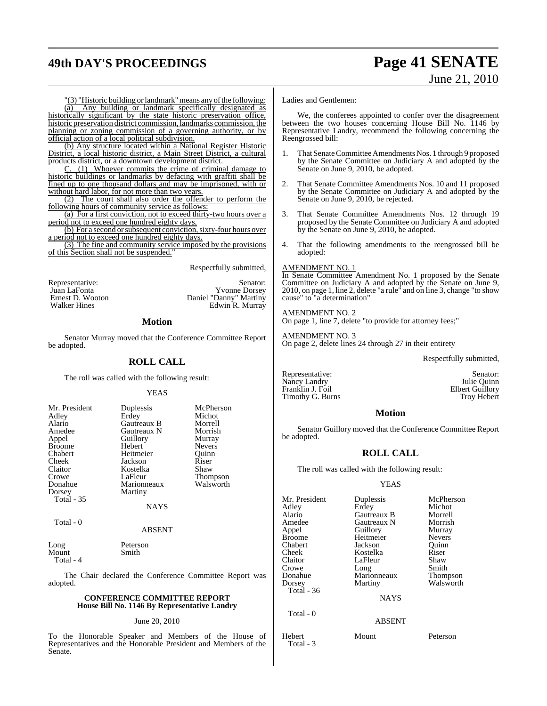## **49th DAY'S PROCEEDINGS Page 41 SENATE**

# June 21, 2010

"(3) "Historic building or landmark" means any of the following:<br>(a) Any building or landmark specifically designated as Any building or landmark specifically designated as historically significant by the state historic preservation office, historic preservation district commission, landmarks commission, the planning or zoning commission of a governing authority, or by official action of a local political subdivision.

(b) Any structure located within a National Register Historic District, a local historic district, a Main Street District, a cultural products district, or a downtown development district.

 $(1)$  Whoever commits the crime of criminal damage to historic buildings or landmarks by defacing with graffiti shall be fined up to one thousand dollars and may be imprisoned, with or without hard labor, for not more than two years.

(2) The court shall also order the offender to perform the following hours of community service as follows:

(a) For a first conviction, not to exceed thirty-two hours over a period not to exceed one hundred eighty days.

(b) For a second or subsequent conviction, sixty-four hours over a period not to exceed one hundred eighty days.

(3) The fine and community service imposed by the provisions of this Section shall not be suspended."

Respectfully submitted,

| Representative:                  | Senator:                                       |
|----------------------------------|------------------------------------------------|
| Juan LaFonta<br>Ernest D. Wooton | <b>Yvonne Dorsey</b><br>Daniel "Danny" Martiny |
| <b>Walker Hines</b>              | Edwin R. Murray                                |

#### **Motion**

Senator Murray moved that the Conference Committee Report be adopted.

### **ROLL CALL**

The roll was called with the following result:

#### YEAS

| Mr. President<br>Adley<br>Alario<br>Amedee<br>Appel<br><b>Broome</b><br>Chabert<br>Cheek<br>Claitor<br>Crowe | Duplessis<br>Erdey<br>Gautreaux B<br>Gautreaux N<br>Guillory<br>Hebert<br>Heitmeier<br>Jackson<br>Kostelka<br>LaFleur | McPherson<br>Michot<br>Morrell<br>Morrish<br>Murray<br><b>Nevers</b><br>Ouinn<br>Riser<br>Shaw<br><b>Thompson</b> |
|--------------------------------------------------------------------------------------------------------------|-----------------------------------------------------------------------------------------------------------------------|-------------------------------------------------------------------------------------------------------------------|
| Donahue<br>Dorsey<br>Total - 35                                                                              | Marionneaux<br>Martiny<br><b>NAYS</b>                                                                                 | Walsworth                                                                                                         |
| Total - 0                                                                                                    |                                                                                                                       |                                                                                                                   |

#### ABSENT

Long Peterson Mount Smith Total - 4

The Chair declared the Conference Committee Report was adopted.

#### **CONFERENCE COMMITTEE REPORT House Bill No. 1146 By Representative Landry**

#### June 20, 2010

To the Honorable Speaker and Members of the House of Representatives and the Honorable President and Members of the Senate.

Ladies and Gentlemen:

We, the conferees appointed to confer over the disagreement between the two houses concerning House Bill No. 1146 by Representative Landry, recommend the following concerning the Reengrossed bill:

- 1. That Senate Committee Amendments Nos. 1 through 9 proposed by the Senate Committee on Judiciary A and adopted by the Senate on June 9, 2010, be adopted.
- 2. That Senate Committee Amendments Nos. 10 and 11 proposed by the Senate Committee on Judiciary A and adopted by the Senate on June 9, 2010, be rejected.
- 3. That Senate Committee Amendments Nos. 12 through 19 proposed by the Senate Committee on Judiciary A and adopted by the Senate on June 9, 2010, be adopted.
- 4. That the following amendments to the reengrossed bill be adopted:

#### AMENDMENT NO. 1

In Senate Committee Amendment No. 1 proposed by the Senate Committee on Judiciary A and adopted by the Senate on June 9, 2010, on page 1, line 2, delete "a rule" and on line 3, change "to show cause" to "a determination"

#### AMENDMENT NO. 2

On page 1, line 7, delete "to provide for attorney fees;"

#### AMENDMENT NO. 3

On page 2, delete lines 24 through 27 in their entirety

Respectfully submitted,

Representative: Senator: Senator: Senator: Senator: Senator: Senator: Senator: Senator: Senator: Senator: Senator: Senator: Senator: Senator: Senator: Senator: Senator: Senator: Senator: Senator: Senator: Senator: Senator: Nancy Landry **1986** Julie Quinn<br>
Franklin J. Foil **Elbert Guillory** Franklin J. Foil **Elbert Guillory**<br>
Timothy G. Burns **Elbert Cuillory** Timothy G. Burns

#### **Motion**

Senator Guillory moved that the Conference Committee Report be adopted.

## **ROLL CALL**

The roll was called with the following result:

#### YEAS

| Mr. President<br>Adley<br>Alario<br>Amedee<br>Appel<br>Broome<br>Chabert<br>Cheek<br>Claitor<br>Crowe<br>Donahue<br>Dorsey<br>Total - 36<br>Total $-0$ | Duplessis<br>Erdey<br>Gautreaux B<br>Gautreaux N<br>Guillory<br>Heitmeier<br>Jackson<br>Kostelka<br>LaFleur<br>Long<br>Marionneaux<br>Martiny<br><b>NAYS</b><br><b>ABSENT</b> | McPherson<br>Michot<br>Morrell<br>Morrish<br>Murray<br><b>Nevers</b><br>Ouinn<br>Riser<br>Shaw<br>Smith<br><b>Thompson</b><br>Walsworth |
|--------------------------------------------------------------------------------------------------------------------------------------------------------|-------------------------------------------------------------------------------------------------------------------------------------------------------------------------------|-----------------------------------------------------------------------------------------------------------------------------------------|
| Hebert<br>Total - 3                                                                                                                                    | Mount                                                                                                                                                                         | Peterson                                                                                                                                |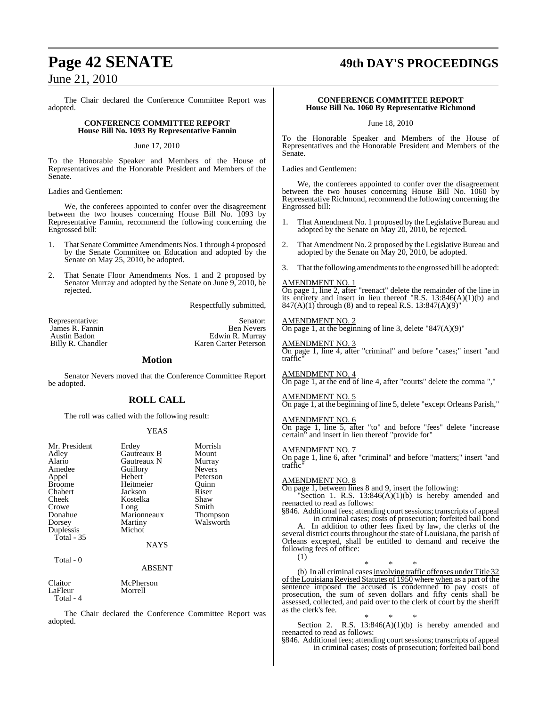The Chair declared the Conference Committee Report was adopted.

#### **CONFERENCE COMMITTEE REPORT House Bill No. 1093 By Representative Fannin**

June 17, 2010

To the Honorable Speaker and Members of the House of Representatives and the Honorable President and Members of the Senate.

Ladies and Gentlemen:

We, the conferees appointed to confer over the disagreement between the two houses concerning House Bill No. 1093 by Representative Fannin, recommend the following concerning the Engrossed bill:

- 1. That Senate Committee Amendments Nos. 1 through 4 proposed by the Senate Committee on Education and adopted by the Senate on May 25, 2010, be adopted.
- 2. That Senate Floor Amendments Nos. 1 and 2 proposed by Senator Murray and adopted by the Senate on June 9, 2010, be rejected.

Respectfully submitted,

Representative: Senator:

James R. Fannin Badon<br>
Ben Nevers Austin Badon<br>
Edwin R. Murray Austin Badon<br>
Billy R. Chandler<br>
Edwin R. Murray<br>
Karen Carter Peterson Karen Carter Peterson

#### **Motion**

Senator Nevers moved that the Conference Committee Report be adopted.

#### **ROLL CALL**

The roll was called with the following result:

#### YEAS

| Mr. President<br>Adley<br>Alario<br>Amedee<br>Appel<br><b>Broome</b><br>Chabert<br>Cheek<br>Crowe<br>Donahue<br>Dorsey<br>Duplessis<br>Total - 35 | Erdey<br>Gautreaux B<br>Gautreaux N<br>Guillory<br>Hebert<br>Heitmeier<br>Jackson<br>Kostelka<br>Long<br>Marionneaux<br>Martiny<br>Michot | Morrish<br>Mount<br>Murray<br><b>Nevers</b><br>Peterson<br>Ouinn<br>Riser<br>Shaw<br>Smith<br><b>Thompson</b><br>Walsworth |
|---------------------------------------------------------------------------------------------------------------------------------------------------|-------------------------------------------------------------------------------------------------------------------------------------------|----------------------------------------------------------------------------------------------------------------------------|
|                                                                                                                                                   | <b>NAYS</b>                                                                                                                               |                                                                                                                            |
| Total - 0                                                                                                                                         | <b>ABSENT</b>                                                                                                                             |                                                                                                                            |
| $C1$ <sub>a</sub> $\pm$ <sub>a</sub> $\pm$                                                                                                        | $M_2$ Dhanaan                                                                                                                             |                                                                                                                            |

Claitor McPherson LaFleur Total - 4

The Chair declared the Conference Committee Report was adopted.

## **Page 42 SENATE 49th DAY'S PROCEEDINGS**

#### **CONFERENCE COMMITTEE REPORT House Bill No. 1060 By Representative Richmond**

June 18, 2010

To the Honorable Speaker and Members of the House of Representatives and the Honorable President and Members of the Senate.

Ladies and Gentlemen:

We, the conferees appointed to confer over the disagreement between the two houses concerning House Bill No. 1060 by Representative Richmond, recommend the following concerning the Engrossed bill:

- 1. That Amendment No. 1 proposed by the Legislative Bureau and adopted by the Senate on May 20, 2010, be rejected.
- 2. That Amendment No. 2 proposed by the Legislative Bureau and adopted by the Senate on May 20, 2010, be adopted.
- That the following amendments to the engrossed bill be adopted:

#### AMENDMENT NO. 1

On page 1, line 2, after "reenact" delete the remainder of the line in its entirety and insert in lieu thereof "R.S. 13:846(A)(1)(b) and 847(A)(1) through (8) and to repeal R.S. 13:847(A)(9)"

## AMENDMENT NO. 2

On page 1, at the beginning of line 3, delete "847(A)(9)"

#### AMENDMENT NO. 3

On page 1, line 4, after "criminal" and before "cases;" insert "and traffic"

AMENDMENT NO. 4 On page 1, at the end of line 4, after "courts" delete the comma ","

AMENDMENT NO. 5

On page 1, at the beginning of line 5, delete "except Orleans Parish,"

AMENDMENT NO. 6 On page 1, line 5, after "to" and before "fees" delete "increase certain" and insert in lieu thereof "provide for"

#### AMENDMENT NO. 7

On page 1, line 6, after "criminal" and before "matters;" insert "and traffic"

#### AMENDMENT NO. 8

On page 1, between lines 8 and 9, insert the following:

"Section 1. R.S.  $13:846(A)(1)(b)$  is hereby amended and reenacted to read as follows:

§846. Additional fees; attending court sessions; transcripts of appeal in criminal cases; costs of prosecution; forfeited bail bond

In addition to other fees fixed by law, the clerks of the several district courts throughout the state of Louisiana, the parish of Orleans excepted, shall be entitled to demand and receive the following fees of office: (1)

\* \* \* (b) In all criminal cases involving traffic offenses under Title 32 of the Louisiana Revised Statutes of 1950 where when as a part of the sentence imposed the accused is condemned to pay costs of prosecution, the sum of seven dollars and fifty cents shall be assessed, collected, and paid over to the clerk of court by the sheriff as the clerk's fee.

\* \* \* Section 2. R.S.  $13:846(A)(1)(b)$  is hereby amended and reenacted to read as follows:

§846. Additional fees; attending court sessions; transcripts of appeal in criminal cases; costs of prosecution; forfeited bail bond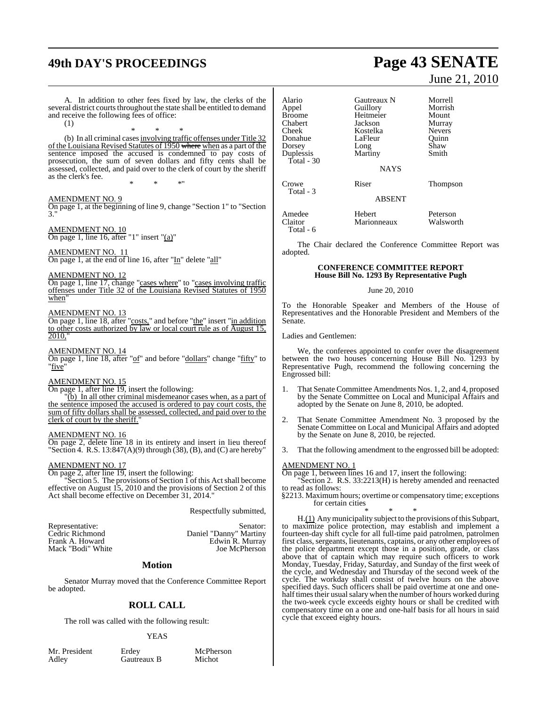## **49th DAY'S PROCEEDINGS Page 43 SENATE**

and receive the following fees of office:

(1)

as the clerk's fee.

#### June 21, 2010 In addition to other fees fixed by law, the clerks of the several district courts throughout the state shall be entitled to demand (b) In all criminal cases involving traffic offenses under Title 32 of the Louisiana Revised Statutes of 1950 where when as a part of the sentence imposed the accused is condemned to pay costs of prosecution, the sum of seven dollars and fifty cents shall be assessed, collected, and paid over to the clerk of court by the sheriff Alario Gautreaux N Morrell Appel Guillory Morrish Broome<br>
Broome<br>
Chabert Mackson Chabert Jackson Murray Kostelka<br>LaFleur Donahue LaFleur Quinn<br>Dorsey Long Shaw Dorsey Long Shaw Martiny Total - 30 **NAYS** Crowe Riser Thompson Total - 3 ABSENT Amedee Hebert Peterson **Marionneaux**

The Chair declared the Conference Committee Report was adopted.

#### **CONFERENCE COMMITTEE REPORT House Bill No. 1293 By Representative Pugh**

#### June 20, 2010

To the Honorable Speaker and Members of the House of Representatives and the Honorable President and Members of the Senate.

Ladies and Gentlemen:

Total - 6

We, the conferees appointed to confer over the disagreement between the two houses concerning House Bill No. 1293 by Representative Pugh, recommend the following concerning the Engrossed bill:

- 1. That Senate Committee Amendments Nos. 1, 2, and 4, proposed by the Senate Committee on Local and Municipal Affairs and adopted by the Senate on June 8, 2010, be adopted.
- 2. That Senate Committee Amendment No. 3 proposed by the Senate Committee on Local and Municipal Affairs and adopted by the Senate on June 8, 2010, be rejected.
- 3. That the following amendment to the engrossed bill be adopted:

#### AMENDMENT NO. 1

On page 1, between lines 16 and 17, insert the following:

Section 2. R.S. 33:2213(H) is hereby amended and reenacted

to read as follows: §2213. Maximum hours; overtime or compensatory time; exceptions for certain cities

\* \* \* H.(1) Any municipality subject to the provisions of this Subpart, to maximize police protection, may establish and implement a fourteen-day shift cycle for all full-time paid patrolmen, patrolmen first class, sergeants, lieutenants, captains, or any other employees of the police department except those in a position, grade, or class above that of captain which may require such officers to work Monday, Tuesday, Friday, Saturday, and Sunday of the first week of the cycle, and Wednesday and Thursday of the second week of the cycle. The workday shall consist of twelve hours on the above specified days. Such officers shall be paid overtime at one and onehalf times their usual salary when the number of hours worked during the two-week cycle exceeds eighty hours or shall be credited with compensatory time on a one and one-half basis for all hours in said cycle that exceed eighty hours.

\* \* \*" AMENDMENT NO. 9 On page 1, at the beginning of line 9, change "Section 1" to "Section 3." AMENDMENT NO. 10 On page 1, line 16, after "1" insert "(a)" AMENDMENT NO. 11 On page 1, at the end of line 16, after "In" delete "all" AMENDMENT NO. 12 On page 1, line 17, change "cases where" to "cases involving traffic offenses under Title 32 of the Louisiana Revised Statutes of 1950 when" AMENDMENT NO. 13 On page 1, line 18, after "costs," and before "the" insert "in addition to other costs authorized by law or local court rule as of August 15, 2010," AMENDMENT NO. 14 On page 1, line 18, after "of" and before "dollars" change "fifty" to "five AMENDMENT NO. 15 On page 1, after line 19, insert the following: "(b) In all other criminal misdemeanor cases when, as a part of the sentence imposed the accused is ordered to pay court costs, the sum of fifty dollars shall be assessed, collected, and paid over to the clerk of court by the sheriff. AMENDMENT NO. 16

\* \* \*

On page 2, delete line 18 in its entirety and insert in lieu thereof "Section 4. R.S.  $13:847(A)(9)$  through  $(38)$ ,  $(B)$ , and  $(C)$  are hereby"

#### AMENDMENT NO. 17

On page 2, after line 19, insert the following: "Section 5. The provisions of Section 1 of this Act shall become effective on August 15, 2010 and the provisions of Section 2 of this Act shall become effective on December 31, 2014."

Respectfully submitted,

Representative: Senator: Senator: Senator: Cedric Richmond Daniel "Danny" Martiny Cedric Richmond Daniel "Danny" Martiny Edwin R. Murray<br>Joe McPherson Mack "Bodi" White

## **Motion**

Senator Murray moved that the Conference Committee Report be adopted.

## **ROLL CALL**

The roll was called with the following result:

#### YEAS

Mr. President Erdey McPherson<br>Adley Gautreaux B Michot Gautreaux B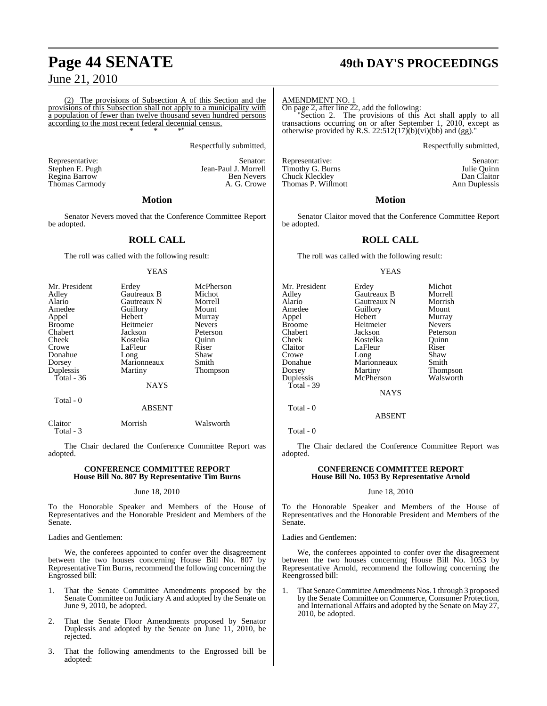(2) The provisions of Subsection A of this Section and the provisions of this Subsection shall not apply to a municipality with a population of fewer than twelve thousand seven hundred persons according to the most recent federal decennial census. \* \* \*"

Respectfully submitted,

Jean-Paul J. Morrell<br>Ben Nevers

Representative: Stephen E. Pugh Senator: Stephen E. Pugh Senator: Stephen E. Pugh Senator: Stephen E. Pugh Senator: Stephen E. Pugh Senator: Stephen E. Pugh Senator: Stephen E. Pugh Senator: Stephen E. Pugh Senator: Stephe Regina Barrow Ben Nevers Thomas Carmody

#### **Motion**

Senator Nevers moved that the Conference Committee Report be adopted.

#### **ROLL CALL**

The roll was called with the following result:

#### **YEAS**

| Mr. President | Erdey       | McPherson     |
|---------------|-------------|---------------|
| Adley         | Gautreaux B | Michot        |
| Alario        | Gautreaux N | Morrell       |
| Amedee        | Guillory    | Mount         |
| Appel         | Hebert      | Murray        |
| <b>Broome</b> | Heitmeier   | <b>Nevers</b> |
| Chabert       | Jackson     | Peterson      |
| Cheek         | Kostelka    | Ouinn         |
| Crowe         | LaFleur     | Riser         |
| Donahue       | Long        | Shaw          |
| Dorsey        | Marionneaux | Smith         |
| Duplessis     | Martiny     | Thompson      |
| Total - 36    |             |               |
|               | <b>NAYS</b> |               |
| Total - 0     |             |               |
|               | ABSENT      |               |

Claitor Morrish Walsworth Total - 3

The Chair declared the Conference Committee Report was adopted.

#### **CONFERENCE COMMITTEE REPORT House Bill No. 807 By Representative Tim Burns**

#### June 18, 2010

To the Honorable Speaker and Members of the House of Representatives and the Honorable President and Members of the Senate.

Ladies and Gentlemen:

We, the conferees appointed to confer over the disagreement between the two houses concerning House Bill No. 807 by Representative Tim Burns, recommend the following concerning the Engrossed bill:

- 1. That the Senate Committee Amendments proposed by the Senate Committee on Judiciary A and adopted by the Senate on June 9, 2010, be adopted.
- 2. That the Senate Floor Amendments proposed by Senator Duplessis and adopted by the Senate on June 11, 2010, be rejected.
- 3. That the following amendments to the Engrossed bill be adopted:

## **Page 44 SENATE 49th DAY'S PROCEEDINGS**

AMENDMENT NO. 1

On page 2, after line 22, add the following:

"Section 2. The provisions of this Act shall apply to all transactions occurring on or after September 1, 2010, except as otherwise provided by R.S.  $22:512(17)(b)(vi)(bb)$  and (gg)."

Respectfully submitted,

Representative: Senator: Senator: Senator: Senator: Senator: Senator: Senator: Senator: Senator: Senator: Senator: Senator: Senator: Senator: Senator: Senator: Senator: Senator: Senator: Senator: Senator: Senator: Senator: Timothy G. Burns **Institute Community Community** Suite Quinn<br>
Chuck Kleckley **Dan** Claitor Chuck Kleckley Dan Claitor<br>
Thomas P. Willmott Dan Church Ann Duplessis Thomas P. Willmott

#### **Motion**

Senator Claitor moved that the Conference Committee Report be adopted.

#### **ROLL CALL**

The roll was called with the following result:

#### YEAS

| Mr. President |             | Michot          |
|---------------|-------------|-----------------|
|               | Erdey       |                 |
| Adley         | Gautreaux B | Morrell         |
| Alario        | Gautreaux N | Morrish         |
| Amedee        | Guillory    | Mount           |
| Appel         | Hebert      | Murray          |
| Broome        | Heitmeier   | <b>Nevers</b>   |
| Chabert       | Jackson     | Peterson        |
| Cheek         | Kostelka    | Ouinn           |
| Claitor       | LaFleur     | Riser           |
| Crowe         | Long        | Shaw            |
| Donahue       | Marionneaux | Smith           |
| Dorsey        | Martiny     | <b>Thompson</b> |
| Duplessis     | McPherson   | Walsworth       |
| Total - 39    |             |                 |
|               | <b>NAYS</b> |                 |
|               |             |                 |

Total - 0

Total - 0

The Chair declared the Conference Committee Report was adopted.

ABSENT

#### **CONFERENCE COMMITTEE REPORT House Bill No. 1053 By Representative Arnold**

#### June 18, 2010

To the Honorable Speaker and Members of the House of Representatives and the Honorable President and Members of the Senate.

Ladies and Gentlemen:

We, the conferees appointed to confer over the disagreement between the two houses concerning House Bill No. 1053 by Representative Arnold, recommend the following concerning the Reengrossed bill:

1. That Senate Committee Amendments Nos. 1 through 3 proposed by the Senate Committee on Commerce, Consumer Protection, and International Affairs and adopted by the Senate on May 27, 2010, be adopted.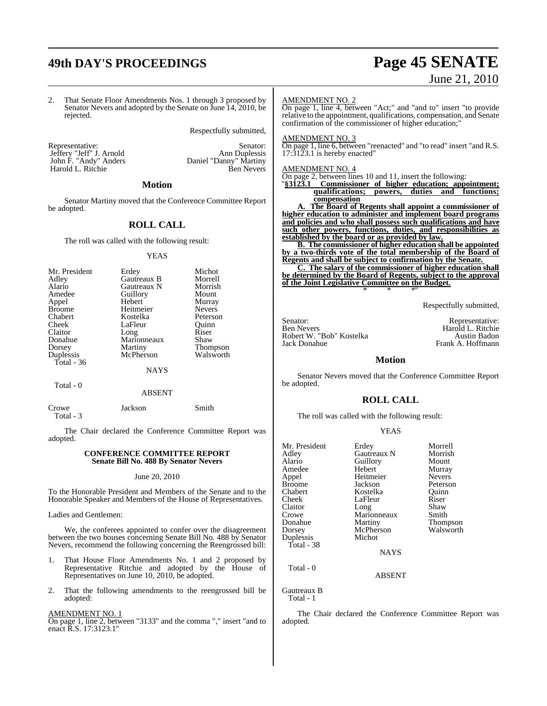## **49th DAY'S PROCEEDINGS Page 45 SENATE**

# June 21, 2010

2. That Senate Floor Amendments Nos. 1 through 3 proposed by Senator Nevers and adopted by the Senate on June 14, 2010, be rejected.

Respectfully submitted,

Jeffery "Jeff" J. Arnold<br>John F. "Andy" Anders Harold L. Ritchie

Representative: Senator: Senator: Senator: Senator: Senator: Senator: Senator: Senator: Senator: Senator: Senator: Senator: Senator: Senator: Senator: Senator: Senator: Senator: Senator: Senator: Senator: Senator: Senator: Daniel "Danny" Martiny<br>Ben Nevers

#### **Motion**

Senator Martiny moved that the Conference Committee Report be adopted.

#### **ROLL CALL**

The roll was called with the following result:

#### YEAS

| Mr. President | Erdey       | Michot          |
|---------------|-------------|-----------------|
| Adley         | Gautreaux B | Morrell         |
| Alario        | Gautreaux N | Morrish         |
| Amedee        | Guillory    | Mount           |
| Appel         | Hebert      | Murray          |
| <b>Broome</b> | Heitmeier   | <b>Nevers</b>   |
| Chabert       | Kostelka    | Peterson        |
| Cheek         | LaFleur     | Ouinn           |
| Claitor       | Long        | Riser           |
| Donahue       | Marionneaux | Shaw            |
| Dorsey        | Martiny     | <b>Thompson</b> |
| Duplessis     | McPherson   | Walsworth       |
| Total - 36    |             |                 |
|               | <b>NAYS</b> |                 |

Total - 0

ABSENT

Crowe Jackson Smith Total - 3

The Chair declared the Conference Committee Report was adopted.

#### **CONFERENCE COMMITTEE REPORT Senate Bill No. 488 By Senator Nevers**

#### June 20, 2010

To the Honorable President and Members of the Senate and to the Honorable Speaker and Members of the House of Representatives.

Ladies and Gentlemen:

We, the conferees appointed to confer over the disagreement between the two houses concerning Senate Bill No. 488 by Senator Nevers, recommend the following concerning the Reengrossed bill:

- 1. That House Floor Amendments No. 1 and 2 proposed by Representative Ritchie and adopted by the House of Representatives on June 10, 2010, be adopted.
- 2. That the following amendments to the reengrossed bill be adopted:

#### AMENDMENT NO. 1

On page 1, line 2, between "3133" and the comma "," insert "and to enact R.S. 17:3123.1"

#### AMENDMENT NO. 2

On page 1, line 4, between "Act;" and "and to" insert "to provide relative to the appointment, qualifications, compensation, and Senate confirmation of the commissioner of higher education;"

#### AMENDMENT NO. 3

On page 1, line 6, between "reenacted" and "to read" insert "and R.S. 17:3123.1 is hereby enacted"

#### AMENDMENT NO. 4

On page 2, between lines 10 and 11, insert the following:  $\sqrt[3]{3123.1}$  Commissioner of higher education; approximately

"**§3123.1 Commissioner of higher education; appointment; qualifications; powers, duties and functions; compensation**

**A. The Board of Regents shall appoint a commissioner of higher education to administer and implement board programs and policies and who shall possess such qualifications and have such other powers, functions, duties, and responsibilities as established by the board or as provided by law.**

**B. The commissioner of higher education shall be appointed by a two-thirds vote of the total membership of the Board of Regents and shall be subject to confirmation by the Senate.** 

**C. The salary of the commissioner of higher education shall be determined by the Board of Regents, subject to the approval of the Joint Legislative Committee on the Budget.** \* \* \*"

Respectfully submitted,

Senator: Representative: Ben Nevers Harold L. Ritchie Robert W. "Bob" Kostelka Austin Badon Jack Donahue Frank A. Hoffmann

#### **Motion**

Senator Nevers moved that the Conference Committee Report be adopted.

#### **ROLL CALL**

The roll was called with the following result:

#### YEAS

| Mr. President<br>Adley<br>Alario<br>Amedee<br>Appel<br><b>Broome</b><br>Chabert<br>Cheek<br>Claitor<br>Crowe<br>Donahue<br>Dorsey<br>Duplessis<br>Total - 38 | Erdey<br>Gautreaux N<br>Guillory<br>Hebert<br>Heitmeier<br>Jackson<br>Kostelka<br>LaFleur<br>Long<br>Marionneaux<br>Martiny<br>McPherson<br>Michot | Morrell<br>Morrish<br>Mount<br>Murray<br><b>Nevers</b><br>Peterson<br>Ouinn<br>Riser<br>Shaw<br>Smith<br>Thompson<br>Walsworth |
|--------------------------------------------------------------------------------------------------------------------------------------------------------------|----------------------------------------------------------------------------------------------------------------------------------------------------|--------------------------------------------------------------------------------------------------------------------------------|
|                                                                                                                                                              | <b>NAYS</b>                                                                                                                                        |                                                                                                                                |
| Total - 0                                                                                                                                                    |                                                                                                                                                    |                                                                                                                                |

ABSENT

Gautreaux B Total - 1

The Chair declared the Conference Committee Report was adopted.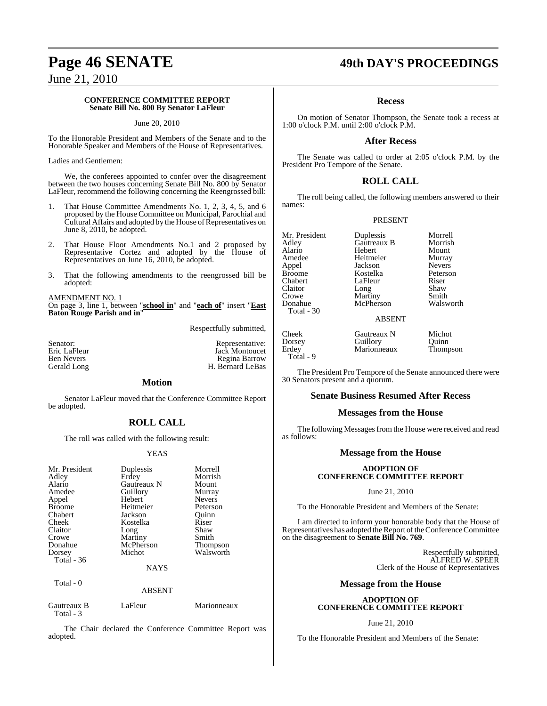#### **CONFERENCE COMMITTEE REPORT Senate Bill No. 800 By Senator LaFleur**

#### June 20, 2010

To the Honorable President and Members of the Senate and to the Honorable Speaker and Members of the House of Representatives.

Ladies and Gentlemen:

We, the conferees appointed to confer over the disagreement between the two houses concerning Senate Bill No. 800 by Senator LaFleur, recommend the following concerning the Reengrossed bill:

- 1. That House Committee Amendments No. 1, 2, 3, 4, 5, and 6 proposed by the House Committee on Municipal, Parochial and Cultural Affairs and adopted by the House of Representatives on June 8, 2010, be adopted.
- 2. That House Floor Amendments No.1 and 2 proposed by Representative Cortez and adopted by the House of Representatives on June 16, 2010, be adopted.
- 3. That the following amendments to the reengrossed bill be adopted:

AMENDMENT NO. 1

On page 3, line 1, between "**school in**" and "**each of**" insert "**East Baton Rouge Parish and in**"

Respectfully submitted,

| Senator:          |  |
|-------------------|--|
| Eric LaFleur      |  |
| <b>Ben Nevers</b> |  |
| Gerald Long       |  |

#### Representative: Jack Montoucet Regina Barrow H. Bernard LeBas

#### **Motion**

Senator LaFleur moved that the Conference Committee Report be adopted.

### **ROLL CALL**

The roll was called with the following result:

#### YEAS

| Mr. President<br>Adley<br>Alario<br>Amedee<br>Appel<br><b>Broome</b><br>Chabert<br>Cheek<br>Claitor<br>Crowe<br>Donahue<br>Dorsey<br>Total - 36 | Duplessis<br>Erdey<br>Gautreaux N<br>Guillory<br>Hebert<br>Heitmeier<br>Jackson<br>Kostelka<br>Long<br>Martiny<br>McPherson<br>Michot<br><b>NAYS</b> | Morrell<br>Morrish<br>Mount<br>Murray<br><b>Nevers</b><br>Peterson<br>Ouinn<br>Riser<br>Shaw<br>Smith<br><b>Thompson</b><br>Walsworth |
|-------------------------------------------------------------------------------------------------------------------------------------------------|------------------------------------------------------------------------------------------------------------------------------------------------------|---------------------------------------------------------------------------------------------------------------------------------------|
| Total $-0$                                                                                                                                      | <b>ABSENT</b>                                                                                                                                        |                                                                                                                                       |
| Gautreaux B                                                                                                                                     | LaFleur                                                                                                                                              | Marionneaux                                                                                                                           |

Total - 3

The Chair declared the Conference Committee Report was adopted.

## **Page 46 SENATE 49th DAY'S PROCEEDINGS**

#### **Recess**

On motion of Senator Thompson, the Senate took a recess at 1:00 o'clock P.M. until 2:00 o'clock P.M.

#### **After Recess**

The Senate was called to order at 2:05 o'clock P.M. by the President Pro Tempore of the Senate.

#### **ROLL CALL**

The roll being called, the following members answered to their names:

#### PRESENT

Mr. President Duplessis Morrell<br>Adley Gautreaux B Morrish Alario Hebert Mount Amedee Heitmeier Murray<br>Appel Jackson Nevers Appel Jackson Nevers Broome Kostelka Peterson Claitor Long Shaw<br>Crowe Martiny Smith Crowe Martiny Smith<br>
Donahue McPherson Walsworth Total - 30

**Gautreaux B** Morrish<br> **Hebert** Mount LaFleur Riser<br>Long Shaw McPherson

ABSENT

Cheek Gautreaux N Michot<br>Dorsey Guillory Quinn Dorsey Guillory Quinn<br>
Erdey Marionneaux Thompson Total - 9

Marionneaux

The President Pro Tempore of the Senate announced there were 30 Senators present and a quorum.

#### **Senate Business Resumed After Recess**

#### **Messages from the House**

The following Messages from the House were received and read as follows:

#### **Message from the House**

#### **ADOPTION OF CONFERENCE COMMITTEE REPORT**

June 21, 2010

To the Honorable President and Members of the Senate:

I am directed to inform your honorable body that the House of Representatives has adopted the Report of the Conference Committee on the disagreement to **Senate Bill No. 769**.

> Respectfully submitted, ALFRED W. SPEER Clerk of the House of Representatives

#### **Message from the House**

#### **ADOPTION OF CONFERENCE COMMITTEE REPORT**

#### June 21, 2010

To the Honorable President and Members of the Senate: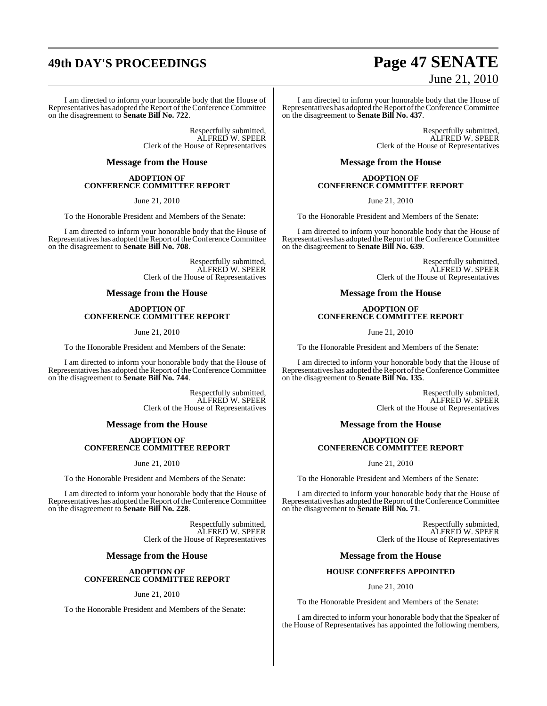## **49th DAY'S PROCEEDINGS Page 47 SENATE**

I am directed to inform your honorable body that the House of Representatives has adopted the Report of the Conference Committee on the disagreement to **Senate Bill No. 722**.

> Respectfully submitted, ALFRED W. SPEER Clerk of the House of Representatives

#### **Message from the House**

#### **ADOPTION OF CONFERENCE COMMITTEE REPORT**

June 21, 2010

To the Honorable President and Members of the Senate:

I am directed to inform your honorable body that the House of Representatives has adopted the Report of the Conference Committee on the disagreement to **Senate Bill No. 708**.

> Respectfully submitted, ALFRED W. SPEER Clerk of the House of Representatives

#### **Message from the House**

#### **ADOPTION OF CONFERENCE COMMITTEE REPORT**

June 21, 2010

To the Honorable President and Members of the Senate:

I am directed to inform your honorable body that the House of Representatives has adopted the Report of the Conference Committee on the disagreement to **Senate Bill No. 744**.

> Respectfully submitted, ALFRED W. SPEER Clerk of the House of Representatives

#### **Message from the House**

#### **ADOPTION OF CONFERENCE COMMITTEE REPORT**

June 21, 2010

To the Honorable President and Members of the Senate:

I am directed to inform your honorable body that the House of Representatives has adopted the Report of the Conference Committee on the disagreement to **Senate Bill No. 228**.

> Respectfully submitted, ALFRED W. SPEER Clerk of the House of Representatives

#### **Message from the House**

#### **ADOPTION OF CONFERENCE COMMITTEE REPORT**

June 21, 2010

To the Honorable President and Members of the Senate:

# June 21, 2010

I am directed to inform your honorable body that the House of Representatives has adopted the Report of the Conference Committee on the disagreement to **Senate Bill No. 437**.

> Respectfully submitted, ALFRED W. SPEER Clerk of the House of Representatives

### **Message from the House**

#### **ADOPTION OF CONFERENCE COMMITTEE REPORT**

June 21, 2010

To the Honorable President and Members of the Senate:

I am directed to inform your honorable body that the House of Representatives has adopted the Report of the Conference Committee on the disagreement to **Senate Bill No. 639**.

> Respectfully submitted, ALFRED W. SPEER Clerk of the House of Representatives

#### **Message from the House**

#### **ADOPTION OF CONFERENCE COMMITTEE REPORT**

June 21, 2010

To the Honorable President and Members of the Senate:

I am directed to inform your honorable body that the House of Representatives has adopted the Report of the Conference Committee on the disagreement to **Senate Bill No. 135**.

> Respectfully submitted, ALFRED W. SPEER Clerk of the House of Representatives

#### **Message from the House**

#### **ADOPTION OF CONFERENCE COMMITTEE REPORT**

June 21, 2010

To the Honorable President and Members of the Senate:

I am directed to inform your honorable body that the House of Representatives has adopted the Report of the Conference Committee on the disagreement to **Senate Bill No. 71**.

> Respectfully submitted, ALFRED W. SPEER Clerk of the House of Representatives

#### **Message from the House**

#### **HOUSE CONFEREES APPOINTED**

#### June 21, 2010

To the Honorable President and Members of the Senate:

I am directed to inform your honorable body that the Speaker of the House of Representatives has appointed the following members,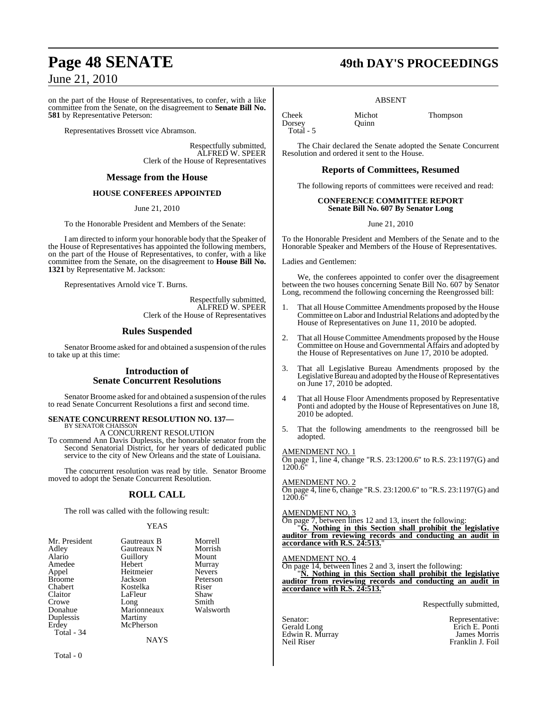on the part of the House of Representatives, to confer, with a like committee from the Senate, on the disagreement to **Senate Bill No. 581** by Representative Peterson:

Representatives Brossett vice Abramson.

Respectfully submitted, ALFRED W. SPEER Clerk of the House of Representatives

#### **Message from the House**

#### **HOUSE CONFEREES APPOINTED**

June 21, 2010

To the Honorable President and Members of the Senate:

I am directed to inform your honorable body that the Speaker of the House of Representatives has appointed the following members, on the part of the House of Representatives, to confer, with a like committee from the Senate, on the disagreement to **House Bill No. 1321** by Representative M. Jackson:

Representatives Arnold vice T. Burns.

Respectfully submitted, ALFRED W. SPEER Clerk of the House of Representatives

#### **Rules Suspended**

Senator Broome asked for and obtained a suspension of the rules to take up at this time:

#### **Introduction of Senate Concurrent Resolutions**

Senator Broome asked for and obtained a suspension of the rules to read Senate Concurrent Resolutions a first and second time.

#### **SENATE CONCURRENT RESOLUTION NO. 137—** BY SENATOR CHAISSO

A CONCURRENT RESOLUTION To commend Ann Davis Duplessis, the honorable senator from the Second Senatorial District, for her years of dedicated public service to the city of New Orleans and the state of Louisiana.

The concurrent resolution was read by title. Senator Broome moved to adopt the Senate Concurrent Resolution.

## **ROLL CALL**

The roll was called with the following result:

#### YEAS

| Mr. President | Gautreaux B         | Morrell       |
|---------------|---------------------|---------------|
| Adley         | Gautreaux N         | Morrish       |
| Alario        | Guillory            | Mount         |
| Amedee        | Hebert              | Murray        |
| Appel         | Heitmeier           | <b>Nevers</b> |
| <b>Broome</b> | Jackson             | Peterson      |
| Chabert       | Kostelka            | Riser         |
| Claitor       | LaFleur             | Shaw          |
| Crowe         |                     | Smith         |
| Donahue       | Long<br>Marionneaux | Walsworth     |
| Duplessis     | Martiny             |               |
| Erdey         | McPherson           |               |
| Total - 34    |                     |               |
|               | NAYS                |               |

Total - 0

## **Page 48 SENATE 49th DAY'S PROCEEDINGS**

#### ABSENT

Cheek Michot Thompson Dorsey Total - 5

The Chair declared the Senate adopted the Senate Concurrent Resolution and ordered it sent to the House.

#### **Reports of Committees, Resumed**

The following reports of committees were received and read:

#### **CONFERENCE COMMITTEE REPORT Senate Bill No. 607 By Senator Long**

June 21, 2010

To the Honorable President and Members of the Senate and to the Honorable Speaker and Members of the House of Representatives.

Ladies and Gentlemen:

We, the conferees appointed to confer over the disagreement between the two houses concerning Senate Bill No. 607 by Senator Long, recommend the following concerning the Reengrossed bill:

- 1. That all House Committee Amendments proposed by the House Committee on Labor and Industrial Relations and adopted by the House of Representatives on June 11, 2010 be adopted.
- 2. That all House Committee Amendments proposed by the House Committee on House and Governmental Affairs and adopted by the House of Representatives on June 17, 2010 be adopted.
- 3. That all Legislative Bureau Amendments proposed by the Legislative Bureau and adopted by the House of Representatives on June 17, 2010 be adopted.
- 4 That all House Floor Amendments proposed by Representative Ponti and adopted by the House of Representatives on June 18, 2010 be adopted.
- 5. That the following amendments to the reengrossed bill be adopted.

#### AMENDMENT NO. 1

On page 1, line 4, change "R.S. 23:1200.6" to R.S. 23:1197(G) and  $1200.\delta$ 

AMENDMENT NO. 2

On page 4, line 6, change "R.S. 23:1200.6" to "R.S. 23:1197(G) and 1200.6"

#### AMENDMENT NO. 3

On page 7, between lines 12 and 13, insert the following: "**G. Nothing in this Section shall prohibit the legislative**

**auditor from reviewing records and conducting an audit in accordance with R.S. 24:513.**"

#### AMENDMENT NO. 4

On page 14, between lines 2 and 3, insert the following: **N.** Nothing in this Section shall prohibit the legislative **auditor from reviewing records and conducting an audit in accordance with R.S. 24:513.**"

Respectfully submitted,

Senator: Representative: Edwin R. Murray<br>Neil Riser

Erich E. Ponti<br>James Morris Franklin J. Foil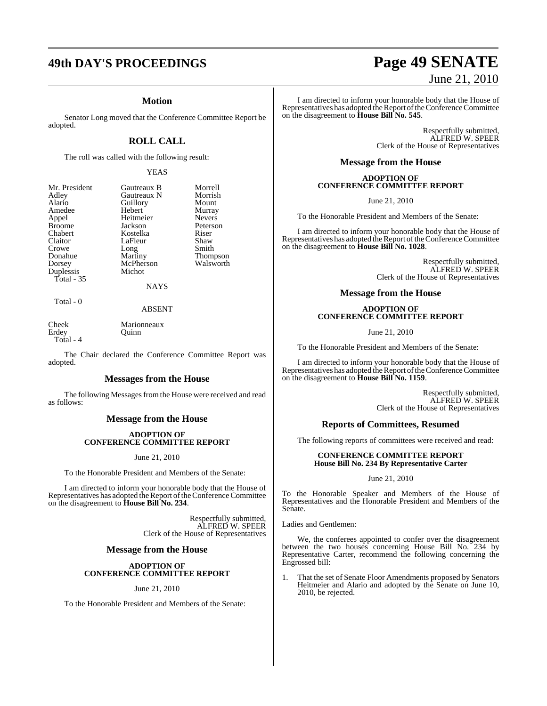## **49th DAY'S PROCEEDINGS Page 49 SENATE**

#### **Motion**

Senator Long moved that the Conference Committee Report be adopted.

## **ROLL CALL**

The roll was called with the following result:

#### YEAS

| Mr. President<br>Adley<br>Alario<br>Amedee<br>Appel<br><b>Broome</b><br>Chabert<br>Claitor<br>Crowe<br>Donahue<br>Dorsey | Gautreaux B<br>Gautreaux N<br>Guillory<br>Hebert<br>Heitmeier<br>Jackson<br>Kostelka<br>LaFleur<br>Long<br>Martiny<br>McPherson | Morrell<br>Morrish<br>Mount<br>Murray<br><b>Nevers</b><br>Peterson<br>Riser<br>Shaw<br>Smith<br><b>Thompson</b><br>Walsworth |
|--------------------------------------------------------------------------------------------------------------------------|---------------------------------------------------------------------------------------------------------------------------------|------------------------------------------------------------------------------------------------------------------------------|
|                                                                                                                          |                                                                                                                                 |                                                                                                                              |
| Duplessis<br>Total $-35$                                                                                                 | Michot                                                                                                                          |                                                                                                                              |
|                                                                                                                          | <b>NAYS</b>                                                                                                                     |                                                                                                                              |

ABSENT

Cheek Marionneaux<br>
Erdev Ouinn Erdey Total - 4

Total - 0

The Chair declared the Conference Committee Report was adopted.

#### **Messages from the House**

The following Messages from the House were received and read as follows:

#### **Message from the House**

#### **ADOPTION OF CONFERENCE COMMITTEE REPORT**

#### June 21, 2010

To the Honorable President and Members of the Senate:

I am directed to inform your honorable body that the House of Representatives has adopted the Report of the Conference Committee on the disagreement to **House Bill No. 234**.

> Respectfully submitted, ALFRED W. SPEER Clerk of the House of Representatives

#### **Message from the House**

#### **ADOPTION OF CONFERENCE COMMITTEE REPORT**

June 21, 2010

To the Honorable President and Members of the Senate:

# June 21, 2010

I am directed to inform your honorable body that the House of Representatives has adopted the Report of the Conference Committee on the disagreement to **House Bill No. 545**.

> Respectfully submitted, ALFRED W. SPEER Clerk of the House of Representatives

#### **Message from the House**

#### **ADOPTION OF CONFERENCE COMMITTEE REPORT**

June 21, 2010

To the Honorable President and Members of the Senate:

I am directed to inform your honorable body that the House of Representatives has adopted the Report of the Conference Committee on the disagreement to **House Bill No. 1028**.

> Respectfully submitted, ALFRED W. SPEER Clerk of the House of Representatives

#### **Message from the House**

#### **ADOPTION OF CONFERENCE COMMITTEE REPORT**

June 21, 2010

To the Honorable President and Members of the Senate:

I am directed to inform your honorable body that the House of Representatives has adopted the Report of the Conference Committee on the disagreement to **House Bill No. 1159**.

> Respectfully submitted, ALFRED W. SPEER Clerk of the House of Representatives

#### **Reports of Committees, Resumed**

The following reports of committees were received and read:

#### **CONFERENCE COMMITTEE REPORT House Bill No. 234 By Representative Carter**

#### June 21, 2010

To the Honorable Speaker and Members of the House of Representatives and the Honorable President and Members of the Senate.

Ladies and Gentlemen:

We, the conferees appointed to confer over the disagreement between the two houses concerning House Bill No. 234 by Representative Carter, recommend the following concerning the Engrossed bill:

1. That the set of Senate Floor Amendments proposed by Senators Heitmeier and Alario and adopted by the Senate on June 10, 2010, be rejected.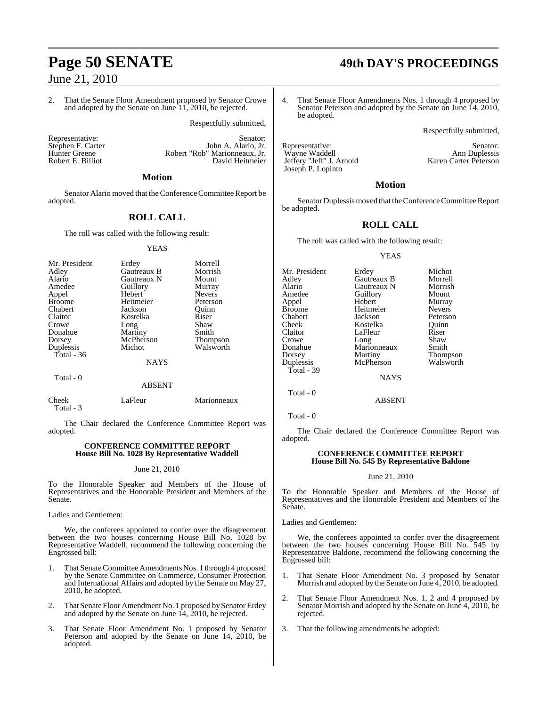2. That the Senate Floor Amendment proposed by Senator Crowe and adopted by the Senate on June 11, 2010, be rejected.

Respectfully submitted,

Robert E. Billiot

Representative: Stephen F. Carter (Stephen F. Carter (Stephen F. Carter (Stephen F. Carter (Stephen F. Carter (Stephen F. Carter (Stephen F. 2014) Stephen F. Carter **Iohn A. Alario, Jr.**<br>Hunter Greene **Robert "Rob" Marionneaux** Jr. Robert "Rob" Marionneaux, Jr.<br>David Heitmeier

### **Motion**

Senator Alario moved that the Conference Committee Report be adopted.

## **ROLL CALL**

The roll was called with the following result:

#### YEAS

| Mr. President           | Erdey       | Morrell         |
|-------------------------|-------------|-----------------|
| Adley                   | Gautreaux B | Morrish         |
| Alario                  | Gautreaux N | Mount           |
| Amedee                  | Guillory    | Murray          |
| Appel                   | Hebert      | <b>Nevers</b>   |
| <b>Broome</b>           | Heitmeier   | Peterson        |
| Chabert                 | Jackson     | Ouinn           |
| Claitor                 | Kostelka    | Riser           |
| Crowe                   | Long        | Shaw            |
| Donahue                 | Martiny     | Smith           |
| Dorsey                  | McPherson   | <b>Thompson</b> |
| Duplessis<br>Total - 36 | Michot      | Walsworth       |
|                         | <b>NAYS</b> |                 |

Total - 0

#### ABSENT

| Cheek     | LaFleur | Marionneaux |
|-----------|---------|-------------|
| Total - 3 |         |             |

The Chair declared the Conference Committee Report was adopted.

#### **CONFERENCE COMMITTEE REPORT House Bill No. 1028 By Representative Waddell**

#### June 21, 2010

To the Honorable Speaker and Members of the House of Representatives and the Honorable President and Members of the Senate.

Ladies and Gentlemen:

We, the conferees appointed to confer over the disagreement between the two houses concerning House Bill No. 1028 by Representative Waddell, recommend the following concerning the Engrossed bill:

- 1. That Senate Committee Amendments Nos. 1 through 4 proposed by the Senate Committee on Commerce, Consumer Protection and International Affairs and adopted by the Senate on May 27, 2010, be adopted.
- 2. That Senate Floor Amendment No. 1 proposed by Senator Erdey and adopted by the Senate on June 14, 2010, be rejected.
- 3. That Senate Floor Amendment No. 1 proposed by Senator Peterson and adopted by the Senate on June 14, 2010, be adopted.

# **Page 50 SENATE 49th DAY'S PROCEEDINGS**

4. That Senate Floor Amendments Nos. 1 through 4 proposed by Senator Peterson and adopted by the Senate on June 14, 2010, be adopted.

Respectfully submitted,

Representative: Senator: Senator: Senator: Senator: Senator: Senator: Senator: Senator: Senator: Senator: Senator: Senator: Senator: Senator: Senator: Senator: Senator: Senator: Senator: Senator: Senator: Senator: Senator: Wayne Waddell<br>
Jeffery "Jeff" J. Arnold Karen Carter Peterson Jeffery "Jeff" J. Arnold Joseph P. Lopinto

#### **Motion**

Senator Duplessis moved that the Conference Committee Report be adopted.

### **ROLL CALL**

The roll was called with the following result:

#### YEAS

| Erdey       | Michot                 |
|-------------|------------------------|
|             | Morrell                |
| Gautreaux N | Morrish                |
| Guillory    | Mount                  |
| Hebert      | Murray                 |
| Heitmeier   | <b>Nevers</b>          |
| Jackson     | Peterson               |
| Kostelka    | Ouinn                  |
| LaFleur     | Riser                  |
| Long        | Shaw                   |
| Marionneaux | Smith                  |
|             | Thompson               |
| McPherson   | Walsworth              |
|             |                        |
|             | Gautreaux B<br>Martiny |

NAYS

Total - 0

Total - 0

The Chair declared the Conference Committee Report was adopted.

#### **CONFERENCE COMMITTEE REPORT House Bill No. 545 By Representative Baldone**

#### June 21, 2010

To the Honorable Speaker and Members of the House of Representatives and the Honorable President and Members of the Senate.

Ladies and Gentlemen:

We, the conferees appointed to confer over the disagreement between the two houses concerning House Bill No. 545 by Representative Baldone, recommend the following concerning the Engrossed bill:

- 1. That Senate Floor Amendment No. 3 proposed by Senator Morrish and adopted by the Senate on June 4, 2010, be adopted.
- 2. That Senate Floor Amendment Nos. 1, 2 and 4 proposed by Senator Morrish and adopted by the Senate on June 4, 2010, be rejected.
- 3. That the following amendments be adopted:

ABSENT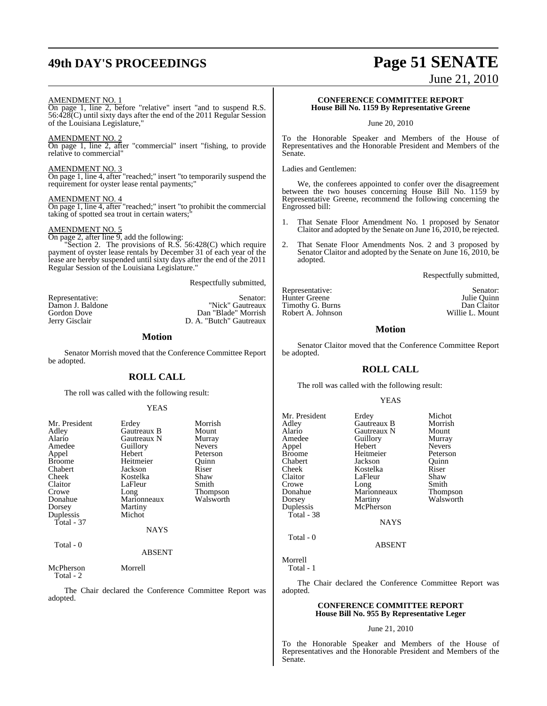## **49th DAY'S PROCEEDINGS Page 51 SENATE**

June 21, 2010

#### AMENDMENT NO. 1

On page 1, line 2, before "relative" insert "and to suspend R.S. 56:428(C) until sixty days after the end of the 2011 Regular Session of the Louisiana Legislature,"

#### AMENDMENT NO. 2

On page 1, line 2, after "commercial" insert "fishing, to provide relative to commercial"

#### AMENDMENT NO. 3

On page 1, line 4, after "reached;" insert "to temporarily suspend the requirement for oyster lease rental payments;"

#### AMENDMENT NO. 4

On page 1, line 4, after "reached;" insert "to prohibit the commercial taking of spotted sea trout in certain waters;

#### AMENDMENT NO. 5

On page 2, after line 9, add the following: "Section 2. The provisions of R.S. 56:428(C) which require

payment of oyster lease rentals by December 31 of each year of the lease are hereby suspended until sixty days after the end of the 2011 Regular Session of the Louisiana Legislature."

Respectfully submitted,

| Representative:  | Senator:                |
|------------------|-------------------------|
| Damon J. Baldone | "Nick" Gautreaux        |
| Gordon Dove      | Dan "Blade" Morrish     |
| Jerry Gisclair   | D. A. "Butch" Gautreaux |

#### **Motion**

Senator Morrish moved that the Conference Committee Report be adopted.

#### **ROLL CALL**

The roll was called with the following result:

#### YEAS

| Mr. President | Erdey         | Morrish       |
|---------------|---------------|---------------|
| Adley         | Gautreaux B   | Mount         |
| Alario        | Gautreaux N   | Murray        |
| Amedee        | Guillory      | <b>Nevers</b> |
| Appel         | Hebert        | Peterson      |
| <b>Broome</b> | Heitmeier     | Quinn         |
| Chabert       | Jackson       | Riser         |
| Cheek         | Kostelka      | Shaw          |
| Claitor       | LaFleur       | Smith         |
| Crowe         | Long          | Thompson      |
| Donahue       | Marionneaux   | Walsworth     |
| Dorsey        | Martiny       |               |
| Duplessis     | Michot        |               |
| Total - 37    |               |               |
|               | <b>NAYS</b>   |               |
| Total - 0     |               |               |
|               | <b>ABSENT</b> |               |
| McPherson     | Morrell       |               |

Total - 2

The Chair declared the Conference Committee Report was adopted.

#### **CONFERENCE COMMITTEE REPORT House Bill No. 1159 By Representative Greene**

June 20, 2010

To the Honorable Speaker and Members of the House of Representatives and the Honorable President and Members of the Senate.

Ladies and Gentlemen:

We, the conferees appointed to confer over the disagreement between the two houses concerning House Bill No. 1159 by Representative Greene, recommend the following concerning the Engrossed bill:

- 1. That Senate Floor Amendment No. 1 proposed by Senator Claitor and adopted by the Senate on June 16, 2010, be rejected.
- 2. That Senate Floor Amendments Nos. 2 and 3 proposed by Senator Claitor and adopted by the Senate on June 16, 2010, be adopted.

Respectfully submitted,

Representative: Senator: Senator: Senator: Senator: Senator: Senator: Senator: Senator: Senator: Senator: Senator: Senator: Senator: Senator: Senator: Senator: Senator: Senator: Senator: Senator: Senator: Senator: Senator: Hunter Greene Julie Quinn<br>Timothy G. Burns **Dan Claiter** Dan Claitor Timothy G. Burns Dan Claitor<br>
Robert A. Johnson Dan Collie L. Mount Robert A. Johnson

**Motion**

Senator Claitor moved that the Conference Committee Report be adopted.

### **ROLL CALL**

The roll was called with the following result:

#### YEAS

| Mr. President<br>Adley<br>Alario<br>Amedee<br>Appel<br>Broome<br>Chabert<br>Cheek<br>Claitor<br>Crowe<br>Donahue<br>Dorsey<br>Duplessis<br>Total - 38 | Erdey<br>Gautreaux B<br>Gautreaux N<br>Guillory<br>Hebert<br>Heitmeier<br>Jackson<br>Kostelka<br>LaFleur<br>Long<br>Marionneaux<br>Martiny<br>McPherson<br><b>NAYS</b> | Michot<br>Morrish<br>Mount<br>Murray<br><b>Nevers</b><br>Peterson<br>Ouinn<br>Riser<br>Shaw<br>Smith<br><b>Thompson</b><br>Walsworth |
|-------------------------------------------------------------------------------------------------------------------------------------------------------|------------------------------------------------------------------------------------------------------------------------------------------------------------------------|--------------------------------------------------------------------------------------------------------------------------------------|
| Total - 0                                                                                                                                             | <b>ABSENT</b>                                                                                                                                                          |                                                                                                                                      |

Morrell Total - 1

The Chair declared the Conference Committee Report was adopted.

#### **CONFERENCE COMMITTEE REPORT House Bill No. 955 By Representative Leger**

June 21, 2010

To the Honorable Speaker and Members of the House of Representatives and the Honorable President and Members of the Senate.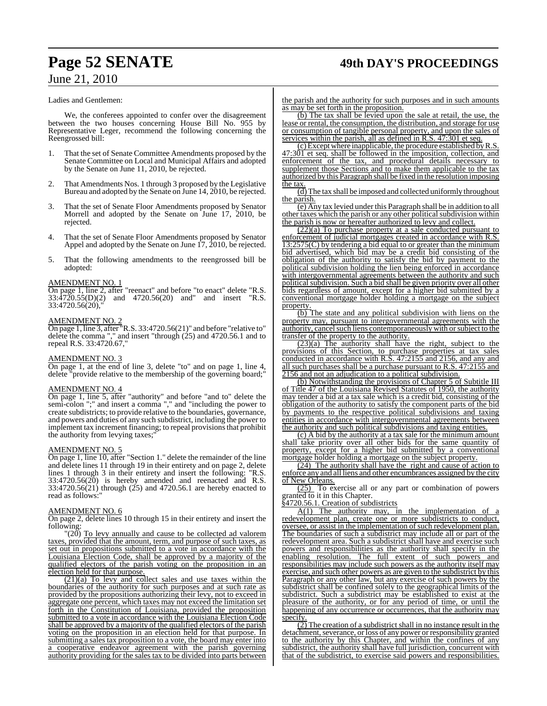## **Page 52 SENATE 49th DAY'S PROCEEDINGS**

## June 21, 2010

#### Ladies and Gentlemen:

We, the conferees appointed to confer over the disagreement between the two houses concerning House Bill No. 955 by Representative Leger, recommend the following concerning the Reengrossed bill:

- 1. That the set of Senate Committee Amendments proposed by the Senate Committee on Local and Municipal Affairs and adopted by the Senate on June 11, 2010, be rejected.
- 2. That Amendments Nos. 1 through 3 proposed by the Legislative Bureau and adopted by the Senate on June 14, 2010, be rejected.
- 3. That the set of Senate Floor Amendments proposed by Senator Morrell and adopted by the Senate on June 17, 2010, be rejected.
- 4. That the set of Senate Floor Amendments proposed by Senator Appel and adopted by the Senate on June 17, 2010, be rejected.
- 5. That the following amendments to the reengrossed bill be adopted:

#### AMENDMENT NO. 1

On page 1, line 2, after "reenact" and before "to enact" delete "R.S. 33:4720.55(D)(2) and 4720.56(20) and" and insert "R.S.  $33:4720.56(20)$ ,

#### AMENDMENT NO. 2

On page 1, line 3, after "R.S. 33:4720.56(21)" and before "relative to" delete the comma "," and insert "through (25) and 4720.56.1 and to repeal R.S. 33:4720.67,

#### AMENDMENT NO. 3

On page 1, at the end of line 3, delete "to" and on page 1, line 4, delete "provide relative to the membership of the governing board;"

#### AMENDMENT NO. 4

On page 1, line 5, after "authority" and before "and to" delete the semi-colon ";" and insert a comma "," and "including the power to create subdistricts; to provide relative to the boundaries, governance, and powers and duties of any such subdistrict, including the power to implement tax increment financing; to repeal provisionsthat prohibit the authority from levying taxes;"

#### AMENDMENT NO. 5

On page 1, line 10, after "Section 1." delete the remainder of the line and delete lines 11 through 19 in their entirety and on page 2, delete lines 1 through 3 in their entirety and insert the following: "R.S.  $33:4720.56(20)$  is hereby amended and reenacted and R.S. 33:4720.56(21) through (25) and 4720.56.1 are hereby enacted to read as follows:"

#### AMENDMENT NO. 6

On page 2, delete lines 10 through 15 in their entirety and insert the following:

 $\Gamma(20)$  To levy annually and cause to be collected ad valorem taxes, provided that the amount, term, and purpose of such taxes, as set out in propositions submitted to a vote in accordance with the Louisiana Election Code, shall be approved by a majority of the qualified electors of the parish voting on the proposition in an election held for that purpose.

(21)(a) To levy and collect sales and use taxes within the boundaries of the authority for such purposes and at such rate as provided by the propositions authorizing their levy, not to exceed in aggregate one percent, which taxes may not exceed the limitation set forth in the Constitution of Louisiana, provided the proposition submitted to a vote in accordance with the Louisiana Election Code shall be approved by a majority of the qualified electors of the parish voting on the proposition in an election held for that purpose. In submitting a sales tax proposition to a vote, the board may enter into a cooperative endeavor agreement with the parish governing authority providing for the sales tax to be divided into parts between

the parish and the authority for such purposes and in such amounts as may be set forth in the proposition.

(b) The tax shall be levied upon the sale at retail, the use, the lease or rental, the consumption, the distribution, and storage for use or consumption of tangible personal property, and upon the sales of services within the parish, all as defined in R.S. 47:301 et seq.

(c)Except where inapplicable, the procedure established byR.S. 47:301 et seq. shall be followed in the imposition, collection, and enforcement of the tax, and procedural details necessary to supplement those Sections and to make them applicable to the tax authorized by this Paragraph shall be fixed in the resolution imposing the tax.

(d) The tax shall be imposed and collected uniformly throughout the parish.

(e) Any tax levied under this Paragraph shall be in addition to all other taxes which the parish or any other political subdivision within the parish is now or hereafter authorized to levy and collect.

(22)(a) To purchase property at a sale conducted pursuant to enforcement of judicial mortgages created in accordance with R.S. 13:2575(C) by tendering a bid equal to or greater than the minimum bid advertised, which bid may be a credit bid consisting of the obligation of the authority to satisfy the bid by payment to the political subdivision holding the lien being enforced in accordance with intergovernmental agreements between the authority and such political subdivision. Such a bid shall be given priority over all other bids regardless of amount, except for a higher bid submitted by a conventional mortgage holder holding a mortgage on the subject property.

(b) The state and any political subdivision with liens on the property may, pursuant to intergovernmental agreements with the authority, cancel such liens contemporaneously with or subject to the transfer of the property to the authority.

(23)(a) The authority shall have the right, subject to the provisions of this Section, to purchase properties at tax sales conducted in accordance with R.S. 47:2155 and 2156, and any and all such purchases shall be a purchase pursuant to R.S. 47:2155 and 2156 and not an adjudication to a political subdivision.

(b) Notwithstanding the provisions of Chapter 5 of Subtitle III of Title 47 of the Louisiana Revised Statutes of 1950, the authority may tender a bid at a tax sale which is a credit bid, consisting of the obligation of the authority to satisfy the component parts of the bid by payments to the respective political subdivisions and taxing entities in accordance with intergovernmental agreements between the authority and such political subdivisions and taxing entities.

(c) A bid by the authority at a tax sale for the minimum amount shall take priority over all other bids for the same quantity of property, except for a higher bid submitted by a conventional mortgage holder holding a mortgage on the subject property.

(24) The authority shall have the right and cause of action to enforce any and all liens and other encumbrances assigned by the city of New Orleans.

(25) To exercise all or any part or combination of powers granted to it in this Chapter.

§4720.56.1. Creation of subdistricts

A(1) The authority may, in the implementation of a redevelopment plan, create one or more subdistricts to conduct, oversee, or assist in the implementation of such redevelopment plan. The boundaries of such a subdistrict may include all or part of the redevelopment area. Such a subdistrict shall have and exercise such powers and responsibilities as the authority shall specify in the enabling resolution. The full extent of such powers and responsibilities may include such powers as the authority itself may exercise, and such other powers as are given to the subdistrict by this Paragraph or any other law, but any exercise of such powers by the subdistrict shall be confined solely to the geographical limits of the subdistrict. Such a subdistrict may be established to exist at the pleasure of the authority, or for any period of time, or until the happening of any occurrence or occurrences, that the authority may specify.

 $\overline{(2)}$  The creation of a subdistrict shall in no instance result in the detachment, severance, or loss of any power or responsibility granted to the authority by this Chapter, and within the confines of any subdistrict, the authority shall have full jurisdiction, concurrent with that of the subdistrict, to exercise said powers and responsibilities.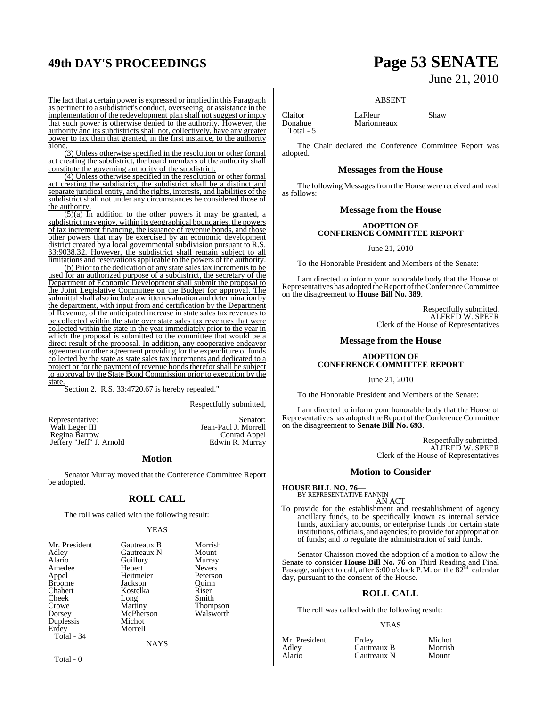## **49th DAY'S PROCEEDINGS Page 53 SENATE**

# June 21, 2010

ABSENT

Claitor LaFleur Shaw<br>Donahue Marionneaux Shaw Marionneaux

Total - 5

adopted.

The fact that a certain power is expressed or implied in this Paragraph as pertinent to a subdistrict's conduct, overseeing, or assistance in the implementation of the redevelopment plan shall not suggest or imply that such power is otherwise denied to the authority. However, the authority and its subdistricts shall not, collectively, have any greater power to tax than that granted, in the first instance, to the authority alone.

(3) Unless otherwise specified in the resolution or other formal act creating the subdistrict, the board members of the authority shall constitute the governing authority of the subdistrict.

(4) Unless otherwise specified in the resolution or other formal act creating the subdistrict, the subdistrict shall be a distinct and separate juridical entity, and the rights, interests, and liabilities of the subdistrict shall not under any circumstances be considered those of the authority.

 $(5)(a)$  In addition to the other powers it may be granted, a subdistrict may enjoy, within its geographical boundaries, the powers of tax increment financing, the issuance of revenue bonds, and those other powers that may be exercised by an economic development district created by a local governmental subdivision pursuant to R.S. 33:9038.32. However, the subdistrict shall remain subject to all limitations and reservations applicable to the powers of the authority.

(b) Prior to the dedication of any state sales tax increments to be used for an authorized purpose of a subdistrict, the secretary of the Department of Economic Development shall submit the proposal to the Joint Legislative Committee on the Budget for approval. The submittal shall also include a written evaluation and determination by the department, with input from and certification by the Department of Revenue, of the anticipated increase in state sales tax revenues to be collected within the state over state sales tax revenues that were collected within the state in the year immediately prior to the year in which the proposal is submitted to the committee that would be a direct result of the proposal. In addition, any cooperative endeavor agreement or other agreement providing for the expenditure of funds collected by the state as state sales tax increments and dedicated to a project or for the payment of revenue bonds therefor shall be subject to approval by the State Bond Commission prior to execution by the state.

Section 2. R.S. 33:4720.67 is hereby repealed."

Respectfully submitted,

Representative: Senator: Senator: Senator: Senator: Senator: Senator: Senator: Senator: Senator: Senator: Senator: Senator: Senator: Senator: Senator: Senator: Senator: Senator: Senator: Senator: Senator: Senator: Senator: Regina Barrow Conrad Appel Jeffery "Jeff" J. Arnold

#### **Motion**

Senator Murray moved that the Conference Committee Report be adopted.

#### **ROLL CALL**

The roll was called with the following result:

#### YEAS

|             | Morrish       |
|-------------|---------------|
| Gautreaux N | Mount         |
| Guillory    | Murray        |
| Hebert      | <b>Nevers</b> |
| Heitmeier   | Peterson      |
| Jackson     | Ouinn         |
| Kostelka    | Riser         |
| Long        | Smith         |
| Martiny     | Thompson      |
| McPherson   | Walsworth     |
| Michot      |               |
| Morrell     |               |
|             |               |
|             | Gautreaux B   |

**NAYS** 

Total - 0

Jean-Paul J. Morrell<br>Conrad Appel

# The Chair declared the Conference Committee Report was

#### **Messages from the House**

The following Messages from the House were received and read as follows:

#### **Message from the House**

#### **ADOPTION OF CONFERENCE COMMITTEE REPORT**

June 21, 2010

To the Honorable President and Members of the Senate:

I am directed to inform your honorable body that the House of Representatives has adopted the Report of the Conference Committee on the disagreement to **House Bill No. 389**.

> Respectfully submitted, ALFRED W. SPEER Clerk of the House of Representatives

#### **Message from the House**

#### **ADOPTION OF CONFERENCE COMMITTEE REPORT**

June 21, 2010

To the Honorable President and Members of the Senate:

I am directed to inform your honorable body that the House of Representatives has adopted the Report of the Conference Committee on the disagreement to **Senate Bill No. 693**.

> Respectfully submitted, ALFRED W. SPEER Clerk of the House of Representatives

#### **Motion to Consider**

**HOUSE BILL NO. 76—** BY REPRESENTATIVE FANNIN

AN ACT

To provide for the establishment and reestablishment of agency ancillary funds, to be specifically known as internal service funds, auxiliary accounts, or enterprise funds for certain state institutions, officials, and agencies; to provide for appropriation of funds; and to regulate the administration of said funds.

Senator Chaisson moved the adoption of a motion to allow the Senate to consider **House Bill No. 76** on Third Reading and Final<br>Passage, subject to call, after 6:00 o'clock P.M. on the 82<sup>nd</sup> calendar day, pursuant to the consent of the House.

#### **ROLL CALL**

The roll was called with the following result:

#### YEAS

| Mr. President | Erdev       | Michot  |
|---------------|-------------|---------|
| Adley         | Gautreaux B | Morrish |
| Alario        | Gautreaux N | Mount   |

Gautreaux N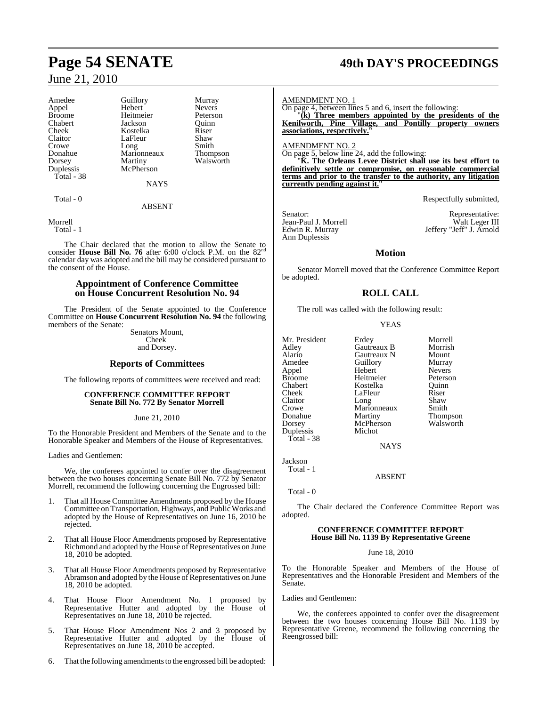| Amedee        | Guillory    | Murray          |
|---------------|-------------|-----------------|
| Appel         | Hebert      | <b>Nevers</b>   |
| <b>Broome</b> | Heitmeier   | Peterson        |
| Chabert       | Jackson     | Quinn           |
| Cheek         | Kostelka    | Riser           |
| Claitor       | LaFleur     | Shaw            |
| Crowe         | Long        | Smith           |
| Donahue       | Marionneaux | <b>Thompson</b> |
| Dorsey        | Martiny     | Walsworth       |
| Duplessis     | McPherson   |                 |
| Total - 38    |             |                 |
|               | <b>NAYS</b> |                 |
| $Total - 0$   |             |                 |

#### ABSENT

Morrell Total - 1

The Chair declared that the motion to allow the Senate to consider **House Bill No. 76** after 6:00 o'clock P.M. on the 82nd calendar day was adopted and the bill may be considered pursuant to the consent of the House.

#### **Appointment of Conference Committee on House Concurrent Resolution No. 94**

The President of the Senate appointed to the Conference Committee on **House Concurrent Resolution No. 94** the following members of the Senate:

Senators Mount, Cheek and Dorsey.

#### **Reports of Committees**

The following reports of committees were received and read:

#### **CONFERENCE COMMITTEE REPORT Senate Bill No. 772 By Senator Morrell**

June 21, 2010

To the Honorable President and Members of the Senate and to the Honorable Speaker and Members of the House of Representatives.

Ladies and Gentlemen:

We, the conferees appointed to confer over the disagreement between the two houses concerning Senate Bill No. 772 by Senator Morrell, recommend the following concerning the Engrossed bill:

- 1. That all House Committee Amendments proposed by the House Committee on Transportation, Highways, and PublicWorks and adopted by the House of Representatives on June 16, 2010 be rejected.
- 2. That all House Floor Amendments proposed by Representative Richmond and adopted by the House of Representatives on June 18, 2010 be adopted.
- 3. That all House Floor Amendments proposed by Representative Abramson and adopted by the House of Representatives on June 18, 2010 be adopted.
- 4. That House Floor Amendment No. 1 proposed by Representative Hutter and adopted by the House of Representatives on June 18, 2010 be rejected.
- 5. That House Floor Amendment Nos 2 and 3 proposed by Representative Hutter and adopted by the House of Representatives on June 18, 2010 be accepted.
- 6. That the following amendments to the engrossed bill be adopted:

## **Page 54 SENATE 49th DAY'S PROCEEDINGS**

AMENDMENT NO. 1

On page 4, between lines 5 and 6, insert the following:

"**(k) Three members appointed by the presidents of the Kenilworth, Pine Village, and Pontilly property owners associations, respectively.**"

AMENDMENT NO. 2

On page 5, below line 24, add the following: "**K. The Orleans Levee District shall use its best effort to definitively settle or compromise, on reasonable commercial terms and prior to the transfer to the authority, any litigation currently pending against it.**"

Respectfully submitted,

Edwin R. Murray<br>Ann Duplessis

Senator: Representative:<br>
Jean-Paul J. Morrell Walt Leger III Jean-Paul J. Morrell Walt Leger III Edwin R. Murray Jeffery "Jeff" J. Arnold

### **Motion**

Senator Morrell moved that the Conference Committee Report be adopted.

## **ROLL CALL**

The roll was called with the following result:

YEAS

Mr. President Erdey Morrell<br>Adley Gautreaux B Morrish Adley Gautreaux B Morrish Alario Gautreaux N Mount Appel Hebert Nevers Broome Heitmeier Peterson<br>Chabert Peterson Rostelka Duinn Chabert Kostelka Quinn Claitor Long Shaw<br>Crowe Marionneaux Smith Crowe Marionneaux<br>Donahue Martiny Donahue Martiny Thompson<br>
Dorsey McPherson Walsworth Duplessis Total - 38

Guillory Murray<br>Hebert Nevers LaFleur Riser<br>Long Shaw McPherson<br>Michot

**NAYS** 

Jackson Total - 1

ABSENT

Total - 0

The Chair declared the Conference Committee Report was adopted.

#### **CONFERENCE COMMITTEE REPORT House Bill No. 1139 By Representative Greene**

#### June 18, 2010

To the Honorable Speaker and Members of the House of Representatives and the Honorable President and Members of the Senate.

Ladies and Gentlemen:

We, the conferees appointed to confer over the disagreement between the two houses concerning House Bill No. 1139 by Representative Greene, recommend the following concerning the Reengrossed bill: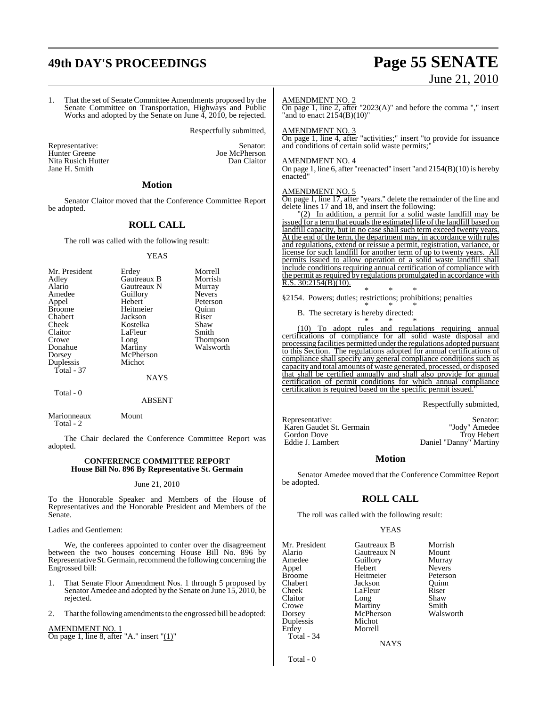## **49th DAY'S PROCEEDINGS Page 55 SENATE**

# June 21, 2010

1. That the set of Senate Committee Amendments proposed by the Senate Committee on Transportation, Highways and Public Works and adopted by the Senate on June 4, 2010, be rejected. Respectfully submitted, Representative: Senator: Senator: Senator: Senator: Senator: Senator: Senator: Senator: Senator: Senator: Senator: Senator: Senator: Senator: Senator: Senator: Senator: Senator: Senator: Senator: Senator: Senator: Senator: Joe McPherson<br>Dan Claitor Nita Rusich Hutter Jane H. Smith **Motion** Senator Claitor moved that the Conference Committee Report be adopted. **ROLL CALL** The roll was called with the following result: YEAS Mr. President Erdey Morrell Adley Gautreaux B Morrish Alario Gautreaux N Murray<br>Amedee Guillory Nevers Amedeu<br>
Amedeu<br>
Amedeu<br>
Referson<br>
Peterson Appel Hebert Peterson<br>
Heitmeier Ouinn Broome Heitmeier Quinn<br>
Chabert Jackson Riser Chabert Jackson Riser Cheek Kostelka Shaw<br>Claitor LaFleur Smith LaFleur Crowe Long Thompson<br>
Donahue Martiny Walsworth Donahue Martiny Walsworth<br>
Dorsey McPherson McPherson<br>Michot Duplessis Total - 37 NAYS Total - 0 ABSENT Marionneaux Mount Total - 2 The Chair declared the Conference Committee Report was adopted. AMENDMENT NO. 2 On page 1, line 2, after "2023(A)" and before the comma "," insert "and to enact 2154(B)(10)" AMENDMENT NO. 3 On page 1, line 4, after "activities;" insert "to provide for issuance and conditions of certain solid waste permits; AMENDMENT NO. 4 On page 1, line 6, after "reenacted" insert "and  $2154(B)(10)$  is hereby enacted" AMENDMENT NO. 5 On page 1, line 17, after "years." delete the remainder of the line and delete lines 17 and 18, and insert the following: "(2) In addition, a permit for a solid waste landfill may be issued for a term that equals the estimated life of the landfill based on landfill capacity, but in no case shall such term exceed twenty years. At the end of the term, the department may, in accordance with rules and regulations, extend or reissue a permit, registration, variance, or license for such landfill for another term of up to twenty years. All permits issued to allow operation of a solid waste landfill shall include conditions requiring annual certification of compliance with the permit as required by regulations promulgated in accordance with  $R.S. 30:2154(B)(10)$ . \* \* \* §2154. Powers; duties; restrictions; prohibitions; penalties \* \* \* B. The secretary is hereby directed: \* \* \* To adopt rules and regulations requiring annual certifications of compliance for all solid waste disposal and processing facilities permitted under the regulations adopted pursuant to this Section. The regulations adopted for annual certifications of compliance shall specify any general compliance conditions such as capacity and total amounts of waste generated, processed, or disposed that shall be certified annually and shall also provide for annual certification of permit conditions for which annual compliance certification is required based on the specific permit issued. Respectfully submitted, Representative: Senator: Senator: Senator: Senator: Senator: Senator: Senator: Senator: Senator: Senator: Senator: Senator: Senator: Senator: Senator: Senator: Senator: Senator: Senator: Senator: Senator: Senator: Senator: Karen Gaudet St. Germain "Jody" Amedee Gordon Dove<br>Eddie J. Lambert

#### **CONFERENCE COMMITTEE REPORT House Bill No. 896 By Representative St. Germain**

#### June 21, 2010

To the Honorable Speaker and Members of the House of Representatives and the Honorable President and Members of the Senate.

Ladies and Gentlemen:

We, the conferees appointed to confer over the disagreement between the two houses concerning House Bill No. 896 by Representative St. Germain, recommend the following concerning the Engrossed bill:

- 1. That Senate Floor Amendment Nos. 1 through 5 proposed by Senator Amedee and adopted by the Senate on June 15, 2010, be rejected.
- 2. That the following amendments to the engrossed bill be adopted:

## AMENDMENT NO. 1

On page 1, line 8, after "A." insert " $(1)$ "

Daniel "Danny" Martiny

### **Motion**

Senator Amedee moved that the Conference Committee Report be adopted.

### **ROLL CALL**

The roll was called with the following result:

### YEAS

| Mr. President | Gautreaux B | Morrish       |
|---------------|-------------|---------------|
| Alario        | Gautreaux N | Mount         |
| Amedee        | Guillory    | Murray        |
| Appel         | Hebert      | <b>Nevers</b> |
| <b>Broome</b> | Heitmeier   | Peterson      |
| Chabert       | Jackson     | Ouinn         |
| Cheek         | LaFleur     | Riser         |
| Claitor       | Long        | Shaw          |
| Crowe         | Martiny     | Smith         |
| Dorsey        | McPherson   | Walswor       |
| Duplessis     | Michot      |               |
| Erdey         | Morrell     |               |
| Total - 34    |             |               |
|               | NAYS        |               |

Guillory Murray<br>Hebert Nevers Martiny Smith<br>
McPherson Walsworth

**NAYS** 

Total - 0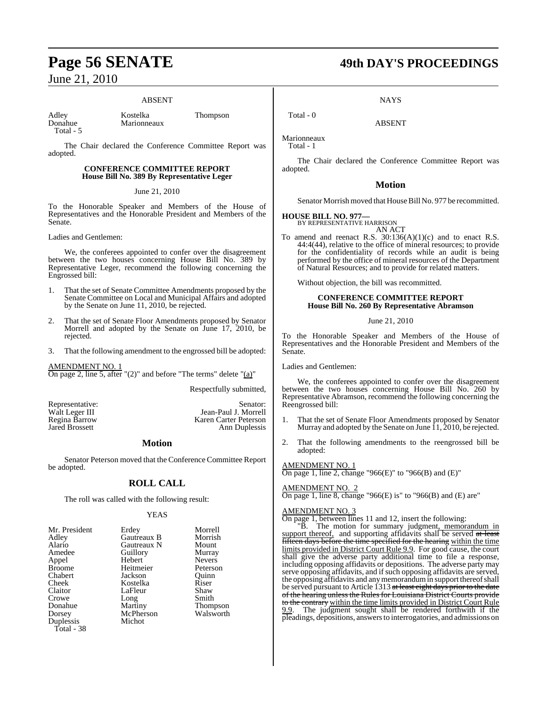#### ABSENT

Adley Kostelka Thompson<br>Donahue Marionneaux Total - 5

Marionneaux

The Chair declared the Conference Committee Report was adopted.

#### **CONFERENCE COMMITTEE REPORT House Bill No. 389 By Representative Leger**

#### June 21, 2010

To the Honorable Speaker and Members of the House of Representatives and the Honorable President and Members of the Senate.

Ladies and Gentlemen:

We, the conferees appointed to confer over the disagreement between the two houses concerning House Bill No. 389 by Representative Leger, recommend the following concerning the Engrossed bill:

- 1. That the set of Senate Committee Amendments proposed by the Senate Committee on Local and Municipal Affairs and adopted by the Senate on June 11, 2010, be rejected.
- 2. That the set of Senate Floor Amendments proposed by Senator Morrell and adopted by the Senate on June 17, 2010, be rejected.
- 3. That the following amendment to the engrossed bill be adopted:

AMENDMENT NO. 1 On page 2, line 5, after "(2)" and before "The terms" delete "(a)"

Respectfully submitted,

Ann Duplessis

Representative: Senator:<br>
Walt Leger III Sean-Paul J. Morrell Walt Leger III Jean-Paul J. Morrell Regina Barrow **Karen Carter Peterson**<br> **Rared Brossett** Ann Duplessis

**Motion**

Senator Peterson moved that the Conference Committee Report be adopted.

### **ROLL CALL**

The roll was called with the following result:

#### YEAS

| Mr. President | Erdey       | Morrell       |
|---------------|-------------|---------------|
| Adley         | Gautreaux B | Morrish       |
| Alario        | Gautreaux N | Mount         |
| Amedee        | Guillory    | Murray        |
| Appel         | Hebert      | <b>Nevers</b> |
| <b>Broome</b> | Heitmeier   | Peterson      |
| Chabert       | Jackson     | Ouinn         |
| Cheek         | Kostelka    | Riser         |
| Claitor       | LaFleur     | Shaw          |
| Crowe         | Long        | Smith         |
| Donahue       | Martiny     | Thompson      |
| Dorsey        | McPherson   | Walsworth     |
| Duplessis     | Michot      |               |
| Total - 38    |             |               |

## **Page 56 SENATE 49th DAY'S PROCEEDINGS**

**NAYS** 

ABSENT

Marionneaux Total - 1

 $Total - 0$ 

The Chair declared the Conference Committee Report was adopted.

#### **Motion**

Senator Morrish moved that House Bill No. 977 be recommitted.

#### **HOUSE BILL NO. 977—**

BY REPRESENTATIVE HARRISON AN ACT

To amend and reenact R.S.  $30:136(A)(1)(c)$  and to enact R.S. 44:4(44), relative to the office of mineral resources; to provide for the confidentiality of records while an audit is being performed by the office of mineral resources of the Department of Natural Resources; and to provide for related matters.

Without objection, the bill was recommitted.

#### **CONFERENCE COMMITTEE REPORT House Bill No. 260 By Representative Abramson**

June 21, 2010

To the Honorable Speaker and Members of the House of Representatives and the Honorable President and Members of the Senate.

Ladies and Gentlemen:

We, the conferees appointed to confer over the disagreement between the two houses concerning House Bill No. 260 by Representative Abramson, recommend the following concerning the Reengrossed bill:

- 1. That the set of Senate Floor Amendments proposed by Senator Murray and adopted by the Senate on June 11, 2010, be rejected.
- 2. That the following amendments to the reengrossed bill be adopted:

#### AMENDMENT NO. 1

On page 1, line 2, change "966(E)" to "966(B) and  $(E)$ "

#### AMENDMENT NO. 2

On page 1, line 8, change "966 $(E)$  is" to "966 $(B)$  and  $(E)$  are"

#### AMENDMENT NO. 3

On page 1, between lines 11 and 12, insert the following:

"B. The motion for summary judgment, memorandum in support thereof, and supporting affidavits shall be served at least fifteen days before the time specified for the hearing within the time limits provided in District Court Rule 9.9. For good cause, the court shall give the adverse party additional time to file a response, including opposing affidavits or depositions. The adverse party may serve opposing affidavits, and if such opposing affidavits are served, the opposing affidavits and anymemorandumin support thereofshall be served pursuant to Article 1313 at least eight days prior to the date of the hearing unless the Rules for Louisiana District Courts provide to the contrary within the time limits provided in District Court Rule 9.9. The judgment sought shall be rendered forthwith if the pleadings, depositions, answersto interrogatories, and admissions on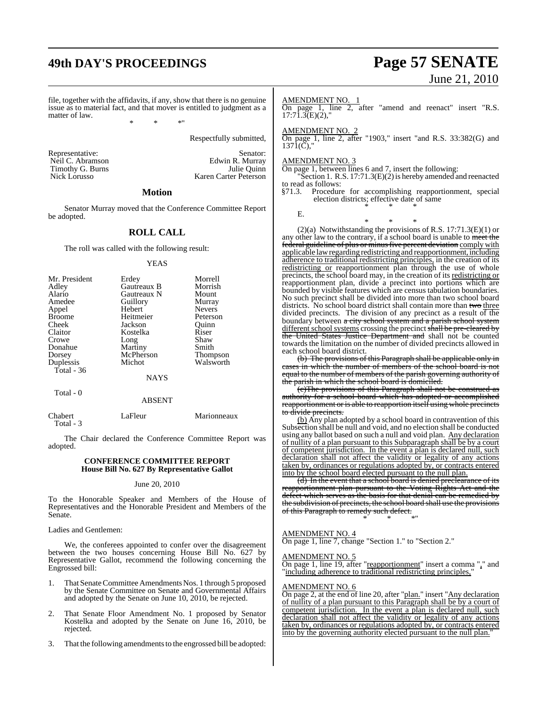## **49th DAY'S PROCEEDINGS Page 57 SENATE**

# June 21, 2010

file, together with the affidavits, if any, show that there is no genuine issue as to material fact, and that mover is entitled to judgment as a matter of law.

\* \* \*"

Respectfully submitted,

Representative: Senator: Senator: Senator: Senator: Senator: Senator: Senator: Senator: Senator: Senator: Senator: Senator: Senator: Senator: Senator: Senator: Senator: Senator: Senator: Senator: Senator: Senator: Senator: Timothy G. Burns<br>Nick Lorusso

Neil C. Abramson<br>
Timothy G. Burns<br>
Timothy G. Burns<br>
The Quinn Karen Carter Peterson

#### **Motion**

Senator Murray moved that the Conference Committee Report be adopted.

#### **ROLL CALL**

The roll was called with the following result:

#### YEAS

| Mr. President | Erdey       | Morrell         |
|---------------|-------------|-----------------|
| Adley         | Gautreaux B | Morrish         |
| Alario        | Gautreaux N | Mount           |
| Amedee        | Guillory    | Murray          |
| Appel         | Hebert      | <b>Nevers</b>   |
| <b>Broome</b> | Heitmeier   | Peterson        |
| Cheek         | Jackson     | Ouinn           |
| Claitor       | Kostelka    | Riser           |
| Crowe         | Long        | Shaw            |
| Donahue       | Martiny     | Smith           |
| Dorsey        | McPherson   | <b>Thompson</b> |
| Duplessis     | Michot      | Walsworth       |
| Total - 36    |             |                 |
|               | <b>NAYS</b> |                 |

Total - 0

#### ABSENT

Chabert LaFleur Marionneaux

Total - 3

The Chair declared the Conference Committee Report was adopted.

#### **CONFERENCE COMMITTEE REPORT House Bill No. 627 By Representative Gallot**

#### June 20, 2010

To the Honorable Speaker and Members of the House of Representatives and the Honorable President and Members of the Senate.

Ladies and Gentlemen:

We, the conferees appointed to confer over the disagreement between the two houses concerning House Bill No. 627 by Representative Gallot, recommend the following concerning the Engrossed bill:

- 1. That Senate Committee Amendments Nos. 1 through 5 proposed by the Senate Committee on Senate and Governmental Affairs and adopted by the Senate on June 10, 2010, be rejected.
- 2. That Senate Floor Amendment No. 1 proposed by Senator Kostelka and adopted by the Senate on June 16, 2010, be rejected.
- 3. That the following amendments to the engrossed bill be adopted:

#### AMENDMENT NO. 1

On page 1, line 2, after "amend and reenact" insert "R.S.  $17:71.3(E)(2)$ ,"

#### AMENDMENT NO. 2

On page 1, line 2, after "1903," insert "and R.S. 33:382(G) and  $137\text{I}(\check{C})$ ,"

#### AMENDMENT NO. 3

On page 1, between lines 6 and 7, insert the following:

"Section 1. R.S. 17:71.3(E)(2) is hereby amended and reenacted to read as follows:

§71.3. Procedure for accomplishing reapportionment, special election districts; effective date of same \* \* \*

E.

\* \* \* (2)(a) Notwithstanding the provisions of R.S. 17:71.3(E)(1) or any other law to the contrary, if a school board is unable to meet the federal guideline of plus or minus five percent deviation comply with applicable lawregarding redistricting and reapportionment, including adherence to traditional redistricting principles, in the creation of its redistricting or reapportionment plan through the use of whole precincts, the school board may, in the creation of its redistricting or reapportionment plan, divide a precinct into portions which are bounded by visible features which are census tabulation boundaries. No such precinct shall be divided into more than two school board districts. No school board district shall contain more than two three divided precincts. The division of any precinct as a result of the boundary between a city school system and a parish school system different school systems crossing the precinct shall be pre-cleared by the United States Justice Department and shall not be counted towards the limitation on the number of divided precincts allowed in each school board district.

(b) The provisions of this Paragraph shall be applicable only in cases in which the number of members of the school board is not equal to the number of members of the parish governing authority of parish in which the school board is domiciled.

(c)The provisions of this Paragraph shall not be construed as authority for a school board which has adopted or accomplished reapportionment or is able to reapportion itself using whole precincts to divide precincts.

(b) Any plan adopted by a school board in contravention of this Subsection shall be null and void, and no election shall be conducted using any ballot based on such a null and void plan. Any declaration of nullity of a plan pursuant to this Subparagraph shall be by a court of competent jurisdiction. In the event a plan is declared null, such declaration shall not affect the validity or legality of any actions taken by, ordinances or regulations adopted by, or contracts entered into by the school board elected pursuant to the null plan.

(d) In the event that a school board is denied preclearance of its reapportionment plan pursuant to the Voting Rights Act and the defect which serves as the basis for that denial can be remedied by the subdivision of precincts, the school board shall use the provisions of this Paragraph to remedy such defect. \* \* \*"

#### AMENDMENT NO. 4

On page 1, line 7, change "Section 1." to "Section 2."

#### AMENDMENT NO. 5

On page 1, line 19, after "reapportionment" insert a comma "," and "including adherence to traditional redistricting principles,"

#### AMENDMENT NO. 6

On page 2, at the end of line 20, after "plan." insert "Any declaration of nullity of a plan pursuant to this Paragraph shall be by a court of competent jurisdiction. In the event a plan is declared null, such declaration shall not affect the validity or legality of any actions taken by, ordinances or regulations adopted by, or contracts entered into by the governing authority elected pursuant to the null plan."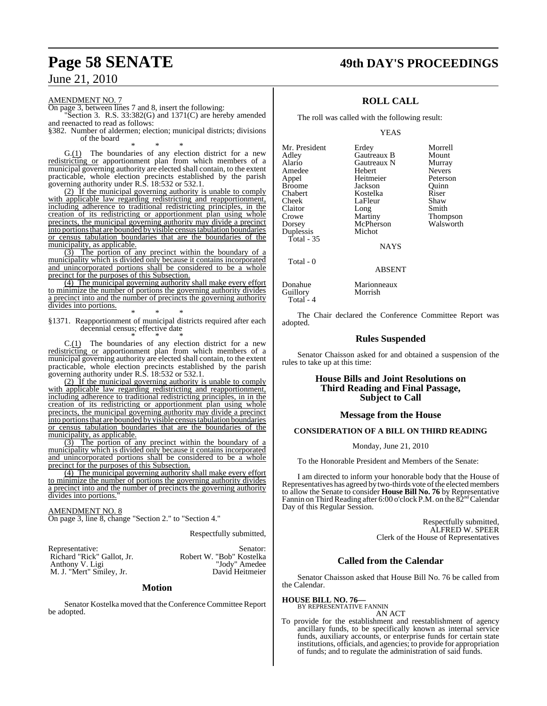## **Page 58 SENATE 49th DAY'S PROCEEDINGS**

June 21, 2010

AMENDMENT NO. 7

On page 3, between lines 7 and 8, insert the following: Section 3. R.S.  $33:382(G)$  and  $1371(C)$  are hereby amended

and reenacted to read as follows:

§382. Number of aldermen; election; municipal districts; divisions of the board

\* \* \*  $G.(1)$  The boundaries of any election district for a new redistricting or apportionment plan from which members of a municipal governing authority are elected shall contain, to the extent practicable, whole election precincts established by the parish governing authority under R.S. 18:532 or 532.1.

(2) If the municipal governing authority is unable to comply with applicable law regarding redistricting and reapportionment, including adherence to traditional redistricting principles, in the creation of its redistricting or apportionment plan using whole precincts, the municipal governing authority may divide a precinct into portionsthat are bounded by visible census tabulation boundaries or census tabulation boundaries that are the boundaries of the municipality, as applicable.

(3) The portion of any precinct within the boundary of a municipality which is divided only because it contains incorporated and unincorporated portions shall be considered to be a whole precinct for the purposes of this Subsection.

(4) The municipal governing authority shall make every effort to minimize the number of portions the governing authority divides a precinct into and the number of precincts the governing authority divides into portions.

\* \* \* §1371. Reapportionment of municipal districts required after each decennial census; effective date \* \* \*

 $C.(1)$  The boundaries of any election district for a new redistricting or apportionment plan from which members of a municipal governing authority are elected shall contain, to the extent practicable, whole election precincts established by the parish governing authority under R.S. 18:532 or 532.1.

(2) If the municipal governing authority is unable to comply with applicable law regarding redistricting and reapportionment, including adherence to traditional redistricting principles, in in the creation of its redistricting or apportionment plan using whole precincts, the municipal governing authority may divide a precinct into portions that are bounded by visible census tabulation boundaries or census tabulation boundaries that are the boundaries of the municipality, as applicable.

(3) The portion of any precinct within the boundary of a municipality which is divided only because it contains incorporated and unincorporated portions shall be considered to be a whole precinct for the purposes of this Subsection.

(4) The municipal governing authority shall make every effort to minimize the number of portions the governing authority divides a precinct into and the number of precincts the governing authority divides into portions.

#### AMENDMENT NO. 8

On page 3, line 8, change "Section 2." to "Section 4."

Respectfully submitted,

| Representative:            | Senator:                 |
|----------------------------|--------------------------|
| Richard "Rick" Gallot, Jr. | Robert W. "Bob" Kostelka |
| Anthony V. Ligi            | "Jody" Amedee            |
| M. J. "Mert" Smiley, Jr.   | David Heitmeier          |

#### **Motion**

Senator Kostelka moved that the Conference Committee Report be adopted.

## **ROLL CALL**

The roll was called with the following result:

YEAS

Mr. President Erdey Morrell<br>Adley Gautreaux B Mount Alario Gautreaux N Murray<br>Amedee Hebert Nevers Amedee Hebert Nevers<br>
Appel Heitmeier Peterson Appel Heitmeier Peterson Broome **Jackson** Quinn<br>Chabert **Chaber** Kostelka Riser Chabert Kostelka Riser Claitor Long<br>Crowe Martiny Crowe Martiny Thompson<br>
Dorsey McPherson Walsworth Duplessis Total - 35

Total - 0

LaFleur Shaw<br>Long Smith McPherson<br>Michot

**Gautreaux B** Mount<br> **Gautreaux N** Murray

NAYS

#### ABSENT

Donahue Marionneaux<br>
Guillory Morrish Guillory Total -  $4$ 

The Chair declared the Conference Committee Report was adopted.

#### **Rules Suspended**

Senator Chaisson asked for and obtained a suspension of the rules to take up at this time:

#### **House Bills and Joint Resolutions on Third Reading and Final Passage, Subject to Call**

#### **Message from the House**

#### **CONSIDERATION OF A BILL ON THIRD READING**

Monday, June 21, 2010

To the Honorable President and Members of the Senate:

I am directed to inform your honorable body that the House of Representatives has agreed by two-thirds vote of the elected members to allow the Senate to consider **House Bill No. 76** by Representative Fannin on Third Reading after 6:00 o'clock P.M. on the  $82<sup>nd</sup>$ Calendar Day of this Regular Session.

> Respectfully submitted, ALFRED W. SPEER Clerk of the House of Representatives

### **Called from the Calendar**

Senator Chaisson asked that House Bill No. 76 be called from the Calendar.

#### **HOUSE BILL NO. 76—**

BY REPRESENTATIVE FANNIN AN ACT

To provide for the establishment and reestablishment of agency ancillary funds, to be specifically known as internal service funds, auxiliary accounts, or enterprise funds for certain state institutions, officials, and agencies; to provide for appropriation of funds; and to regulate the administration of said funds.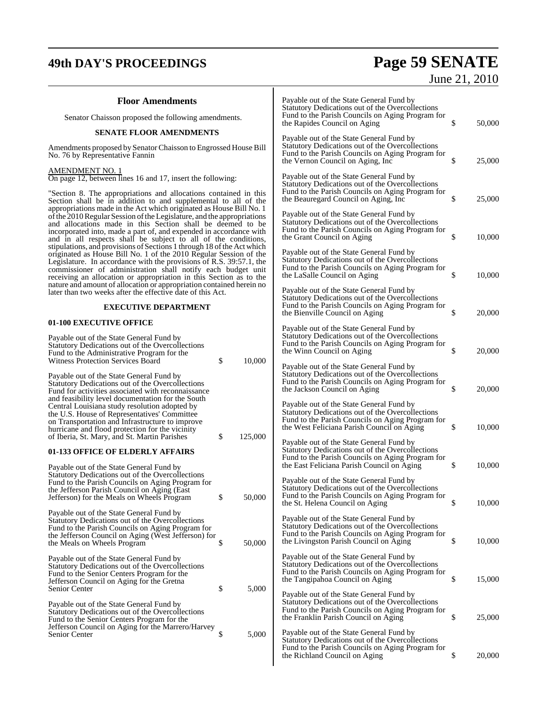# **49th DAY'S PROCEEDINGS Page 59 SENATE**

# June 21, 2010

| <b>Floor Amendments</b>                                                                                                                                                                                                                                                                                                                                |                                                     |         | Payable out of the State General Fund by<br>Statutory Dedications out of the Overcollections                                                                                                   |              |
|--------------------------------------------------------------------------------------------------------------------------------------------------------------------------------------------------------------------------------------------------------------------------------------------------------------------------------------------------------|-----------------------------------------------------|---------|------------------------------------------------------------------------------------------------------------------------------------------------------------------------------------------------|--------------|
|                                                                                                                                                                                                                                                                                                                                                        | Senator Chaisson proposed the following amendments. |         | Fund to the Parish Councils on Aging Program for<br>the Rapides Council on Aging                                                                                                               | \$<br>50,000 |
| <b>SENATE FLOOR AMENDMENTS</b>                                                                                                                                                                                                                                                                                                                         |                                                     |         | Payable out of the State General Fund by                                                                                                                                                       |              |
| Amendments proposed by Senator Chaisson to Engrossed House Bill<br>No. 76 by Representative Fannin                                                                                                                                                                                                                                                     |                                                     |         | Statutory Dedications out of the Overcollections<br>Fund to the Parish Councils on Aging Program for<br>the Vernon Council on Aging, Inc                                                       | \$<br>25,000 |
| <b>AMENDMENT NO. 1</b><br>On page 12, between lines 16 and 17, insert the following:                                                                                                                                                                                                                                                                   |                                                     |         | Payable out of the State General Fund by<br>Statutory Dedications out of the Overcollections<br>Fund to the Parish Councils on Aging Program for                                               |              |
| "Section 8. The appropriations and allocations contained in this<br>Section shall be in addition to and supplemental to all of the<br>appropriations made in the Act which originated as House Bill No. 1<br>of the 2010 Regular Session of the Legislature, and the appropriations                                                                    |                                                     |         | the Beauregard Council on Aging, Inc<br>Payable out of the State General Fund by                                                                                                               | \$<br>25,000 |
| and allocations made in this Section shall be deemed to be<br>incorporated into, made a part of, and expended in accordance with<br>and in all respects shall be subject to all of the conditions,<br>stipulations, and provisions of Sections 1 through 18 of the Act which                                                                           |                                                     |         | Statutory Dedications out of the Overcollections<br>Fund to the Parish Councils on Aging Program for<br>the Grant Council on Aging                                                             | \$<br>10,000 |
| originated as House Bill No. 1 of the 2010 Regular Session of the<br>Legislature. In accordance with the provisions of R.S. 39:57.1, the<br>commissioner of administration shall notify each budget unit<br>receiving an allocation or appropriation in this Section as to the<br>nature and amount of allocation or appropriation contained herein no |                                                     |         | Payable out of the State General Fund by<br>Statutory Dedications out of the Overcollections<br>Fund to the Parish Councils on Aging Program for<br>the LaSalle Council on Aging               | \$<br>10,000 |
| later than two weeks after the effective date of this Act.<br><b>EXECUTIVE DEPARTMENT</b>                                                                                                                                                                                                                                                              |                                                     |         | Payable out of the State General Fund by<br>Statutory Dedications out of the Overcollections<br>Fund to the Parish Councils on Aging Program for                                               |              |
| 01-100 EXECUTIVE OFFICE                                                                                                                                                                                                                                                                                                                                |                                                     |         | the Bienville Council on Aging                                                                                                                                                                 | \$<br>20,000 |
| Payable out of the State General Fund by<br>Statutory Dedications out of the Overcollections                                                                                                                                                                                                                                                           |                                                     |         | Payable out of the State General Fund by<br>Statutory Dedications out of the Overcollections<br>Fund to the Parish Councils on Aging Program for<br>the Winn Council on Aging                  | \$<br>20,000 |
| Fund to the Administrative Program for the<br><b>Witness Protection Services Board</b>                                                                                                                                                                                                                                                                 | \$                                                  | 10,000  | Payable out of the State General Fund by                                                                                                                                                       |              |
| Payable out of the State General Fund by<br>Statutory Dedications out of the Overcollections<br>Fund for activities associated with reconnaissance<br>and feasibility level documentation for the South                                                                                                                                                |                                                     |         | Statutory Dedications out of the Overcollections<br>Fund to the Parish Councils on Aging Program for<br>the Jackson Council on Aging                                                           | \$<br>20,000 |
| Central Louisiana study resolution adopted by<br>the U.S. House of Representatives' Committee<br>on Transportation and Infrastructure to improve<br>hurricane and flood protection for the vicinity<br>of Iberia, St. Mary, and St. Martin Parishes                                                                                                    | \$                                                  | 125,000 | Payable out of the State General Fund by<br>Statutory Dedications out of the Overcollections<br>Fund to the Parish Councils on Aging Program for<br>the West Feliciana Parish Council on Aging | \$<br>10,000 |
| 01-133 OFFICE OF ELDERLY AFFAIRS                                                                                                                                                                                                                                                                                                                       |                                                     |         | Payable out of the State General Fund by<br>Statutory Dedications out of the Overcollections<br>Fund to the Parish Councils on Aging Program for<br>the East Feliciana Parish Council on Aging | \$<br>10,000 |
| Payable out of the State General Fund by<br>Statutory Dedications out of the Overcollections<br>Fund to the Parish Councils on Aging Program for<br>the Jefferson Parish Council on Aging (East                                                                                                                                                        |                                                     |         | Payable out of the State General Fund by<br>Statutory Dedications out of the Overcollections<br>Fund to the Parish Councils on Aging Program for                                               |              |
| Jefferson) for the Meals on Wheels Program                                                                                                                                                                                                                                                                                                             | \$                                                  | 50,000  | the St. Helena Council on Aging                                                                                                                                                                | \$<br>10,000 |
| Payable out of the State General Fund by<br>Statutory Dedications out of the Overcollections<br>Fund to the Parish Councils on Aging Program for<br>the Jefferson Council on Aging (West Jefferson) for<br>the Meals on Wheels Program                                                                                                                 | \$                                                  | 50,000  | Payable out of the State General Fund by<br>Statutory Dedications out of the Overcollections<br>Fund to the Parish Councils on Aging Program for<br>the Livingston Parish Council on Aging     | \$<br>10,000 |
| Payable out of the State General Fund by                                                                                                                                                                                                                                                                                                               |                                                     |         | Payable out of the State General Fund by                                                                                                                                                       |              |
| Statutory Dedications out of the Overcollections<br>Fund to the Senior Centers Program for the<br>Jefferson Council on Aging for the Gretna                                                                                                                                                                                                            |                                                     |         | Statutory Dedications out of the Overcollections<br>Fund to the Parish Councils on Aging Program for<br>the Tangipahoa Council on Aging                                                        | \$<br>15,000 |
| Senior Center<br>Payable out of the State General Fund by<br>Statutory Dedications out of the Overcollections                                                                                                                                                                                                                                          | \$                                                  | 5,000   | Payable out of the State General Fund by<br>Statutory Dedications out of the Overcollections<br>Fund to the Parish Councils on Aging Program for<br>the Franklin Parish Council on Aging       | \$<br>25,000 |
| Fund to the Senior Centers Program for the<br>Jefferson Council on Aging for the Marrero/Harvey<br>Senior Center                                                                                                                                                                                                                                       | \$                                                  | 5,000   | Payable out of the State General Fund by<br>Statutory Dedications out of the Overcollections<br>Fund to the Parish Councils on Aging Program for                                               |              |
|                                                                                                                                                                                                                                                                                                                                                        |                                                     |         | the Richland Council on Aging                                                                                                                                                                  | \$<br>20,000 |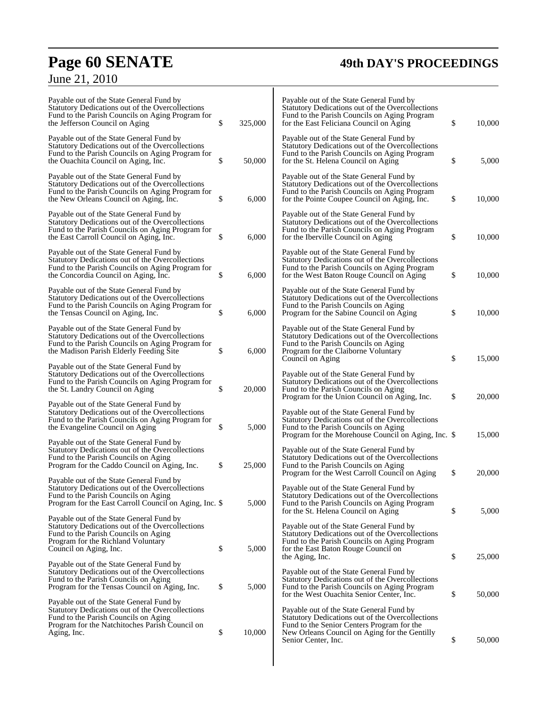# **Page 60 SENATE 49th DAY'S PROCEEDINGS**

# June 21, 2010

| Payable out of the State General Fund by<br>Statutory Dedications out of the Overcollections<br>Fund to the Parish Councils on Aging Program for<br>the Jefferson Council on Aging                    | \$<br>325,000 | Payable out of the State General Fund by<br>Statutory Dedications out of the Overcollections<br>Fund to the Parish Councils on Aging Program<br>for the East Feliciana Council on Aging       | \$<br>10,000 |
|-------------------------------------------------------------------------------------------------------------------------------------------------------------------------------------------------------|---------------|-----------------------------------------------------------------------------------------------------------------------------------------------------------------------------------------------|--------------|
| Payable out of the State General Fund by<br>Statutory Dedications out of the Overcollections<br>Fund to the Parish Councils on Aging Program for<br>the Ouachita Council on Aging, Inc.               | \$<br>50,000  | Payable out of the State General Fund by<br>Statutory Dedications out of the Overcollections<br>Fund to the Parish Councils on Aging Program<br>for the St. Helena Council on Aging           | \$<br>5,000  |
| Payable out of the State General Fund by<br>Statutory Dedications out of the Overcollections<br>Fund to the Parish Councils on Aging Program for<br>the New Orleans Council on Aging, Inc.            | \$<br>6,000   | Payable out of the State General Fund by<br>Statutory Dedications out of the Overcollections<br>Fund to the Parish Councils on Aging Program<br>for the Pointe Coupee Council on Aging, Inc.  | \$<br>10,000 |
| Payable out of the State General Fund by<br>Statutory Dedications out of the Overcollections<br>Fund to the Parish Councils on Aging Program for<br>the East Carroll Council on Aging, Inc.           | \$<br>6,000   | Payable out of the State General Fund by<br>Statutory Dedications out of the Overcollections<br>Fund to the Parish Councils on Aging Program<br>for the Iberville Council on Aging            | \$<br>10,000 |
| Payable out of the State General Fund by<br>Statutory Dedications out of the Overcollections<br>Fund to the Parish Councils on Aging Program for<br>the Concordia Council on Aging, Inc.              | \$<br>6,000   | Payable out of the State General Fund by<br>Statutory Dedications out of the Overcollections<br>Fund to the Parish Councils on Aging Program<br>for the West Baton Rouge Council on Aging     | \$<br>10,000 |
| Payable out of the State General Fund by<br>Statutory Dedications out of the Overcollections<br>Fund to the Parish Councils on Aging Program for<br>the Tensas Council on Aging, Inc.                 | \$<br>6,000   | Payable out of the State General Fund by<br>Statutory Dedications out of the Overcollections<br>Fund to the Parish Councils on Aging<br>Program for the Sabine Council on Aging               | \$<br>10.000 |
| Payable out of the State General Fund by<br>Statutory Dedications out of the Overcollections<br>Fund to the Parish Councils on Aging Program for<br>the Madison Parish Elderly Feeding Site           | \$<br>6,000   | Payable out of the State General Fund by<br>Statutory Dedications out of the Overcollections<br>Fund to the Parish Councils on Aging<br>Program for the Claiborne Voluntary                   |              |
| Payable out of the State General Fund by<br>Statutory Dedications out of the Overcollections<br>Fund to the Parish Councils on Aging Program for<br>the St. Landry Council on Aging                   | \$<br>20,000  | Council on Aging<br>Payable out of the State General Fund by<br>Statutory Dedications out of the Overcollections<br>Fund to the Parish Councils on Aging                                      | \$<br>15,000 |
| Payable out of the State General Fund by<br>Statutory Dedications out of the Overcollections<br>Fund to the Parish Councils on Aging Program for<br>the Evangeline Council on Aging                   | \$<br>5,000   | Program for the Union Council on Aging, Inc.<br>Payable out of the State General Fund by<br>Statutory Dedications out of the Overcollections<br>Fund to the Parish Councils on Aging          | \$<br>20,000 |
| Payable out of the State General Fund by<br>Statutory Dedications out of the Overcollections<br>Fund to the Parish Councils on Aging<br>Program for the Caddo Council on Aging, Inc.                  | \$<br>25,000  | Program for the Morehouse Council on Aging, Inc. \$<br>Payable out of the State General Fund by<br>Statutory Dedications out of the Overcollections<br>Fund to the Parish Councils on Aging   | 15,000       |
| Payable out of the State General Fund by<br>Statutory Dedications out of the Overcollections<br>Fund to the Parish Councils on Aging<br>Program for the East Carroll Council on Aging, Inc. \$        | 5,000         | Program for the West Carroll Council on Aging<br>Payable out of the State General Fund by<br>Statutory Dedications out of the Overcollections<br>Fund to the Parish Councils on Aging Program | \$<br>20,000 |
| Payable out of the State General Fund by<br>Statutory Dedications out of the Overcollections<br>Fund to the Parish Councils on Aging<br>Program for the Richland Voluntary                            |               | for the St. Helena Council on Aging<br>Payable out of the State General Fund by<br>Statutory Dedications out of the Overcollections<br>Fund to the Parish Councils on Aging Program           | \$<br>5,000  |
| Council on Aging, Inc.<br>Payable out of the State General Fund by<br>Statutory Dedications out of the Overcollections                                                                                | \$<br>5,000   | for the East Baton Rouge Council on<br>the Aging, Inc.<br>Payable out of the State General Fund by                                                                                            | \$<br>25,000 |
| Fund to the Parish Councils on Aging<br>Program for the Tensas Council on Aging, Inc.                                                                                                                 | \$<br>5,000   | Statutory Dedications out of the Overcollections<br>Fund to the Parish Councils on Aging Program<br>for the West Ouachita Senior Center, Inc.                                                 | \$<br>50,000 |
| Payable out of the State General Fund by<br>Statutory Dedications out of the Overcollections<br>Fund to the Parish Councils on Aging<br>Program for the Natchitoches Parish Council on<br>Aging, Inc. | \$<br>10,000  | Payable out of the State General Fund by<br>Statutory Dedications out of the Overcollections<br>Fund to the Senior Centers Program for the<br>New Orleans Council on Aging for the Gentilly   |              |
|                                                                                                                                                                                                       |               | Senior Center, Inc.                                                                                                                                                                           | \$<br>50,000 |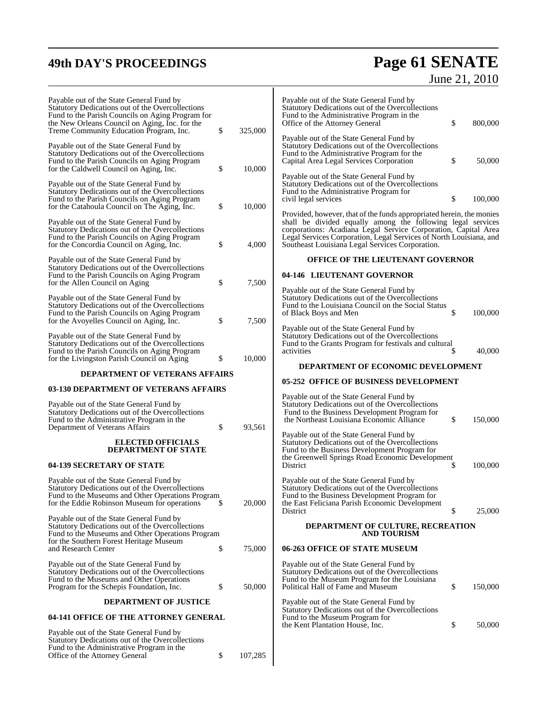## **49th DAY'S PROCEEDINGS Page 61 SENATE** June 21, 2010

| Payable out of the State General Fund by<br>Statutory Dedications out of the Overcollections<br>Fund to the Parish Councils on Aging Program for<br>the New Orleans Council on Aging, Inc. for the<br>Treme Community Education Program, Inc. | \$       | 325,000        | Payable out of the State General Fund by<br>Statutory Dedications out of the Overcollections<br>Fund to the Administrative Program in the<br>\$<br>800,000<br>Office of the Attorney General<br>Payable out of the State General Fund by                                                                                       |
|-----------------------------------------------------------------------------------------------------------------------------------------------------------------------------------------------------------------------------------------------|----------|----------------|--------------------------------------------------------------------------------------------------------------------------------------------------------------------------------------------------------------------------------------------------------------------------------------------------------------------------------|
| Payable out of the State General Fund by<br>Statutory Dedications out of the Overcollections<br>Fund to the Parish Councils on Aging Program<br>for the Caldwell Council on Aging, Inc.                                                       | \$       | 10,000         | Statutory Dedications out of the Overcollections<br>Fund to the Administrative Program for the<br>\$<br>50,000<br>Capital Area Legal Services Corporation<br>Payable out of the State General Fund by                                                                                                                          |
| Payable out of the State General Fund by<br>Statutory Dedications out of the Overcollections<br>Fund to the Parish Councils on Aging Program<br>for the Catahoula Council on The Aging, Inc.                                                  | \$       | 10,000         | Statutory Dedications out of the Overcollections<br>Fund to the Administrative Program for<br>\$<br>civil legal services<br>100,000                                                                                                                                                                                            |
| Payable out of the State General Fund by<br>Statutory Dedications out of the Overcollections<br>Fund to the Parish Councils on Aging Program<br>for the Concordia Council on Aging, Inc.                                                      | \$       | 4,000          | Provided, however, that of the funds appropriated herein, the monies<br>shall be divided equally among the following legal services<br>corporations: Acadiana Legal Service Corporation, Capital Area<br>Legal Services Corporation, Legal Services of North Louisiana, and<br>Southeast Louisiana Legal Services Corporation. |
| Payable out of the State General Fund by                                                                                                                                                                                                      |          |                | OFFICE OF THE LIEUTENANT GOVERNOR                                                                                                                                                                                                                                                                                              |
| Statutory Dedications out of the Overcollections<br>Fund to the Parish Councils on Aging Program                                                                                                                                              |          |                | 04-146 LIEUTENANT GOVERNOR                                                                                                                                                                                                                                                                                                     |
| for the Allen Council on Aging<br>Payable out of the State General Fund by<br>Statutory Dedications out of the Overcollections<br>Fund to the Parish Councils on Aging Program<br>for the Avoyelles Council on Aging, Inc.                    | \$<br>\$ | 7,500<br>7,500 | Payable out of the State General Fund by<br>Statutory Dedications out of the Overcollections<br>Fund to the Louisiana Council on the Social Status<br>\$<br>of Black Boys and Men<br>100,000                                                                                                                                   |
| Payable out of the State General Fund by<br>Statutory Dedications out of the Overcollections<br>Fund to the Parish Councils on Aging Program<br>for the Livingston Parish Council on Aging                                                    | \$       | 10,000         | Payable out of the State General Fund by<br>Statutory Dedications out of the Overcollections<br>Fund to the Grants Program for festivals and cultural<br>40,000<br>activities<br>DEPARTMENT OF ECONOMIC DEVELOPMENT                                                                                                            |
| <b>DEPARTMENT OF VETERANS AFFAIRS</b>                                                                                                                                                                                                         |          |                | <b>05-252 OFFICE OF BUSINESS DEVELOPMENT</b>                                                                                                                                                                                                                                                                                   |
| 03-130 DEPARTMENT OF VETERANS AFFAIRS                                                                                                                                                                                                         |          |                |                                                                                                                                                                                                                                                                                                                                |
| Payable out of the State General Fund by<br>Statutory Dedications out of the Overcollections<br>Fund to the Administrative Program in the<br>Department of Veterans Affairs                                                                   | \$       | 93,561         | Payable out of the State General Fund by<br>Statutory Dedications out of the Overcollections<br>Fund to the Business Development Program for<br>\$<br>the Northeast Louisiana Economic Alliance<br>150,000                                                                                                                     |
| <b>ELECTED OFFICIALS</b><br><b>DEPARTMENT OF STATE</b>                                                                                                                                                                                        |          |                | Payable out of the State General Fund by<br>Statutory Dedications out of the Overcollections<br>Fund to the Business Development Program for<br>the Greenwell Springs Road Economic Development                                                                                                                                |
| 04-139 SECRETARY OF STATE                                                                                                                                                                                                                     |          |                | District<br>100,000<br>æ.                                                                                                                                                                                                                                                                                                      |
| Payable out of the State General Fund by<br>Statutory Dedications out of the Overcollections<br>Fund to the Museums and Other Operations Program<br>for the Eddie Robinson Museum for operations                                              | S        | 20,000         | Payable out of the State General Fund by<br>Statutory Dedications out of the Overcollections<br>Fund to the Business Development Program for<br>the East Feliciana Parish Economic Development<br>\$<br>District<br>25,000                                                                                                     |
| Payable out of the State General Fund by<br>Statutory Dedications out of the Overcollections<br>Fund to the Museums and Other Operations Program                                                                                              |          |                | DEPARTMENT OF CULTURE, RECREATION<br><b>AND TOURISM</b>                                                                                                                                                                                                                                                                        |
| for the Southern Forest Heritage Museum<br>and Research Center                                                                                                                                                                                | \$       | 75,000         | 06-263 OFFICE OF STATE MUSEUM                                                                                                                                                                                                                                                                                                  |
| Payable out of the State General Fund by<br>Statutory Dedications out of the Overcollections                                                                                                                                                  |          |                | Payable out of the State General Fund by<br>Statutory Dedications out of the Overcollections                                                                                                                                                                                                                                   |
| Fund to the Museums and Other Operations<br>Program for the Schepis Foundation, Inc.                                                                                                                                                          | \$       | 50,000         | Fund to the Museum Program for the Louisiana<br>Political Hall of Fame and Museum<br>\$<br>150,000                                                                                                                                                                                                                             |
| <b>DEPARTMENT OF JUSTICE</b>                                                                                                                                                                                                                  |          |                | Payable out of the State General Fund by                                                                                                                                                                                                                                                                                       |
| 04-141 OFFICE OF THE ATTORNEY GENERAL                                                                                                                                                                                                         |          |                | Statutory Dedications out of the Overcollections<br>Fund to the Museum Program for                                                                                                                                                                                                                                             |
| Payable out of the State General Fund by<br>Statutory Dedications out of the Overcollections<br>Fund to the Administrative Program in the<br>Office of the Attorney General                                                                   | \$       | 107,285        | 50,000<br>the Kent Plantation House, Inc.<br>\$                                                                                                                                                                                                                                                                                |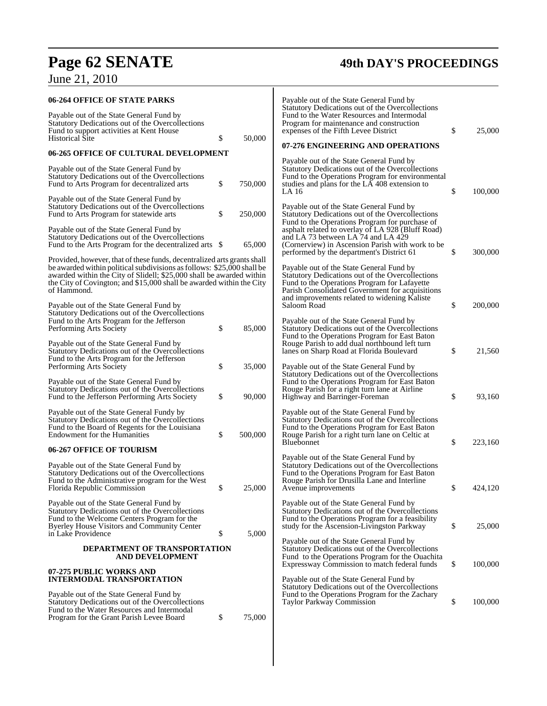# **Page 62 SENATE 49th DAY'S PROCEEDINGS**

# June 21, 2010

| 06-264 OFFICE OF STATE PARKS                                                                                                                                                                                                                                                                                     |               | Payable out of the State General Fund by                                                                                                                                                                                                        |               |
|------------------------------------------------------------------------------------------------------------------------------------------------------------------------------------------------------------------------------------------------------------------------------------------------------------------|---------------|-------------------------------------------------------------------------------------------------------------------------------------------------------------------------------------------------------------------------------------------------|---------------|
| Payable out of the State General Fund by<br>Statutory Dedications out of the Overcollections<br>Fund to support activities at Kent House<br><b>Historical Site</b>                                                                                                                                               | \$<br>50,000  | Statutory Dedications out of the Overcollections<br>Fund to the Water Resources and Intermodal<br>Program for maintenance and construction<br>expenses of the Fifth Levee District                                                              | \$<br>25,000  |
| 06-265 OFFICE OF CULTURAL DEVELOPMENT                                                                                                                                                                                                                                                                            |               | 07-276 ENGINEERING AND OPERATIONS                                                                                                                                                                                                               |               |
| Payable out of the State General Fund by<br>Statutory Dedications out of the Overcollections<br>Fund to Arts Program for decentralized arts                                                                                                                                                                      | \$<br>750,000 | Payable out of the State General Fund by<br>Statutory Dedications out of the Overcollections<br>Fund to the Operations Program for environmental<br>studies and plans for the LA 408 extension to<br>LA 16                                      | \$<br>100,000 |
| Payable out of the State General Fund by<br>Statutory Dedications out of the Overcollections<br>Fund to Arts Program for statewide arts                                                                                                                                                                          | \$<br>250,000 | Payable out of the State General Fund by<br>Statutory Dedications out of the Overcollections                                                                                                                                                    |               |
| Payable out of the State General Fund by<br>Statutory Dedications out of the Overcollections<br>Fund to the Arts Program for the decentralized arts \$                                                                                                                                                           | 65,000        | Fund to the Operations Program for purchase of<br>asphalt related to overlay of LA 928 (Bluff Road)<br>and LA 73 between LA 74 and LA 429<br>(Cornerview) in Ascension Parish with work to be<br>performed by the department's District 61      | \$<br>300,000 |
| Provided, however, that of these funds, decentralized arts grants shall<br>be awarded within political subdivisions as follows: \$25,000 shall be<br>awarded within the City of Slidell; \$25,000 shall be awarded within<br>the City of Covington; and \$15,000 shall be awarded within the City<br>of Hammond. |               | Payable out of the State General Fund by<br>Statutory Dedications out of the Overcollections<br>Fund to the Operations Program for Lafayette<br>Parish Consolidated Government for acquisitions<br>and improvements related to widening Kaliste |               |
| Payable out of the State General Fund by<br>Statutory Dedications out of the Overcollections<br>Fund to the Arts Program for the Jefferson<br>Performing Arts Society                                                                                                                                            | \$<br>85,000  | Saloom Road<br>Payable out of the State General Fund by<br>Statutory Dedications out of the Overcollections                                                                                                                                     | \$<br>200,000 |
| Payable out of the State General Fund by<br>Statutory Dedications out of the Overcollections<br>Fund to the Arts Program for the Jefferson<br>Performing Arts Society                                                                                                                                            | \$<br>35,000  | Fund to the Operations Program for East Baton<br>Rouge Parish to add dual northbound left turn<br>lanes on Sharp Road at Florida Boulevard<br>Payable out of the State General Fund by                                                          | \$<br>21,560  |
| Payable out of the State General Fund by<br>Statutory Dedications out of the Overcollections<br>Fund to the Jefferson Performing Arts Society                                                                                                                                                                    | \$<br>90,000  | Statutory Dedications out of the Overcollections<br>Fund to the Operations Program for East Baton<br>Rouge Parish for a right turn lane at Airline<br>Highway and Barringer-Foreman                                                             | \$<br>93,160  |
| Payable out of the State General Fundy by<br>Statutory Dedications out of the Overcollections<br>Fund to the Board of Regents for the Louisiana<br><b>Endowment for the Humanities</b>                                                                                                                           | \$<br>500,000 | Payable out of the State General Fund by<br>Statutory Dedications out of the Overcollections<br>Fund to the Operations Program for East Baton<br>Rouge Parish for a right turn lane on Celtic at<br><b>Bluebonnet</b>                           | \$<br>223,160 |
| 06-267 OFFICE OF TOURISM                                                                                                                                                                                                                                                                                         |               | Payable out of the State General Fund by                                                                                                                                                                                                        |               |
| Payable out of the State General Fund by<br>Statutory Dedications out of the Overcollections<br>Fund to the Administrative program for the West<br>Florida Republic Commission                                                                                                                                   | \$<br>25,000  | Statutory Dedications out of the Overcollections<br>Fund to the Operations Program for East Baton<br>Rouge Parish for Drusilla Lane and Interline<br>Avenue improvements                                                                        | \$<br>424,120 |
| Payable out of the State General Fund by<br>Statutory Dedications out of the Overcollections<br>Fund to the Welcome Centers Program for the<br><b>Byerley House Visitors and Community Center</b><br>in Lake Providence                                                                                          | \$<br>5,000   | Payable out of the State General Fund by<br>Statutory Dedications out of the Overcollections<br>Fund to the Operations Program for a feasibility<br>study for the Ascension-Livingston Parkway                                                  | \$<br>25,000  |
| DEPARTMENT OF TRANSPORTATION<br><b>AND DEVELOPMENT</b>                                                                                                                                                                                                                                                           |               | Payable out of the State General Fund by<br>Statutory Dedications out of the Overcollections<br>Fund to the Operations Program for the Ouachita<br>Expressway Commission to match federal funds                                                 | \$<br>100,000 |
| 07-275 PUBLIC WORKS AND<br><b>INTERMODAL TRANSPORTATION</b>                                                                                                                                                                                                                                                      |               | Payable out of the State General Fund by                                                                                                                                                                                                        |               |
| Payable out of the State General Fund by<br>Statutory Dedications out of the Overcollections<br>Fund to the Water Resources and Intermodal<br>Program for the Grant Parish Levee Board                                                                                                                           | \$<br>75,000  | Statutory Dedications out of the Overcollections<br>Fund to the Operations Program for the Zachary<br>Taylor Parkway Commission                                                                                                                 | \$<br>100,000 |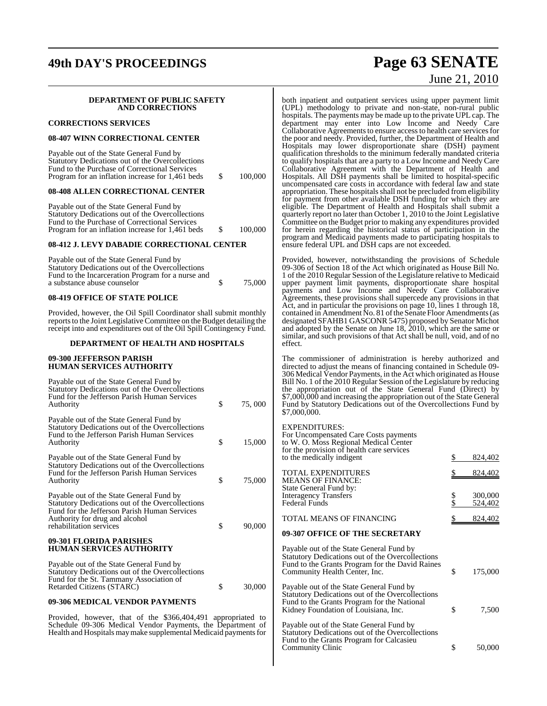## **49th DAY'S PROCEEDINGS Page 63 SENATE**

#### **DEPARTMENT OF PUBLIC SAFETY AND CORRECTIONS**

#### **CORRECTIONS SERVICES**

#### **08-407 WINN CORRECTIONAL CENTER**

| Payable out of the State General Fund by         |      |         |
|--------------------------------------------------|------|---------|
| Statutory Dedications out of the Overcollections |      |         |
| Fund to the Purchase of Correctional Services    |      |         |
| Program for an inflation increase for 1,461 beds | - SS | 100,000 |

#### **08-408 ALLEN CORRECTIONAL CENTER**

| Payable out of the State General Fund by         |     |         |
|--------------------------------------------------|-----|---------|
| Statutory Dedications out of the Overcollections |     |         |
| Fund to the Purchase of Correctional Services    |     |         |
| Program for an inflation increase for 1,461 beds | - S | 100,000 |
|                                                  |     |         |

#### **08-412 J. LEVY DABADIE CORRECTIONAL CENTER**

| Payable out of the State General Fund by          |        |
|---------------------------------------------------|--------|
| Statutory Dedications out of the Overcollections  |        |
| Fund to the Incarceration Program for a nurse and |        |
| a substance abuse counselor                       | 75.000 |
|                                                   |        |

#### **08-419 OFFICE OF STATE POLICE**

Provided, however, the Oil Spill Coordinator shall submit monthly reports to the Joint Legislative Committee on the Budget detailing the receipt into and expenditures out of the Oil Spill Contingency Fund.

#### **DEPARTMENT OF HEALTH AND HOSPITALS**

#### **09-300 JEFFERSON PARISH HUMAN SERVICES AUTHORITY**

| Payable out of the State General Fund by<br>Statutory Dedications out of the Overcollections<br>Fund for the Jefferson Parish Human Services<br>Authority                                                 | \$<br>75,000 |
|-----------------------------------------------------------------------------------------------------------------------------------------------------------------------------------------------------------|--------------|
| Payable out of the State General Fund by<br>Statutory Dedications out of the Overcollections<br>Fund to the Jefferson Parish Human Services<br>Authority                                                  | \$<br>15,000 |
| Payable out of the State General Fund by<br>Statutory Dedications out of the Overcollections<br>Fund for the Jefferson Parish Human Services<br>Authority                                                 | \$<br>75,000 |
| Payable out of the State General Fund by<br>Statutory Dedications out of the Overcollections<br>Fund for the Jefferson Parish Human Services<br>Authority for drug and alcohol<br>rehabilitation services | \$<br>90,000 |
| 09-301 FLORIDA PARISHES<br><b>HUMAN SERVICES AUTHORITY</b>                                                                                                                                                |              |
| Payable out of the State General Fund by<br>Statutory Dedications out of the Overcollections<br>Fund for the St. Tammany Association of<br>Retarded Citizens (STARC)                                      | \$<br>30,000 |

#### **09-306 MEDICAL VENDOR PAYMENTS**

Provided, however, that of the \$366,404,491 appropriated to Schedule 09-306 Medical Vendor Payments, the Department of Health and Hospitals may make supplemental Medicaid payments for

# June 21, 2010

both inpatient and outpatient services using upper payment limit (UPL) methodology to private and non-state, non-rural public hospitals. The payments may be made up to the private UPL cap. The department may enter into Low Income and Needy Care Collaborative Agreements to ensure access to health care services for the poor and needy. Provided, further, the Department of Health and Hospitals may lower disproportionate share (DSH) payment qualification thresholds to the minimum federally mandated criteria to qualify hospitals that are a party to a Low Income and Needy Care Collaborative Agreement with the Department of Health and Hospitals. All DSH payments shall be limited to hospital-specific uncompensated care costs in accordance with federal law and state appropriation. These hospitals shall not be precluded from eligibility for payment from other available DSH funding for which they are eligible. The Department of Health and Hospitals shall submit a quarterly report no later than October 1, 2010 to the Joint Legislative Committee on the Budget prior to making any expenditures provided for herein regarding the historical status of participation in the program and Medicaid payments made to participating hospitals to ensure federal UPL and DSH caps are not exceeded.

Provided, however, notwithstanding the provisions of Schedule 09-306 of Section 18 of the Act which originated as House Bill No. 1 of the 2010 Regular Session of the Legislature relative to Medicaid upper payment limit payments, disproportionate share hospital payments and Low Income and Needy Care Collaborative Agreements, these provisions shall supercede any provisions in that Act, and in particular the provisions on page 10, lines 1 through 18, contained in Amendment No. 81 of the Senate Floor Amendments (as designated SFAHB1 GASCONR 5475) proposed by Senator Michot and adopted by the Senate on June 18, 2010, which are the same or similar, and such provisions of that Act shall be null, void, and of no effect.

The commissioner of administration is hereby authorized and directed to adjust the means of financing contained in Schedule 09- 306 Medical Vendor Payments, in the Act which originated as House Bill No. 1 of the 2010 Regular Session of the Legislature by reducing the appropriation out of the State General Fund (Direct) by \$7,000,000 and increasing the appropriation out of the State General Fund by Statutory Dedications out of the Overcollections Fund by \$7,000,000.

#### EXPENDITURES:

| For Uncompensated Care Costs payments<br>to W. O. Moss Regional Medical Center<br>for the provision of health care services                                                         |          |                    |
|-------------------------------------------------------------------------------------------------------------------------------------------------------------------------------------|----------|--------------------|
| to the medically indigent                                                                                                                                                           | \$       | 824,402            |
| <b>TOTAL EXPENDITURES</b><br><b>MEANS OF FINANCE:</b>                                                                                                                               |          | 824,402            |
| State General Fund by:<br><b>Interagency Transfers</b><br><b>Federal Funds</b>                                                                                                      | \$<br>\$ | 300,000<br>524,402 |
| TOTAL MEANS OF FINANCING                                                                                                                                                            |          | 824,402            |
| 09-307 OFFICE OF THE SECRETARY                                                                                                                                                      |          |                    |
| Payable out of the State General Fund by<br>Statutory Dedications out of the Overcollections<br>Fund to the Grants Program for the David Raines<br>Community Health Center, Inc.    | \$       | 175,000            |
| Payable out of the State General Fund by<br>Statutory Dedications out of the Overcollections<br>Fund to the Grants Program for the National<br>Kidney Foundation of Louisiana, Inc. | \$       | 7,500              |
| $D_{\text{model}} = 1.4 \pm 0.41 \pm 0.04$                                                                                                                                          |          |                    |

Payable out of the State General Fund by Statutory Dedications out of the Overcollections Fund to the Grants Program for Calcasieu Community Clinic \$ 50,000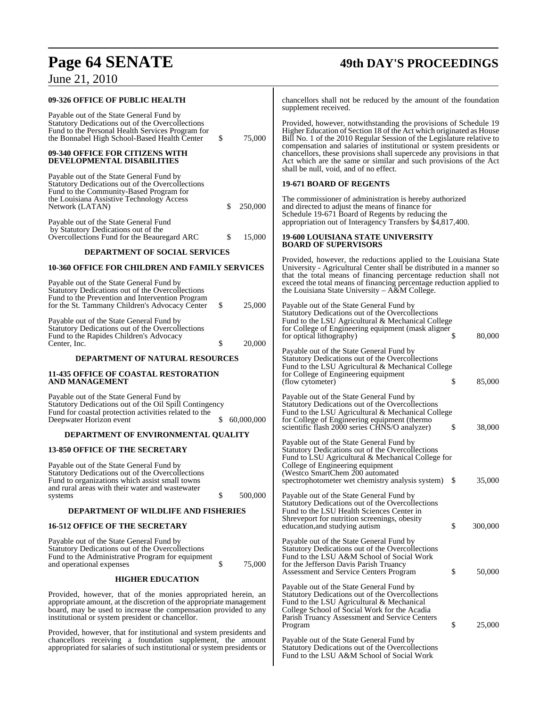# **Page 64 SENATE 49th DAY'S PROCEEDINGS**

June 21, 2010

| 09-326 OFFICE OF PUBLIC HEALTH                                                                                                                                                                                                                              |                  | chancellors shall not be reduced by the amount of the foundation<br>supplement received.                                                                                                                                                                                                                                             |                |
|-------------------------------------------------------------------------------------------------------------------------------------------------------------------------------------------------------------------------------------------------------------|------------------|--------------------------------------------------------------------------------------------------------------------------------------------------------------------------------------------------------------------------------------------------------------------------------------------------------------------------------------|----------------|
| Payable out of the State General Fund by<br>Statutory Dedications out of the Overcollections<br>Fund to the Personal Health Services Program for<br>the Bonnabel High School-Based Health Center                                                            | \$<br>75,000     | Provided, however, notwithstanding the provisions of Schedule 19<br>Higher Education of Section 18 of the Act which originated as House<br>Bill No. 1 of the 2010 Regular Session of the Legislature relative to<br>compensation and salaries of institutional or system presidents or                                               |                |
| 09-340 OFFICE FOR CITIZENS WITH<br><b>DEVELOPMENTAL DISABILITIES</b>                                                                                                                                                                                        |                  | chancellors, these provisions shall supercede any provisions in that<br>Act which are the same or similar and such provisions of the Act<br>shall be null, void, and of no effect.                                                                                                                                                   |                |
| Payable out of the State General Fund by<br>Statutory Dedications out of the Overcollections<br>Fund to the Community-Based Program for                                                                                                                     |                  | <b>19-671 BOARD OF REGENTS</b>                                                                                                                                                                                                                                                                                                       |                |
| the Louisiana Assistive Technology Access<br>Network (LATAN)                                                                                                                                                                                                | 250,000          | The commissioner of administration is hereby authorized<br>and directed to adjust the means of finance for<br>Schedule 19-671 Board of Regents by reducing the                                                                                                                                                                       |                |
| Payable out of the State General Fund<br>by Statutory Dedications out of the<br>Overcollections Fund for the Beauregard ARC                                                                                                                                 | 15,000           | appropriation out of Interagency Transfers by \$4,817,400.<br>19-600 LOUISIANA STATE UNIVERSITY                                                                                                                                                                                                                                      |                |
| DEPARTMENT OF SOCIAL SERVICES                                                                                                                                                                                                                               |                  | <b>BOARD OF SUPERVISORS</b>                                                                                                                                                                                                                                                                                                          |                |
| <b>10-360 OFFICE FOR CHILDREN AND FAMILY SERVICES</b><br>Payable out of the State General Fund by<br>Statutory Dedications out of the Overcollections                                                                                                       |                  | Provided, however, the reductions applied to the Louisiana State<br>University - Agricultural Center shall be distributed in a manner so<br>that the total means of financing percentage reduction shall not<br>exceed the total means of financing percentage reduction applied to<br>the Louisiana State University – A&M College. |                |
| Fund to the Prevention and Intervention Program<br>for the St. Tammany Children's Advocacy Center                                                                                                                                                           | \$<br>25,000     | Payable out of the State General Fund by<br>Statutory Dedications out of the Overcollections                                                                                                                                                                                                                                         |                |
| Payable out of the State General Fund by<br>Statutory Dedications out of the Overcollections<br>Fund to the Rapides Children's Advocacy<br>Center, Inc.                                                                                                     | \$<br>20,000     | Fund to the LSU Agricultural & Mechanical College<br>for College of Engineering equipment (mask aligner<br>for optical lithography)                                                                                                                                                                                                  | 80,000<br>S    |
| <b>DEPARTMENT OF NATURAL RESOURCES</b>                                                                                                                                                                                                                      |                  | Payable out of the State General Fund by<br>Statutory Dedications out of the Overcollections                                                                                                                                                                                                                                         |                |
| <b>11-435 OFFICE OF COASTAL RESTORATION</b><br>AND MANAGEMENT                                                                                                                                                                                               |                  | Fund to the LSU Agricultural & Mechanical College<br>for College of Engineering equipment<br>(flow cytometer)                                                                                                                                                                                                                        | \$<br>85,000   |
| Payable out of the State General Fund by<br>Statutory Dedications out of the Oil Spill Contingency<br>Fund for coastal protection activities related to the<br>Deepwater Horizon event                                                                      | 60,000,000<br>\$ | Payable out of the State General Fund by<br>Statutory Dedications out of the Overcollections<br>Fund to the LSU Agricultural & Mechanical College<br>for College of Engineering equipment (thermo                                                                                                                                    |                |
| DEPARTMENT OF ENVIRONMENTAL QUALITY                                                                                                                                                                                                                         |                  | scientific flash 2000 series CHNS/O analyzer)                                                                                                                                                                                                                                                                                        | 38,000<br>\$   |
| <b>13-850 OFFICE OF THE SECRETARY</b>                                                                                                                                                                                                                       |                  | Payable out of the State General Fund by<br>Statutory Dedications out of the Overcollections<br>Fund to LSU Agricultural & Mechanical College for                                                                                                                                                                                    |                |
| Payable out of the State General Fund by<br>Statutory Dedications out of the Overcollections<br>Fund to organizations which assist small towns                                                                                                              |                  | College of Engineering equipment<br>(Westco SmartChem 200 automated<br>spectrophotometer wet chemistry analysis system)                                                                                                                                                                                                              | 35,000<br>- \$ |
| and rural areas with their water and wastewater<br>systems                                                                                                                                                                                                  | \$<br>500,000    | Payable out of the State General Fund by<br>Statutory Dedications out of the Overcollections                                                                                                                                                                                                                                         |                |
| DEPARTMENT OF WILDLIFE AND FISHERIES                                                                                                                                                                                                                        |                  | Fund to the LSU Health Sciences Center in<br>Shreveport for nutrition screenings, obesity                                                                                                                                                                                                                                            |                |
| <b>16-512 OFFICE OF THE SECRETARY</b>                                                                                                                                                                                                                       |                  | education, and studying autism                                                                                                                                                                                                                                                                                                       | \$<br>300,000  |
| Payable out of the State General Fund by<br>Statutory Dedications out of the Overcollections<br>Fund to the Administrative Program for equipment<br>and operational expenses                                                                                | \$<br>75,000     | Payable out of the State General Fund by<br>Statutory Dedications out of the Overcollections<br>Fund to the LSU A&M School of Social Work<br>for the Jefferson Davis Parish Truancy                                                                                                                                                  |                |
| <b>HIGHER EDUCATION</b>                                                                                                                                                                                                                                     |                  | Assessment and Service Centers Program                                                                                                                                                                                                                                                                                               | \$<br>50,000   |
| Provided, however, that of the monies appropriated herein, an<br>appropriate amount, at the discretion of the appropriate management<br>board, may be used to increase the compensation provided to any<br>institutional or system president or chancellor. |                  | Payable out of the State General Fund by<br>Statutory Dedications out of the Overcollections<br>Fund to the LSU Agricultural & Mechanical<br>College School of Social Work for the Acadia<br>Parish Truancy Assessment and Service Centers<br>Program                                                                                | 25,000<br>\$   |
| Provided, however, that for institutional and system presidents and<br>chancellors receiving a foundation supplement, the amount<br>appropriated for salaries of such institutional or system presidents or                                                 |                  | Payable out of the State General Fund by<br>Statutory Dedications out of the Overcollections<br>Fund to the LSU A&M School of Social Work                                                                                                                                                                                            |                |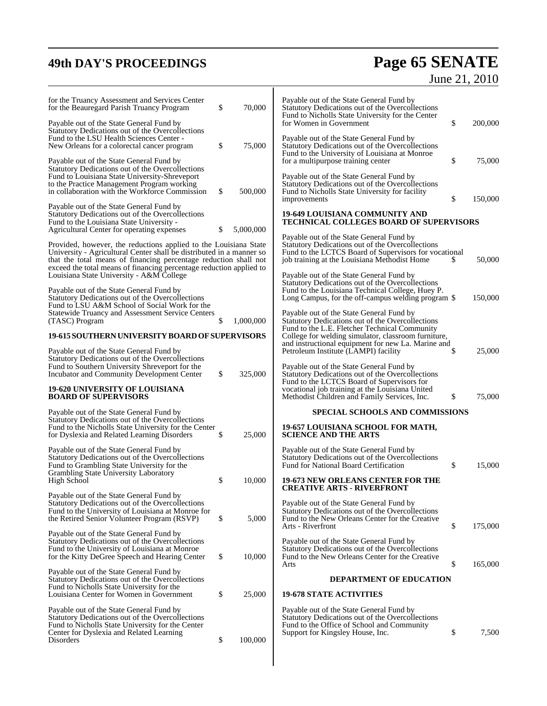# **49th DAY'S PROCEEDINGS Page 65 SENATE** June 21, 2010

| for the Truancy Assessment and Services Center<br>for the Beauregard Parish Truancy Program                                                                                                                                                                                         | \$<br>70,000    | Payable out of the State General Fund by<br>Statutory Dedications out of the Overcollections<br>Fund to Nicholls State University for the Center                                                       |    |         |
|-------------------------------------------------------------------------------------------------------------------------------------------------------------------------------------------------------------------------------------------------------------------------------------|-----------------|--------------------------------------------------------------------------------------------------------------------------------------------------------------------------------------------------------|----|---------|
| Payable out of the State General Fund by<br>Statutory Dedications out of the Overcollections<br>Fund to the LSU Health Sciences Center -                                                                                                                                            |                 | for Women in Government<br>Payable out of the State General Fund by                                                                                                                                    | \$ | 200,000 |
| New Orleans for a colorectal cancer program                                                                                                                                                                                                                                         | \$<br>75,000    | Statutory Dedications out of the Overcollections<br>Fund to the University of Louisiana at Monroe                                                                                                      | \$ | 75,000  |
| Payable out of the State General Fund by<br>Statutory Dedications out of the Overcollections<br>Fund to Louisiana State University-Shreveport<br>to the Practice Management Program working                                                                                         |                 | for a multipurpose training center<br>Payable out of the State General Fund by<br>Statutory Dedications out of the Overcollections                                                                     |    |         |
| in collaboration with the Workforce Commission<br>Payable out of the State General Fund by                                                                                                                                                                                          | \$<br>500,000   | Fund to Nicholls State University for facility<br>improvements                                                                                                                                         | \$ | 150,000 |
| Statutory Dedications out of the Overcollections<br>Fund to the Louisiana State University -<br>Agricultural Center for operating expenses                                                                                                                                          | \$<br>5,000,000 | <b>19-649 LOUISIANA COMMUNITY AND</b><br><b>TECHNICAL COLLEGES BOARD OF SUPERVISORS</b>                                                                                                                |    |         |
| Provided, however, the reductions applied to the Louisiana State<br>University - Agricultural Center shall be distributed in a manner so<br>that the total means of financing percentage reduction shall not<br>exceed the total means of financing percentage reduction applied to |                 | Payable out of the State General Fund by<br>Statutory Dedications out of the Overcollections<br>Fund to the LCTCS Board of Supervisors for vocational<br>job training at the Louisiana Methodist Home  | S  | 50,000  |
| Louisiana State University - A&M College<br>Payable out of the State General Fund by<br>Statutory Dedications out of the Overcollections                                                                                                                                            |                 | Payable out of the State General Fund by<br>Statutory Dedications out of the Overcollections<br>Fund to the Louisiana Technical College, Huey P.<br>Long Campus, for the off-campus welding program \$ |    | 150,000 |
| Fund to LSU A&M School of Social Work for the<br><b>Statewide Truancy and Assessment Service Centers</b><br>(TASC) Program                                                                                                                                                          | \$<br>1,000,000 | Payable out of the State General Fund by<br>Statutory Dedications out of the Overcollections<br>Fund to the L.E. Fletcher Technical Community                                                          |    |         |
| 19-615 SOUTHERN UNIVERSITY BOARD OF SUPERVISORS                                                                                                                                                                                                                                     |                 | College for welding simulator, classroom furniture,<br>and instructional equipment for new La. Marine and                                                                                              |    |         |
| Payable out of the State General Fund by<br>Statutory Dedications out of the Overcollections<br>Fund to Southern University Shreveport for the<br>Incubator and Community Development Center                                                                                        | \$<br>325,000   | Petroleum Institute (LAMPI) facility<br>Payable out of the State General Fund by<br>Statutory Dedications out of the Overcollections                                                                   | \$ | 25,000  |
| <b>19-620 UNIVERSITY OF LOUISIANA</b><br><b>BOARD OF SUPERVISORS</b>                                                                                                                                                                                                                |                 | Fund to the LCTCS Board of Supervisors for<br>vocational job training at the Louisiana United<br>Methodist Children and Family Services, Inc.                                                          | \$ | 75,000  |
| Payable out of the State General Fund by                                                                                                                                                                                                                                            |                 | <b>SPECIAL SCHOOLS AND COMMISSIONS</b>                                                                                                                                                                 |    |         |
| Statutory Dedications out of the Overcollections<br>Fund to the Nicholls State University for the Center<br>for Dyslexia and Related Learning Disorders                                                                                                                             | \$<br>25,000    | 19-657 LOUISIANA SCHOOL FOR MATH,<br><b>SCIENCE AND THE ARTS</b>                                                                                                                                       |    |         |
| Payable out of the State General Fund by<br>Statutory Dedications out of the Overcollections<br>Fund to Grambling State University for the<br>Grambling State University Laboratory                                                                                                 |                 | Payable out of the State General Fund by<br>Statutory Dedications out of the Overcollections<br>Fund for National Board Certification                                                                  | \$ | 15,000  |
| High School                                                                                                                                                                                                                                                                         | \$<br>10,000    | 19-673 NEW ORLEANS CENTER FOR THE<br><b>CREATIVE ARTS - RIVERFRONT</b>                                                                                                                                 |    |         |
| Payable out of the State General Fund by<br>Statutory Dedications out of the Overcollections<br>Fund to the University of Louisiana at Monroe for<br>the Retired Senior Volunteer Program (RSVP)                                                                                    | \$<br>5,000     | Payable out of the State General Fund by<br>Statutory Dedications out of the Overcollections<br>Fund to the New Orleans Center for the Creative<br>Arts - Riverfront                                   | \$ | 175,000 |
| Payable out of the State General Fund by<br>Statutory Dedications out of the Overcollections<br>Fund to the University of Louisiana at Monroe<br>for the Kitty DeGree Speech and Hearing Center                                                                                     | \$<br>10,000    | Payable out of the State General Fund by<br>Statutory Dedications out of the Overcollections<br>Fund to the New Orleans Center for the Creative<br>Arts                                                | \$ | 165,000 |
| Payable out of the State General Fund by<br>Statutory Dedications out of the Overcollections                                                                                                                                                                                        |                 | <b>DEPARTMENT OF EDUCATION</b>                                                                                                                                                                         |    |         |
| Fund to Nicholls State University for the<br>Louisiana Center for Women in Government                                                                                                                                                                                               | \$<br>25,000    | <b>19-678 STATE ACTIVITIES</b>                                                                                                                                                                         |    |         |
| Payable out of the State General Fund by<br>Statutory Dedications out of the Overcollections<br>Fund to Nicholls State University for the Center<br>Center for Dyslexia and Related Learning                                                                                        |                 | Payable out of the State General Fund by<br>Statutory Dedications out of the Overcollections<br>Fund to the Office of School and Community<br>Support for Kingsley House, Inc.                         | \$ | 7,500   |
| Disorders                                                                                                                                                                                                                                                                           | \$<br>100,000   |                                                                                                                                                                                                        |    |         |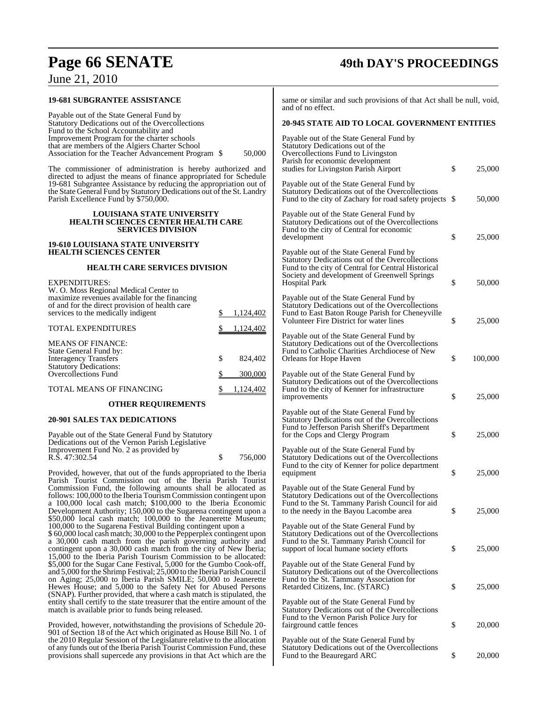| Page 66 SENATE                                                                                                                                                                                                                                                                   |               | <b>49th DAY'S PROCEEDINGS</b>                                                                                                                           |    |         |  |
|----------------------------------------------------------------------------------------------------------------------------------------------------------------------------------------------------------------------------------------------------------------------------------|---------------|---------------------------------------------------------------------------------------------------------------------------------------------------------|----|---------|--|
| June 21, 2010                                                                                                                                                                                                                                                                    |               |                                                                                                                                                         |    |         |  |
| <b>19-681 SUBGRANTEE ASSISTANCE</b>                                                                                                                                                                                                                                              |               | same or similar and such provisions of that Act shall be null, void,<br>and of no effect.                                                               |    |         |  |
| Payable out of the State General Fund by<br>Statutory Dedications out of the Overcollections                                                                                                                                                                                     |               | <b>20-945 STATE AID TO LOCAL GOVERNMENT ENTITIES</b>                                                                                                    |    |         |  |
| Fund to the School Accountability and<br>Improvement Program for the charter schools<br>that are members of the Algiers Charter School<br>Association for the Teacher Advancement Program \$                                                                                     | 50,000        | Payable out of the State General Fund by<br>Statutory Dedications out of the<br>Overcollections Fund to Livingston<br>Parish for economic development   |    |         |  |
| The commissioner of administration is hereby authorized and<br>directed to adjust the means of finance appropriated for Schedule<br>19-681 Subgrantee Assistance by reducing the appropriation out of                                                                            |               | studies for Livingston Parish Airport<br>Payable out of the State General Fund by                                                                       | \$ | 25,000  |  |
| the State General Fund by Statutory Dedications out of the St. Landry<br>Parish Excellence Fund by \$750,000.                                                                                                                                                                    |               | Statutory Dedications out of the Overcollections<br>Fund to the city of Zachary for road safety projects \$                                             |    | 50,000  |  |
| <b>LOUISIANA STATE UNIVERSITY</b><br><b>HEALTH SCIENCES CENTER HEALTH CARE</b><br><b>SERVICES DIVISION</b>                                                                                                                                                                       |               | Payable out of the State General Fund by<br>Statutory Dedications out of the Overcollections<br>Fund to the city of Central for economic<br>development | \$ | 25,000  |  |
| <b>19-610 LOUISIANA STATE UNIVERSITY</b><br><b>HEALTH SCIENCES CENTER</b>                                                                                                                                                                                                        |               | Payable out of the State General Fund by                                                                                                                |    |         |  |
| <b>HEALTH CARE SERVICES DIVISION</b>                                                                                                                                                                                                                                             |               | Statutory Dedications out of the Overcollections<br>Fund to the city of Central for Central Historical<br>Society and development of Greenwell Springs  |    |         |  |
| <b>EXPENDITURES:</b><br>W. O. Moss Regional Medical Center to<br>maximize revenues available for the financing                                                                                                                                                                   |               | <b>Hospital Park</b><br>Payable out of the State General Fund by                                                                                        | \$ | 50,000  |  |
| of and for the direct provision of health care<br>services to the medically indigent                                                                                                                                                                                             | 1,124,402     | Statutory Dedications out of the Overcollections<br>Fund to East Baton Rouge Parish for Cheneyville<br>Volunteer Fire District for water lines          | \$ | 25,000  |  |
| <b>TOTAL EXPENDITURES</b>                                                                                                                                                                                                                                                        | 1,124,402     | Payable out of the State General Fund by                                                                                                                |    |         |  |
| <b>MEANS OF FINANCE:</b><br>State General Fund by:<br><b>Interagency Transfers</b>                                                                                                                                                                                               | \$<br>824,402 | Statutory Dedications out of the Overcollections<br>Fund to Catholic Charities Archdiocese of New<br>Orleans for Hope Haven                             | \$ | 100,000 |  |
| <b>Statutory Dedications:</b><br>Overcollections Fund                                                                                                                                                                                                                            | 300,000<br>\$ | Payable out of the State General Fund by<br>Statutory Dedications out of the Overcollections                                                            |    |         |  |
| TOTAL MEANS OF FINANCING                                                                                                                                                                                                                                                         | 1,124,402     | Fund to the city of Kenner for infrastructure<br>improvements                                                                                           | \$ | 25,000  |  |
| <b>OTHER REQUIREMENTS</b><br>20-901 SALES TAX DEDICATIONS                                                                                                                                                                                                                        |               | Payable out of the State General Fund by                                                                                                                |    |         |  |
| Payable out of the State General Fund by Statutory                                                                                                                                                                                                                               |               | Statutory Dedications out of the Overcollections<br>Fund to Jefferson Parish Sheriff's Department<br>for the Cops and Clergy Program                    | \$ | 25,000  |  |
| Dedications out of the Vernon Parish Legislative<br>Improvement Fund No. 2 as provided by<br>R.S. 47:302.54                                                                                                                                                                      | \$<br>756,000 | Payable out of the State General Fund by<br>Statutory Dedications out of the Overcollections                                                            |    |         |  |
| Provided, however, that out of the funds appropriated to the Iberia<br>Parish Tourist Commission out of the Iberia Parish Tourist                                                                                                                                                |               | Fund to the city of Kenner for police department<br>equipment                                                                                           | \$ | 25,000  |  |
| Commission Fund, the following amounts shall be allocated as<br>follows: 100,000 to the Iberia Tourism Commission contingent upon<br>a 100,000 local cash match; \$100,000 to the Iberia Economic                                                                                |               | Payable out of the State General Fund by<br>Statutory Dedications out of the Overcollections<br>Fund to the St. Tammany Parish Council for aid          |    |         |  |
| Development Authority; 150,000 to the Sugarena contingent upon a<br>\$50,000 local cash match; 100,000 to the Jeanerette Museum;<br>100,000 to the Sugarena Festival Building contingent upon a                                                                                  |               | to the needy in the Bayou Lacombe area<br>Payable out of the State General Fund by                                                                      | \$ | 25,000  |  |
| \$60,000 local cash match; 30,000 to the Pepperplex contingent upon<br>a 30,000 cash match from the parish governing authority and<br>contingent upon a 30,000 cash match from the city of New Iberia;                                                                           |               | Statutory Dedications out of the Overcollections<br>Fund to the St. Tammany Parish Council for<br>support of local humane society efforts               | \$ | 25,000  |  |
| 15,000 to the Iberia Parish Tourism Commission to be allocated:<br>\$5,000 for the Sugar Cane Festival, 5,000 for the Gumbo Cook-off,<br>and 5,000 for the Shrimp Festival; 25,000 to the Iberia Parish Council<br>on Aging; 25,000 to Iberia Parish SMILE; 50,000 to Jeanerette |               | Payable out of the State General Fund by<br>Statutory Dedications out of the Overcollections<br>Fund to the St. Tammany Association for                 |    |         |  |

Hewes House; and 5,000 to the Safety Net for Abused Persons (SNAP). Further provided, that where a cash match is stipulated, the entity shall certify to the state treasurer that the entire amount of the nmany Parish Council for  $s = 25,000$ State General Fund by ons out of the Overcollections Fund to the St. Tammany Association for Retarded Citizens, Inc. (STARC) \$ 25,000 Payable out of the State General Fund by Statutory Dedications out of the Overcollections Fund to the Vernon Parish Police Jury for fairground cattle fences  $\qquad$  \$ 20,000 Payable out of the State General Fund by

Statutory Dedications out of the Overcollections Fund to the Beauregard ARC  $\qquad \qquad$  \$ 20,000

Provided, however, notwithstanding the provisions of Schedule 20- 901 of Section 18 of the Act which originated as House Bill No. 1 of the 2010 Regular Session of the Legislature relative to the allocation of any funds out of the Iberia Parish Tourist Commission Fund, these provisions shall supercede any provisions in that Act which are the

match is available prior to funds being released.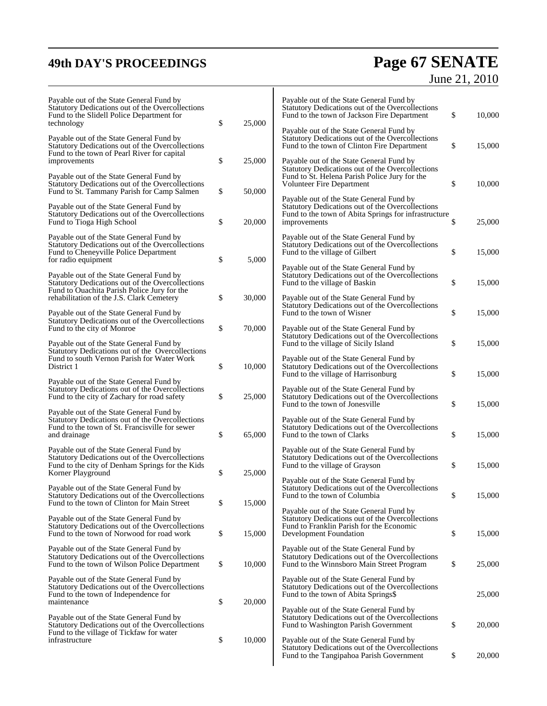## **49th DAY'S PROCEEDINGS Page 67 SENATE** June 21, 2010

| Payable out of the State General Fund by<br>Statutory Dedications out of the Overcollections<br>Fund to the Slidell Police Department for<br>technology              | \$<br>25,000 | Payable out of the State General Fund by<br>Statutory Dedications out of the Overcollections<br>Fund to the town of Jackson Fire Department                          | \$<br>10,000 |
|----------------------------------------------------------------------------------------------------------------------------------------------------------------------|--------------|----------------------------------------------------------------------------------------------------------------------------------------------------------------------|--------------|
| Payable out of the State General Fund by<br>Statutory Dedications out of the Overcollections<br>Fund to the town of Pearl River for capital                          |              | Payable out of the State General Fund by<br>Statutory Dedications out of the Overcollections<br>Fund to the town of Clinton Fire Department                          | \$<br>15,000 |
| improvements                                                                                                                                                         | \$<br>25,000 | Payable out of the State General Fund by<br>Statutory Dedications out of the Overcollections                                                                         |              |
| Payable out of the State General Fund by<br>Statutory Dedications out of the Overcollections<br>Fund to St. Tammany Parish for Camp Salmen                           | \$<br>50,000 | Fund to St. Helena Parish Police Jury for the<br><b>Volunteer Fire Department</b>                                                                                    | \$<br>10,000 |
| Payable out of the State General Fund by<br>Statutory Dedications out of the Overcollections<br>Fund to Tioga High School                                            | \$<br>20,000 | Payable out of the State General Fund by<br>Statutory Dedications out of the Overcollections<br>Fund to the town of Abita Springs for infrastructure<br>improvements | \$<br>25,000 |
| Payable out of the State General Fund by<br>Statutory Dedications out of the Overcollections<br>Fund to Cheneyville Police Department<br>for radio equipment         | \$<br>5,000  | Payable out of the State General Fund by<br>Statutory Dedications out of the Overcollections<br>Fund to the village of Gilbert                                       | \$<br>15,000 |
| Payable out of the State General Fund by<br>Statutory Dedications out of the Overcollections<br>Fund to Ouachita Parish Police Jury for the                          |              | Payable out of the State General Fund by<br>Statutory Dedications out of the Overcollections<br>Fund to the village of Baskin                                        | \$<br>15,000 |
| rehabilitation of the J.S. Clark Cemetery<br>Payable out of the State General Fund by                                                                                | \$<br>30,000 | Payable out of the State General Fund by<br>Statutory Dedications out of the Overcollections<br>Fund to the town of Wisner                                           | \$<br>15,000 |
| Statutory Dedications out of the Overcollections<br>Fund to the city of Monroe                                                                                       | \$<br>70,000 | Payable out of the State General Fund by<br>Statutory Dedications out of the Overcollections                                                                         |              |
| Payable out of the State General Fund by<br>Statutory Dedications out of the Overcollections<br>Fund to south Vernon Parish for Water Work                           |              | Fund to the village of Sicily Island<br>Payable out of the State General Fund by                                                                                     | \$<br>15,000 |
| District 1<br>Payable out of the State General Fund by                                                                                                               | \$<br>10,000 | Statutory Dedications out of the Overcollections<br>Fund to the village of Harrisonburg                                                                              | \$<br>15,000 |
| Statutory Dedications out of the Overcollections<br>Fund to the city of Zachary for road safety                                                                      | \$<br>25,000 | Payable out of the State General Fund by<br>Statutory Dedications out of the Overcollections<br>Fund to the town of Jonesville                                       | \$<br>15,000 |
| Payable out of the State General Fund by<br>Statutory Dedications out of the Overcollections<br>Fund to the town of St. Francisville for sewer<br>and drainage       | \$<br>65,000 | Payable out of the State General Fund by<br>Statutory Dedications out of the Overcollections<br>Fund to the town of Clarks                                           | \$<br>15,000 |
| Payable out of the State General Fund by<br>Statutory Dedications out of the Overcollections<br>Fund to the city of Denham Springs for the Kids<br>Korner Playground | \$<br>25,000 | Payable out of the State General Fund by<br>Statutory Dedications out of the Overcollections<br>Fund to the village of Grayson                                       | \$<br>15,000 |
| Payable out of the State General Fund by<br>Statutory Dedications out of the Overcollections<br>Fund to the town of Clinton for Main Street                          | \$<br>15,000 | Payable out of the State General Fund by<br>Statutory Dedications out of the Overcollections<br>Fund to the town of Columbia                                         | \$<br>15,000 |
| Payable out of the State General Fund by<br>Statutory Dedications out of the Overcollections<br>Fund to the town of Norwood for road work                            | \$<br>15,000 | Payable out of the State General Fund by<br>Statutory Dedications out of the Overcollections<br>Fund to Franklin Parish for the Economic<br>Development Foundation   | \$<br>15,000 |
| Payable out of the State General Fund by<br>Statutory Dedications out of the Overcollections<br>Fund to the town of Wilson Police Department                         | \$<br>10,000 | Payable out of the State General Fund by<br>Statutory Dedications out of the Overcollections<br>Fund to the Winnsboro Main Street Program                            | \$<br>25,000 |
| Payable out of the State General Fund by<br>Statutory Dedications out of the Overcollections<br>Fund to the town of Independence for<br>maintenance                  | \$<br>20,000 | Payable out of the State General Fund by<br>Statutory Dedications out of the Overcollections<br>Fund to the town of Abita Springs\$                                  | 25,000       |
| Payable out of the State General Fund by<br>Statutory Dedications out of the Overcollections                                                                         |              | Payable out of the State General Fund by<br>Statutory Dedications out of the Overcollections<br>Fund to Washington Parish Government                                 | \$<br>20,000 |
| Fund to the village of Tickfaw for water<br>infrastructure                                                                                                           | \$<br>10,000 | Payable out of the State General Fund by<br>Statutory Dedications out of the Overcollections<br>Fund to the Tangipahoa Parish Government                             | \$<br>20,000 |

 $\mathsf{l}$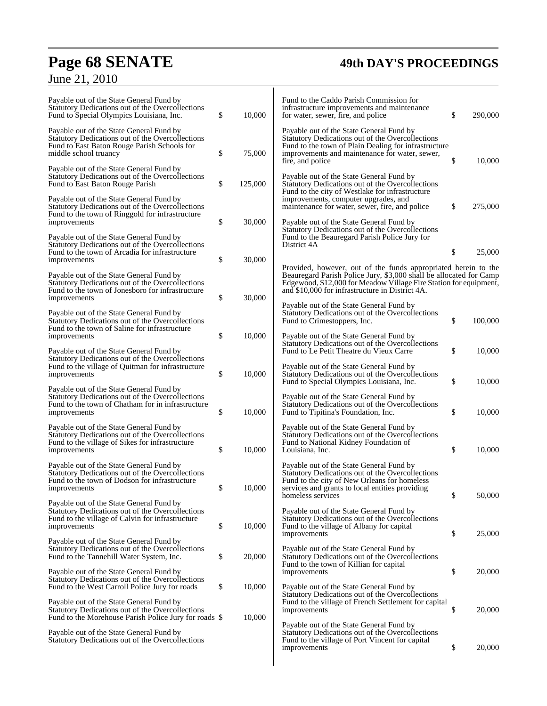# **Page 68 SENATE 49th DAY'S PROCEEDINGS**

# June 21, 2010

| Payable out of the State General Fund by<br>Statutory Dedications out of the Overcollections<br>Fund to Special Olympics Louisiana, Inc.                             | \$<br>10,000  | Fund to the Caddo Parish Commission for<br>infrastructure improvements and maintenance<br>for water, sewer, fire, and police                                                                                                                                 | \$<br>290,000 |
|----------------------------------------------------------------------------------------------------------------------------------------------------------------------|---------------|--------------------------------------------------------------------------------------------------------------------------------------------------------------------------------------------------------------------------------------------------------------|---------------|
| Payable out of the State General Fund by<br>Statutory Dedications out of the Overcollections<br>Fund to East Baton Rouge Parish Schools for<br>middle school truancy | \$<br>75,000  | Payable out of the State General Fund by<br>Statutory Dedications out of the Overcollections<br>Fund to the town of Plain Dealing for infrastructure<br>improvements and maintenance for water, sewer,                                                       |               |
| Payable out of the State General Fund by<br>Statutory Dedications out of the Overcollections<br>Fund to East Baton Rouge Parish                                      | \$<br>125,000 | fire, and police<br>Payable out of the State General Fund by<br>Statutory Dedications out of the Overcollections                                                                                                                                             | \$<br>10,000  |
| Payable out of the State General Fund by<br>Statutory Dedications out of the Overcollections<br>Fund to the town of Ringgold for infrastructure<br>improvements      | \$<br>30,000  | Fund to the city of Westlake for infrastructure<br>improvements, computer upgrades, and<br>maintenance for water, sewer, fire, and police<br>Payable out of the State General Fund by                                                                        | \$<br>275,000 |
| Payable out of the State General Fund by<br>Statutory Dedications out of the Overcollections<br>Fund to the town of Arcadia for infrastructure                       |               | Statutory Dedications out of the Overcollections<br>Fund to the Beauregard Parish Police Jury for<br>District 4A                                                                                                                                             | \$<br>25,000  |
| improvements                                                                                                                                                         | \$<br>30,000  |                                                                                                                                                                                                                                                              |               |
| Payable out of the State General Fund by<br>Statutory Dedications out of the Overcollections<br>Fund to the town of Jonesboro for infrastructure<br>improvements     | \$<br>30,000  | Provided, however, out of the funds appropriated herein to the<br>Beauregard Parish Police Jury, \$3,000 shall be allocated for Camp<br>Edgewood, \$12,000 for Meadow Village Fire Station for equipment,<br>and \$10,000 for infrastructure in District 4A. |               |
| Payable out of the State General Fund by<br>Statutory Dedications out of the Overcollections<br>Fund to the town of Saline for infrastructure                        |               | Payable out of the State General Fund by<br>Statutory Dedications out of the Overcollections<br>Fund to Crimestoppers, Inc.                                                                                                                                  | \$<br>100,000 |
| improvements<br>Payable out of the State General Fund by                                                                                                             | \$<br>10,000  | Payable out of the State General Fund by<br>Statutory Dedications out of the Overcollections<br>Fund to Le Petit Theatre du Vieux Carre                                                                                                                      | \$<br>10,000  |
| Statutory Dedications out of the Overcollections<br>Fund to the village of Quitman for infrastructure<br>improvements                                                | \$<br>10,000  | Payable out of the State General Fund by<br>Statutory Dedications out of the Overcollections<br>Fund to Special Olympics Louisiana, Inc.                                                                                                                     | \$<br>10,000  |
| Payable out of the State General Fund by<br>Statutory Dedications out of the Overcollections<br>Fund to the town of Chatham for in infrastructure<br>improvements    | \$<br>10,000  | Payable out of the State General Fund by<br>Statutory Dedications out of the Overcollections<br>Fund to Tipitina's Foundation, Inc.                                                                                                                          | \$<br>10,000  |
| Payable out of the State General Fund by<br>Statutory Dedications out of the Overcollections<br>Fund to the village of Sikes for infrastructure<br>improvements      | \$<br>10,000  | Payable out of the State General Fund by<br>Statutory Dedications out of the Overcollections<br>Fund to National Kidney Foundation of<br>Louisiana, Inc.                                                                                                     | \$<br>10,000  |
| Payable out of the State General Fund by<br>Statutory Dedications out of the Overcollections<br>Fund to the town of Dodson for infrastructure<br>improvements        | \$<br>10,000  | Payable out of the State General Fund by<br>Statutory Dedications out of the Overcollections<br>Fund to the city of New Orleans for homeless<br>services and grants to local entities providing                                                              |               |
| Payable out of the State General Fund by<br>Statutory Dedications out of the Overcollections<br>Fund to the village of Calvin for infrastructure<br>improvements     | \$<br>10,000  | homeless services<br>Payable out of the State General Fund by<br>Statutory Dedications out of the Overcollections<br>Fund to the village of Albany for capital                                                                                               | \$<br>50,000  |
| Payable out of the State General Fund by<br>Statutory Dedications out of the Overcollections<br>Fund to the Tannehill Water System, Inc.                             | \$<br>20,000  | improvements<br>Payable out of the State General Fund by<br>Statutory Dedications out of the Overcollections                                                                                                                                                 | \$<br>25,000  |
| Payable out of the State General Fund by<br>Statutory Dedications out of the Overcollections<br>Fund to the West Carroll Police Jury for roads                       | \$<br>10,000  | Fund to the town of Killian for capital<br>improvements<br>Payable out of the State General Fund by                                                                                                                                                          | \$<br>20,000  |
| Payable out of the State General Fund by<br>Statutory Dedications out of the Overcollections<br>Fund to the Morehouse Parish Police Jury for roads \$                | 10,000        | Statutory Dedications out of the Overcollections<br>Fund to the village of French Settlement for capital<br>improvements                                                                                                                                     | \$<br>20,000  |
| Payable out of the State General Fund by<br>Statutory Dedications out of the Overcollections                                                                         |               | Payable out of the State General Fund by<br>Statutory Dedications out of the Overcollections<br>Fund to the village of Port Vincent for capital<br>improvements                                                                                              | \$<br>20,000  |
|                                                                                                                                                                      |               |                                                                                                                                                                                                                                                              |               |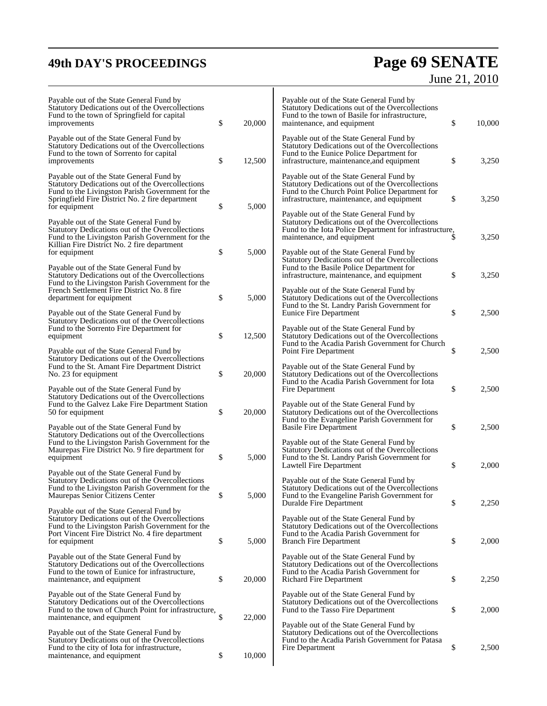# **49th DAY'S PROCEEDINGS Page 69 SENATE** June 21, 2010

| Payable out of the State General Fund by<br>Statutory Dedications out of the Overcollections<br>Fund to the town of Springfield for capital<br>improvements                                                           | \$<br>20,000 | Payable out of the State General Fund by<br>Statutory Dedications out of the Overcollections<br>Fund to the town of Basile for infrastructure,<br>maintenance, and equipment                 | \$<br>10,000 |
|-----------------------------------------------------------------------------------------------------------------------------------------------------------------------------------------------------------------------|--------------|----------------------------------------------------------------------------------------------------------------------------------------------------------------------------------------------|--------------|
| Payable out of the State General Fund by<br>Statutory Dedications out of the Overcollections<br>Fund to the town of Sorrento for capital<br>improvements                                                              | \$<br>12,500 | Payable out of the State General Fund by<br>Statutory Dedications out of the Overcollections<br>Fund to the Eunice Police Department for<br>infrastructure, maintenance, and equipment       | \$<br>3,250  |
| Payable out of the State General Fund by<br>Statutory Dedications out of the Overcollections<br>Fund to the Livingston Parish Government for the<br>Springfield Fire District No. 2 fire department<br>for equipment  | \$<br>5,000  | Payable out of the State General Fund by<br>Statutory Dedications out of the Overcollections<br>Fund to the Church Point Police Department for<br>infrastructure, maintenance, and equipment | \$<br>3,250  |
| Payable out of the State General Fund by<br>Statutory Dedications out of the Overcollections<br>Fund to the Livingston Parish Government for the<br>Killian Fire District No. 2 fire department                       |              | Payable out of the State General Fund by<br>Statutory Dedications out of the Overcollections<br>Fund to the Iota Police Department for infrastructure,<br>maintenance, and equipment         | 3,250        |
| for equipment<br>Payable out of the State General Fund by<br>Statutory Dedications out of the Overcollections<br>Fund to the Livingston Parish Government for the                                                     | \$<br>5,000  | Payable out of the State General Fund by<br>Statutory Dedications out of the Overcollections<br>Fund to the Basile Police Department for<br>infrastructure, maintenance, and equipment       | \$<br>3,250  |
| French Settlement Fire District No. 8 fire<br>department for equipment<br>Payable out of the State General Fund by<br>Statutory Dedications out of the Overcollections                                                | \$<br>5,000  | Payable out of the State General Fund by<br>Statutory Dedications out of the Overcollections<br>Fund to the St. Landry Parish Government for<br><b>Eunice Fire Department</b>                | \$<br>2,500  |
| Fund to the Sorrento Fire Department for<br>equipment<br>Payable out of the State General Fund by                                                                                                                     | \$<br>12,500 | Payable out of the State General Fund by<br>Statutory Dedications out of the Overcollections<br>Fund to the Acadia Parish Government for Church<br>Point Fire Department                     | \$<br>2,500  |
| Statutory Dedications out of the Overcollections<br>Fund to the St. Amant Fire Department District<br>No. 23 for equipment<br>Payable out of the State General Fund by                                                | \$<br>20,000 | Payable out of the State General Fund by<br>Statutory Dedications out of the Overcollections<br>Fund to the Acadia Parish Government for Iota<br>Fire Department                             | \$<br>2,500  |
| Statutory Dedications out of the Overcollections<br>Fund to the Galvez Lake Fire Department Station<br>50 for equipment<br>Payable out of the State General Fund by                                                   | \$<br>20,000 | Payable out of the State General Fund by<br>Statutory Dedications out of the Overcollections<br>Fund to the Evangeline Parish Government for<br><b>Basile Fire Department</b>                | \$<br>2,500  |
| Statutory Dedications out of the Overcollections<br>Fund to the Livingston Parish Government for the<br>Maurepas Fire District No. 9 fire department for<br>equipment                                                 | \$<br>5,000  | Payable out of the State General Fund by<br>Statutory Dedications out of the Overcollections<br>Fund to the St. Landry Parish Government for<br>Lawtell Fire Department                      | \$<br>2,000  |
| Payable out of the State General Fund by<br>Statutory Dedications out of the Overcollections<br>Fund to the Livingston Parish Government for the<br>Maurepas Senior Citizens Center                                   | \$<br>5,000  | Payable out of the State General Fund by<br><b>Statutory Dedications out of the Overcollections</b><br>Fund to the Evangeline Parish Government for<br>Duralde Fire Department               | \$<br>2,250  |
| Payable out of the State General Fund by<br>Statutory Dedications out of the Overcollections<br>Fund to the Livingston Parish Government for the<br>Port Vincent Fire District No. 4 fire department<br>for equipment | \$<br>5,000  | Payable out of the State General Fund by<br>Statutory Dedications out of the Overcollections<br>Fund to the Acadia Parish Government for<br><b>Branch Fire Department</b>                    | \$<br>2,000  |
| Payable out of the State General Fund by<br>Statutory Dedications out of the Overcollections<br>Fund to the town of Eunice for infrastructure,<br>maintenance, and equipment                                          | \$<br>20,000 | Payable out of the State General Fund by<br>Statutory Dedications out of the Overcollections<br>Fund to the Acadia Parish Government for<br>Richard Fire Department                          | \$<br>2,250  |
| Payable out of the State General Fund by<br>Statutory Dedications out of the Overcollections<br>Fund to the town of Church Point for infrastructure,<br>maintenance, and equipment                                    | \$<br>22,000 | Payable out of the State General Fund by<br>Statutory Dedications out of the Overcollections<br>Fund to the Tasso Fire Department                                                            | \$<br>2,000  |
| Payable out of the State General Fund by<br>Statutory Dedications out of the Overcollections<br>Fund to the city of Iota for infrastructure,<br>maintenance, and equipment                                            | \$<br>10,000 | Payable out of the State General Fund by<br>Statutory Dedications out of the Overcollections<br>Fund to the Acadia Parish Government for Patasa<br>Fire Department                           | \$<br>2,500  |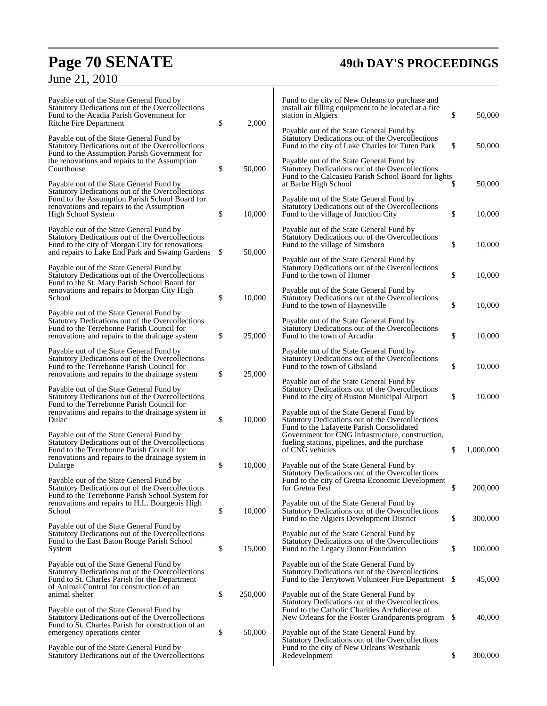# **Page 70 SENATE 49th DAY'S PROCEEDINGS**

| June 21, 2010 |  |
|---------------|--|
|---------------|--|

| Payable out of the State General Fund by<br>Statutory Dedications out of the Overcollections<br>Fund to the Acadia Parish Government for<br>Ritche Fire Department                                                                                                                                                                                                                              | \$  | 2,000   | Fund to the city of New Orleans to purchase and<br>install air filling equipment to be located at a fire<br>station in Algiers<br>Payable out of the State General Fund by | \$       | 50,000           |
|-------------------------------------------------------------------------------------------------------------------------------------------------------------------------------------------------------------------------------------------------------------------------------------------------------------------------------------------------------------------------------------------------|-----|---------|----------------------------------------------------------------------------------------------------------------------------------------------------------------------------|----------|------------------|
| Payable out of the State General Fund by<br>Statutory Dedications out of the Overcollections<br>Fund to the Assumption Parish Government for                                                                                                                                                                                                                                                    |     |         | Statutory Dedications out of the Overcollections<br>Fund to the city of Lake Charles for Tuten Park                                                                        | \$       | 50,000           |
| the renovations and repairs to the Assumption<br>Courthouse                                                                                                                                                                                                                                                                                                                                     | \$  | 50,000  | Payable out of the State General Fund by<br>Statutory Dedications out of the Overcollections<br>Fund to the Calcasieu Parish School Board for lights                       |          |                  |
| Payable out of the State General Fund by<br>Statutory Dedications out of the Overcollections<br>Fund to the Assumption Parish School Board for<br>renovations and repairs to the Assumption                                                                                                                                                                                                     | \$  | 10,000  | at Barbe High School<br>Payable out of the State General Fund by<br>Statutory Dedications out of the Overcollections<br>Fund to the village of Junction City               | \$<br>\$ | 50,000<br>10,000 |
| High School System<br>Payable out of the State General Fund by<br>Statutory Dedications out of the Overcollections<br>Fund to the city of Morgan City for renovations<br>and repairs to Lake End Park and Swamp Gardens                                                                                                                                                                         |     |         | Payable out of the State General Fund by                                                                                                                                   |          |                  |
|                                                                                                                                                                                                                                                                                                                                                                                                 | \$. | 50,000  | Statutory Dedications out of the Overcollections<br>Fund to the village of Simsboro                                                                                        | \$       | 10,000           |
| Payable out of the State General Fund by<br>Statutory Dedications out of the Overcollections<br>Fund to the St. Mary Parish School Board for                                                                                                                                                                                                                                                    |     |         | Payable out of the State General Fund by<br>Statutory Dedications out of the Overcollections<br>Fund to the town of Homer                                                  | \$       | 10,000           |
| renovations and repairs to Morgan City High<br>School                                                                                                                                                                                                                                                                                                                                           | \$  | 10,000  | Payable out of the State General Fund by<br>Statutory Dedications out of the Overcollections<br>Fund to the town of Haynesville                                            | \$       | 10,000           |
| Payable out of the State General Fund by<br>Statutory Dedications out of the Overcollections<br>Fund to the Terrebonne Parish Council for<br>renovations and repairs to the drainage system                                                                                                                                                                                                     | \$  | 25,000  | Payable out of the State General Fund by<br>Statutory Dedications out of the Overcollections<br>Fund to the town of Arcadia                                                | \$       | 10,000           |
| Payable out of the State General Fund by<br>Statutory Dedications out of the Overcollections<br>Fund to the Terrebonne Parish Council for<br>renovations and repairs to the drainage system                                                                                                                                                                                                     | \$  | 25,000  | Payable out of the State General Fund by<br>Statutory Dedications out of the Overcollections<br>Fund to the town of Gibsland                                               | \$       | 10,000           |
| Payable out of the State General Fund by<br>Statutory Dedications out of the Overcollections                                                                                                                                                                                                                                                                                                    |     |         | Payable out of the State General Fund by<br>Statutory Dedications out of the Overcollections<br>Fund to the city of Ruston Municipal Airport                               | \$       | 10,000           |
| Fund to the Terrebonne Parish Council for<br>renovations and repairs to the drainage system in<br>Dulac                                                                                                                                                                                                                                                                                         | \$  | 10,000  | Payable out of the State General Fund by<br>Statutory Dedications out of the Overcollections<br>Fund to the Lafayette Parish Consolidated                                  |          |                  |
| Payable out of the State General Fund by<br>Statutory Dedications out of the Overcollections<br>Fund to the Terrebonne Parish Council for<br>renovations and repairs to the drainage system in                                                                                                                                                                                                  |     |         | Government for CNG infrastructure, construction,<br>fueling stations, pipelines, and the purchase<br>of CNG vehicles                                                       | \$       | 1,000,000        |
| Dularge<br>Payable out of the State General Fund by                                                                                                                                                                                                                                                                                                                                             | \$  | 10,000  | Payable out of the State General Fund by<br>Statutory Dedications out of the Overcollections<br>Fund to the city of Gretna Economic Development                            |          |                  |
| Statutory Dedications out of the Overcollections<br>Fund to the Terrebonne Parish School System for<br>renovations and repairs to H.L. Bourgeois High                                                                                                                                                                                                                                           |     |         | for Gretna Fest<br>Payable out of the State General Fund by                                                                                                                | \$       | 200,000          |
| School<br>Payable out of the State General Fund by                                                                                                                                                                                                                                                                                                                                              | \$  | 10,000  | Statutory Dedications out of the Overcollections<br>Fund to the Algiers Development District                                                                               | \$       | 300,000          |
| Statutory Dedications out of the Overcollections<br>Fund to the East Baton Rouge Parish School<br>System                                                                                                                                                                                                                                                                                        | \$  | 15,000  | Payable out of the State General Fund by<br>Statutory Dedications out of the Overcollections<br>Fund to the Legacy Donor Foundation                                        | \$       | 100,000          |
| Payable out of the State General Fund by<br>Statutory Dedications out of the Overcollections<br>Fund to St. Charles Parish for the Department<br>of Animal Control for construction of an<br>animal shelter<br>Payable out of the State General Fund by<br>Statutory Dedications out of the Overcollections<br>Fund to St. Charles Parish for construction of an<br>emergency operations center |     |         | Payable out of the State General Fund by<br>Statutory Dedications out of the Overcollections<br>Fund to the Terrytown Volunteer Fire Department \$                         |          | 45,000           |
|                                                                                                                                                                                                                                                                                                                                                                                                 | \$  | 250,000 | Payable out of the State General Fund by<br>Statutory Dedications out of the Overcollections<br>Fund to the Catholic Charities Archdiocese of                              |          |                  |
|                                                                                                                                                                                                                                                                                                                                                                                                 | \$  | 50,000  | New Orleans for the Foster Grandparents program \$<br>Payable out of the State General Fund by                                                                             |          | 40,000           |
| Payable out of the State General Fund by<br>Statutory Dedications out of the Overcollections                                                                                                                                                                                                                                                                                                    |     |         | Statutory Dedications out of the Overcollections<br>Fund to the city of New Orleans Westbank<br>Redevelopment                                                              | \$       | 300,000          |
|                                                                                                                                                                                                                                                                                                                                                                                                 |     |         |                                                                                                                                                                            |          |                  |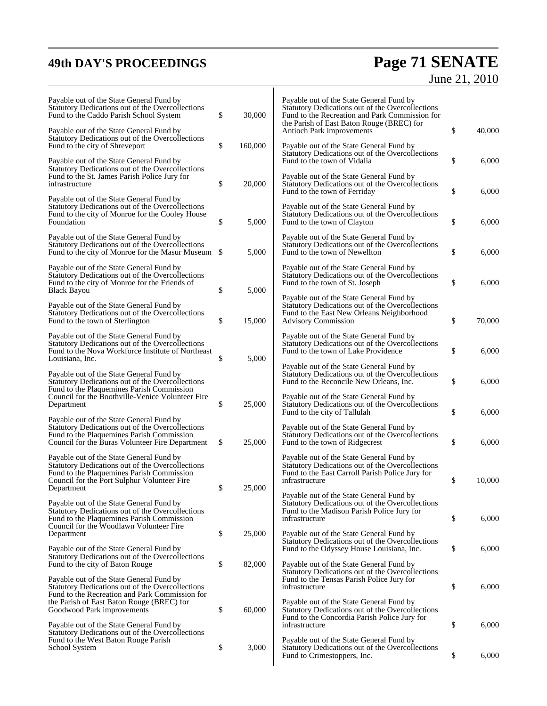# **49th DAY'S PROCEEDINGS Page 71 SENATE**

# June 21, 2010

| Payable out of the State General Fund by<br>Statutory Dedications out of the Overcollections<br>Fund to the Caddo Parish School System                                                       | \$<br>30,000  | Payable out of the State General Fund by<br>Statutory Dedications out of the Overcollections<br>Fund to the Recreation and Park Commission for<br>the Parish of East Baton Rouge (BREC) for |              |
|----------------------------------------------------------------------------------------------------------------------------------------------------------------------------------------------|---------------|---------------------------------------------------------------------------------------------------------------------------------------------------------------------------------------------|--------------|
| Payable out of the State General Fund by<br>Statutory Dedications out of the Overcollections<br>Fund to the city of Shreveport                                                               | \$<br>160,000 | Antioch Park improvements<br>Payable out of the State General Fund by                                                                                                                       | \$<br>40,000 |
| Payable out of the State General Fund by<br>Statutory Dedications out of the Overcollections<br>Fund to the St. James Parish Police Jury for                                                 |               | Statutory Dedications out of the Overcollections<br>Fund to the town of Vidalia<br>Payable out of the State General Fund by                                                                 | \$<br>6,000  |
| infrastructure                                                                                                                                                                               | \$<br>20,000  | Statutory Dedications out of the Overcollections<br>Fund to the town of Ferriday                                                                                                            | \$<br>6,000  |
| Payable out of the State General Fund by<br>Statutory Dedications out of the Overcollections<br>Fund to the city of Monroe for the Cooley House<br>Foundation                                | \$<br>5,000   | Payable out of the State General Fund by<br>Statutory Dedications out of the Overcollections<br>Fund to the town of Clayton                                                                 | \$<br>6,000  |
| Payable out of the State General Fund by<br>Statutory Dedications out of the Overcollections<br>Fund to the city of Monroe for the Masur Museum \$                                           | 5,000         | Payable out of the State General Fund by<br>Statutory Dedications out of the Overcollections<br>Fund to the town of Newellton                                                               | \$<br>6,000  |
| Payable out of the State General Fund by<br>Statutory Dedications out of the Overcollections<br>Fund to the city of Monroe for the Friends of<br><b>Black Bayou</b>                          | \$<br>5.000   | Payable out of the State General Fund by<br>Statutory Dedications out of the Overcollections<br>Fund to the town of St. Joseph                                                              | \$<br>6,000  |
| Payable out of the State General Fund by<br>Statutory Dedications out of the Overcollections<br>Fund to the town of Sterlington                                                              | \$<br>15,000  | Payable out of the State General Fund by<br>Statutory Dedications out of the Overcollections<br>Fund to the East New Orleans Neighborhood<br><b>Advisory Commission</b>                     | \$<br>70,000 |
| Payable out of the State General Fund by<br>Statutory Dedications out of the Overcollections<br>Fund to the Nova Workforce Institute of Northeast<br>Louisiana, Inc.                         | \$<br>5,000   | Payable out of the State General Fund by<br>Statutory Dedications out of the Overcollections<br>Fund to the town of Lake Providence                                                         | \$<br>6,000  |
| Payable out of the State General Fund by<br>Statutory Dedications out of the Overcollections<br>Fund to the Plaquemines Parish Commission                                                    |               | Payable out of the State General Fund by<br>Statutory Dedications out of the Overcollections<br>Fund to the Reconcile New Orleans, Inc.                                                     | \$<br>6,000  |
| Council for the Boothville-Venice Volunteer Fire<br>Department                                                                                                                               | \$<br>25,000  | Payable out of the State General Fund by<br>Statutory Dedications out of the Overcollections<br>Fund to the city of Tallulah                                                                | \$<br>6,000  |
| Payable out of the State General Fund by<br>Statutory Dedications out of the Overcollections<br>Fund to the Plaquemines Parish Commission<br>Council for the Buras Volunteer Fire Department | \$<br>25,000  | Payable out of the State General Fund by<br>Statutory Dedications out of the Overcollections<br>Fund to the town of Ridgecrest                                                              | \$<br>6,000  |
| Payable out of the State General Fund by<br>Statutory Dedications out of the Overcollections<br>Fund to the Plaquemines Parish Commission<br>Council for the Port Sulphur Volunteer Fire     |               | Payable out of the State General Fund by<br>Statutory Dedications out of the Overcollections<br>Fund to the East Carroll Parish Police Jury for<br>infrastructure                           | \$<br>10.000 |
| Department                                                                                                                                                                                   | \$<br>25,000  | Payable out of the State General Fund by                                                                                                                                                    |              |
| Payable out of the State General Fund by<br>Statutory Dedications out of the Overcollections<br>Fund to the Plaquemines Parish Commission<br>Council for the Woodlawn Volunteer Fire         |               | Statutory Dedications out of the Overcollections<br>Fund to the Madison Parish Police Jury for<br>infrastructure                                                                            | \$<br>6,000  |
| Department<br>Payable out of the State General Fund by                                                                                                                                       | \$<br>25,000  | Payable out of the State General Fund by<br>Statutory Dedications out of the Overcollections<br>Fund to the Odyssey House Louisiana, Inc.                                                   | \$<br>6,000  |
| Statutory Dedications out of the Overcollections<br>Fund to the city of Baton Rouge                                                                                                          | \$<br>82,000  | Payable out of the State General Fund by<br>Statutory Dedications out of the Overcollections                                                                                                |              |
| Payable out of the State General Fund by<br>Statutory Dedications out of the Overcollections<br>Fund to the Recreation and Park Commission for                                               |               | Fund to the Tensas Parish Police Jury for<br>infrastructure                                                                                                                                 | \$<br>6,000  |
| the Parish of East Baton Rouge (BREC) for<br>Goodwood Park improvements<br>Payable out of the State General Fund by                                                                          | \$<br>60,000  | Payable out of the State General Fund by<br>Statutory Dedications out of the Overcollections<br>Fund to the Concordia Parish Police Jury for<br>infrastructure                              | \$<br>6,000  |
| Statutory Dedications out of the Overcollections<br>Fund to the West Baton Rouge Parish<br>School System                                                                                     | \$<br>3,000   | Payable out of the State General Fund by<br>Statutory Dedications out of the Overcollections<br>Fund to Crimestoppers, Inc.                                                                 | \$<br>6,000  |
|                                                                                                                                                                                              |               |                                                                                                                                                                                             |              |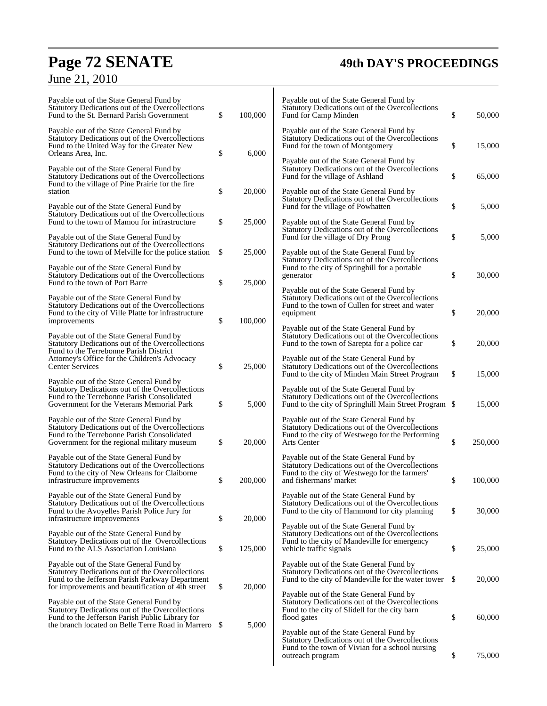# **Page 72 SENATE 49th DAY'S PROCEEDINGS**

# June 21, 2010

| Payable out of the State General Fund by<br>Statutory Dedications out of the Overcollections<br>Fund to the St. Bernard Parish Government                                                            | \$ | 100,000 | Payable out of the State General Fund by<br>Statutory Dedications out of the Overcollections<br>Fund for Camp Minden                                                    | \$ | 50,000  |
|------------------------------------------------------------------------------------------------------------------------------------------------------------------------------------------------------|----|---------|-------------------------------------------------------------------------------------------------------------------------------------------------------------------------|----|---------|
| Payable out of the State General Fund by<br>Statutory Dedications out of the Overcollections<br>Fund to the United Way for the Greater New                                                           |    |         | Payable out of the State General Fund by<br>Statutory Dedications out of the Overcollections<br>Fund for the town of Montgomery                                         | \$ | 15,000  |
| Orleans Area, Inc.<br>Payable out of the State General Fund by<br>Statutory Dedications out of the Overcollections                                                                                   | \$ | 6,000   | Payable out of the State General Fund by<br>Statutory Dedications out of the Overcollections<br>Fund for the village of Ashland                                         | \$ | 65,000  |
| Fund to the village of Pine Prairie for the fire<br>station<br>Payable out of the State General Fund by                                                                                              | \$ | 20,000  | Payable out of the State General Fund by<br>Statutory Dedications out of the Overcollections<br>Fund for the village of Powhatten                                       | \$ | 5,000   |
| Statutory Dedications out of the Overcollections<br>Fund to the town of Mamou for infrastructure                                                                                                     | \$ | 25,000  | Payable out of the State General Fund by<br>Statutory Dedications out of the Overcollections                                                                            |    |         |
| Payable out of the State General Fund by<br>Statutory Dedications out of the Overcollections<br>Fund to the town of Melville for the police station                                                  | \$ | 25,000  | Fund for the village of Dry Prong<br>Payable out of the State General Fund by<br>Statutory Dedications out of the Overcollections                                       | \$ | 5,000   |
| Payable out of the State General Fund by<br>Statutory Dedications out of the Overcollections<br>Fund to the town of Port Barre                                                                       | \$ | 25,000  | Fund to the city of Springhill for a portable<br>generator                                                                                                              | \$ | 30,000  |
| Payable out of the State General Fund by<br>Statutory Dedications out of the Overcollections<br>Fund to the city of Ville Platte for infrastructure<br>improvements                                  | \$ | 100,000 | Payable out of the State General Fund by<br>Statutory Dedications out of the Overcollections<br>Fund to the town of Cullen for street and water<br>equipment            | \$ | 20,000  |
| Payable out of the State General Fund by<br>Statutory Dedications out of the Overcollections<br>Fund to the Terrebonne Parish District                                                               |    |         | Payable out of the State General Fund by<br>Statutory Dedications out of the Overcollections<br>Fund to the town of Sarepta for a police car                            | \$ | 20,000  |
| Attorney's Office for the Children's Advocacy<br><b>Center Services</b><br>Payable out of the State General Fund by                                                                                  | \$ | 25,000  | Payable out of the State General Fund by<br>Statutory Dedications out of the Overcollections<br>Fund to the city of Minden Main Street Program                          | \$ | 15,000  |
| Statutory Dedications out of the Overcollections<br>Fund to the Terrebonne Parish Consolidated<br>Government for the Veterans Memorial Park                                                          | \$ | 5,000   | Payable out of the State General Fund by<br>Statutory Dedications out of the Overcollections<br>Fund to the city of Springhill Main Street Program \$                   |    | 15,000  |
| Payable out of the State General Fund by<br>Statutory Dedications out of the Overcollections<br>Fund to the Terrebonne Parish Consolidated<br>Government for the regional military museum            | \$ | 20,000  | Payable out of the State General Fund by<br>Statutory Dedications out of the Overcollections<br>Fund to the city of Westwego for the Performing<br>Arts Center          | \$ | 250,000 |
| Payable out of the State General Fund by<br>Statutory Dedications out of the Overcollections<br>Fund to the city of New Orleans for Claiborne<br>infrastructure improvements                         | \$ | 200,000 | Payable out of the State General Fund by<br>Statutory Dedications out of the Overcollections<br>Fund to the city of Westwego for the farmers'<br>and fishermans' market | \$ | 100,000 |
| Payable out of the State General Fund by<br>Statutory Dedications out of the Overcollections<br>Fund to the Avoyelles Parish Police Jury for<br>infrastructure improvements                          | \$ | 20,000  | Payable out of the State General Fund by<br>Statutory Dedications out of the Overcollections<br>Fund to the city of Hammond for city planning                           | \$ | 30,000  |
| Payable out of the State General Fund by<br>Statutory Dedications out of the Overcollections<br>Fund to the ALS Association Louisiana                                                                | \$ | 125,000 | Payable out of the State General Fund by<br>Statutory Dedications out of the Overcollections<br>Fund to the city of Mandeville for emergency<br>vehicle traffic signals | \$ | 25,000  |
| Payable out of the State General Fund by<br>Statutory Dedications out of the Overcollections<br>Fund to the Jefferson Parish Parkway Department<br>for improvements and beautification of 4th street | \$ | 20,000  | Payable out of the State General Fund by<br>Statutory Dedications out of the Overcollections<br>Fund to the city of Mandeville for the water tower                      | -S | 20,000  |
| Payable out of the State General Fund by<br>Statutory Dedications out of the Overcollections<br>Fund to the Jefferson Parish Public Library for                                                      |    |         | Payable out of the State General Fund by<br>Statutory Dedications out of the Overcollections<br>Fund to the city of Slidell for the city barn<br>flood gates            | \$ | 60,000  |
| the branch located on Belle Terre Road in Marrero                                                                                                                                                    | -S | 5,000   | Payable out of the State General Fund by<br>Statutory Dedications out of the Overcollections<br>Fund to the town of Vivian for a school nursing<br>outreach program     | \$ | 75,000  |
|                                                                                                                                                                                                      |    |         |                                                                                                                                                                         |    |         |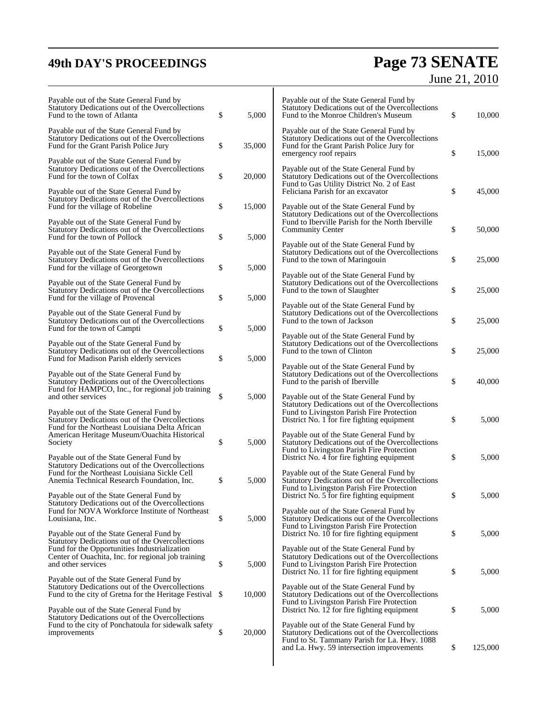# **49th DAY'S PROCEEDINGS Page 73 SENATE** June 21, 2010

| Payable out of the State General Fund by<br>Statutory Dedications out of the Overcollections<br>Fund to the town of Atlanta                                                                    | \$<br>5,000  | Payable out of the State General Fund by<br>Statutory Dedications out of the Overcollections<br>Fund to the Monroe Children's Museum                                                      | \$<br>10,000  |
|------------------------------------------------------------------------------------------------------------------------------------------------------------------------------------------------|--------------|-------------------------------------------------------------------------------------------------------------------------------------------------------------------------------------------|---------------|
| Payable out of the State General Fund by<br>Statutory Dedications out of the Overcollections<br>Fund for the Grant Parish Police Jury                                                          | \$<br>35,000 | Payable out of the State General Fund by<br>Statutory Dedications out of the Overcollections<br>Fund for the Grant Parish Police Jury for<br>emergency roof repairs                       | \$<br>15,000  |
| Payable out of the State General Fund by<br>Statutory Dedications out of the Overcollections<br>Fund for the town of Colfax                                                                    | \$<br>20,000 | Payable out of the State General Fund by<br>Statutory Dedications out of the Overcollections<br>Fund to Gas Utility District No. 2 of East                                                |               |
| Payable out of the State General Fund by<br>Statutory Dedications out of the Overcollections<br>Fund for the village of Robeline                                                               | \$<br>15,000 | Feliciana Parish for an excavator<br>Payable out of the State General Fund by                                                                                                             | \$<br>45,000  |
| Payable out of the State General Fund by<br>Statutory Dedications out of the Overcollections<br>Fund for the town of Pollock                                                                   | \$<br>5,000  | Statutory Dedications out of the Overcollections<br>Fund to Iberville Parish for the North Iberville<br>Community Center                                                                  | \$<br>50,000  |
| Payable out of the State General Fund by<br>Statutory Dedications out of the Overcollections<br>Fund for the village of Georgetown                                                             | \$<br>5,000  | Payable out of the State General Fund by<br>Statutory Dedications out of the Overcollections<br>Fund to the town of Maringouin                                                            | \$<br>25,000  |
| Payable out of the State General Fund by<br>Statutory Dedications out of the Overcollections<br>Fund for the village of Provencal                                                              | \$<br>5,000  | Payable out of the State General Fund by<br>Statutory Dedications out of the Overcollections<br>Fund to the town of Slaughter                                                             | \$<br>25,000  |
| Payable out of the State General Fund by<br>Statutory Dedications out of the Overcollections<br>Fund for the town of Campti                                                                    | \$<br>5,000  | Payable out of the State General Fund by<br>Statutory Dedications out of the Overcollections<br>Fund to the town of Jackson                                                               | \$<br>25,000  |
| Payable out of the State General Fund by<br>Statutory Dedications out of the Overcollections                                                                                                   |              | Payable out of the State General Fund by<br>Statutory Dedications out of the Overcollections<br>Fund to the town of Clinton                                                               | \$<br>25,000  |
| Fund for Madison Parish elderly services<br>Payable out of the State General Fund by<br>Statutory Dedications out of the Overcollections                                                       | \$<br>5,000  | Payable out of the State General Fund by<br>Statutory Dedications out of the Overcollections<br>Fund to the parish of Iberville                                                           | \$<br>40,000  |
| Fund for HAMPCO, Inc., for regional job training<br>and other services                                                                                                                         | \$<br>5,000  | Payable out of the State General Fund by<br>Statutory Dedications out of the Overcollections                                                                                              |               |
| Payable out of the State General Fund by<br>Statutory Dedications out of the Overcollections<br>Fund for the Northeast Louisiana Delta African<br>American Heritage Museum/Ouachita Historical |              | Fund to Livingston Parish Fire Protection<br>District No. 1 for fire fighting equipment<br>Payable out of the State General Fund by                                                       | \$<br>5,000   |
| Society<br>Payable out of the State General Fund by                                                                                                                                            | \$<br>5,000  | Statutory Dedications out of the Overcollections<br>Fund to Livingston Parish Fire Protection<br>District No. 4 for fire fighting equipment                                               | \$<br>5,000   |
| Statutory Dedications out of the Overcollections<br>Fund for the Northeast Louisiana Sickle Cell<br>Anemia Technical Research Foundation, Inc.                                                 | \$<br>5,000  | Payable out of the State General Fund by<br>Statutory Dedications out of the Overcollections<br>Fund to Livingston Parish Fire Protection                                                 |               |
| Payable out of the State General Fund by<br>Statutory Dedications out of the Overcollections<br>Fund for NOVA Workforce Institute of Northeast                                                 |              | District No. 5 for fire fighting equipment<br>Payable out of the State General Fund by                                                                                                    | \$<br>5,000   |
| Louisiana, Inc.<br>Payable out of the State General Fund by                                                                                                                                    | \$<br>5,000  | Statutory Dedications out of the Overcollections<br>Fund to Livingston Parish Fire Protection<br>District No. 10 for fire fighting equipment                                              | \$<br>5,000   |
| Statutory Dedications out of the Overcollections<br>Fund for the Opportunities Industrialization<br>Center of Ouachita, Inc. for regional job training<br>and other services                   | \$<br>5,000  | Payable out of the State General Fund by<br>Statutory Dedications out of the Overcollections<br>Fund to Livingston Parish Fire Protection                                                 |               |
| Payable out of the State General Fund by<br>Statutory Dedications out of the Overcollections<br>Fund to the city of Gretna for the Heritage Festival \$                                        | 10,000       | District No. 11 for fire fighting equipment<br>Payable out of the State General Fund by<br>Statutory Dedications out of the Overcollections                                               | \$<br>5,000   |
| Payable out of the State General Fund by<br>Statutory Dedications out of the Overcollections                                                                                                   |              | Fund to Livingston Parish Fire Protection<br>District No. 12 for fire fighting equipment                                                                                                  | \$<br>5,000   |
| Fund to the city of Ponchatoula for sidewalk safety<br>improvements                                                                                                                            | \$<br>20,000 | Payable out of the State General Fund by<br>Statutory Dedications out of the Overcollections<br>Fund to St. Tammany Parish for La. Hwy. 1088<br>and La. Hwy. 59 intersection improvements | \$<br>125,000 |
|                                                                                                                                                                                                |              |                                                                                                                                                                                           |               |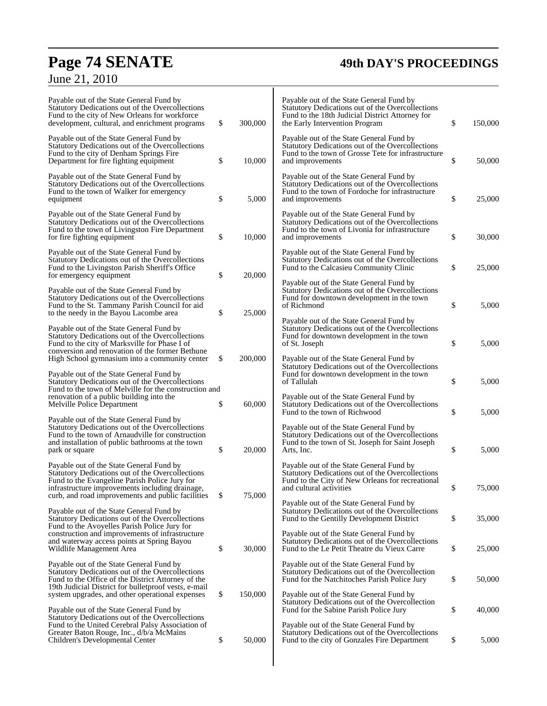# **Page 74 SENATE 49th DAY'S PROCEEDINGS** June 21, 2010

| Payable out of the State General Fund by<br>Statutory Dedications out of the Overcollections<br>Fund to the city of New Orleans for workforce<br>development, cultural, and enrichment programs                                                       | \$<br>300,000 | Payable out of the State General Fund by<br>Statutory Dedications out of the Overcollections<br>Fund to the 18th Judicial District Attorney for<br>the Early Intervention Program | \$<br>150,000 |
|-------------------------------------------------------------------------------------------------------------------------------------------------------------------------------------------------------------------------------------------------------|---------------|-----------------------------------------------------------------------------------------------------------------------------------------------------------------------------------|---------------|
| Payable out of the State General Fund by<br>Statutory Dedications out of the Overcollections<br>Fund to the city of Denham Springs Fire<br>Department for fire fighting equipment                                                                     | \$<br>10,000  | Payable out of the State General Fund by<br>Statutory Dedications out of the Overcollections<br>Fund to the town of Grosse Tete for infrastructure<br>and improvements            | \$<br>50,000  |
| Payable out of the State General Fund by<br>Statutory Dedications out of the Overcollections<br>Fund to the town of Walker for emergency<br>equipment                                                                                                 | \$<br>5,000   | Payable out of the State General Fund by<br>Statutory Dedications out of the Overcollections<br>Fund to the town of Fordoche for infrastructure<br>and improvements               | \$<br>25,000  |
| Payable out of the State General Fund by<br>Statutory Dedications out of the Overcollections<br>Fund to the town of Livingston Fire Department<br>for fire fighting equipment                                                                         | \$<br>10,000  | Payable out of the State General Fund by<br>Statutory Dedications out of the Overcollections<br>Fund to the town of Livonia for infrastructure<br>and improvements                | \$<br>30,000  |
| Payable out of the State General Fund by<br>Statutory Dedications out of the Overcollections<br>Fund to the Livingston Parish Sheriff's Office<br>for emergency equipment                                                                             | \$<br>20,000  | Payable out of the State General Fund by<br>Statutory Dedications out of the Overcollections<br>Fund to the Calcasieu Community Clinic                                            | \$<br>25,000  |
| Payable out of the State General Fund by<br>Statutory Dedications out of the Overcollections<br>Fund to the St. Tammany Parish Council for aid<br>to the needy in the Bayou Lacombe area                                                              | \$<br>25,000  | Payable out of the State General Fund by<br>Statutory Dedications out of the Overcollections<br>Fund for downtown development in the town<br>of Richmond                          | \$<br>5,000   |
| Payable out of the State General Fund by<br>Statutory Dedications out of the Overcollections<br>Fund to the city of Marksville for Phase I of                                                                                                         |               | Payable out of the State General Fund by<br>Statutory Dedications out of the Overcollections<br>Fund for downtown development in the town<br>of St. Joseph                        | \$<br>5,000   |
| conversion and renovation of the former Bethune<br>High School gymnasium into a community center<br>Payable out of the State General Fund by<br>Statutory Dedications out of the Overcollections                                                      | \$<br>200,000 | Payable out of the State General Fund by<br>Statutory Dedications out of the Overcollections<br>Fund for downtown development in the town<br>of Tallulah                          | \$<br>5,000   |
| Fund to the town of Melville for the construction and<br>renovation of a public building into the<br>Melville Police Department                                                                                                                       | \$<br>60,000  | Payable out of the State General Fund by<br>Statutory Dedications out of the Overcollections<br>Fund to the town of Richwood                                                      | \$<br>5,000   |
| Payable out of the State General Fund by<br>Statutory Dedications out of the Overcollections<br>Fund to the town of Arnaudville for construction<br>and installation of public bathrooms at the town<br>park or square                                | \$<br>20,000  | Payable out of the State General Fund by<br>Statutory Dedications out of the Overcollections<br>Fund to the town of St. Joseph for Saint Joseph<br>Arts, Inc.                     | \$<br>5,000   |
| Payable out of the State General Fund by<br>Statutory Dedications out of the Overcollections<br>Fund to the Evangeline Parish Police Jury for<br>infrastructure improvements including drainage,<br>curb, and road improvements and public facilities | \$<br>75,000  | Payable out of the State General Fund by<br>Statutory Dedications out of the Overcollections<br>Fund to the City of New Orleans for recreational<br>and cultural activities       | \$<br>75,000  |
| Payable out of the State General Fund by<br>Statutory Dedications out of the Overcollections<br>Fund to the Avoyelles Parish Police Jury for                                                                                                          |               | Payable out of the State General Fund by<br>Statutory Dedications out of the Overcollections<br>Fund to the Gentilly Development District                                         | \$<br>35,000  |
| construction and improvements of infrastructure<br>and waterway access points at Spring Bayou<br>Wildlife Management Area                                                                                                                             | \$<br>30,000  | Payable out of the State General Fund by<br>Statutory Dedications out of the Overcollections<br>Fund to the Le Petit Theatre du Vieux Carre                                       | \$<br>25,000  |
| Payable out of the State General Fund by<br>Statutory Dedications out of the Overcollections<br>Fund to the Office of the District Attorney of the<br>19th Judicial District for bullet proof vests, e-mail                                           |               | Payable out of the State General Fund by<br>Statutory Dedications out of the Overcollection<br>Fund for the Natchitoches Parish Police Jury                                       | \$<br>50,000  |
| system upgrades, and other operational expenses<br>Payable out of the State General Fund by<br>Statutory Dedications out of the Overcollections                                                                                                       | \$<br>150,000 | Payable out of the State General Fund by<br>Statutory Dedications out of the Overcollection<br>Fund for the Sabine Parish Police Jury                                             | \$<br>40,000  |
| Fund to the United Cerebral Palsy Association of<br>Greater Baton Rouge, Inc., d/b/a McMains<br>Children's Developmental Center                                                                                                                       | \$<br>50,000  | Payable out of the State General Fund by<br>Statutory Dedications out of the Overcollections<br>Fund to the city of Gonzales Fire Department                                      | \$<br>5,000   |

 $\overline{\phantom{a}}$ 

Ŧ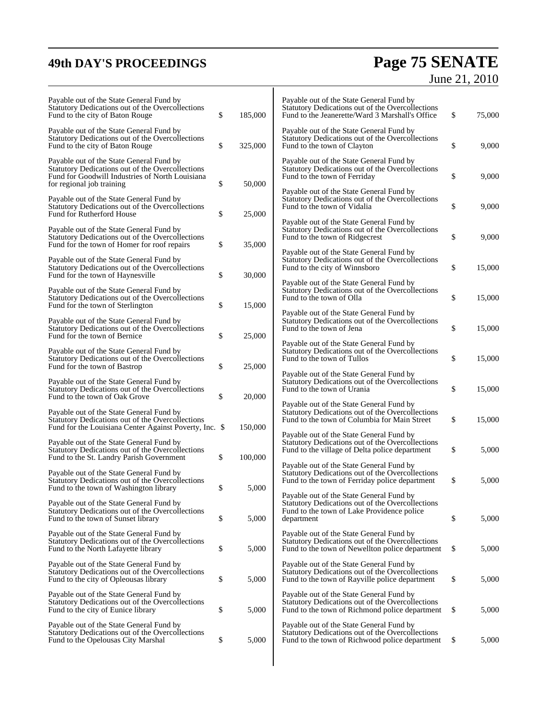# **49th DAY'S PROCEEDINGS Page 75 SENATE** June 21, 2010

| Payable out of the State General Fund by<br>Statutory Dedications out of the Overcollections<br>Fund to the city of Baton Rouge                                              | \$<br>185,000 | Payable out of the State General Fund by<br>Statutory Dedications out of the Overcollections<br>Fund to the Jeanerette/Ward 3 Marshall's Office                           | \$<br>75,000 |
|------------------------------------------------------------------------------------------------------------------------------------------------------------------------------|---------------|---------------------------------------------------------------------------------------------------------------------------------------------------------------------------|--------------|
| Payable out of the State General Fund by<br>Statutory Dedications out of the Overcollections<br>Fund to the city of Baton Rouge                                              | \$<br>325,000 | Payable out of the State General Fund by<br>Statutory Dedications out of the Overcollections<br>Fund to the town of Clayton                                               | \$<br>9,000  |
| Payable out of the State General Fund by<br>Statutory Dedications out of the Overcollections<br>Fund for Goodwill Industries of North Louisiana<br>for regional job training | \$<br>50,000  | Payable out of the State General Fund by<br>Statutory Dedications out of the Overcollections<br>Fund to the town of Ferriday                                              | \$<br>9,000  |
| Payable out of the State General Fund by<br>Statutory Dedications out of the Overcollections<br>Fund for Rutherford House                                                    | \$<br>25,000  | Payable out of the State General Fund by<br>Statutory Dedications out of the Overcollections<br>Fund to the town of Vidalia                                               | \$<br>9,000  |
| Payable out of the State General Fund by<br>Statutory Dedications out of the Overcollections<br>Fund for the town of Homer for roof repairs                                  | \$<br>35,000  | Payable out of the State General Fund by<br>Statutory Dedications out of the Overcollections<br>Fund to the town of Ridgecrest                                            | \$<br>9,000  |
| Payable out of the State General Fund by<br>Statutory Dedications out of the Overcollections<br>Fund for the town of Haynesville                                             | \$<br>30,000  | Payable out of the State General Fund by<br>Statutory Dedications out of the Overcollections<br>Fund to the city of Winnsboro<br>Payable out of the State General Fund by | \$<br>15,000 |
| Payable out of the State General Fund by<br>Statutory Dedications out of the Overcollections<br>Fund for the town of Sterlington                                             | \$<br>15,000  | Statutory Dedications out of the Overcollections<br>Fund to the town of Olla<br>Payable out of the State General Fund by                                                  | \$<br>15,000 |
| Payable out of the State General Fund by<br>Statutory Dedications out of the Overcollections<br>Fund for the town of Bernice                                                 | \$<br>25,000  | Statutory Dedications out of the Overcollections<br>Fund to the town of Jena<br>Payable out of the State General Fund by                                                  | \$<br>15,000 |
| Payable out of the State General Fund by<br>Statutory Dedications out of the Overcollections<br>Fund for the town of Bastrop                                                 | \$<br>25,000  | Statutory Dedications out of the Overcollections<br>Fund to the town of Tullos<br>Payable out of the State General Fund by                                                | \$<br>15,000 |
| Payable out of the State General Fund by<br>Statutory Dedications out of the Overcollections<br>Fund to the town of Oak Grove                                                | \$<br>20,000  | Statutory Dedications out of the Overcollections<br>Fund to the town of Urania<br>Payable out of the State General Fund by                                                | \$<br>15,000 |
| Payable out of the State General Fund by<br>Statutory Dedications out of the Overcollections<br>Fund for the Louisiana Center Against Poverty, Inc. \$                       | 150,000       | Statutory Dedications out of the Overcollections<br>Fund to the town of Columbia for Main Street<br>Payable out of the State General Fund by                              | \$<br>15,000 |
| Payable out of the State General Fund by<br>Statutory Dedications out of the Overcollections<br>Fund to the St. Landry Parish Government                                     | \$<br>100,000 | Statutory Dedications out of the Overcollections<br>Fund to the village of Delta police department<br>Payable out of the State General Fund by                            | \$<br>5,000  |
| Payable out of the State General Fund by<br>Statutory Dedications out of the Overcollections<br>Fund to the town of Washington library                                       | 5,000         | Statutory Dedications out of the Overcollections<br>Fund to the town of Ferriday police department<br>Payable out of the State General Fund by                            | \$<br>5,000  |
| Payable out of the State General Fund by<br>Statutory Dedications out of the Overcollections<br>Fund to the town of Sunset library                                           | \$<br>5,000   | Statutory Dedications out of the Overcollections<br>Fund to the town of Lake Providence police<br>department                                                              | \$<br>5,000  |
| Payable out of the State General Fund by<br>Statutory Dedications out of the Overcollections<br>Fund to the North Lafayette library                                          | \$<br>5,000   | Payable out of the State General Fund by<br>Statutory Dedications out of the Overcollections<br>Fund to the town of Newellton police department                           | \$<br>5,000  |
| Payable out of the State General Fund by<br>Statutory Dedications out of the Overcollections<br>Fund to the city of Opleousas library                                        | \$<br>5,000   | Payable out of the State General Fund by<br>Statutory Dedications out of the Overcollections<br>Fund to the town of Rayville police department                            | \$<br>5,000  |
| Payable out of the State General Fund by<br>Statutory Dedications out of the Overcollections<br>Fund to the city of Eunice library                                           | \$<br>5,000   | Payable out of the State General Fund by<br>Statutory Dedications out of the Overcollections<br>Fund to the town of Richmond police department                            | \$<br>5,000  |
| Payable out of the State General Fund by<br>Statutory Dedications out of the Overcollections<br>Fund to the Opelousas City Marshal                                           | \$<br>5,000   | Payable out of the State General Fund by<br>Statutory Dedications out of the Overcollections<br>Fund to the town of Richwood police department                            | \$<br>5,000  |
|                                                                                                                                                                              |               |                                                                                                                                                                           |              |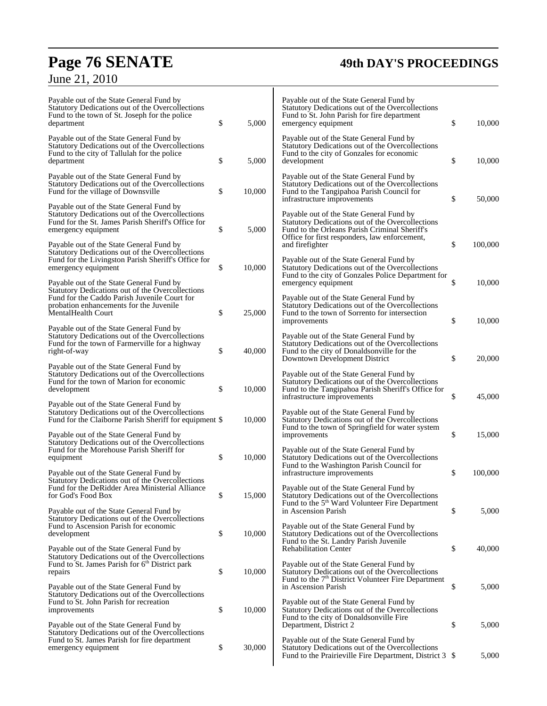# **Page 76 SENATE 49th DAY'S PROCEEDINGS**

June 21, 2010

| Payable out of the State General Fund by<br>Statutory Dedications out of the Overcollections<br>Fund to the town of St. Joseph for the police<br>department                | \$<br>5,000  | Payable out of the State General Fund by<br>Statutory Dedications out of the Overcollections<br>Fund to St. John Parish for fire department<br>emergency equipment                             | \$<br>10,000  |
|----------------------------------------------------------------------------------------------------------------------------------------------------------------------------|--------------|------------------------------------------------------------------------------------------------------------------------------------------------------------------------------------------------|---------------|
| Payable out of the State General Fund by<br>Statutory Dedications out of the Overcollections<br>Fund to the city of Tallulah for the police<br>department                  | \$<br>5,000  | Payable out of the State General Fund by<br>Statutory Dedications out of the Overcollections<br>Fund to the city of Gonzales for economic<br>development                                       | \$<br>10,000  |
| Payable out of the State General Fund by<br>Statutory Dedications out of the Overcollections<br>Fund for the village of Downsville                                         | \$<br>10,000 | Payable out of the State General Fund by<br>Statutory Dedications out of the Overcollections<br>Fund to the Tangipahoa Parish Council for<br>infrastructure improvements                       | \$<br>50,000  |
| Payable out of the State General Fund by<br>Statutory Dedications out of the Overcollections<br>Fund for the St. James Parish Sheriff's Office for<br>emergency equipment  | \$<br>5,000  | Payable out of the State General Fund by<br>Statutory Dedications out of the Overcollections<br>Fund to the Orleans Parish Criminal Sheriff's<br>Office for first responders, law enforcement, |               |
| Payable out of the State General Fund by<br>Statutory Dedications out of the Overcollections<br>Fund for the Livingston Parish Sheriff's Office for<br>emergency equipment | \$<br>10,000 | and firefighter<br>Payable out of the State General Fund by<br>Statutory Dedications out of the Overcollections                                                                                | \$<br>100,000 |
| Payable out of the State General Fund by<br>Statutory Dedications out of the Overcollections<br>Fund for the Caddo Parish Juvenile Court for                               |              | Fund to the city of Gonzales Police Department for<br>emergency equipment<br>Payable out of the State General Fund by                                                                          | \$<br>10,000  |
| probation enhancements for the Juvenile<br>MentalHealth Court                                                                                                              | \$<br>25,000 | Statutory Dedications out of the Overcollections<br>Fund to the town of Sorrento for intersection<br>improvements                                                                              | \$<br>10,000  |
| Payable out of the State General Fund by<br>Statutory Dedications out of the Overcollections<br>Fund for the town of Farmerville for a highway<br>right-of-way             | \$<br>40,000 | Payable out of the State General Fund by<br>Statutory Dedications out of the Overcollections<br>Fund to the city of Donaldsonville for the<br>Downtown Development District                    | \$<br>20,000  |
| Payable out of the State General Fund by<br>Statutory Dedications out of the Overcollections<br>Fund for the town of Marion for economic<br>development                    | \$<br>10,000 | Payable out of the State General Fund by<br>Statutory Dedications out of the Overcollections<br>Fund to the Tangipahoa Parish Sheriff's Office for<br>infrastructure improvements              | \$<br>45,000  |
| Payable out of the State General Fund by<br>Statutory Dedications out of the Overcollections<br>Fund for the Claiborne Parish Sheriff for equipment \$                     | 10,000       | Payable out of the State General Fund by<br>Statutory Dedications out of the Overcollections<br>Fund to the town of Springfield for water system                                               |               |
| Payable out of the State General Fund by<br>Statutory Dedications out of the Overcollections<br>Fund for the Morehouse Parish Sheriff for<br>equipment                     | \$<br>10,000 | improvements<br>Payable out of the State General Fund by<br>Statutory Dedications out of the Overcollections                                                                                   | \$<br>15,000  |
| Payable out of the State General Fund by<br>Statutory Dedications out of the Overcollections                                                                               |              | Fund to the Washington Parish Council for<br>infrastructure improvements                                                                                                                       | \$<br>100,000 |
| Fund for the DeRidder Area Ministerial Alliance<br>for God's Food Box<br>Payable out of the State General Fund by                                                          | \$<br>15,000 | Payable out of the State General Fund by<br>Statutory Dedications out of the Overcollections<br>Fund to the 5 <sup>th</sup> Ward Volunteer Fire Department<br>in Ascension Parish              | \$<br>5,000   |
| Statutory Dedications out of the Overcollections<br>Fund to Ascension Parish for economic<br>development                                                                   | \$<br>10,000 | Payable out of the State General Fund by<br>Statutory Dedications out of the Overcollections<br>Fund to the St. Landry Parish Juvenile                                                         |               |
| Payable out of the State General Fund by<br>Statutory Dedications out of the Overcollections<br>Fund to St. James Parish for 6 <sup>th</sup> District park                 |              | <b>Rehabilitation Center</b><br>Payable out of the State General Fund by                                                                                                                       | \$<br>40,000  |
| repairs<br>Payable out of the State General Fund by<br>Statutory Dedications out of the Overcollections                                                                    | \$<br>10,000 | Statutory Dedications out of the Overcollections<br>Fund to the 7 <sup>th</sup> District Volunteer Fire Department<br>in Ascension Parish                                                      | \$<br>5,000   |
| Fund to St. John Parish for recreation<br>improvements<br>Payable out of the State General Fund by                                                                         | \$<br>10,000 | Payable out of the State General Fund by<br>Statutory Dedications out of the Overcollections<br>Fund to the city of Donaldsonville Fire<br>Department, District 2                              | \$<br>5,000   |
| Statutory Dedications out of the Overcollections<br>Fund to St. James Parish for fire department<br>emergency equipment                                                    | \$<br>30,000 | Payable out of the State General Fund by<br>Statutory Dedications out of the Overcollections<br>Fund to the Prairieville Fire Department, District 3 \$                                        | 5,000         |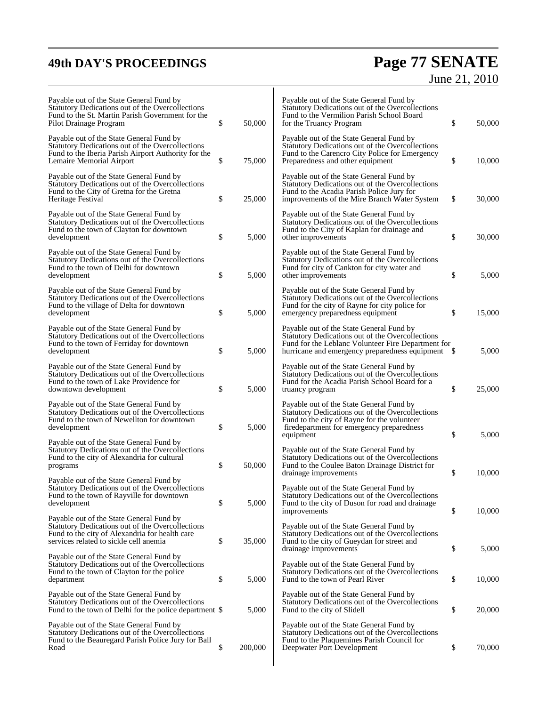# **49th DAY'S PROCEEDINGS Page 77 SENATE** June 21, 2010

| Payable out of the State General Fund by<br>Statutory Dedications out of the Overcollections<br>Fund to the St. Martin Parish Government for the<br>Pilot Drainage Program               | \$<br>50,000  | Payable out of the State General Fund by<br>Statutory Dedications out of the Overcollections<br>Fund to the Vermilion Parish School Board<br>for the Truancy Program                                  | \$<br>50,000 |
|------------------------------------------------------------------------------------------------------------------------------------------------------------------------------------------|---------------|-------------------------------------------------------------------------------------------------------------------------------------------------------------------------------------------------------|--------------|
| Payable out of the State General Fund by<br>Statutory Dedications out of the Overcollections<br>Fund to the Iberia Parish Airport Authority for the<br>Lemaire Memorial Airport          | \$<br>75,000  | Payable out of the State General Fund by<br>Statutory Dedications out of the Overcollections<br>Fund to the Carencro City Police for Emergency<br>Preparedness and other equipment                    | \$<br>10,000 |
| Payable out of the State General Fund by<br>Statutory Dedications out of the Overcollections<br>Fund to the City of Gretna for the Gretna<br>Heritage Festival                           | \$<br>25,000  | Payable out of the State General Fund by<br>Statutory Dedications out of the Overcollections<br>Fund to the Acadia Parish Police Jury for<br>improvements of the Mire Branch Water System             | \$<br>30,000 |
| Payable out of the State General Fund by<br>Statutory Dedications out of the Overcollections<br>Fund to the town of Clayton for downtown<br>development                                  | \$<br>5,000   | Payable out of the State General Fund by<br>Statutory Dedications out of the Overcollections<br>Fund to the City of Kaplan for drainage and<br>other improvements                                     | \$<br>30,000 |
| Payable out of the State General Fund by<br>Statutory Dedications out of the Overcollections<br>Fund to the town of Delhi for downtown<br>development                                    | \$<br>5,000   | Payable out of the State General Fund by<br>Statutory Dedications out of the Overcollections<br>Fund for city of Cankton for city water and<br>other improvements                                     | \$<br>5,000  |
| Payable out of the State General Fund by<br>Statutory Dedications out of the Overcollections<br>Fund to the village of Delta for downtown<br>development                                 | \$<br>5,000   | Payable out of the State General Fund by<br>Statutory Dedications out of the Overcollections<br>Fund for the city of Rayne for city police for<br>emergency preparedness equipment                    | \$<br>15,000 |
| Payable out of the State General Fund by<br>Statutory Dedications out of the Overcollections<br>Fund to the town of Ferriday for downtown<br>development                                 | \$<br>5,000   | Payable out of the State General Fund by<br>Statutory Dedications out of the Overcollections<br>Fund for the Leblanc Volunteer Fire Department for                                                    | 5,000        |
| Payable out of the State General Fund by<br>Statutory Dedications out of the Overcollections<br>Fund to the town of Lake Providence for<br>downtown development                          | \$<br>5,000   | Payable out of the State General Fund by<br>Statutory Dedications out of the Overcollections<br>Fund for the Acadia Parish School Board for a<br>truancy program                                      | \$<br>25,000 |
| Payable out of the State General Fund by<br>Statutory Dedications out of the Overcollections<br>Fund to the town of Newellton for downtown<br>development                                | \$<br>5,000   | Payable out of the State General Fund by<br>Statutory Dedications out of the Overcollections<br>Fund to the city of Rayne for the volunteer<br>firedepartment for emergency preparedness<br>equipment | \$<br>5,000  |
| Payable out of the State General Fund by<br>Statutory Dedications out of the Overcollections<br>Fund to the city of Alexandria for cultural<br>programs                                  | \$<br>50,000  | Payable out of the State General Fund by<br>Statutory Dedications out of the Overcollections<br>Fund to the Coulee Baton Drainage District for<br>drainage improvements                               | \$<br>10,000 |
| Payable out of the State General Fund by<br>Statutory Dedications out of the Overcollections<br>Fund to the town of Rayville for downtown<br>development                                 | \$<br>5,000   | Pavable out of the State General Fund by<br>Statutory Dedications out of the Overcollections<br>Fund to the city of Duson for road and drainage<br>improvements                                       | \$<br>10,000 |
| Payable out of the State General Fund by<br>Statutory Dedications out of the Overcollections<br>Fund to the city of Alexandria for health care<br>services related to sickle cell anemia | \$<br>35,000  | Payable out of the State General Fund by<br>Statutory Dedications out of the Overcollections<br>Fund to the city of Gueydan for street and<br>drainage improvements                                   | \$<br>5,000  |
| Payable out of the State General Fund by<br>Statutory Dedications out of the Overcollections<br>Fund to the town of Clayton for the police<br>department                                 | \$<br>5,000   | Payable out of the State General Fund by<br>Statutory Dedications out of the Overcollections<br>Fund to the town of Pearl River                                                                       | \$<br>10,000 |
| Payable out of the State General Fund by<br>Statutory Dedications out of the Overcollections<br>Fund to the town of Delhi for the police department \$                                   | 5,000         | Payable out of the State General Fund by<br>Statutory Dedications out of the Overcollections<br>Fund to the city of Slidell                                                                           | \$<br>20,000 |
| Payable out of the State General Fund by<br>Statutory Dedications out of the Overcollections<br>Fund to the Beauregard Parish Police Jury for Ball<br>Road                               | \$<br>200,000 | Payable out of the State General Fund by<br>Statutory Dedications out of the Overcollections<br>Fund to the Plaquemines Parish Council for<br>Deepwater Port Development                              | \$<br>70,000 |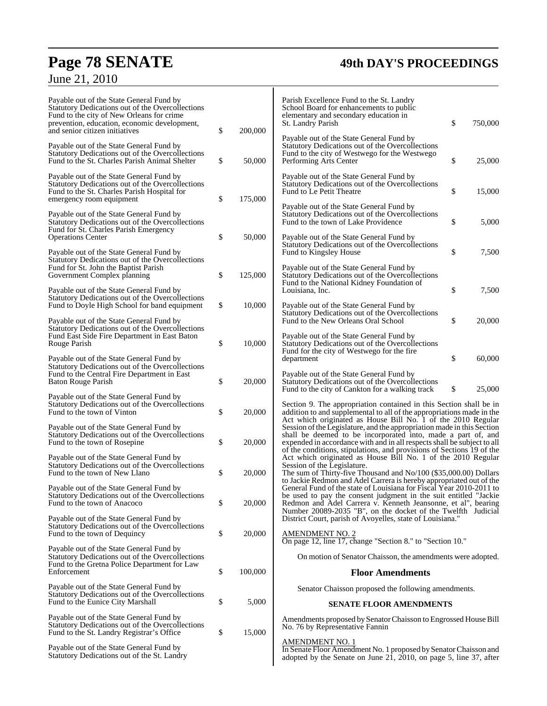# **Page 78 SENATE 49th DAY'S PROCEEDINGS**

| Payable out of the State General Fund by<br>Statutory Dedications out of the Overcollections<br>Fund to the city of New Orleans for crime<br>prevention, education, economic development,<br>and senior citizen initiatives | \$<br>200,000 | Parish Excellence Fund to the St. Landry<br>School Board for enhancements to public<br>elementary and secondary education in<br>\$<br>St. Landry Parish<br>750,000<br>Payable out of the State General Fund by                                                                                                                                             |
|-----------------------------------------------------------------------------------------------------------------------------------------------------------------------------------------------------------------------------|---------------|------------------------------------------------------------------------------------------------------------------------------------------------------------------------------------------------------------------------------------------------------------------------------------------------------------------------------------------------------------|
| Payable out of the State General Fund by<br>Statutory Dedications out of the Overcollections<br>Fund to the St. Charles Parish Animal Shelter                                                                               | \$<br>50,000  | Statutory Dedications out of the Overcollections<br>Fund to the city of Westwego for the Westwego<br>\$<br>25,000<br>Performing Arts Center                                                                                                                                                                                                                |
| Payable out of the State General Fund by<br>Statutory Dedications out of the Overcollections<br>Fund to the St. Charles Parish Hospital for<br>emergency room equipment                                                     | \$<br>175,000 | Payable out of the State General Fund by<br>Statutory Dedications out of the Overcollections<br>\$<br>15,000<br>Fund to Le Petit Theatre                                                                                                                                                                                                                   |
| Payable out of the State General Fund by<br>Statutory Dedications out of the Overcollections<br>Fund for St. Charles Parish Emergency                                                                                       |               | Payable out of the State General Fund by<br>Statutory Dedications out of the Overcollections<br>\$<br>Fund to the town of Lake Providence<br>5,000                                                                                                                                                                                                         |
| <b>Operations Center</b><br>Payable out of the State General Fund by<br>Statutory Dedications out of the Overcollections                                                                                                    | \$<br>50,000  | Payable out of the State General Fund by<br>Statutory Dedications out of the Overcollections<br>\$<br>Fund to Kingsley House<br>7,500                                                                                                                                                                                                                      |
| Fund for St. John the Baptist Parish<br>Government Complex planning<br>Payable out of the State General Fund by                                                                                                             | \$<br>125,000 | Payable out of the State General Fund by<br>Statutory Dedications out of the Overcollections<br>Fund to the National Kidney Foundation of<br>\$<br>7,500<br>Louisiana, Inc.                                                                                                                                                                                |
| Statutory Dedications out of the Overcollections<br>Fund to Doyle High School for band equipment<br>Payable out of the State General Fund by                                                                                | \$<br>10,000  | Payable out of the State General Fund by<br>Statutory Dedications out of the Overcollections<br>\$<br>Fund to the New Orleans Oral School<br>20,000                                                                                                                                                                                                        |
| Statutory Dedications out of the Overcollections<br>Fund East Side Fire Department in East Baton<br>Rouge Parish                                                                                                            | \$<br>10,000  | Payable out of the State General Fund by<br>Statutory Dedications out of the Overcollections<br>Fund for the city of Westwego for the fire                                                                                                                                                                                                                 |
| Payable out of the State General Fund by<br>Statutory Dedications out of the Overcollections<br>Fund to the Central Fire Department in East<br>Baton Rouge Parish                                                           | \$<br>20,000  | \$<br>60,000<br>department<br>Payable out of the State General Fund by<br>Statutory Dedications out of the Overcollections                                                                                                                                                                                                                                 |
| Payable out of the State General Fund by<br>Statutory Dedications out of the Overcollections<br>Fund to the town of Vinton                                                                                                  | \$<br>20,000  | \$<br>25,000<br>Fund to the city of Cankton for a walking track<br>Section 9. The appropriation contained in this Section shall be in<br>addition to and supplemental to all of the appropriations made in the                                                                                                                                             |
| Payable out of the State General Fund by<br>Statutory Dedications out of the Overcollections<br>Fund to the town of Rosepine                                                                                                | \$<br>20,000  | Act which originated as House Bill No. 1 of the 2010 Regular<br>Session of the Legislature, and the appropriation made in this Section<br>shall be deemed to be incorporated into, made a part of, and<br>expended in accordance with and in all respects shall be subject to all<br>of the conditions, stipulations, and provisions of Sections 19 of the |
| Payable out of the State General Fund by<br>Statutory Dedications out of the Overcollections<br>Fund to the town of New Llano                                                                                               | \$<br>20,000  | Act which originated as House Bill No. 1 of the 2010 Regular<br>Session of the Legislature.<br>The sum of Thirty-five Thousand and No/100 (\$35,000.00) Dollars<br>to Jackie Redmon and Adel Carrera is hereby appropriated out of the                                                                                                                     |
| Payable out of the State General Fund by<br>Statutory Dedications out of the Overcollections<br>Fund to the town of Anacoco                                                                                                 | \$<br>20,000  | General Fund of the state of Louisiana for Fiscal Year 2010-2011 to<br>be used to pay the consent judgment in the suit entitled "Jackie"<br>Redmon and Adel Carrera v. Kenneth Jeansonne, et al", bearing<br>Number 20089-2035 "B", on the docket of the Twelfth Judicial                                                                                  |
| Payable out of the State General Fund by<br>Statutory Dedications out of the Overcollections<br>Fund to the town of Dequincy                                                                                                | \$<br>20,000  | District Court, parish of Avoyelles, state of Louisiana."<br><b>AMENDMENT NO. 2</b><br>On page 12, line 17, change "Section 8." to "Section 10."                                                                                                                                                                                                           |
| Payable out of the State General Fund by<br>Statutory Dedications out of the Overcollections<br>Fund to the Gretna Police Department for Law                                                                                |               | On motion of Senator Chaisson, the amendments were adopted.                                                                                                                                                                                                                                                                                                |
| Enforcement                                                                                                                                                                                                                 | \$<br>100,000 | <b>Floor Amendments</b>                                                                                                                                                                                                                                                                                                                                    |
| Payable out of the State General Fund by<br>Statutory Dedications out of the Overcollections                                                                                                                                |               | Senator Chaisson proposed the following amendments.                                                                                                                                                                                                                                                                                                        |
| Fund to the Eunice City Marshall                                                                                                                                                                                            | \$<br>5,000   | <b>SENATE FLOOR AMENDMENTS</b>                                                                                                                                                                                                                                                                                                                             |
| Payable out of the State General Fund by<br>Statutory Dedications out of the Overcollections<br>Fund to the St. Landry Registrar's Office                                                                                   | \$<br>15,000  | Amendments proposed by Senator Chaisson to Engrossed House Bill<br>No. 76 by Representative Fannin                                                                                                                                                                                                                                                         |
| Payable out of the State General Fund by<br>Statutory Dedications out of the St. Landry                                                                                                                                     |               | <b>AMENDMENT NO. 1</b><br>In Senate Floor Amendment No. 1 proposed by Senator Chaisson and<br>adopted by the Senate on June 21, 2010, on page 5, line 37, after                                                                                                                                                                                            |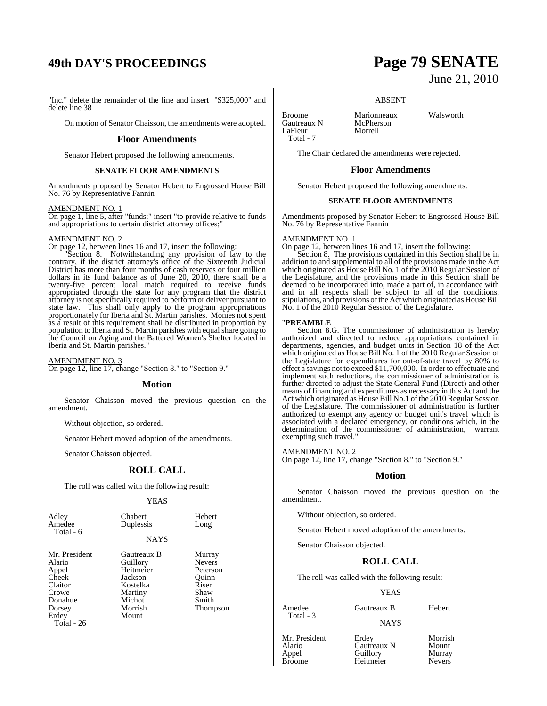## **49th DAY'S PROCEEDINGS Page 79 SENATE**

"Inc." delete the remainder of the line and insert "\$325,000" and delete line 38

On motion of Senator Chaisson, the amendments were adopted.

#### **Floor Amendments**

Senator Hebert proposed the following amendments.

#### **SENATE FLOOR AMENDMENTS**

Amendments proposed by Senator Hebert to Engrossed House Bill No. 76 by Representative Fannin

#### AMENDMENT NO. 1

On page 1, line 5, after "funds;" insert "to provide relative to funds and appropriations to certain district attorney offices;"

#### AMENDMENT NO. 2

On page 12, between lines 16 and 17, insert the following:

"Section 8. Notwithstanding any provision of law to the contrary, if the district attorney's office of the Sixteenth Judicial District has more than four months of cash reserves or four million dollars in its fund balance as of June 20, 2010, there shall be a twenty-five percent local match required to receive funds appropriated through the state for any program that the district attorney is not specifically required to perform or deliver pursuant to state law. This shall only apply to the program appropriations proportionately for Iberia and St. Martin parishes. Monies not spent as a result of this requirement shall be distributed in proportion by population to Iberia and St. Martin parishes with equal share going to the Council on Aging and the Battered Women's Shelter located in Iberia and St. Martin parishes."

AMENDMENT NO. 3 On page 12, line 17, change "Section 8." to "Section 9."

#### **Motion**

Senator Chaisson moved the previous question on the amendment.

Without objection, so ordered.

Senator Hebert moved adoption of the amendments.

Senator Chaisson objected.

#### **ROLL CALL**

The roll was called with the following result:

#### YEAS

| Adley<br>Amedee<br>Total - 6                                                       | Chabert<br>Duplessis                                                                        | Hebert<br>Long                                                                     |
|------------------------------------------------------------------------------------|---------------------------------------------------------------------------------------------|------------------------------------------------------------------------------------|
|                                                                                    | <b>NAYS</b>                                                                                 |                                                                                    |
| Mr. President<br>Alario<br>Appel<br>Cheek<br>Claitor<br>Crowe<br>Donahue<br>Dorsey | Gautreaux B<br>Guillory<br>Heitmeier<br>Jackson<br>Kostelka<br>Martiny<br>Michot<br>Morrish | Murray<br><b>Nevers</b><br>Peterson<br>Ouinn<br>Riser<br>Shaw<br>Smith<br>Thompson |
|                                                                                    |                                                                                             |                                                                                    |

Erdey Mount Total - 26

June 21, 2010

#### ABSENT

Broome Marionneaux Walsworth<br>
Gautreaux N McPherson Gautreaux N McPher<br>LaFleur Morrell LaFleur Total - 7

The Chair declared the amendments were rejected.

#### **Floor Amendments**

Senator Hebert proposed the following amendments.

#### **SENATE FLOOR AMENDMENTS**

Amendments proposed by Senator Hebert to Engrossed House Bill No. 76 by Representative Fannin

#### AMENDMENT NO. 1

On page 12, between lines 16 and 17, insert the following:

Section 8. The provisions contained in this Section shall be in addition to and supplemental to all of the provisions made in the Act which originated as House Bill No. 1 of the 2010 Regular Session of the Legislature, and the provisions made in this Section shall be deemed to be incorporated into, made a part of, in accordance with and in all respects shall be subject to all of the conditions, stipulations, and provisions of the Act which originated as House Bill No. 1 of the 2010 Regular Session of the Legislature.

#### "**PREAMBLE**

Section 8.G. The commissioner of administration is hereby authorized and directed to reduce appropriations contained in departments, agencies, and budget units in Section 18 of the Act which originated as House Bill No. 1 of the 2010 Regular Session of the Legislature for expenditures for out-of-state travel by 80% to effect a savings not to exceed \$11,700,000. In order to effectuate and implement such reductions, the commissioner of administration is further directed to adjust the State General Fund (Direct) and other means of financing and expenditures as necessary in this Act and the Act which originated as House Bill No.1 of the 2010 Regular Session of the Legislature. The commissioner of administration is further authorized to exempt any agency or budget unit's travel which is associated with a declared emergency, or conditions which, in the determination of the commissioner of administration, warrant exempting such travel."

#### AMENDMENT NO. 2

On page 12, line 17, change "Section 8." to "Section 9."

### **Motion**

Senator Chaisson moved the previous question on the amendment.

Without objection, so ordered.

Senator Hebert moved adoption of the amendments.

Senator Chaisson objected.

### **ROLL CALL**

The roll was called with the following result:

#### YEAS

Amedee Gautreaux B Hebert Total - 3

#### NAYS

Mr. President Erdey Morrish<br>Alario Gautreaux N Mount Alario Gautreaux N Mount Appel Guillory Murray Heitmeier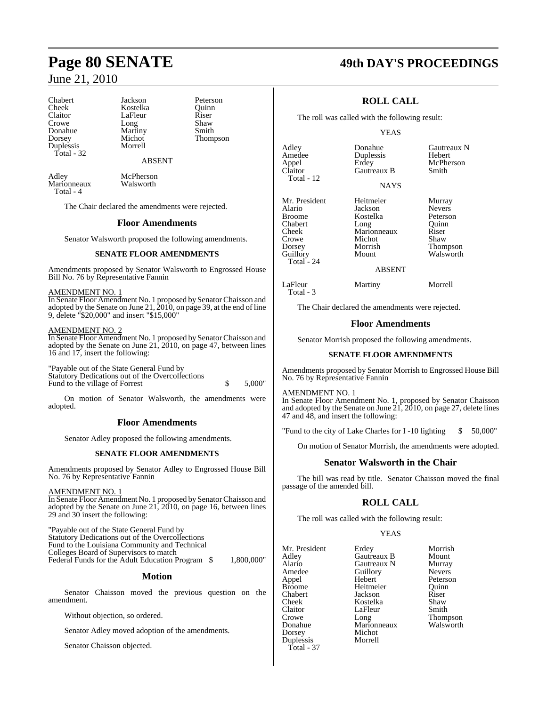Chabert Jackson Peterson Cheek Kostelka Quinn<br>Claitor LaFleur Riser Claitor LaFleur Riser<br>Crowe Long Shaw Donahue Martiny<br>Dorsey Michot Dorsey Michot Thompson Duplessis Total - 32

Long Shaw<br>Martiny Smith

#### ABSENT

Marionneaux Total - 4

Adley McPherson<br>Marionneaux Walsworth

The Chair declared the amendments were rejected.

#### **Floor Amendments**

Senator Walsworth proposed the following amendments.

### **SENATE FLOOR AMENDMENTS**

Amendments proposed by Senator Walsworth to Engrossed House Bill No. 76 by Representative Fannin

AMENDMENT NO. 1

In Senate Floor Amendment No. 1 proposed by Senator Chaisson and adopted by the Senate on June 21, 2010, on page 39, at the end of line 9, delete "\$20,000" and insert "\$15,000"

### AMENDMENT NO. 2

In Senate Floor Amendment No. 1 proposed by SenatorChaisson and adopted by the Senate on June 21, 2010, on page 47, between lines 16 and 17, insert the following:

"Payable out of the State General Fund by Statutory Dedications out of the Overcollections Fund to the village of Forrest  $\qquad$  \$ 5,000"

On motion of Senator Walsworth, the amendments were adopted.

### **Floor Amendments**

Senator Adley proposed the following amendments.

#### **SENATE FLOOR AMENDMENTS**

Amendments proposed by Senator Adley to Engrossed House Bill No. 76 by Representative Fannin

#### AMENDMENT NO. 1

In Senate Floor Amendment No. 1 proposed by SenatorChaisson and adopted by the Senate on June 21, 2010, on page 16, between lines 29 and 30 insert the following:

"Payable out of the State General Fund by Statutory Dedications out of the Overcollections Fund to the Louisiana Community and Technical Colleges Board of Supervisors to match Federal Funds for the Adult Education Program  $$ 1,800,000"$ 

#### **Motion**

Senator Chaisson moved the previous question on the amendment.

Without objection, so ordered.

Senator Adley moved adoption of the amendments.

Senator Chaisson objected.

## **Page 80 SENATE 49th DAY'S PROCEEDINGS**

## **ROLL CALL**

The roll was called with the following result:

Gautreaux B

#### YEAS

NAYS

Adley **Cautreaux Donahue** Gautreaux N<br>
Amedee Duplessis Hebert Amedee Duplessis<br>Appel Erdey Appel Erdey McPherson Total - 12

Alario Jackson Nevers Chabert Long Quinn<br>
Cheek Marionneaux Riser Cheek Marionneaux Riser Crowe Michot<br>Dorsey Morrish Dorsey Morrish Thompson Total - 24

Kostelka Peterson<br>Long Quinn

Mr. President Heitmeier Murray<br>Alario Jackson Nevers

Walsworth

#### ABSENT

LaFleur Martiny Morrell

Total - 3

The Chair declared the amendments were rejected.

#### **Floor Amendments**

Senator Morrish proposed the following amendments.

#### **SENATE FLOOR AMENDMENTS**

Amendments proposed by Senator Morrish to Engrossed House Bill No. 76 by Representative Fannin

#### AMENDMENT NO. 1

In Senate Floor Amendment No. 1, proposed by Senator Chaisson and adopted by the Senate on June 21, 2010, on page 27, delete lines 47 and 48, and insert the following:

"Fund to the city of Lake Charles for I-10 lighting \$ 50,000"

On motion of Senator Morrish, the amendments were adopted.

#### **Senator Walsworth in the Chair**

The bill was read by title. Senator Chaisson moved the final passage of the amended bill.

#### **ROLL CALL**

The roll was called with the following result:

Michot<br>Morrell

#### YEAS

Mr. President Erdey Morrish<br>Adley Gautreaux B Mount Adley Gautreaux B Mount Alario Gautreaux N Murray Amedee Guillory<br>Appel Hebert Appel Hebert Peterson Chabert Jackson Riser Cheek Kostelka Shaw Claitor LaFleur<br>Crowe Long Donahue Marionneaux Walsworth Duplessis Total - 37

Heitmeier Quinn<br>
Jackson Riser Thompson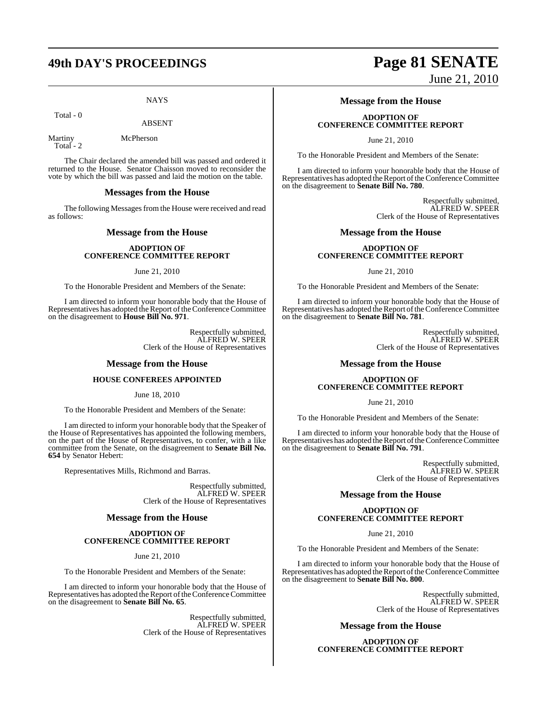## **49th DAY'S PROCEEDINGS Page 81 SENATE**

**NAYS** 

Total - 0

ABSENT

Martiny McPherson Total - 2

The Chair declared the amended bill was passed and ordered it returned to the House. Senator Chaisson moved to reconsider the vote by which the bill was passed and laid the motion on the table.

#### **Messages from the House**

The following Messages from the House were received and read as follows:

#### **Message from the House**

#### **ADOPTION OF CONFERENCE COMMITTEE REPORT**

#### June 21, 2010

To the Honorable President and Members of the Senate:

I am directed to inform your honorable body that the House of Representatives has adopted the Report of the Conference Committee on the disagreement to **House Bill No. 971**.

> Respectfully submitted, ALFRED W. SPEER Clerk of the House of Representatives

#### **Message from the House**

### **HOUSE CONFEREES APPOINTED**

June 18, 2010

To the Honorable President and Members of the Senate:

I am directed to inform your honorable body that the Speaker of the House of Representatives has appointed the following members, on the part of the House of Representatives, to confer, with a like committee from the Senate, on the disagreement to **Senate Bill No. 654** by Senator Hebert:

Representatives Mills, Richmond and Barras.

Respectfully submitted, ALFRED W. SPEER Clerk of the House of Representatives

#### **Message from the House**

#### **ADOPTION OF CONFERENCE COMMITTEE REPORT**

June 21, 2010

To the Honorable President and Members of the Senate:

I am directed to inform your honorable body that the House of Representatives has adopted the Report of the Conference Committee on the disagreement to **Senate Bill No. 65**.

> Respectfully submitted, ALFRED W. SPEER Clerk of the House of Representatives

# June 21, 2010

## **Message from the House**

#### **ADOPTION OF CONFERENCE COMMITTEE REPORT**

June 21, 2010

To the Honorable President and Members of the Senate:

I am directed to inform your honorable body that the House of Representatives has adopted the Report of the Conference Committee on the disagreement to **Senate Bill No. 780**.

> Respectfully submitted, ALFRED W. SPEER Clerk of the House of Representatives

#### **Message from the House**

#### **ADOPTION OF CONFERENCE COMMITTEE REPORT**

June 21, 2010

To the Honorable President and Members of the Senate:

I am directed to inform your honorable body that the House of Representatives has adopted the Report of the Conference Committee on the disagreement to **Senate Bill No. 781**.

> Respectfully submitted, ALFRED W. SPEER Clerk of the House of Representatives

#### **Message from the House**

#### **ADOPTION OF CONFERENCE COMMITTEE REPORT**

June 21, 2010

To the Honorable President and Members of the Senate:

I am directed to inform your honorable body that the House of Representatives has adopted the Report of the Conference Committee on the disagreement to **Senate Bill No. 791**.

> Respectfully submitted, ALFRED W. SPEER Clerk of the House of Representatives

### **Message from the House**

#### **ADOPTION OF CONFERENCE COMMITTEE REPORT**

June 21, 2010

To the Honorable President and Members of the Senate:

I am directed to inform your honorable body that the House of Representatives has adopted the Report of the Conference Committee on the disagreement to **Senate Bill No. 800**.

> Respectfully submitted, ALFRED W. SPEER Clerk of the House of Representatives

## **Message from the House**

**ADOPTION OF CONFERENCE COMMITTEE REPORT**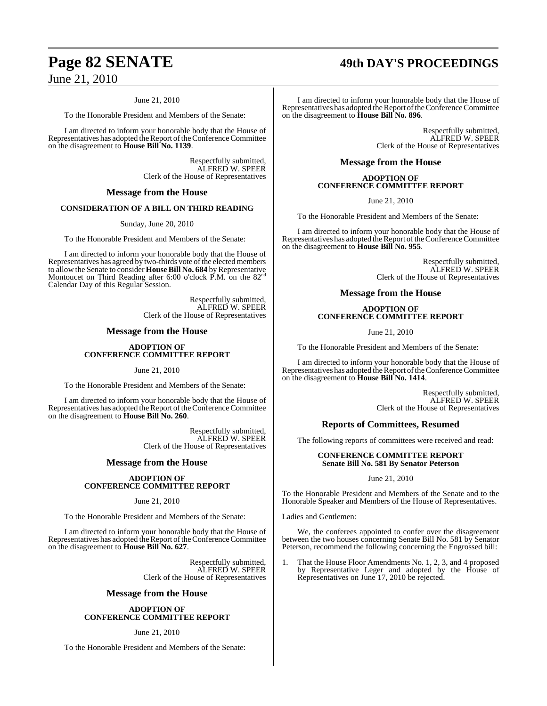#### June 21, 2010

To the Honorable President and Members of the Senate:

I am directed to inform your honorable body that the House of Representatives has adopted the Report of the Conference Committee on the disagreement to **House Bill No. 1139**.

> Respectfully submitted, ALFRED W. SPEER Clerk of the House of Representatives

### **Message from the House**

#### **CONSIDERATION OF A BILL ON THIRD READING**

Sunday, June 20, 2010

To the Honorable President and Members of the Senate:

I am directed to inform your honorable body that the House of Representatives has agreed by two-thirds vote of the elected members to allow the Senate to consider **House Bill No. 684** by Representative<br>Montoucet on Third Reading after 6:00 o'clock P.M. on the 82<sup>nd</sup> Calendar Day of this Regular Session.

> Respectfully submitted, ALFRED W. SPEER Clerk of the House of Representatives

#### **Message from the House**

#### **ADOPTION OF CONFERENCE COMMITTEE REPORT**

June 21, 2010

To the Honorable President and Members of the Senate:

I am directed to inform your honorable body that the House of Representatives has adopted the Report of the Conference Committee on the disagreement to **House Bill No. 260**.

> Respectfully submitted, ALFRED W. SPEER Clerk of the House of Representatives

### **Message from the House**

#### **ADOPTION OF CONFERENCE COMMITTEE REPORT**

June 21, 2010

To the Honorable President and Members of the Senate:

I am directed to inform your honorable body that the House of Representatives has adopted the Report of the Conference Committee on the disagreement to **House Bill No. 627**.

> Respectfully submitted, ALFRED W. SPEER Clerk of the House of Representatives

#### **Message from the House**

#### **ADOPTION OF CONFERENCE COMMITTEE REPORT**

June 21, 2010

To the Honorable President and Members of the Senate:

## **Page 82 SENATE 49th DAY'S PROCEEDINGS**

I am directed to inform your honorable body that the House of Representatives has adopted the Report of the Conference Committee on the disagreement to **House Bill No. 896**.

> Respectfully submitted, ALFRED W. SPEER Clerk of the House of Representatives

#### **Message from the House**

#### **ADOPTION OF CONFERENCE COMMITTEE REPORT**

June 21, 2010

To the Honorable President and Members of the Senate:

I am directed to inform your honorable body that the House of Representatives has adopted the Report of the Conference Committee on the disagreement to **House Bill No. 955**.

> Respectfully submitted, ALFRED W. SPEER Clerk of the House of Representatives

#### **Message from the House**

#### **ADOPTION OF CONFERENCE COMMITTEE REPORT**

June 21, 2010

To the Honorable President and Members of the Senate:

I am directed to inform your honorable body that the House of Representatives has adopted the Report of the Conference Committee on the disagreement to **House Bill No. 1414**.

> Respectfully submitted, ALFRED W. SPEER Clerk of the House of Representatives

#### **Reports of Committees, Resumed**

The following reports of committees were received and read:

#### **CONFERENCE COMMITTEE REPORT Senate Bill No. 581 By Senator Peterson**

#### June 21, 2010

To the Honorable President and Members of the Senate and to the Honorable Speaker and Members of the House of Representatives.

Ladies and Gentlemen:

We, the conferees appointed to confer over the disagreement between the two houses concerning Senate Bill No. 581 by Senator Peterson, recommend the following concerning the Engrossed bill:

1. That the House Floor Amendments No. 1, 2, 3, and 4 proposed by Representative Leger and adopted by the House of Representatives on June 17, 2010 be rejected.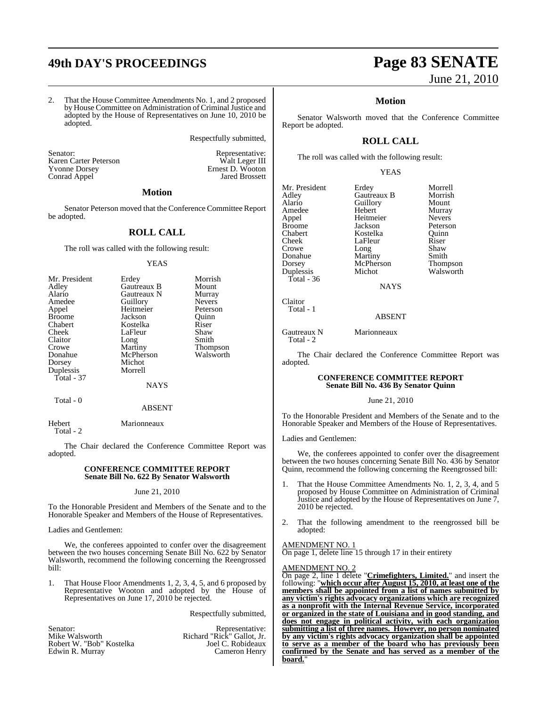## **49th DAY'S PROCEEDINGS Page 83 SENATE**

Respectfully submitted,

Senator: Representative: Karen Carter Peterson Walt Leger III Yvonne Dorsey Ernest D. Wooton Yvonne Dorsey Brnest D. Wooton Conrad Appel Jared Brossett

#### **Motion**

Senator Peterson moved that the Conference Committee Report be adopted.

#### **ROLL CALL**

The roll was called with the following result:

#### YEAS

| Mr. President | Erdey       | Morrish       |
|---------------|-------------|---------------|
| Adley         | Gautreaux B | Mount         |
| Alario        | Gautreaux N | Murray        |
| Amedee        | Guillory    | <b>Nevers</b> |
| Appel         | Heitmeier   | Peterson      |
| <b>Broome</b> | Jackson     | Ouinn         |
| Chabert       | Kostelka    | Riser         |
| Cheek         | LaFleur     | Shaw          |
| Claitor       | Long        | Smith         |
| Crowe         | Martiny     | Thompson      |
| Donahue       | McPherson   | Walsworth     |
| Dorsey        | Michot      |               |
| Duplessis     | Morrell     |               |
| Total - 37    |             |               |
|               | NAYS        |               |

#### Total - 0

ABSENT

Hebert Marionneaux Total - 2

The Chair declared the Conference Committee Report was adopted.

#### **CONFERENCE COMMITTEE REPORT Senate Bill No. 622 By Senator Walsworth**

#### June 21, 2010

To the Honorable President and Members of the Senate and to the Honorable Speaker and Members of the House of Representatives.

Ladies and Gentlemen:

We, the conferees appointed to confer over the disagreement between the two houses concerning Senate Bill No. 622 by Senator Walsworth, recommend the following concerning the Reengrossed bill:

1. That House Floor Amendments 1, 2, 3, 4, 5, and 6 proposed by Representative Wooton and adopted by the House of Representatives on June 17, 2010 be rejected.

Respectfully submitted,

| Senator:                 | Representative:            |
|--------------------------|----------------------------|
| Mike Walsworth           | Richard "Rick" Gallot, Jr. |
| Robert W. "Bob" Kostelka | Joel C. Robideaux          |
| Edwin R. Murray          | Cameron Henry              |

# June 21, 2010

### **Motion**

Senator Walsworth moved that the Conference Committee Report be adopted.

## **ROLL CALL**

The roll was called with the following result:

#### YEAS

Mr. President Erdey Morrell<br>Adley Gautreaux B Morrish Adley Gautreaux B Morrish Amedee Hebert Murray<br>
Appel Heitmeier Nevers Broome Jackson Peterson<br>Chabert Bostelka Duinn Chabert Kostelka Quinn Cheek LaFleur Riser<br>Crowe Long Shaw Donahue Martiny Smith<br>
Dorsey McPherson Thompson Duplessis Total - 36

Claitor Total - 1

Alario Guillory<br>
Hebert Murray Heitmeier Nevers<br>
Jackson Peterson Long Shaw<br>Martiny Smith McPherson Thompson<br>Michot Walsworth

**NAYS** 

#### ABSENT

Gautreaux N Marionneaux Total - 2

The Chair declared the Conference Committee Report was adopted.

#### **CONFERENCE COMMITTEE REPORT Senate Bill No. 436 By Senator Quinn**

#### June 21, 2010

To the Honorable President and Members of the Senate and to the Honorable Speaker and Members of the House of Representatives.

Ladies and Gentlemen:

We, the conferees appointed to confer over the disagreement between the two houses concerning Senate Bill No. 436 by Senator Quinn, recommend the following concerning the Reengrossed bill:

- That the House Committee Amendments No. 1, 2, 3, 4, and 5 proposed by House Committee on Administration of Criminal Justice and adopted by the House of Representatives on June 7, 2010 be rejected.
- 2. That the following amendment to the reengrossed bill be adopted:

#### AMENDMENT NO. 1

On page 1, delete line 15 through 17 in their entirety

#### AMENDMENT NO. 2

On page 2, line 1 delete "**Crimefighters, Limited.**" and insert the following: "**which occur after August 15, 2010, at least one of the members shall be appointed from a list of names submitted by any victim's rights advocacy organizations which are recognized as a nonprofit with the Internal Revenue Service, incorporated or organized in the state of Louisiana and in good standing, and does not engage in political activity, with each organization submitting a list of three names. However, no person nominated by any victim's rights advocacy organization shall be appointed to serve as a member of the board who has previously been confirmed by the Senate and has served as a member of the board.**"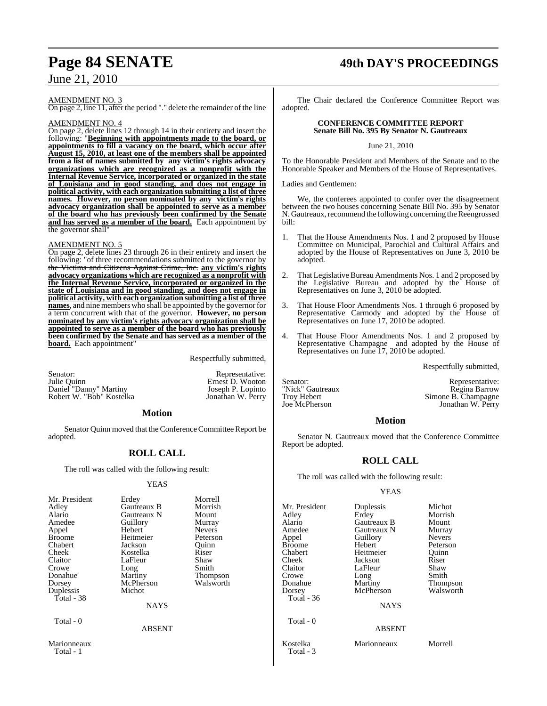#### AMENDMENT NO. 3

On page 2, line 11, after the period "." delete the remainder of the line

#### AMENDMENT NO. 4

On page 2, delete lines 12 through 14 in their entirety and insert the following: "**Beginning with appointments made to the board, or appointments to fill a vacancy on the board, which occur after August 15, 2010, at least one of the members shall be appointed from a list of names submitted by any victim's rights advocacy organizations which are recognized as a nonprofit with the Internal Revenue Service, incorporated or organized in the state of Louisiana and in good standing, and does not engage in political activity, with each organization submitting a list of three names. However, no person nominated by any victim's rights advocacy organization shall be appointed to serve as a member of the board who has previously been confirmed by the Senate and has served as a member of the board.** Each appointment by the governor shall

#### AMENDMENT NO. 5

On page 2, delete lines 23 through 26 in their entirety and insert the following: "of three recommendations submitted to the governor by the Victims and Citizens Against Crime, Inc. **any victim's rights advocacy organizations which are recognized as a nonprofit with the Internal Revenue Service, incorporated or organized in the state of Louisiana and in good standing, and does not engage in political activity, with each organization submitting a list of three names**, and nine members who shall be appointed by the governor for a term concurrent with that of the governor. **However, no person nominated by any victim's rights advocacy organization shall be appointed to serve as a member of the board who has previously been confirmed by the Senate and has served as a member of the board.** Each appointment

Respectfully submitted,

| Senator:<br>Julie Ouinn  | Representative:<br>Ernest D. Wooton |
|--------------------------|-------------------------------------|
| Daniel "Danny" Martiny   | Joseph P. Lopinto                   |
| Robert W. "Bob" Kostelka | Jonathan W. Perry                   |

#### **Motion**

Senator Quinn moved that the Conference Committee Report be adopted.

## **ROLL CALL**

The roll was called with the following result:

#### YEAS

| Mr. President<br>Adley<br>Alario<br>Amedee<br>Appel<br><b>Broome</b><br>Chabert<br>Cheek | Erdey<br>Gautreaux B<br>Gautreaux N<br>Guillory<br>Hebert<br>Heitmeier<br>Jackson<br>Kostelka | Morrell<br>Morrish<br>Mount<br>Murray<br><b>Nevers</b><br>Peterson<br>Ouinn<br>Riser |
|------------------------------------------------------------------------------------------|-----------------------------------------------------------------------------------------------|--------------------------------------------------------------------------------------|
|                                                                                          |                                                                                               |                                                                                      |
| Claitor<br>Crowe                                                                         | LaFleur<br>Long                                                                               | Shaw<br>Smith                                                                        |
| Donahue<br>Dorsey                                                                        | Martiny<br>McPherson                                                                          | Thompson<br>Walsworth                                                                |
| Duplessis<br>Total - 38                                                                  | Michot                                                                                        |                                                                                      |
|                                                                                          | <b>NAYS</b>                                                                                   |                                                                                      |
| Total - 0                                                                                | <b>ABSENT</b>                                                                                 |                                                                                      |
| $M$ <sub>ori</sub> onnoouv                                                               |                                                                                               |                                                                                      |

Marionneaux

Total - 1

## **Page 84 SENATE 49th DAY'S PROCEEDINGS**

The Chair declared the Conference Committee Report was adopted.

#### **CONFERENCE COMMITTEE REPORT Senate Bill No. 395 By Senator N. Gautreaux**

June 21, 2010

To the Honorable President and Members of the Senate and to the Honorable Speaker and Members of the House of Representatives.

Ladies and Gentlemen:

We, the conferees appointed to confer over the disagreement between the two houses concerning Senate Bill No. 395 by Senator N. Gautreaux, recommend the following concerning the Reengrossed bill:

- 1. That the House Amendments Nos. 1 and 2 proposed by House Committee on Municipal, Parochial and Cultural Affairs and adopted by the House of Representatives on June 3, 2010 be adopted.
- 2. That Legislative Bureau Amendments Nos. 1 and 2 proposed by the Legislative Bureau and adopted by the House of Representatives on June 3, 2010 be adopted.
- 3. That House Floor Amendments Nos. 1 through 6 proposed by Representative Carmody and adopted by the House of Representatives on June 17, 2010 be adopted.
- That House Floor Amendments Nos. 1 and 2 proposed by Representative Champagne and adopted by the House of Representatives on June 17, 2010 be adopted.

Respectfully submitted,

Senator: Representative: "Nick" Gautreaux Regina Barrow Troy Hebert Simone B. Champagne<br>
Jonathan W. Perry<br>
Jonathan W. Perry

Jonathan W. Perry

### **Motion**

Senator N. Gautreaux moved that the Conference Committee Report be adopted.

## **ROLL CALL**

The roll was called with the following result:

#### YEAS

| Mr. President<br>Adlev<br>Alario<br>Amedee<br>Appel<br>Broome<br>Chabert<br>Cheek<br>Claitor<br>Crowe<br>Donahue<br>Dorsey<br>Total - 36 | Duplessis<br>Erdey<br>Gautreaux B<br>Gautreaux N<br>Guillory<br>Hebert<br>Heitmeier<br>Jackson<br>LaFleur<br>Long<br>Martiny<br>McPherson | Michot<br>Morrish<br>Mount<br>Murray<br><b>Nevers</b><br>Peterson<br>Quinn<br>Riser<br>Shaw<br>Smith<br>Thompson<br>Walsworth |
|------------------------------------------------------------------------------------------------------------------------------------------|-------------------------------------------------------------------------------------------------------------------------------------------|-------------------------------------------------------------------------------------------------------------------------------|
| Total - 0                                                                                                                                | <b>NAYS</b><br><b>ABSENT</b>                                                                                                              |                                                                                                                               |
| Kostelka<br>Total - 3                                                                                                                    | Marionneaux                                                                                                                               | Morrell                                                                                                                       |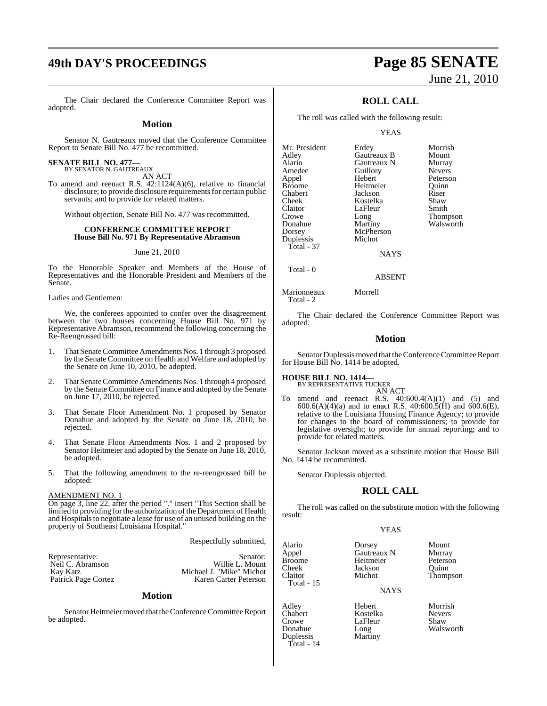## **49th DAY'S PROCEEDINGS Page 85 SENATE**

#### **Motion**

Senator N. Gautreaux moved that the Conference Committee Report to Senate Bill No. 477 be recommitted.

## **SENATE BILL NO. 477—** BY SENATOR N. GAUTREAUX

AN ACT

To amend and reenact R.S. 42:1124(A)(6), relative to financial disclosure; to provide disclosure requirements for certain public servants; and to provide for related matters.

Without objection, Senate Bill No. 477 was recommitted.

#### **CONFERENCE COMMITTEE REPORT House Bill No. 971 By Representative Abramson**

#### June 21, 2010

To the Honorable Speaker and Members of the House of Representatives and the Honorable President and Members of the Senate.

Ladies and Gentlemen:

We, the conferees appointed to confer over the disagreement between the two houses concerning House Bill No. 971 by Representative Abramson, recommend the following concerning the Re-Reengrossed bill:

- 1. That Senate Committee Amendments Nos. 1 through 3 proposed by the Senate Committee on Health and Welfare and adopted by the Senate on June 10, 2010, be adopted.
- 2. That Senate Committee Amendments Nos. 1 through 4 proposed by the Senate Committee on Finance and adopted by the Senate on June 17, 2010, be rejected.
- 3. That Senate Floor Amendment No. 1 proposed by Senator Donahue and adopted by the Senate on June 18, 2010, be rejected.
- 4. That Senate Floor Amendments Nos. 1 and 2 proposed by Senator Heitmeier and adopted by the Senate on June 18, 2010, be adopted.
- 5. That the following amendment to the re-reengrossed bill be adopted:

#### AMENDMENT NO. 1

On page 3, line 22, after the period "." insert "This Section shall be limited to providing for the authorization of the Department of Health and Hospitals to negotiate a lease for use of an unused building on the property of Southeast Louisiana Hospital."

#### Respectfully submitted,

| Representative:     | Senator:                 |
|---------------------|--------------------------|
|                     |                          |
| Neil C. Abramson    | Willie L. Mount          |
| Kay Katz            | Michael J. "Mike" Michot |
| Patrick Page Cortez | Karen Carter Peterson    |

#### **Motion**

Senator Heitmeier moved that the Conference Committee Report be adopted.

# June 21, 2010

## **ROLL CALL**

The roll was called with the following result:

YEAS

| Mr. President | Erdey       | Morrish         |
|---------------|-------------|-----------------|
| Adley         | Gautreaux B | Mount           |
| Alario        | Gautreaux N | Murray          |
| Amedee        | Guillory    | <b>Nevers</b>   |
| Appel         | Hebert      | Peterson        |
| <b>Broome</b> | Heitmeier   | Ouinn           |
| Chabert       | Jackson     | Riser           |
| Cheek         | Kostelka    | Shaw            |
| Claitor       | LaFleur     | Smith           |
| Crowe         | Long        | <b>Thompson</b> |
| Donahue       | Martiny     | Walsworth       |
| Dorsey        | McPherson   |                 |
| Duplessis     | Michot      |                 |
| Total - 37    |             |                 |

**NAYS** 

ABSENT

Total - 0

Marionneaux Morrell Total - 2

The Chair declared the Conference Committee Report was adopted.

#### **Motion**

Senator Duplessis moved that the Conference Committee Report for House Bill No. 1414 be adopted.

### **HOUSE BILL NO. 1414—**

BY REPRESENTATIVE TUCKER AN ACT

To amend and reenact R.S.  $40:600.4(A)(1)$  and  $(5)$  and 600.6(A)(4)(a) and to enact R.S. 40:600.5(H) and 600.6(E), relative to the Louisiana Housing Finance Agency; to provide for changes to the board of commissioners; to provide for legislative oversight; to provide for annual reporting; and to provide for related matters.

Senator Jackson moved as a substitute motion that House Bill No. 1414 be recommitted.

Senator Duplessis objected.

## **ROLL CALL**

The roll was called on the substitute motion with the following result:

YEAS

Alario Dorsey Mount Appel Gautreaux N Murray Broome Heitmeier<br>Cheek Jackson Cheek Jackson Quinn Total - 15

Duplessis Total - 14

NAYS

Adley Hebert Morrish Chabert Kostelka Nevers Crowe LaFleur<br>Donahue Long Long Walsworth<br>Martiny

Thompson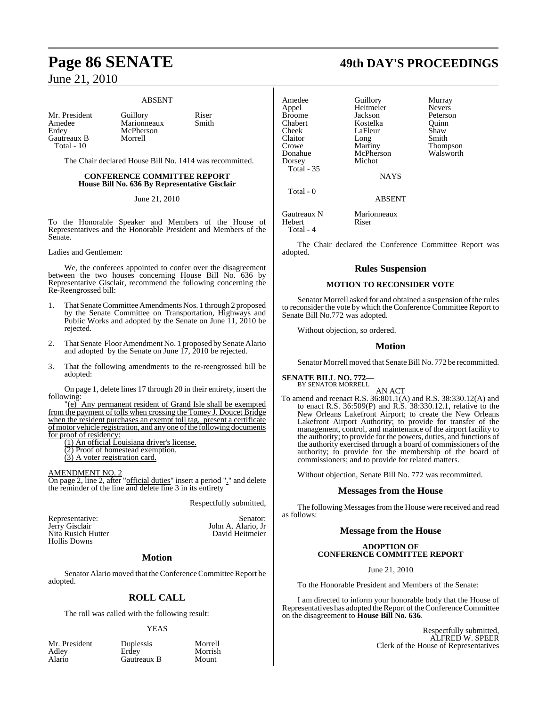#### ABSENT

Amedee Marionneaux<br>Erdey McPherson Gautreaux B Morrell Total - 10

Mr. President Guillory Riser<br>Amedee Marionneaux Smith **McPherson** 

The Chair declared House Bill No. 1414 was recommitted.

#### **CONFERENCE COMMITTEE REPORT House Bill No. 636 By Representative Gisclair**

June 21, 2010

To the Honorable Speaker and Members of the House of Representatives and the Honorable President and Members of the Senate.

Ladies and Gentlemen:

We, the conferees appointed to confer over the disagreement between the two houses concerning House Bill No. 636 by Representative Gisclair, recommend the following concerning the Re-Reengrossed bill:

- 1. That Senate Committee Amendments Nos. 1 through 2 proposed by the Senate Committee on Transportation, Highways and Public Works and adopted by the Senate on June 11, 2010 be rejected.
- 2. That Senate Floor Amendment No. 1 proposed by Senate Alario and adopted by the Senate on June 17, 2010 be rejected.
- 3. That the following amendments to the re-reengrossed bill be adopted:

On page 1, delete lines 17 through 20 in their entirety, insert the following:

"(e) Any permanent resident of Grand Isle shall be exempted from the payment of tolls when crossing the Tomey J. Doucet Bridge when the resident purchases an exempt toll tag, present a certificate of motor vehicle registration, and any one of the following documents for proof of residency:

(1) An official Louisiana driver's license.

(2) Proof of homestead exemption.

(3) A voter registration card.

AMENDMENT NO. 2

On page 2, line 2, after "official duties" insert a period "." and delete the reminder of the line and delete line 3 in its entirety

Respectfully submitted,

Representative: Senator: Senator: Senator: Senator: Senator: Senator: Senator: Senator: Senator: Senator: Senator: Senator: Senator: Senator: Senator: Senator: Senator: Senator: Senator: Senator: Senator: Senator: Senator: Nita Rusich Hutter Hollis Downs

John A. Alario, Jr<br>David Heitmeier

#### **Motion**

Senator Alario moved that the Conference Committee Report be adopted.

## **ROLL CALL**

The roll was called with the following result:

#### YEAS

Mr. President Duplessis Morrell<br>Adley Erdey Morrish Adley Erdey Morrish Gautreaux B

**Page 86 SENATE 49th DAY'S PROCEEDINGS**

| Amedee                | Guillory             | Murray          |
|-----------------------|----------------------|-----------------|
| Appel                 | Heitmeier            | <b>Nevers</b>   |
| <b>Broome</b>         | Jackson              | Peterson        |
| Chabert               | Kostelka             | Ouinn           |
| Cheek                 | LaFleur              | Shaw            |
| Claitor               | Long                 | Smith           |
| Crowe                 | Martiny              | <b>Thompson</b> |
| Donahue               | McPherson            | Walsworth       |
| Dorsey                | Michot               |                 |
| Total - 35            |                      |                 |
|                       | <b>NAYS</b>          |                 |
| Total - 0             |                      |                 |
|                       | <b>ABSENT</b>        |                 |
| Gautreaux N<br>Hebert | Marionneaux<br>Riser |                 |

Total - 4

The Chair declared the Conference Committee Report was adopted.

#### **Rules Suspension**

#### **MOTION TO RECONSIDER VOTE**

Senator Morrell asked for and obtained a suspension of the rules to reconsider the vote by which the Conference Committee Report to Senate Bill No.772 was adopted.

Without objection, so ordered.

#### **Motion**

Senator Morrell moved that Senate Bill No. 772 be recommitted.

#### **SENATE BILL NO. 772—** BY SENATOR MORRELL

AN ACT To amend and reenact R.S. 36:801.1(A) and R.S. 38:330.12(A) and to enact R.S. 36:509(P) and R.S. 38:330.12.1, relative to the New Orleans Lakefront Airport; to create the New Orleans Lakefront Airport Authority; to provide for transfer of the management, control, and maintenance of the airport facility to the authority; to provide for the powers, duties, and functions of the authority exercised through a board of commissioners of the authority; to provide for the membership of the board of commissioners; and to provide for related matters.

Without objection, Senate Bill No. 772 was recommitted.

#### **Messages from the House**

The following Messages from the House were received and read as follows:

#### **Message from the House**

### **ADOPTION OF CONFERENCE COMMITTEE REPORT**

June 21, 2010

To the Honorable President and Members of the Senate:

I am directed to inform your honorable body that the House of Representatives has adopted the Report of the Conference Committee on the disagreement to **House Bill No. 636**.

> Respectfully submitted, ALFRED W. SPEER Clerk of the House of Representatives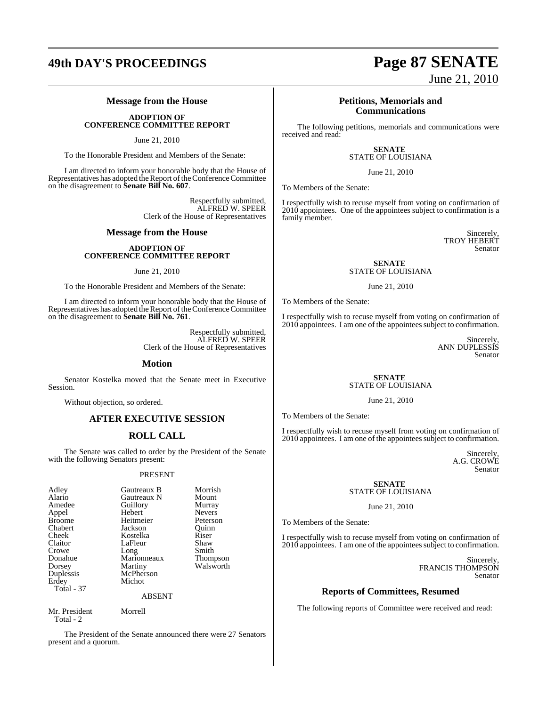## **49th DAY'S PROCEEDINGS Page 87 SENATE**

## **Message from the House**

**ADOPTION OF CONFERENCE COMMITTEE REPORT**

June 21, 2010

To the Honorable President and Members of the Senate:

I am directed to inform your honorable body that the House of Representatives has adopted the Report of the Conference Committee on the disagreement to **Senate Bill No. 607**.

> Respectfully submitted, ALFRED W. SPEER Clerk of the House of Representatives

#### **Message from the House**

#### **ADOPTION OF CONFERENCE COMMITTEE REPORT**

#### June 21, 2010

To the Honorable President and Members of the Senate:

I am directed to inform your honorable body that the House of Representatives has adopted the Report of the Conference Committee on the disagreement to **Senate Bill No. 761**.

> Respectfully submitted, ALFRED W. SPEER Clerk of the House of Representatives

> > Morrish<br>Mount

Murray Nevers Peterson<br>Ouinn

Riser Shaw Smith Thompson Walsworth

#### **Motion**

Senator Kostelka moved that the Senate meet in Executive Session.

Without objection, so ordered.

## **AFTER EXECUTIVE SESSION**

## **ROLL CALL**

The Senate was called to order by the President of the Senate with the following Senators present:

#### PRESENT

| Adley             | Gautreaux B | Morris  |
|-------------------|-------------|---------|
| Alario            | Gautreaux N | Mount   |
| Amedee            | Guillory    | Murray  |
| Appel             | Hebert      | Nevers  |
| <b>Broome</b>     | Heitmeier   | Peterso |
| Chabert           | Jackson     | Ouinn   |
| Cheek             | Kostelka    | Riser   |
| Claitor           | LaFleur     | Shaw    |
| Crowe             | Long        | Smith   |
| Donahue           | Marionneaux | Thomp   |
| Dorsey            | Martiny     | Walsw   |
| Duplessis         | McPherson   |         |
| Erdey             | Michot      |         |
| <b>Total - 37</b> |             |         |
|                   | ARSENT      |         |

Mr. President Morrell Total - 2

The President of the Senate announced there were 27 Senators present and a quorum.

# June 21, 2010

### **Petitions, Memorials and Communications**

The following petitions, memorials and communications were received and read:

#### **SENATE**  STATE OF LOUISIANA

#### June 21, 2010

To Members of the Senate:

I respectfully wish to recuse myself from voting on confirmation of 2010 appointees. One of the appointees subject to confirmation is a family member.

> Sincerely, TROY HEBERT Senator

#### **SENATE**  STATE OF LOUISIANA

June 21, 2010

To Members of the Senate:

I respectfully wish to recuse myself from voting on confirmation of 2010 appointees. I am one of the appointees subject to confirmation.

> Sincerely, ANN DUPLESSIS Senator

#### **SENATE**  STATE OF LOUISIANA

June 21, 2010

To Members of the Senate:

I respectfully wish to recuse myself from voting on confirmation of 2010 appointees. I am one of the appointees subject to confirmation.

> Sincerely, A.G. CROWE Senator

#### **SENATE**  STATE OF LOUISIANA

June 21, 2010

To Members of the Senate:

I respectfully wish to recuse myself from voting on confirmation of 2010 appointees. I am one of the appointees subject to confirmation.

> Sincerely, FRANCIS THOMPSON Senator

### **Reports of Committees, Resumed**

The following reports of Committee were received and read: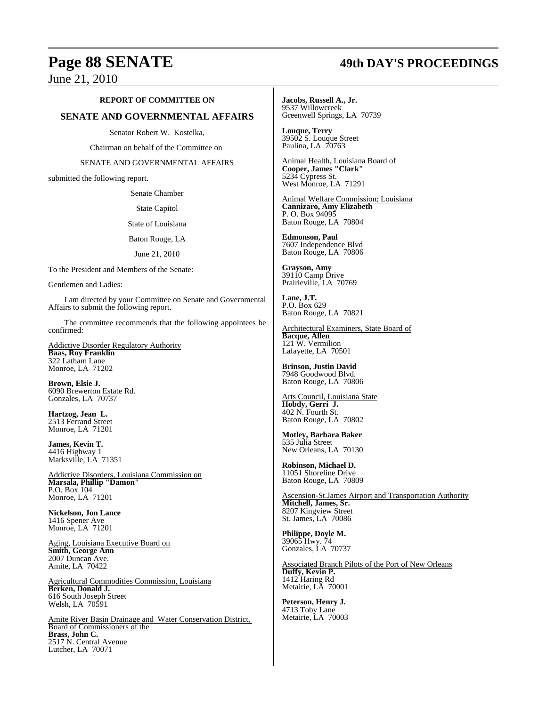## **Page 88 SENATE 49th DAY'S PROCEEDINGS**

June 21, 2010

#### **REPORT OF COMMITTEE ON**

### **SENATE AND GOVERNMENTAL AFFAIRS**

Senator Robert W. Kostelka,

Chairman on behalf of the Committee on

SENATE AND GOVERNMENTAL AFFAIRS

submitted the following report.

Senate Chamber

State Capitol

State of Louisiana

Baton Rouge, LA

June 21, 2010

To the President and Members of the Senate:

Gentlemen and Ladies:

I am directed by your Committee on Senate and Governmental Affairs to submit the following report.

The committee recommends that the following appointees be confirmed:

Addictive Disorder Regulatory Authority **Baas, Roy Franklin** 322 Latham Lane Monroe, LA 71202

**Brown, Elsie J.** 6090 Brewerton Estate Rd. Gonzales, LA 70737

**Hartzog, Jean L.** 2513 Ferrand Street Monroe, LA 71201

**James, Kevin T.** 4416 Highway 1 Marksville, LA 71351

Addictive Disorders, Louisiana Commission on **Marsala, Phillip "Damon"** P.O. Box 104 Monroe, LA 71201

**Nickelson, Jon Lance** 1416 Spener Ave Monroe, LA 71201

Aging, Louisiana Executive Board on **Smith, George Ann** 2007 Duncan Ave. Amite, LA 70422

Agricultural Commodities Commission, Louisiana **Berken, Donald J.** 616 South Joseph Street Welsh, LA 70591

Amite River Basin Drainage and Water Conservation District, Board of Commissioners of the **Brass, John C.** 2517 N. Central Avenue Lutcher, LA 70071

**Jacobs, Russell A., Jr.** 9537 Willowcreek Greenwell Springs, LA 70739

**Louque, Terry** 39502 S. Louque Street Paulina, LA 70763

Animal Health, Louisiana Board of **Cooper, James "Clark"** 5234 Cypress St. West Monroe, LA 71291

Animal Welfare Commission; Louisiana **Cannizaro, Amy Elizabeth** P. O. Box 94095 Baton Rouge, LA 70804

**Edmonson, Paul**  7607 Independence Blvd Baton Rouge, LA 70806

**Grayson, Amy** 39110 Camp Drive Prairieville, LA 70769

**Lane, J.T.** P.O. Box 629 Baton Rouge, LA 70821

Architectural Examiners, State Board of **Bacque, Allen** 121 W. Vermilion Lafayette, LA 70501

**Brinson, Justin David** 7948 Goodwood Blvd. Baton Rouge, LA 70806

Arts Council, Louisiana State **Hobdy, Gerri J.** 402 N. Fourth St. Baton Rouge, LA 70802

**Motley, Barbara Baker** 535 Julia Street New Orleans, LA 70130

**Robinson, Michael D.** 11051 Shoreline Drive Baton Rouge, LA 70809

Ascension-St.James Airport and Transportation Authority **Mitchell, James, Sr.** 8207 Kingview Street St. James, LA 70086

**Philippe, Doyle M.** 39065 Hwy. 74 Gonzales, LA 70737

Associated Branch Pilots of the Port of New Orleans **Duffy, Kevin P.** 1412 Haring Rd Metairie, LA 70001

**Peterson, Henry J.** 4713 Toby Lane Metairie, LA 70003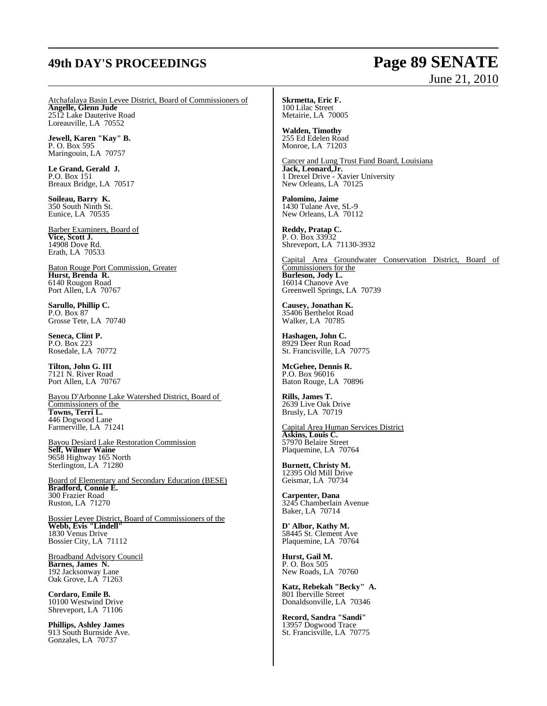## **49th DAY'S PROCEEDINGS Page 89 SENATE**

# June 21, 2010

Atchafalaya Basin Levee District, Board of Commissioners of **Angelle, Glenn Jude** 2512 Lake Dauterive Road Loreauville, LA 70552

**Jewell, Karen "Kay" B.** P. O. Box 595 Maringouin, LA 70757

**Le Grand, Gerald J.** P.O. Box 151 Breaux Bridge, LA 70517

**Soileau, Barry K.** 350 South Ninth St. Eunice, LA 70535

Barber Examiners, Board of **Vice, Scott J.** 14908 Dove Rd. Erath, LA 70533

Baton Rouge Port Commission, Greater **Hurst, Brenda R.** 6140 Rougon Road Port Allen, LA 70767

**Sarullo, Phillip C.** P.O. Box 87 Grosse Tete, LA 70740

**Seneca, Clint P.** P.O. Box 223 Rosedale, LA 70772

**Tilton, John G. III** 7121 N. River Road Port Allen, LA 70767

Bayou D'Arbonne Lake Watershed District, Board of Commissioners of the **Towns, Terri L.** 446 Dogwood Lane Farmerville, LA 71241

Bayou Desiard Lake Restoration Commission **Self, Wilmer Waine** 9658 Highway 165 North Sterlington, LA 71280

Board of Elementary and Secondary Education (BESE) **Bradford, Connie E.** 300 Frazier Road Ruston, LA 71270

Bossier Levee District, Board of Commissioners of the **Webb, Evis "Lindell"** 1830 Venus Drive Bossier City, LA 71112

Broadband Advisory Council **Barnes, James N.** 192 Jacksonway Lane Oak Grove, LA 71263

**Cordaro, Emile B.** 10100 Westwind Drive Shreveport, LA 71106

**Phillips, Ashley James** 913 South Burnside Ave. Gonzales, LA 70737

**Skrmetta, Eric F.** 100 Lilac Street Metairie, LA 70005

**Walden, Timothy** 255 Ed Edelen Road Monroe, LA 71203

Cancer and Lung Trust Fund Board, Louisiana **Jack, Leonard,Jr.** 1 Drexel Drive - Xavier University New Orleans, LA 70125

**Palomino, Jaime** 1430 Tulane Ave, SL-9 New Orleans, LA 70112

**Reddy, Pratap C.** P. O. Box 33932 Shreveport, LA 71130-3932

Capital Area Groundwater Conservation District, Board of Commissioners for the **Burleson, Jody L.** 16014 Chanove Ave Greenwell Springs, LA 70739

**Causey, Jonathan K.** 35406 Berthelot Road Walker, LA 70785

**Hashagen, John C.** 8929 Deer Run Road St. Francisville, LA 70775

**McGehee, Dennis R.** P.O. Box 96016 Baton Rouge, LA 70896

**Rills, James T.** 2639 Live Oak Drive Brusly, LA 70719

Capital Area Human Services District **Askins, Louis C.** 57970 Belaire Street Plaquemine, LA 70764

**Burnett, Christy M.** 12395 Old Mill Drive Geismar, LA 70734

**Carpenter, Dana** 3245 Chamberlain Avenue Baker, LA 70714

**D' Albor, Kathy M.** 58445 St. Clement Ave Plaquemine, LA 70764

**Hurst, Gail M.** P. O. Box 505 New Roads, LA 70760

**Katz, Rebekah "Becky" A.** 801 Iberville Street Donaldsonville, LA 70346

**Record, Sandra "Sandi"** 13957 Dogwood Trace St. Francisville, LA 70775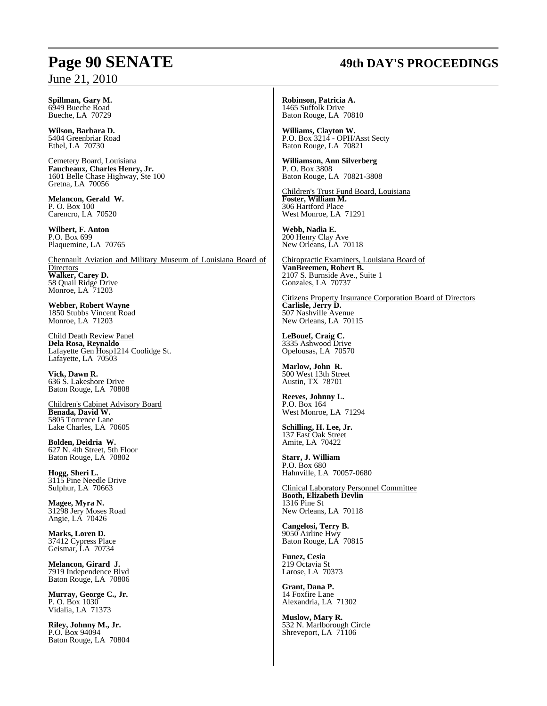## **Page 90 SENATE 49th DAY'S PROCEEDINGS**

**Spillman, Gary M.** 6949 Bueche Road Bueche, LA 70729

**Wilson, Barbara D.** 5404 Greenbriar Road Ethel, LA 70730

Cemetery Board, Louisiana **Faucheaux, Charles Henry, Jr.** 1601 Belle Chase Highway, Ste 100 Gretna, LA 70056

**Melancon, Gerald W.** P. O. Box 100 Carencro, LA 70520

**Wilbert, F. Anton** P.O. Box 699 Plaquemine, LA 70765

Chennault Aviation and Military Museum of Louisiana Board of **Directors Walker, Carey D.**  58 Quail Ridge Drive Monroe, LA 71203

**Webber, Robert Wayne** 1850 Stubbs Vincent Road Monroe, LA 71203

Child Death Review Panel **Dela Rosa, Reynaldo** Lafayette Gen Hosp1214 Coolidge St. Lafayette, LA 70503

**Vick, Dawn R.** 636 S. Lakeshore Drive Baton Rouge, LA 70808

Children's Cabinet Advisory Board **Benada, David W.** 5805 Torrence Lane Lake Charles, LA 70605

**Bolden, Deidria W.** 627 N. 4th Street, 5th Floor Baton Rouge, LA 70802

**Hogg, Sheri L.** 3115 Pine Needle Drive Sulphur, LA 70663

**Magee, Myra N.** 31298 Jery Moses Road Angie, LA 70426

**Marks, Loren D.** 37412 Cypress Place Geismar, LA 70734

**Melancon, Girard J.** 7919 Independence Blvd Baton Rouge, LA 70806

**Murray, George C., Jr.** P. O. Box 1030 Vidalia, LA 71373

**Riley, Johnny M., Jr.** P.O. Box 94094 Baton Rouge, LA 70804 **Robinson, Patricia A.** 1465 Suffolk Drive Baton Rouge, LA 70810

**Williams, Clayton W.** P.O. Box 3214 - OPH/Asst Secty Baton Rouge, LA 70821

**Williamson, Ann Silverberg** P. O. Box 3808 Baton Rouge, LA 70821-3808

Children's Trust Fund Board, Louisiana **Foster, William M.**  306 Hartford Place West Monroe, LA 71291

**Webb, Nadia E.** 200 Henry Clay Ave New Orleans, LA 70118

Chiropractic Examiners, Louisiana Board of **VanBreemen, Robert B.** 2107 S. Burnside Ave., Suite 1 Gonzales, LA 70737

Citizens Property Insurance Corporation Board of Directors **Carlisle, Jerry D.** 507 Nashville Avenue New Orleans, LA 70115

**LeBouef, Craig C.** 3335 Ashwood Drive Opelousas, LA 70570

**Marlow, John R.** 500 West 13th Street Austin, TX 78701

**Reeves, Johnny L.** P.O. Box 164 West Monroe, LA 71294

**Schilling, H. Lee, Jr.** 137 East Oak Street Amite, LA 70422

**Starr, J. William** P.O. Box 680 Hahnville, LA 70057-0680

Clinical Laboratory Personnel Committee **Booth, Elizabeth Devlin** 1316 Pine St New Orleans, LA 70118

**Cangelosi, Terry B.** 9050 Airline Hwy Baton Rouge, LA 70815

**Funez, Cesia** 219 Octavia St Larose, LA 70373

**Grant, Dana P.** 14 Foxfire Lane Alexandria, LA 71302

**Muslow, Mary R.** 532 N. Marlborough Circle Shreveport, LA 71106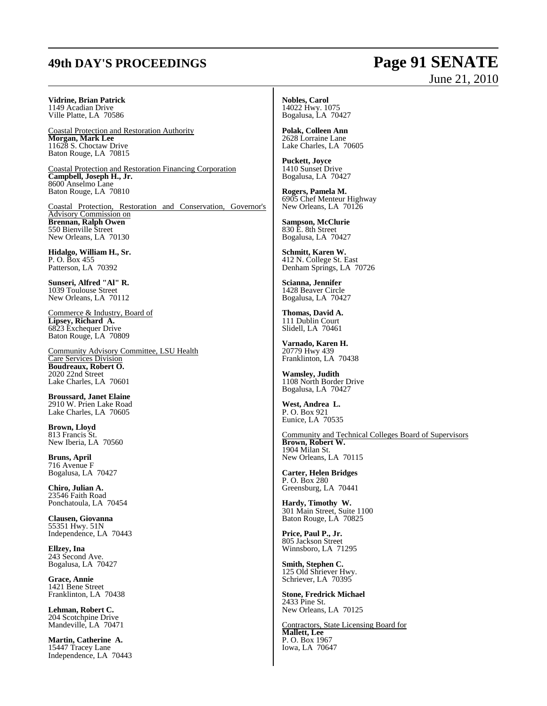## **49th DAY'S PROCEEDINGS Page 91 SENATE**

# June 21, 2010

**Vidrine, Brian Patrick** 1149 Acadian Drive Ville Platte, LA 70586

Coastal Protection and Restoration Authority **Morgan, Mark Lee** 11628 S. Choctaw Drive Baton Rouge, LA 70815

Coastal Protection and Restoration Financing Corporation **Campbell, Joseph H., Jr.** 8600 Anselmo Lane Baton Rouge, LA 70810

Coastal Protection, Restoration and Conservation, Governor's Advisory Commission on **Brennan, Ralph Owen** 550 Bienville Street New Orleans, LA 70130

**Hidalgo, William H., Sr.** P. O. Box 455 Patterson, LA 70392

**Sunseri, Alfred "Al" R.** 1039 Toulouse Street New Orleans, LA 70112

Commerce & Industry, Board of **Lipsey, Richard A.** 6823 Exchequer Drive Baton Rouge, LA 70809

Community Advisory Committee, LSU Health Care Services Division **Boudreaux, Robert O.** 2020 22nd Street Lake Charles, LA 70601

**Broussard, Janet Elaine** 2910 W. Prien Lake Road Lake Charles, LA 70605

**Brown, Lloyd** 813 Francis St. New Iberia, LA 70560

**Bruns, April** 716 Avenue F Bogalusa, LA 70427

**Chiro, Julian A.** 23546 Faith Road Ponchatoula, LA 70454

**Clausen, Giovanna** 55351 Hwy. 51N Independence, LA 70443

**Ellzey, Ina** 243 Second Ave. Bogalusa, LA 70427

**Grace, Annie** 1421 Bene Street Franklinton, LA 70438

**Lehman, Robert C.** 204 Scotchpine Drive Mandeville, LA 70471

**Martin, Catherine A.** 15447 Tracey Lane Independence, LA 70443 **Nobles, Carol** 14022 Hwy. 1075 Bogalusa, LA 70427

**Polak, Colleen Ann** 2628 Lorraine Lane Lake Charles, LA 70605

**Puckett, Joyce** 1410 Sunset Drive Bogalusa, LA 70427

**Rogers, Pamela M.** 6905 Chef Menteur Highway New Orleans, LA 70126

**Sampson, McClurie** 830 E. 8th Street Bogalusa, LA 70427

**Schmitt, Karen W.** 412 N. College St. East Denham Springs, LA 70726

**Scianna, Jennifer** 1428 Beaver Circle Bogalusa, LA 70427

**Thomas, David A.** 111 Dublin Court Slidell, LA 70461

**Varnado, Karen H.** 20779 Hwy 439 Franklinton, LA 70438

**Wamsley, Judith** 1108 North Border Drive Bogalusa, LA 70427

**West, Andrea L.** P. O. Box 921 Eunice, LA 70535

Community and Technical Colleges Board of Supervisors **Brown, Robert W.**  1904 Milan St. New Orleans, LA 70115

**Carter, Helen Bridges** P. O. Box 280 Greensburg, LA 70441

**Hardy, Timothy W.** 301 Main Street, Suite 1100 Baton Rouge, LA 70825

**Price, Paul P., Jr.** 805 Jackson Street Winnsboro, LA 71295

**Smith, Stephen C.** 125 Old Shriever Hwy. Schriever, LA 70395

**Stone, Fredrick Michael** 2433 Pine St. New Orleans, LA 70125

Contractors, State Licensing Board for **Mallett, Lee** P. O. Box 1967 Iowa, LA 70647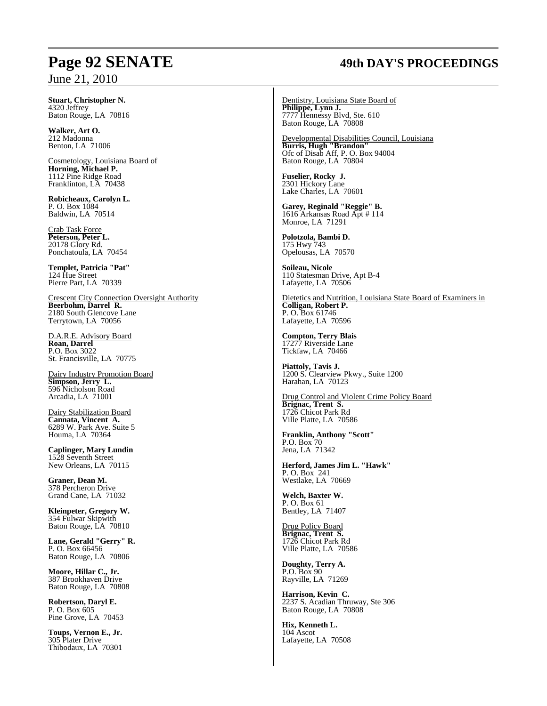#### **Stuart, Christopher N.** 4320 Jeffrey Baton Rouge, LA 70816

**Walker, Art O.** 212 Madonna Benton, LA 71006

Cosmetology, Louisiana Board of **Horning, Michael P.** 1112 Pine Ridge Road Franklinton, LA 70438

**Robicheaux, Carolyn L.** P. O. Box 1084 Baldwin, LA 70514

Crab Task Force **Peterson, Peter L.** 20178 Glory Rd. Ponchatoula, LA 70454

**Templet, Patricia "Pat"** 124 Hue Street Pierre Part, LA 70339

Crescent City Connection Oversight Authority **Beerbohm, Darrel R.** 2180 South Glencove Lane Terrytown, LA 70056

D.A.R.E. Advisory Board **Roan, Darrel** P.O. Box 3022 St. Francisville, LA 70775

Dairy Industry Promotion Board **Simpson, Jerry L.** 596 Nicholson Road Arcadia, LA 71001

Dairy Stabilization Board **Cannata, Vincent A.** 6289 W. Park Ave. Suite 5 Houma, LA 70364

**Caplinger, Mary Lundin** 1528 Seventh Street New Orleans, LA 70115

**Graner, Dean M.** 378 Percheron Drive Grand Cane, LA 71032

**Kleinpeter, Gregory W.** 354 Fulwar Skipwith Baton Rouge, LA 70810

**Lane, Gerald "Gerry" R.** P. O. Box 66456 Baton Rouge, LA 70806

**Moore, Hillar C., Jr.** 387 Brookhaven Drive Baton Rouge, LA 70808

**Robertson, Daryl E.** P. O. Box 605 Pine Grove, LA 70453

**Toups, Vernon E., Jr.** 305 Plater Drive Thibodaux, LA 70301

# **Page 92 SENATE 49th DAY'S PROCEEDINGS**

Dentistry, Louisiana State Board of **Philippe, Lynn J.** 7777 Hennessy Blvd, Ste. 610 Baton Rouge, LA 70808

Developmental Disabilities Council, Louisiana **Burris, Hugh "Brandon"** Ofc of Disab Aff, P. O. Box 94004 Baton Rouge, LA 70804

**Fuselier, Rocky J.** 2301 Hickory Lane Lake Charles, LA 70601

**Garey, Reginald "Reggie" B.** 1616 Arkansas Road Apt # 114 Monroe, LA 71291

**Polotzola, Bambi D.** 175 Hwy 743 Opelousas, LA 70570

**Soileau, Nicole** 110 Statesman Drive, Apt B-4 Lafayette, LA 70506

Dietetics and Nutrition, Louisiana State Board of Examiners in **Colligan, Robert P.** P. O. Box 61746 Lafayette, LA 70596

**Compton, Terry Blais** 17277 Riverside Lane Tickfaw, LA 70466

**Piattoly, Tavis J.** 1200 S. Clearview Pkwy., Suite 1200 Harahan, LA 70123

Drug Control and Violent Crime Policy Board **Brignac, Trent S.** 1726 Chicot Park Rd Ville Platte, LA 70586

**Franklin, Anthony "Scott"** P.O. Box 70 Jena, LA 71342

**Herford, James Jim L. "Hawk"** P. O. Box 241 Westlake, LA 70669

**Welch, Baxter W.** P. O. Box 61 Bentley, LA 71407

Drug Policy Board **Brignac, Trent S.** 1726 Chicot Park Rd Ville Platte, LA 70586

**Doughty, Terry A.** P.O. Box 90 Rayville, LA 71269

**Harrison, Kevin C.** 2237 S. Acadian Thruway, Ste 306 Baton Rouge, LA 70808

**Hix, Kenneth L.** 104 Ascot Lafayette, LA 70508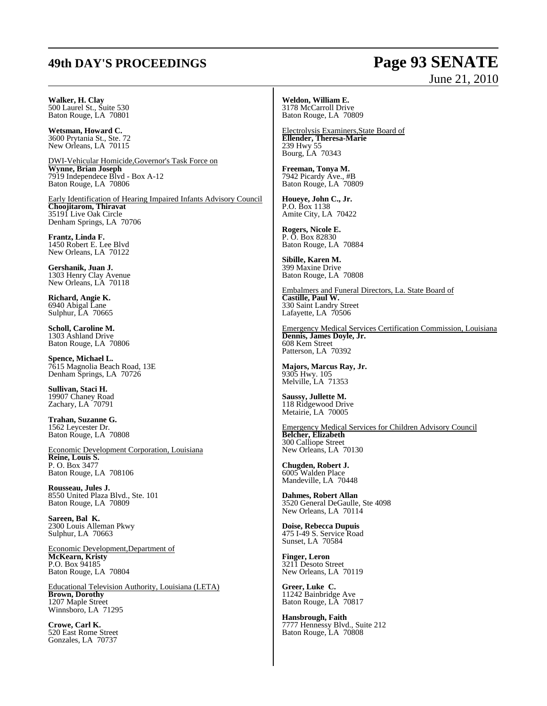# **49th DAY'S PROCEEDINGS Page 93 SENATE**

# June 21, 2010

#### **Walker, H. Clay**

500 Laurel St., Suite 530 Baton Rouge, LA 70801

**Wetsman, Howard C.** 3600 Prytania St., Ste. 72 New Orleans, LA 70115

DWI-Vehicular Homicide,Governor's Task Force on **Wynne, Brian Joseph** 7919 Independece Blvd - Box A-12 Baton Rouge, LA 70806

Early Identification of Hearing Impaired Infants Advisory Council **Choojitarom, Thiravat** 35191 Live Oak Circle Denham Springs, LA 70706

**Frantz, Linda F.** 1450 Robert E. Lee Blvd New Orleans, LA 70122

**Gershanik, Juan J.** 1303 Henry Clay Avenue New Orleans, LA 70118

**Richard, Angie K.** 6940 Abigal Lane Sulphur, LA 70665

**Scholl, Caroline M.** 1303 Ashland Drive Baton Rouge, LA 70806

**Spence, Michael L.** 7615 Magnolia Beach Road, 13E Denham Springs, LA 70726

**Sullivan, Staci H.** 19907 Chaney Road Zachary, LA 70791

**Trahan, Suzanne G.** 1562 Leycester Dr. Baton Rouge, LA 70808

Economic Development Corporation, Louisiana **Reine, Louis S.** P. O. Box 3477 Baton Rouge, LA 708106

**Rousseau, Jules J.** 8550 United Plaza Blvd., Ste. 101 Baton Rouge, LA 70809

**Sareen, Bal K.** 2300 Louis Alleman Pkwy Sulphur, LA 70663

Economic Development,Department of **McKearn, Kristy** P.O. Box 94185 Baton Rouge, LA 70804

Educational Television Authority, Louisiana (LETA) **Brown, Dorothy** 1207 Maple Street Winnsboro, LA 71295

**Crowe, Carl K.** 520 East Rome Street Gonzales, LA 70737

**Weldon, William E.** 3178 McCarroll Drive Baton Rouge, LA 70809

Electrolysis Examiners,State Board of **Ellender, Theresa-Marie** 239 Hwy 55 Bourg, LA 70343

**Freeman, Tonya M.** 7942 Picardy Ave., #B Baton Rouge, LA 70809

**Houeye, John C., Jr.** P.O. Box 1138 Amite City, LA 70422

**Rogers, Nicole E.** P. O. Box 82830 Baton Rouge, LA 70884

**Sibille, Karen M.** 399 Maxine Drive Baton Rouge, LA 70808

Embalmers and Funeral Directors, La. State Board of **Castille, Paul W.** 330 Saint Landry Street Lafayette, LA 70506

Emergency Medical Services Certification Commission, Louisiana **Dennis, James Doyle, Jr.** 608 Kem Street Patterson, LA 70392

**Majors, Marcus Ray, Jr.** 9305 Hwy. 105 Melville, LA 71353

**Saussy, Jullette M.** 118 Ridgewood Drive Metairie, LA 70005

Emergency Medical Services for Children Advisory Council **Belcher, Elizabeth** 300 Calliope Street New Orleans, LA 70130

**Chugden, Robert J.** 6005 Walden Place Mandeville, LA 70448

**Dahmes, Robert Allan** 3520 General DeGaulle, Ste 4098 New Orleans, LA 70114

**Doise, Rebecca Dupuis** 475 I-49 S. Service Road Sunset, LA 70584

**Finger, Leron** 3211 Desoto Street New Orleans, LA 70119

**Greer, Luke C.** 11242 Bainbridge Ave Baton Rouge, LA 70817

**Hansbrough, Faith** 7777 Hennessy Blvd., Suite 212 Baton Rouge, LA 70808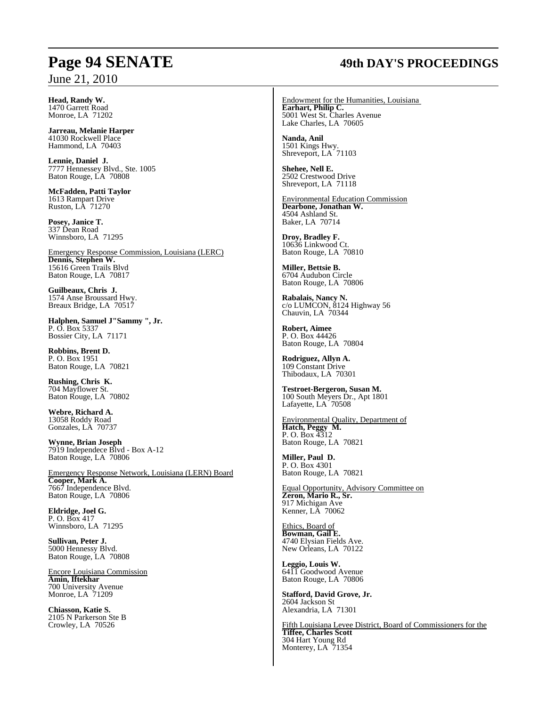#### **Head, Randy W.** 1470 Garrett Road Monroe, LA 71202

**Jarreau, Melanie Harper** 41030 Rockwell Place Hammond, LA 70403

**Lennie, Daniel J.** 7777 Hennessey Blvd., Ste. 1005 Baton Rouge, LA 70808

**McFadden, Patti Taylor** 1613 Rampart Drive Ruston, LA 71270

**Posey, Janice T.** 337 Dean Road Winnsboro, LA 71295

Emergency Response Commission, Louisiana (LERC) **Dennis, Stephen W.** 15616 Green Trails Blvd Baton Rouge, LA 70817

**Guilbeaux, Chris J.** 1574 Anse Broussard Hwy. Breaux Bridge, LA 70517

**Halphen, Samuel J"Sammy ", Jr.** P. O. Box 5337 Bossier City, LA 71171

**Robbins, Brent D.** P. O. Box 1951 Baton Rouge, LA 70821

**Rushing, Chris K.** 704 Mayflower St. Baton Rouge, LA 70802

**Webre, Richard A.** 13058 Roddy Road Gonzales, LA 70737

**Wynne, Brian Joseph** 7919 Independece Blvd - Box A-12 Baton Rouge, LA 70806

Emergency Response Network, Louisiana (LERN) Board **Cooper, Mark A.** 7667 Independence Blvd. Baton Rouge, LA 70806

**Eldridge, Joel G.** P. O. Box 417 Winnsboro, LA 71295

**Sullivan, Peter J.** 5000 Hennessy Blvd. Baton Rouge, LA 70808

Encore Louisiana Commission **Amin, Iftekhar** 700 University Avenue Monroe, LA 71209

**Chiasson, Katie S.** 2105 N Parkerson Ste B Crowley, LA 70526

# **Page 94 SENATE 49th DAY'S PROCEEDINGS**

Endowment for the Humanities, Louisiana **Earhart, Philip C.** 5001 West St. Charles Avenue Lake Charles, LA 70605

**Nanda, Anil**  1501 Kings Hwy. Shreveport, LA 71103

**Shehee, Nell E.** 2502 Crestwood Drive Shreveport, LA 71118

Environmental Education Commission **Dearbone, Jonathan W.** 4504 Ashland St. Baker, LA 70714

**Droy, Bradley F.** 10636 Linkwood Ct. Baton Rouge, LA 70810

**Miller, Bettsie B.** 6704 Audubon Circle Baton Rouge, LA 70806

**Rabalais, Nancy N.** c/o LUMCON, 8124 Highway 56 Chauvin, LA 70344

**Robert, Aimee** P. O. Box 44426 Baton Rouge, LA 70804

**Rodriguez, Allyn A.** 109 Constant Drive Thibodaux, LA 70301

**Testroet-Bergeron, Susan M.** 100 South Meyers Dr., Apt 1801 Lafayette, LA 70508

Environmental Quality, Department of **Hatch, Peggy M.** P. O. Box 4312 Baton Rouge, LA 70821

**Miller, Paul D.** P. O. Box 4301 Baton Rouge, LA 70821

Equal Opportunity, Advisory Committee on **Zeron, Mario R., Sr.** 917 Michigan Ave Kenner, LA 70062

Ethics, Board of **Bowman, Gail E.** 4740 Elysian Fields Ave. New Orleans, LA 70122

**Leggio, Louis W.** 6411 Goodwood Avenue Baton Rouge, LA 70806

**Stafford, David Grove, Jr.** 2604 Jackson St Alexandria, LA 71301

Fifth Louisiana Levee District, Board of Commissioners for the **Tiffee, Charles Scott** 304 Hart Young Rd Monterey, LA 71354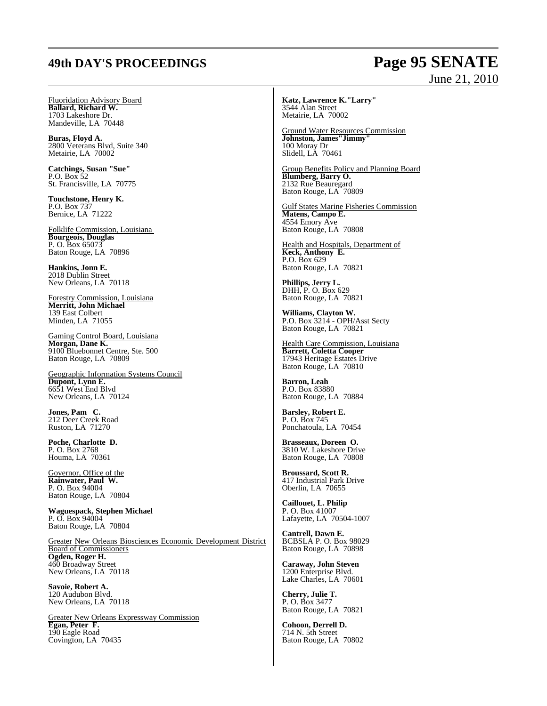# **49th DAY'S PROCEEDINGS Page 95 SENATE**

# June 21, 2010

Fluoridation Advisory Board **Ballard, Richard W.** 1703 Lakeshore Dr. Mandeville, LA 70448

**Buras, Floyd A.**  2800 Veterans Blvd, Suite 340 Metairie, LA 70002

**Catchings, Susan "Sue"** P.O. Box 52 St. Francisville, LA 70775

**Touchstone, Henry K.** P.O. Box 737 Bernice, LA 71222

Folklife Commission, Louisiana **Bourgeois, Douglas** P. O. Box 65073 Baton Rouge, LA 70896

**Hankins, Jonn E.** 2018 Dublin Street New Orleans, LA 70118

Forestry Commission, Louisiana **Merritt, John Michael** 139 East Colbert Minden, LA 71055

Gaming Control Board, Louisiana **Morgan, Dane K.** 9100 Bluebonnet Centre, Ste. 500 Baton Rouge, LA 70809

Geographic Information Systems Council **Dupont, Lynn E.** 6651 West End Blvd New Orleans, LA 70124

**Jones, Pam C.** 212 Deer Creek Road Ruston, LA 71270

**Poche, Charlotte D.** P. O. Box 2768 Houma, LA 70361

Governor, Office of the **Rainwater, Paul W.** P. O. Box 94004 Baton Rouge, LA 70804

**Waguespack, Stephen Michael** P. O. Box 94004 Baton Rouge, LA 70804

Greater New Orleans Biosciences Economic Development District Board of Commissioners **Ogden, Roger H.** 460 Broadway Street New Orleans, LA 70118

**Savoie, Robert A.** 120 Audubon Blvd. New Orleans, LA 70118

Greater New Orleans Expressway Commission **Egan, Peter F.** 190 Eagle Road Covington, LA 70435

**Katz, Lawrence K."Larry"** 3544 Alan Street Metairie, LA 70002

Ground Water Resources Commission **Johnston, James"Jimmy"** 100 Moray Dr Slidell, LA 70461

Group Benefits Policy and Planning Board **Blumberg, Barry O.** 2132 Rue Beauregard Baton Rouge, LA 70809

Gulf States Marine Fisheries Commission **Matens, Campo E.** 4554 Emory Ave Baton Rouge, LA 70808

Health and Hospitals, Department of **Keck, Anthony E.** P.O. Box 629 Baton Rouge, LA 70821

**Phillips, Jerry L.** DHH, P. O. Box 629 Baton Rouge, LA 70821

**Williams, Clayton W.** P.O. Box 3214 - OPH/Asst Secty Baton Rouge, LA 70821

Health Care Commission, Louisiana **Barrett, Coletta Cooper** 17943 Heritage Estates Drive Baton Rouge, LA 70810

**Barron, Leah** P.O. Box 83880 Baton Rouge, LA 70884

**Barsley, Robert E.** P. O. Box 745 Ponchatoula, LA 70454

**Brasseaux, Doreen O.** 3810 W. Lakeshore Drive Baton Rouge, LA 70808

**Broussard, Scott R.** 417 Industrial Park Drive Oberlin, LA 70655

**Caillouet, L. Philip** P. O. Box 41007 Lafayette, LA 70504-1007

**Cantrell, Dawn E.** BCBSLA P. O. Box 98029 Baton Rouge, LA 70898

**Caraway, John Steven** 1200 Enterprise Blvd. Lake Charles, LA 70601

**Cherry, Julie T.** P. O. Box 3477 Baton Rouge, LA 70821

**Cohoon, Derrell D.** 714 N. 5th Street Baton Rouge, LA 70802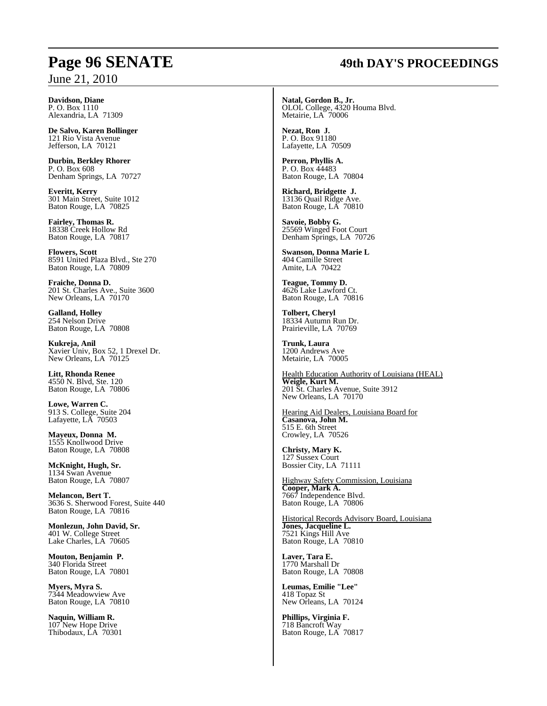# **Page 96 SENATE 49th DAY'S PROCEEDINGS**

**Davidson, Diane** P. O. Box 1110 Alexandria, LA 71309

**De Salvo, Karen Bollinger** 121 Rio Vista Avenue Jefferson, LA 70121

**Durbin, Berkley Rhorer** P. O. Box 608 Denham Springs, LA 70727

**Everitt, Kerry** 301 Main Street, Suite 1012 Baton Rouge, LA 70825

**Fairley, Thomas R.** 18338 Creek Hollow Rd Baton Rouge, LA 70817

**Flowers, Scott** 8591 United Plaza Blvd., Ste 270 Baton Rouge, LA 70809

**Fraiche, Donna D.** 201 St. Charles Ave., Suite 3600 New Orleans, LA  $70170$ 

**Galland, Holley** 254 Nelson Drive Baton Rouge, LA 70808

**Kukreja, Anil** Xavier Univ, Box 52, 1 Drexel Dr. New Orleans, LA 70125

**Litt, Rhonda Renee** 4550 N. Blvd, Ste. 120 Baton Rouge, LA 70806

**Lowe, Warren C.** 913 S. College, Suite 204 Lafayette, LA 70503

**Mayeux, Donna M.** 1555 Knollwood Drive Baton Rouge, LA 70808

**McKnight, Hugh, Sr.** 1134 Swan Avenue Baton Rouge, LA 70807

**Melancon, Bert T.** 3636 S. Sherwood Forest, Suite 440 Baton Rouge, LA 70816

**Monlezun, John David, Sr.** 401 W. College Street Lake Charles, LA 70605

**Mouton, Benjamin P.** 340 Florida Street Baton Rouge, LA 70801

**Myers, Myra S.** 7344 Meadowview Ave Baton Rouge, LA 70810

**Naquin, William R.** 107 New Hope Drive Thibodaux, LA 70301 **Natal, Gordon B., Jr.** OLOL College, 4320 Houma Blvd. Metairie, LA 70006

**Nezat, Ron J.** P. O. Box 91180 Lafayette, LA 70509

**Perron, Phyllis A.** P. O. Box 44483 Baton Rouge, LA 70804

**Richard, Bridgette J.** 13136 Quail Ridge Ave. Baton Rouge, LA 70810

**Savoie, Bobby G.** 25569 Winged Foot Court Denham Springs, LA 70726

**Swanson, Donna Marie L** 404 Camille Street Amite, LA 70422

**Teague, Tommy D.** 4626 Lake Lawford Ct. Baton Rouge, LA 70816

**Tolbert, Cheryl** 18334 Autumn Run Dr. Prairieville, LA 70769

**Trunk, Laura** 1200 Andrews Ave Metairie, LA 70005

Health Education Authority of Louisiana (HEAL) **Weigle, Kurt M.** 201 St. Charles Avenue, Suite 3912 New Orleans, LA 70170

Hearing Aid Dealers, Louisiana Board for **Casanova, John M.** 515 E. 6th Street Crowley, LA 70526

**Christy, Mary K.** 127 Sussex Court Bossier City, LA 71111

Highway Safety Commission, Louisiana **Cooper, Mark A.** 7667 Independence Blvd. Baton Rouge, LA 70806

Historical Records Advisory Board, Louisiana **Jones, Jacqueline L.** 7521 Kings Hill Ave Baton Rouge, LA 70810

**Laver, Tara E.** 1770 Marshall Dr Baton Rouge, LA 70808

**Leumas, Emilie "Lee"** 418 Topaz St New Orleans, LA 70124

**Phillips, Virginia F.** 718 Bancroft Way Baton Rouge, LA 70817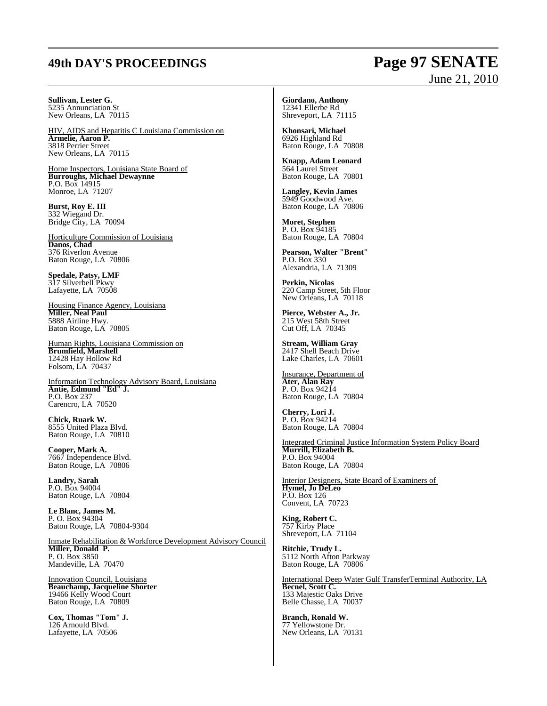## **49th DAY'S PROCEEDINGS Page 97 SENATE**

#### **Sullivan, Lester G.** 5235 Annunciation St New Orleans, LA 70115

HIV, AIDS and Hepatitis C Louisiana Commission on **Armelie, Aaron P.** 3818 Perrier Street New Orleans, LA 70115

Home Inspectors, Louisiana State Board of **Burroughs, Michael Dewaynne** P.O. Box 14915 Monroe, LA 71207

**Burst, Roy E. III** 332 Wiegand Dr. Bridge City, LA 70094

Horticulture Commission of Louisiana **Danos, Chad** 376 Riverlon Avenue Baton Rouge, LA 70806

**Spedale, Patsy, LMF** 317 Silverbell Pkwy Lafayette, LA 70508

Housing Finance Agency, Louisiana **Miller, Neal Paul** 5888 Airline Hwy. Baton Rouge, LA 70805

Human Rights, Louisiana Commission on **Brumfield, Marshell** 12428 Hay Hollow Rd Folsom, LA 70437

Information Technology Advisory Board, Louisiana **Antie, Edmund "Ed" J.** P.O. Box 237 Carencro, LA 70520

**Chick, Ruark W.** 8555 United Plaza Blvd. Baton Rouge, LA 70810

**Cooper, Mark A.** 7667 Independence Blvd. Baton Rouge, LA 70806

**Landry, Sarah** P.O. Box 94004 Baton Rouge, LA 70804

**Le Blanc, James M.** P. O. Box 94304 Baton Rouge, LA 70804-9304

Inmate Rehabilitation & Workforce Development Advisory Council **Miller, Donald P.** P. O. Box 3850 Mandeville, LA 70470

Innovation Council, Louisiana **Beauchamp, Jacqueline Shorter** 19466 Kelly Wood Court Baton Rouge, LA 70809

**Cox, Thomas "Tom" J.** 126 Arnould Blvd. Lafayette, LA 70506

**Giordano, Anthony** 12341 Ellerbe Rd Shreveport, LA 71115

**Khonsari, Michael** 6926 Highland Rd Baton Rouge, LA 70808

**Knapp, Adam Leonard** 564 Laurel Street Baton Rouge, LA 70801

**Langley, Kevin James** 5949 Goodwood Ave. Baton Rouge, LA 70806

**Moret, Stephen** P. O. Box 94185 Baton Rouge, LA 70804

**Pearson, Walter "Brent"** P.O. Box 330 Alexandria, LA 71309

**Perkin, Nicolas** 220 Camp Street, 5th Floor New Orleans, LA 70118

**Pierce, Webster A., Jr.** 215 West 58th Street Cut Off, LA 70345

**Stream, William Gray** 2417 Shell Beach Drive Lake Charles, LA 70601

Insurance, Department of **Ater, Alan Ray** P. O. Box 94214 Baton Rouge, LA 70804

**Cherry, Lori J.** P. O. Box 94214 Baton Rouge, LA 70804

Integrated Criminal Justice Information System Policy Board **Murrill, Elizabeth B.** P.O. Box 94004 Baton Rouge, LA 70804

Interior Designers, State Board of Examiners of **Hymel, Jo DeLeo** P.O. Box 126 Convent, LA 70723

**King, Robert C.** 757 Kirby Place Shreveport, LA 71104

**Ritchie, Trudy L.** 5112 North Afton Parkway Baton Rouge, LA 70806

International Deep Water Gulf TransferTerminal Authority, LA **Becnel, Scott C.** 133 Majestic Oaks Drive Belle Chasse, LA 70037

**Branch, Ronald W.** 77 Yellowstone Dr. New Orleans, LA 70131

# June 21, 2010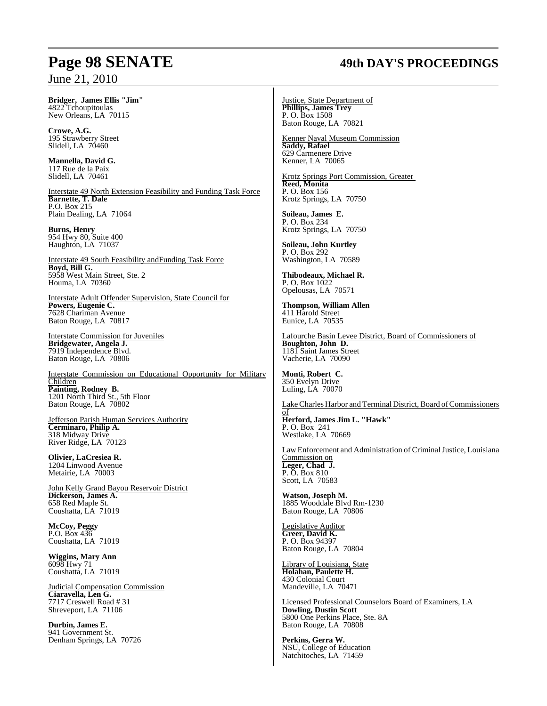#### **Bridger, James Ellis "Jim"** 4822 Tchoupitoulas New Orleans, LA 70115

**Crowe, A.G.**  195 Strawberry Street Slidell, LA 70460

**Mannella, David G.** 117 Rue de la Paix Slidell, LA 70461

Interstate 49 North Extension Feasibility and Funding Task Force **Barnette, T. Dale** P.O. Box 215 Plain Dealing, LA 71064

**Burns, Henry**  954 Hwy 80, Suite 400 Haughton, LA 71037

Interstate 49 South Feasibility andFunding Task Force **Boyd, Bill G.** 5958 West Main Street, Ste. 2 Houma, LA 70360

Interstate Adult Offender Supervision, State Council for **Powers, Eugenie C.** 7628 Chariman Avenue Baton Rouge, LA 70817

Interstate Commission for Juveniles **Bridgewater, Angela J.** 7919 Independence Blvd. Baton Rouge, LA 70806

Interstate Commission on Educational Opportunity for Military Children **Painting, Rodney B.** 1201 North Third St., 5th Floor Baton Rouge, LA 70802

Jefferson Parish Human Services Authority **Cerminaro, Philip A.** 318 Midway Drive River Ridge, LA 70123

**Olivier, LaCresiea R.** 1204 Linwood Avenue Metairie, LA 70003

John Kelly Grand Bayou Reservoir District **Dickerson, James A.** 658 Red Maple St. Coushatta, LA 71019

**McCoy, Peggy** P.O. Box 436 Coushatta, LA 71019

**Wiggins, Mary Ann** 6098 Hwy 71 Coushatta, LA 71019

Judicial Compensation Commission **Ciaravella, Len G.** 7717 Creswell Road # 31 Shreveport, LA 71106

**Durbin, James E.** 941 Government St. Denham Springs, LA 70726

## **Page 98 SENATE 49th DAY'S PROCEEDINGS**

Justice, State Department of **Phillips, James Trey** P. O. Box 1508 Baton Rouge, LA 70821

Kenner Naval Museum Commission **Saddy, Rafael** 629 Carmenere Drive Kenner, LA 70065

Krotz Springs Port Commission, Greater **Reed, Monita** P. O. Box 156 Krotz Springs, LA 70750

**Soileau, James E.** P. O. Box 234 Krotz Springs, LA 70750

**Soileau, John Kurtley** P. O. Box 292 Washington, LA 70589

**Thibodeaux, Michael R.** P. O. Box 1022 Opelousas, LA 70571

**Thompson, William Allen** 411 Harold Street Eunice, LA 70535

Lafourche Basin Levee District, Board of Commissioners of **Boughton, John D.** 1181 Saint James Street Vacherie, LA 70090

**Monti, Robert C.** 350 Evelyn Drive Luling, LA 70070

Lake Charles Harbor and Terminal District, Board of Commissioners

of **Herford, James Jim L. "Hawk"** P. O. Box 241 Westlake, LA 70669

Law Enforcement and Administration of Criminal Justice, Louisiana Commission on **Leger, Chad J.** P. O. Box 810 Scott, LA 70583

**Watson, Joseph M.** 1885 Wooddale Blvd Rm-1230 Baton Rouge, LA 70806

Legislative Auditor **Greer, David K.** P. O. Box 94397 Baton Rouge, LA 70804

Library of Louisiana, State **Holahan, Paulette H.** 430 Colonial Court Mandeville, LA 70471

Licensed Professional Counselors Board of Examiners, LA **Dowling, Dustin Scott** 5800 One Perkins Place, Ste. 8A Baton Rouge, LA 70808

**Perkins, Gerra W.** NSU, College of Education Natchitoches, LA 71459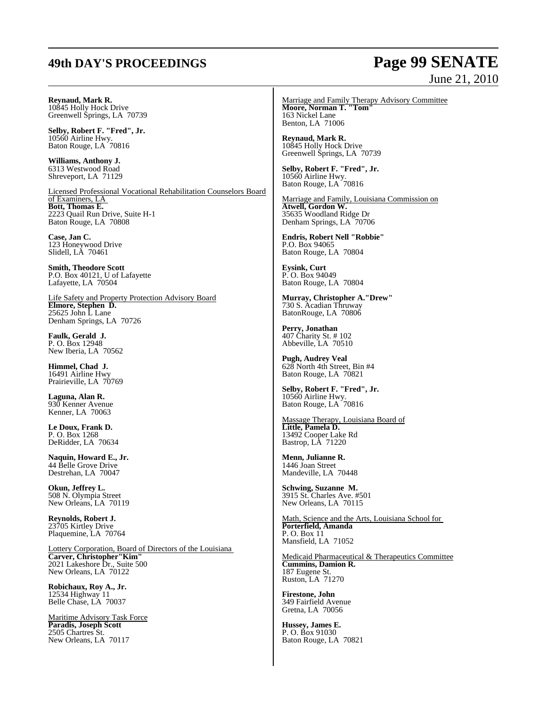# **49th DAY'S PROCEEDINGS Page 99 SENATE**

# June 21, 2010

**Reynaud, Mark R.** 10845 Holly Hock Drive Greenwell Springs, LA 70739

**Selby, Robert F. "Fred", Jr.** 10560 Airline Hwy. Baton Rouge, LA 70816

**Williams, Anthony J.** 6313 Westwood Road Shreveport, LA 71129

Licensed Professional Vocational Rehabilitation Counselors Board of Examiners, LA **Bott, Thomas E.** 2223 Quail Run Drive, Suite H-1 Baton Rouge, LA 70808

**Case, Jan C.** 123 Honeywood Drive Slidell, LA 70461

**Smith, Theodore Scott** P.O. Box 40121, U of Lafayette Lafayette, LA 70504

Life Safety and Property Protection Advisory Board **Elmore, Stephen D.**  $25625$  John L Lane Denham Springs, LA 70726

**Faulk, Gerald J.** P. O. Box 12948 New Iberia, LA 70562

**Himmel, Chad J.** 16491 Airline Hwy Prairieville, LA 70769

**Laguna, Alan R.** 930 Kenner Avenue Kenner, LA 70063

**Le Doux, Frank D.** P. O. Box 1268 DeRidder, LA 70634

**Naquin, Howard E., Jr.** 44 Belle Grove Drive Destrehan, LA 70047

**Okun, Jeffrey L.** 508 N. Olympia Street New Orleans, LA 70119

**Reynolds, Robert J.** 23705 Kirtley Drive Plaquemine, LA 70764

Lottery Corporation, Board of Directors of the Louisiana **Carver, Christopher"Kim"** 2021 Lakeshore Dr., Suite 500 New Orleans, LA 70122

**Robichaux, Roy A., Jr.** 12534 Highway 11 Belle Chase, LA 70037

Maritime Advisory Task Force **Paradis, Joseph Scott**  2505 Chartres St. New Orleans, LA 70117

Marriage and Family Therapy Advisory Committee **Moore, Norman T. "Tom"** 163 Nickel Lane Benton, LA 71006

**Reynaud, Mark R.** 10845 Holly Hock Drive Greenwell Springs, LA 70739

**Selby, Robert F. "Fred", Jr.** 10560 Airline Hwy. Baton Rouge, LA 70816

Marriage and Family, Louisiana Commission on **Atwell, Gordon W.** 35635 Woodland Ridge Dr Denham Springs, LA 70706

**Endris, Robert Nell "Robbie"** P.O. Box 94065 Baton Rouge, LA 70804

**Eysink, Curt** P. O. Box 94049 Baton Rouge, LA 70804

**Murray, Christopher A."Drew"** 730 S. Acadian Thruway BatonRouge, LA 70806

**Perry, Jonathan**  407 Charity St. # 102 Abbeville, LA 70510

**Pugh, Audrey Veal** 628 North 4th Street, Bin #4 Baton Rouge, LA 70821

**Selby, Robert F. "Fred", Jr.** 10560 Airline Hwy. Baton Rouge, LA 70816

Massage Therapy, Louisiana Board of **Little, Pamela D.** 13492 Cooper Lake Rd Bastrop, LA 71220

**Menn, Julianne R.** 1446 Joan Street Mandeville, LA 70448

**Schwing, Suzanne M.** 3915 St. Charles Ave. #501 New Orleans, LA 70115

Math, Science and the Arts, Louisiana School for **Porterfield, Amanda** P. O. Box 11 Mansfield, LA 71052

Medicaid Pharmaceutical & Therapeutics Committee **Cummins, Damion R.** 187 Eugene St. Ruston, LA 71270

**Firestone, John**  349 Fairfield Avenue Gretna, LA 70056

**Hussey, James E.**  P. O. Box 91030 Baton Rouge, LA 70821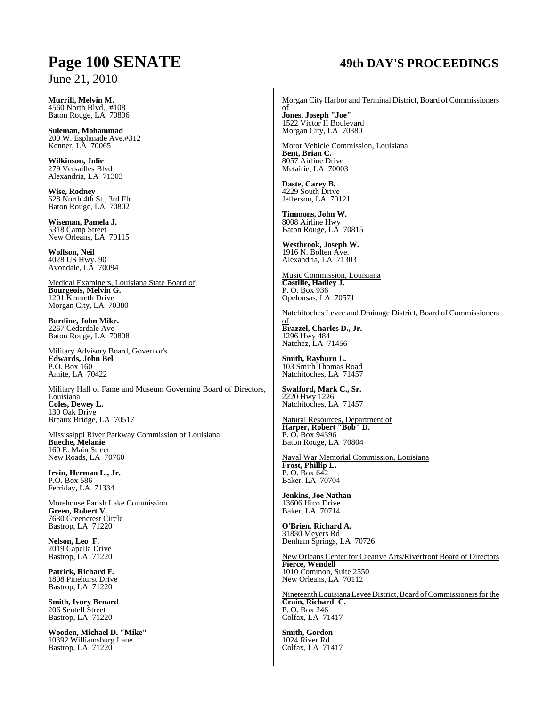# **Page 100 SENATE 49th DAY'S PROCEEDINGS**

**Murrill, Melvin M.**  4560 North Blvd., #108 Baton Rouge, LA 70806

**Suleman, Mohammad**  200 W. Esplanade Ave.#312 Kenner, LA 70065

**Wilkinson, Julie** 279 Versailles Blvd Alexandria, LA 71303

**Wise, Rodney**  628 North 4th St., 3rd Flr Baton Rouge, LA 70802

**Wiseman, Pamela J.**  5318 Camp Street New Orleans, LA 70115

**Wolfson, Neil**  4028 US Hwy. 90 Avondale, LA 70094

Medical Examiners, Louisiana State Board of **Bourgeois, Melvin G.** 1201 Kenneth Drive Morgan City, LA 70380

**Burdine, John Mike.** 2267 Cedardale Ave Baton Rouge, LA 70808

Military Advisory Board, Governor's **Edwards, John Bel**  P.O. Box 160 Amite, LA 70422

Military Hall of Fame and Museum Governing Board of Directors, Louisiana **Coles, Dewey L.** 130 Oak Drive Breaux Bridge, LA 70517

Mississippi River Parkway Commission of Louisiana **Bueche, Melanie** 160 E. Main Street New Roads, LA 70760

**Irvin, Herman L., Jr.** P.O. Box 586 Ferriday, LA 71334

Morehouse Parish Lake Commission **Green, Robert V.** 7680 Greencrest Circle Bastrop, LA 71220

**Nelson, Leo F.** 2019 Capella Drive Bastrop, LA 71220

**Patrick, Richard E.** 1808 Pinehurst Drive Bastrop, LA 71220

**Smith, Ivory Benard** 206 Sentell Street Bastrop, LA 71220

**Wooden, Michael D. "Mike"** 10392 Williamsburg Lane Bastrop, LA 71220

Morgan City Harbor and Terminal District, Board of Commissioners

of **Jones, Joseph "Joe"** 1522 Victor II Boulevard Morgan City, LA 70380

Motor Vehicle Commission, Louisiana **Bent, Brian C.** 8057 Airline Drive Metairie, LA 70003

**Daste, Carey B.** 4229 South Drive Jefferson, LA 70121

**Timmons, John W.** 8008 Airline Hwy Baton Rouge, LA 70815

**Westbrook, Joseph W.** 1916 N. Bolten Ave. Alexandria, LA 71303

Music Commission, Louisiana **Castille, Hadley J.** P. O. Box 936 Opelousas, LA 70571

Natchitoches Levee and Drainage District, Board of Commissioners

**Brazzel, Charles D., Jr.** 1296 Hwy 484 Natchez, LA 71456

of

**Smith, Rayburn L.** 103 Smith Thomas Road Natchitoches, LA 71457

**Swafford, Mark C., Sr.** 2220 Hwy 1226 Natchitoches, LA 71457

Natural Resources, Department of **Harper, Robert "Bob" D.** P. O. Box 94396 Baton Rouge, LA 70804

Naval War Memorial Commission, Louisiana **Frost, Phillip L.** P. O. Box 642 Baker, LA 70704

**Jenkins, Joe Nathan** 13606 Hico Drive Baker, LA 70714

**O'Brien, Richard A.** 31830 Meyers Rd Denham Springs, LA 70726

New Orleans Center for Creative Arts/Riverfront Board of Directors **Pierce, Wendell** 1010 Common, Suite 2550 New Orleans, LA 70112

Nineteenth Louisiana Levee District, Board of Commissioners for the **Crain, Richard C.** P. O. Box 246 Colfax, LA 71417

**Smith, Gordon** 1024 River Rd Colfax, LA 71417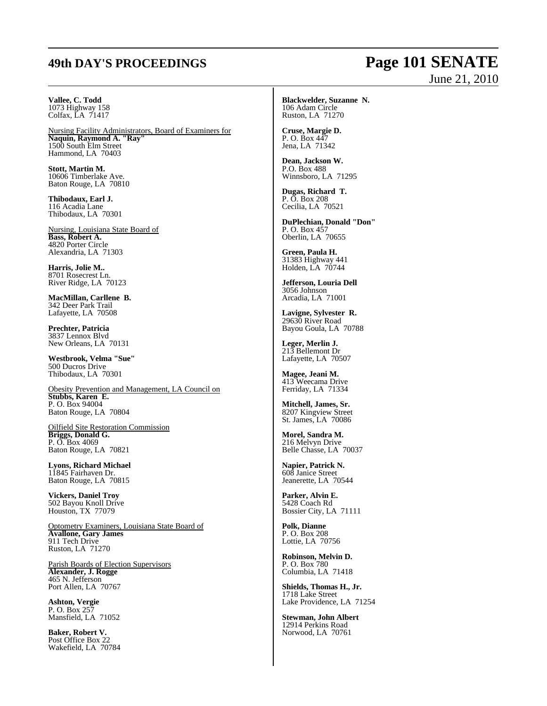## **49th DAY'S PROCEEDINGS Page 101 SENATE**

# June 21, 2010

#### **Vallee, C. Todd** 1073 Highway 158 Colfax, LA 71417

Nursing Facility Administrators, Board of Examiners for **Naquin, Raymond A. "Ray"** 1500 South Elm Street Hammond, LA 70403

**Stott, Martin M.** 10606 Timberlake Ave. Baton Rouge, LA 70810

**Thibodaux, Earl J.** 116 Acadia Lane Thibodaux, LA 70301

Nursing, Louisiana State Board of **Bass, Robert A.** 4820 Porter Circle Alexandria, LA 71303

**Harris, Jolie M..** 8701 Rosecrest Ln. River Ridge, LA 70123

**MacMillan, Carllene B.** 342 Deer Park Trail Lafayette, LA 70508

**Prechter, Patricia** 3837 Lennox Blvd New Orleans, LA 70131

**Westbrook, Velma "Sue"** 500 Ducros Drive Thibodaux, LA 70301

Obesity Prevention and Management, LA Council on **Stubbs, Karen E.** P. O. Box 94004 Baton Rouge, LA 70804

Oilfield Site Restoration Commission **Briggs, Donald G.** P. O. Box 4069 Baton Rouge, LA 70821

**Lyons, Richard Michael** 11845 Fairhaven Dr. Baton Rouge, LA 70815

**Vickers, Daniel Troy** 502 Bayou Knoll Drive Houston, TX 77079

Optometry Examiners, Louisiana State Board of **Avallone, Gary James** 911 Tech Drive Ruston, LA 71270

Parish Boards of Election Supervisors **Alexander, J. Rogge** 465 N. Jefferson Port Allen, LA 70767

**Ashton, Vergie** P. O. Box 257 Mansfield, LA 71052

**Baker, Robert V.** Post Office Box 22 Wakefield, LA 70784 **Blackwelder, Suzanne N.** 106 Adam Circle Ruston, LA 71270

**Cruse, Margie D.** P. O. Box 447 Jena, LA 71342

**Dean, Jackson W.** P.O. Box 488 Winnsboro, LA 71295

**Dugas, Richard T.** P. O. Box 208 Cecilia, LA 70521

**DuPlechian, Donald "Don"** P. O. Box 457 Oberlin, LA 70655

**Green, Paula H.** 31383 Highway 441 Holden, LA 70744

**Jefferson, Louria Dell** 3056 Johnson Arcadia, LA 71001

**Lavigne, Sylvester R.** 29630 River Road Bayou Goula, LA 70788

**Leger, Merlin J.** 213 Bellemont Dr Lafayette, LA 70507

**Magee, Jeani M.** 413 Weecama Drive Ferriday, LA 71334

**Mitchell, James, Sr.** 8207 Kingview Street St. James, LA 70086

**Morel, Sandra M.** 216 Melvyn Drive Belle Chasse, LA 70037

**Napier, Patrick N.** 608 Janice Street Jeanerette, LA 70544

**Parker, Alvin E.** 5428 Coach Rd Bossier City, LA 71111

**Polk, Dianne** P. O. Box 208 Lottie, LA 70756

**Robinson, Melvin D.** P. O. Box 780 Columbia, LA 71418

**Shields, Thomas H., Jr.** 1718 Lake Street Lake Providence, LA 71254

**Stewman, John Albert** 12914 Perkins Road Norwood, LA 70761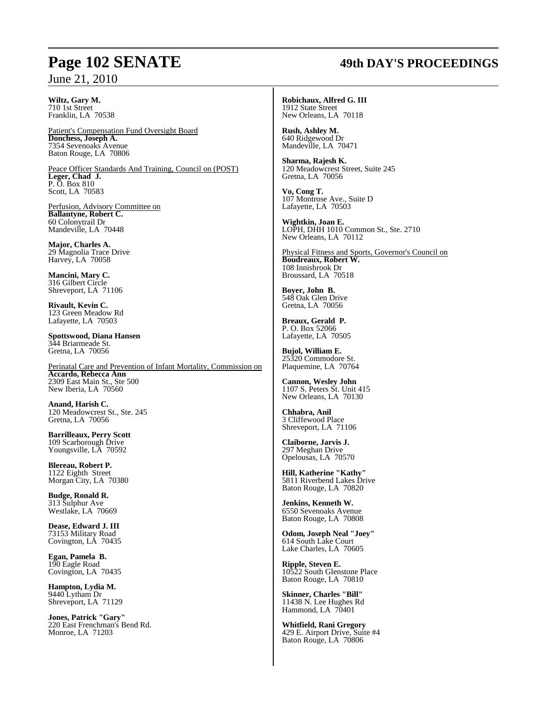#### **Wiltz, Gary M.** 710 1st Street Franklin, LA 70538

Patient's Compensation Fund Oversight Board **Donchess, Joseph A.** 7354 Sevenoaks Avenue Baton Rouge, LA 70806

Peace Officer Standards And Training, Council on (POST) **Leger, Chad J.** P. O. Box 810 Scott, LA 70583

Perfusion, Advisory Committee on **Ballantyne, Robert C.** 60 Colonytrail Dr Mandeville, LA 70448

**Major, Charles A.** 29 Magnolia Trace Drive Harvey, LA 70058

**Mancini, Mary C.** 316 Gilbert Circle Shreveport, LA 71106

**Rivault, Kevin C.** 123 Green Meadow Rd Lafayette, LA 70503

**Spottswood, Diana Hansen** 344 Briarmeade St. Gretna, LA 70056

Perinatal Care and Prevention of Infant Mortality, Commission on **Accardo, Rebecca Ann** 2309 East Main St., Ste 500 New Iberia, LA 70560

**Anand, Harish C.** 120 Meadowcrest St., Ste. 245 Gretna, LA 70056

**Barrilleaux, Perry Scott** 109 Scarborough Drive Youngsville, LA 70592

**Blereau, Robert P.** 1122 Eighth Street Morgan City, LA 70380

**Budge, Ronald R.** 313 Sulphur Ave Westlake, LA 70669

**Dease, Edward J. III** 73153 Military Road Covington, LA 70435

**Egan, Pamela B.** 190 Eagle Road Covington, LA 70435

**Hampton, Lydia M.** 9440 Lytham Dr Shreveport, LA 71129

**Jones, Patrick "Gary"** 220 East Frenchman's Bend Rd. Monroe, LA 71203

## **Page 102 SENATE 49th DAY'S PROCEEDINGS**

**Robichaux, Alfred G. III** 1912 State Street New Orleans, LA 70118

**Rush, Ashley M.** 640 Ridgewood Dr Mandeville, LA 70471

**Sharma, Rajesh K.** 120 Meadowcrest Street, Suite 245 Gretna, LA 70056

**Vo, Cong T.** 107 Montrose Ave., Suite D Lafayette, LA 70503

**Wightkin, Joan E.** LOPH, DHH 1010 Common St., Ste. 2710 New Orleans, LA 70112

Physical Fitness and Sports, Governor's Council on **Boudreaux, Robert W.** 108 Innisbrook Dr Broussard, LA 70518

**Boyer, John B.** 548 Oak Glen Drive Gretna, LA 70056

**Breaux, Gerald P.** P. O. Box 52066 Lafayette, LA 70505

**Bujol, William E.** 25320 Commodore St. Plaquemine, LA 70764

**Cannon, Wesley John** 1107 S. Peters St. Unit 415 New Orleans, LA 70130

**Chhabra, Anil** 3 Cliffewood Place Shreveport, LA 71106

**Claiborne, Jarvis J.** 297 Meghan Drive Opelousas, LA 70570

**Hill, Katherine "Kathy"** 5811 Riverbend Lakes Drive Baton Rouge, LA 70820

**Jenkins, Kenneth W.** 6550 Sevenoaks Avenue Baton Rouge, LA 70808

**Odom, Joseph Neal "Joey"** 614 South Lake Court Lake Charles, LA 70605

**Ripple, Steven E.** 10522 South Glenstone Place Baton Rouge, LA 70810

**Skinner, Charles "Bill"** 11438 N. Lee Hughes Rd Hammond, LA 70401

**Whitfield, Rani Gregory** 429 E. Airport Drive, Suite #4 Baton Rouge, LA 70806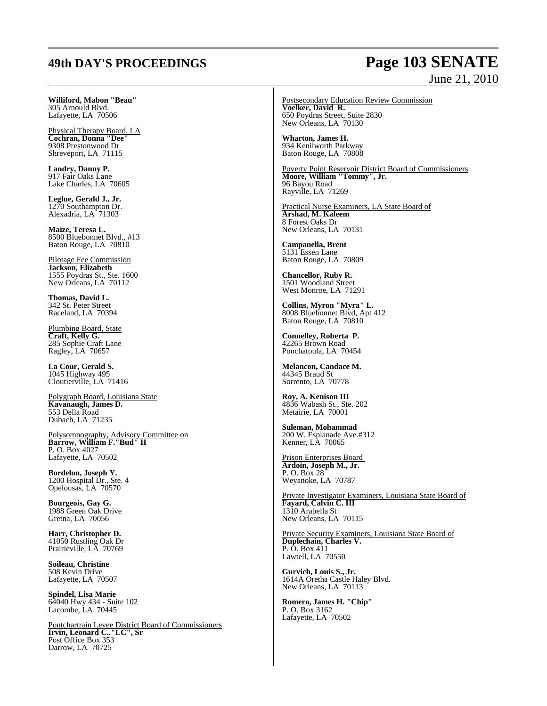## **49th DAY'S PROCEEDINGS Page 103 SENATE** June 21, 2010

**Williford, Mabon "Beau"** 305 Arnould Blvd. Lafayette, LA 70506

Physical Therapy Board, LA **Cochran, Donna "Dee"** 9308 Prestonwood Dr Shreveport, LA 71115

**Landry, Danny P.** 917 Fair Oaks Lane Lake Charles, LA 70605

**Leglue, Gerald J., Jr.** 1270 Southampton Dr. Alexadria, LA<sup>-71303</sup>

**Maize, Teresa L.** 8500 Bluebonnet Blvd., #13 Baton Rouge, LA 70810

Pilotage Fee Commission **Jackson, Elizabeth** 1555 Poydras St., Ste. 1600 New Orleans, LA 70112

**Thomas, David L.** 342 St. Peter Street Raceland, LA 70394

Plumbing Board, State **Craft, Kelly G.** 285 Sophie Craft Lane Ragley, LA 70657

**La Cour, Gerald S.** 1045 Highway 495 Cloutierville, LA 71416

Polygraph Board, Louisiana State **Kavanaugh, James D.** 553 Della Road Dubach, LA 71235

Polysomnography, Advisory Committee on **Barrow, William F."Bud" II** P. O. Box 4027 Lafayette, LA 70502

**Bordelon, Joseph Y.** 1200 Hospital Dr., Ste. 4 Opelousas, LA 70570

**Bourgeois, Gay G.** 1988 Green Oak Drive Gretna, LA 70056

**Harr, Christopher D.** 41050 Rustling Oak Dr Prairieville, LA 70769

**Soileau, Christine** 508 Kevin Drive Lafayette, LA 70507

**Spindel, Lisa Marie** 64040 Hwy 434 - Suite 102 Lacombe, LA 70445

Pontchartrain Levee District Board of Commissioners **Irvin, Leonard C.."LC", Sr** Post Office Box 353 Darrow, LA 70725

Postsecondary Education Review Commission **Voelker, David R.** 650 Poydras Street, Suite 2830 New Orleans, LA 70130

**Wharton, James H.** 934 Kenilworth Parkway Baton Rouge, LA 70808

Poverty Point Reservoir District Board of Commissioners **Moore, William "Tommy", Jr.** 96 Bayou Road Rayville, LA 71269

Practical Nurse Examiners, LA State Board of **Arshad, M. Kaleem** 8 Forest Oaks Dr New Orleans, LA 70131

**Campanella, Brent** 5131 Essen Lane Baton Rouge, LA 70809

**Chancellor, Ruby R.** 1501 Woodland Street West Monroe, LA 71291

**Collins, Myron "Myra" L.** 8008 Bluebonnet Blvd, Apt 412 Baton Rouge, LA 70810

**Connelley, Roberta P.** 42265 Brown Road Ponchatoula, LA 70454

**Melancon, Candace M.** 44345 Braud St Sorrento, LA 70778

**Roy, A. Kenison III** 4836 Wabash St., Ste. 202 Metairie, LA 70001

**Suleman, Mohammad** 200 W. Esplanade Ave.#312 Kenner, LA 70065

Prison Enterprises Board **Ardoin, Joseph M., Jr.** P. O. Box 28 Weyanoke, LA 70787

Private Investigator Examiners, Louisiana State Board of **Fayard, Calvin C. III** 1310 Arabella St New Orleans, LA 70115

Private Security Examiners, Louisiana State Board of **Duplechain, Charles V.** P. O. Box 411 Lawtell, LA 70550

**Gurvich, Louis S., Jr.** 1614A Oretha Castle Haley Blvd. New Orleans, LA 70113

**Romero, James H. "Chip"** P. O. Box 3162 Lafayette, LA 70502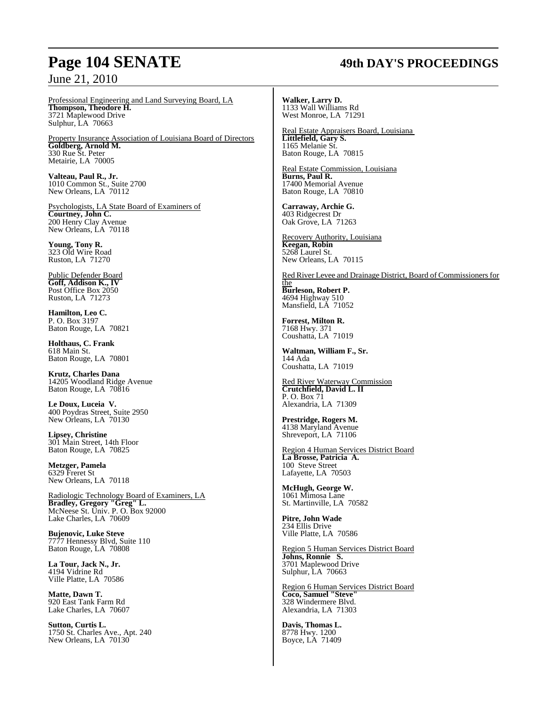## **Page 104 SENATE 49th DAY'S PROCEEDINGS**

Professional Engineering and Land Surveying Board, LA **Thompson, Theodore H.** 3721 Maplewood Drive Sulphur, LA 70663

Property Insurance Association of Louisiana Board of Directors **Goldberg, Arnold M.** 330 Rue St. Peter Metairie, LA 70005

**Valteau, Paul R., Jr.** 1010 Common St., Suite 2700 New Orleans, LA 70112

Psychologists, LA State Board of Examiners of **Courtney, John C.** 200 Henry Clay Avenue New Orleans, LA 70118

**Young, Tony R.** 323 Old Wire Road Ruston, LA 71270

Public Defender Board **Goff, Addison K., IV** Post Office Box 2050 Ruston, LA 71273

**Hamilton, Leo C.** P. O. Box 3197 Baton Rouge, LA 70821

**Holthaus, C. Frank** 618 Main St. Baton Rouge, LA 70801

**Krutz, Charles Dana**  14205 Woodland Ridge Avenue Baton Rouge, LA 70816

**Le Doux, Luceia V.** 400 Poydras Street, Suite 2950 New Orleans, LA 70130

**Lipsey, Christine** 301 Main Street, 14th Floor Baton Rouge, LA 70825

**Metzger, Pamela** 6329 Freret St New Orleans, LA 70118

Radiologic Technology Board of Examiners, LA **Bradley, Gregory "Greg" L.** McNeese St. Univ. P. O. Box 92000 Lake Charles, LA 70609

**Bujenovic, Luke Steve** 7777 Hennessy Blvd, Suite 110 Baton Rouge, LA 70808

**La Tour, Jack N., Jr.** 4194 Vidrine Rd Ville Platte, LA 70586

**Matte, Dawn T.** 920 East Tank Farm Rd Lake Charles, LA 70607

**Sutton, Curtis L.** 1750 St. Charles Ave., Apt. 240 New Orleans, LA 70130

**Walker, Larry D.** 1133 Wall Williams Rd West Monroe, LA 71291

Real Estate Appraisers Board, Louisiana **Littlefield, Gary S.** 1165 Melanie St. Baton Rouge, LA 70815

Real Estate Commission, Louisiana **Burns, Paul R.** 17400 Memorial Avenue Baton Rouge, LA 70810

**Carraway, Archie G.** 403 Ridgecrest Dr Oak Grove, LA 71263

Recovery Authority, Louisiana **Keegan, Robin** 5268 Laurel St. New Orleans, LA 70115

Red River Levee and Drainage District, Board of Commissioners for the

**Burleson, Robert P.** 4694 Highway 510 Mansfield, LA 71052

**Forrest, Milton R.** 7168 Hwy. 371 Coushatta, LA 71019

**Waltman, William F., Sr.** 144 Ada Coushatta, LA 71019

Red River Waterway Commission **Crutchfield, David L. II** P. O. Box 71 Alexandria, LA 71309

**Prestridge, Rogers M.** 4138 Maryland Avenue Shreveport, LA 71106

Region 4 Human Services District Board **La Brosse, Patricia A.** 100 Steve Street Lafayette, LA 70503

**McHugh, George W.** 1061 Mimosa Lane St. Martinville, LA 70582

**Pitre, John Wade** 234 Ellis Drive Ville Platte, LA 70586

Region 5 Human Services District Board **Johns, Ronnie S.** 3701 Maplewood Drive Sulphur, LA 70663

Region 6 Human Services District Board **Coco, Samuel "Steve"** 328 Windermere Blvd. Alexandria, LA 71303

**Davis, Thomas L.** 8778 Hwy. 1200 Boyce, LA 71409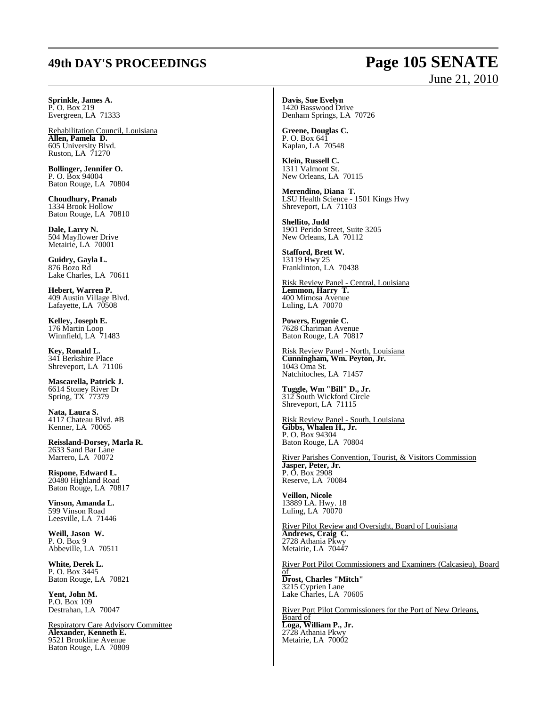## **49th DAY'S PROCEEDINGS Page 105 SENATE** June 21, 2010

**Sprinkle, James A.** P. O. Box 219 Evergreen, LA 71333

Rehabilitation Council, Louisiana **Allen, Pamela D.** 605 University Blvd. Ruston, LA 71270

**Bollinger, Jennifer O.** P. O. Box 94004 Baton Rouge, LA 70804

**Choudhury, Pranab** 1334 Brook Hollow Baton Rouge, LA 70810

**Dale, Larry N.** 504 Mayflower Drive Metairie, LA 70001

**Guidry, Gayla L.** 876 Bozo Rd Lake Charles, LA 70611

**Hebert, Warren P.** 409 Austin Village Blvd. Lafayette, LA 70508

**Kelley, Joseph E.** 176 Martin Loop Winnfield, LA 71483

**Key, Ronald L.** 341 Berkshire Place Shreveport, LA 71106

**Mascarella, Patrick J.** 6614 Stoney River Dr Spring, TX 77379

**Nata, Laura S.** 4117 Chateau Blvd. #B Kenner, LA 70065

**Reissland-Dorsey, Marla R.** 2633 Sand Bar Lane Marrero, LA 70072

**Rispone, Edward L.** 20480 Highland Road Baton Rouge, LA 70817

**Vinson, Amanda L.** 599 Vinson Road Leesville, LA 71446

**Weill, Jason W.** P. O. Box 9 Abbeville, LA 70511

**White, Derek L.** P. O. Box 3445 Baton Rouge, LA 70821

**Yent, John M.** P.O. Box 109 Destrahan, LA 70047

Respiratory Care Advisory Committee **Alexander, Kenneth E.** 9521 Brookline Avenue Baton Rouge, LA 70809

**Davis, Sue Evelyn** 1420 Basswood Drive Denham Springs, LA 70726

**Greene, Douglas C.** P. O. Box 641 Kaplan, LA 70548

**Klein, Russell C.** 1311 Valmont St. New Orleans, LA 70115

**Merendino, Diana T.** LSU Health Science - 1501 Kings Hwy Shreveport, LA 71103

**Shellito, Judd** 1901 Perido Street, Suite 3205 New Orleans, LA 70112

**Stafford, Brett W.** 13119 Hwy 25 Franklinton, LA 70438

Risk Review Panel - Central, Louisiana **Lemmon, Harry T.** 400 Mimosa Avenue Luling, LA 70070

**Powers, Eugenie C.** 7628 Chariman Avenue Baton Rouge, LA 70817

Risk Review Panel - North, Louisiana **Cunningham, Wm. Peyton, Jr.** 1043 Oma St. Natchitoches, LA 71457

**Tuggle, Wm "Bill" D., Jr.** 312 South Wickford Circle Shreveport, LA 71115

Risk Review Panel - South, Louisiana **Gibbs, Whalen H., Jr.** P. O. Box 94304 Baton Rouge, LA 70804

River Parishes Convention, Tourist, & Visitors Commission **Jasper, Peter, Jr.** P. O. Box 2908 Reserve, LA 70084

**Veillon, Nicole** 13889 LA. Hwy. 18 Luling, LA 70070

River Pilot Review and Oversight, Board of Louisiana **Andrews, Craig C.** 2728 Athania Pkwy Metairie, LA 70447

River Port Pilot Commissioners and Examiners (Calcasieu), Board of

**Drost, Charles "Mitch"** 3215 Cyprien Lane Lake Charles, LA 70605

River Port Pilot Commissioners for the Port of New Orleans, Board of **Loga, William P., Jr.** 2728 Athania Pkwy Metairie, LA 70002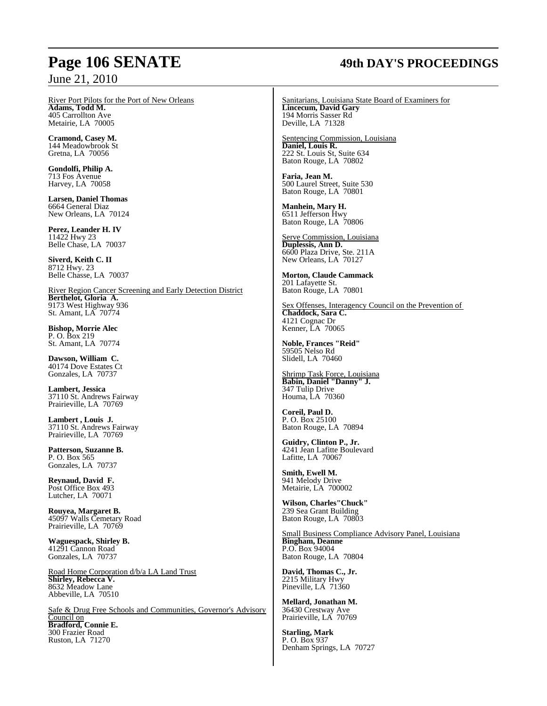River Port Pilots for the Port of New Orleans **Adams, Todd M.** 405 Carrollton Ave Metairie, LA 70005

**Cramond, Casey M.** 144 Meadowbrook St Gretna, LA 70056

**Gondolfi, Philip A.** 713 Fos Avenue Harvey, LA 70058

**Larsen, Daniel Thomas** 6664 General Diaz New Orleans, LA 70124

**Perez, Leander H. IV** 11422 Hwy 23 Belle Chase, LA 70037

**Siverd, Keith C. II** 8712 Hwy. 23 Belle Chasse, LA 70037

River Region Cancer Screening and Early Detection District **Berthelot, Gloria A.** 9173 West Highway 936 St. Amant, LA 70774

**Bishop, Morrie Alec** P. O. Box 219 St. Amant, LA 70774

**Dawson, William C.** 40174 Dove Estates Ct Gonzales, LA 70737

**Lambert, Jessica** 37110 St. Andrews Fairway Prairieville, LA 70769

**Lambert , Louis J.** 37110 St. Andrews Fairway Prairieville, LA 70769

**Patterson, Suzanne B.** P. O. Box 565 Gonzales, LA 70737

**Reynaud, David F.** Post Office Box 493 Lutcher, LA 70071

**Rouyea, Margaret B.** 45097 Walls Cemetary Road Prairieville, LA 70769

**Waguespack, Shirley B.** 41291 Cannon Road Gonzales, LA 70737

Road Home Corporation d/b/a LA Land Trust **Shirley, Rebecca V.** 8632 Meadow Lane Abbeville, LA 70510

Safe & Drug Free Schools and Communities, Governor's Advisory Council on **Bradford, Connie E.** 300 Frazier Road Ruston, LA 71270

## **Page 106 SENATE 49th DAY'S PROCEEDINGS**

Sanitarians, Louisiana State Board of Examiners for **Lincecum, David Gary** 194 Morris Sasser Rd Deville, LA 71328

Sentencing Commission, Louisiana **Daniel, Louis R.** 222 St. Louis St, Suite 634 Baton Rouge, LA 70802

**Faria, Jean M.** 500 Laurel Street, Suite 530 Baton Rouge, LA 70801

**Manhein, Mary H.** 6511 Jefferson Hwy Baton Rouge, LA 70806

Serve Commission, Louisiana **Duplessis, Ann D.**  6600 Plaza Drive, Ste. 211A New Orleans, LA 70127

**Morton, Claude Cammack** 201 Lafayette St. Baton Rouge, LA 70801

Sex Offenses, Interagency Council on the Prevention of **Chaddock, Sara C.** 4121 Cognac Dr Kenner, LA 70065

**Noble, Frances "Reid"** 59505 Nelso Rd Slidell, LA 70460

Shrimp Task Force, Louisiana **Babin, Daniel "Danny" J.** 347 Tulip Drive Houma, LA 70360

**Coreil, Paul D.** P. O. Box 25100 Baton Rouge, LA 70894

**Guidry, Clinton P., Jr.** 4241 Jean Lafitte Boulevard Lafitte, LA 70067

**Smith, Ewell M.** 941 Melody Drive Metairie, LA 700002

**Wilson, Charles"Chuck"** 239 Sea Grant Building Baton Rouge, LA 70803

Small Business Compliance Advisory Panel, Louisiana **Bingham, Deanne** P.O. Box 94004 Baton Rouge, LA 70804

**David, Thomas C., Jr.** 2215 Military Hwy Pineville, LA 71360

**Mellard, Jonathan M.** 36430 Crestway Ave Prairieville, LA 70769

**Starling, Mark** P. O. Box 937 Denham Springs, LA 70727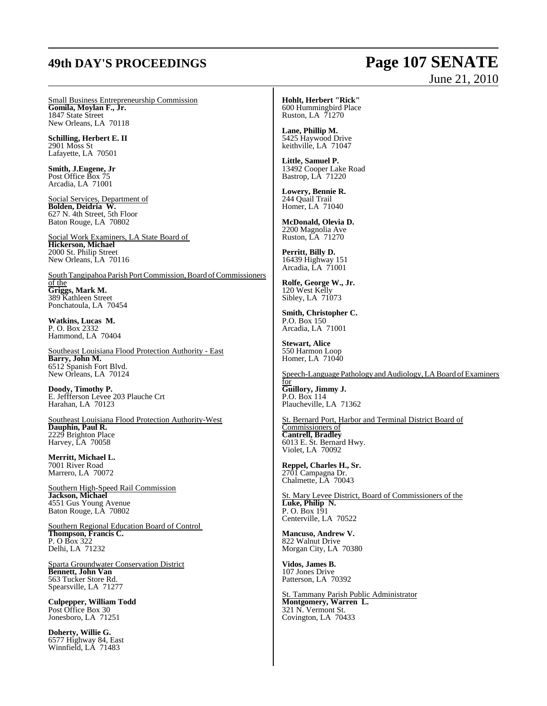## **49th DAY'S PROCEEDINGS Page 107 SENATE**

# June 21, 2010

Small Business Entrepreneurship Commission **Gomila, Moylan F., Jr.** 1847 State Street New Orleans, LA 70118

**Schilling, Herbert E. II** 2901 Moss St Lafayette, LA 70501

**Smith, J.Eugene, Jr**  Post Office Box 75 Arcadia, LA 71001

Social Services, Department of **Bolden, Deidria W.** 627 N. 4th Street, 5th Floor Baton Rouge, LA 70802

Social Work Examiners, LA State Board of **Hickerson, Michael** 2000 St. Philip Street New Orleans, LA 70116

South Tangipahoa Parish Port Commission, Board of Commissioners of the **Griggs, Mark M.** 389 Kathleen Street Ponchatoula, LA 70454

**Watkins, Lucas M.** P. O. Box 2332 Hammond, LA 70404

Southeast Louisiana Flood Protection Authority - East **Barry, John M.** 6512 Spanish Fort Blvd. New Orleans, LA 70124

**Doody, Timothy P.** E. Jeffferson Levee 203 Plauche Crt Harahan, LA 70123

Southeast Louisiana Flood Protection Authority-West **Dauphin, Paul R.** 2229 Brighton Place Harvey, LA 70058

**Merritt, Michael L.** 7001 River Road Marrero, LA 70072

Southern High-Speed Rail Commission **Jackson, Michael**  4551 Gus Young Avenue Baton Rouge, LA 70802

Southern Regional Education Board of Control **Thompson, Francis C.**  P. O Box 322 Delhi, LA 71232

Sparta Groundwater Conservation District **Bennett, John Van** 563 Tucker Store Rd. Spearsville, LA 71277

**Culpepper, William Todd** Post Office Box 30 Jonesboro, LA 71251

**Doherty, Willie G.** 6577 Highway 84, East Winnfield, LA 71483

**Hohlt, Herbert "Rick"** 600 Hummingbird Place Ruston, LA 71270

**Lane, Phillip M.** 5425 Haywood Drive keithville, LA 71047

**Little, Samuel P.**  13492 Cooper Lake Road Bastrop, LA 71220

**Lowery, Bennie R.** 244 Quail Trail Homer, LA 71040

**McDonald, Olevia D.** 2200 Magnolia Ave Ruston, LA 71270

**Perritt, Billy D.** 16439 Highway 151 Arcadia, LA 71001

**Rolfe, George W., Jr.** 120 West Kelly Sibley, LA 71073

**Smith, Christopher C.** P.O. Box 150 Arcadia, LA 71001

**Stewart, Alice** 550 Harmon Loop Homer, LA 71040

Speech-Language Pathology and Audiology, LA Board of Examiners for **Guillory, Jimmy J.** P.O. Box 114 Plaucheville, LA 71362

St. Bernard Port, Harbor and Terminal District Board of Commissioners of **Cantrell, Bradley** 6013 E. St. Bernard Hwy. Violet, LA 70092

**Reppel, Charles H., Sr.** 2701 Campagna Dr. Chalmette, LA 70043

St. Mary Levee District, Board of Commissioners of the **Luke, Philip N.** P. O. Box 191 Centerville, LA 70522

**Mancuso, Andrew V.** 822 Walnut Drive Morgan City, LA 70380

**Vidos, James B.** 107 Jones Drive Patterson, LA 70392

St. Tammany Parish Public Administrator **Montgomery, Warren L.** 321 N. Vermont St. Covington, LA 70433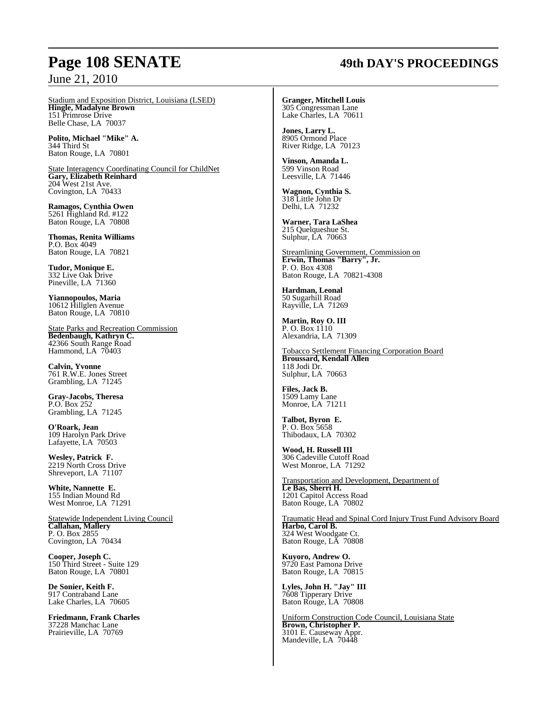## **Page 108 SENATE 49th DAY'S PROCEEDINGS**

Stadium and Exposition District, Louisiana (LSED) **Hingle, Madalyne Brown** 151 Primrose Drive Belle Chase, LA 70037

**Polito, Michael "Mike" A.** 344 Third St Baton Rouge, LA 70801

State Interagency Coordinating Council for ChildNet **Gary, Elizabeth Reinhard** 204 West 21st Ave. Covington, LA 70433

**Ramagos, Cynthia Owen** 5261 Highland Rd. #122 Baton Rouge, LA 70808

**Thomas, Renita Williams** P.O. Box 4049 Baton Rouge, LA 70821

**Tudor, Monique E.** 332 Live Oak Drive Pineville, LA 71360

**Yiannopoulos, Maria** 10612 Hillglen Avenue Baton Rouge, LA 70810

State Parks and Recreation Commission **Bedenbaugh, Kathryn C.** 42366 South Range Road Hammond, LA 70403

**Calvin, Yvonne** 761 R.W.E. Jones Street Grambling, LA 71245

**Gray-Jacobs, Theresa** P.O. Box 252 Grambling, LA 71245

**O'Roark, Jean** 109 Harolyn Park Drive Lafayette, LA 70503

**Wesley, Patrick F.** 2219 North Cross Drive Shreveport, LA 71107

**White, Nannette E.** 155 Indian Mound Rd West Monroe, LA 71291

Statewide Independent Living Council **Callahan, Mallery** P. O. Box 2855 Covington, LA 70434

**Cooper, Joseph C.** 150 Third Street - Suite 129 Baton Rouge, LA 70801

**De Sonier, Keith F.** 917 Contraband Lane Lake Charles, LA 70605

**Friedmann, Frank Charles** 37228 Manchac Lane Prairieville, LA 70769

**Granger, Mitchell Louis** 305 Congressman Lane Lake Charles, LA 70611

**Jones, Larry L.** 8905 Ormond Place River Ridge, LA 70123

**Vinson, Amanda L.** 599 Vinson Road Leesville, LA 71446

**Wagnon, Cynthia S.** 318 Little John Dr Delhi, LA 71232

**Warner, Tara LaShea** 215 Quelqueshue St. Sulphur, LA 70663

Streamlining Government, Commission on **Erwin, Thomas "Barry", Jr.** P. O. Box 4308 Baton Rouge, LA 70821-4308

**Hardman, Leonal** 50 Sugarhill Road Rayville, LA 71269

**Martin, Roy O. III** P. O. Box 1110 Alexandria, LA 71309

Tobacco Settlement Financing Corporation Board **Broussard, Kendall Allen** 118 Jodi Dr. Sulphur, LA 70663

**Files, Jack B.** 1509 Lamy Lane Monroe, LA 71211

**Talbot, Byron E.** P. O. Box 5658 Thibodaux, LA 70302

**Wood, H. Russell III** 306 Cadeville Cutoff Road West Monroe, LA 71292

Transportation and Development, Department of **Le Bas, Sherri H.** 1201 Capitol Access Road Baton Rouge, LA 70802

Traumatic Head and Spinal Cord Injury Trust Fund Advisory Board **Harbo, Carol B.** 324 West Woodgate Ct. Baton Rouge, LA 70808

**Kuyoro, Andrew O.** 9720 East Pamona Drive Baton Rouge, LA 70815

**Lyles, John H. "Jay" III** 7608 Tipperary Drive Baton Rouge, LA 70808

Uniform Construction Code Council, Louisiana State **Brown, Christopher P.** 3101 E. Causeway Appr. Mandeville, LA 70448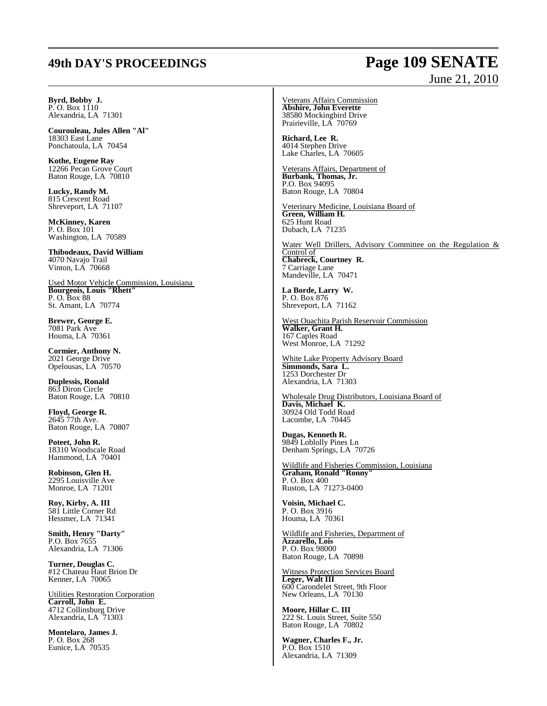### **49th DAY'S PROCEEDINGS Page 109 SENATE** June 21, 2010

**Byrd, Bobby J.**  $P. O. Box 1110$ Alexandria, LA 71301

**Courouleau, Jules Allen "Al"** 18303 East Lane Ponchatoula, LA 70454

**Kothe, Eugene Ray** 12266 Pecan Grove Court Baton Rouge, LA 70810

**Lucky, Randy M.** 815 Crescent Road Shreveport, LA 71107

**McKinney, Karen** P. O. Box 101 Washington, LA 70589

**Thibodeaux, David William** 4070 Navajo Trail Vinton, LA 70668

Used Motor Vehicle Commission, Louisiana **Bourgeois, Louis "Rhett"** P. O. Box 88 St. Amant, LA 70774

**Brewer, George E.** 7081 Park Ave Houma, LA 70361

**Cormier, Anthony N.** 2021 George Drive Opelousas, LA 70570

**Duplessis, Ronald** 863 Diron Circle Baton Rouge, LA 70810

**Floyd, George R.** 2645 77th Ave. Baton Rouge, LA 70807

**Poteet, John R.** 18310 Woodscale Road Hammond, LA 70401

**Robinson, Glen H.** 2295 Louisville Ave Monroe, LA 71201

**Roy, Kirby, A. III** 581 Little Corner Rd Hessmer, LA 71341

**Smith, Henry "Darty"** P.O. Box 7655 Alexandria, LA 71306

**Turner, Douglas C.** #12 Chateau Haut Brion Dr Kenner, LA 70065

Utilities Restoration Corporation **Carroll, John E.** 4712 Collinsburg Drive Alexandria, LA 71303

**Montelaro, James J.** P. O. Box 268 Eunice, LA 70535

Veterans Affairs Commission **Abshire, John Everette** 38580 Mockingbird Drive Prairieville, LA 70769

**Richard, Lee R.** 4014 Stephen Drive Lake Charles, LA 70605

Veterans Affairs, Department of **Burbank, Thomas, Jr.** P.O. Box 94095 Baton Rouge, LA 70804

Veterinary Medicine, Louisiana Board of **Green, William H.** 625 Hunt Road Dubach, LA 71235

Water Well Drillers, Advisory Committee on the Regulation & Control of **Chabreck, Courtney R.** 7 Carriage Lane Mandeville, LA 70471

**La Borde, Larry W.** P. O. Box 876 Shreveport, LA 71162

West Ouachita Parish Reservoir Commission **Walker, Grant H.** 167 Caples Road West Monroe, LA 71292

White Lake Property Advisory Board **Simmonds, Sara L.** 1253 Dorchester Dr Alexandria, LA 71303

Wholesale Drug Distributors, Louisiana Board of **Davis, Michael K.** 30924 Old Todd Road Lacombe, LA 70445

**Dugas, Kenneth R.** 9849 Loblolly Pines Ln Denham Springs, LA 70726

Wildlife and Fisheries Commission, Louisiana **Graham, Ronald "Ronny"** P. O. Box 400 Ruston, LA 71273-0400

**Voisin, Michael C.** P. O. Box 3916 Houma, LA 70361

Wildlife and Fisheries, Department of **Azzarello, Lois** P. O. Box 98000 Baton Rouge, LA 70898

Witness Protection Services Board **Leger, Walt III** 600 Carondelet Street, 9th Floor New Orleans, LA 70130

**Moore, Hillar C. III** 222 St. Louis Street, Suite 550 Baton Rouge, LA 70802

**Wagner, Charles F., Jr.** P.O. Box 1510 Alexandria, LA 71309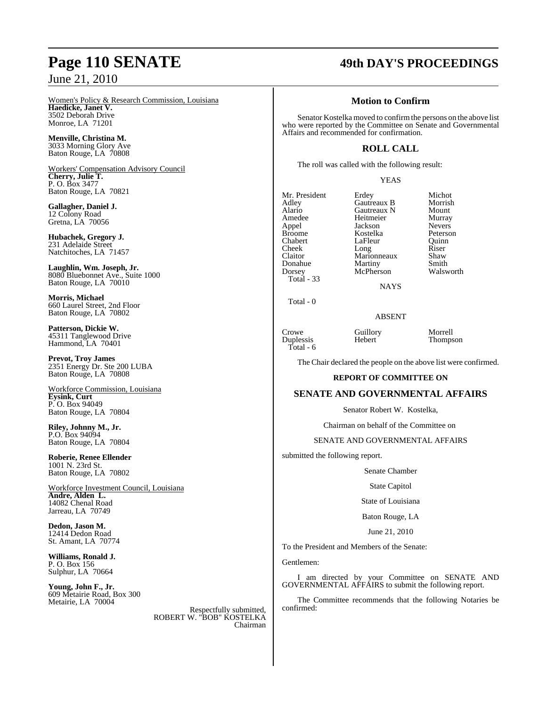### Women's Policy & Research Commission, Louisiana **Haedicke, Janet V.** 3502 Deborah Drive Monroe, LA 71201

**Menville, Christina M.** 3033 Morning Glory Ave Baton Rouge, LA 70808

Workers' Compensation Advisory Council **Cherry, Julie T.** P. O. Box 3477 Baton Rouge, LA 70821

**Gallagher, Daniel J.** 12 Colony Road Gretna, LA 70056

**Hubachek, Gregory J.** 231 Adelaide Street Natchitoches, LA 71457

**Laughlin, Wm. Joseph, Jr.** 8080 Bluebonnet Ave., Suite 1000 Baton Rouge, LA 70010

**Morris, Michael** 660 Laurel Street, 2nd Floor Baton Rouge, LA 70802

**Patterson, Dickie W.** 45311 Tanglewood Drive Hammond, LA 70401

**Prevot, Troy James** 2351 Energy Dr. Ste 200 LUBA Baton Rouge, LA 70808

Workforce Commission, Louisiana **Eysink, Curt** P. O. Box 94049 Baton Rouge, LA 70804

**Riley, Johnny M., Jr.** P.O. Box 94094 Baton Rouge, LA 70804

**Roberie, Renee Ellender** 1001 N. 23rd St. Baton Rouge, LA 70802

Workforce Investment Council, Louisiana **Andre, Alden L.** 14082 Chenal Road Jarreau, LA 70749

**Dedon, Jason M.** 12414 Dedon Road St. Amant, LA 70774

**Williams, Ronald J.** P. O. Box 156 Sulphur, LA 70664

**Young, John F., Jr.** 609 Metairie Road, Box 300 Metairie, LA 70004

Respectfully submitted, ROBERT W. "BOB" KOSTELKA Chairman

## **Page 110 SENATE 49th DAY'S PROCEEDINGS**

### **Motion to Confirm**

Senator Kostelka moved to confirmthe persons on the above list who were reported by the Committee on Senate and Governmental Affairs and recommended for confirmation.

### **ROLL CALL**

The roll was called with the following result:

### YEAS

Mr. President Erdey Michot<br>Adley Gautreaux B Morrish Adley Gautreaux B Morrish Alario Gautreaux N Mount<br>Amedee Heitmeier Murray Amedee Heitmeier Murray<br>Appel Jackson Nevers Appel Jackson Nevers<br>Broome Kostelka Peterson Broome Kostelka Peterson Chabert LaFleur Quinn<br>Cheek Long Riser Cheek Long Riser<br>Claitor Marionneaux Shaw Donahue Martiny Smith<br>
Dorsey McPherson Walsworth Total - 33

Marionneaux Shaw<br>Martiny Smith McPherson

**NAYS** 

Total - 0

ABSENT

Crowe Guillory Morrell<br>
Duplessis Hebert Thomps Duplessis Hebert Thompson Total - 6

The Chair declared the people on the above list were confirmed.

### **REPORT OF COMMITTEE ON**

### **SENATE AND GOVERNMENTAL AFFAIRS**

Senator Robert W. Kostelka,

Chairman on behalf of the Committee on

### SENATE AND GOVERNMENTAL AFFAIRS

submitted the following report.

Senate Chamber

State Capitol

State of Louisiana

Baton Rouge, LA

June 21, 2010

To the President and Members of the Senate:

Gentlemen:

I am directed by your Committee on SENATE AND GOVERNMENTAL AFFAIRS to submit the following report.

The Committee recommends that the following Notaries be confirmed: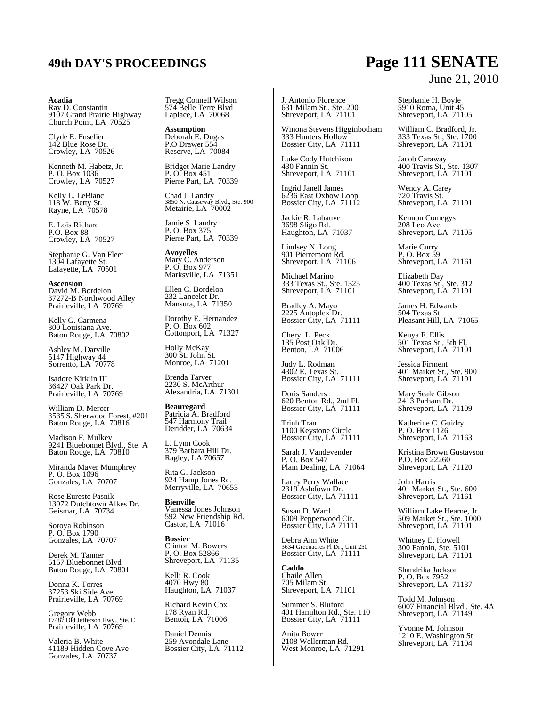### **Acadia**

Ray D. Constantin 9107 Grand Prairie Highway Church Point, LA 70525

Clyde E. Fuselier 142 Blue Rose Dr. Crowley, LA 70526

Kenneth M. Habetz, Jr. P. O. Box 1036 Crowley, LA 70527

Kelly L. LeBlanc 118 W. Betty St. Rayne, LA 70578

E. Lois Richard P.O. Box 88 Crowley, LA 70527

Stephanie G. Van Fleet 1304 Lafayette St. Lafayette, LA 70501

**Ascension** David M. Bordelon 37272-B Northwood Alley Prairieville, LA 70769

Kelly G. Carmena 300 Louisiana Ave. Baton Rouge, LA 70802

Ashley M. Darville 5147 Highway 44 Sorrento, LA 70778

Isadore Kirklin III 36427 Oak Park Dr. Prairieville, LA 70769

William D. Mercer 3535 S. Sherwood Forest, #201 Baton Rouge, LA 70816

Madison F. Mulkey 9241 Bluebonnet Blvd., Ste. A Baton Rouge, LA 70810

Miranda Mayer Mumphrey P. O. Box 1096 Gonzales, LA 70707

Rose Eureste Pasnik 13072 Dutchtown Alkes Dr. Geismar, LA 70734

Soroya Robinson P. O. Box 1790 Gonzales, LA 70707

Derek M. Tanner 5157 Bluebonnet Blvd Baton Rouge, LA 70801

Donna K. Torres 37253 Ski Side Ave. Prairieville, LA 70769

Gregory Webb 17487 Old Jefferson Hwy., Ste. C Prairieville, LA 70769

Valeria B. White 41189 Hidden Cove Ave Gonzales, LA 70737

Tregg Connell Wilson 574 Belle Terre Blvd Laplace, LA 70068

**Assumption** Deborah E. Dugas P.O Drawer 554 Reserve, LA 70084

Bridget Marie Landry P. O. Box 451 Pierre Part, LA 70339

Chad J. Landry 3850 N. Causeway Blvd., Ste. 900 Metairie, LA 70002

Jamie S. Landry P. O. Box 375 Pierre Part, LA 70339

**Avoyelles** Mary C. Anderson P. O. Box 977 Marksville, LA 71351

Ellen C. Bordelon 232 Lancelot Dr. Mansura, LA 71350

Dorothy E. Hernandez P. O. Box 602 Cottonport, LA 71327

Holly McKay 300 St. John St. Monroe, LA 71201

Brenda Tarver 2230 S. McArthur Alexandria, LA 71301

**Beauregard** Patricia A. Bradford 547 Harmony Trail Deridder, LA 70634

L. Lynn Cook 379 Barbara Hill Dr. Ragley, LA 70657

Rita G. Jackson 924 Hamp Jones Rd. Merryville, LA 70653

**Bienville** Vanessa Jones Johnson 592 New Friendship Rd. Castor, LA 71016

**Bossier** Clinton M. Bowers P. O. Box 52866 Shreveport, LA 71135

Kelli R. Cook 4070 Hwy 80 Haughton, LA 71037

Richard Kevin Cox 178 Ryan Rd. Benton, LA 71006

Daniel Dennis 259 Avondale Lane Bossier City, LA 71112 J. Antonio Florence 631 Milam St., Ste. 200 Shreveport, LA 71101

Winona Stevens Higginbotham 333 Hunters Hollow Bossier City, LA 71111

Luke Cody Hutchison 430 Fannin St. Shreveport, LA 71101

Ingrid Janell James 6236 East Oxbow Loop Bossier City, LA 71112

Jackie R. Labauve 3698 Sligo Rd. Haughton, LA 71037

Lindsey N. Long 901 Pierremont Rd. Shreveport, LA 71106

Michael Marino 333 Texas St., Ste. 1325 Shreveport, LA 71101

Bradley A. Mayo 2225 Autoplex Dr. Bossier City, LA 71111

Cheryl L. Peck 135 Post Oak Dr. Benton, LA 71006

Judy L. Rodman 4302 E. Texas St. Bossier City, LA 71111

Doris Sanders 620 Benton Rd., 2nd Fl. Bossier City, LA 71111

Trinh Tran 1100 Keystone Circle Bossier City, LA 71111

Sarah J. Vandevender P. O. Box 547 Plain Dealing, LA 71064

Lacey Perry Wallace 2319 Ashdown Dr. Bossier City, LA 71111

Susan D. Ward 6009 Pepperwood Cir. Bossier City, LA 71111

Debra Ann White 3634 Greenacres Pl Dr., Unit 250 Bossier City, LA 71111

**Caddo** Chaile Allen 705 Milam St. Shreveport, LA 71101

Summer S. Bluford 401 Hamilton Rd., Ste. 110 Bossier City, LA 71111

Anita Bower 2108 Wellerman Rd. West Monroe, LA 71291 Stephanie H. Boyle 5910 Roma, Unit 45 Shreveport, LA 71105

William C. Bradford, Jr. 333 Texas St., Ste. 1700 Shreveport, LA 71101

Jacob Caraway 400 Travis St., Ste. 1307 Shreveport, LA 71101

Wendy A. Carey 720 Travis St. Shreveport, LA 71101

Kennon Comegys 208 Leo Ave. Shreveport, LA 71105

Marie Curry P. O. Box 59 Shreveport, LA 71161

Elizabeth Day 400 Texas St., Ste. 312 Shreveport, LA 71101

James H. Edwards 504 Texas St. Pleasant Hill, LA 71065

Kenya F. Ellis 501 Texas St., 5th Fl. Shreveport, LA 71101

Jessica Firment 401 Market St., Ste. 900 Shreveport, LA 71101

Mary Seale Gibson 2413 Parham Dr. Shreveport, LA 71109

Katherine C. Guidry P. O. Box 1126 Shreveport, LA 71163

Kristina Brown Gustavson P.O. Box 22260 Shreveport, LA 71120

John Harris 401 Market St., Ste. 600 Shreveport, LA 71161

William Lake Hearne, Jr. 509 Market St., Ste. 1000 Shreveport, LA 71101

Whitney E. Howell 300 Fannin, Ste. 5101 Shreveport, LA 71101

Shandrika Jackson P. O. Box 7952 Shreveport, LA 71137

Todd M. Johnson 6007 Financial Blvd., Ste. 4A Shreveport, LA 71149

Yvonne M. Johnson 1210 E. Washington St. Shreveport, LA 71104

## **49th DAY'S PROCEEDINGS Page 111 SENATE** June 21, 2010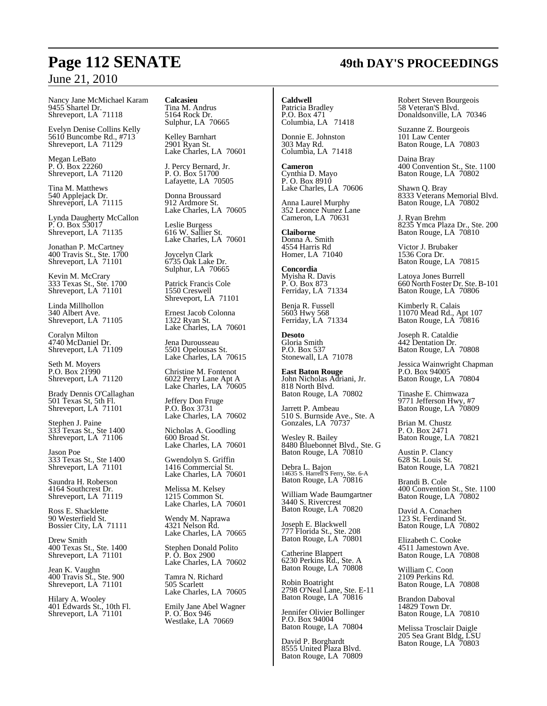Nancy Jane McMichael Karam 9455 Shartel Dr. Shreveport, LA 71118

Evelyn Denise Collins Kelly 5610 Buncombe Rd., #713 Shreveport, LA 71129

Megan LeBato P. O. Box 22260 Shreveport, LA 71120

Tina M. Matthews 540 Applejack Dr. Shreveport, LA 71115

Lynda Daugherty McCallon P. O. Box 53017 Shreveport, LA 71135

Jonathan P. McCartney 400 Travis St., Ste. 1700 Shreveport, LA 71101

Kevin M. McCrary 333 Texas St., Ste. 1700 Shreveport, LA 71101

Linda Millhollon 340 Albert Ave. Shreveport, LA 71105

Coralyn Milton 4740 McDaniel Dr. Shreveport, LA 71109

Seth M. Moyers P.O. Box 21990 Shreveport, LA 71120

Brady Dennis O'Callaghan 501 Texas St, 5th Fl. Shreveport, LA 71101

Stephen J. Paine 333 Texas St., Ste 1400 Shreveport, LA 71106

Jason Poe 333 Texas St., Ste 1400 Shreveport, LA 71101

Saundra H. Roberson 4164 Southcrest Dr. Shreveport, LA 71119

Ross E. Shacklette 90 Westerfield St. Bossier City, LA 71111

Drew Smith 400 Texas St., Ste. 1400 Shreveport, LA 71101

Jean K. Vaughn 400 Travis St., Ste. 900 Shreveport, LA 71101

Hilary A. Wooley 401 Edwards St., 10th Fl. Shreveport, LA 71101

**Calcasieu** Tina M. Andrus 5164 Rock Dr. Sulphur, LA 70665

Kelley Barnhart 2901 Ryan St. Lake Charles, LA 70601

J. Percy Bernard, Jr. P. O. Box 51700 Lafayette, LA 70505

Donna Broussard 912 Ardmore St. Lake Charles, LA 70605

Leslie Burgess 616 W. Sallier St. Lake Charles, LA 70601

Joycelyn Clark 6735 Oak Lake Dr. Sulphur, LA 70665

Patrick Francis Cole 1550 Creswell Shreveport, LA 71101

Ernest Jacob Colonna 1322 Ryan St. Lake Charles, LA 70601

Jena Durousseau 5501 Opelousas St. Lake Charles, LA 70615

Christine M. Fontenot 6022 Perry Lane Apt A Lake Charles, LA 70605

Jeffery Don Fruge P.O. Box 3731 Lake Charles, LA 70602

Nicholas A. Goodling 600 Broad St. Lake Charles, LA 70601

Gwendolyn S. Griffin 1416 Commercial St. Lake Charles, LA 70601

Melissa M. Kelsey 1215 Common St. Lake Charles, LA 70601

Wendy M. Naprawa 4321 Nelson Rd. Lake Charles, LA 70665

Stephen Donald Polito P. O. Box 2900 Lake Charles, LA 70602

Tamra N. Richard 505 Scarlett Lake Charles, LA 70605

Emily Jane Abel Wagner P. O. Box 946 Westlake, LA 70669

**Caldwell** Patricia Bradley P.O. Box 471 Columbia, LA 71418

Donnie E. Johnston 303 May Rd. Columbia, LA 71418

**Cameron** Cynthia D. Mayo P. O. Box 8910 Lake Charles, LA 70606

Anna Laurel Murphy 352 Leonce Nunez Lane Cameron, LA 70631

**Claiborne** Donna A. Smith 4554 Harris Rd Homer, LA 71040

**Concordia** Myisha R. Davis P. O. Box 873 Ferriday, LA 71334

Benja R. Fussell 5603 Hwy 568 Ferriday, LA 71334

**Desoto** Gloria Smith P.O. Box 537 Stonewall, LA 71078

**East Baton Rouge** John Nicholas Adriani, Jr. 818 North Blvd. Baton Rouge, LA 70802

Jarrett P. Ambeau 510 S. Burnside Ave., Ste. A Gonzales, LA 70737

Wesley R. Bailey 8480 Bluebonnet Blvd., Ste. G Baton Rouge, LA 70810

Debra L. Bajon 14635 S. Harrell'S Ferry, Ste. 6-A Baton Rouge, LA 70816

William Wade Baumgartner 3440 S. Rivercrest Baton Rouge, LA 70820

Joseph E. Blackwell 777 Florida St., Ste. 208 Baton Rouge, LA 70801

Catherine Blappert 6230 Perkins Rd., Ste. A Baton Rouge, LA 70808

Robin Boatright 2798 O'Neal Lane, Ste. E-11 Baton Rouge, LA 70816

Jennifer Olivier Bollinger P.O. Box 94004 Baton Rouge, LA 70804

David P. Borghardt 8555 United Plaza Blvd. Baton Rouge, LA 70809 Robert Steven Bourgeois 58 Veteran'S Blvd. Donaldsonville, LA 70346

Suzanne Z. Bourgeois 101 Law Center Baton Rouge, LA 70803

Daina Bray 400 Convention St., Ste. 1100 Baton Rouge, LA 70802

Shawn Q. Bray 8333 Veterans Memorial Blvd. Baton Rouge, LA 70802

J. Ryan Brehm 8235 Ymca Plaza Dr., Ste. 200 Baton Rouge, LA 70810

Victor J. Brubaker 1536 Cora Dr. Baton Rouge, LA 70815

Latoya Jones Burrell 660 North Foster Dr. Ste.B-101 Baton Rouge, LA 70806

Kimberly R. Calais 11070 Mead Rd., Apt 107 Baton Rouge, LA 70816

Joseph R. Cataldie 442 Dentation Dr. Baton Rouge, LA 70808

Jessica Wainwright Chapman P.O. Box 94005 Baton Rouge, LA 70804

Tinashe E. Chimwaza 9771 Jefferson Hwy, #7 Baton Rouge, LA 70809

Brian M. Chustz P. O. Box 2471 Baton Rouge, LA 70821

Austin P. Clancy 628 St. Louis St. Baton Rouge, LA 70821

Brandi B. Cole 400 Convention St., Ste. 1100 Baton Rouge, LA 70802

David A. Conachen 123 St. Ferdinand St. Baton Rouge, LA 70802

Elizabeth C. Cooke 4511 Jamestown Ave. Baton Rouge, LA 70808

William C. Coon 2109 Perkins Rd. Baton Rouge, LA 70808

Brandon Daboval 14829 Town Dr. Baton Rouge, LA 70810

Melissa Trosclair Daigle 205 Sea Grant Bldg, LSU Baton Rouge, LA 70803

## **Page 112 SENATE 49th DAY'S PROCEEDINGS**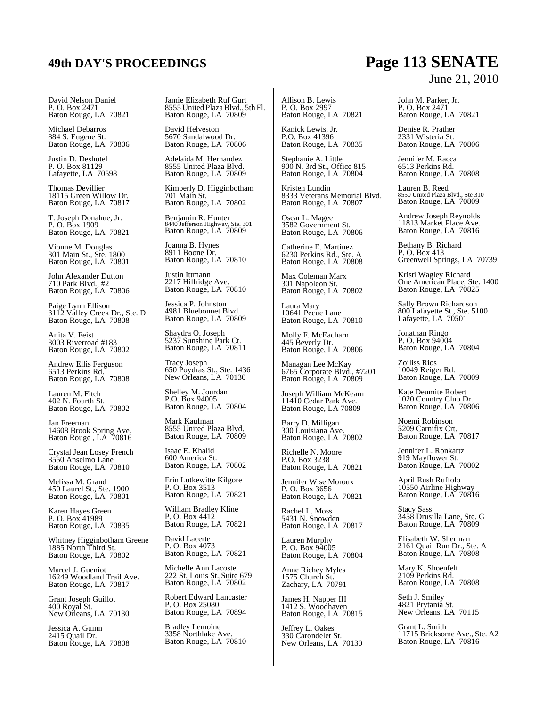David Nelson Daniel P. O. Box 2471 Baton Rouge, LA 70821

Michael Debarros 884 S. Eugene St. Baton Rouge, LA 70806

Justin D. Deshotel P. O. Box 81129 Lafayette, LA 70598

Thomas Devillier 18115 Green Willow Dr. Baton Rouge, LA 70817

T. Joseph Donahue, Jr. P. O. Box 1909 Baton Rouge, LA 70821

Vionne M. Douglas 301 Main St., Ste. 1800 Baton Rouge, LA 70801

John Alexander Dutton 710 Park Blvd., #2 Baton Rouge, LA 70806

Paige Lynn Ellison 3112 Valley Creek Dr., Ste. D Baton Rouge, LA 70808

Anita V. Feist 3003 Riverroad #183 Baton Rouge, LA 70802

Andrew Ellis Ferguson 6513 Perkins Rd. Baton Rouge, LA 70808

Lauren M. Fitch 402 N. Fourth St. Baton Rouge, LA 70802

Jan Freeman 14608 Brook Spring Ave. Baton Rouge , LA 70816

Crystal Jean Losey French 8550 Anselmo Lane Baton Rouge, LA 70810

Melissa M. Grand 450 Laurel St., Ste. 1900 Baton Rouge, LA 70801

Karen Hayes Green P. O. Box 41989 Baton Rouge, LA 70835

Whitney Higginbotham Greene 1885 North Third St. Baton Rouge, LA 70802

Marcel J. Gueniot 16249 Woodland Trail Ave. Baton Rouge, LA 70817

Grant Joseph Guillot 400 Royal St. New Orleans, LA 70130

Jessica A. Guinn 2415 Quail Dr. Baton Rouge, LA 70808 Jamie Elizabeth Ruf Gurt 8555 United PlazaBlvd., 5th Fl. Baton Rouge, LA 70809

David Helveston 5670 Sandalwood Dr. Baton Rouge, LA 70806

Adelaida M. Hernandez 8555 United Plaza Blvd. Baton Rouge, LA 70809

Kimberly D. Higginbotham 701 Main St. Baton Rouge, LA 70802

Benjamin R. Hunter 8440 Jefferson Highway, Ste. 301 Baton Rouge, LA 70809

Joanna B. Hynes 8911 Boone Dr. Baton Rouge, LA 70810

Justin Ittmann 2217 Hillridge Ave. Baton Rouge, LA 70810

Jessica P. Johnston 4981 Bluebonnet Blvd. Baton Rouge, LA 70809

Shaydra O. Joseph 5237 Sunshine Park Ct. Baton Rouge, LA 70811

Tracy Joseph 650 Poydras St., Ste. 1436 New Orleans, LA 70130

Shelley M. Jourdan P.O. Box 94005 Baton Rouge, LA 70804

Mark Kaufman 8555 United Plaza Blvd. Baton Rouge, LA 70809

Isaac E. Khalid 600 America St. Baton Rouge, LA 70802

Erin Lutkewitte Kilgore P. O. Box 3513 Baton Rouge, LA 70821

William Bradley Kline P. O. Box 4412 Baton Rouge, LA 70821

David Lacerte P. O. Box 4073 Baton Rouge, LA 70821

Michelle Ann Lacoste 222 St. Louis St.,Suite 679 Baton Rouge, LA 70802

Robert Edward Lancaster P. O. Box 25080 Baton Rouge, LA 70894

Bradley Lemoine 3358 Northlake Ave. Baton Rouge, LA 70810

Allison B. Lewis P. O. Box 2997 Baton Rouge, LA 70821

Kanick Lewis, Jr. P.O. Box 41396 Baton Rouge, LA 70835

Stephanie A. Little 900 N. 3rd St., Office 815 Baton Rouge, LA 70804

Kristen Lundin 8333 Veterans Memorial Blvd. Baton Rouge, LA 70807

Oscar L. Magee 3582 Government St. Baton Rouge, LA 70806

Catherine E. Martinez 6230 Perkins Rd., Ste. A Baton Rouge, LA 70808

Max Coleman Marx 301 Napoleon St. Baton Rouge, LA 70802

Laura Mary 10641 Pecue Lane Baton Rouge, LA 70810

Molly F. McEacharn 445 Beverly Dr. Baton Rouge, LA 70806

Managan Lee McKay 6765 Corporate Blvd., #7201 Baton Rouge, LA 70809

Joseph William McKearn 11410 Cedar Park Ave. Baton Rouge, LA 70809

Barry D. Milligan 300 Louisiana Ave. Baton Rouge, LA 70802

Richelle N. Moore P.O. Box 3238 Baton Rouge, LA 70821

Jennifer Wise Moroux P. O. Box 3656 Baton Rouge, LA 70821

Rachel L. Moss 5431 N. Snowden Baton Rouge, LA 70817

Lauren Murphy P. O. Box 94005 Baton Rouge, LA 70804

Anne Richey Myles 1575 Church St. Zachary, LA 70791

James H. Napper III 1412 S. Woodhaven Baton Rouge, LA 70815

Jeffrey L. Oakes 330 Carondelet St. New Orleans, LA 70130

## **49th DAY'S PROCEEDINGS Page 113 SENATE** June 21, 2010

John M. Parker, Jr. P. O. Box 2471 Baton Rouge, LA 70821

Denise R. Prather 2331 Wisteria St. Baton Rouge, LA 70806

Jennifer M. Racca 6513 Perkins Rd. Baton Rouge, LA 70808

Lauren B. Reed 8550 United Plaza Blvd., Ste 310 Baton Rouge, LA 70809

Andrew Joseph Reynolds 11813 Market Place Ave. Baton Rouge, LA 70816

Bethany B. Richard P. O. Box 413 Greenwell Springs, LA 70739

Kristi Wagley Richard One American Place, Ste. 1400 Baton Rouge, LA 70825

Sally Brown Richardson 800 Lafayette St., Ste. 5100 Lafayette, LA 70501

Jonathan Ringo P. O. Box 94004 Baton Rouge, LA 70804

Zoiliss Rios 10049 Reiger Rd. Baton Rouge, LA 70809

Kate Deumite Robert 1020 Country Club Dr. Baton Rouge, LA 70806

Noemi Robinson 5209 Carnifix Crt. Baton Rouge, LA 70817

Jennifer L. Ronkartz 919 Mayflower St. Baton Rouge, LA 70802

April Rush Ruffolo 10550 Airline Highway Baton Rouge, LA 70816

Stacy Sass 3458 Drusilla Lane, Ste. G Baton Rouge, LA 70809

Elisabeth W. Sherman 2161 Quail Run Dr., Ste. A Baton Rouge, LA 70808

Mary K. Shoenfelt 2109 Perkins Rd. Baton Rouge, LA 70808

Seth J. Smiley 4821 Prytania St. New Orleans, LA 70115

Grant L. Smith 11715 Bricksome Ave., Ste. A2 Baton Rouge, LA 70816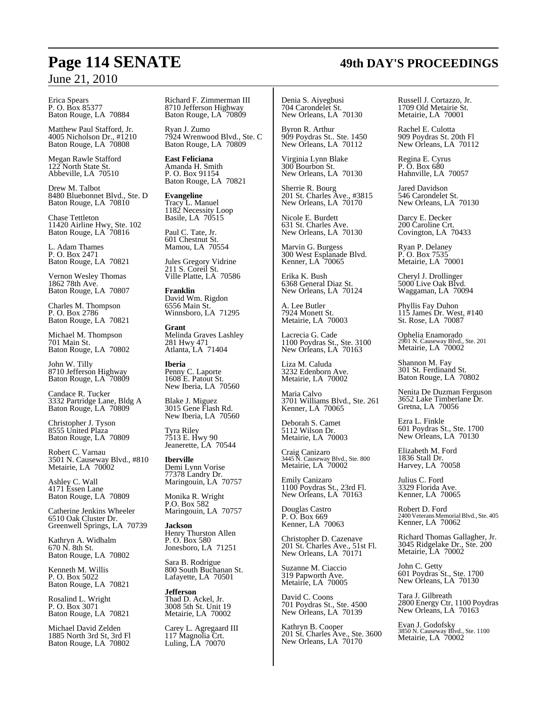Erica Spears P. O. Box 85377 Baton Rouge, LA 70884

Matthew Paul Stafford, Jr. 4005 Nicholson Dr., #1210 Baton Rouge, LA 70808

Megan Rawle Stafford 122 North State St. Abbeville, LA 70510

Drew M. Talbot 8480 Bluebonnet Blvd., Ste. D Baton Rouge, LA 70810

Chase Tettleton 11420 Airline Hwy, Ste. 102 Baton Rouge, LA 70816

L. Adam Thames P. O. Box 2471 Baton Rouge, LA 70821

Vernon Wesley Thomas 1862 78th Ave. Baton Rouge, LA 70807

Charles M. Thompson P. O. Box 2786 Baton Rouge, LA 70821

Michael M. Thompson 701 Main St. Baton Rouge, LA 70802

John W. Tilly 8710 Jefferson Highway Baton Rouge, LA 70809

Candace R. Tucker 3332 Partridge Lane, Bldg A Baton Rouge, LA 70809

Christopher J. Tyson 8555 United Plaza Baton Rouge, LA 70809

Robert C. Varnau 3501 N. Causeway Blvd., #810 Metairie, LA 70002

Ashley C. Wall 4171 Essen Lane Baton Rouge, LA 70809

Catherine Jenkins Wheeler 6510 Oak Cluster Dr. Greenwell Springs, LA 70739

Kathryn A. Widhalm 670 N. 8th St. Baton Rouge, LA 70802

Kenneth M. Willis P. O. Box 5022 Baton Rouge, LA 70821

Rosalind L. Wright P. O. Box 3071 Baton Rouge, LA 70821

Michael David Zelden 1885 North 3rd St, 3rd Fl Baton Rouge, LA 70802

Richard F. Zimmerman III 8710 Jefferson Highway Baton Rouge, LA 70809

Ryan J. Zumo 7924 Wrenwood Blvd., Ste. C Baton Rouge, LA 70809

**East Feliciana** Amanda H. Smith P. O. Box 91154 Baton Rouge, LA 70821

**Evangeline** Tracy L. Manuel 1182 Necessity Loop Basile, LA 70515

Paul C. Tate, Jr. 601 Chestnut St. Mamou, LA 70554

Jules Gregory Vidrine 211 S. Coreil St. Ville Platte, LA 70586

**Franklin** David Wm. Rigdon 6556 Main St. Winnsboro, LA 71295

**Grant** Melinda Graves Lashley 281 Hwy 471 Atlanta, LA 71404

**Iberia** Penny C. Laporte 1608 E. Patout St. New Iberia, LA 70560

Blake J. Miguez 3015 Gene Flash Rd. New Iberia, LA 70560

Tyra Riley 7513 E. Hwy 90 Jeanerette, LA 70544

**Iberville** Demi Lynn Vorise 77378 Landry Dr. Maringouin, LA 70757

Monika R. Wright P.O. Box 582 Maringouin, LA 70757

**Jackson** Henry Thurston Allen P. O. Box 580 Jonesboro, LA 71251

Sara B. Rodrigue 800 South Buchanan St. Lafayette, LA 70501

**Jefferson** Thad D. Ackel, Jr. 3008 5th St. Unit 19 Metairie, LA 70002

Carey L. Agregaard III 117 Magnolia Crt. Luling, LA 70070

Denia S. Aiyegbusi 704 Carondelet St. New Orleans, LA 70130

Byron R. Arthur 909 Poydras St.. Ste. 1450 New Orleans, LA 70112

Virginia Lynn Blake 300 Bourbon St. New Orleans, LA 70130

Sherrie R. Bourg 201 St. Charles Ave., #3815 New Orleans, LA 70170

Nicole E. Burdett 631 St. Charles Ave. New Orleans, LA 70130

Marvin G. Burgess 300 West Esplanade Blvd. Kenner, LA 70065

Erika K. Bush 6368 General Diaz St. New Orleans, LA 70124

A. Lee Butler 7924 Monett St. Metairie, LA 70003

Lacrecia G. Cade 1100 Poydras St., Ste. 3100 New Orleans, LA 70163

Liza M. Caluda 3232 Edenborn Ave. Metairie, LA 70002

Maria Calvo 3701 Williams Blvd., Ste. 261 Kenner, LA 70065

Deborah S. Camet 5112 Wilson Dr. Metairie, LA 70003

Craig Canizaro 3445 N. Causeway Blvd., Ste. 800 Metairie, LA 70002

Emily Canizaro 1100 Poydras St., 23rd Fl. New Orleans, LA 70163

Douglas Castro P. O. Box 669 Kenner, LA 70063

Christopher D. Cazenave 201 St. Charles Ave., 51st Fl. New Orleans, LA 70171

Suzanne M. Ciaccio 319 Papworth Ave. Metairie, LA 70005

David C. Coons 701 Poydras St., Ste. 4500 New Orleans, LA 70139

Kathryn B. Cooper 201 St. Charles Ave., Ste. 3600 New Orleans, LA 70170

Russell J. Cortazzo, Jr. 1709 Old Metairie St. Metairie, LA 70001

Rachel E. Culotta 909 Poydras St. 20th Fl New Orleans, LA 70112

Regina E. Cyrus P. O. Box 680 Hahnville, LA 70057

Jared Davidson 546 Carondelet St. New Orleans, LA 70130

Darcy E. Decker 200 Caroline Crt. Covington, LA 70433

Ryan P. Delaney P. O. Box 7535 Metairie, LA 70001

Cheryl J. Drollinger 5000 Live Oak Blvd. Waggaman, LA 70094

Phyllis Fay Duhon 115 James Dr. West, #140 St. Rose, LA 70087

Ophelia Enamorado 2901 N. Causeway Blvd., Ste. 201 Metairie, LA 70002

Shannon M. Fay 301 St. Ferdinand St. Baton Rouge, LA 70802

Nenita De Duzman Ferguson 3652 Lake Timberlane Dr. Gretna, LA 70056

Ezra L. Finkle 601 Poydras St., Ste. 1700 New Orleans, LA 70130

Elizabeth M. Ford 1836 Stall Dr. Harvey, LA 70058

Julius C. Ford 3329 Florida Ave. Kenner, LA 70065

Robert D. Ford 2400 Veterans Memorial Blvd., Ste. 405 Kenner, LA 70062

Richard Thomas Gallagher, Jr. 3045 Ridgelake Dr., Ste. 200 Metairie, LA 70002

John C. Getty 601 Poydras St., Ste. 1700 New Orleans, LA 70130

Tara J. Gilbreath 2800 Energy Ctr, 1100 Poydras New Orleans, LA 70163

Evan J. Godofsky 3850 N. Causeway Blvd., Ste. 1100 Metairie, LA 70002

## **Page 114 SENATE 49th DAY'S PROCEEDINGS**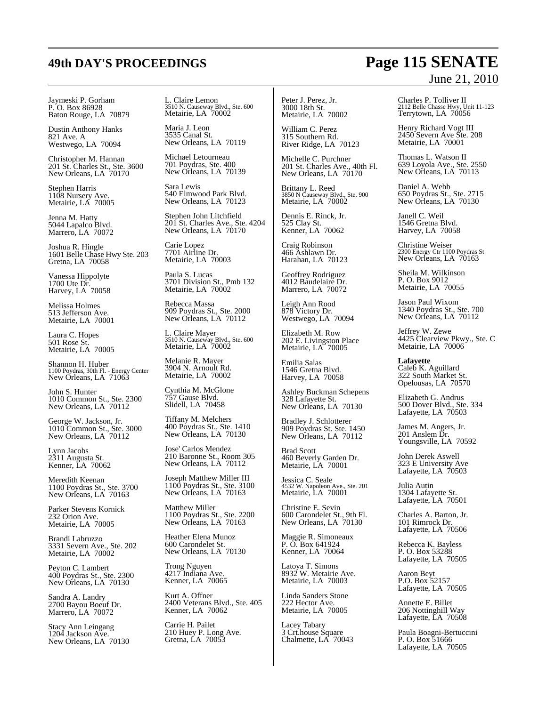Jaymeski P. Gorham P. O. Box 86928 Baton Rouge, LA 70879

Dustin Anthony Hanks 821 Ave. A Westwego, LA 70094

Christopher M. Hannan 201 St. Charles St., Ste. 3600 New Orleans, LA 70170

Stephen Harris 1108 Nursery Ave. Metairie, LA 70005

Jenna M. Hatty 5044 Lapalco Blvd. Marrero, LA 70072

Joshua R. Hingle 1601 Belle Chase Hwy Ste. 203 Gretna, LA 70058

Vanessa Hippolyte 1700 Ute Dr. Harvey, LA 70058

Melissa Holmes 513 Jefferson Ave. Metairie, LA 70001

Laura C. Hopes 501 Rose St. Metairie, LA 70005

Shannon H. Huber 1100 Poydras, 30th Fl. - Energy Center New Orleans, LA 71063

John S. Hunter 1010 Common St., Ste. 2300 New Orleans, LA 70112

George W. Jackson, Jr. 1010 Common St., Ste. 3000 New Orleans, LA 70112

Lynn Jacobs 2311 Augusta St. Kenner, LA 70062

Meredith Keenan 1100 Poydras St., Ste. 3700 New Orleans, LA 70163

Parker Stevens Kornick 232 Orion Ave. Metairie, LA 70005

Brandi Labruzzo 3331 Severn Ave., Ste. 202 Metairie, LA 70002

Peyton C. Lambert 400 Poydras St., Ste. 2300 New Orleans, LA 70130

Sandra A. Landry 2700 Bayou Boeuf Dr. Marrero, LA 70072

Stacy Ann Leingang 1204 Jackson Ave. New Orleans, LA 70130 L. Claire Lemon 3510 N. Causeway Blvd., Ste. 600 Metairie, LA 70002

Maria J. Leon 3535 Canal St. New Orleans, LA 70119

Michael Letourneau 701 Poydras, Ste. 400 New Orleans, LA 70139

Sara Lewis 540 Elmwood Park Blvd. New Orleans, LA 70123

Stephen John Litchfield 201 St. Charles Ave., Ste. 4204 New Orleans, LA  $70170$ 

Carie Lopez 7701 Airline Dr. Metairie, LA 70003

Paula S. Lucas 3701 Division St., Pmb 132 Metairie, LA 70002

Rebecca Massa 909 Poydras St., Ste. 2000 New Orleans, LA 70112

L. Claire Mayer 3510 N. Causeway Blvd., Ste. 600 Metairie, LA 70002

Melanie R. Mayer 3904 N. Arnoult Rd. Metairie, LA 70002

Cynthia M. McGlone 757 Gause Blvd. Slidell, LA 70458

Tiffany M. Melchers 400 Poydras St., Ste. 1410 New Orleans, LA 70130

Jose' Carlos Mendez 210 Baronne St., Room 305 New Orleans, LA 70112

Joseph Matthew Miller III 1100 Poydras St., Ste. 3100 New Orleans, LA 70163

Matthew Miller 1100 Poydras St., Ste. 2200 New Orleans, LA 70163

Heather Elena Munoz 600 Carondelet St. New Orleans, LA 70130

Trong Nguyen 4217 Indiana Ave. Kenner, LA 70065

Kurt A. Offner 2400 Veterans Blvd., Ste. 405 Kenner, LA 70062

Carrie H. Pailet 210 Huey P. Long Ave. Gretna, LA 70053

Peter J. Perez, Jr. 3000 18th St. Metairie, LA 70002

William C. Perez 315 Southern Rd. River Ridge, LA 70123

Michelle C. Purchner 201 St. Charles Ave., 40th Fl. New Orleans, LA 70170

Brittany L. Reed 3850 N Causeway Blvd., Ste. 900 Metairie, LA 70002

Dennis E. Rinck, Jr. 525 Clay St. Kenner, LA 70062

Craig Robinson 466 Ashlawn Dr. Harahan, LA 70123

Geoffrey Rodriguez 4012 Baudelaire Dr. Marrero, LA 70072

Leigh Ann Rood 878 Victory Dr. Westwego, LA 70094

Elizabeth M. Row 202 E. Livingston Place Metairie, LA 70005

Emilia Salas 1546 Gretna Blvd. Harvey, LA 70058

Ashley Buckman Schepens 328 Lafayette St. New Orleans, LA 70130

Bradley J. Schlotterer 909 Poydras St. Ste. 1450 New Orleans, LA 70112

Brad Scott 460 Beverly Garden Dr. Metairie, LA 70001

Jessica C. Seale 4532 W. Napoleon Ave., Ste. 201 Metairie, LA 70001

Christine E. Sevin 600 Carondelet St., 9th Fl. New Orleans, LA 70130

Maggie R. Simoneaux P. O. Box 641924 Kenner, LA 70064

Latoya T. Simons 8932 W. Metairie Ave. Metairie, LA 70003

Linda Sanders Stone 222 Hector Ave. Metairie, LA 70005

Lacey Tabary 3 Crt.house Square Chalmette, LA 70043

## **49th DAY'S PROCEEDINGS Page 115 SENATE** June 21, 2010

Charles P. Tolliver II 2112 Belle Chasse Hwy, Unit 11-123 Terrytown, LA 70056

Henry Richard Vogt III 2450 Severn Ave Ste. 208 Metairie, LA 70001

Thomas L. Watson II 639 Loyola Ave., Ste. 2550 New Orleans, LA 70113

Daniel A. Webb 650 Poydras St., Ste. 2715 New Orleans, LA 70130

Janell C. Weil 1546 Gretna Blvd. Harvey, LA 70058

Christine Weiser 2300 Energy Ctr 1100 Poydras St New Orleans, LA 70163

Sheila M. Wilkinson P. O. Box 9012 Metairie, LA 70055

Jason Paul Wixom 1340 Poydras St., Ste. 700 New Orleans, LA 70112

Jeffrey W. Zewe 4425 Clearview Pkwy., Ste. C Metairie, LA 70006

**Lafayette** Caleb K. Aguillard 322 South Market St. Opelousas, LA 70570

Elizabeth G. Andrus 500 Dover Blvd., Ste. 334 Lafayette, LA 70503

James M. Angers, Jr. 201 Anslem Dr. Youngsville, LA 70592

John Derek Aswell 323 E University Ave Lafayette, LA 70503

Julia Autin 1304 Lafayette St. Lafayette, LA 70501

Charles A. Barton, Jr. 101 Rimrock Dr. Lafayette, LA 70506

Rebecca K. Bayless P. O. Box 53288 Lafayette, LA 70505

Aaron Beyt P.O. Box 52157 Lafayette, LA 70505

Annette E. Billet 206 Nottinghill Way Lafayette, LA 70508

Paula Boagni-Bertuccini P. O. Box 51666 Lafayette, LA 70505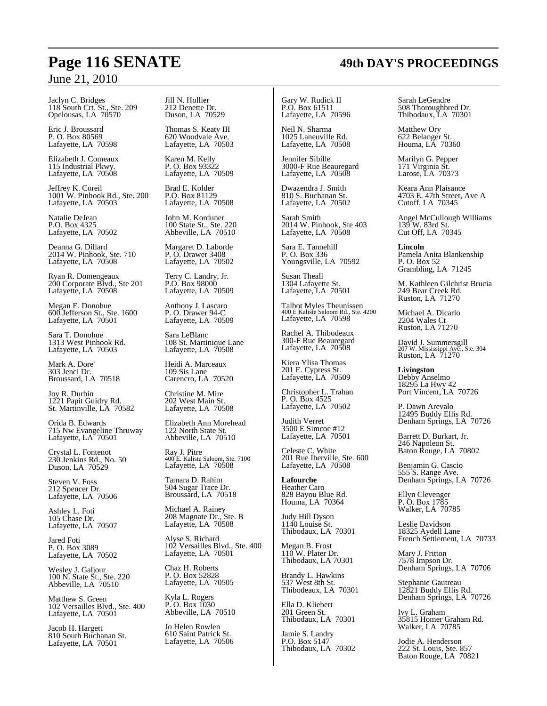Jaclyn C. Bridges 118 South Crt. St., Ste. 209 Opelousas, LA 70570

Eric J. Broussard P. O. Box 80569 Lafayette, LA 70598

Elizabeth J. Comeaux 115 Industrial Pkwy. Lafayette, LA 70508

Jeffrey K. Coreil 1001 W. Pinhook Rd., Ste. 200 Lafayette, LA 70503

Natalie DeJean P.O. Box 4325 Lafayette, LA 70502

Deanna G. Dillard 2014 W. Pinhook, Ste. 710 Lafayette, LA 70508

Ryan R. Domengeaux 200 Corporate Blvd., Ste 201 Lafayette, LA 70508

Megan E. Donohue 600 Jefferson St., Ste. 1600 Lafayette, LA 70501

Sara T. Donohue 1313 West Pinhook Rd. Lafayette, LA 70503

Mark A. Dore' 303 Jenci Dr. Broussard, LA 70518

Joy R. Durbin 1221 Papit Guidry Rd. St. Martinville, LA 70582

Orida B. Edwards 715 Nw Evangeline Thruway Lafayette, LA 70501

Crystal L. Fontenot 230 Jenkins Rd., No. 50 Duson, LA 70529

Steven V. Foss 212 Spencer Dr. Lafayette, LA 70506

Ashley L. Foti 105 Chase Dr. Lafayette, LA 70507

Jared Foti P. O. Box 3089 Lafayette, LA 70502

Wesley J. Galjour 100 N. State St., Ste. 220 Abbeville, LA 70510

Matthew S. Green 102 Versailles Blvd., Ste. 400 Lafayette, LA 70501

Jacob H. Hargett 810 South Buchanan St. Lafayette, LA 70501

Jill N. Hollier 212 Denette Dr. Duson, LA 70529

Thomas S. Keaty III 620 Woodvale Ave. Lafayette, LA 70503

Karen M. Kelly P. O. Box 93322 Lafayette, LA 70509

Brad E. Kolder P.O. Box 81129 Lafayette, LA 70508

John M. Korduner 100 State St., Ste. 220 Abbeville, LA 70510

Margaret D. Laborde P. O. Drawer 3408 Lafayette, LA 70502

Terry C. Landry, Jr. P.O. Box 98000 Lafayette, LA 70509

Anthony J. Lascaro P. O. Drawer 94-C Lafayette, LA 70509

Sara LeBlanc 108 St. Martinique Lane Lafayette, LA 70508

Heidi A. Marceaux 109 Sis Lane Carencro, LA 70520

Christine M. Mire 202 West Main St. Lafayette, LA 70508

Elizabeth Ann Morehead 122 North State St. Abbeville, LA 70510

Ray J. Pitre 400 E. Kaliste Saloom, Ste. 7100 Lafayette, LA 70508

Tamara D. Rahim 504 Sugar Trace Dr. Broussard, LA 70518

Michael A. Rainey 208 Magnate Dr., Ste. B Lafayette, LA 70508

Alyse S. Richard 102 Versailles Blvd., Ste. 400 Lafayette, LA 70501

Chaz H. Roberts P. O. Box 52828 Lafayette, LA 70505

Kyla L. Rogers P. O. Box 1030 Abbeville, LA 70510

Jo Helen Rowlen 610 Saint Patrick St. Lafayette, LA 70506

Gary W. Rudick II P.O. Box 61511 Lafayette, LA 70596

Neil N. Sharma 1025 Laneuville Rd. Lafayette, LA 70508

Jennifer Sibille 3000-F Rue Beauregard Lafayette, LA 70508

Dwazendra J. Smith 810 S. Buchanan St. Lafayette, LA 70502

Sarah Smith 2014 W. Pinhook, Ste 403 Lafayette, LA 70508

Sara E. Tannehill P. O. Box 336 Youngsville, LA 70592

Susan Theall 1304 Lafayette St. Lafayette, LA 70501

Talbot Myles Theunissen 400 E Kaliste Saloom Rd., Ste. 4200 Lafayette, LA 70598

Rachel A. Thibodeaux 300-F Rue Beauregard Lafayette, LA 70508

Kiera Ylisa Thomas 201 E. Cypress St. Lafayette, LA 70509

Christopher L. Trahan P. O. Box 4525 Lafayette, LA 70502

Judith Verret 3500 E Simcoe #12 Lafayette, LA 70501

Celeste C. White 201 Rue Iberville, Ste. 600 Lafayette, LA 70508

**Lafourche** Heather Caro 828 Bayou Blue Rd. Houma, LA 70364

Judy Hill Dyson 1140 Louise St. Thibodaux, LA 70301

Megan B. Frost 110 W. Plater Dr. Thibodaux, LA 70301

Brandy L. Hawkins 537 West 8th St.

Thibodeaux, LA 70301 Ella D. Kliebert

201 Green St. Thibodaux, LA 70301

Jamie S. Landry P.O. Box 5147 Thibodaux, LA 70302 Sarah LeGendre 508 Thoroughbred Dr. Thibodaux, LA 70301

Matthew Ory 622 Belanger St. Houma, LA 70360

Marilyn G. Pepper 171 Virginia St. Larose, LA 70373

Keara Ann Plaisance 4703 E. 47th Street, Ave A Cutoff, LA 70345

Angel McCullough Williams 139 W. 83rd St. Cut Off, LA 70345

**Lincoln** Pamela Anita Blankenship P. O. Box 52 Grambling, LA 71245

M. Kathleen Gilchrist Brucia 249 Bear Creek Rd. Ruston, LA 71270

Michael A. Dicarlo 2204 Wales Ct Ruston, LA 71270

David J. Summersgill 207 W. Mississippi Ave., Ste. 304 Ruston, LA 71270

**Livingston** Debby Anselmo 18295 La Hwy 42 Port Vincent, LA 70726

P. Dawn Arevalo 12495 Buddy Ellis Rd. Denham Springs, LA 70726

Barrett D. Burkart, Jr. 246 Napoleon St. Baton Rouge, LA 70802

Benjamin G. Cascio 555 S. Range Ave. Denham Springs, LA 70726

Ellyn Clevenger P. O. Box 1785 Walker, LA 70785

Leslie Davidson 18325 Aydell Lane French Settlement, LA 70733

Mary J. Fritton 7578 Impson Dr. Denham Springs, LA 70706

Stephanie Gautreau 12821 Buddy Ellis Rd. Denham Springs, LA 70726

Ivy L. Graham 35815 Homer Graham Rd. Walker, LA 70785

Jodie A. Henderson 222 St. Louis, Ste. 857 Baton Rouge, LA 70821

## **Page 116 SENATE 49th DAY'S PROCEEDINGS**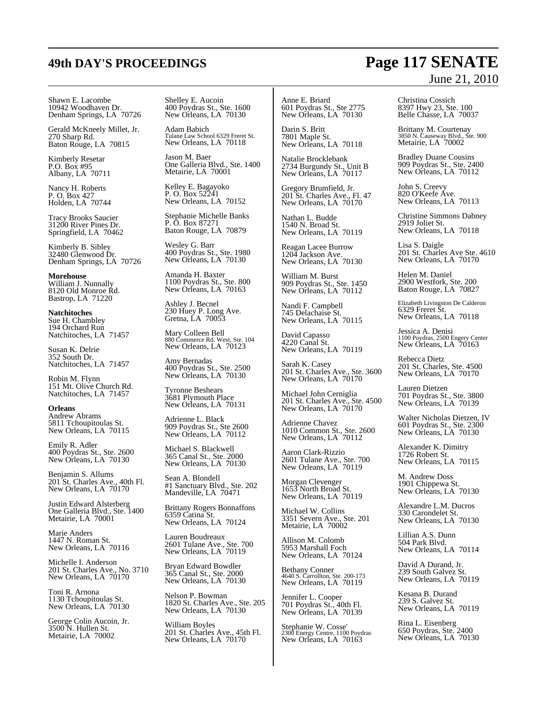### Shawn E. Lacombe 10942 Woodhaven Dr. Denham Springs, LA 70726

Gerald McKneely Millet, Jr. 270 Sharp Rd. Baton Rouge, LA 70815

Kimberly Resetar P.O. Box #95 Albany, LA 70711

Nancy H. Roberts P. O. Box 427 Holden, LA 70744

Tracy Brooks Saucier 31200 River Pines Dr. Springfield, LA 70462

Kimberly B. Sibley 32480 Glenwood Dr. Denham Springs, LA 70726

**Morehouse** William J. Nunnally 8120 Old Monroe Rd. Bastrop, LA 71220

**Natchitoches** Sue H. Chambley 194 Orchard Run Natchitoches, LA 71457

Susan K. Delrie 352 South Dr. Natchitoches, LA 71457

Robin M. Flynn 151 Mt. Olive Church Rd. Natchitoches, LA 71457

### **Orleans**

Andrew Abrams 5811 Tchoupitoulas St. New Orleans, LA 70115

Emily R. Adler 400 Poydras St., Ste. 2600 New Orleans, LA 70130

Benjamin S. Allums 201 St. Charles Ave., 40th Fl. New Orleans, LA  $70170$ 

Justin Edward Alsterberg One Galleria Blvd., Ste. 1400 Metairie, LA 70001

Marie Anders 1447 N. Roman St. New Orleans, LA 70116

Michelle I. Anderson 201 St. Charles Ave., No. 3710 New Orleans, LA 70170

Toni R. Arnona 1130 Tchoupitoulas St. New Orleans, LA 70130

George Colin Aucoin, Jr. 3500 N. Hullen St. Metairie, LA 70002

Shelley E. Aucoin 400 Poydras St., Ste. 1600 New Orleans, LA 70130

Adam Babich Tulane Law School 6329 Freret St. New Orleans, LA 70118

Jason M. Baer One Galleria Blvd., Ste. 1400 Metairie, LA 70001

Kelley E. Bagayoko P. O. Box 52241 New Orleans, LA 70152

Stephanie Michelle Banks P. O. Box 87271 Baton Rouge, LA 70879

Wesley G. Barr 400 Poydras St., Ste. 1980 New Orleans, LA 70130

Amanda H. Baxter 1100 Poydras St., Ste. 800 New Orleans, LA 70163

Ashley J. Becnel 230 Huey P. Long Ave. Gretna, LA 70053

Mary Colleen Bell 880 Commerce Rd. West, Ste. 104 New Orleans, LA 70123

Amy Bernadas 400 Poydras St., Ste. 2500 New Orleans, LA 70130

Tyronne Beshears 3681 Plymouth Place New Orleans, LA 70131

Adrienne L. Black 909 Poydras St., Ste 2600 New Orleans, LA 70112

Michael S. Blackwell 365 Canal St., Ste. 2000 New Orleans, LA 70130

Sean A. Blondell #1 Sanctuary Blvd., Ste. 202 Mandeville, LA 70471

Brittany Rogers Bonnaffons 6359 Catina St. New Orleans, LA 70124

Lauren Boudreaux 2601 Tulane Ave., Ste. 700 New Orleans, LA 70119

Bryan Edward Bowdler 365 Canal St., Ste. 2000 New Orleans, LA 70130

Nelson P. Bowman 1820 St. Charles Ave., Ste. 205 New Orleans, LA 70130

William Boyles 201 St. Charles Ave., 45th Fl. New Orleans, LA  $70170$ 

Anne E. Briard 601 Poydras St., Ste 2775 New Orleans, LA 70130

Darin S. Britt 7801 Maple St. New Orleans, LA 70118

Natalie Brocklebank 2734 Burgundy St., Unit B New Orleans, LA 70117

Gregory Brumfield, Jr. 201 St. Charles Ave., Fl. 47 New Orleans, LA 70170

Nathan L. Budde 1540 N. Broad St. New Orleans, LA 70119

Reagan Lacee Burrow 1204 Jackson Ave. New Orleans, LA 70130

William M. Burst 909 Poydras St., Ste. 1450 New Orleans, LA 70112

Nandi F. Campbell 745 Delachaise St. New Orleans, LA 70115

David Capasso 4220 Canal St. New Orleans, LA 70119

Sarah K. Casey 201 St. Charles Ave., Ste. 3600 New Orleans, LA 70170

Michael John Cerniglia 201 St. Charles Ave., Ste. 4500 New Orleans, LA 70170

Adrienne Chavez 1010 Common St., Ste. 2600 New Orleans, LA 70112

Aaron Clark-Rizzio 2601 Tulane Ave., Ste. 700 New Orleans, LA 70119

Morgan Clevenger 1653 North Broad St. New Orleans, LA 70119

Michael W. Collins 3351 Severn Ave., Ste. 201 Metairie, LA 70002

Allison M. Colomb 5953 Marshall Foch New Orleans, LA 70124

Bethany Conner 4640 S. Carrollton, Ste. 200-173 New Orleans, LA 70119

Jennifer L. Cooper 701 Poydras St., 40th Fl. New Orleans, LA 70139

Stephanie W. Cosse' 2300 Energy Centre, 1100 Poydras New Orleans, LA 70163

Christina Cossich 8397 Hwy 23, Ste. 100 Belle Chasse, LA 70037

Brittany M. Courtenay 3850 N. Causeway Blvd., Ste. 900 Metairie, LA 70002

Bradley Duane Cousins 909 Poydras St., Ste. 2400 New Orleans, LA 70112

John S. Creevy 820 O'Keefe Ave. New Orleans, LA 70113

Christine Simmons Dabney 2919 Joliet St. New Orleans, LA 70118

Lisa S. Daigle 201 St. Charles Ave Ste. 4610 New Orleans, LA 70170

Helen M. Daniel 2900 Westfork, Ste. 200 Baton Rouge, LA 70827

Elizabeth Livingston De Calderon 6329 Freret St. New Orleans, LA 70118

Jessica A. Denisi 1100 Poydras, 2500 Engery Center New Orleans, LA 70163

Rebecca Dietz 201 St. Charles, Ste. 4500 New Orleans, LA 70170

Lauren Dietzen 701 Poydras St., Ste. 3800 New Orleans, LA 70139

Walter Nicholas Dietzen, IV 601 Poydras St., Ste. 2300 New Orleans, LA 70130

Alexander K. Dimitry 1726 Robert St. New Orleans, LA 70115

M. Andrew Doss 1901 Chippewa St. New Orleans, LA 70130

Alexandre L.M. Ducros 330 Carondelet St. New Orleans, LA 70130

Lillian A.S. Dunn 504 Park Blvd. New Orleans, LA 70114

David A Durand, Jr. 239 South Galvez St. New Orleans, LA 70119

Kesana B. Durand 239 S. Galvez St. New Orleans, LA 70119

Rina L. Eisenberg 650 Poydras, Ste. 2400 New Orleans, LA 70130

## **49th DAY'S PROCEEDINGS Page 117 SENATE** June 21, 2010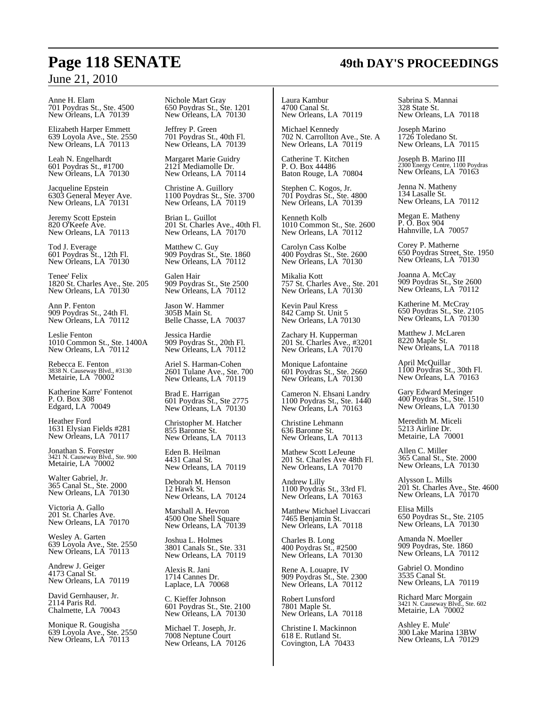## **Page 118 SENATE 49th DAY'S PROCEEDINGS**

### June 21, 2010

Anne H. Elam 701 Poydras St., Ste. 4500 New Orleans, LA 70139

Elizabeth Harper Emmett 639 Loyola Ave., Ste. 2550 New Orleans, LA 70113

Leah N. Engelhardt 601 Poydras St., #1700 New Orleans, LA 70130

Jacqueline Epstein 6303 General Meyer Ave. New Orleans, LA 70131

Jeremy Scott Epstein 820 O'Keefe Ave. New Orleans, LA 70113

Tod J. Everage 601 Poydras St., 12th Fl. New Orleans, LA 70130

Tenee' Felix 1820 St. Charles Ave., Ste. 205 New Orleans, LA 70130

Ann P. Fenton 909 Poydras St., 24th Fl. New Orleans, LA 70112

Leslie Fenton 1010 Common St., Ste. 1400A New Orleans, LA 70112

Rebecca E. Fenton 3838 N. Causeway Blvd., #3130 Metairie, LA 70002

Katherine Karre' Fontenot P. O. Box 308 Edgard, LA 70049

Heather Ford 1631 Elysian Fields #281 New Orleans, LA 70117

Jonathan S. Forester 3421 N. Causeway Blvd., Ste. 900 Metairie, LA 70002

Walter Gabriel, Jr. 365 Canal St., Ste. 2000 New Orleans, LA 70130

Victoria A. Gallo 201 St. Charles Ave. New Orleans, LA 70170

Wesley A. Garten 639 Loyola Ave., Ste. 2550 New Orleans, LA 70113

Andrew J. Geiger 4173 Canal St. New Orleans, LA 70119

David Gernhauser, Jr. 2114 Paris Rd. Chalmette, LA 70043

Monique R. Gougisha 639 Loyola Ave., Ste. 2550 New Orleans, LA 70113

Nichole Mart Gray 650 Poydras St., Ste. 1201 New Orleans, LA 70130

Jeffrey P. Green 701 Poydras St., 40th Fl. New Orleans, LA 70139

Margaret Marie Guidry 2121 Mediamolle Dr. New Orleans, LA 70114

Christine A. Guillory 1100 Poydras St., Ste. 3700 New Orleans, LA 70119

Brian L. Guillot 201 St. Charles Ave., 40th Fl. New Orleans, LA  $70170$ 

Matthew C. Guy 909 Poydras St., Ste. 1860 New Orleans, LA 70112

Galen Hair 909 Poydras St., Ste 2500 New Orleans, LA 70112

Jason W. Hammer 305B Main St. Belle Chasse, LA 70037

Jessica Hardie 909 Poydras St., 20th Fl. New Orleans, LA 70112

Ariel S. Harman-Cohen 2601 Tulane Ave., Ste. 700 New Orleans, LA 70119

Brad E. Harrigan 601 Poydras St., Ste 2775 New Orleans, LA 70130

Christopher M. Hatcher 855 Baronne St. New Orleans, LA 70113

Eden B. Heilman 4431 Canal St. New Orleans, LA 70119

Deborah M. Henson 12 Hawk St. New Orleans, LA 70124

Marshall A. Hevron 4500 One Shell Square New Orleans, LA '70139

Joshua L. Holmes 3801 Canals St., Ste. 331 New Orleans, LA 70119

Alexis R. Jani 1714 Cannes Dr. Laplace, LA 70068

C. Kieffer Johnson 601 Poydras St., Ste. 2100 New Orleans, LA 70130

Michael T. Joseph, Jr. 7008 Neptune Court New Orleans, LA 70126 Laura Kambur 4700 Canal St. New Orleans, LA 70119

Michael Kennedy 702 N. Carrollton Ave., Ste. A New Orleans, LA 70119

Catherine T. Kitchen P. O. Box 44486 Baton Rouge, LA 70804

Stephen C. Kogos, Jr. 701 Poydras St., Ste. 4800 New Orleans, LA 70139

Kenneth Kolb 1010 Common St., Ste. 2600 New Orleans, LA  $70112$ 

Carolyn Cass Kolbe 400 Poydras St., Ste. 2600 New Orleans, LA 70130

Mikalia Kott 757 St. Charles Ave., Ste. 201 New Orleans, LA  $70130$ 

Kevin Paul Kress 842 Camp St. Unit 5 New Orleans, LA 70130

Zachary H. Kupperman 201 St. Charles Ave., #3201 New Orleans, LA  $70170$ 

Monique Lafontaine 601 Poydras St., Ste. 2660 New Orleans, LA 70130

Cameron N. Ehsani Landry 1100 Poydras St., Ste. 1440 New Orleans, LA 70163

Christine Lehmann 636 Baronne St. New Orleans, LA 70113

Mathew Scott LeJeune 201 St. Charles Ave 48th Fl. New Orleans, LA 70170

Andrew Lilly 1100 Poydras St., 33rd Fl. New Orleans, LA 70163

Matthew Michael Livaccari 7465 Benjamin St. New Orleans, LA 70118

Charles B. Long 400 Poydras St., #2500 New Orleans, LA 70130

Rene A. Louapre, IV 909 Poydras St., Ste. 2300 New Orleans, LA 70112

Robert Lunsford 7801 Maple St. New Orleans, LA 70118

Christine I. Mackinnon 618 E. Rutland St. Covington, LA 70433

Sabrina S. Mannai 328 State St. New Orleans, LA 70118

Joseph Marino 1726 Toledano St. New Orleans, LA 70115

Joseph B. Marino III 2300 Energy Centre, 1100 Poydras New Orleans, LA 70163

Jenna N. Matheny 134 Lasalle St. New Orleans, LA 70112

Megan E. Matheny P. O. Box 904 Hahnville, LA 70057

Corey P. Matherne 650 Poydras Street, Ste. 1950 New Orleans, LA 70130

Joanna A. McCay 909 Poydras St., Ste 2600 New Orleans, LA 70112

Katherine M. McCray 650 Poydras St., Ste. 2105 New Orleans, LA 70130

Matthew J. McLaren 8220 Maple St. New Orleans, LA 70118

April McQuillar 1100 Poydras St., 30th Fl. New Orleans, LA 70163

Gary Edward Meringer 400 Poydras St., Ste. 1510 New Orleans, LA 70130

Meredith M. Miceli 5213 Airline Dr. Metairie, LA 70001

Allen C. Miller 365 Canal St., Ste. 2000 New Orleans, LA 70130

Alysson L. Mills 201 St. Charles Ave., Ste. 4600 New Orleans, LA  $70170$ 

Elisa Mills 650 Poydras St., Ste. 2105 New Orleans, LA 70130

Amanda N. Moeller 909 Poydras, Ste. 1860 New Orleans, LA 70112

Gabriel O. Mondino 3535 Canal St. New Orleans, LA 70119

Richard Marc Morgain 3421 N. Causeway Blvd., Ste. 602 Metairie, LA 70002

Ashley E. Mule' 300 Lake Marina 13BW New Orleans, LA 70129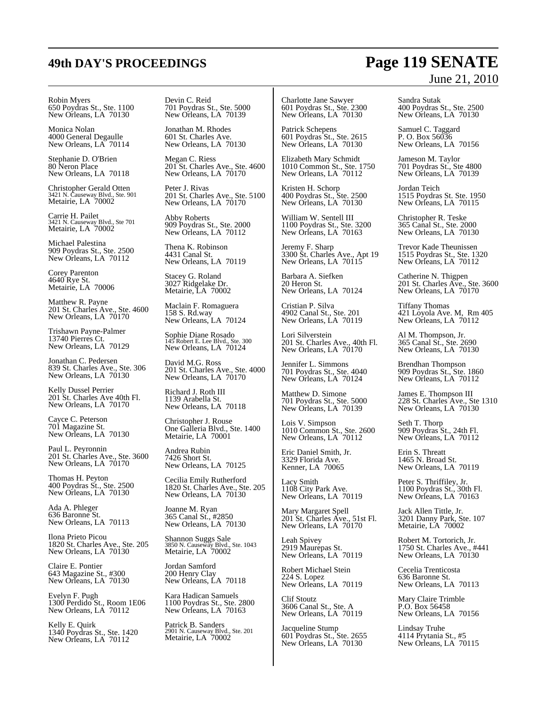## **49th DAY'S PROCEEDINGS Page 119 SENATE** June 21, 2010

Robin Myers 650 Poydras St., Ste. 1100 New Orleans, LA 70130

Monica Nolan 4000 General Degaulle New Orleans, LA 70114

Stephanie D. O'Brien 80 Neron Place New Orleans, LA 70118

Christopher Gerald Otten 3421 N. Causeway Blvd., Ste. 901 Metairie, LA 70002

Carrie H. Pailet 3421 N. Causeway Blvd., Ste 701 Metairie, LA 70002

Michael Palestina 909 Poydras St., Ste. 2500 New Orleans, LA 70112

Corey Parenton 4640 Rye St. Metairie, LA 70006

Matthew R. Payne 201 St. Charles Ave., Ste. 4600 New Orleans, LA  $70170$ 

Trishawn Payne-Palmer 13740 Pierres Ct. New Orleans, LA 70129

Jonathan C. Pedersen 839 St. Charles Ave., Ste. 306 New Orleans, LA 70130

Kelly Dussel Perrier 201 St. Charles Ave 40th Fl. New Orleans, LA 70170

Cayce C. Peterson 701 Magazine St. New Orleans, LA 70130

Paul L. Peyronnin 201 St. Charles Ave., Ste. 3600 New Orleans, LA 70170

Thomas H. Peyton 400 Poydras St., Ste. 2500 New Orleans, LA 70130

Ada A. Phleger 636 Baronne St. New Orleans, LA 70113

Ilona Prieto Picou 1820 St. Charles Ave., Ste. 205 New Orleans, LA 70130

Claire E. Pontier 643 Magazine St., #300 New Orleans, LA 70130

Evelyn F. Pugh 1300 Perdido St., Room 1E06 New Orleans, LA 70112

Kelly E. Quirk 1340 Poydras St., Ste. 1420 New Orleans, LA 70112

Devin C. Reid 701 Poydras St., Ste. 5000 New Orleans, LA 70139

Jonathan M. Rhodes 601 St. Charles Ave. New Orleans, LA 70130

Megan C. Riess 201 St. Charles Ave., Ste. 4600 New Orleans, LA 70170

Peter J. Rivas 201 St. Charles Ave., Ste. 5100 New Orleans, LA 70170

Abby Roberts 909 Poydras St., Ste. 2000 New Orleans, LA 70112

Thena K. Robinson 4431 Canal St. New Orleans, LA 70119

Stacey G. Roland 3027 Ridgelake Dr. Metairie, LA 70002

Maclain F. Romaguera 158 S. Rd.way New Orleans, LA 70124

Sophie Diane Rosado 145 Robert E. Lee Blvd., Ste. 300 New Orleans, LA  $70124$ 

David M.G. Ross 201 St. Charles Ave., Ste. 4000 New Orleans, LA 70170

Richard J. Roth III 1139 Arabella St. New Orleans, LA 70118

Christopher J. Rouse One Galleria Blvd., Ste. 1400 Metairie, LA 70001

Andrea Rubin 7426 Short St. New Orleans, LA 70125

Cecilia Emily Rutherford 1820 St. Charles Ave., Ste. 205 New Orleans, LA 70130

Joanne M. Ryan 365 Canal St., #2850 New Orleans, LA 70130

Shannon Suggs Sale 3850 N. Causeway Blvd., Ste. 1043 Metairie, LA 70002

Jordan Samford 200 Henry Clay New Orleans, LA 70118

Kara Hadican Samuels 1100 Poydras St., Ste. 2800 New Orleans, LA 70163

Patrick B. Sanders 2901 N. Causeway Blvd., Ste. 201 Metairie, LA 70002

Charlotte Jane Sawyer 601 Poydras St., Ste. 2300 New Orleans, LA 70130

Patrick Schepens 601 Poydras St., Ste. 2615 New Orleans, LA 70130

Elizabeth Mary Schmidt 1010 Common St., Ste. 1750 New Orleans, LA 70112

Kristen H. Schorp 400 Poydras St., Ste. 2500 New Orleans, LA 70130

William W. Sentell III 1100 Poydras St., Ste. 3200 New Orleans, LA 70163

Jeremy F. Sharp 3300 St. Charles Ave., Apt 19 New Orleans, LA 70115

Barbara A. Siefken 20 Heron St. New Orleans, LA 70124

Cristian P. Silva 4902 Canal St., Ste. 201 New Orleans, LA 70119

Lori Silverstein 201 St. Charles Ave., 40th Fl. New Orleans, LA  $70170$ 

Jennifer L. Simmons 701 Poydras St., Ste. 4040 New Orleans, LA 70124

Matthew D. Simone 701 Poydras St., Ste. 5000 New Orleans, LA 70139

Lois V. Simpson 1010 Common St., Ste. 2600 New Orleans, LA 70112

Eric Daniel Smith, Jr. 3329 Florida Ave. Kenner, LA 70065

Lacy Smith 1108 City Park Ave. New Orleans, LA 70119

Mary Margaret Spell 201 St. Charles Ave., 51st Fl. New Orleans, LA 70170

Leah Spivey 2919 Maurepas St. New Orleans, LA 70119

Robert Michael Stein 224 S. Lopez New Orleans, LA 70119

Clif Stoutz 3606 Canal St., Ste. A New Orleans, LA 70119

Jacqueline Stump 601 Poydras St., Ste. 2655 New Orleans, LA 70130

Sandra Sutak 400 Poydras St., Ste. 2500 New Orleans, LA 70130

Samuel C. Taggard P. O. Box 56036 New Orleans, LA 70156

Jameson M. Taylor 701 Poydras St., Ste 4800 New Orleans, LA 70139

Jordan Teich 1515 Poydras St. Ste. 1950 New Orleans, LA 70115

Christopher R. Teske 365 Canal St., Ste. 2000 New Orleans, LA 70130

Trevor Kade Theunissen 1515 Poydras St., Ste. 1320 New Orleans, LA 70112

Catherine N. Thigpen 201 St. Charles Ave., Ste. 3600 New Orleans, LA  $70170$ 

Tiffany Thomas 421 Loyola Ave. M, Rm 405 New Orleans, LA 70112

Al M. Thompson, Jr. 365 Canal St., Ste. 2690 New Orleans, LA 70130

Brendhan Thompson 909 Poydras St., Ste. 1860 New Orleans, LA 70112

James E. Thompson III 228 St. Charles Ave., Ste 1310 New Orleans, LA 70130

Seth T. Thorp 909 Poydras St., 24th Fl. New Orleans, LA 70112

Erin S. Threatt 1465 N. Broad St. New Orleans, LA 70119

Peter S. Thriffiley, Jr. 1100 Poydras St., 30th Fl. New Orleans, LA 70163

Jack Allen Tittle, Jr. 3201 Danny Park, Ste. 107 Metairie, LA 70002

Robert M. Tortorich, Jr. 1750 St. Charles Ave., #441 New Orleans, LA 70130

Cecelia Trenticosta 636 Baronne St. New Orleans, LA 70113

Mary Claire Trimble P.O. Box 56458 New Orleans, LA 70156

Lindsay Truhe 4114 Prytania St., #5 New Orleans, LA 70115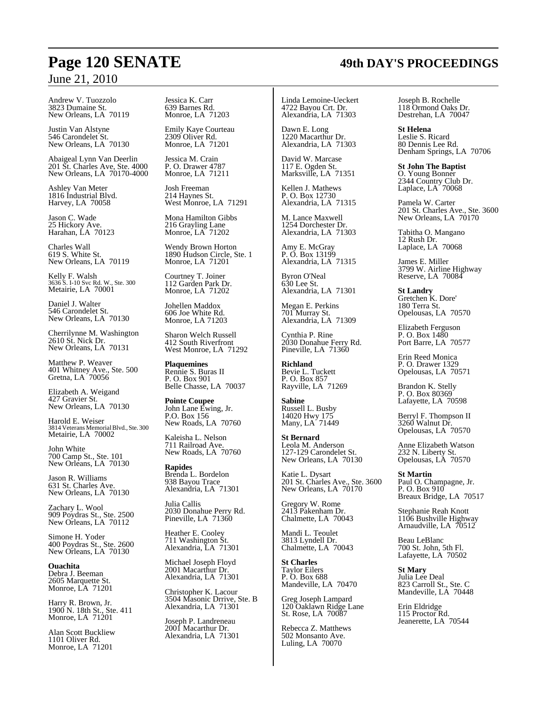Andrew V. Tuozzolo 3823 Dumaine St. New Orleans, LA 70119

Justin Van Alstyne 546 Carondelet St. New Orleans, LA 70130

Abaigeal Lynn Van Deerlin 201 St. Charles Ave, Ste. 4000 New Orleans, LA 70170-4000

Ashley Van Meter 1816 Industrial Blvd. Harvey, LA 70058

Jason C. Wade 25 Hickory Ave. Harahan, LA 70123

Charles Wall 619 S. White St. New Orleans, LA 70119

Kelly F. Walsh 3636 S. I-10 Svc Rd. W., Ste. 300 Metairie, LA 70001

Daniel J. Walter 546 Carondelet St. New Orleans, LA 70130

Cherrilynne M. Washington 2610 St. Nick Dr. New Orleans, LA 70131

Matthew P. Weaver 401 Whitney Ave., Ste. 500 Gretna, LA 70056

Elizabeth A. Weigand 427 Gravier St. New Orleans, LA 70130

Harold E. Weiser 3814 VeteransMemorial Blvd., Ste. 300 Metairie, LA 70002

John White 700 Camp St., Ste. 101 New Orleans, LA 70130

Jason R. Williams 631 St. Charles Ave. New Orleans, LA 70130

Zachary L. Wool 909 Poydras St., Ste. 2500 New Orleans, LA 70112

Simone H. Yoder 400 Poydras St., Ste. 2600 New Orleans, LA 70130

**Ouachita** Debra J. Beeman 2605 Marquette St. Monroe, LA 71201

Harry R. Brown, Jr. 1900 N. 18th St., Ste. 411 Monroe, LA 71201

Alan Scott Buckliew 1101 Oliver Rd. Monroe, LA 71201

Jessica K. Carr 639 Barnes Rd. Monroe, LA 71203

Emily Kaye Courteau 2309 Oliver Rd. Monroe, LA 71201

Jessica M. Crain P. O. Drawer 4787 Monroe, LA 71211

Josh Freeman 214 Haynes St. West Monroe, LA 71291

Mona Hamilton Gibbs 216 Grayling Lane Monroe, LA 71202

Wendy Brown Horton 1890 Hudson Circle, Ste. 1 Monroe, LA 71201

Courtney T. Joiner 112 Garden Park Dr. Monroe, LA 71202

Johellen Maddox 606 Joe White Rd. Monroe, LA 71203

Sharon Welch Russell 412 South Riverfront West Monroe, LA 71292

**Plaquemines** Rennie S. Buras II P. O. Box 901 Belle Chasse, LA 70037

**Pointe Coupee** John Lane Ewing, Jr. P.O. Box 156 New Roads, LA 70760

Kaleisha L. Nelson 711 Railroad Ave. New Roads, LA 70760

**Rapides** Brenda L. Bordelon 938 Bayou Trace Alexandria, LA 71301

Julia Callis 2030 Donahue Perry Rd. Pineville, LA 71360

Heather E. Cooley 711 Washington St. Alexandria, LA 71301

Michael Joseph Floyd 2001 Macarthur Dr. Alexandria, LA 71301

Christopher K. Lacour 3504 Masonic Drrive, Ste. B Alexandria, LA 71301

Joseph P. Landreneau 2001 Macarthur Dr. Alexandria, LA 71301 Linda Lemoine-Ueckert 4722 Bayou Crt. Dr. Alexandria, LA 71303

Dawn E. Long 1220 Macarthur Dr. Alexandria, LA 71303

David W. Marcase 117 E. Ogden St. Marksville, LA 71351

Kellen J. Mathews P. O. Box 12730 Alexandria, LA 71315

M. Lance Maxwell 1254 Dorchester Dr. Alexandria, LA 71303

Amy E. McGray P. O. Box 13199 Alexandria, LA 71315

Byron O'Neal 630 Lee St. Alexandria, LA 71301

Megan E. Perkins 701 Murray St. Alexandria, LA 71309

Cynthia P. Rine 2030 Donahue Ferry Rd. Pineville, LA 71360

**Richland** Bevie L. Tuckett P. O. Box 857 Rayville, LA 71269

**Sabine** Russell L. Busby 14020 Hwy 175 Many, LA 71449

**St Bernard** Leola M. Anderson 127-129 Carondelet St. New Orleans, LA 70130

Katie L. Dysart 201 St. Charles Ave., Ste. 3600 New Orleans, LA  $70170$ 

Gregory W. Rome 2413 Pakenham Dr. Chalmette, LA 70043

Mandi L. Teoulet 3813 Lyndell Dr. Chalmette, LA 70043

**St Charles** Taylor Eilers P. O. Box 688 Mandeville, LA 70470

Greg Joseph Lampard 120 Oaklawn Ridge Lane St. Rose, LA 70087

Rebecca Z. Matthews 502 Monsanto Ave. Luling, LA 70070

Joseph B. Rochelle 118 Ormond Oaks Dr. Destrehan, LA 70047

**St Helena** Leslie S. Ricard 80 Dennis Lee Rd. Denham Springs, LA 70706

**St John The Baptist** O. Young Bonner 2344 Country Club Dr. Laplace, LA 70068

Pamela W. Carter 201 St. Charles Ave., Ste. 3600 New Orleans, LA 70170

Tabitha O. Mangano 12 Rush Dr. Laplace, LA 70068

James E. Miller 3799 W. Airline Highway Reserve, LA 70084

**St Landry** Gretchen K. Dore' 180 Terra St. Opelousas, LA 70570

Elizabeth Ferguson P. O. Box 1480 Port Barre, LA 70577

Erin Reed Monica P. O. Drawer 1329 Opelousas, LA 70571

Brandon K. Stelly P. O. Box 80369 Lafayette, LA 70598

Berryl F. Thompson II 3260 Walnut Dr. Opelousas, LA 70570

Anne Elizabeth Watson 232 N. Liberty St. Opelousas, LA 70570

**St Martin** Paul O. Champagne, Jr. P. O. Box 910 Breaux Bridge, LA 70517

Stephanie Reah Knott 1106 Bushville Highway Arnaudville, LA 70512

Beau LeBlanc 700 St. John, 5th Fl. Lafayette, LA 70502

**St Mary** Julia Lee Deal 823 Carroll St., Ste. C Mandeville, LA 70448

Erin Eldridge 115 Proctor Rd. Jeanerette, LA 70544

## **Page 120 SENATE 49th DAY'S PROCEEDINGS**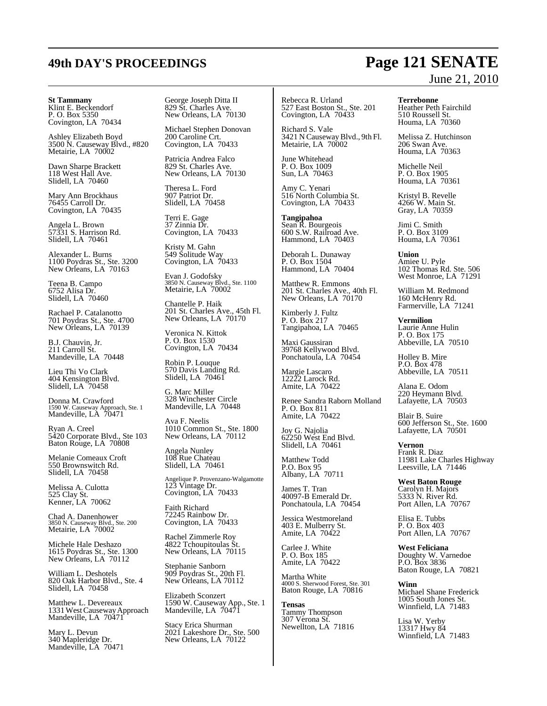### **St Tammany**

Klint E. Beckendorf P. O. Box 5350 Covington, LA 70434

Ashley Elizabeth Boyd 3500 N. Causeway Blvd., #820 Metairie, LA 70002

Dawn Sharpe Brackett 118 West Hall Ave. Slidell, LA 70460

Mary Ann Brockhaus 76455 Carroll Dr. Covington, LA 70435

Angela L. Brown 57331 S. Harrison Rd. Slidell, LA 70461

Alexander L. Burns 1100 Poydras St., Ste. 3200 New Orleans, LA 70163

Teena B. Campo 6752 Alisa Dr. Slidell, LA 70460

Rachael P. Catalanotto 701 Poydras St., Ste. 4700 New Orleans, LA 70139

B.J. Chauvin, Jr. 211 Carroll St. Mandeville, LA 70448

Lieu Thi Vo Clark 404 Kensington Blvd. Slidell, LA 70458

Donna M. Crawford 1590 W. Causeway Approach, Ste. 1 Mandeville, LA 70471

Ryan A. Creel 5420 Corporate Blvd., Ste 103 Baton Rouge, LA 70808

Melanie Comeaux Croft 550 Brownswitch Rd. Slidell, LA 70458

Melissa A. Culotta 525 Clay St. Kenner, LA 70062

Chad A. Danenhower 3850 N. Causeway Blvd., Ste. 200 Metairie, LA 70002

Michele Hale Deshazo 1615 Poydras St., Ste. 1300 New Orleans, LA 70112

William L. Deshotels 820 Oak Harbor Blvd., Ste. 4 Slidell, LA 70458

Matthew L. Devereaux 1331 West Causeway Approach Mandeville, LA 70471

Mary L. Devun 340 Mapleridge Dr. Mandeville, LA 70471 George Joseph Ditta II 829 St. Charles Ave. New Orleans, LA 70130

Michael Stephen Donovan 200 Caroline Crt. Covington, LA 70433

Patricia Andrea Falco 829 St. Charles Ave. New Orleans, LA 70130

Theresa L. Ford 907 Patriot Dr. Slidell, LA 70458

Terri E. Gage 37 Zinnia Dr. Covington, LA 70433

Kristy M. Gahn 549 Solitude Way Covington, LA 70433

Evan J. Godofsky 3850 N. Causeway Blvd., Ste. 1100 Metairie, LA 70002

Chantelle P. Haik 201 St. Charles Ave., 45th Fl. New Orleans, LA 70170

Veronica N. Kittok P. O. Box 1530 Covington, LA 70434

Robin P. Louque 570 Davis Landing Rd. Slidell, LA 70461

G. Marc Miller 328 Winchester Circle Mandeville, LA 70448

Ava F. Neelis 1010 Common St., Ste. 1800 New Orleans, LA 70112

Angela Nunley 108 Rue Chateau Slidell, LA 70461

Angelique P. Provenzano-Walgamotte 123 Vintage Dr. Covington, LA 70433

Faith Richard 72245 Rainbow Dr. Covington, LA 70433

Rachel Zimmerle Roy 4822 Tchoupitoulas St. New Orleans, LA 70115

Stephanie Sanborn 909 Poydras St., 20th Fl. New Orleans, LA 70112

Elizabeth Sconzert 1590 W. Causeway App., Ste. 1 Mandeville, LA 70471

Stacy Erica Shurman 2021 Lakeshore Dr., Ste. 500 New Orleans, LA 70122

Rebecca R. Urland 527 East Boston St., Ste. 201 Covington, LA 70433

Richard S. Vale 3421 N CausewayBlvd., 9th Fl. Metairie, LA 70002

June Whitehead P. O. Box 1009 Sun, LA 70463

Amy C. Yenari 516 North Columbia St. Covington, LA 70433

**Tangipahoa** Sean R. Bourgeois 600 S.W. Railroad Ave. Hammond, LA 70403

Deborah L. Dunaway P. O. Box 1504 Hammond, LA 70404

Matthew R. Emmons 201 St. Charles Ave., 40th Fl. New Orleans, LA  $70170$ 

Kimberly J. Fultz P. O. Box 217 Tangipahoa, LA 70465

Maxi Gaussiran 39768 Kellywood Blvd. Ponchatoula, LA 70454

Margie Lascaro 12222 Larock Rd. Amite, LA 70422

Renee Sandra Raborn Molland P. O. Box 811 Amite, LA 70422

Joy G. Najolia 62250 West End Blvd. Slidell, LA 70461

Matthew Todd P.O. Box 95 Albany, LA 70711

James T. Tran 40097-B Emerald Dr. Ponchatoula, LA 70454

Jessica Westmoreland 403 E. Mulberry St. Amite, LA 70422

Carlee J. White P. O. Box 185 Amite, LA 70422

Martha White 4000 S. Sherwood Forest, Ste. 301 Baton Rouge, LA 70816

**Tensas** Tammy Thompson 307 Verona St. Newellton, LA 71816

## **49th DAY'S PROCEEDINGS Page 121 SENATE** June 21, 2010

**Terrebonne**

Heather Peth Fairchild 510 Roussell St. Houma, LA 70360

Melissa Z. Hutchinson 206 Swan Ave. Houma, LA 70363

Michelle Neil P. O. Box 1905 Houma, LA 70361

Kristyl B. Revelle 4266 W. Main St. Gray, LA 70359

Jimi C. Smith P. O. Box 3109 Houma, LA 70361

**Union** Amiee U. Pyle 102 Thomas Rd. Ste. 506 West Monroe, LA 71291

William M. Redmond 160 McHenry Rd. Farmerville, LA 71241

**Vermilion** Laurie Anne Hulin P. O. Box 175 Abbeville, LA 70510

Holley B. Mire P.O. Box 478 Abbeville, LA 70511

Alana E. Odom 220 Heymann Blvd. Lafayette, LA 70503

Blair B. Suire 600 Jefferson St., Ste. 1600 Lafayette, LA 70501

**Vernon** Frank R. Diaz 11981 Lake Charles Highway Leesville, LA 71446

**West Baton Rouge** Carolyn H. Majors 5333 N. River Rd. Port Allen, LA 70767

Elisa E. Tubbs P. O. Box 403 Port Allen, LA 70767

**West Feliciana** Doughty W. Varnedoe P.O. Box 3836 Baton Rouge, LA 70821

**Winn** Michael Shane Frederick 1005 South Jones St. Winnfield, LA 71483

Lisa W. Yerby 13317 Hwy 84 Winnfield, LA 71483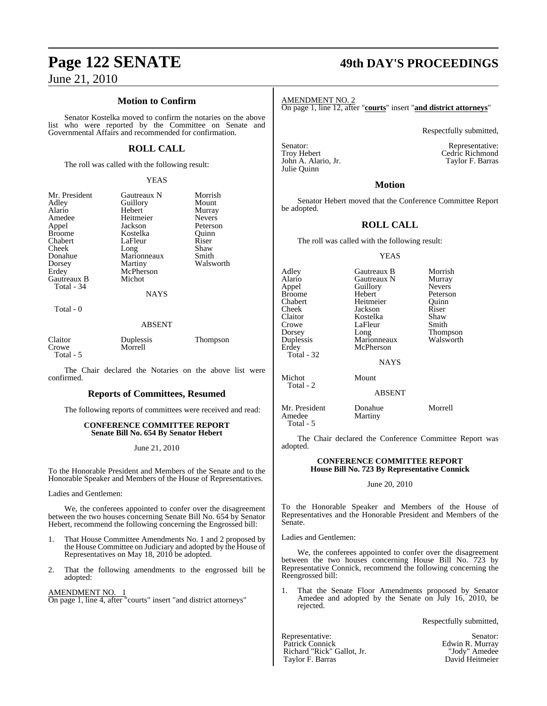## **Page 122 SENATE 49th DAY'S PROCEEDINGS**

June 21, 2010

### **Motion to Confirm**

Senator Kostelka moved to confirm the notaries on the above list who were reported by the Committee on Senate and Governmental Affairs and recommended for confirmation.

### **ROLL CALL**

The roll was called with the following result:

### YEAS

| Mr. President<br>Adley<br>Alario<br>Amedee<br>Appel<br><b>Broome</b><br>Chabert<br>Cheek<br>Donahue<br>Dorsey<br>Erdey<br>Gautreaux B<br>Total - 34 | Gautreaux N<br>Guillory<br>Hebert<br>Heitmeier<br>Jackson<br>Kostelka<br>LaFleur<br>Long<br>Marionneaux<br>Martiny<br>McPherson<br>Michot<br><b>NAYS</b> | Morrish<br>Mount<br>Murray<br><b>Nevers</b><br>Peterson<br>Ouinn<br>Riser<br>Shaw<br>Smith<br>Walsworth |
|-----------------------------------------------------------------------------------------------------------------------------------------------------|----------------------------------------------------------------------------------------------------------------------------------------------------------|---------------------------------------------------------------------------------------------------------|
| Total - 0                                                                                                                                           |                                                                                                                                                          |                                                                                                         |
|                                                                                                                                                     | ABSENT                                                                                                                                                   |                                                                                                         |

| Claitor   | Duplessis | <b>Thompson</b> |
|-----------|-----------|-----------------|
| Crowe     | Morrell   |                 |
| Total - 5 |           |                 |

The Chair declared the Notaries on the above list were confirmed.

### **Reports of Committees, Resumed**

The following reports of committees were received and read:

### **CONFERENCE COMMITTEE REPORT Senate Bill No. 654 By Senator Hebert**

June 21, 2010

To the Honorable President and Members of the Senate and to the Honorable Speaker and Members of the House of Representatives.

Ladies and Gentlemen:

We, the conferees appointed to confer over the disagreement between the two houses concerning Senate Bill No. 654 by Senator Hebert, recommend the following concerning the Engrossed bill:

- 1. That House Committee Amendments No. 1 and 2 proposed by the House Committee on Judiciary and adopted by the House of Representatives on May 18, 2010 be adopted.
- 2. That the following amendments to the engrossed bill be adopted:

AMENDMENT NO. 1 On page 1, line 4, after "courts" insert "and district attorneys"

AMENDMENT NO. 2

On page 1, line 12, after "**courts**" insert "**and district attorneys**"

Respectfully submitted,

Senator: Representative: John A. Alario, Jr. Julie Quinn

Cedric Richmond<br>Taylor F. Barras

### **Motion**

Senator Hebert moved that the Conference Committee Report be adopted.

### **ROLL CALL**

The roll was called with the following result:

### YEAS

| Adley<br>Alario<br>Appel<br><b>Broome</b><br>Chabert<br>Cheek<br>Claitor<br>Crowe<br>Dorsey<br>Duplessis<br>Erdey<br>Total - 32 | Gautreaux B<br>Gautreaux N<br>Guillory<br>Hebert<br>Heitmeier<br>Jackson<br>Kostelka<br>LaFleur<br>Long<br>Marionneaux<br>McPherson<br><b>NAYS</b> | Morrish<br>Murray<br><b>Nevers</b><br>Peterson<br>Ouinn<br>Riser<br>Shaw<br>Smith<br><b>Thompson</b><br>Walsworth |
|---------------------------------------------------------------------------------------------------------------------------------|----------------------------------------------------------------------------------------------------------------------------------------------------|-------------------------------------------------------------------------------------------------------------------|
| Michot<br>Total - 2                                                                                                             | Mount<br><b>ABSENT</b>                                                                                                                             |                                                                                                                   |
| Mr. President<br>Amedee                                                                                                         | Donahue<br>Martiny                                                                                                                                 | Morrell                                                                                                           |

 Total - 5 The Chair declared the Conference Committee Report was adopted.

### **CONFERENCE COMMITTEE REPORT House Bill No. 723 By Representative Connick**

### June 20, 2010

To the Honorable Speaker and Members of the House of Representatives and the Honorable President and Members of the Senate.

Ladies and Gentlemen:

We, the conferees appointed to confer over the disagreement between the two houses concerning House Bill No. 723 by Representative Connick, recommend the following concerning the Reengrossed bill:

1. That the Senate Floor Amendments proposed by Senator Amedee and adopted by the Senate on July 16, 2010, be rejected.

Respectfully submitted,

Representative: Senator: Senator: Senator: Senator: Senator: Senator: Senator: Senator: Senator: Senator: Senator: Senator: Senator: Senator: Senator: Senator: Senator: Senator: Senator: Senator: Senator: Senator: Senator: Richard "Rick" Gallot, Jr.<br>
Taylor F. Barras<br>
David Heitmeier Taylor F. Barras

Edwin R. Murray<br>"Jody" Amedee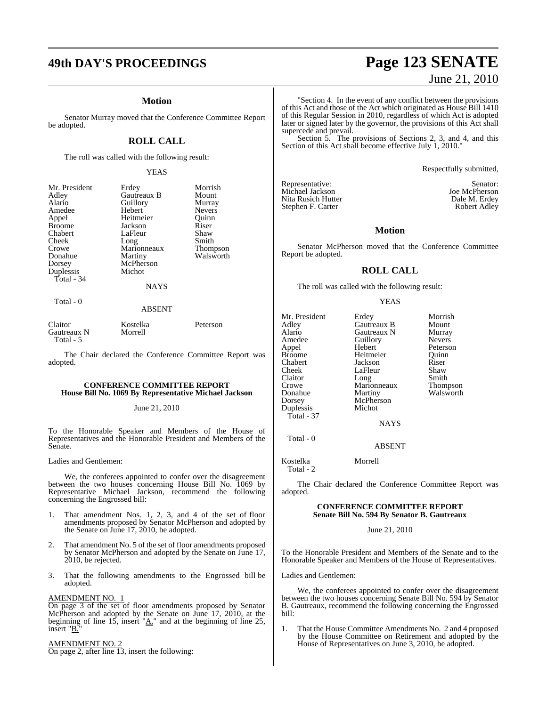### **Motion**

Senator Murray moved that the Conference Committee Report be adopted.

### **ROLL CALL**

The roll was called with the following result:

### YEAS

| Mr. President | Erdey       | Morrish       |
|---------------|-------------|---------------|
| Adley         | Gautreaux B | Mount         |
| Alario        | Guillory    | Murray        |
| Amedee        | Hebert      | <b>Nevers</b> |
| Appel         | Heitmeier   | Quinn         |
| <b>Broome</b> | Jackson     | Riser         |
| Chabert       | LaFleur     | Shaw          |
| Cheek         | Long        | Smith         |
| Crowe         | Marionneaux | Thompson      |
| Donahue       | Martiny     | Walsworth     |
| Dorsey        | McPherson   |               |
| Duplessis     | Michot      |               |
| Total - 34    |             |               |
|               | <b>NAYS</b> |               |
| Total - 0     |             |               |

### ABSENT

| Claitor     | Kostelka | Peterson |
|-------------|----------|----------|
| Gautreaux N | Morrell  |          |
| Total - 5   |          |          |

The Chair declared the Conference Committee Report was adopted.

### **CONFERENCE COMMITTEE REPORT House Bill No. 1069 By Representative Michael Jackson**

### June 21, 2010

To the Honorable Speaker and Members of the House of Representatives and the Honorable President and Members of the Senate.

Ladies and Gentlemen:

We, the conferees appointed to confer over the disagreement between the two houses concerning House Bill No. 1069 by Representative Michael Jackson, recommend the following concerning the Engrossed bill:

- 1. That amendment Nos. 1, 2, 3, and 4 of the set of floor amendments proposed by Senator McPherson and adopted by the Senate on June 17, 2010, be adopted.
- 2. That amendment No. 5 of the set of floor amendments proposed by Senator McPherson and adopted by the Senate on June 17, 2010, be rejected.
- 3. That the following amendments to the Engrossed bill be adopted.

### AMENDMENT NO. 1

On page 3 of the set of floor amendments proposed by Senator McPherson and adopted by the Senate on June 17, 2010, at the beginning of line 15, insert " $\underline{A}$ ." and at the beginning of line 25, insert "B."

### AMENDMENT NO. 2

On page 2, after line 13, insert the following:

## **49th DAY'S PROCEEDINGS Page 123 SENATE** June 21, 2010

"Section 4. In the event of any conflict between the provisions of this Act and those of the Act which originated as House Bill 1410 of this Regular Session in 2010, regardless of which Act is adopted later or signed later by the governor, the provisions of this Act shall supercede and prevail.

Section 5. The provisions of Sections 2, 3, and 4, and this Section of this Act shall become effective July 1, 2010."

Respectfully submitted,

Representative: Senator:<br>
Michael Jackson<br>
Senator: Senator: Senator: Senator: Senator: Senator: Senator: Senator: Senator: Senator: Senator: Senator: S Nita Rusich Hutter Dale M. Erdey<br>Stephen F. Carter Carter Robert Adley Stephen F. Carter

Joe McPherson<br>Dale M. Erdey

### **Motion**

Senator McPherson moved that the Conference Committee Report be adopted.

### **ROLL CALL**

The roll was called with the following result:

### YEAS

| Mr. President | Erdey       | Morrish         |
|---------------|-------------|-----------------|
| Adley         | Gautreaux B | Mount           |
| Alario        | Gautreaux N | Murray          |
| Amedee        | Guillory    | <b>Nevers</b>   |
| Appel         | Hebert      | Peterson        |
| <b>Broome</b> | Heitmeier   | Ouinn           |
| Chabert       | Jackson     | Riser           |
| Cheek         | LaFleur     | Shaw            |
| Claitor       | Long        | Smith           |
| Crowe         | Marionneaux | <b>Thompson</b> |
| Donahue       | Martiny     | Walsworth       |
| Dorsey        | McPherson   |                 |
| Duplessis     | Michot      |                 |
| Total - 37    |             |                 |
|               | NAYS        |                 |

NAYS

Total - 0

Kostelka Morrell

Total - 2

The Chair declared the Conference Committee Report was adopted.

ABSENT

### **CONFERENCE COMMITTEE REPORT Senate Bill No. 594 By Senator B. Gautreaux**

June 21, 2010

To the Honorable President and Members of the Senate and to the Honorable Speaker and Members of the House of Representatives.

Ladies and Gentlemen:

We, the conferees appointed to confer over the disagreement between the two houses concerning Senate Bill No. 594 by Senator B. Gautreaux, recommend the following concerning the Engrossed bill:

1. That the House Committee Amendments No. 2 and 4 proposed by the House Committee on Retirement and adopted by the House of Representatives on June 3, 2010, be adopted.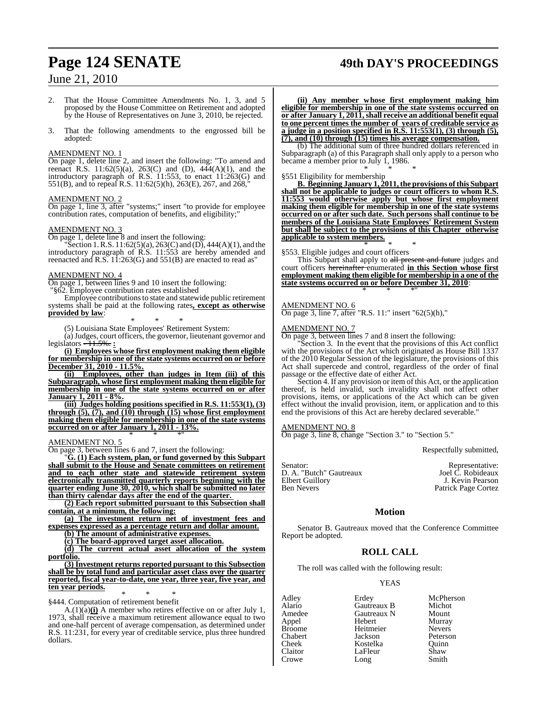## **Page 124 SENATE 49th DAY'S PROCEEDINGS**

### June 21, 2010

- 2. That the House Committee Amendments No. 1, 3, and 5 proposed by the House Committee on Retirement and adopted by the House of Representatives on June 3, 2010, be rejected.
- 3. That the following amendments to the engrossed bill be adopted:

### AMENDMENT NO. 1

On page 1, delete line 2, and insert the following: "To amend and reenact R.S. 11:62(5)(a), 263(C) and (D),  $444(A)(1)$ , and the introductory paragraph of R.S. 11:553, to enact 11:263(G) and 551(B), and to repeal R.S. 11:62(5)(h), 263(E), 267, and 268,"

### AMENDMENT NO. 2

On page 1, line 3, after "systems;" insert "to provide for employee contribution rates, computation of benefits, and eligibility;"

### AMENDMENT NO. 3

On page 1, delete line 8 and insert the following:

"Section 1. R.S. 11:62(5)(a), 263(C) and (D), 444(A)(1), and the introductory paragraph of R.S. 11:553 are hereby amended and reenacted and  $R.S. 11:263(G)$  and  $551(B)$  are enacted to read as"

### AMENDMENT NO. 4

On page 1, between lines 9 and 10 insert the following:

"§62. Employee contribution rates established

Employee contributions to state and statewide public retirement systems shall be paid at the following rates**, except as otherwise provided by law**:

\* \* \* (5) Louisiana State Employees' Retirement System:

(a)Judges, court officers, the governor, lieutenant governor and legislators - 11.5%. **:**

**(i) Employees whose first employment making them eligible for membership in one of the state systems occurred on or before December 31, 2010 - 11.5%.**

**(ii) Employees, other than judges in Item (iii) of this Subparagraph, whose first employment making them eligible for membership in one of the state systems occurred on or after January 1, 2011 - 8%.**

**(iii) Judges holding positions specified in R.S. 11:553(1), (3) through (5), (7), and (10) through (15) whose first employment making them eligible for membership in one of the state systems occurred on or after January 1, 2011 - 13%.** \* \* \*"

### AMENDMENT NO. 5

On page 3, between lines 6 and 7, insert the following:

"**G. (1) Each system, plan, or fund governed by this Subpart shall submit to the House and Senate committees on retirement and to each other state and statewide retirement system electronically transmitted quarterly reports beginning with the quarter ending June 30, 2010, which shall be submitted no later than thirty calendar days after the end of the quarter.** 

**(2) Each report submitted pursuant to this Subsection shall contain, at a minimum, the following:**

**(a) The investment return net of investment fees and expenses expressed as a percentage return and dollar amount.**

**(b) The amount of administrative expenses.**

**(c) The board-approved target asset allocation.**

**(d) The current actual asset allocation of the system portfolio.**

### **(3) Investment returns reported pursuant to this Subsection shall be by total fund and particular asset class over the quarter reported, fiscal year-to-date, one year, three year, five year, and ten year periods.**

 \* \* \* §444. Computation of retirement benefit

 $A(1)(a)$ (i) A member who retires effective on or after July 1, 1973, shall receive a maximum retirement allowance equal to two and one-half percent of average compensation, as determined under R.S. 11:231, for every year of creditable service, plus three hundred dollars.

**(ii) Any member whose first employment making him eligible for membership in one of the state systems occurred on or after January 1, 2011,shall receive an additional benefit equal to one percent times the number of years of creditable service as a judge in a position specified in R.S. 11:553(1), (3) through (5), (7), and (10) through (15) times his average compensation.**

(b) The additional sum of three hundred dollars referenced in Subparagraph (a) of this Paragraph shall only apply to a person who became a member prior to July 1, 1986. \* \* \*

### §551 Eligibility for membership

**B. Beginning January 1, 2011, the provisions of this Subpart shall not be applicable to judges or court officers to whom R.S. 11:553 would otherwise apply but whose first employment making them eligible for membership in one of the state systems occurred on or after such date. Such persons shall continue to be members of the Louisiana State Employees' Retirement System but shall be subject to the provisions of this Chapter otherwise applicable to system members.**

### \* \* \* §553. Eligible judges and court officers

This Subpart shall apply to all present and future judges and court officers hereinafter enumerated **in this Section whose first employment making them eligible for membership in a one of the state systems occurred on or before December 31, 2010**: \* \* \*"

### AMENDMENT NO. 6

On page 3, line 7, after "R.S. 11:" insert "62(5)(h),"

### AMENDMENT NO. 7

On page 3, between lines 7 and 8 insert the following:

Section 3. In the event that the provisions of this Act conflict with the provisions of the Act which originated as House Bill 1337 of the 2010 Regular Session of the legislature, the provisions of this Act shall supercede and control, regardless of the order of final passage or the effective date of either Act.

Section 4. If any provision or item of this Act, or the application thereof, is held invalid, such invalidity shall not affect other provisions, items, or applications of the Act which can be given effect without the invalid provision, item, or application and to this end the provisions of this Act are hereby declared severable."

### AMENDMENT NO. 8

On page 3, line 8, change "Section 3." to "Section 5."

Respectfully submitted,

| Senator:                | Representative:     |
|-------------------------|---------------------|
| D. A. "Butch" Gautreaux | Joel C. Robideaux   |
| Elbert Guillory         | J. Kevin Pearson    |
| Ben Nevers              | Patrick Page Cortez |

### **Motion**

Senator B. Gautreaux moved that the Conference Committee Report be adopted.

### **ROLL CALL**

The roll was called with the following result:

Heitmeier<br>Jackson

### YEAS

Adley Erdey McPherson Alario Gautreaux B Michot Appel Hebert Murray Chabert Jackson Peterson Cheek Kostelka Quinn Claitor LaFleur Shaw<br>Crowe Long Smith Crowe Long Smith

Gautreaux N Mount<br>
Hebert Murray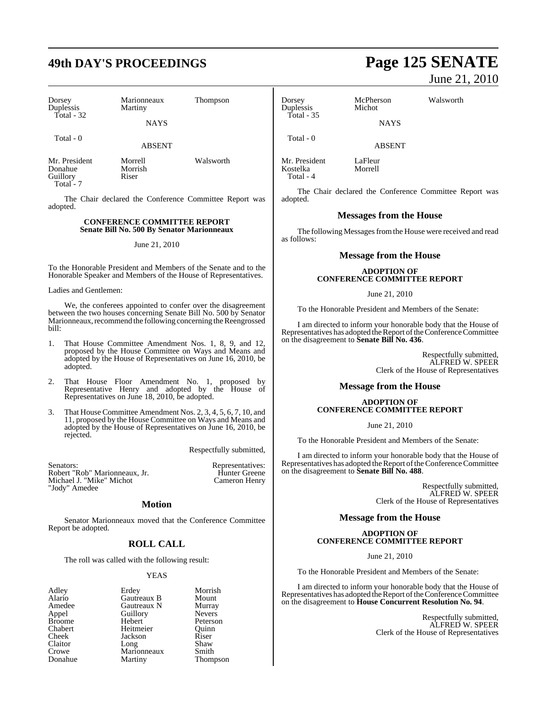## **49th DAY'S PROCEEDINGS Page 125 SENATE**

| Dorsey<br>Duplessis<br>Total - 32                 | Marionneaux<br>Martiny<br><b>NAYS</b> | <b>Thompson</b> |        |
|---------------------------------------------------|---------------------------------------|-----------------|--------|
| Total - 0                                         | <b>ABSENT</b>                         |                 |        |
| Mr. President<br>Donahue<br>Guillory<br>Total - 7 | Morrell<br>Morrish<br>Riser           | Walsworth       | N<br>k |

The Chair declared the Conference Committee Report was adopted.

### **CONFERENCE COMMITTEE REPORT Senate Bill No. 500 By Senator Marionneaux**

### June 21, 2010

To the Honorable President and Members of the Senate and to the Honorable Speaker and Members of the House of Representatives.

### Ladies and Gentlemen:

We, the conferees appointed to confer over the disagreement between the two houses concerning Senate Bill No. 500 by Senator Marionneaux, recommend the following concerning the Reengrossed bill:

- 1. That House Committee Amendment Nos. 1, 8, 9, and 12, proposed by the House Committee on Ways and Means and adopted by the House of Representatives on June 16, 2010, be adopted.
- 2. That House Floor Amendment No. 1, proposed by Representative Henry and adopted by the House of Representatives on June 18, 2010, be adopted.
- 3. That House Committee Amendment Nos. 2, 3, 4, 5, 6, 7, 10, and 11, proposed by the House Committee on Ways and Means and adopted by the House of Representatives on June 16, 2010, be rejected.

Respectfully submitted,

| Senators:                     | Representatives:     |
|-------------------------------|----------------------|
| Robert "Rob" Marionneaux. Jr. | <b>Hunter Greene</b> |
| Michael J. "Mike" Michot      | Cameron Henry        |
| "Jody" Amedee                 |                      |

### **Motion**

Senator Marionneaux moved that the Conference Committee Report be adopted.

### **ROLL CALL**

The roll was called with the following result:

### YEAS

- Appel Guillory<br>Broome Hebert
- Gautreaux B Amedee Gautreaux N Murray<br>Appel Guillory Nevers Chabert Heitmeier<br>
Cheek Iackson Jackson Riser<br>Long Shaw Claitor Long Shaw<br>Crowe Marionneaux Smith Crowe Marionneaux<br>Donahue Martiny

Adley Erdey Morrish<br>Alario Gautreaux B Mount Broome Hebert Peterson<br>
Chabert Heitmeier Ouinn Thompson

# June 21, 2010

| Dorsey<br>Duplessis                    | McPherson<br>Michot | Walsworth |
|----------------------------------------|---------------------|-----------|
| Total $-35$                            | <b>NAYS</b>         |           |
| Total $-0$                             | <b>ABSENT</b>       |           |
| Mr. President<br>Kostelka<br>Total - 4 | LaFleur<br>Morrell  |           |

The Chair declared the Conference Committee Report was adopted.

### **Messages from the House**

The following Messages from the House were received and read as follows:

### **Message from the House**

### **ADOPTION OF CONFERENCE COMMITTEE REPORT**

June 21, 2010

To the Honorable President and Members of the Senate:

I am directed to inform your honorable body that the House of Representatives has adopted the Report of the Conference Committee on the disagreement to **Senate Bill No. 436**.

> Respectfully submitted, ALFRED W. SPEER Clerk of the House of Representatives

### **Message from the House**

### **ADOPTION OF CONFERENCE COMMITTEE REPORT**

June 21, 2010

To the Honorable President and Members of the Senate:

I am directed to inform your honorable body that the House of Representatives has adopted the Report of the Conference Committee on the disagreement to **Senate Bill No. 488**.

> Respectfully submitted, ALFRED W. SPEER Clerk of the House of Representatives

### **Message from the House**

### **ADOPTION OF CONFERENCE COMMITTEE REPORT**

June 21, 2010

To the Honorable President and Members of the Senate:

I am directed to inform your honorable body that the House of Representatives has adopted the Report of the Conference Committee on the disagreement to **House Concurrent Resolution No. 94**.

> Respectfully submitted, ALFRED W. SPEER Clerk of the House of Representatives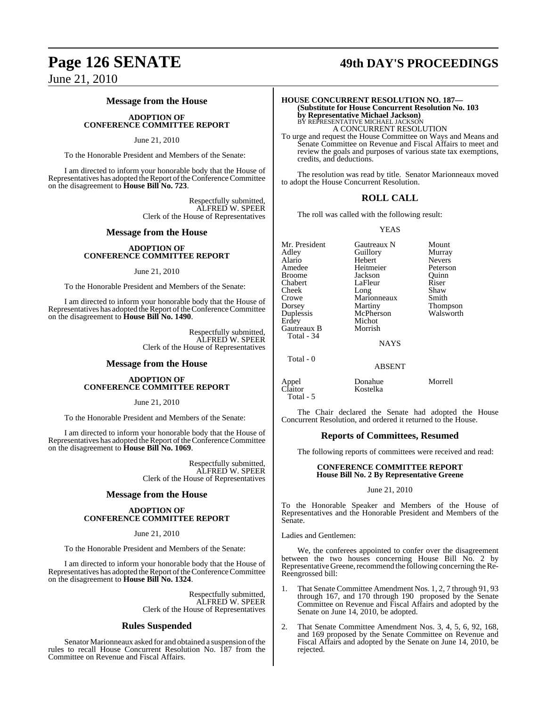## **Page 126 SENATE 49th DAY'S PROCEEDINGS**

June 21, 2010

### **Message from the House**

### **ADOPTION OF CONFERENCE COMMITTEE REPORT**

### June 21, 2010

To the Honorable President and Members of the Senate:

I am directed to inform your honorable body that the House of Representatives has adopted the Report of the Conference Committee on the disagreement to **House Bill No. 723**.

> Respectfully submitted, ALFRED W. SPEER Clerk of the House of Representatives

### **Message from the House**

### **ADOPTION OF CONFERENCE COMMITTEE REPORT**

### June 21, 2010

To the Honorable President and Members of the Senate:

I am directed to inform your honorable body that the House of Representatives has adopted the Report of the Conference Committee on the disagreement to **House Bill No. 1490**.

> Respectfully submitted, ALFRED W. SPEER Clerk of the House of Representatives

### **Message from the House**

### **ADOPTION OF CONFERENCE COMMITTEE REPORT**

### June 21, 2010

To the Honorable President and Members of the Senate:

I am directed to inform your honorable body that the House of Representatives has adopted the Report of the Conference Committee on the disagreement to **House Bill No. 1069**.

> Respectfully submitted, ALFRED W. SPEER Clerk of the House of Representatives

### **Message from the House**

### **ADOPTION OF CONFERENCE COMMITTEE REPORT**

### June 21, 2010

To the Honorable President and Members of the Senate:

I am directed to inform your honorable body that the House of Representatives has adopted the Report of the Conference Committee on the disagreement to **House Bill No. 1324**.

> Respectfully submitted, ALFRED W. SPEER Clerk of the House of Representatives

### **Rules Suspended**

Senator Marionneaux asked for and obtained a suspension of the rules to recall House Concurrent Resolution No. 187 from the Committee on Revenue and Fiscal Affairs.

### **HOUSE CONCURRENT RESOLUTION NO. 187— (Substitute for House Concurrent Resolution No. 103 by Representative Michael Jackson)** BY REPRESENTATIVE MICHAEL JACKSON A CONCURRENT RESOLUTION

To urge and request the House Committee on Ways and Means and Senate Committee on Revenue and Fiscal Affairs to meet and review the goals and purposes of various state tax exemptions, credits, and deductions.

The resolution was read by title. Senator Marionneaux moved to adopt the House Concurrent Resolution.

### **ROLL CALL**

The roll was called with the following result:

### YEAS

Mr. President Gautreaux N Mount<br>Adley Guillory Murray Guillory Alario Hebert Nevers Amedee Heitmeier Peterson<br>Broome Jackson Ouinn Broome **Jackson** Quinn<br>
Chabert LaFleur Riser Chabert LaFleur Riser<br>Cheek Long Shaw Cheek Long Shaw<br>Crowe Marionneaux Smith Crowe Marionneaux<br>Dorsey Martiny Dorsey Martiny Thompson<br>
Duplessis McPherson Walsworth McPherson<br>Michot Erdey Gautreaux B Morrish Total - 34 NAYS Total - 0

Appel Donahue Morrell Claitor Kostelka Total - 5

The Chair declared the Senate had adopted the House Concurrent Resolution, and ordered it returned to the House.

ABSENT

### **Reports of Committees, Resumed**

The following reports of committees were received and read:

### **CONFERENCE COMMITTEE REPORT House Bill No. 2 By Representative Greene**

### June 21, 2010

To the Honorable Speaker and Members of the House of Representatives and the Honorable President and Members of the Senate.

Ladies and Gentlemen:

We, the conferees appointed to confer over the disagreement between the two houses concerning House Bill No. 2 by Representative Greene, recommend the following concerning the Re-Reengrossed bill:

- 1. That Senate Committee Amendment Nos. 1, 2, 7 through 91, 93 through 167, and 170 through 190 proposed by the Senate Committee on Revenue and Fiscal Affairs and adopted by the Senate on June 14, 2010, be adopted.
- 2. That Senate Committee Amendment Nos. 3, 4, 5, 6, 92, 168, and 169 proposed by the Senate Committee on Revenue and Fiscal Affairs and adopted by the Senate on June 14, 2010, be rejected.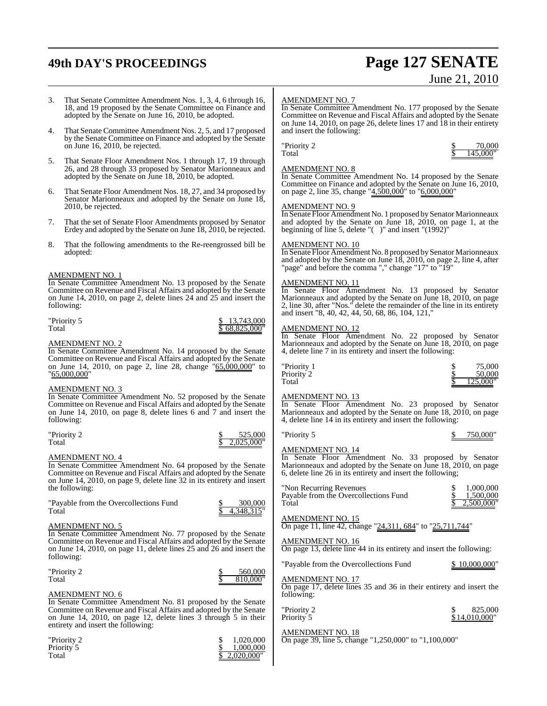## **49th DAY'S PROCEEDINGS Page 127 SENATE**

Priority 5<br>Total

# June 21, 2010

3. That Senate Committee Amendment Nos. 1, 3, 4, 6 through 16, 18, and 19 proposed by the Senate Committee on Finance and adopted by the Senate on June 16, 2010, be adopted. That Senate Committee Amendment Nos. 2, 5, and 17 proposed by the Senate Committee on Finance and adopted by the Senate on June 16, 2010, be rejected. 5. That Senate Floor Amendment Nos. 1 through 17, 19 through 26, and 28 through 33 proposed by Senator Marionneaux and adopted by the Senate on June 18, 2010, be adopted. 6. That Senate Floor Amendment Nos. 18, 27, and 34 proposed by Senator Marionneaux and adopted by the Senate on June 18, 2010, be rejected. 7. That the set of Senate Floor Amendments proposed by Senator Erdey and adopted by the Senate on June 18, 2010, be rejected. 8. That the following amendments to the Re-reengrossed bill be adopted: AMENDMENT NO. 1 In Senate Committee Amendment No. 13 proposed by the Senate Committee on Revenue and Fiscal Affairs and adopted by the Senate on June 14, 2010, on page 2, delete lines 24 and 25 and insert the following: "Priority 5 \$ 13,743,000 Total \$ 68,825,000" AMENDMENT NO. 2 In Senate Committee Amendment No. 14 proposed by the Senate Committee on Revenue and Fiscal Affairs and adopted by the Senate on June 14, 2010, on page 2, line 28, change "65,000,000" to "65,000,000" AMENDMENT NO. 3 In Senate Committee Amendment No. 52 proposed by the Senate Committee on Revenue and Fiscal Affairs and adopted by the Senate on June 14, 2010, on page 8, delete lines 6 and 7 and insert the following:  $\frac{\$}{\$}$  525,000 Total  $\frac{$2,025,000"}{}$ AMENDMENT NO. 4 In Senate Committee Amendment No. 64 proposed by the Senate Committee on Revenue and Fiscal Affairs and adopted by the Senate on June 14, 2010, on page 9, delete line 32 in its entirety and insert the following: "Payable from the Overcollections Fund  $\frac{\$}{\$}$  300,000<br>Total  $\frac{\$}{\$}$  4.348.315"  $\overline{4.348.315}$ " AMENDMENT NO. 5 In Senate Committee Amendment No. 77 proposed by the Senate Committee on Revenue and Fiscal Affairs and adopted by the Senate on June 14, 2010, on page 11, delete lines 25 and 26 and insert the following: "Priority 2 \$ 560,000 Total  $\frac{1}{3}$  810,000" AMENDMENT NO. 6 In Senate Committee Amendment No. 81 proposed by the Senate Committee on Revenue and Fiscal Affairs and adopted by the Senate on June 14, 2010, on page 12, delete lines 3 through 5 in their entirety and insert the following: "Priority 2 \$ 1,020,000 AMENDMENT NO. 7 In Senate Committee Amendment No. 177 proposed by the Senate Committee on Revenue and Fiscal Affairs and adopted by the Senate on June 14, 2010, on page 26, delete lines 17 and 18 in their entirety and insert the following:  $\frac{\$}{\$}$  70,000<br>Total  $\frac{\$}{\$}$  145,000  $145,000'$ AMENDMENT NO. 8 In Senate Committee Amendment No. 14 proposed by the Senate Committee on Finance and adopted by the Senate on June 16, 2010, on page 2, line 35, change "4,500,000" to "6,000,000" AMENDMENT NO. 9 In Senate Floor Amendment No. 1 proposed by Senator Marionneaux and adopted by the Senate on June 18, 2010, on page 1, at the beginning of line 5, delete "( )" and insert "(1992)" AMENDMENT NO. 10 In Senate Floor Amendment No. 8 proposed by Senator Marionneaux and adopted by the Senate on June 18, 2010, on page 2, line 4, after 'page" and before the comma "," change "17" to "19" AMENDMENT NO. 11 In Senate Floor Amendment No. 13 proposed by Senator Marionneaux and adopted by the Senate on June 18, 2010, on page 2, line 30, after "Nos." delete the remainder of the line in its entirety and insert "8, 40, 42, 44, 50, 68, 86, 104, 121," AMENDMENT NO. 12 In Senate Floor Amendment No. 22 proposed by Senator Marionneaux and adopted by the Senate on June 18, 2010, on page 4, delete line 7 in its entirety and insert the following: Priority 1  $\frac{1}{2}$  75,000<br>Priority 2  $\frac{1}{2}$  75,000 Priority 2  $\frac{$}{\$}$  50,000<br>Total  $\frac{$}{\$}$  125,000 Total  $\frac{\$}{125,000}$ " AMENDMENT NO. 13 In Senate Floor Amendment No. 23 proposed by Senator Marionneaux and adopted by the Senate on June 18, 2010, on page 4, delete line 14 in its entirety and insert the following: "Priority 5 \$ 750,000" AMENDMENT NO. 14 In Senate Floor Amendment No. 33 proposed by Senator Marionneaux and adopted by the Senate on June 18, 2010, on page 6, delete line 26 in its entirety and insert the following; "Non Recurring Revenues \$ 1,000,000<br>
Payable from the Overcollections Fund \$ 1,500,000 Payable from the Overcollections Fund<br>Total ,500,000' AMENDMENT NO. 15 On page 11, line 42, change "24,311, 684" to "25,711,744" AMENDMENT NO. 16 On page 13, delete line 44 in its entirety and insert the following: "Payable from the Overcollections Fund \$ 10,000,000" AMENDMENT NO. 17 On page 17, delete lines 35 and 36 in their entirety and insert the following: "Priority 2 \$ 825,000<br>Priority 5 \$ 825,000  $$ 14,010,000'$ AMENDMENT NO. 18 On page 39, line 5, change "1,250,000" to "1,100,000"

 $2,020,000$ "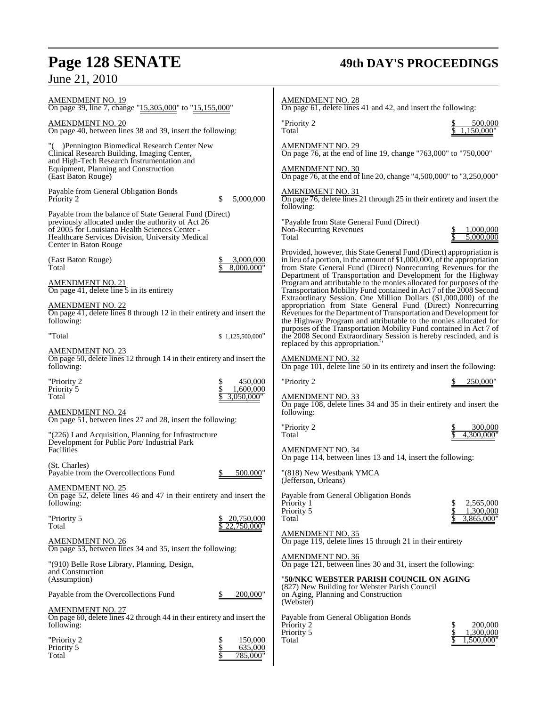## **Page 128 SENATE 49th DAY'S PROCEEDINGS** June 21, 2010

| AMENDMENT NO. 19<br>On page 39, line 7, change "15,305,000" to "15,155,000"                                                                                                                                                                  | <b>AMENDMENT NO. 28</b><br>On page 61, delete lines 41 and 42, and insert the following:                                                                                                                                                                                      |
|----------------------------------------------------------------------------------------------------------------------------------------------------------------------------------------------------------------------------------------------|-------------------------------------------------------------------------------------------------------------------------------------------------------------------------------------------------------------------------------------------------------------------------------|
| <u>AMENDMENT NO. 20</u><br>On page 40, between lines 38 and 39, insert the following:                                                                                                                                                        | "Priority 2<br>500,000<br>1.150.000"<br>Total                                                                                                                                                                                                                                 |
| "() Pennington Biomedical Research Center New<br>Clinical Research Building, Imaging Center,                                                                                                                                                 | <b>AMENDMENT NO. 29</b><br>On page 76, at the end of line 19, change "763,000" to "750,000"                                                                                                                                                                                   |
| and High-Tech Research Instrumentation and<br>Equipment, Planning and Construction<br>(East Baton Rouge)                                                                                                                                     | AMENDMENT NO. 30<br>On page 76, at the end of line 20, change "4,500,000" to "3,250,000"                                                                                                                                                                                      |
| Payable from General Obligation Bonds<br>5,000,000<br>Priority 2<br>S                                                                                                                                                                        | AMENDMENT NO. 31<br>On page 76, delete lines 21 through 25 in their entirety and insert the<br>following:                                                                                                                                                                     |
| Payable from the balance of State General Fund (Direct)<br>previously allocated under the authority of Act 26<br>of 2005 for Louisiana Health Sciences Center -<br>Healthcare Services Division, University Medical<br>Center in Baton Rouge | "Payable from State General Fund (Direct)<br>Non-Recurring Revenues<br>1,000,000<br>5,000,000<br>Total                                                                                                                                                                        |
| 3,000,000<br>(East Baton Rouge)<br>8,000,000"<br>Total                                                                                                                                                                                       | Provided, however, this State General Fund (Direct) appropriation is<br>in lieu of a portion, in the amount of $$1,000,000$ , of the appropriation<br>from State General Fund (Direct) Nonrecurring Revenues for the                                                          |
| AMENDMENT NO. 21<br>On page 41, delete line 5 in its entirety                                                                                                                                                                                | Department of Transportation and Development for the Highway<br>Program and attributable to the monies allocated for purposes of the<br>Transportation Mobility Fund contained in Act 7 of the 2008 Second<br>Extraordinary Session. One Million Dollars (\$1,000,000) of the |
| <b>AMENDMENT NO. 22</b><br>On page 41, delete lines 8 through 12 in their entirety and insert the<br>following:                                                                                                                              | appropriation from State General Fund (Direct) Nonrecurring<br>Revenues for the Department of Transportation and Development for<br>the Highway Program and attributable to the monies allocated for                                                                          |
| "Total<br>\$1,125,500,000"                                                                                                                                                                                                                   | purposes of the Transportation Mobility Fund contained in Act 7 of<br>the 2008 Second Extraordinary Session is hereby rescinded, and is<br>replaced by this appropriation.                                                                                                    |
| AMENDMENT NO. 23<br>On page 50, delete lines 12 through 14 in their entirety and insert the<br>following:                                                                                                                                    | AMENDMENT NO. 32<br>On page 101, delete line 50 in its entirety and insert the following:                                                                                                                                                                                     |
| 450,000<br>"Priority 2<br>\$                                                                                                                                                                                                                 | "Priority 2<br>250,000"                                                                                                                                                                                                                                                       |
| 1,600,000<br>Priority 5<br>Total<br>3,050,000"                                                                                                                                                                                               | AMENDMENT NO. 33                                                                                                                                                                                                                                                              |
| AMENDMENT NO. 24                                                                                                                                                                                                                             | On page 108, delete lines 34 and 35 in their entirety and insert the<br>following:                                                                                                                                                                                            |
| On page 51, between lines 27 and 28, insert the following:                                                                                                                                                                                   |                                                                                                                                                                                                                                                                               |
| "(226) Land Acquisition, Planning for Infrastructure                                                                                                                                                                                         | "Priority 2<br>300,000<br>4,300,000"<br>Total                                                                                                                                                                                                                                 |
| Development for Public Port/Industrial Park<br>Facilities                                                                                                                                                                                    | <b>AMENDMENT NO. 34</b><br>On page 114, between lines 13 and 14, insert the following:                                                                                                                                                                                        |
| (St. Charles)<br>Payable from the Overcollections Fund<br>500,000"                                                                                                                                                                           | "(818) New Westbank YMCA<br>(Jefferson, Orleans)                                                                                                                                                                                                                              |
| <u>AMENDMENT NO. 25</u><br>On page 52, delete lines 46 and 47 in their entirety and insert the<br>following:                                                                                                                                 | Payable from General Obligation Bonds<br>2,565,000<br>Priority 1                                                                                                                                                                                                              |
| "Priority 5<br>20,750,000<br>22,750,000"<br>Total                                                                                                                                                                                            | \$<br>Priority 5<br>1,300,000<br>3,865,000"<br>Total                                                                                                                                                                                                                          |
| AMENDMENT NO. 26<br>On page 53, between lines 34 and 35, insert the following:                                                                                                                                                               | <b>AMENDMENT NO. 35</b><br>On page 119, delete lines 15 through 21 in their entirety                                                                                                                                                                                          |
| "(910) Belle Rose Library, Planning, Design,<br>and Construction<br>(Assumption)                                                                                                                                                             | <b>AMENDMENT NO. 36</b><br>On page 121, between lines 30 and 31, insert the following:<br>"50/NKC WEBSTER PARISH COUNCIL ON AGING                                                                                                                                             |
| Payable from the Overcollections Fund<br>200,000"<br>\$                                                                                                                                                                                      | (827) New Building for Webster Parish Council<br>on Aging, Planning and Construction                                                                                                                                                                                          |
| AMENDMENT NO. 27                                                                                                                                                                                                                             | (Webster)                                                                                                                                                                                                                                                                     |
| On page 60, delete lines 42 through 44 in their entirety and insert the<br>following:                                                                                                                                                        | Payable from General Obligation Bonds<br>200,000<br>Priority 2                                                                                                                                                                                                                |
| \$<br>"Priority 2<br>150,000                                                                                                                                                                                                                 | Priority 5<br>1,300,000<br>1,500,000"<br>Total                                                                                                                                                                                                                                |
| \$<br>635,000<br>Priority 5<br>785,000"<br>Total                                                                                                                                                                                             |                                                                                                                                                                                                                                                                               |
|                                                                                                                                                                                                                                              |                                                                                                                                                                                                                                                                               |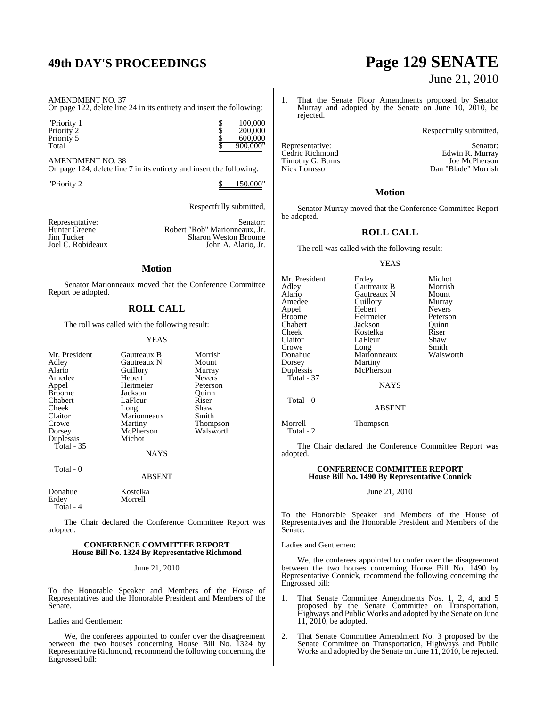### AMENDMENT NO. 37

On page 122, delete line 24 in its entirety and insert the following:

| "Priority 1 | 100,000  |
|-------------|----------|
| Priority 2  | 200,000  |
| Priority 5  | 600,000  |
| Total       | 900,000" |

AMENDMENT NO. 38 On page 124, delete line 7 in its entirety and insert the following:

"Priority 2 \$ 150,000"

Respectfully submitted,

Representative: Senator: Senator: Senator: Flunter Greene Robert "Rob" Marionneaux, Jr. Hunter Greene Robert "Rob" Marionneaux, Jr.<br>
Jim Tucker Sharon Weston Broome Jim Tucker Sharon Weston Broome<br>John A. Alario, Jr. (1994) John A. Alario, Jr. John A. Alario, Jr.

### **Motion**

Senator Marionneaux moved that the Conference Committee Report be adopted.

### **ROLL CALL**

The roll was called with the following result:

### YEAS

| Mr. President | Gautreaux B   | Morrish         |
|---------------|---------------|-----------------|
| Adley         | Gautreaux N   | Mount           |
| Alario        | Guillory      | Murray          |
| Amedee        | Hebert        | <b>Nevers</b>   |
| Appel         | Heitmeier     | Peterson        |
| <b>Broome</b> | Jackson       | Ouinn           |
| Chabert       | LaFleur       | Riser           |
| Cheek         | Long          | Shaw            |
| Claitor       | Marionneaux   | Smith           |
| Crowe         | Martiny       | <b>Thompson</b> |
| Dorsey        | McPherson     | Walsworth       |
| Duplessis     | Michot        |                 |
| Total - 35    |               |                 |
|               | <b>BTATTO</b> |                 |

**Morrell** 

NAYS

Total - 0

ABSENT

Donahue Kostelka<br>Erdev Morrell Total - 4

The Chair declared the Conference Committee Report was adopted.

### **CONFERENCE COMMITTEE REPORT House Bill No. 1324 By Representative Richmond**

### June 21, 2010

To the Honorable Speaker and Members of the House of Representatives and the Honorable President and Members of the Senate.

Ladies and Gentlemen:

We, the conferees appointed to confer over the disagreement between the two houses concerning House Bill No. 1324 by Representative Richmond, recommend the following concerning the Engrossed bill:

## **49th DAY'S PROCEEDINGS Page 129 SENATE** June 21, 2010

1. That the Senate Floor Amendments proposed by Senator Murray and adopted by the Senate on June 10, 2010, be rejected.

Respectfully submitted,

Dan "Blade" Morrish

Representative: Senator: Senator: Senator: Senator: Senator: Senator: Senator: Senator: Senator: Senator: Senator: Senator: Senator: Senator: Senator: Senator: Senator: Senator: Senator: Senator: Senator: Senator: Senator: Cedric Richmond<br>
Timothy G. Burns<br>
Timothy G. Burns<br>
The McPherson Timothy G. Burns<br>Nick Lorusso

### **Motion**

Senator Murray moved that the Conference Committee Report be adopted.

### **ROLL CALL**

The roll was called with the following result:

### YEAS

| Mr. President | Erdey       | Michot        |
|---------------|-------------|---------------|
| Adley         | Gautreaux B | Morrish       |
| Alario        | Gautreaux N | Mount         |
| Amedee        | Guillory    | Murray        |
| Appel         | Hebert      | <b>Nevers</b> |
| <b>Broome</b> | Heitmeier   | Peterson      |
| Chabert       | Jackson     | Ouinn         |
| Cheek         | Kostelka    | Riser         |
| Claitor       | LaFleur     | Shaw          |
| Crowe         | Long        | Smith         |
| Donahue       | Marionneaux | Walswo        |
| Dorsey        | Martiny     |               |
| Duplessis     | McPherson   |               |
| Total - 37    |             |               |
|               | <b>NAYS</b> |               |
| Total - 0     |             |               |
|               | ABSENT      |               |

Heitmeier Peterson<br>
Jackson Ouinn Long Smith<br>
Marionneaux Walsworth

Morrell Thompson Total - 2

The Chair declared the Conference Committee Report was adopted.

### **CONFERENCE COMMITTEE REPORT House Bill No. 1490 By Representative Connick**

### June 21, 2010

To the Honorable Speaker and Members of the House of Representatives and the Honorable President and Members of the Senate.

### Ladies and Gentlemen:

We, the conferees appointed to confer over the disagreement between the two houses concerning House Bill No. 1490 by Representative Connick, recommend the following concerning the Engrossed bill:

- 1. That Senate Committee Amendments Nos. 1, 2, 4, and 5 proposed by the Senate Committee on Transportation, Highways and Public Works and adopted by the Senate on June 11, 2010, be adopted.
- 2. That Senate Committee Amendment No. 3 proposed by the Senate Committee on Transportation, Highways and Public Works and adopted by the Senate on June 11, 2010, be rejected.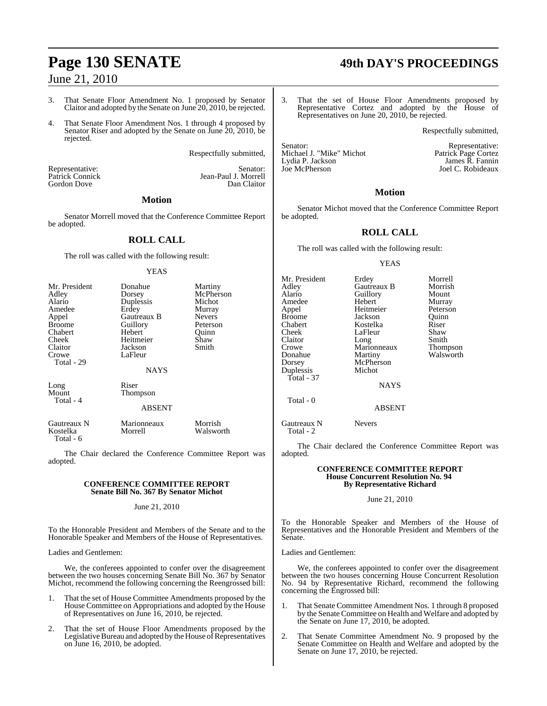### 3. That Senate Floor Amendment No. 1 proposed by Senator Claitor and adopted by the Senate on June 20, 2010, be rejected.

4. That Senate Floor Amendment Nos. 1 through 4 proposed by Senator Riser and adopted by the Senate on June 20, 2010, be rejected.

Respectfully submitted,

Jean-Paul J. Morrell<br>Dan Claitor

Representative: Senator: Senator: Senator: Senator: Senator: Senator: Senator: Senator: Senator: Senator: Senator: Senator: Senator: Senator: Senator: Senator: Senator: Senator: Senator: Senator: Senator: Senator: Senator: Gordon Dove

### **Motion**

Senator Morrell moved that the Conference Committee Report be adopted.

### **ROLL CALL**

The roll was called with the following result:

### YEAS

| Mr. President<br>Adley<br>Alario<br>Amedee<br>Appel<br><b>Broome</b><br>Chabert<br>Cheek<br>Claitor<br>Crowe<br>Total - 29 | Donahue<br>Dorsey<br>Duplessis<br>Erdey<br>Gautreaux B<br>Guillory<br>Hebert<br>Heitmeier<br>Jackson<br>LaFleur<br><b>NAYS</b> | Martiny<br>McPherson<br>Michot<br>Murray<br><b>Nevers</b><br>Peterson<br>Ouinn<br>Shaw<br>Smith |
|----------------------------------------------------------------------------------------------------------------------------|--------------------------------------------------------------------------------------------------------------------------------|-------------------------------------------------------------------------------------------------|
| Long<br>Mount<br>Total - 4                                                                                                 | Riser<br>Thompson<br><b>ABSENT</b>                                                                                             |                                                                                                 |
| Gautreaux N<br>Kostelka                                                                                                    | Marionneaux<br>Morrell                                                                                                         | Morrish<br>Walsworth                                                                            |

Total - 6

The Chair declared the Conference Committee Report was adopted.

### **CONFERENCE COMMITTEE REPORT Senate Bill No. 367 By Senator Michot**

### June 21, 2010

To the Honorable President and Members of the Senate and to the Honorable Speaker and Members of the House of Representatives.

Ladies and Gentlemen:

We, the conferees appointed to confer over the disagreement between the two houses concerning Senate Bill No. 367 by Senator Michot, recommend the following concerning the Reengrossed bill:

- 1. That the set of House Committee Amendments proposed by the House Committee on Appropriations and adopted by the House of Representatives on June 16, 2010, be rejected.
- 2. That the set of House Floor Amendments proposed by the Legislative Bureau and adopted by the House of Representatives on June 16, 2010, be adopted.

## **Page 130 SENATE 49th DAY'S PROCEEDINGS**

3. That the set of House Floor Amendments proposed by Representative Cortez and adopted by the House of Representatives on June 20, 2010, be rejected.

Respectfully submitted,

Joel C. Robideaux

Senator:<br>
Michael J. "Mike" Michot **Exercise Senator:** Patrick Page Cortez Michael J. "Mike" Michot Lydia P. Jackson James R. Fannin<br>
Joel C. Robideaux<br>
Joel C. Robideaux

### **Motion**

Senator Michot moved that the Conference Committee Report be adopted.

### **ROLL CALL**

The roll was called with the following result:

### YEAS

Mr. President Erdey Morrell<br>Adley Gautreaux B Morrish Adley Gautreaux B Morris<br>
Alario Guillory Mount Alario Guillory<br>Amedee Hebert Amedee Hebert Murray<br>
Appel Heitmeier Peterson Appel Heitmeier<br>Broome Jackson Broome Jackson Quinn<br>
Chabert Kostelka Riser Chabert Kostelka Riser Cheek LaFleur<br>Claitor Long Claitor Long Smith<br>Crowe Marionneaux Thompson Crowe Marionneaux<br>
Donahue Martiny Donahue Martiny Walsworth<br>Dorsey McPherson Duplessis Total - 37 Total - 0

McPherson<br>Michot NAYS

ABSENT

Gautreaux N Nevers Total - 2

The Chair declared the Conference Committee Report was adopted.

### **CONFERENCE COMMITTEE REPORT House Concurrent Resolution No. 94 By Representative Richard**

### June 21, 2010

To the Honorable Speaker and Members of the House of Representatives and the Honorable President and Members of the Senate.

Ladies and Gentlemen:

We, the conferees appointed to confer over the disagreement between the two houses concerning House Concurrent Resolution No. 94 by Representative Richard, recommend the following concerning the Engrossed bill:

- 1. That Senate Committee Amendment Nos. 1 through 8 proposed by the Senate Committee on Health and Welfare and adopted by the Senate on June 17, 2010, be adopted.
- 2. That Senate Committee Amendment No. 9 proposed by the Senate Committee on Health and Welfare and adopted by the Senate on June 17, 2010, be rejected.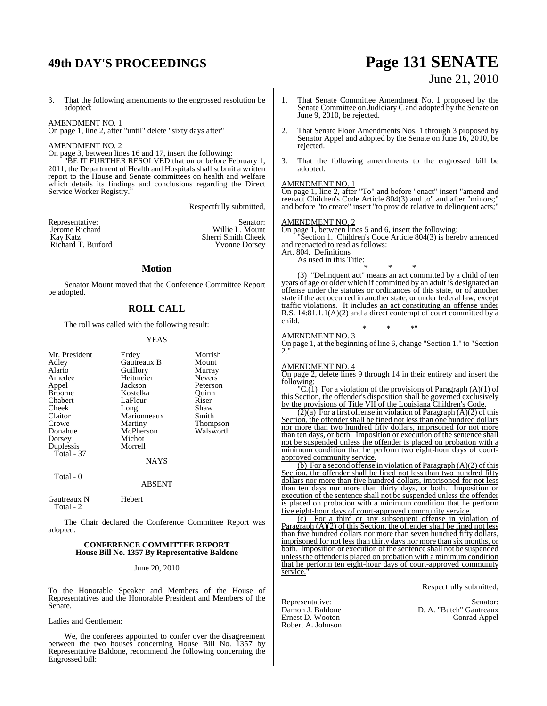## **49th DAY'S PROCEEDINGS Page 131 SENATE**

# June 21, 2010

3. That the following amendments to the engrossed resolution be adopted:

### AMENDMENT NO. 1

On page 1, line 2, after "until" delete "sixty days after"

### AMENDMENT NO. 2

 $\underline{\overline{On}}$  page 3, between lines 16 and 17, insert the following:

BE IT FURTHER RESOLVED that on or before February 1, 2011, the Department of Health and Hospitals shall submit a written report to the House and Senate committees on health and welfare which details its findings and conclusions regarding the Direct Service Worker Registry.

Respectfully submitted,

| Senator:             |
|----------------------|
| Willie L. Mount      |
| Sherri Smith Cheek   |
| <b>Yvonne Dorsey</b> |
|                      |

### **Motion**

Senator Mount moved that the Conference Committee Report be adopted.

### **ROLL CALL**

The roll was called with the following result:

### YEAS

|             | Morrish                   |
|-------------|---------------------------|
| Gautreaux B | Mount                     |
|             | Murray                    |
| Heitmeier   | <b>Nevers</b>             |
| Jackson     | Peterson                  |
| Kostelka    | Ouinn                     |
| LaFleur     | Riser                     |
|             | Shaw                      |
| Marionneaux | Smith                     |
| Martiny     | <b>Thompson</b>           |
| McPherson   | Walsworth                 |
| Michot      |                           |
| Morrell     |                           |
|             |                           |
| <b>NAYS</b> |                           |
|             | Erdey<br>Guillory<br>Long |

### ABSENT

| Gautreaux N | Hebert |
|-------------|--------|
| Total - 2   |        |

Total - 0

The Chair declared the Conference Committee Report was adopted.

### **CONFERENCE COMMITTEE REPORT House Bill No. 1357 By Representative Baldone**

### June 20, 2010

To the Honorable Speaker and Members of the House of Representatives and the Honorable President and Members of the Senate.

Ladies and Gentlemen:

We, the conferees appointed to confer over the disagreement between the two houses concerning House Bill No. 1357 by Representative Baldone, recommend the following concerning the Engrossed bill:

- 1. That Senate Committee Amendment No. 1 proposed by the Senate Committee on Judiciary C and adopted by the Senate on June 9, 2010, be rejected.
- 2. That Senate Floor Amendments Nos. 1 through 3 proposed by Senator Appel and adopted by the Senate on June 16, 2010, be rejected.
- 3. That the following amendments to the engrossed bill be adopted:

### AMENDMENT NO. 1

On page 1, line 2, after "To" and before "enact" insert "amend and reenact Children's Code Article 804(3) and to" and after "minors;" and before "to create" insert "to provide relative to delinquent acts;"

### AMENDMENT NO. 2

On page 1, between lines 5 and 6, insert the following:

Section 1. Children's Code Article 804(3) is hereby amended and reenacted to read as follows:

Art. 804. Definitions

As used in this Title:

\* \* \* (3) "Delinquent act" means an act committed by a child of ten years of age or older which if committed by an adult is designated an offense under the statutes or ordinances of this state, or of another state if the act occurred in another state, or under federal law, except traffic violations. It includes an act constituting an offense under R.S. 14:81.1.1(A)(2) and a direct contempt of court committed by a child.

AMENDMENT NO. 3

On page 1, at the beginning of line 6, change "Section 1." to "Section 2."

\* \* \*"

### AMENDMENT NO. 4

On page 2, delete lines 9 through 14 in their entirety and insert the following:

 $\mathcal{C}(1)$  For a violation of the provisions of Paragraph  $(A)(1)$  of this Section, the offender's disposition shall be governed exclusively by the provisions of Title VII of the Louisiana Children's Code.

 $(2)$ (a) For a first offense in violation of Paragraph (A)(2) of this Section, the offender shall be fined not less than one hundred dollars nor more than two hundred fifty dollars, imprisoned for not more than ten days, or both. Imposition or execution of the sentence shall not be suspended unless the offender is placed on probation with a minimum condition that he perform two eight-hour days of courtapproved community service.

(b) For a second offense in violation of Paragraph  $(A)(2)$  of this Section, the offender shall be fined not less than two hundred fifty dollars nor more than five hundred dollars, imprisoned for not less than ten days nor more than thirty days, or both. Imposition or execution of the sentence shall not be suspended unless the offender is placed on probation with a minimum condition that he perform five eight-hour days of court-approved community service.

(c) For a third or any subsequent offense in violation of Paragraph (A)(2) of this Section, the offender shall be fined not less than five hundred dollars nor more than seven hundred fifty dollars, imprisoned for not less than thirty days nor more than six months, or both. Imposition or execution of the sentence shall not be suspended unlessthe offender is placed on probation with a minimum condition that he perform ten eight-hour days of court-approved community service.

Respectfully submitted,

Ernest D. Wooton Robert A. Johnson

Representative: Senator: Senator: Senator: Senator: Senator: Senator: Senator: Senator: Senator: Senator: Senator: Senator: Senator: Senator: Senator: Senator: Senator: Senator: Senator: Senator: Senator: Senator: Senator: D. A. "Butch" Gautreaux<br>Conrad Appel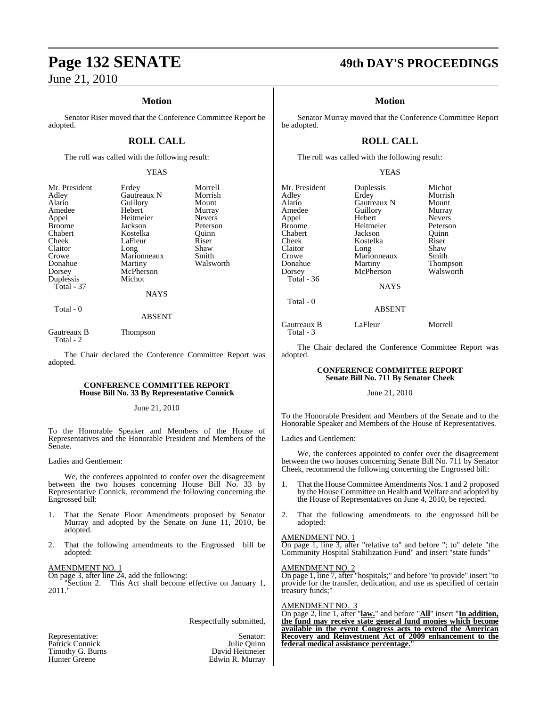### **Motion**

Senator Riser moved that the Conference Committee Report be adopted.

### **ROLL CALL**

The roll was called with the following result:

### YEAS

| Mr. President | Erdey         | Morrell       |
|---------------|---------------|---------------|
| Adley         | Gautreaux N   | Morrish       |
| Alario        | Guillory      | Mount         |
| Amedee        | Hebert        | Murray        |
| Appel         | Heitmeier     | <b>Nevers</b> |
| <b>Broome</b> | Jackson       | Peterson      |
| Chabert       | Kostelka      | Ouinn         |
| Cheek         | LaFleur       | Riser         |
| Claitor       | Long          | Shaw          |
| Crowe         | Marionneaux   | Smith         |
| Donahue       | Martiny       | Walsworth     |
| Dorsey        | McPherson     |               |
| Duplessis     | Michot        |               |
| Total - 37    |               |               |
|               | <b>NAYS</b>   |               |
| Total - 0     | <b>ABSENT</b> |               |

Gautreaux B Thompson Total - 2

The Chair declared the Conference Committee Report was adopted.

### **CONFERENCE COMMITTEE REPORT House Bill No. 33 By Representative Connick**

### June 21, 2010

To the Honorable Speaker and Members of the House of Representatives and the Honorable President and Members of the Senate.

Ladies and Gentlemen:

We, the conferees appointed to confer over the disagreement between the two houses concerning House Bill No. 33 by Representative Connick, recommend the following concerning the Engrossed bill:

- 1. That the Senate Floor Amendments proposed by Senator Murray and adopted by the Senate on June  $11, 2010$ , be adopted.
- 2. That the following amendments to the Engrossed bill be adopted:

### AMENDMENT NO. 1

On page 3, after line 24, add the following: "Section 2. This Act shall become effective on January 1, 2011."

Respectfully submitted,

| Representative:  | Senator:        |
|------------------|-----------------|
| Patrick Connick  | Julie Quinn     |
| Timothy G. Burns | David Heitmeier |
| Hunter Greene    | Edwin R. Murray |

## **Page 132 SENATE 49th DAY'S PROCEEDINGS**

### **Motion**

Senator Murray moved that the Conference Committee Report be adopted.

### **ROLL CALL**

The roll was called with the following result:

### YEAS

| Mr. President<br>Adley<br>Alario<br>Amedee<br>Appel<br><b>Broome</b><br>Chabert<br>Cheek<br>Claitor<br>Crowe<br>Donahue | Duplessis<br>Erdey<br>Gautreaux N<br>Guillory<br>Hebert<br>Heitmeier<br>Jackson<br>Kostelka<br>Long<br>Marionneaux<br>Martiny | Michot<br>Morrish<br>Mount<br>Murray<br><b>Nevers</b><br>Peterson<br>Ouinn<br>Riser<br>Shaw<br>Smith<br>Thompson |
|-------------------------------------------------------------------------------------------------------------------------|-------------------------------------------------------------------------------------------------------------------------------|------------------------------------------------------------------------------------------------------------------|
| Dorsey<br><b>Total</b> - 36                                                                                             | McPherson<br><b>NAYS</b>                                                                                                      | Walsworth                                                                                                        |
| Total - 0                                                                                                               | <b>ABSENT</b>                                                                                                                 |                                                                                                                  |

Gautreaux B LaFleur Morrell

The Chair declared the Conference Committee Report was adopted.

### **CONFERENCE COMMITTEE REPORT Senate Bill No. 711 By Senator Cheek**

### June 21, 2010

To the Honorable President and Members of the Senate and to the Honorable Speaker and Members of the House of Representatives.

Ladies and Gentlemen:

Total - 3

We, the conferees appointed to confer over the disagreement between the two houses concerning Senate Bill No. 711 by Senator Cheek, recommend the following concerning the Engrossed bill:

- 1. That the House Committee Amendments Nos. 1 and 2 proposed by the House Committee on Health and Welfare and adopted by the House of Representatives on June 4, 2010, be rejected.
- 2. That the following amendments to the engrossed bill be adopted:

### AMENDMENT NO. 1

On page 1, line 3, after "relative to" and before "; to" delete "the Community Hospital Stabilization Fund" and insert "state funds"

### AMENDMENT NO. 2

On page 1, line 7, after "hospitals;" and before "to provide" insert "to provide for the transfer, dedication, and use as specified of certain treasury funds;"

### AMENDMENT NO. 3

On page 2, line 1, after "**law.**" and before "**All**" insert "**In addition, the fund may receive state general fund monies which become available in the event Congress acts to extend the American Recovery and Reinvestment Act of 2009 enhancement to the federal medical assistance percentage.**"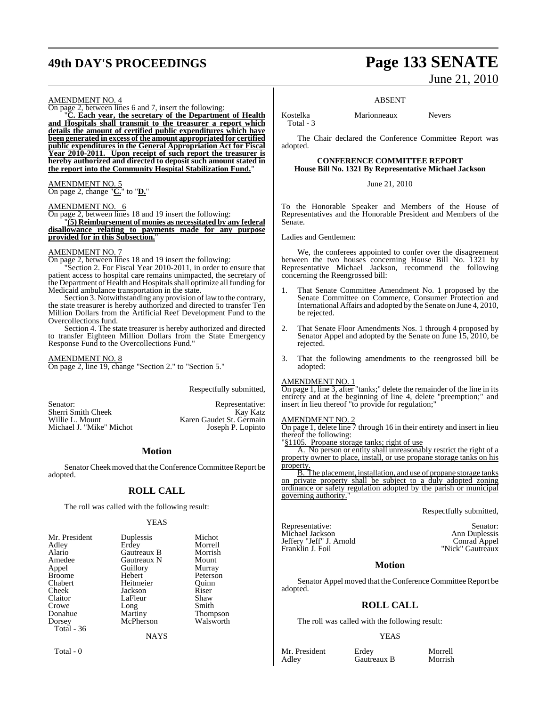## **49th DAY'S PROCEEDINGS Page 133 SENATE**

# June 21, 2010

### ABSENT

AMENDMENT NO. 4 On page 2, between lines 6 and 7, insert the following:

"**C. Each year, the secretary of the Department of Health and Hospitals shall transmit to the treasurer a report which details the amount of certified public expenditures which have been generated in excess of the amount appropriated for certified public expenditures in the General Appropriation Act for Fiscal Year 2010-2011. Upon receipt of such report the treasurer is hereby authorized and directed to deposit such amount stated in the report into the Community Hospital Stabilization Fund.**"

AMENDMENT NO. 5 On page 2, change "**C.**" to "**D.**"

### AMENDMENT NO. 6

On page 2, between lines 18 and 19 insert the following: "**(5) Reimbursement of monies as necessitated by any federal disallowance relating to payments made for any purpose provided for in this Subsection.**"

### AMENDMENT NO. 7

On page 2, between lines 18 and 19 insert the following:

Section 2. For Fiscal Year 2010-2011, in order to ensure that patient access to hospital care remains unimpacted, the secretary of the Department of Health and Hospitals shall optimize all funding for Medicaid ambulance transportation in the state.

Section 3. Notwithstanding any provision of law to the contrary, the state treasurer is hereby authorized and directed to transfer Ten Million Dollars from the Artificial Reef Development Fund to the Overcollections fund.

Section 4. The state treasurer is hereby authorized and directed to transfer Eighteen Million Dollars from the State Emergency Response Fund to the Overcollections Fund."

AMENDMENT NO. 8 On page 2, line 19, change "Section 2." to "Section 5."

Respectfully submitted,

Sherri Smith Cheek Willie L. Mount<br>Michael J. "Mike" Michot

Senator: Representative: Sherri Smith Cheek Kay Katz Karen Gaudet St. Germain<br>Joseph P. Lopinto

### **Motion**

Senator Cheek moved that the Conference Committee Report be adopted.

### **ROLL CALL**

The roll was called with the following result:

### YEAS

| Mr. President | Duplessis   | Michot          |
|---------------|-------------|-----------------|
| Adley         | Erdey       | Morrell         |
| Alario        | Gautreaux B | Morrish         |
| Amedee        | Gautreaux N | Mount           |
| Appel         | Guillory    | Murray          |
| <b>Broome</b> | Hebert      | Peterson        |
| Chabert       | Heitmeier   | Ouinn           |
| Cheek         | Jackson     | Riser           |
| Claitor       | LaFleur     | Shaw            |
| Crowe         | Long        | Smith           |
| Donahue       | Martiny     | <b>Thompson</b> |
| Dorsey        | McPherson   | Walsworth       |
| Total - 36    |             |                 |
|               | NAYS        |                 |

Total - 0

Kostelka Marionneaux Nevers

The Chair declared the Conference Committee Report was adopted.

### **CONFERENCE COMMITTEE REPORT House Bill No. 1321 By Representative Michael Jackson**

June 21, 2010

To the Honorable Speaker and Members of the House of Representatives and the Honorable President and Members of the Senate.

Ladies and Gentlemen:

Total - 3

We, the conferees appointed to confer over the disagreement between the two houses concerning House Bill No. 1321 by Representative Michael Jackson, recommend the following concerning the Reengrossed bill:

- 1. That Senate Committee Amendment No. 1 proposed by the Senate Committee on Commerce, Consumer Protection and International Affairs and adopted by the Senate on June 4, 2010, be rejected.
- 2. That Senate Floor Amendments Nos. 1 through 4 proposed by Senator Appel and adopted by the Senate on June 15, 2010, be rejected.
- 3. That the following amendments to the reengrossed bill be adopted:

### AMENDMENT NO. 1

On page 1, line 3, after "tanks;" delete the remainder of the line in its entirety and at the beginning of line 4, delete "preemption;" and insert in lieu thereof "to provide for regulation;

### AMENDMENT NO. 2

On page 1, delete line 7 through 16 in their entirety and insert in lieu thereof the following:

"§1105. Propane storage tanks; right of use

A. No person or entity shall unreasonably restrict the right of a property owner to place, install, or use propane storage tanks on his property.

B. The placement, installation, and use of propane storage tanks on private property shall be subject to a duly adopted zoning ordinance or safety regulation adopted by the parish or municipal governing authority.'

Respectfully submitted,

| Representative:          | Senator:         |
|--------------------------|------------------|
| Michael Jackson          | Ann Duplessis    |
| Jeffery "Jeff" J. Arnold | Conrad Appel     |
| Franklin J. Foil         | "Nick" Gautreaux |
|                          |                  |

### **Motion**

Senator Appel moved that the Conference Committee Report be adopted.

### **ROLL CALL**

The roll was called with the following result:

### **YEAS**

Mr. President Erdey Morrell<br>Adley Gautreaux B Morrish

Gautreaux B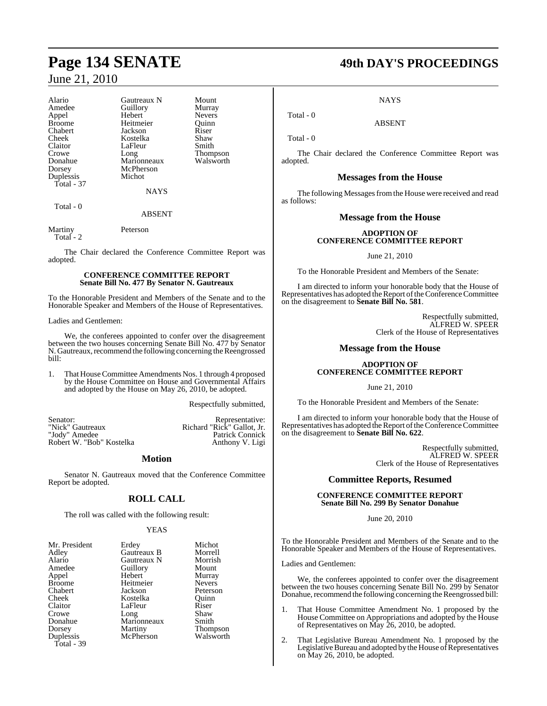| Alario     | Gautreaux N | Mount           |
|------------|-------------|-----------------|
| Amedee     | Guillory    | Murray          |
| Appel      | Hebert      | <b>Nevers</b>   |
| Broome     | Heitmeier   | Quinn           |
| Chabert    | Jackson     | Riser           |
| Cheek      | Kostelka    | Shaw            |
| Claitor    | LaFleur     | Smith           |
| Crowe      | Long        | <b>Thompson</b> |
| Donahue    | Marionneaux | Walsworth       |
| Dorsey     | McPherson   |                 |
| Duplessis  | Michot      |                 |
| Total - 37 |             |                 |
|            | <b>NAYS</b> |                 |
| Total - 0  |             |                 |

Martiny Peterson Total - 2

The Chair declared the Conference Committee Report was adopted.

ABSENT

### **CONFERENCE COMMITTEE REPORT Senate Bill No. 477 By Senator N. Gautreaux**

To the Honorable President and Members of the Senate and to the Honorable Speaker and Members of the House of Representatives.

### Ladies and Gentlemen:

We, the conferees appointed to confer over the disagreement between the two houses concerning Senate Bill No. 477 by Senator N. Gautreaux, recommend the following concerning the Reengrossed bill:

1. That House Committee Amendments Nos. 1 through 4 proposed by the House Committee on House and Governmental Affairs and adopted by the House on May 26, 2010, be adopted.

Respectfully submitted,

| Senator:                 | Representative:            |
|--------------------------|----------------------------|
| "Nick" Gautreaux         | Richard "Rick" Gallot, Jr. |
| "Jody" Amedee            | <b>Patrick Connick</b>     |
| Robert W. "Bob" Kostelka | Anthony V. Ligi            |

### **Motion**

Senator N. Gautreaux moved that the Conference Committee Report be adopted.

### **ROLL CALL**

The roll was called with the following result:

### YEAS

| Mr. President | Erdey       | Michot          |
|---------------|-------------|-----------------|
| Adley         | Gautreaux B | Morrell         |
| Alario        | Gautreaux N | Morrish         |
| Amedee        | Guillory    | Mount           |
| Appel         | Hebert      | Murray          |
| <b>Broome</b> | Heitmeier   | <b>Nevers</b>   |
| Chabert       | Jackson     | Peterson        |
| Cheek         | Kostelka    | Ouinn           |
| Claitor       | LaFleur     | Riser           |
| Crowe         | Long        | Shaw            |
| Donahue       | Marionneaux | Smith           |
| Dorsey        | Martiny     | <b>Thompson</b> |
| Duplessis     | McPherson   | Walsworth       |
| Total - 39    |             |                 |

## **Page 134 SENATE 49th DAY'S PROCEEDINGS**

**NAYS** 

ABSENT

Total - 0

Total - 0

The Chair declared the Conference Committee Report was adopted.

### **Messages from the House**

The following Messages from the House were received and read as follows:

### **Message from the House**

### **ADOPTION OF CONFERENCE COMMITTEE REPORT**

June 21, 2010

To the Honorable President and Members of the Senate:

I am directed to inform your honorable body that the House of Representatives has adopted the Report of the Conference Committee on the disagreement to **Senate Bill No. 581**.

> Respectfully submitted, ALFRED W. SPEER Clerk of the House of Representatives

### **Message from the House**

### **ADOPTION OF CONFERENCE COMMITTEE REPORT**

June 21, 2010

To the Honorable President and Members of the Senate:

I am directed to inform your honorable body that the House of Representatives has adopted the Report of the Conference Committee on the disagreement to **Senate Bill No. 622**.

> Respectfully submitted, ALFRED W. SPEER Clerk of the House of Representatives

### **Committee Reports, Resumed**

### **CONFERENCE COMMITTEE REPORT Senate Bill No. 299 By Senator Donahue**

June 20, 2010

To the Honorable President and Members of the Senate and to the Honorable Speaker and Members of the House of Representatives.

Ladies and Gentlemen:

We, the conferees appointed to confer over the disagreement between the two houses concerning Senate Bill No. 299 by Senator Donahue, recommend the following concerning the Reengrossed bill:

- 1. That House Committee Amendment No. 1 proposed by the House Committee on Appropriations and adopted by the House of Representatives on May 26, 2010, be adopted.
- 2. That Legislative Bureau Amendment No. 1 proposed by the Legislative Bureau and adopted by the House of Representatives on May 26, 2010, be adopted.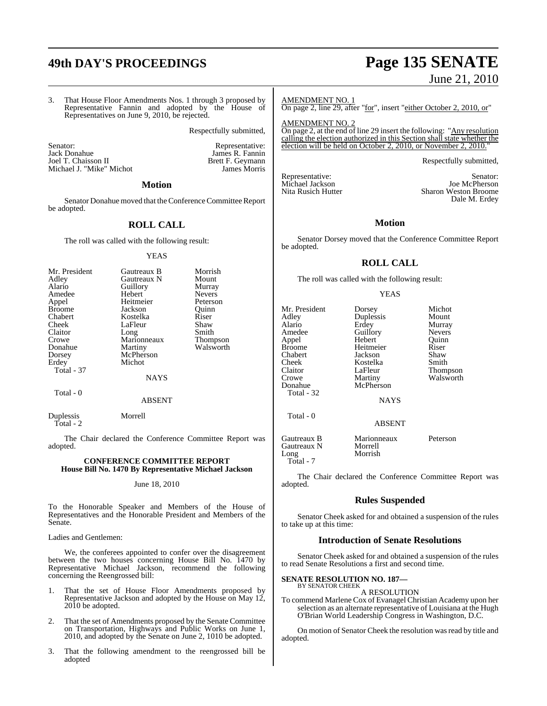3. That House Floor Amendments Nos. 1 through 3 proposed by Representative Fannin and adopted by the House of Representatives on June 9, 2010, be rejected.

Respectfully submitted,

Senator: Senator: Representative: Tack Donahue (Senator: Representative: Tack Donahue (Senator: Tack Donahue (Senator: Tack Donahue (Senator: Tack Donahue (Senator: Tack Donahue (Senator: Tack Donahue (Senator: Tack Donahu Joel T. Chaisson II Brett F. Geymann<br>
Michael J. "Mike" Michot Michael J. "Mike" Michot James Morris Michael J. "Mike" Michot

James R. Fannin<br>Brett F. Geymann

### **Motion**

Senator Donahue moved that the Conference Committee Report be adopted.

### **ROLL CALL**

The roll was called with the following result:

### YEAS

| Mr. President | Gautreaux B | Morrish       |
|---------------|-------------|---------------|
| Adley         | Gautreaux N | Mount         |
| Alario        | Guillory    | Murray        |
| Amedee        | Hebert      | <b>Nevers</b> |
| Appel         | Heitmeier   | Peterson      |
| <b>Broome</b> | Jackson     | Ouinn         |
| Chabert       | Kostelka    | Riser         |
| Cheek         | LaFleur     | Shaw          |
| Claitor       | Long        | Smith         |
| Crowe         | Marionneaux | Thompson      |
| Donahue       | Martiny     | Walsworth     |
| Dorsey        | McPherson   |               |
| Erdey         | Michot      |               |
| Total - 37    |             |               |
|               | NAYS        |               |

Total - 0

### ABSENT

Duplessis Morrell Total - 2

The Chair declared the Conference Committee Report was adopted.

### **CONFERENCE COMMITTEE REPORT House Bill No. 1470 By Representative Michael Jackson**

### June 18, 2010

To the Honorable Speaker and Members of the House of Representatives and the Honorable President and Members of the Senate.

### Ladies and Gentlemen:

We, the conferees appointed to confer over the disagreement between the two houses concerning House Bill No. 1470 by Representative Michael Jackson, recommend the following concerning the Reengrossed bill:

- 1. That the set of House Floor Amendments proposed by Representative Jackson and adopted by the House on May 12, 2010 be adopted.
- 2. That the set of Amendments proposed by the Senate Committee on Transportation, Highways and Public Works on June 1, 2010, and adopted by the Senate on June 2, 1010 be adopted.
- 3. That the following amendment to the reengrossed bill be adopted

## **49th DAY'S PROCEEDINGS Page 135 SENATE** June 21, 2010

AMENDMENT NO. 1 On page 2, line 29, after "for", insert "either October 2, 2010, or"

AMENDMENT NO. 2 On page 2, at the end of line 29 insert the following: "Any resolution calling the election authorized in this Section shall state whether the election will be held on October 2, 2010, or November 2, 2010." election will be held on October

Respectfully submitted,

Michael Jackson<br>Nita Rusich Hutter

Representative: Senator:<br>Michael Jackson Senator: Senator: Senator: Senator: Senator: Senator: Senator: Senator: Senator: Senator: Sena Sharon Weston Broome Dale M. Erdey

### **Motion**

Senator Dorsey moved that the Conference Committee Report be adopted.

### **ROLL CALL**

The roll was called with the following result:

### YEAS

Mr. President Dorsey Michot<br>Adley Duplessis Mount Adley Duplessis<br>Alario Erdey Alario Erdey Murray Amedee Guillory Nevers<br>
Appel Hebert Quinn Appel Hebert Quinn<br>
Broome Heitmeier Riser Chabert Jackson Shaw Cheek Kostelka<br>Claitor LaFleur Claitor LaFleur Thompson<br>Crowe Martiny Walsworth Crowe Martiny Walsworth<br>
Donahue McPherson Total - 32 Total - 0

Heitmeier Riser<br>
Jackson Shaw

**NAYS** 

McPherson

ABSENT

Gautreaux B Marionneaux Peterson Gautreaux N<br>Long Morrish Total - 7

The Chair declared the Conference Committee Report was adopted.

### **Rules Suspended**

Senator Cheek asked for and obtained a suspension of the rules to take up at this time:

### **Introduction of Senate Resolutions**

Senator Cheek asked for and obtained a suspension of the rules to read Senate Resolutions a first and second time.

### **SENATE RESOLUTION NO. 187—** BY SENATOR CHEEK

### A RESOLUTION

To commend Marlene Cox of Evanagel Christian Academy upon her selection as an alternate representative of Louisiana at the Hugh O'Brian World Leadership Congress in Washington, D.C.

On motion of Senator Cheek the resolution was read by title and adopted.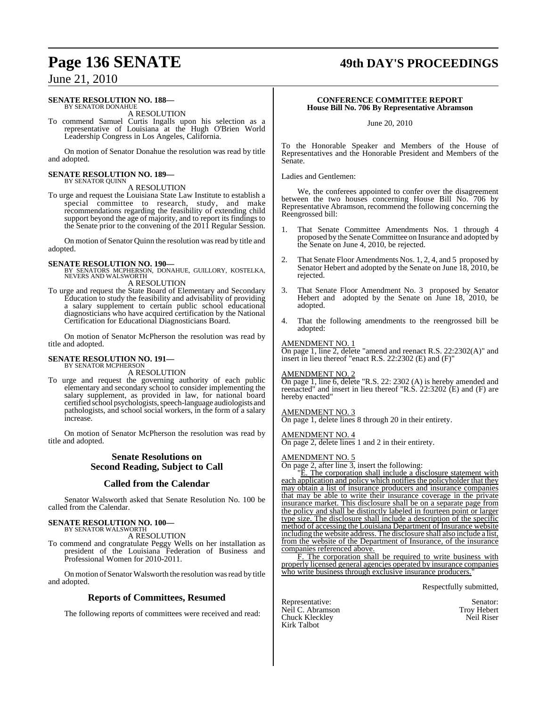## **Page 136 SENATE 49th DAY'S PROCEEDINGS**

### June 21, 2010

### **SENATE RESOLUTION NO. 188—**

BY SENATOR DONAHUE A RESOLUTION

To commend Samuel Curtis Ingalls upon his selection as a representative of Louisiana at the Hugh O'Brien World Leadership Congress in Los Angeles, California.

On motion of Senator Donahue the resolution was read by title and adopted.

## **SENATE RESOLUTION NO. 189—** BY SENATOR QUINN

A RESOLUTION

To urge and request the Louisiana State Law Institute to establish a special committee to research, study, and make recommendations regarding the feasibility of extending child support beyond the age of majority, and to report its findings to the Senate prior to the convening of the 2011 Regular Session.

On motion of Senator Quinn the resolution was read by title and adopted.

### **SENATE RESOLUTION NO. 190—**

BY SENATORS MCPHERSON, DONAHUE, GUILLORY, KOSTELKA, NEVERS AND WALSWORTH A RESOLUTION

To urge and request the State Board of Elementary and Secondary Education to study the feasibility and advisability of providing a salary supplement to certain public school educational diagnosticians who have acquired certification by the National Certification for Educational Diagnosticians Board.

On motion of Senator McPherson the resolution was read by title and adopted.

### **SENATE RESOLUTION NO. 191—** BY SENATOR MCPHERSON

A RESOLUTION

To urge and request the governing authority of each public elementary and secondary school to consider implementing the salary supplement, as provided in law, for national board certified school psychologists, speech-language audiologists and pathologists, and school social workers, in the form of a salary increase.

On motion of Senator McPherson the resolution was read by title and adopted.

### **Senate Resolutions on Second Reading, Subject to Call**

### **Called from the Calendar**

Senator Walsworth asked that Senate Resolution No. 100 be called from the Calendar.

### **SENATE RESOLUTION NO. 100—** BY SENATOR WALSWORTH

A RESOLUTION

To commend and congratulate Peggy Wells on her installation as president of the Louisiana Federation of Business and Professional Women for 2010-2011.

On motion of Senator Walsworth the resolution was read by title and adopted.

### **Reports of Committees, Resumed**

The following reports of committees were received and read:

### **CONFERENCE COMMITTEE REPORT House Bill No. 706 By Representative Abramson**

June 20, 2010

To the Honorable Speaker and Members of the House of Representatives and the Honorable President and Members of the Senate.

Ladies and Gentlemen:

We, the conferees appointed to confer over the disagreement between the two houses concerning House Bill No. 706 by Representative Abramson, recommend the following concerning the Reengrossed bill:

- 1. That Senate Committee Amendments Nos. 1 through 4 proposed by the Senate Committee on Insurance and adopted by the Senate on June 4, 2010, be rejected.
- 2. That Senate Floor Amendments Nos. 1, 2, 4, and 5 proposed by Senator Hebert and adopted by the Senate on June 18, 2010, be rejected.
- 3. That Senate Floor Amendment No. 3 proposed by Senator Hebert and adopted by the Senate on June 18, 2010, be adopted.
- 4. That the following amendments to the reengrossed bill be adopted:

### AMENDMENT NO. 1

On page 1, line 2, delete "amend and reenact R.S. 22:2302(A)" and insert in lieu thereof "enact R.S. 22:2302 (E) and (F)"

### AMENDMENT NO. 2

On page 1, line 6, delete "R.S. 22: 2302 (A) is hereby amended and reenacted" and insert in lieu thereof "R.S. 22:3202 (E) and (F) are hereby enacted"

### AMENDMENT NO. 3

On page 1, delete lines 8 through 20 in their entirety.

### AMENDMENT NO. 4

On page 2, delete lines 1 and 2 in their entirety.

### AMENDMENT NO. 5

On page 2, after line 3, insert the following:

"E. The corporation shall include a disclosure statement with each application and policy which notifies the policyholder that they may obtain a list of insurance producers and insurance companies that may be able to write their insurance coverage in the private insurance market. This disclosure shall be on a separate page from the policy and shall be distinctly labeled in fourteen point or larger type size. The disclosure shall include a description of the specific method of accessing the Louisiana Department of Insurance website including the website address. The disclosure shall also include a list, from the website of the Department of Insurance, of the insurance companies referenced above.

F. The corporation shall be required to write business with properly licensed general agencies operated by insurance companies who write business through exclusive insurance producers.

Respectfully submitted,

Representative: Senator: Senator: Senator: Senator: Senator: Senator: Senator: Senator: Senator: Senator: Senator: Senator: Senator: Senator: Senator: Senator: Senator: Senator: Senator: Senator: Senator: Senator: Senator: Neil C. Abramson Troy Hebert<br>
Chuck Kleckley Neil Riser Chuck Kleckley Kirk Talbot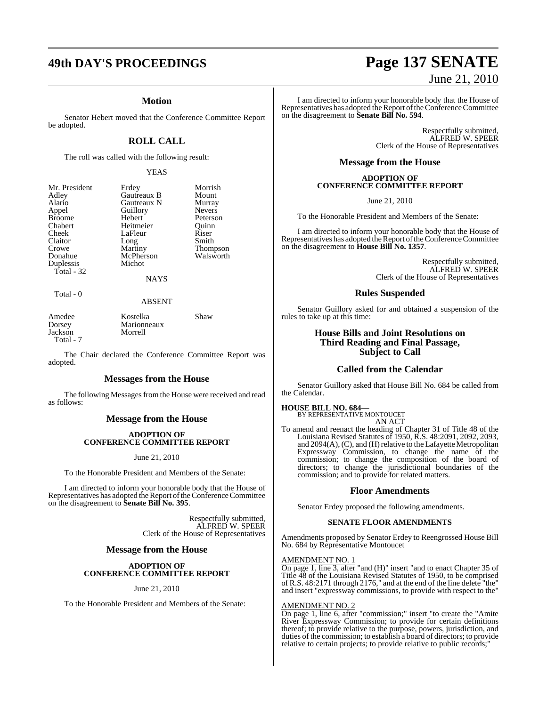### **Motion**

Senator Hebert moved that the Conference Committee Report be adopted.

### **ROLL CALL**

The roll was called with the following result:

### YEAS

Erdey Morrish<br>Gautreaux B Mount

Peterson<br>Ouinn

Thompson<br>Walsworth

| Mr. President |
|---------------|
| Adley         |
| Alario        |
| Appel         |
| <b>Broome</b> |
| Chabert       |
| Cheek         |
| Claitor       |
| Crowe         |
| Donahue       |
| Duplessis     |
| Total - 32    |
|               |

Gautreaux B Mount<br>
Gautreaux N Murray **Gautreaux N** Murray<br> **Guillory** Nevers Guillory<br>Hebert Heitmeier Quinn<br>LaFleur Riser LaFleur Riser<br>Long Smith Long<br>Martiny McPherson Michot

NAYS

Total - 0

### ABSENT

Amedee Kostelka Shaw Marionneaux<br>Morrell Jackson Total - 7

The Chair declared the Conference Committee Report was adopted.

### **Messages from the House**

The following Messages from the House were received and read as follows:

### **Message from the House**

### **ADOPTION OF CONFERENCE COMMITTEE REPORT**

### June 21, 2010

To the Honorable President and Members of the Senate:

I am directed to inform your honorable body that the House of Representatives has adopted the Report of the Conference Committee on the disagreement to **Senate Bill No. 395**.

> Respectfully submitted, ALFRED W. SPEER Clerk of the House of Representatives

### **Message from the House**

### **ADOPTION OF CONFERENCE COMMITTEE REPORT**

### June 21, 2010

To the Honorable President and Members of the Senate:

## **49th DAY'S PROCEEDINGS Page 137 SENATE** June 21, 2010

I am directed to inform your honorable body that the House of Representatives has adopted the Report of the Conference Committee on the disagreement to **Senate Bill No. 594**.

> Respectfully submitted, ALFRED W. SPEER Clerk of the House of Representatives

### **Message from the House**

### **ADOPTION OF CONFERENCE COMMITTEE REPORT**

June 21, 2010

To the Honorable President and Members of the Senate:

I am directed to inform your honorable body that the House of Representatives has adopted the Report of the Conference Committee on the disagreement to **House Bill No. 1357**.

> Respectfully submitted, ALFRED W. SPEER Clerk of the House of Representatives

### **Rules Suspended**

Senator Guillory asked for and obtained a suspension of the rules to take up at this time:

### **House Bills and Joint Resolutions on Third Reading and Final Passage, Subject to Call**

### **Called from the Calendar**

Senator Guillory asked that House Bill No. 684 be called from the Calendar.

### **HOUSE BILL NO. 684—** BY REPRESENTATIVE MONTOUCET

AN ACT

To amend and reenact the heading of Chapter 31 of Title 48 of the Louisiana Revised Statutes of 1950, R.S. 48:2091, 2092, 2093, and  $2094(A)$ , (C), and (H) relative to the Lafayette Metropolitan Expressway Commission, to change the name of the commission; to change the composition of the board of directors; to change the jurisdictional boundaries of the commission; and to provide for related matters.

### **Floor Amendments**

Senator Erdey proposed the following amendments.

### **SENATE FLOOR AMENDMENTS**

Amendments proposed by Senator Erdey to Reengrossed House Bill No. 684 by Representative Montoucet

### AMENDMENT NO. 1

On page 1, line 3, after "and (H)" insert "and to enact Chapter 35 of Title 48 of the Louisiana Revised Statutes of 1950, to be comprised of R.S. 48:2171 through 2176," and at the end of the line delete "the" and insert "expressway commissions, to provide with respect to the"

### AMENDMENT NO. 2

On page 1, line 6, after "commission;" insert "to create the "Amite River Expressway Commission; to provide for certain definitions thereof; to provide relative to the purpose, powers, jurisdiction, and duties of the commission; to establish a board of directors; to provide relative to certain projects; to provide relative to public records;"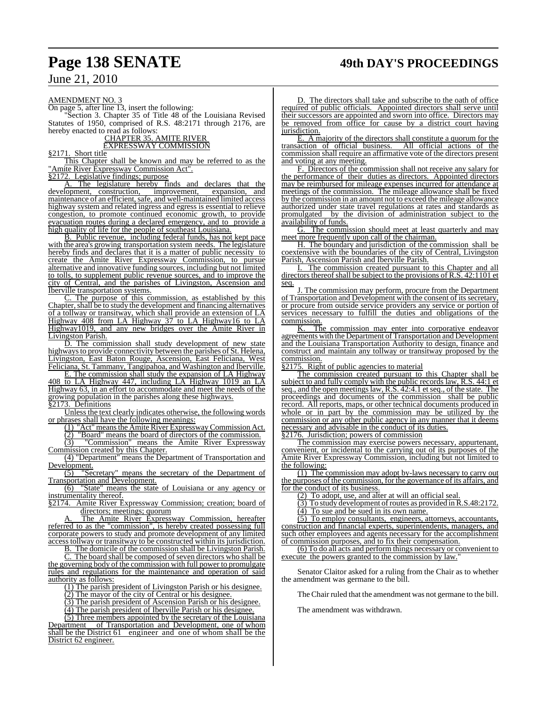AMENDMENT NO. 3

On page 5, after line 13, insert the following:

"Section 3. Chapter 35 of Title 48 of the Louisiana Revised Statutes of 1950, comprised of R.S. 48:2171 through 2176, are hereby enacted to read as follows:

### CHAPTER 35. AMITE RIVER EXPRESSWAY COMMISSION

§2171. Short title

This Chapter shall be known and may be referred to as the Amite River Expressway Commission Act".

§2172. Legislative findings; purpose

The legislature hereby finds and declares that the development, construction, improvement, expansion, and maintenance of an efficient, safe, and well-maintained limited access highway system and related ingress and egress is essential to relieve congestion, to promote continued economic growth, to provide evacuation routes during a declared emergency, and to provide a high quality of life for the people of southeast Louisiana.

B. Public revenue, including federal funds, has not kept pace with the area's growing transportation system needs. The legislature hereby finds and declares that it is a matter of public necessity to create the Amite River Expressway Commission, to pursue alternative and innovative funding sources, including but not limited to tolls, to supplement public revenue sources, and to improve the city of Central, and the parishes of Livingston, Ascension and Iberville transportation systems.

C. The purpose of this commission, as established by this Chapter, shall be to study the development and financing alternatives of a tollway or transitway, which shall provide an extension of LA Highway 408 from LA Highway 37 to LA Highway16 to LA Highway1019, and any new bridges over the Amite River in Livingston Parish.

D. The commission shall study development of new state highways to provide connectivity between the parishes of St. Helena, Livingston, East Baton Rouge, Ascension, East Feliciana, West Feliciana, St. Tammany, Tangipahoa, and Washington and Iberville.

E. The commission shall study the expansion of LA Highway 408 to LA Highway 447, including LA Highway 1019 an LA Highway 63, in an effort to accommodate and meet the needs of the growing population in the parishes along these highways. §2173. Definitions

Unless the text clearly indicates otherwise, the following words or phrases shall have the following meanings:

(1) "Act" means the Amite River Expressway Commission Act.

(2) "Board" means the board of directors of the commission.

(3) "Commission" means the Amite River Expressway Commission created by this Chapter.

(4) "Department" means the Department of Transportation and Development.

(5) "Secretary" means the secretary of the Department of Transportation and Development.

(6) "State" means the state of Louisiana or any agency or instrumentality thereof.<br>§2174. Amite River F

Amite River Expressway Commission; creation; board of directors; meetings; quorum

The Amite River Expressway Commission, hereafter referred to as the "commission", is hereby created possessing full corporate powers to study and promote development of any limited access tollway or transitway to be constructed within its jurisdiction.

B. The domicile of the commission shall be Livingston Parish.

C. The board shall be composed of seven directors who shall be the governing body of the commission with full power to promulgate rules and regulations for the maintenance and operation of said authority as follows:

(1) The parish president of Livingston Parish or his designee.

(2) The mayor of the city of Central or his designee.

(3) The parish president of Ascension Parish or his designee.

(4) The parish president of Iberville Parish or his designee.

(5) Three members appointed by the secretary of the Louisiana

Department of Transportation and Development, one of whom shall be the District 61 engineer and one of whom shall be the District 62 engineer.

D. The directors shall take and subscribe to the oath of office required of public officials. Appointed directors shall serve until their successors are appointed and sworn into office. Directors may be removed from office for cause by a district court having jurisdiction.

E. A majority of the directors shall constitute a quorum for the transaction of official business. All official actions of the commission shall require an affirmative vote of the directors present and voting at any meeting.

F. Directors of the commission shall not receive any salary for the performance of their duties as directors. Appointed directors may be reimbursed for mileage expenses incurred for attendance at meetings of the commission. The mileage allowance shall be fixed by the commission in an amount not to exceed the mileage allowance authorized under state travel regulations at rates and standards as promulgated by the division of administration subject to the availability of funds.

G. The commission should meet at least quarterly and may meet more frequently upon call of the chairman.

H. The boundary and jurisdiction of the commission shall be coextensive with the boundaries of the city of Central, Livingston Parish, Ascension Parish and Iberville Parish.

The commission created pursuant to this Chapter and all directors thereof shall be subject to the provisions of R.S. 42:1101 et seq.

J. The commission may perform, procure from the Department of Transportation and Development with the consent of its secretary, or procure from outside service providers any service or portion of services necessary to fulfill the duties and obligations of the commission.

K. The commission may enter into corporative endeavor agreements with the Department of Transportation and Development and the Louisiana Transportation Authority to design, finance and construct and maintain any tollway or transitway proposed by the commission.

§2175. Right of public agencies to material

The commission created pursuant to this Chapter shall be subject to and fully comply with the public records law, R.S.  $44:1$  et seq., and the open meetingslaw, R.S. 42:4.1 et seq., of the state. The proceedings and documents of the commission shall be public record. All reports, maps, or other technical documents produced in whole or in part by the commission may be utilized by the commission or any other public agency in any manner that it deems necessary and advisable in the conduct of its duties.

§2176. Jurisdiction; powers of commission

The commission may exercise powers necessary, appurtenant, convenient, or incidental to the carrying out of its purposes of the Amite River Expressway Commission, including but not limited to the following:

(1) The commission may adopt by-laws necessary to carry out the purposes of the commission, for the governance of its affairs, and for the conduct of its business.

(2) To adopt, use, and alter at will an official seal.

 $(3)$  To study development of routes as provided in R.S.48:2172.  $\frac{1}{(4)}$  To sue and be sued in its own name.

(5) To employ consultants, engineers, attorneys, accountants, construction and financial experts, superintendents, managers, and such other employees and agents necessary for the accomplishment of commission purposes, and to fix their compensation.

(6) To do all acts and perform things necessary or convenient to execute the powers granted to the commission by law.

Senator Claitor asked for a ruling from the Chair as to whether the amendment was germane to the bill.

The Chair ruled that the amendment was not germane to the bill.

The amendment was withdrawn.

## **Page 138 SENATE 49th DAY'S PROCEEDINGS**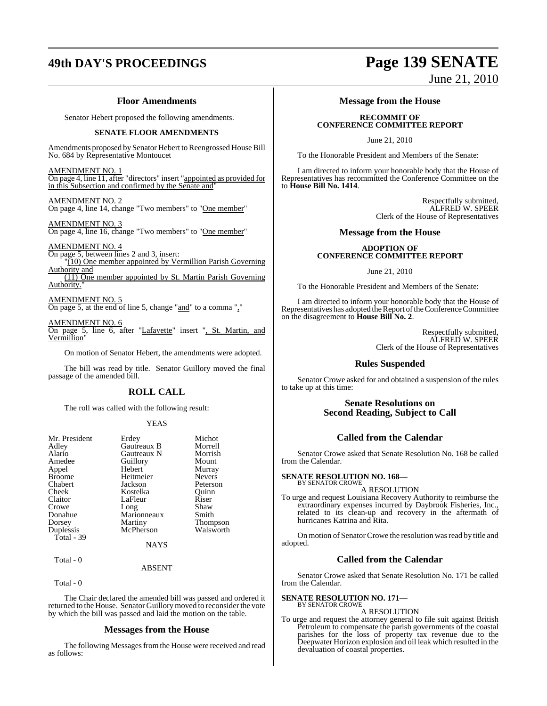### **Floor Amendments**

Senator Hebert proposed the following amendments.

### **SENATE FLOOR AMENDMENTS**

Amendments proposed by Senator Hebert to Reengrossed House Bill No. 684 by Representative Montoucet

AMENDMENT NO. 1 On page 4, line 11, after "directors" insert "appointed as provided for in this Subsection and confirmed by the Senate and"

AMENDMENT NO. 2 On page 4, line 14, change "Two members" to "One member"

AMENDMENT NO. 3 On page 4, line 16, change "Two members" to "One member"

AMENDMENT NO. 4 On page 5, between lines 2 and 3, insert: "(10) One member appointed by Vermillion Parish Governing Authority and (11) One member appointed by St. Martin Parish Governing Authority."

### AMENDMENT NO. 5

On page 5, at the end of line 5, change "and" to a comma ","

AMENDMENT NO. 6

On page 5, line 6, after "Lafayette" insert ", St. Martin, and Vermillion"

On motion of Senator Hebert, the amendments were adopted.

The bill was read by title. Senator Guillory moved the final passage of the amended bill.

### **ROLL CALL**

The roll was called with the following result:

### YEAS

| Mr. President | Erdey       | Michot        |
|---------------|-------------|---------------|
| Adley         | Gautreaux B | Morrell       |
| Alario        | Gautreaux N | Morrish       |
| Amedee        | Guillory    | Mount         |
| Appel         | Hebert      | Murray        |
| <b>Broome</b> | Heitmeier   | <b>Nevers</b> |
| Chabert       | Jackson     | Peterson      |
| Cheek         | Kostelka    | Ouinn         |
| Claitor       | LaFleur     | Riser         |
| Crowe         | Long        | Shaw          |
| Donahue       | Marionneaux | Smith         |
| Dorsey        | Martiny     | Thompson      |
| Duplessis     | McPherson   | Walsworth     |
| Total - 39    |             |               |
|               | <b>NAYS</b> |               |

### ABSENT

Total - 0

Total - 0

The Chair declared the amended bill was passed and ordered it returned to the House. Senator Guillory moved to reconsider the vote by which the bill was passed and laid the motion on the table.

### **Messages from the House**

The following Messages from the House were received and read as follows:

## **49th DAY'S PROCEEDINGS Page 139 SENATE** June 21, 2010

**Message from the House**

### **RECOMMIT OF CONFERENCE COMMITTEE REPORT**

June 21, 2010

To the Honorable President and Members of the Senate:

I am directed to inform your honorable body that the House of Representatives has recommitted the Conference Committee on the to **House Bill No. 1414**.

> Respectfully submitted, ALFRED W. SPEER Clerk of the House of Representatives

### **Message from the House**

### **ADOPTION OF CONFERENCE COMMITTEE REPORT**

June 21, 2010

To the Honorable President and Members of the Senate:

I am directed to inform your honorable body that the House of Representatives has adopted the Report of the Conference Committee on the disagreement to **House Bill No. 2**.

> Respectfully submitted, ALFRED W. SPEER Clerk of the House of Representatives

### **Rules Suspended**

Senator Crowe asked for and obtained a suspension of the rules to take up at this time:

### **Senate Resolutions on Second Reading, Subject to Call**

### **Called from the Calendar**

Senator Crowe asked that Senate Resolution No. 168 be called from the Calendar.

## **SENATE RESOLUTION NO. 168—** BY SENATOR CROWE

A RESOLUTION

To urge and request Louisiana Recovery Authority to reimburse the extraordinary expenses incurred by Daybrook Fisheries, Inc., related to its clean-up and recovery in the aftermath of hurricanes Katrina and Rita.

On motion of Senator Crowe the resolution was read by title and adopted.

### **Called from the Calendar**

Senator Crowe asked that Senate Resolution No. 171 be called from the Calendar.

### **SENATE RESOLUTION NO. 171—** BY SENATOR CROWE

A RESOLUTION

To urge and request the attorney general to file suit against British Petroleum to compensate the parish governments of the coastal parishes for the loss of property tax revenue due to the Deepwater Horizon explosion and oil leak which resulted in the devaluation of coastal properties.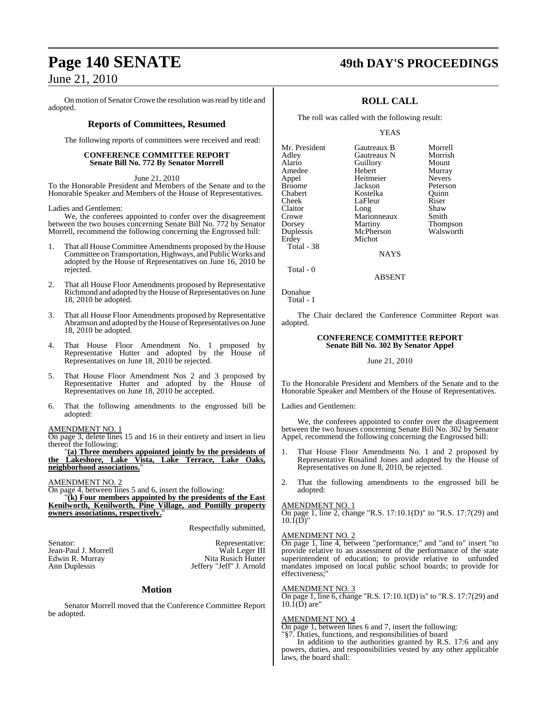On motion of Senator Crowe the resolution was read by title and adopted.

### **Reports of Committees, Resumed**

The following reports of committees were received and read:

### **CONFERENCE COMMITTEE REPORT Senate Bill No. 772 By Senator Morrell**

June 21, 2010

To the Honorable President and Members of the Senate and to the Honorable Speaker and Members of the House of Representatives.

Ladies and Gentlemen:

We, the conferees appointed to confer over the disagreement between the two houses concerning Senate Bill No. 772 by Senator Morrell, recommend the following concerning the Engrossed bill:

- 1. That all House Committee Amendments proposed by the House Committee on Transportation, Highways, and Public Works and adopted by the House of Representatives on June 16, 2010 be rejected.
- 2. That all House Floor Amendments proposed by Representative Richmond and adopted by the House of Representatives on June 18, 2010 be adopted.
- 3. That all House Floor Amendments proposed by Representative Abramson and adopted by the House of Representatives on June 18, 2010 be adopted.
- That House Floor Amendment No. 1 proposed by Representative Hutter and adopted by the House of Representatives on June 18, 2010 be rejected.
- 5. That House Floor Amendment Nos 2 and 3 proposed by Representative Hutter and adopted by the House of Representatives on June 18, 2010 be accepted.
- 6. That the following amendments to the engrossed bill be adopted:

### AMENDMENT NO. 1

On page 3, delete lines 15 and 16 in their entirety and insert in lieu thereof the following:

"**(a) Three members appointed jointly by the presidents of the Lakeshore, Lake Vista, Lake Terrace, Lake Oaks, neighborhood associations.**"

### AMENDMENT NO. 2

On page 4, between lines 5 and 6, insert the following:

"**(k) Four members appointed by the presidents of the East Kenilworth, Kenilworth, Pine Village, and Pontilly property owners associations, respectively.**"

Respectfully submitted,

Edwin R. Murray

Senator: <br>
Senator: Islam-Paul J. Morrell Malt Leger III Jean-Paul J. Morrell Walt Leger III<br>Edwin R. Murray Nita Rusich Hutter Ann Duplessis Jeffery "Jeff" J. Arnold

### **Motion**

Senator Morrell moved that the Conference Committee Report be adopted.

## **Page 140 SENATE 49th DAY'S PROCEEDINGS**

### **ROLL CALL**

The roll was called with the following result:

### YEAS

| Mr. President | Gautreaux B | Morrell       |
|---------------|-------------|---------------|
| Adley         | Gautreaux N | Morrish       |
| Alario        | Guillory    | Mount         |
| Amedee        | Hebert      | Murray        |
| Appel         | Heitmeier   | <b>Nevers</b> |
| <b>Broome</b> | Jackson     | Peterson      |
| Chabert       | Kostelka    | Ouinn         |
| Cheek         | LaFleur     | Riser         |
| Claitor       | Long        | Shaw          |
| Crowe         | Marionneaux | Smith         |
| Dorsey        | Martiny     | Thompson      |
| Duplessis     | McPherson   | Walsworth     |
| Erdey         | Michot      |               |
| Total - 38    |             |               |

**NAYS** 

ABSENT

Total - 0

Donahue Total - 1

The Chair declared the Conference Committee Report was adopted.

### **CONFERENCE COMMITTEE REPORT Senate Bill No. 302 By Senator Appel**

### June 21, 2010

To the Honorable President and Members of the Senate and to the Honorable Speaker and Members of the House of Representatives.

Ladies and Gentlemen:

We, the conferees appointed to confer over the disagreement between the two houses concerning Senate Bill No. 302 by Senator Appel, recommend the following concerning the Engrossed bill:

- 1. That House Floor Amendments No. 1 and 2 proposed by Representative Rosalind Jones and adopted by the House of Representatives on June 8, 2010, be rejected.
- 2. That the following amendments to the engrossed bill be adopted:

### AMENDMENT NO. 1

On page 1, line 2, change "R.S. 17:10.1(D)" to "R.S. 17:7(29) and  $10.\overline{1(D)}$ "

### AMENDMENT NO. 2

On page 1, line 4, between "performance;" and "and to" insert "to provide relative to an assessment of the performance of the state superintendent of education; to provide relative to unfunded mandates imposed on local public school boards; to provide for effectiveness:

### AMENDMENT NO. 3

On page 1, line 6, change "R.S. 17:10.1(D) is" to "R.S. 17:7(29) and  $10.\overline{1}$ (D) are"

### AMENDMENT NO. 4

On page 1, between lines 6 and 7, insert the following:

"§7. Duties, functions, and responsibilities of board

In addition to the authorities granted by R.S. 17:6 and any powers, duties, and responsibilities vested by any other applicable laws, the board shall: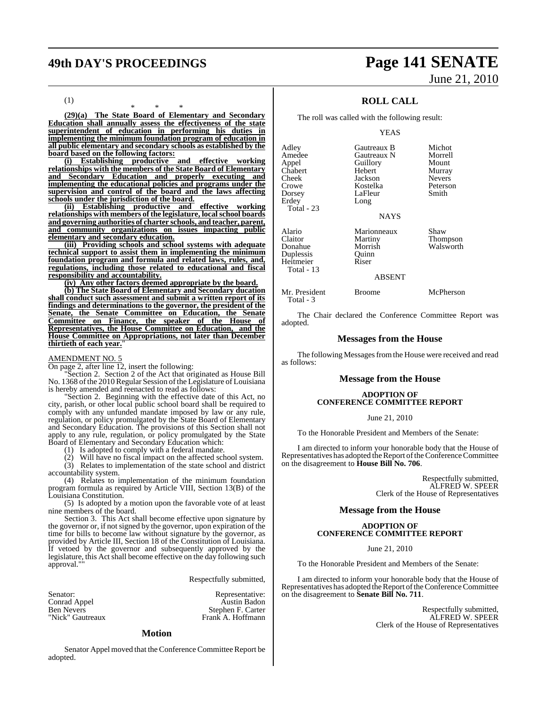## **49th DAY'S PROCEEDINGS Page 141 SENATE** June 21, 2010

(1)

\* \* \* **(29)(a) The State Board of Elementary and Secondary Education shall annually assess the effectiveness of the state superintendent of education in performing his duties in implementing the minimum foundation program of education in all public elementary and secondary schools as established by the board based on the following factors:**

**(i) Establishing productive and effective working relationships with the members of the State Board of Elementary and Secondary Education and properly executing and implementing the educational policies and programs under the supervision and control of the board and the laws affecting schools under the jurisdiction of the board.**

**(ii) Establishing productive and effective working relationships with members of the legislature, localschool boards and governing authorities of charter schools, and teacher, parent, and community organizations on issues impacting public elementary and secondary education.**

**(iii) Providing schools and school systems with adequate technical support to assist them in implementing the minimum foundation program and formula and related laws, rules, and, regulations, including those related to educational and fiscal responsibility and accountability.**

**(iv) Any other factors deemed appropriate by the board.**

**(b) The State Board of Elementary and Secondary ducation shall conduct such assessment and submit a written report of its findings and determinations to the governor, the president of the Senate, the Senate Committee on Education, the Senate Committee on Finance, the speaker of the House of Representatives, the House Committee on Education, and the House Committee on Appropriations, not later than December thirtieth of each year.**"

### AMENDMENT NO. 5

On page 2, after line 12, insert the following:

Section 2. Section 2 of the Act that originated as House Bill No. 1368 ofthe 2010 Regular Session ofthe Legislature of Louisiana is hereby amended and reenacted to read as follows:

"Section 2. Beginning with the effective date of this Act, no city, parish, or other local public school board shall be required to comply with any unfunded mandate imposed by law or any rule, regulation, or policy promulgated by the State Board of Elementary and Secondary Education. The provisions of this Section shall not apply to any rule, regulation, or policy promulgated by the State Board of Elementary and Secondary Education which:

(1) Is adopted to comply with a federal mandate.

(2) Will have no fiscal impact on the affected school system.

(3) Relates to implementation of the state school and district accountability system.

(4) Relates to implementation of the minimum foundation program formula as required by Article VIII, Section 13(B) of the Louisiana Constitution.

(5) Is adopted by a motion upon the favorable vote of at least nine members of the board.

Section 3. This Act shall become effective upon signature by the governor or, if notsigned by the governor, upon expiration of the time for bills to become law without signature by the governor, as provided by Article III, Section 18 of the Constitution of Louisiana. If vetoed by the governor and subsequently approved by the legislature, this Actshall become effective on the day following such approval."

Respectfully submitted,

Representative: Austin Badon Stephen F. Carter Frank A. Hoffmann

| Senator:          |  |
|-------------------|--|
| Conrad Appel      |  |
| <b>Ben Nevers</b> |  |
| "Nick" Gautreaux  |  |

### **Motion**

Senator Appel moved that the Conference Committee Report be adopted.

### **ROLL CALL**

The roll was called with the following result:

### YEAS

| Adley<br>Amedee<br>Appel<br>Chabert<br>Cheek<br>Crowe                | Gautreaux B<br>Gautreaux N<br>Guillory<br>Hebert<br>Jackson<br>Kostelka | Micho<br>Morre<br>Moun<br>Murra<br>Never<br>Peters |
|----------------------------------------------------------------------|-------------------------------------------------------------------------|----------------------------------------------------|
| Dorsey<br>Erdey<br>Total - 23                                        | LaFleur<br>Long<br><b>NAYS</b>                                          | Smith                                              |
| Alario<br>Claitor<br>Donahue<br>Duplessis<br>Heitmeier<br>Total - 13 | Marionneaux<br>Martiny<br>Morrish<br>Ouinn<br>Riser                     | Shaw<br>Thom<br>Walsy                              |

Shaw Thompson Walsworth

Michot Morrell Mount Murray Nevers<sup>2</sup> Peterson<br>Smith

### ABSENT

Mr. President Broome McPherson Total - 3

The Chair declared the Conference Committee Report was adopted.

### **Messages from the House**

The following Messages from the House were received and read as follows:

### **Message from the House**

### **ADOPTION OF CONFERENCE COMMITTEE REPORT**

June 21, 2010

To the Honorable President and Members of the Senate:

I am directed to inform your honorable body that the House of Representatives has adopted the Report of the Conference Committee on the disagreement to **House Bill No. 706**.

> Respectfully submitted, ALFRED W. SPEER Clerk of the House of Representatives

### **Message from the House**

### **ADOPTION OF CONFERENCE COMMITTEE REPORT**

June 21, 2010

To the Honorable President and Members of the Senate:

I am directed to inform your honorable body that the House of Representatives has adopted the Report of the Conference Committee on the disagreement to **Senate Bill No. 711**.

> Respectfully submitted, ALFRED W. SPEER Clerk of the House of Representatives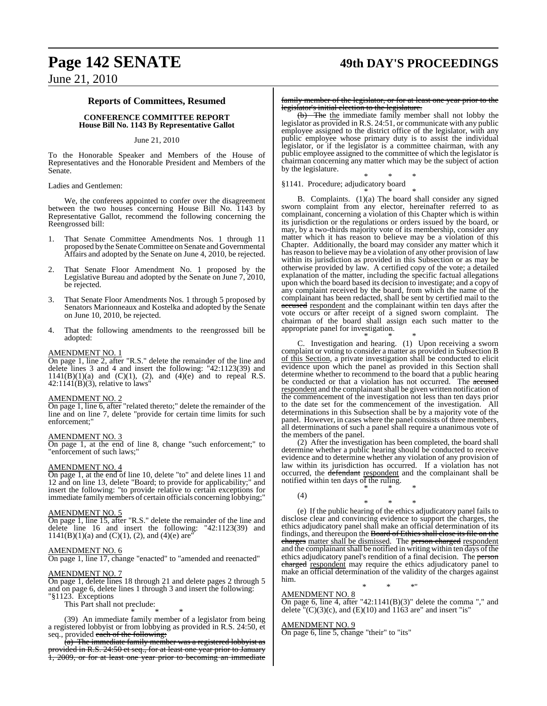### **Reports of Committees, Resumed**

**CONFERENCE COMMITTEE REPORT House Bill No. 1143 By Representative Gallot**

### June 21, 2010

To the Honorable Speaker and Members of the House of Representatives and the Honorable President and Members of the Senate.

Ladies and Gentlemen:

We, the conferees appointed to confer over the disagreement between the two houses concerning House Bill No. 1143 by Representative Gallot, recommend the following concerning the Reengrossed bill:

- 1. That Senate Committee Amendments Nos. 1 through 11 proposed by the Senate Committee on Senate and Governmental Affairs and adopted by the Senate on June 4, 2010, be rejected.
- 2. That Senate Floor Amendment No. 1 proposed by the Legislative Bureau and adopted by the Senate on June 7, 2010, be rejected.
- 3. That Senate Floor Amendments Nos. 1 through 5 proposed by Senators Marionneaux and Kostelka and adopted by the Senate on June 10, 2010, be rejected.
- 4. That the following amendments to the reengrossed bill be adopted:

### AMENDMENT NO. 1

On page 1, line 2, after "R.S." delete the remainder of the line and delete lines 3 and 4 and insert the following: "42:1123(39) and  $1141(B)(1)(a)$  and  $(C)(1)$ ,  $(2)$ , and  $(4)(e)$  and to repeal R.S.  $42:1141(B)(3)$ , relative to laws'

### AMENDMENT NO. 2

On page 1, line 6, after "related thereto;" delete the remainder of the line and on line 7, delete "provide for certain time limits for such enforcement;"

### AMENDMENT NO. 3

On page 1, at the end of line 8, change "such enforcement;" to "enforcement of such laws;"

### AMENDMENT NO. 4

On page 1, at the end of line 10, delete "to" and delete lines 11 and 12 and on line 13, delete "Board; to provide for applicability;" and insert the following: "to provide relative to certain exceptions for immediate family members of certain officials concerning lobbying;"

### AMENDMENT NO. 5

On page 1, line 15, after "R.S." delete the remainder of the line and delete line 16 and insert the following: "42:1123(39) and  $1141(B)(1)(a)$  and  $(C)(1)$ ,  $(2)$ , and  $(4)(e)$  are

### AMENDMENT NO. 6

On page 1, line 17, change "enacted" to "amended and reenacted"

### AMENDMENT NO. 7

On page 1, delete lines 18 through 21 and delete pages 2 through 5 and on page 6, delete lines 1 through 3 and insert the following:

"§1123. Exceptions

This Part shall not preclude: \* \* \*

(39) An immediate family member of a legislator from being a registered lobbyist or from lobbying as provided in R.S. 24:50, et seq., provided each of the following:

(a) The immediate family member was a registered lobbyist as provided in R.S. 24:50 et seq., for at least one year prior to January 1, 2009, or for at least one year prior to becoming an immediate

family member of the legislator, or for at least one year prior to the legislator's initial election to the legislature.

 $(b)$  The the immediate family member shall not lobby the legislator as provided in R.S. 24:51, or communicate with any public employee assigned to the district office of the legislator, with any public employee whose primary duty is to assist the individual legislator, or if the legislator is a committee chairman, with any public employee assigned to the committee of which the legislator is chairman concerning any matter which may be the subject of action by the legislature.

\* \* \* §1141. Procedure; adjudicatory board

\* \* \*

B. Complaints. (1)(a) The board shall consider any signed sworn complaint from any elector, hereinafter referred to as complainant, concerning a violation of this Chapter which is within its jurisdiction or the regulations or orders issued by the board, or may, by a two-thirds majority vote of its membership, consider any matter which it has reason to believe may be a violation of this Chapter. Additionally, the board may consider any matter which it has reason to believe may be a violation of any other provision of law within its jurisdiction as provided in this Subsection or as may be otherwise provided by law. A certified copy of the vote; a detailed explanation of the matter, including the specific factual allegations upon which the board based its decision to investigate; and a copy of any complaint received by the board, from which the name of the complainant has been redacted, shall be sent by certified mail to the accused respondent and the complainant within ten days after the vote occurs or after receipt of a signed sworn complaint. The chairman of the board shall assign each such matter to the appropriate panel for investigation.

\* \* \*

C. Investigation and hearing. (1) Upon receiving a sworn complaint or voting to consider a matter as provided in Subsection B of this Section, a private investigation shall be conducted to elicit evidence upon which the panel as provided in this Section shall determine whether to recommend to the board that a public hearing be conducted or that a violation has not occurred. The accused respondent and the complainant shall be given written notification of the commencement of the investigation not less than ten days prior to the date set for the commencement of the investigation. All determinations in this Subsection shall be by a majority vote of the panel. However, in cases where the panel consists of three members, all determinations of such a panel shall require a unanimous vote of the members of the panel.

(2) After the investigation has been completed, the board shall determine whether a public hearing should be conducted to receive evidence and to determine whether any violation of any provision of law within its jurisdiction has occurred. If a violation has not occurred, the defendant respondent and the complainant shall be notified within ten days of the ruling. \* \* \*

(4)

\* \* \* (e) If the public hearing of the ethics adjudicatory panel fails to disclose clear and convincing evidence to support the charges, the ethics adjudicatory panel shall make an official determination of its findings, and thereupon the Board of Ethics shall close its file on the charges matter shall be dismissed. The person charged respondent and the complainant shall be notified in writing within ten days of the ethics adjudicatory panel's rendition of a final decision. The person charged respondent may require the ethics adjudicatory panel to make an official determination of the validity of the charges against him.

### \* \* \*" AMENDMENT NO. 8

On page 6, line 4, after "42:1141(B)(3)" delete the comma "," and delete  $\sqrt{\text{C}}(3)(c)$ , and (E)(10) and 1163 are" and insert "is"

### AMENDMENT NO. 9

On page 6, line 5, change "their" to "its"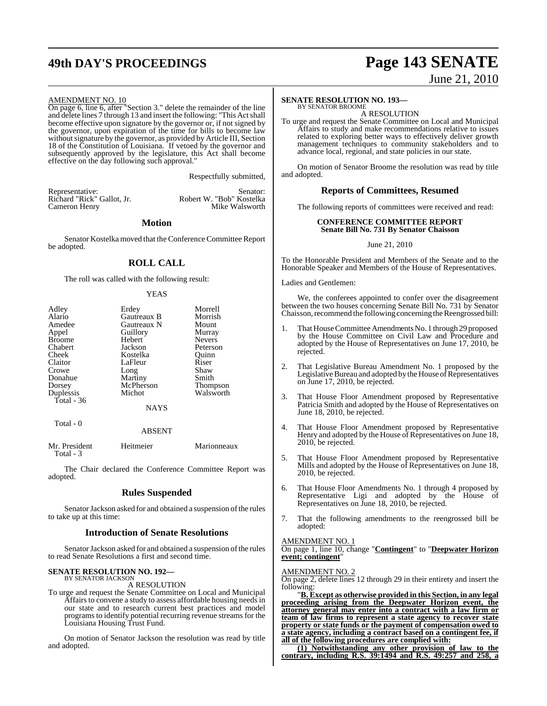## **49th DAY'S PROCEEDINGS Page 143 SENATE** June 21, 2010

### AMENDMENT NO. 10

On page 6, line 6, after "Section 3." delete the remainder of the line and delete lines 7 through 13 and insert the following: "This Actshall become effective upon signature by the governor or, if not signed by the governor, upon expiration of the time for bills to become law without signature by the governor, as provided by Article III, Section 18 of the Constitution of Louisiana. If vetoed by the governor and subsequently approved by the legislature, this Act shall become effective on the day following such approval."

Respectfully submitted,

Representative: Senator: Senator:<br>Richard "Rick" Gallot, Jr. (Robert W. "Bob" Kostelka Richard "Rick" Gallot, Jr. Robert W. "Bob" Kostelka Cameron Henry

### **Motion**

Senator Kostelka moved that the Conference Committee Report be adopted.

### **ROLL CALL**

The roll was called with the following result:

### YEAS

| Adley         | Erdey       | Morrell       |
|---------------|-------------|---------------|
| Alario        | Gautreaux B | Morrish       |
| Amedee        | Gautreaux N | Mount         |
| Appel         | Guillory    | Murray        |
| <b>Broome</b> | Hebert      | <b>Nevers</b> |
| Chabert       | Jackson     | Peterson      |
| Cheek         | Kostelka    | Ouinn         |
| Claitor       | LaFleur     | Riser         |
| Crowe         | Long        | Shaw          |
| Donahue       | Martiny     | Smith         |
| Dorsey        | McPherson   | Thompson      |
| Duplessis     | Michot      | Walsworth     |
| Total - 36    |             |               |
|               | <b>NAYS</b> |               |
| Total - 0     |             |               |

### ABSENT

| Mr. President | Heitmeier | Marionneaux |
|---------------|-----------|-------------|
| Total - 3     |           |             |

The Chair declared the Conference Committee Report was adopted.

### **Rules Suspended**

Senator Jackson asked for and obtained a suspension of the rules to take up at this time:

### **Introduction of Senate Resolutions**

Senator Jackson asked for and obtained a suspension of the rules to read Senate Resolutions a first and second time.

### **SENATE RESOLUTION NO. 192—** BY SENATOR JACKSON

A RESOLUTION

To urge and request the Senate Committee on Local and Municipal Affairs to convene a study to assess affordable housing needs in our state and to research current best practices and model programs to identify potential recurring revenue streams for the Louisiana Housing Trust Fund.

On motion of Senator Jackson the resolution was read by title and adopted.

### **SENATE RESOLUTION NO. 193—**

BY SENATOR BROOME A RESOLUTION

To urge and request the Senate Committee on Local and Municipal Affairs to study and make recommendations relative to issues related to exploring better ways to effectively deliver growth management techniques to community stakeholders and to advance local, regional, and state policies in our state.

On motion of Senator Broome the resolution was read by title and adopted.

### **Reports of Committees, Resumed**

The following reports of committees were received and read:

### **CONFERENCE COMMITTEE REPORT Senate Bill No. 731 By Senator Chaisson**

### June 21, 2010

To the Honorable President and Members of the Senate and to the Honorable Speaker and Members of the House of Representatives.

### Ladies and Gentlemen:

We, the conferees appointed to confer over the disagreement between the two houses concerning Senate Bill No. 731 by Senator Chaisson, recommend the following concerning the Reengrossed bill:

- That House Committee Amendments No. 1 through 29 proposed by the House Committee on Civil Law and Procedure and adopted by the House of Representatives on June 17, 2010, be rejected.
- 2. That Legislative Bureau Amendment No. 1 proposed by the Legislative Bureau and adopted by the House of Representatives on June 17, 2010, be rejected.
- 3. That House Floor Amendment proposed by Representative Patricia Smith and adopted by the House of Representatives on June 18, 2010, be rejected.
- 4. That House Floor Amendment proposed by Representative Henry and adopted by the House of Representatives on June 18, 2010, be rejected.
- 5. That House Floor Amendment proposed by Representative Mills and adopted by the House of Representatives on June 18, 2010, be rejected.
- 6. That House Floor Amendments No. 1 through 4 proposed by Representative Ligi and adopted by the House of Representatives on June 18, 2010, be rejected.
- 7. That the following amendments to the reengrossed bill be adopted:

### AMENDMENT NO. 1

On page 1, line 10, change "**Contingent**" to "**Deepwater Horizon event; contingent**"

### AMENDMENT NO. 2

On page 2, delete lines 12 through 29 in their entirety and insert the following:

"**B. Except as otherwise provided in this Section, in any legal proceeding arising from the Deepwater Horizon event, the attorney general may enter into a contract with a law firm or team of law firms to represent a state agency to recover state property or state funds or the payment of compensation owed to a state agency, including a contract based on a contingent fee, if all of the following procedures are complied with:**

**(1) Notwithstanding any other provision of law to the contrary, including R.S. 39:1494 and R.S. 49:257 and 258, a**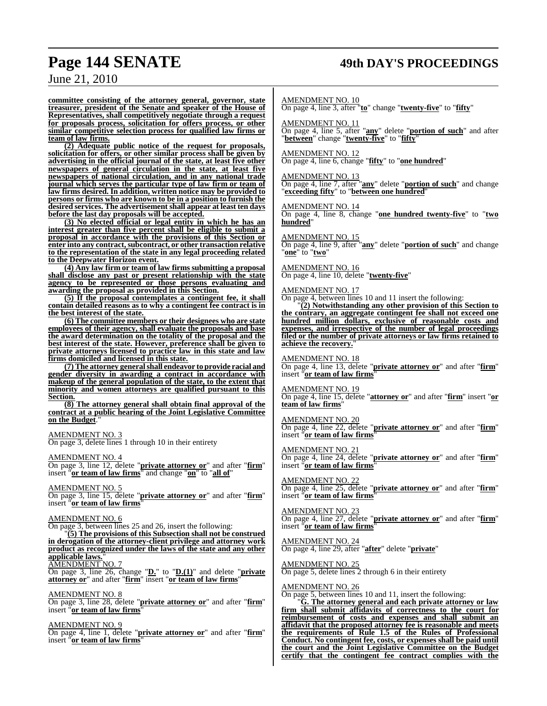## **Page 144 SENATE 49th DAY'S PROCEEDINGS**

June 21, 2010

**committee consisting of the attorney general, governor, state treasurer, president of the Senate and speaker of the House of Representatives, shall competitively negotiate through a request for proposals process, solicitation for offers process, or other similar competitive selection process for qualified law firms or team of law firms.**

**(2) Adequate public notice of the request for proposals, solicitation for offers, or other similar process shall be given by advertising in the official journal of the state, at least five other newspapers of general circulation in the state, at least five newspapers of national circulation, and in any national trade journal which serves the particular type of law firm or team of law firms desired. In addition, written notice may be provided to persons or firms who are known to be in a position to furnish the desired services. The advertisement shall appear at least ten days before the last day proposals will be accepted.**

**(3) No elected official or legal entity in which he has an interest greater than five percent shall be eligible to submit a proposal in accordance with the provisions of this Section or enter into any contract,subcontract, or other transaction relative to the representation of the state in any legal proceeding related to the Deepwater Horizon event.**

**(4) Any law firm or team of law firms submitting a proposal shall disclose any past or present relationship with the state agency to be represented or those persons evaluating and awarding the proposal as provided in this Section.**

**(5) If the proposal contemplates a contingent fee, it shall contain detailed reasons as to why a contingent fee contract is in the best interest of the state.** 

**(6) The committee members or their designees who are state employees of their agency, shall evaluate the proposals and base the award determination on the totality of the proposal and the best interest of the state. However, preference shall be given to private attorneys licensed to practice law in this state and law firms domiciled and licensed in this state.**

**(7) The attorney generalshall endeavor to provide racial and gender diversity in awarding a contract in accordance with makeup of the general population of the state, to the extent that minority and women attorneys are qualified pursuant to this Section.**

**(8) The attorney general shall obtain final approval of the contract at a public hearing of the Joint Legislative Committee** on the Budget.

### AMENDMENT NO. 3

On page 3, delete lines 1 through 10 in their entirety

AMENDMENT NO. 4

On page 3, line 12, delete "**private attorney or**" and after "**firm**" insert "**or team of law firms**" and change "**on**" to "**all of**"

AMENDMENT NO. 5

On page 3, line 15, delete "**private attorney or**" and after "**firm**" insert "**or team of law firms**"

### AMENDMENT NO. 6

On page 3, between lines 25 and 26, insert the following:

"**(5) The provisions of this Subsection shall not be construed in derogation of the attorney-client privilege and attorney work product as recognized under the laws of the state and any other applicable laws.**"

### AMENDMENT NO. 7

On page 3, line 26, change "**D.**" to "**D.(1)**" and delete "**private attorney or**" and after "**firm**" insert "**or team of law firms**"

### AMENDMENT NO. 8

On page 3, line 28, delete "**private attorney or**" and after "**firm**" insert "**or team of law firms**"

AMENDMENT NO. 9

On page 4, line 1, delete "**private attorney or**" and after "**firm**" insert "**or team of law firms**"

### AMENDMENT NO. 10

On page 4, line 3, after "**to**" change "**twenty-five**" to "**fifty**"

AMENDMENT NO. 11

On page 4, line 5, after "**any**" delete "**portion of such**" and after "**between**" change "**twenty-five**" to "**fifty**"

### AMENDMENT NO. 12

On page 4, line 6, change "**fifty**" to "**one hundred**"

AMENDMENT NO. 13 On page 4, line 7, after "**any**" delete "**portion of such**" and change "**exceeding fifty**" to "**between one hundred**"

AMENDMENT NO. 14 On page 4, line 8, change "**one hundred twenty-five**" to "**two hundred**"

AMENDMENT NO. 15

On page 4, line 9, after "**any**" delete "**portion of such**" and change "**one**" to "**two**"

AMENDMENT NO. 16 On page 4, line 10, delete "**twenty-five**"

### AMENDMENT NO. 17

On page 4, between lines 10 and 11 insert the following:

"**(2) Notwithstanding any other provision of this Section to the contrary, an aggregate contingent fee shall not exceed one hundred million dollars, exclusive of reasonable costs and expenses, and irrespective of the number of legal proceedings filed or the number of private attorneys or law firms retained to** achieve the recovery.

### AMENDMENT NO. 18

On page 4, line 13, delete "**private attorney or**" and after "**firm**" insert "**or team of law firms**"

### AMENDMENT NO. 19

On page 4, line 15, delete "**attorney or**" and after "**firm**" insert "**or team of law firms**"

### AMENDMENT NO. 20

On page 4, line 22, delete "**private attorney or**" and after "**firm**" insert "**or team of law firms**"

### AMENDMENT NO. 21

On page 4, line 24, delete "**private attorney or**" and after "**firm**" insert "**or team of law firms**"

AMENDMENT NO. 22 On page 4, line 25, delete "**private attorney or**" and after "**firm**" insert "**or team of law firms**"

AMENDMENT NO. 23 On page 4, line 27, delete "**private attorney or**" and after "**firm**" insert "**or team of law firms**"

AMENDMENT NO. 24 On page 4, line 29, after "**after**" delete "**private**"

AMENDMENT NO. 25 On page 5, delete lines 2 through 6 in their entirety

### AMENDMENT NO. 26

On page 5, between lines 10 and 11, insert the following:

"**G. The attorney general and each private attorney or law firm shall submit affidavits of correctness to the court for reimbursement of costs and expenses and shall submit an affidavit that the proposed attorney fee is reasonable and meets the requirements of Rule 1.5 of the Rules of Professional Conduct. No contingent fee, costs, or expenses shall be paid until the court and the Joint Legislative Committee on the Budget certify that the contingent fee contract complies with the**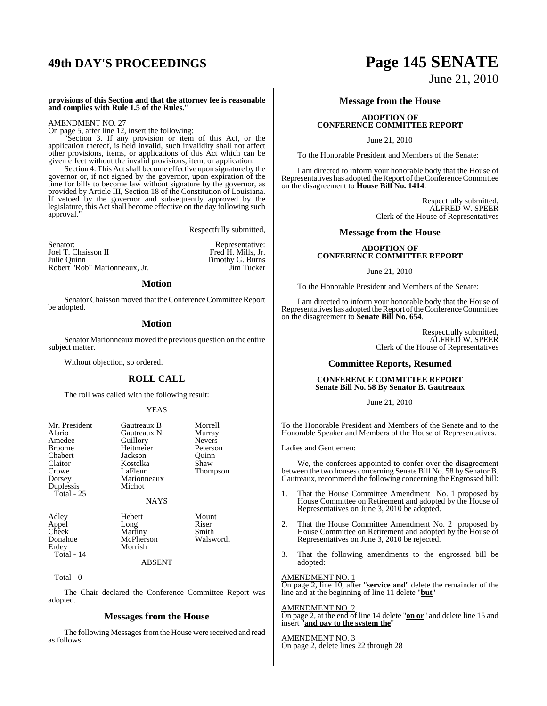# **49th DAY'S PROCEEDINGS Page 145 SENATE**

### **provisions of this Section and that the attorney fee is reasonable and complies with Rule 1.5 of the Rules.**"

# AMENDMENT NO. 27

On page 5, after line 12, insert the following:

"Section 3. If any provision or item of this Act, or the application thereof, is held invalid, such invalidity shall not affect other provisions, items, or applications of this Act which can be given effect without the invalid provisions, item, or application.

Section 4. This Act shall become effective upon signature by the governor or, if not signed by the governor, upon expiration of the time for bills to become law without signature by the governor, as provided by Article III, Section 18 of the Constitution of Louisiana. If vetoed by the governor and subsequently approved by the legislature, this Act shall become effective on the day following such approval."

Respectfully submitted,

| Senator:                      | Representative:    |
|-------------------------------|--------------------|
| Joel T. Chaisson II           | Fred H. Mills, Jr. |
| Julie Ouinn                   | Timothy G. Burns   |
| Robert "Rob" Marionneaux, Jr. | Jim Tucker         |

## **Motion**

Senator Chaisson moved that the Conference Committee Report be adopted.

## **Motion**

Senator Marionneaux moved the previous question on the entire subject matter.

Without objection, so ordered.

## **ROLL CALL**

The roll was called with the following result:

### YEAS

| Mr. President<br>Alario<br>Amedee<br><b>Broome</b><br>Chabert<br>Claitor<br>Crowe<br>Dorsey<br>Duplessis<br>Total - $25$ | Gautreaux B<br>Gautreaux N<br>Guillory<br>Heitmeier<br>Jackson<br>Kostelka<br>LaFleur<br>Marionneaux<br>Michot | Morrell<br>Murray<br><b>Nevers</b><br>Peterson<br>Ouinn<br>Shaw<br>Thompson |
|--------------------------------------------------------------------------------------------------------------------------|----------------------------------------------------------------------------------------------------------------|-----------------------------------------------------------------------------|
|                                                                                                                          | <b>NAYS</b>                                                                                                    |                                                                             |
| Adley<br>Appel<br>Cheek<br>Donahue<br>Erdey<br>Total - 14                                                                | Hebert<br>Long<br>Martiny<br>McPherson<br>Morrish                                                              | Mount<br>Riser<br>Smith<br>Walsworth                                        |

#### ABSENT

Total - 0

The Chair declared the Conference Committee Report was adopted.

## **Messages from the House**

The following Messages from the House were received and read as follows:

# June 21, 2010

## **Message from the House**

## **ADOPTION OF CONFERENCE COMMITTEE REPORT**

June 21, 2010

To the Honorable President and Members of the Senate:

I am directed to inform your honorable body that the House of Representatives has adopted the Report of the Conference Committee on the disagreement to **House Bill No. 1414**.

> Respectfully submitted, ALFRED W. SPEER Clerk of the House of Representatives

# **Message from the House**

## **ADOPTION OF CONFERENCE COMMITTEE REPORT**

June 21, 2010

To the Honorable President and Members of the Senate:

I am directed to inform your honorable body that the House of Representatives has adopted the Report of the Conference Committee on the disagreement to **Senate Bill No. 654**.

> Respectfully submitted, ALFRED W. SPEER Clerk of the House of Representatives

# **Committee Reports, Resumed**

## **CONFERENCE COMMITTEE REPORT Senate Bill No. 58 By Senator B. Gautreaux**

June 21, 2010

To the Honorable President and Members of the Senate and to the Honorable Speaker and Members of the House of Representatives.

Ladies and Gentlemen:

We, the conferees appointed to confer over the disagreement between the two houses concerning Senate Bill No. 58 by Senator B. Gautreaux, recommend the following concerning the Engrossed bill:

- 1. That the House Committee Amendment No. 1 proposed by House Committee on Retirement and adopted by the House of Representatives on June 3, 2010 be adopted.
- 2. That the House Committee Amendment No. 2 proposed by House Committee on Retirement and adopted by the House of Representatives on June 3, 2010 be rejected.
- 3. That the following amendments to the engrossed bill be adopted:

### AMENDMENT NO. 1

On page 2, line 10, after "**service and**" delete the remainder of the line and at the beginning of line 11 delete "**but**"

### AMENDMENT NO. 2

On page 2, at the end of line 14 delete "**on or**" and delete line 15 and insert "**and pay to the system the**"

### AMENDMENT NO. 3 On page 2, delete lines 22 through 28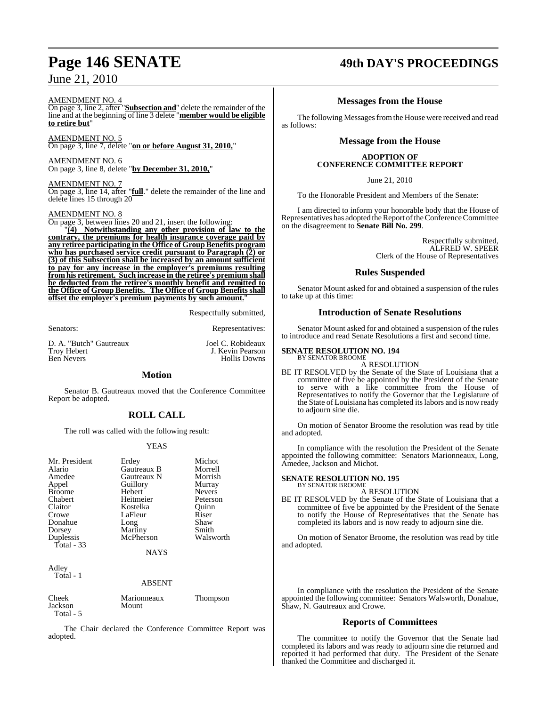# June 21, 2010

### AMENDMENT NO. 4

On page 3, line 2, after "**Subsection and**" delete the remainder of the line and at the beginning of line 3 delete "**member would be eligible to retire but**"

AMENDMENT NO. 5 On page 3, line 7, delete "**on or before August 31, 2010,**"

AMENDMENT NO. 6 On page 3, line 8, delete "**by December 31, 2010,**"

AMENDMENT NO. 7 On page 3, line 14, after "**full**." delete the remainder of the line and delete lines 15 through 20

### AMENDMENT NO. 8

On page 3, between lines 20 and 21, insert the following:

"**(4) Notwithstanding any other provision of law to the contrary, the premiums for health insurance coverage paid by any retiree participating in the Office of GroupBenefits program who has purchased service credit pursuant to Paragraph (2) or (3) of this Subsection shall be increased by an amount sufficient to pay for any increase in the employer's premiums resulting from his retirement. Such increase in the retiree's premium shall be deducted from the retiree's monthly benefit and remitted to the Office of Group Benefits. The Office of Group Benefits shall offset the employer's premium payments by such amount.**"

Respectfully submitted,

Senators: Representatives:

D. A. "Butch" Gautreaux Joel C. Robideaux

Troy Hebert **J. Kevin Pearson**<br> **Ben Nevers** Hollis Downs Hollis Downs

# **Motion**

Senator B. Gautreaux moved that the Conference Committee Report be adopted.

# **ROLL CALL**

The roll was called with the following result:

# YEAS

| Mr. President | Erdey       | Michot        |
|---------------|-------------|---------------|
|               |             |               |
| Alario        | Gautreaux B | Morrell       |
| Amedee        | Gautreaux N | Morrish       |
| Appel         | Guillory    | Murray        |
| <b>Broome</b> | Hebert      | <b>Nevers</b> |
| Chabert       | Heitmeier   | Peterson      |
| Claitor       | Kostelka    | Ouinn         |
| Crowe         | LaFleur     | Riser         |
| Donahue       | Long        | Shaw          |
| Dorsey        | Martiny     | Smith         |
| Duplessis     | McPherson   | Walsworth     |
| Total $-33$   |             |               |
|               | <b>NAYS</b> |               |
|               |             |               |
| Adley         |             |               |
| Total - 1     |             |               |

### ABSENT

| Cheek     | Marionneaux | <b>Thompson</b> |
|-----------|-------------|-----------------|
| Jackson   | Mount       |                 |
| Total - 5 |             |                 |

The Chair declared the Conference Committee Report was adopted.

# **Page 146 SENATE 49th DAY'S PROCEEDINGS**

# **Messages from the House**

The following Messages from the House were received and read as follows:

# **Message from the House**

## **ADOPTION OF CONFERENCE COMMITTEE REPORT**

June 21, 2010

To the Honorable President and Members of the Senate:

I am directed to inform your honorable body that the House of Representatives has adopted the Report of the Conference Committee on the disagreement to **Senate Bill No. 299**.

> Respectfully submitted, ALFRED W. SPEER Clerk of the House of Representatives

# **Rules Suspended**

Senator Mount asked for and obtained a suspension of the rules to take up at this time:

# **Introduction of Senate Resolutions**

Senator Mount asked for and obtained a suspension of the rules to introduce and read Senate Resolutions a first and second time.

## **SENATE RESOLUTION NO. 194**

BY SENATOR BROOME A RESOLUTION

BE IT RESOLVED by the Senate of the State of Louisiana that a committee of five be appointed by the President of the Senate to serve with a like committee from the House of Representatives to notify the Governor that the Legislature of the State of Louisiana has completed itslabors and is now ready to adjourn sine die.

On motion of Senator Broome the resolution was read by title and adopted.

In compliance with the resolution the President of the Senate appointed the following committee: Senators Marionneaux, Long, Amedee, Jackson and Michot.

#### **SENATE RESOLUTION NO. 195** BY SENATOR BROOME

A RESOLUTION

BE IT RESOLVED by the Senate of the State of Louisiana that a committee of five be appointed by the President of the Senate to notify the House of Representatives that the Senate has completed its labors and is now ready to adjourn sine die.

On motion of Senator Broome, the resolution was read by title and adopted.

In compliance with the resolution the President of the Senate appointed the following committee: Senators Walsworth, Donahue, Shaw, N. Gautreaux and Crowe.

# **Reports of Committees**

The committee to notify the Governor that the Senate had completed its labors and was ready to adjourn sine die returned and reported it had performed that duty. The President of the Senate thanked the Committee and discharged it.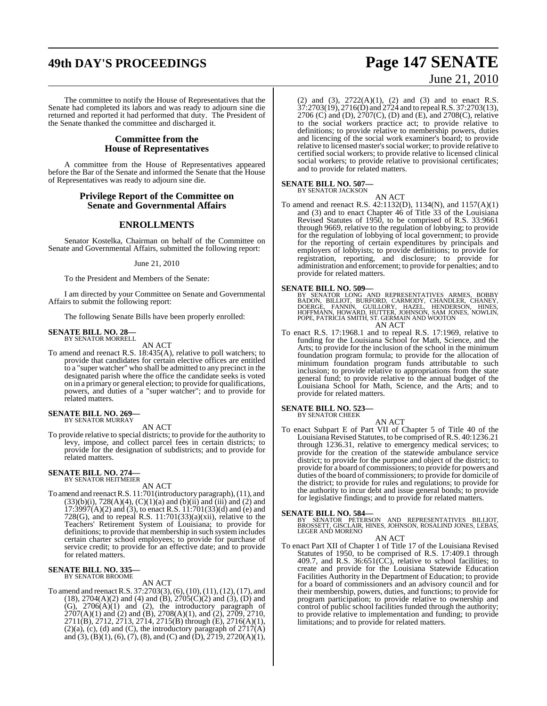# **49th DAY'S PROCEEDINGS Page 147 SENATE**

The committee to notify the House of Representatives that the Senate had completed its labors and was ready to adjourn sine die returned and reported it had performed that duty. The President of the Senate thanked the committee and discharged it.

# **Committee from the House of Representatives**

A committee from the House of Representatives appeared before the Bar of the Senate and informed the Senate that the House of Representatives was ready to adjourn sine die.

# **Privilege Report of the Committee on Senate and Governmental Affairs**

## **ENROLLMENTS**

Senator Kostelka, Chairman on behalf of the Committee on Senate and Governmental Affairs, submitted the following report:

### June 21, 2010

To the President and Members of the Senate:

I am directed by your Committee on Senate and Governmental Affairs to submit the following report:

The following Senate Bills have been properly enrolled:

#### **SENATE BILL NO. 28—** BY SENATOR MORRELL

AN ACT

To amend and reenact R.S. 18:435(A), relative to poll watchers; to provide that candidates for certain elective offices are entitled to a "super watcher" who shall be admitted to any precinct in the designated parish where the office the candidate seeks is voted on in a primary or general election; to provide for qualifications, powers, and duties of a "super watcher"; and to provide for related matters.

#### **SENATE BILL NO. 269** BY SENATOR MURRAY

AN ACT

To provide relative to special districts; to provide for the authority to levy, impose, and collect parcel fees in certain districts; to provide for the designation of subdistricts; and to provide for related matters.

#### **SENATE BILL NO. 274—** BY SENATOR HEITMEIER

AN ACT

To amend and reenact R.S. 11:701(introductory paragraph), (11), and  $(33)(b)(i)$ ,  $728(A)(4)$ ,  $(C)(1)(a)$  and  $(b)(ii)$  and  $(iii)$  and  $(2)$  and  $17:3997(A)(2)$  and (3), to enact R.S.  $11:701(33)(d)$  and (e) and 728(G), and to repeal R.S.  $11:701(33)(a)(xii)$ , relative to the Teachers' Retirement System of Louisiana; to provide for definitions; to provide that membership in such system includes certain charter school employees; to provide for purchase of service credit; to provide for an effective date; and to provide for related matters.

# **SENATE BILL NO. 335—** BY SENATOR BROOME

AN ACT

To amend and reenactR.S. 37:2703(3),(6),(10),(11), (12), (17), and  $(18)$ ,  $2704(A)(2)$  and  $(4)$  and  $(B)$ ,  $2705(C)(2)$  and  $(3)$ ,  $(D)$  and  $(G)$ ,  $2706(A)(1)$  and  $(2)$ , the introductory paragraph of  $2707(A)(1)$  and (2) and (B),  $2708(A)(1)$ , and (2),  $2709$ ,  $2710$ , 2711(B), 2712, 2713, 2714, 2715(B) through (E), 2716(A)(1),  $(2)(a)$ ,  $(c)$ ,  $(d)$  and  $(C)$ , the introductory paragraph of  $2717(A)$ and (3), (B)(1), (6), (7), (8), and (C) and (D),  $2719$ ,  $2720(A)(1)$ ,

(2) and (3), 2722(A)(1), (2) and (3) and to enact R.S. 37:2703(19), 2716(D) and 2724 and to repealR.S. 37:2703(13), 2706 (C) and (D),  $2707(C)$ , (D) and (E), and 2708(C), relative to the social workers practice act; to provide relative to definitions; to provide relative to membership powers, duties and licencing of the social work examiner's board; to provide relative to licensed master's social worker; to provide relative to certified social workers; to provide relative to licensed clinical social workers; to provide relative to provisional certificates; and to provide for related matters.

# **SENATE BILL NO. 507—** BY SENATOR JACKSON

AN ACT To amend and reenact R.S. 42:1132(D), 1134(N), and 1157(A)(1) and (3) and to enact Chapter 46 of Title 33 of the Louisiana Revised Statutes of 1950, to be comprised of R.S. 33:9661 through 9669, relative to the regulation of lobbying; to provide for the regulation of lobbying of local government; to provide for the reporting of certain expenditures by principals and employers of lobbyists; to provide definitions; to provide for registration, reporting, and disclosure; to provide for administration and enforcement; to provide for penalties; and to provide for related matters.

**SENATE BILL NO. 509—**<br>BY SENATOR LONG AND REPRESENTATIVES ARMES, BOBBY<br>BADON, BILLIOT, BURFORD, CARMODY, CHANDLER, CHANEY,<br>DOERGE, FANNIN, GUILLORY, HAZEL, HENDERSON, HINES,<br>HOFFMANN, HOWARD, HUTTER, JOHNSON, SAM JONES, N

AN ACT

To enact R.S. 17:1968.1 and to repeal R.S. 17:1969, relative to funding for the Louisiana School for Math, Science, and the Arts; to provide for the inclusion of the school in the minimum foundation program formula; to provide for the allocation of minimum foundation program funds attributable to such inclusion; to provide relative to appropriations from the state general fund; to provide relative to the annual budget of the Louisiana School for Math, Science, and the Arts; and to provide for related matters.

# **SENATE BILL NO. 523—** BY SENATOR CHEEK

AN ACT

To enact Subpart E of Part VII of Chapter 5 of Title 40 of the Louisiana Revised Statutes, to be comprised of R.S. 40:1236.21 through 1236.31, relative to emergency medical services; to provide for the creation of the statewide ambulance service district; to provide for the purpose and object of the district; to provide for a board of commissioners; to provide for powers and duties of the board of commissioners; to provide for domicile of the district; to provide for rules and regulations; to provide for the authority to incur debt and issue general bonds; to provide for legislative findings; and to provide for related matters.

**SENATE BILL NO. 584—**<br>BY SENATOR PETERSON AND REPRESENTATIVES BILLIOT,<br>BROSSETT, GISCLAIR, HINES, JOHNSON, ROSALIND JONES, LEBAS,<br>LEGER AND MORENO

#### AN ACT

To enact Part XII of Chapter 1 of Title 17 of the Louisiana Revised Statutes of 1950, to be comprised of R.S. 17:409.1 through 409.7, and R.S.  $36:651$ (CC), relative to school facilities; to create and provide for the Louisiana Statewide Education Facilities Authority in the Department of Education; to provide for a board of commissioners and an advisory council and for their membership, powers, duties, and functions; to provide for program participation; to provide relative to ownership and control of public school facilities funded through the authority; to provide relative to implementation and funding; to provide limitations; and to provide for related matters.

# June 21, 2010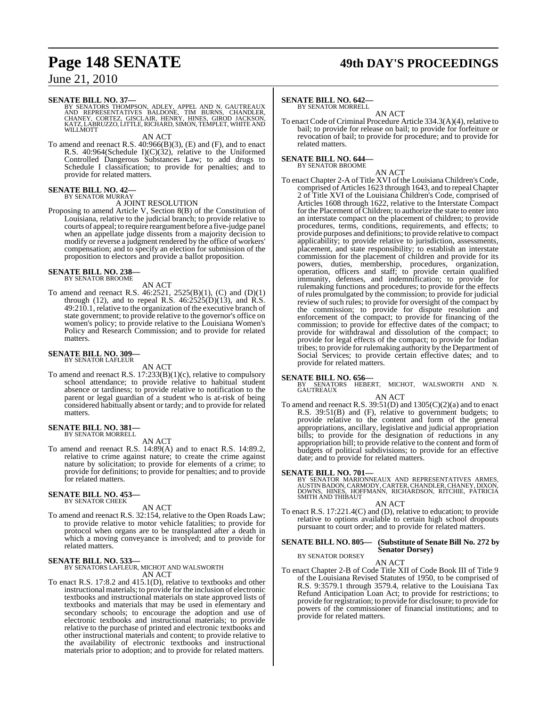# **Page 148 SENATE 49th DAY'S PROCEEDINGS**

# June 21, 2010

### **SENATE BILL NO. 37—**

BY SENATORS THOMPSON, ADLEY, APPEL AND N. GAUTREAUX<br>AND REPRESENTATIVES BALDONE, TIM BURNS, CHANDLER,<br>CHANEY, CORTEZ, GISCLAIR, HENRY, HINES, GIROD JACKSON,<br>KATZ,LABRUZZO,LITTLE,RICHARD,SIMON,TEMPLET,WHITEAND<br>WILLMOTT

AN ACT

To amend and reenact R.S. 40:966(B)(3), (E) and (F), and to enact R.S. 40:964(Schedule I)(C)(32), relative to the Uniformed Controlled Dangerous Substances Law; to add drugs to Schedule I classification; to provide for penalties; and to provide for related matters.

### **SENATE BILL NO. 42—** BY SENATOR MURRAY

# A JOINT RESOLUTION

Proposing to amend Article V, Section 8(B) of the Constitution of Louisiana, relative to the judicial branch; to provide relative to courts of appeal; to require reargument before a five-judge panel when an appellate judge dissents from a majority decision to modify or reverse a judgment rendered by the office of workers' compensation; and to specify an election for submission of the proposition to electors and provide a ballot proposition.

# **SENATE BILL NO. 238—** BY SENATOR BROOME

## AN ACT

To amend and reenact R.S. 46:2521, 2525(B)(1), (C) and (D)(1) through (12), and to repeal R.S.  $46:2525(D)(13)$ , and R.S. 49:210.1, relative to the organization of the executive branch of state government; to provide relative to the governor's office on women's policy; to provide relative to the Louisiana Women's Policy and Research Commission; and to provide for related matters.

#### **SENATE BILL NO. 309—** BY SENATOR LAFLEUR

## AN ACT

To amend and reenact R.S. 17:233(B)(1)(c), relative to compulsory school attendance; to provide relative to habitual student absence or tardiness; to provide relative to notification to the parent or legal guardian of a student who is at-risk of being considered habitually absent or tardy; and to provide for related matters.

# **SENATE BILL NO. 381—** BY SENATOR MORRELL

AN ACT

To amend and reenact R.S. 14:89(A) and to enact R.S. 14:89.2, relative to crime against nature; to create the crime against nature by solicitation; to provide for elements of a crime; to provide for definitions; to provide for penalties; and to provide for related matters.

# **SENATE BILL NO. 453—** BY SENATOR CHEEK

AN ACT

To amend and reenact R.S. 32:154, relative to the Open Roads Law; to provide relative to motor vehicle fatalities; to provide for protocol when organs are to be transplanted after a death in which a moving conveyance is involved; and to provide for related matters.

### **SENATE BILL NO. 533—**

BY SENATORS LAFLEUR, MICHOT AND WALSWORTH AN ACT

To enact R.S. 17:8.2 and 415.1(D), relative to textbooks and other instructional materials; to provide for the inclusion of electronic textbooks and instructional materials on state approved lists of textbooks and materials that may be used in elementary and secondary schools; to encourage the adoption and use of electronic textbooks and instructional materials; to provide relative to the purchase of printed and electronic textbooks and other instructional materials and content; to provide relative to the availability of electronic textbooks and instructional materials prior to adoption; and to provide for related matters.

## **SENATE BILL NO. 642—**

BY SENATOR MORRELL

AN ACT To enact Code of Criminal Procedure Article 334.3(A)(4), relative to bail; to provide for release on bail; to provide for forfeiture or revocation of bail; to provide for procedure; and to provide for related matters.

# **SENATE BILL NO. 644—**

BY SENATOR BROOME

AN ACT To enact Chapter 2-A of Title XVI of the Louisiana Children's Code, comprised of Articles 1623 through 1643, and to repeal Chapter 2 of Title XVI of the Louisiana Children's Code, comprised of Articles 1608 through 1622, relative to the Interstate Compact for the Placement ofChildren; to authorize the state to enter into an interstate compact on the placement of children; to provide procedures, terms, conditions, requirements, and effects; to provide purposes and definitions; to provide relative to compact applicability; to provide relative to jurisdiction, assessments, placement, and state responsibility; to establish an interstate commission for the placement of children and provide for its powers, duties, membership, procedures, organization, operation, officers and staff; to provide certain qualified immunity, defenses, and indemnification; to provide for rulemaking functions and procedures; to provide for the effects of rules promulgated by the commission; to provide for judicial review of such rules; to provide for oversight of the compact by the commission; to provide for dispute resolution and enforcement of the compact; to provide for financing of the commission; to provide for effective dates of the compact; to provide for withdrawal and dissolution of the compact; to provide for legal effects of the compact; to provide for Indian tribes; to provide for rulemaking authority by the Department of Social Services; to provide certain effective dates; and to provide for related matters.

**SENATE BILL NO. 656—**<br>BY SENATORS HEBERT, MICHOT, WALSWORTH AND N.<br>GAUTREAUX

- AN ACT
- To amend and reenact R.S.  $39:51(D)$  and  $1305(C)(2)(a)$  and to enact R.S.  $39:51(B)$  and (F), relative to government budgets; to provide relative to the content and form of the general appropriations, ancillary, legislative and judicial appropriation bills; to provide for the designation of reductions in any appropriation bill; to provide relative to the content and form of budgets of political subdivisions; to provide for an effective date; and to provide for related matters.

**SENATE BILL NO. 701—**<br>BY SENATOR MARIONNEAUX AND REPRESENTATIVES ARMES,<br>AUSTIN BADON, CARMODY, CARTER, CHANDLER, CHANEY, DIXON,<br>DOWNS, HINES, HOFFMANN, RICHARDSON, RITCHIE, PATRICIA<br>SMITH AND THIBAUT

### AN ACT

To enact R.S. 17:221.4(C) and (D), relative to education; to provide relative to options available to certain high school dropouts pursuant to court order; and to provide for related matters.

#### **SENATE BILL NO. 805— (Substitute of Senate Bill No. 272 by Senator Dorsey)** BY SENATOR DORSEY

### AN ACT

To enact Chapter 2-B of Code Title XII of Code Book III of Title 9 of the Louisiana Revised Statutes of 1950, to be comprised of R.S. 9:3579.1 through 3579.4, relative to the Louisiana Tax Refund Anticipation Loan Act; to provide for restrictions; to provide for registration; to provide for disclosure; to provide for powers of the commissioner of financial institutions; and to provide for related matters.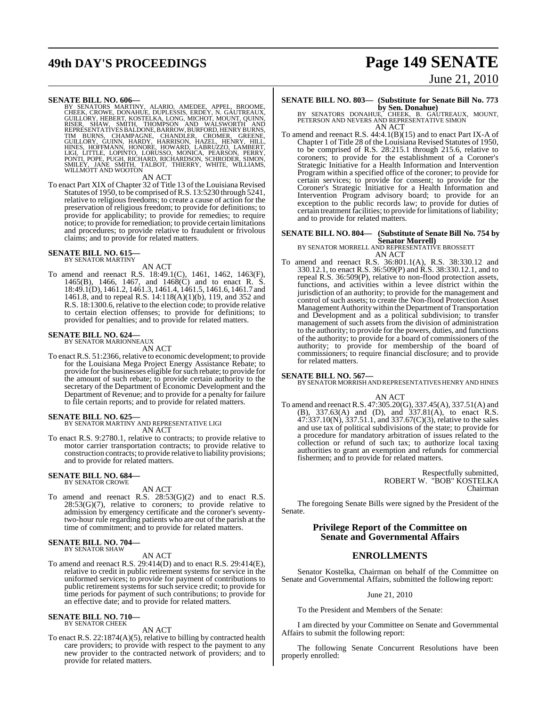# **49th DAY'S PROCEEDINGS Page 149 SENATE** June 21, 2010

**SENATE BILL NO. 606—**<br>BY SENATORS MARITNY, ALARIO, AMEDEE, APPEL, BROOME, THE SENATORS MARITNY, ALARIO, AMEDEE, APPEL, BROOME, GUILLORY, HEBERT, KOSTELKA, LONG, MICHOT, MOUNT, QUINN, RISER, SHAW, SMITH, THOMPSON AND WALSW

#### AN ACT

To enact Part XIX of Chapter 32 of Title 13 of the Louisiana Revised Statutes of 1950, to be comprised ofR.S. 13:5230 through 5241, relative to religious freedoms; to create a cause of action for the preservation of religious freedom; to provide for definitions; to provide for applicability; to provide for remedies; to require notice; to provide for remediation; to provide certain limitations and procedures; to provide relative to fraudulent or frivolous claims; and to provide for related matters.

#### **SENATE BILL NO. 615—** BY SENATOR MARTINY

# AN ACT

To amend and reenact R.S. 18:49.1(C), 1461, 1462, 1463(F), 1465(B), 1466, 1467, and 1468(C) and to enact R. S. 18:49.1(D), 1461.2, 1461.3, 1461.4, 1461.5, 1461.6, 1461.7 and 1461.8, and to repeal R.S. 14:118( $\vec{A}$ )(1)(b), 119, and 352 and R.S. 18:1300.6, relative to the election code; to provide relative to certain election offenses; to provide for definitions; to provided for penalties; and to provide for related matters.

# **SENATE BILL NO. 624—** BY SENATOR MARIONNEAUX

AN ACT

To enact R.S. 51:2366, relative to economic development; to provide for the Louisiana Mega Project Energy Assistance Rebate; to provide for the businesses eligible for such rebate; to provide for the amount of such rebate; to provide certain authority to the secretary of the Department of Economic Development and the Department of Revenue; and to provide for a penalty for failure to file certain reports; and to provide for related matters.

## **SENATE BILL NO. 625—**

BY SENATOR MARTINY AND REPRESENTATIVE LIGI AN ACT

To enact R.S. 9:2780.1, relative to contracts; to provide relative to motor carrier transportation contracts; to provide relative to construction contracts; to provide relative to liability provisions; and to provide for related matters.

# **SENATE BILL NO. 684—** BY SENATOR CROWE

AN ACT

To amend and reenact R.S. 28:53(G)(2) and to enact R.S.  $28:53(G)(7)$ , relative to coroners; to provide relative to admission by emergency certificate and the coroner's seventytwo-hour rule regarding patients who are out of the parish at the time of commitment; and to provide for related matters.

#### **SENATE BILL NO. 704—** BY SENATOR SHAW

AN ACT

To amend and reenact R.S. 29:414(D) and to enact R.S. 29:414(E), relative to credit in public retirement systems for service in the uniformed services; to provide for payment of contributions to public retirement systems for such service credit; to provide for time periods for payment of such contributions; to provide for an effective date; and to provide for related matters.

# **SENATE BILL NO. 710—** BY SENATOR CHEEK

AN ACT

To enact R.S. 22:1874(A)(5), relative to billing by contracted health care providers; to provide with respect to the payment to any new provider to the contracted network of providers; and to provide for related matters.

## **SENATE BILL NO. 803— (Substitute for Senate Bill No. 773**

**by Sen. Donahue)**<br>BY SENATORS DONAHUE, CHEEK, B. GAUTREAUX, MOUNT,<br>PETERSON AND NEVERS AND REPRESENTATIVE SIMON AN ACT

To amend and reenact R.S. 44:4.1(B)(15) and to enact Part IX-A of Chapter 1 of Title 28 of the Louisiana Revised Statutes of 1950, to be comprised of R.S. 28:215.1 through 215.6, relative to coroners; to provide for the establishment of a Coroner's Strategic Initiative for a Health Information and Intervention Program within a specified office of the coroner; to provide for certain services; to provide for consent; to provide for the Coroner's Strategic Initiative for a Health Information and Intervention Program advisory board; to provide for an exception to the public records law; to provide for duties of certain treatment facilities; to provide for limitations of liability; and to provide for related matters.

# **SENATE BILL NO. 804— (Substitute of Senate Bill No. 754 by**

**Senator Morrell)** BY SENATOR MORRELL AND REPRESENTATIVE BROSSETT AN ACT

To amend and reenact R.S. 36:801.1(A), R.S. 38:330.12 and 330.12.1, to enact R.S. 36:509(P) and R.S. 38:330.12.1, and to repeal R.S. 36:509(P), relative to non-flood protection assets, functions, and activities within a levee district within the jurisdiction of an authority; to provide for the management and control of such assets; to create the Non-flood Protection Asset Management Authoritywithin theDepartment of Transportation and Development and as a political subdivision; to transfer management of such assets from the division of administration to the authority; to provide for the powers, duties, and functions of the authority; to provide for a board of commissioners of the authority; to provide for membership of the board of commissioners; to require financial disclosure; and to provide for related matters.

### **SENATE BILL NO. 567—**

BY SENATOR MORRISH AND REPRESENTATIVES HENRY AND HINES

#### AN ACT

To amend and reenact R.S. 47:305.20(G), 337.45(A), 337.51(A) and (B), 337.63(A) and (D), and 337.81(A), to enact R.S.  $47:337.10(N)$ ,  $337.51.1$ , and  $337.67(C)(3)$ , relative to the sales and use tax of political subdivisions of the state; to provide for a procedure for mandatory arbitration of issues related to the collection or refund of such tax; to authorize local taxing authorities to grant an exemption and refunds for commercial fishermen; and to provide for related matters.

> Respectfully submitted, ROBERT W. "BOB" KOSTELKA Chairman

The foregoing Senate Bills were signed by the President of the Senate.

# **Privilege Report of the Committee on Senate and Governmental Affairs**

# **ENROLLMENTS**

Senator Kostelka, Chairman on behalf of the Committee on Senate and Governmental Affairs, submitted the following report:

### June 21, 2010

To the President and Members of the Senate:

I am directed by your Committee on Senate and Governmental Affairs to submit the following report:

The following Senate Concurrent Resolutions have been properly enrolled: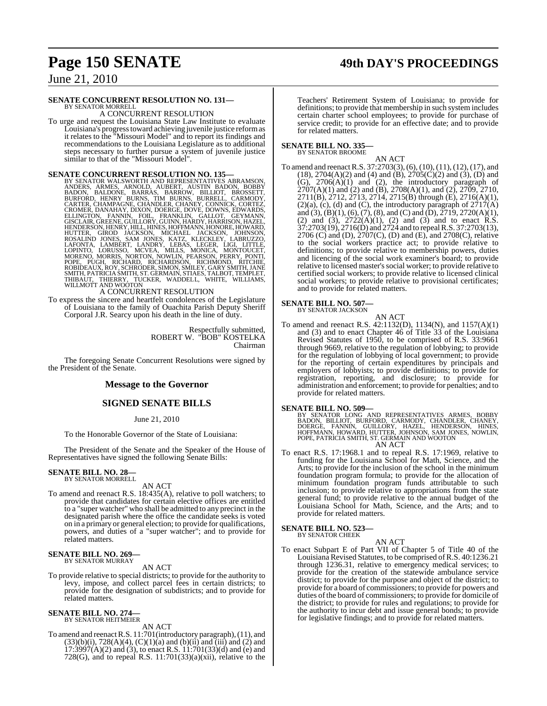# **Page 150 SENATE 49th DAY'S PROCEEDINGS**

June 21, 2010

### **SENATE CONCURRENT RESOLUTION NO. 131—** BY SENATOR MORRELL

A CONCURRENT RESOLUTION

To urge and request the Louisiana State Law Institute to evaluate Louisiana's progresstoward achieving juvenile justice reformas it relates to the "Missouri Model" and to report its findings and recommendations to the Louisiana Legislature as to additional steps necessary to further pursue a system of juvenile justice similar to that of the "Missouri Model".

**SENATE CONCURRENT RESOLUTION NO. 135—78** SENATOR WALSWORTH AND REPRESENTATIVES ABRAMSON, ANDERS, ARMES, ARNOLD, AUBERT, AUSTIN BADON, BOBBY BADON, BALDONE, BARRAS, BARROW, BILLIOT, BROSSETT, BURFORD, HENRY BURROW, BARRAS,

To express the sincere and heartfelt condolences of the Legislature of Louisiana to the family of Ouachita Parish Deputy Sheriff Corporal J.R. Searcy upon his death in the line of duty.

> Respectfully submitted, ROBERT W. "BOB" KOSTELKA Chairman

The foregoing Senate Concurrent Resolutions were signed by the President of the Senate.

# **Message to the Governor**

# **SIGNED SENATE BILLS**

June 21, 2010

To the Honorable Governor of the State of Louisiana:

The President of the Senate and the Speaker of the House of Representatives have signed the following Senate Bills:

#### **SENATE BILL NO. 28—** BY SENATOR MORRELL

AN ACT

To amend and reenact R.S. 18:435(A), relative to poll watchers; to provide that candidates for certain elective offices are entitled to a "super watcher" who shall be admitted to any precinct in the designated parish where the office the candidate seeks is voted on in a primary or general election; to provide for qualifications, powers, and duties of a "super watcher"; and to provide for related matters.

# **SENATE BILL NO. 269—** BY SENATOR MURRAY

#### AN ACT

To provide relative to special districts; to provide for the authority to levy, impose, and collect parcel fees in certain districts; to provide for the designation of subdistricts; and to provide for related matters.

#### **SENATE BILL NO. 274—** BY SENATOR HEITMEIER

AN ACT

To amend and reenactR.S. 11:701(introductory paragraph), (11), and  $(33)(b)(i)$ ,  $728(A)(4)$ ,  $(C)(1)(a)$  and  $(b)(ii)$  and  $(iii)$  and  $(2)$  and  $17:3997(A)(2)$  and (3), to enact R.S.  $11:701(33)(d)$  and (e) and 728(G), and to repeal R.S.  $11:701(33)(a)(xii)$ , relative to the

Teachers' Retirement System of Louisiana; to provide for definitions; to provide that membership in such system includes certain charter school employees; to provide for purchase of service credit; to provide for an effective date; and to provide for related matters.

#### **SENATE BILL NO. 335—** BY SENATOR BROOME

AN ACT

To amend and reenactR.S. 37:2703(3),(6), (10), (11), (12), (17), and  $(18)$ ,  $2704(A)(2)$  and  $(4)$  and  $(B)$ ,  $2705(C)(2)$  and  $(3)$ ,  $(D)$  and (G), 2706(A)(1) and (2), the introductory paragraph of  $2707(A)(1)$  and (2) and (B),  $2708(A)(1)$ , and (2),  $2709$ ,  $2710$ , 2711(B), 2712, 2713, 2714, 2715(B) through (E), 2716(A)(1),  $(2)(a)$ ,  $(c)$ ,  $(d)$  and  $(C)$ , the introductory paragraph of  $2717(A)$ and (3), (B)(1), (6), (7), (8), and (C) and (D),  $\overline{2719}$ ,  $2720(A)(1)$ , (2) and (3),  $2722(A)(1)$ , (2) and (3) and to enact R.S. 37:2703(19), 2716(D) and 2724 and to repealR.S. 37:2703(13), 2706 (C) and (D), 2707(C), (D) and (E), and 2708(C), relative to the social workers practice act; to provide relative to definitions; to provide relative to membership powers, duties and licencing of the social work examiner's board; to provide relative to licensed master's social worker; to provide relative to certified social workers; to provide relative to licensed clinical social workers; to provide relative to provisional certificates; and to provide for related matters.

### **SENATE BILL NO. 507—**

BY SENATOR JACKSON

AN ACT To amend and reenact R.S. 42:1132(D), 1134(N), and 1157(A)(1) and (3) and to enact Chapter 46 of Title 33 of the Louisiana Revised Statutes of 1950, to be comprised of R.S. 33:9661 through 9669, relative to the regulation of lobbying; to provide for the regulation of lobbying of local government; to provide for the reporting of certain expenditures by principals and employers of lobbyists; to provide definitions; to provide for registration, reporting, and disclosure; to provide for administration and enforcement; to provide for penalties; and to provide for related matters.

**SENATE BILL NO. 509—**<br>BY SENATOR LONG AND REPRESENTATIVES ARMES, BOBBY<br>BADON, BILLIOT, BURFORD, CARMODY, CHANDLER, CHANEY,<br>DOERGE, FANNIN, GUILLORY, HAZEL, HENDERSON, HINES,<br>HOFFMANN, HOWARD, HUTTER, JOHNSON, SAM JONES, N AN ACT

To enact R.S. 17:1968.1 and to repeal R.S. 17:1969, relative to funding for the Louisiana School for Math, Science, and the Arts; to provide for the inclusion of the school in the minimum foundation program formula; to provide for the allocation of minimum foundation program funds attributable to such inclusion; to provide relative to appropriations from the state general fund; to provide relative to the annual budget of the Louisiana School for Math, Science, and the Arts; and to provide for related matters.

#### **SENATE BILL NO. 523—** BY SENATOR CHEEK

AN ACT

To enact Subpart E of Part VII of Chapter 5 of Title 40 of the Louisiana Revised Statutes, to be comprised of R.S. 40:1236.21 through 1236.31, relative to emergency medical services; to provide for the creation of the statewide ambulance service district; to provide for the purpose and object of the district; to provide for a board of commissioners; to provide for powers and duties of the board of commissioners; to provide for domicile of the district; to provide for rules and regulations; to provide for the authority to incur debt and issue general bonds; to provide for legislative findings; and to provide for related matters.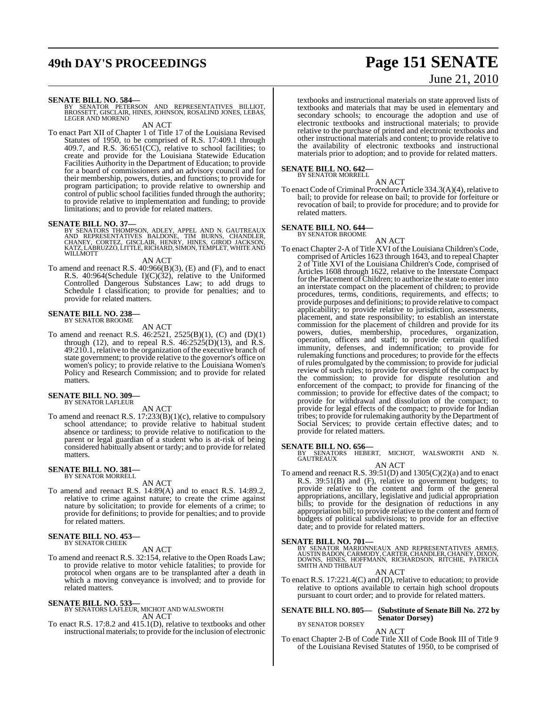# **49th DAY'S PROCEEDINGS Page 151 SENATE** June 21, 2010

**SENATE BILL NO. 584—**<br>BY SENATOR PETERSON AND REPRESENTATIVES BILLIOT,<br>BROSSETT, GISCLAIR, HINES, JOHNSON, ROSALIND JONES, LEBAS,<br>LEGER AND MORENO

AN ACT

To enact Part XII of Chapter 1 of Title 17 of the Louisiana Revised Statutes of 1950, to be comprised of R.S. 17:409.1 through 409.7, and R.S. 36:651(CC), relative to school facilities; to create and provide for the Louisiana Statewide Education Facilities Authority in the Department of Education; to provide for a board of commissioners and an advisory council and for their membership, powers, duties, and functions; to provide for program participation; to provide relative to ownership and control of public school facilities funded through the authority; to provide relative to implementation and funding; to provide limitations; and to provide for related matters.

**SENATE BILL NO. 37—**<br>BY SENATORS THOMPSON, ADLEY, APPEL AND N. GAUTREAUX<br>AND REPRESENTATIVES BALDONE, TIM BURNS, CHANDLER,<br>CHANEY, CORTEZ, GISCLAIR, HENRY, HINES, GIROD JACKSON,<br>KAITZ,LABRUZZO,LITTLE,RICHARD,SIMON,TEMPLET

AN ACT

To amend and reenact R.S. 40:966(B)(3), (E) and (F), and to enact R.S. 40:964(Schedule I)(C)(32), relative to the Uniformed Controlled Dangerous Substances Law; to add drugs to Schedule I classification; to provide for penalties; and to provide for related matters.

# **SENATE BILL NO. 238—** BY SENATOR BROOME

AN ACT

To amend and reenact R.S.  $46:2521$ ,  $2525(B)(1)$ , (C) and (D)(1) through (12), and to repeal R.S. 46:2525(D)(13), and R.S. 49:210.1, relative to the organization of the executive branch of state government; to provide relative to the governor's office on women's policy; to provide relative to the Louisiana Women's Policy and Research Commission; and to provide for related matters.

#### **SENATE BILL NO. 309—** BY SENATOR LAFLEUR

AN ACT

To amend and reenact R.S. 17:233(B)(1)(c), relative to compulsory school attendance; to provide relative to habitual student absence or tardiness; to provide relative to notification to the parent or legal guardian of a student who is at-risk of being considered habitually absent or tardy; and to provide for related matters.

#### **SENATE BILL NO. 381—** BY SENATOR MORRELL

AN ACT

To amend and reenact R.S. 14:89(A) and to enact R.S. 14:89.2, relative to crime against nature; to create the crime against nature by solicitation; to provide for elements of a crime; to provide for definitions; to provide for penalties; and to provide for related matters.

#### **SENATE BILL NO. 453—** BY SENATOR CHEEK

AN ACT

To amend and reenact R.S. 32:154, relative to the Open Roads Law; to provide relative to motor vehicle fatalities; to provide for protocol when organs are to be transplanted after a death in which a moving conveyance is involved; and to provide for related matters.

#### **SENATE BILL NO. 533—** BY SENATORS LAFLEUR, MICHOT AND WALSWORTH

AN ACT

To enact R.S. 17:8.2 and 415.1(D), relative to textbooks and other instructional materials; to provide for the inclusion of electronic textbooks and instructional materials on state approved lists of textbooks and materials that may be used in elementary and secondary schools; to encourage the adoption and use of electronic textbooks and instructional materials; to provide relative to the purchase of printed and electronic textbooks and other instructional materials and content; to provide relative to the availability of electronic textbooks and instructional materials prior to adoption; and to provide for related matters.

#### **SENATE BILL NO. 642—** BY SENATOR MORRELL

AN ACT

To enact Code of Criminal Procedure Article 334.3(A)(4), relative to bail; to provide for release on bail; to provide for forfeiture or revocation of bail; to provide for procedure; and to provide for related matters.

#### **SENATE BILL NO. 644—** BY SENATOR BROOME

AN ACT

To enact Chapter 2-A of Title XVI of the Louisiana Children's Code, comprised of Articles 1623 through 1643, and to repeal Chapter 2 of Title XVI of the Louisiana Children's Code, comprised of Articles 1608 through 1622, relative to the Interstate Compact for the Placement of Children; to authorize the state to enter into an interstate compact on the placement of children; to provide procedures, terms, conditions, requirements, and effects; to provide purposes and definitions; to provide relative to compact applicability; to provide relative to jurisdiction, assessments, placement, and state responsibility; to establish an interstate commission for the placement of children and provide for its powers, duties, membership, procedures, organization, operation, officers and staff; to provide certain qualified immunity, defenses, and indemnification; to provide for rulemaking functions and procedures; to provide for the effects of rules promulgated by the commission; to provide for judicial review of such rules; to provide for oversight of the compact by the commission; to provide for dispute resolution and enforcement of the compact; to provide for financing of the commission; to provide for effective dates of the compact; to provide for withdrawal and dissolution of the compact; to provide for legal effects of the compact; to provide for Indian tribes; to provide for rulemaking authority by the Department of Social Services; to provide certain effective dates; and to provide for related matters.

**SENATE BILL NO. 656—**<br>BY SENATORS HEBERT, MICHOT, WALSWORTH AND N.<br>GAUTREAUX AN ACT

To amend and reenact R.S. 39:51(D) and 1305(C)(2)(a) and to enact R.S. 39:51(B) and (F), relative to government budgets; to provide relative to the content and form of the general appropriations, ancillary, legislative and judicial appropriation bills; to provide for the designation of reductions in any appropriation bill; to provide relative to the content and form of budgets of political subdivisions; to provide for an effective date; and to provide for related matters.

### **SENATE BILL NO. 701—**

BY SENATOR MARIONNEAUX AND REPRESENTATIVES ARMES,<br>AUSTINBADON,CARMODY,CARTER,CHANDLER,CHANEY,DIXON,<br>DOWNS, HINES, HOFFMANN, RICHARDSON, RITCHIE, PATRICIA<br>SMITH AND THIBAUT

AN ACT

To enact R.S. 17:221.4(C) and (D), relative to education; to provide relative to options available to certain high school dropouts pursuant to court order; and to provide for related matters.

#### **SENATE BILL NO. 805— (Substitute of Senate Bill No. 272 by Senator Dorsey)** BY SENATOR DORSEY

#### AN ACT

To enact Chapter 2-B of Code Title XII of Code Book III of Title 9 of the Louisiana Revised Statutes of 1950, to be comprised of